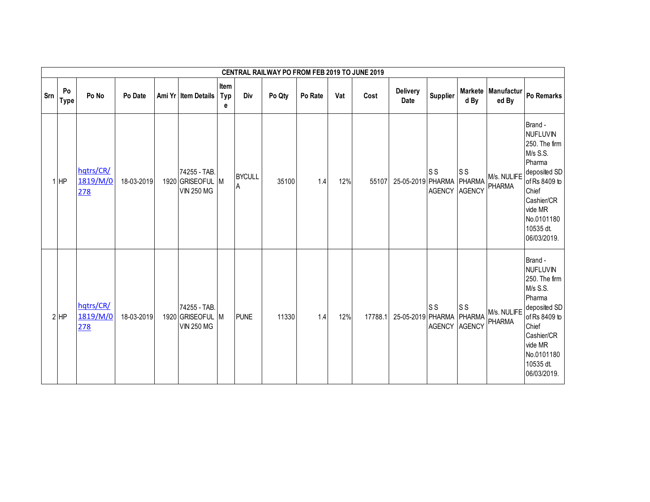|     |                   |                              |            |                                                       |                  |                    | <b>CENTRAL RAILWAY PO FROM FEB 2019 TO JUNE 2019</b> |         |     |         |                         |                                 |                          |                              |                                                                                                                                                                                |
|-----|-------------------|------------------------------|------------|-------------------------------------------------------|------------------|--------------------|------------------------------------------------------|---------|-----|---------|-------------------------|---------------------------------|--------------------------|------------------------------|--------------------------------------------------------------------------------------------------------------------------------------------------------------------------------|
| Srn | Po<br><b>Type</b> | Po No                        | Po Date    | Ami Yr Item Details                                   | Item<br>Typ<br>е | Div                | Po Qty                                               | Po Rate | Vat | Cost    | Delivery<br><b>Date</b> | <b>Supplier</b>                 | d By                     | Markete Manufactur<br>ed By  | Po Remarks                                                                                                                                                                     |
|     | $1$ HP            | hqtrs/CR/<br>1819/M/0<br>278 | 18-03-2019 | 74255 - TAB.<br>1920 GRISEOFUL M<br><b>VIN 250 MG</b> |                  | <b>BYCULL</b><br>A | 35100                                                | 1.4     | 12% | 55107   | 25-05-2019 PHARMA       | S <sub>S</sub><br>AGENCY AGENCY | S <sub>S</sub><br>PHARMA | M/s. NULIFE<br><b>PHARMA</b> | Brand -<br><b>NUFLUVIN</b><br>250. The firm<br>M/s S.S.<br>Pharma<br>deposited SD<br>of Rs 8409 to<br>Chief<br>Cashier/CR<br>vide MR<br>No.0101180<br>10535 dt.<br>06/03/2019. |
|     | $2$ HP            | hqtrs/CR/<br>1819/M/0<br>278 | 18-03-2019 | 74255 - TAB.<br>1920 GRISEOFUL M<br><b>VIN 250 MG</b> |                  | <b>PUNE</b>        | 11330                                                | 1.4     | 12% | 17788.1 | 25-05-2019 PHARMA       | S <sub>S</sub><br>AGENCY AGENCY | S <sub>S</sub><br>PHARMA | M/s. NULIFE<br>PHARMA        | Brand -<br><b>NUFLUVIN</b><br>250. The firm<br>M/s S.S.<br>Pharma<br>deposited SD<br>of Rs 8409 to<br>Chief<br>Cashier/CR<br>vide MR<br>No.0101180<br>10535 dt.<br>06/03/2019. |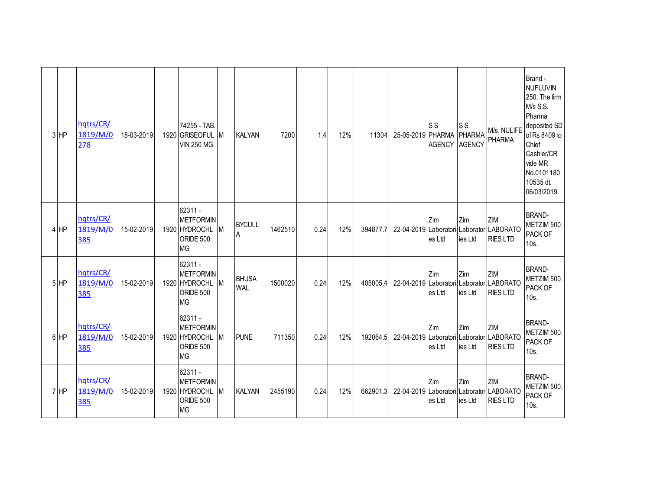| 3 HP     | hqtrs/CR/<br>1819/M/0<br>278 | 18-03-2019 | 74255 - TAB<br>1920 GRISEOFUL M<br><b>VIN 250 MG</b>                              | <b>KALYAN</b>              | 7200    | 1.4  | 12% | 11304    | 25-05-2019 PHARMA | ls s<br><b>AGENCY</b> | <b>SS</b><br><b>PHARMA</b><br><b>AGENCY</b> | M/s. NULIFE<br><b>PHARMA</b>                                       | Brand -<br><b>NUFLUVIN</b><br>250. The firm<br>M/s S.S.<br>Pharma<br>deposited SD<br>of Rs 8409 to<br>Chief<br>Cashier/CR<br>vide MR<br>No.0101180<br>10535 dt.<br>06/03/2019. |
|----------|------------------------------|------------|-----------------------------------------------------------------------------------|----------------------------|---------|------|-----|----------|-------------------|-----------------------|---------------------------------------------|--------------------------------------------------------------------|--------------------------------------------------------------------------------------------------------------------------------------------------------------------------------|
| 4 HP     | hqtrs/CR/<br>1819/M/0<br>385 | 15-02-2019 | 62311 -<br><b>METFORMIN</b><br>1920 HYDROCHL M<br><b>ORIDE 500</b><br><b>MG</b>   | <b>BYCULL</b><br>A         | 1462510 | 0.24 | 12% | 394877.7 |                   | Zim<br>es Ltd         | Zim<br>ies Ltd                              | ZIM<br>22-04-2019 Laboratori Laborator LABORATO<br><b>RIES LTD</b> | <b>BRAND-</b><br>METZIM 500.<br>PACK OF<br>10s.                                                                                                                                |
| $5$ $HP$ | hqtrs/CR/<br>1819/M/0<br>385 | 15-02-2019 | $62311 -$<br><b>METFORMIN</b><br>1920 HYDROCHL M<br><b>ORIDE 500</b><br><b>MG</b> | <b>BHUSA</b><br><b>WAL</b> | 1500020 | 0.24 | 12% | 405005.4 |                   | Zim<br>es Ltd         | Zim<br>ies Ltd                              | ZIM<br>22-04-2019 Laboratori Laborator LABORATO<br><b>RIES LTD</b> | <b>BRAND-</b><br>METZIM 500.<br>PACK OF<br>10s.                                                                                                                                |
| 6 HP     | hqtrs/CR/<br>1819/M/0<br>385 | 15-02-2019 | 62311 -<br><b>METFORMIN</b><br>1920 HYDROCHL M<br><b>ORIDE 500</b><br><b>MG</b>   | <b>PUNE</b>                | 711350  | 0.24 | 12% | 192064.5 |                   | Zim<br>es Ltd         | Zim<br>ies Ltd                              | ZIM<br>22-04-2019 Laboratori Laborator LABORATO<br><b>RIES LTD</b> | <b>BRAND-</b><br>METZIM 500.<br>PACK OF<br>10s.                                                                                                                                |
| 7 HP     | hqtrs/CR/<br>1819/M/0<br>385 | 15-02-2019 | $62311 -$<br><b>METFORMIN</b><br>1920 HYDROCHL M<br><b>ORIDE 500</b><br><b>MG</b> | <b>KALYAN</b>              | 2455190 | 0.24 | 12% | 662901.3 |                   | Zim<br>es Ltd         | Zim<br>ies Ltd                              | ZIM<br>22-04-2019 Laboratori Laborator LABORATO<br><b>RIES LTD</b> | <b>BRAND-</b><br>METZIM 500.<br><b>PACK OF</b><br>10s.                                                                                                                         |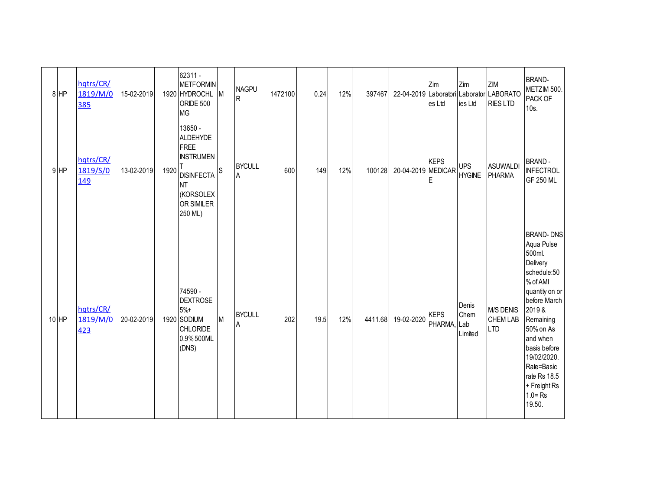|         | 8 HP   | hqtrs/CR/<br>1819/M/0<br>385 | 15-02-2019 |      | 62311 -<br><b>METFORMIN</b><br>1920 HYDROCHL M<br>ORIDE 500<br><b>MG</b>                                                              |          | <b>NAGPU</b><br>R  | 1472100 | 0.24 | 12% | 397467  |                    | Zim<br>es Ltd              | Zim<br>ies Ltd              | ZM<br>22-04-2019 Laboratori Laborator LABORATO<br><b>RIES LTD</b> | <b>BRAND-</b><br>METZIM 500.<br>PACK OF<br>10s.                                                                                                                                                                                                                        |
|---------|--------|------------------------------|------------|------|---------------------------------------------------------------------------------------------------------------------------------------|----------|--------------------|---------|------|-----|---------|--------------------|----------------------------|-----------------------------|-------------------------------------------------------------------|------------------------------------------------------------------------------------------------------------------------------------------------------------------------------------------------------------------------------------------------------------------------|
|         | $9$ HP | hqtrs/CR/<br>1819/S/0<br>149 | 13-02-2019 | 1920 | 13650 -<br><b>ALDEHYDE</b><br>FREE<br><b>INSTRUMEN</b><br><b>DISINFECTA</b><br><b>NT</b><br>(KORSOLEX<br><b>OR SIMILER</b><br>250 ML) | <b>S</b> | <b>BYCULL</b><br>A | 600     | 149  | 12% | 100128  | 20-04-2019 MEDICAR | <b>KEPS</b><br>Е           | <b>UPS</b><br><b>HYGINE</b> | <b>ASUWALDI</b><br>PHARMA                                         | <b>BRAND-</b><br><b>INFECTROL</b><br>GF 250 ML                                                                                                                                                                                                                         |
| $10$ HP |        | hqtrs/CR/<br>1819/M/0<br>423 | 20-02-2019 |      | 74590 -<br><b>DEXTROSE</b><br>$5% +$<br>1920 SODIUM<br><b>CHLORIDE</b><br>0.9% 500ML<br>(DNS)                                         | M        | <b>BYCULL</b><br>Α | 202     | 19.5 | 12% | 4411.68 | 19-02-2020         | <b>KEPS</b><br>PHARMA, Lab | Denis<br>Chem<br>Limited    | M/S DENIS<br>CHEM LAB<br><b>LTD</b>                               | <b>BRAND-DNS</b><br>Aqua Pulse<br>500ml.<br>Delivery<br>schedule:50<br>% of AMI<br>quantity on or<br>before March<br>2019 &<br>Remaining<br>50% on As<br>and when<br>basis before<br>19/02/2020.<br>Rate=Basic<br>rate Rs 18.5<br>+ Freight Rs<br>$1.0 = Rs$<br>19.50. |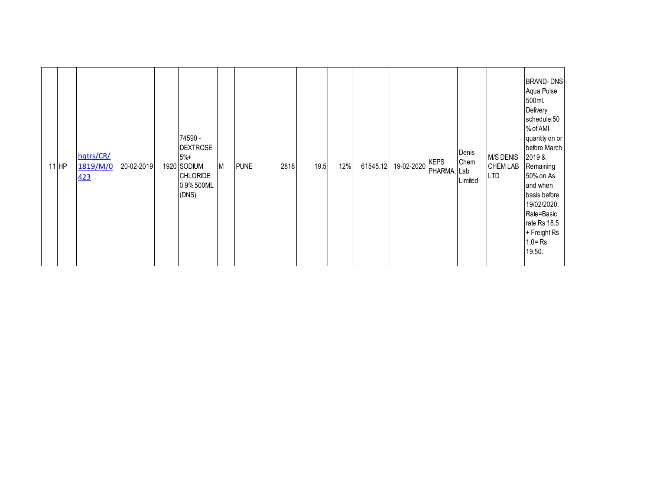|  | $11$ HP | hqtrs/CR/<br>1819/M/0<br>423 | 20-02-2019 |  | 74590 -<br><b>DEXTROSE</b><br>$5%+$<br>1920 SODIUM<br><b>CHLORIDE</b><br>0.9% 500ML<br>(DNS) | M | <b>PUNE</b> | 2818 | 19.5 | 12% | 61545.12 | 19-02-2020 | <b>KEPS</b><br>PHARMA, Lab | Denis<br>Chem<br>Limited | <b>M/S DENIS</b><br><b>CHEM LAB</b><br><b>LTD</b> | <b>BRAND-DNS</b><br>Aqua Pulse<br>500ml.<br>Delivery<br>schedule:50<br>% of AMI<br>quantity on or<br>before March<br>2019&<br>Remaining<br>50% on As<br>and when<br>basis before<br>19/02/2020.<br>Rate=Basic<br>rate Rs 18.5<br>+ Freight Rs<br>$1.0 = Rs$<br>19.50. |
|--|---------|------------------------------|------------|--|----------------------------------------------------------------------------------------------|---|-------------|------|------|-----|----------|------------|----------------------------|--------------------------|---------------------------------------------------|-----------------------------------------------------------------------------------------------------------------------------------------------------------------------------------------------------------------------------------------------------------------------|
|--|---------|------------------------------|------------|--|----------------------------------------------------------------------------------------------|---|-------------|------|------|-----|----------|------------|----------------------------|--------------------------|---------------------------------------------------|-----------------------------------------------------------------------------------------------------------------------------------------------------------------------------------------------------------------------------------------------------------------------|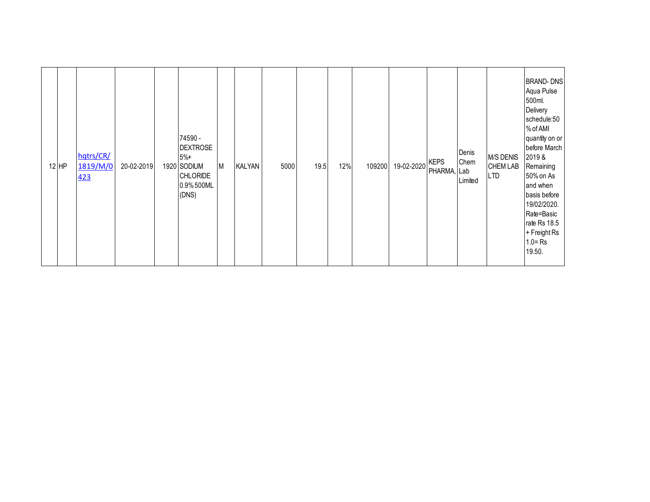|  | $12$ HP | hqtrs/CR/<br>1819/M/0<br>423 | 20-02-2019 |  | 74590 -<br><b>DEXTROSE</b><br>$5%+$<br>1920 SODIUM<br><b>CHLORIDE</b><br>0.9% 500ML<br>(DNS) | M | <b>KALYAN</b> | 5000 | 19.5 | 12% | 109200 | 19-02-2020 | <b>KEPS</b><br>PHARMA, Lab | Denis<br>Chem<br>Limited | <b>M/S DENIS</b><br><b>CHEM LAB</b><br><b>LTD</b> | <b>BRAND-DNS</b><br>Aqua Pulse<br>500ml.<br>Delivery<br>schedule:50<br>% of AMI<br>quantity on or<br>before March<br>2019&<br>Remaining<br>50% on As<br>and when<br>basis before<br>19/02/2020.<br>Rate=Basic<br>rate Rs 18.5<br>+ Freight Rs<br>$1.0 = Rs$<br>19.50. |
|--|---------|------------------------------|------------|--|----------------------------------------------------------------------------------------------|---|---------------|------|------|-----|--------|------------|----------------------------|--------------------------|---------------------------------------------------|-----------------------------------------------------------------------------------------------------------------------------------------------------------------------------------------------------------------------------------------------------------------------|
|--|---------|------------------------------|------------|--|----------------------------------------------------------------------------------------------|---|---------------|------|------|-----|--------|------------|----------------------------|--------------------------|---------------------------------------------------|-----------------------------------------------------------------------------------------------------------------------------------------------------------------------------------------------------------------------------------------------------------------------|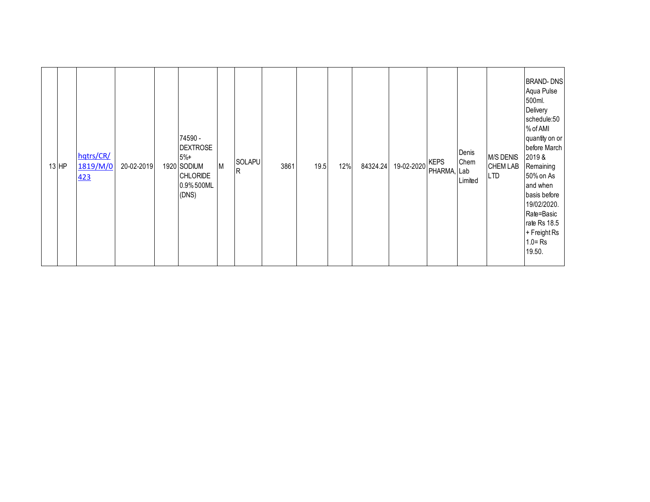|  | $13$ HP | hqtrs/CR/<br>1819/M/0<br>423 | 20-02-2019 |  | 74590 -<br><b>DEXTROSE</b><br>$5%+$<br>1920 SODIUM<br><b>CHLORIDE</b><br>0.9% 500ML<br>(DNS) | M | SOLAPU<br>$\mathsf{R}$ | 3861 | 19.5 | 12% | 84324.24 | 19-02-2020 | <b>KEPS</b><br>PHARMA, Lab | Denis<br>Chem<br>Limited | <b>M/S DENIS</b><br><b>CHEM LAB</b><br><b>LTD</b> | <b>BRAND-DNS</b><br>Aqua Pulse<br>500ml.<br>Delivery<br>schedule:50<br>% of AMI<br>quantity on or<br>before March<br>2019&<br>Remaining<br>50% on As<br>and when<br>basis before<br>19/02/2020.<br>Rate=Basic<br>rate Rs 18.5<br>+ Freight Rs<br>$1.0 = Rs$<br>19.50. |
|--|---------|------------------------------|------------|--|----------------------------------------------------------------------------------------------|---|------------------------|------|------|-----|----------|------------|----------------------------|--------------------------|---------------------------------------------------|-----------------------------------------------------------------------------------------------------------------------------------------------------------------------------------------------------------------------------------------------------------------------|
|--|---------|------------------------------|------------|--|----------------------------------------------------------------------------------------------|---|------------------------|------|------|-----|----------|------------|----------------------------|--------------------------|---------------------------------------------------|-----------------------------------------------------------------------------------------------------------------------------------------------------------------------------------------------------------------------------------------------------------------------|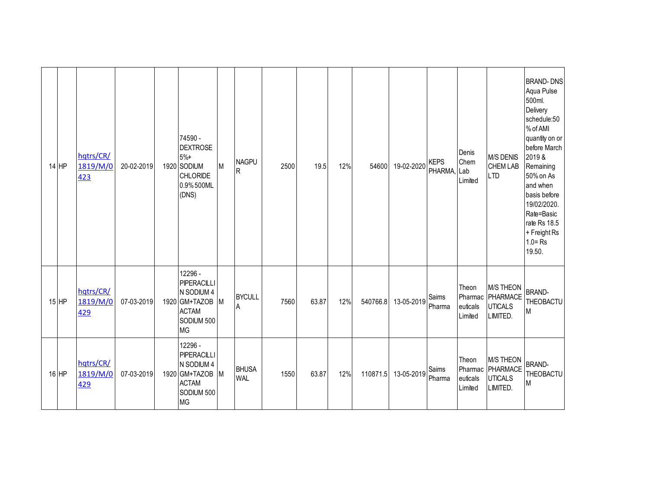| 14 HP   | hqtrs/CR/<br>1819/M/0<br>423 | 20-02-2019 | 74590 -<br><b>DEXTROSE</b><br>$5% +$<br>1920 SODIUM<br>CHLORIDE<br>0.9% 500ML<br>(DNS)             | M | <b>NAGPU</b><br>R          | 2500 | 19.5  | 12% | 54600    | 19-02-2020 | <b>KEPS</b><br>PHARMA, | Denis<br>Chem<br>Lab<br>Limited         | <b>M/S DENIS</b><br>CHEM LAB<br><b>LTD</b>                 | <b>BRAND-DNS</b><br>Aqua Pulse<br>500ml.<br>Delivery<br>schedule:50<br>% of AMI<br>quantity on or<br>before March<br>2019&<br>Remaining<br>50% on As<br>and when<br>basis before<br>19/02/2020.<br>Rate=Basic<br>rate Rs 18.5<br>+ Freight Rs<br>$1.0 = Rs$<br>19.50. |
|---------|------------------------------|------------|----------------------------------------------------------------------------------------------------|---|----------------------------|------|-------|-----|----------|------------|------------------------|-----------------------------------------|------------------------------------------------------------|-----------------------------------------------------------------------------------------------------------------------------------------------------------------------------------------------------------------------------------------------------------------------|
| $15$ HP | hqtrs/CR/<br>1819/M/0<br>429 | 07-03-2019 | 12296 -<br>PIPERACILLI<br>N SODIUM 4<br>1920 GM+TAZOB M<br><b>ACTAM</b><br>SODIUM 500<br><b>MG</b> |   | <b>BYCULL</b><br>A         | 7560 | 63.87 | 12% | 540766.8 | 13-05-2019 | Saims<br>Pharma        | Theon<br>Pharmac<br>euticals<br>Limited | <b>M/S THEON</b><br>PHARMACE<br><b>UTICALS</b><br>LIMITED. | <b>BRAND-</b><br><b>THEOBACTU</b><br>M                                                                                                                                                                                                                                |
| 16 HP   | hqtrs/CR/<br>1819/M/0<br>429 | 07-03-2019 | 12296 -<br>PIPERACILLI<br>N SODIUM 4<br>1920 GM+TAZOB M<br><b>ACTAM</b><br>SODIUM 500<br><b>MG</b> |   | <b>BHUSA</b><br><b>WAL</b> | 1550 | 63.87 | 12% | 110871.5 | 13-05-2019 | Saims<br>Pharma        | Theon<br>Pharmac<br>euticals<br>Limited | <b>M/S THEON</b><br>PHARMACE<br><b>UTICALS</b><br>LIMITED. | <b>BRAND-</b><br>THEOBACTU<br>M                                                                                                                                                                                                                                       |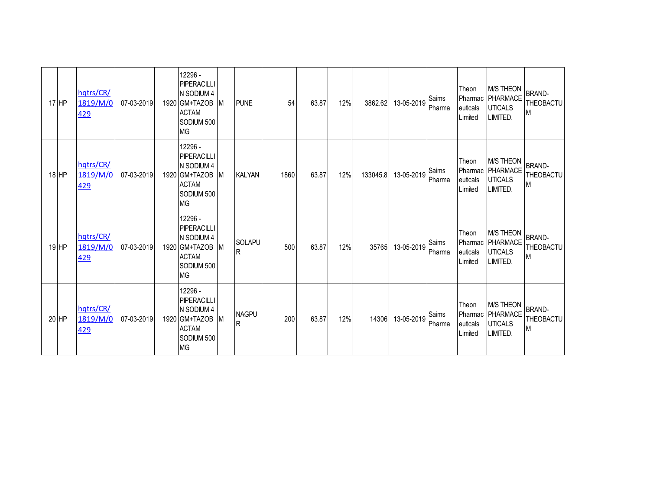| $17$ HP | hqtrs/CR/<br>1819/M/0<br>429 | 07-03-2019 | 12296 -<br>PIPERACILLI<br>N SODIUM 4<br>1920 GM+TAZOB<br><b>ACTAM</b><br>SODIUM 500<br><b>MG</b>   | M | <b>PUNE</b>                  | 54   | 63.87 | 12% | 3862.62  | 13-05-2019 | Saims<br>Pharma | Theon<br>euticals<br>Limited | <b>M/S THEON</b><br>Pharmac PHARMACE<br><b>UTICALS</b><br>LIMITED.   | <b>BRAND-</b><br>THEOBACTU<br>M |
|---------|------------------------------|------------|----------------------------------------------------------------------------------------------------|---|------------------------------|------|-------|-----|----------|------------|-----------------|------------------------------|----------------------------------------------------------------------|---------------------------------|
| $18$ HP | hqtrs/CR/<br>1819/M/0<br>429 | 07-03-2019 | 12296 -<br>PIPERACILLI<br>N SODIUM 4<br>1920 GM+TAZOB<br><b>ACTAM</b><br>SODIUM 500<br><b>MG</b>   | M | <b>KALYAN</b>                | 1860 | 63.87 | 12% | 133045.8 | 13-05-2019 | Saims<br>Pharma | Theon<br>euticals<br>Limited | <b>M/S THEON</b><br>Pharmac   PHARMACE<br><b>UTICALS</b><br>LIMITED. | <b>BRAND-</b><br>THEOBACTU<br>M |
| 19 HP   | hqtrs/CR/<br>1819/M/0<br>429 | 07-03-2019 | 12296 -<br>PIPERACILLI<br>N SODIUM 4<br>1920 GM+TAZOB M<br><b>ACTAM</b><br>SODIUM 500<br><b>MG</b> |   | <b>SOLAPU</b><br>$\sf R$     | 500  | 63.87 | 12% | 35765    | 13-05-2019 | Saims<br>Pharma | Theon<br>euticals<br>Limited | <b>M/S THEON</b><br>Pharmac   PHARMACE<br><b>UTICALS</b><br>LIMITED. | <b>BRAND-</b><br>THEOBACTU<br>M |
| 20 HP   | hqtrs/CR/<br>1819/M/0<br>429 | 07-03-2019 | 12296 -<br>PIPERACILLI<br>N SODIUM 4<br>1920 GM+TAZOB<br><b>ACTAM</b><br>SODIUM 500<br><b>MG</b>   | M | <b>NAGPU</b><br>$\mathsf{R}$ | 200  | 63.87 | 12% | 14306    | 13-05-2019 | Saims<br>Pharma | Theon<br>euticals<br>Limited | <b>M/S THEON</b><br>Pharmac PHARMACE<br><b>UTICALS</b><br>LIMITED.   | <b>BRAND-</b><br>THEOBACTU<br>M |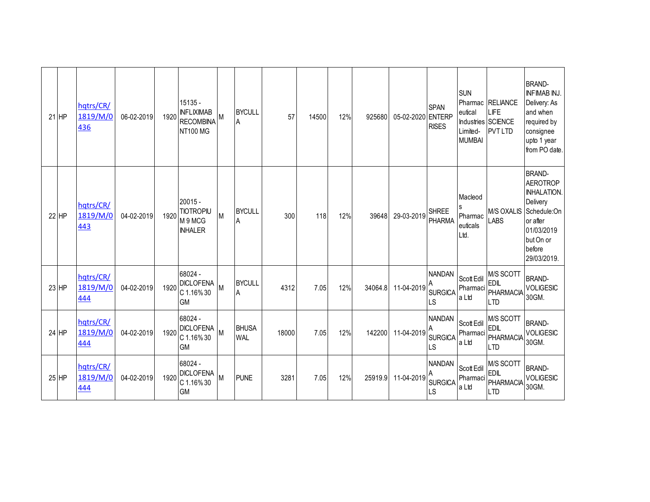| $21$ HP | hqtrs/CR/<br>1819/M/0<br>436 | 06-02-2019 | 1920 | 15135 -<br><b>INFLIXIMAB</b><br><b>RECOMBINA</b><br><b>NT100 MG</b> |   | <b>BYCULL</b><br>A         | 57    | 14500 | 12% | 925680  | 05-02-2020 | <b>SPAN</b><br><b>ENTERP</b><br><b>RISES</b> | <b>SUN</b><br>eutical<br>Limited-<br><b>MUMBAI</b> | Pharmac RELIANCE<br>LIFE<br>Industries SCIENCE<br><b>PVT LTD</b> | <b>BRAND-</b><br><b>INFIMAB INJ.</b><br>Delivery: As<br>and when<br>required by<br>consignee<br>upto 1 year<br>from PO date.                      |
|---------|------------------------------|------------|------|---------------------------------------------------------------------|---|----------------------------|-------|-------|-----|---------|------------|----------------------------------------------|----------------------------------------------------|------------------------------------------------------------------|---------------------------------------------------------------------------------------------------------------------------------------------------|
| 22 HP   | hqtrs/CR/<br>1819/M/0<br>443 | 04-02-2019 | 1920 | $20015 -$<br><b>TIOTROPIU</b><br>M 9 MCG<br><b>INHALER</b>          | M | <b>BYCULL</b><br>A         | 300   | 118   | 12% | 39648   | 29-03-2019 | <b>SHREE</b><br><b>PHARMA</b>                | Macleod<br>Pharmac<br>euticals<br>Ltd.             | M/S OXALIS<br><b>LABS</b>                                        | <b>BRAND-</b><br><b>AEROTROP</b><br><b>INHALATION.</b><br>Delivery<br>Schedule:On<br>or after<br>01/03/2019<br>but On or<br>before<br>29/03/2019. |
| 23 HP   | hqtrs/CR/<br>1819/M/0<br>444 | 04-02-2019 | 1920 | 68024 -<br><b>DICLOFENA</b><br>C 1.16%30<br><b>GM</b>               | M | <b>BYCULL</b><br>A         | 4312  | 7.05  | 12% | 34064.8 | 11-04-2019 | <b>NANDAN</b><br><b>SURGICA</b><br>LS        | Scott Edil<br>Pharmaci<br>a Ltd                    | M/S SCOTT<br><b>EDIL</b><br>PHARMACIA<br><b>LTD</b>              | <b>BRAND-</b><br><b>VOLIGESIC</b><br>30GM.                                                                                                        |
| 24 HP   | hqtrs/CR/<br>1819/M/0<br>444 | 04-02-2019 | 1920 | 68024 -<br><b>DICLOFENA</b><br>C 1.16%30<br><b>GM</b>               | M | <b>BHUSA</b><br><b>WAL</b> | 18000 | 7.05  | 12% | 142200  | 11-04-2019 | <b>NANDAN</b><br><b>SURGICA</b><br>-S        | Scott Edil<br>Pharmaci<br>a Ltd                    | M/S SCOTT<br><b>EDIL</b><br>PHARMACIA<br>LTD                     | <b>BRAND-</b><br><b>VOLIGESIC</b><br>30GM.                                                                                                        |
| $25$ HP | hatrs/CR/<br>1819/M/0<br>444 | 04-02-2019 | 1920 | 68024 -<br><b>DICLOFENA</b><br>C 1.16%30<br><b>GM</b>               | M | <b>PUNE</b>                | 3281  | 7.05  | 12% | 25919.9 | 11-04-2019 | <b>NANDAN</b><br><b>SURGICA</b><br>LS        | Scott Edil<br>Pharmaci<br>a Ltd                    | M/S SCOTT<br><b>EDIL</b><br>PHARMACIA<br><b>LTD</b>              | <b>BRAND-</b><br><b>VOLIGESIC</b><br>30GM.                                                                                                        |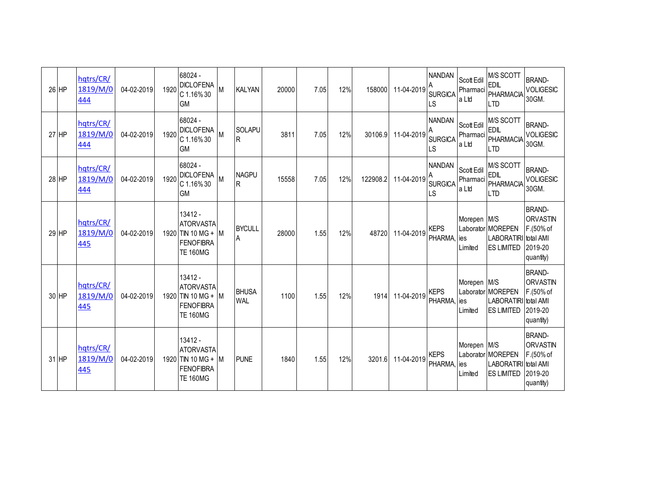| 26 HP   | hqtrs/CR/<br>1819/M/0<br>444 | 04-02-2019 | 1920 | 68024 -<br><b>DICLOFENA</b><br>$C$ 1.16% 30<br><b>GM</b>                          | <b>IM</b> | <b>KALYAN</b>              | 20000 | 7.05 | 12% | 158000   | 11-04-2019 | <b>NANDAN</b><br><b>SURGICA</b><br>LS | Scott Edil<br>Pharmaci<br>la Ltd | M/S SCOTT<br><b>EDIL</b><br>PHARMACIA<br><b>LTD</b>                   | <b>BRAND-</b><br><b>VOLIGESIC</b><br>30GM.                            |
|---------|------------------------------|------------|------|-----------------------------------------------------------------------------------|-----------|----------------------------|-------|------|-----|----------|------------|---------------------------------------|----------------------------------|-----------------------------------------------------------------------|-----------------------------------------------------------------------|
| 27 HP   | hqtrs/CR/<br>1819/M/0<br>444 | 04-02-2019 | 1920 | 68024 -<br><b>DICLOFENA</b><br>C 1.16%30<br><b>GM</b>                             | M         | <b>SOLAPU</b><br>R         | 3811  | 7.05 | 12% | 30106.9  | 11-04-2019 | <b>NANDAN</b><br><b>SURGICA</b><br>LS | Scott Edil<br>Pharmaci<br>la Ltd | M/S SCOTT<br><b>EDIL</b><br>PHARMACIA<br>I TD                         | <b>BRAND-</b><br><b>VOLIGESIC</b><br>30GM.                            |
| 28 HP   | hqtrs/CR/<br>1819/M/0<br>444 | 04-02-2019 | 1920 | 68024 -<br><b>DICLOFENA</b><br>C 1.16%30<br><b>GM</b>                             | M         | <b>NAGPU</b><br>R          | 15558 | 7.05 | 12% | 122908.2 | 11-04-2019 | <b>NANDAN</b><br><b>SURGICA</b><br>LS | Scott Edil<br>Pharmaci<br>a Ltd  | M/S SCOTT<br><b>EDIL</b><br><b>PHARMACIA</b><br><b>LTD</b>            | <b>BRAND-</b><br><b>VOLIGESIC</b><br>30GM.                            |
| 29 HP   | hqtrs/CR/<br>1819/M/0<br>445 | 04-02-2019 |      | 13412 -<br><b>ATORVASTA</b><br>1920 TIN 10 MG + M<br>FENOFIBRA<br><b>TE 160MG</b> |           | <b>BYCULL</b><br>Α         | 28000 | 1.55 | 12% | 48720    | 11-04-2019 | <b>KEPS</b><br>PHARMA,                | Morepen M/S<br>lies<br>Limited   | Laborator MOREPEN<br><b>LABORATIRI</b> total AMI<br><b>ES LIMITED</b> | <b>BRAND-</b><br><b>ORVASTIN</b><br>F.(50% of<br>2019-20<br>quantity) |
| 30 HP   | hqtrs/CR/<br>1819/M/0<br>445 | 04-02-2019 |      | 13412 -<br><b>ATORVASTA</b><br>1920 TIN 10 MG + M<br>FENOFIBRA<br><b>TE 160MG</b> |           | <b>BHUSA</b><br><b>WAL</b> | 1100  | 1.55 | 12% | 1914     | 11-04-2019 | <b>KEPS</b><br><b>PHARMA</b>          | Morepen M/S<br>lies<br>Limited   | Laborator MOREPEN<br>LABORATIRI total AMI<br><b>ES LIMITED</b>        | <b>BRAND-</b><br>ORVASTIN<br>F.(50% of<br>2019-20<br>quantity)        |
| $31$ HP | hqtrs/CR/<br>1819/M/0<br>445 | 04-02-2019 |      | 13412 -<br><b>ATORVASTA</b><br>1920 TIN 10 MG + M<br>FENOFIBRA<br><b>TE 160MG</b> |           | <b>PUNE</b>                | 1840  | 1.55 | 12% | 3201.6   | 11-04-2019 | <b>KEPS</b><br>PHARMA, ies            | Morepen M/S<br>Limited           | Laborator MOREPEN<br>LABORATIRI total AMI<br><b>ES LIMITED</b>        | <b>BRAND-</b><br><b>ORVASTIN</b><br>F.(50% of<br>2019-20<br>quantity) |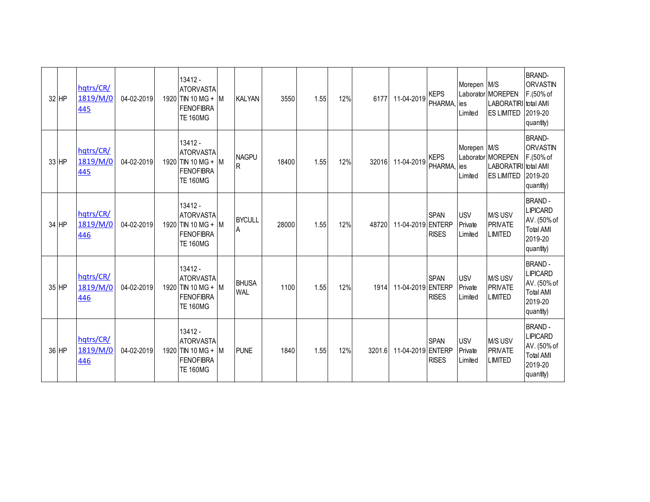| 32 HP | hqtrs/CR/<br>1819/M/0<br>445 | 04-02-2019 | 13412 -<br><b>ATORVASTA</b><br>1920 TIN 10 MG + M<br><b>FENOFIBRA</b><br><b>TE 160MG</b>   | <b>KALYAN</b>                | 3550  | 1.55 | 12% | 6177   | 11-04-2019        | <b>KEPS</b><br>PHARMA,       | Morepen M/S<br>ies<br>Limited    | Laborator MOREPEN<br>LABORATIRI total AMI<br><b>ES LIMITED</b> | <b>BRAND-</b><br><b>ORVASTIN</b><br>F.(50% of<br>2019-20<br>quantity)                       |
|-------|------------------------------|------------|--------------------------------------------------------------------------------------------|------------------------------|-------|------|-----|--------|-------------------|------------------------------|----------------------------------|----------------------------------------------------------------|---------------------------------------------------------------------------------------------|
| 33 HP | hqtrs/CR/<br>1819/M/0<br>445 | 04-02-2019 | 13412 -<br><b>ATORVASTA</b><br>1920 TIN 10 MG + M<br><b>FENOFIBRA</b><br><b>TE 160MG</b>   | <b>NAGPU</b><br>$\mathsf{R}$ | 18400 | 1.55 | 12% | 32016  | 11-04-2019        | <b>KEPS</b><br><b>PHARMA</b> | Morepen M/S<br>ies<br>Limited    | Laborator MOREPEN<br>LABORATIRI total AMI<br><b>ES LIMITED</b> | <b>BRAND-</b><br><b>ORVASTIN</b><br>F.(50% of<br>2019-20<br>quantity)                       |
| 34 HP | hqtrs/CR/<br>1819/M/0<br>446 | 04-02-2019 | $13412 -$<br><b>ATORVASTA</b><br>1920 TIN 10 MG + M<br><b>FENOFIBRA</b><br><b>TE 160MG</b> | <b>BYCULL</b><br>A           | 28000 | 1.55 | 12% | 48720  | 11-04-2019 ENTERP | <b>SPAN</b><br><b>RISES</b>  | <b>USV</b><br>Private<br>Limited | M/S USV<br>PRIVATE<br><b>LIMITED</b>                           | <b>BRAND-</b><br><b>LIPICARD</b><br>AV. (50% of<br><b>Total AMI</b><br>2019-20<br>quantity) |
| 35 HP | hqtrs/CR/<br>1819/M/0<br>446 | 04-02-2019 | 13412 -<br><b>ATORVASTA</b><br>1920 TIN 10 MG + M<br><b>FENOFIBRA</b><br><b>TE 160MG</b>   | <b>BHUSA</b><br><b>WAL</b>   | 1100  | 1.55 | 12% | 1914   | 11-04-2019 ENTERP | <b>SPAN</b><br><b>RISES</b>  | <b>USV</b><br>Private<br>Limited | M/S USV<br><b>PRIVATE</b><br><b>LIMITED</b>                    | <b>BRAND-</b><br><b>LIPICARD</b><br>AV. (50% of<br><b>Total AMI</b><br>2019-20<br>quantity) |
| 36 HP | hqtrs/CR/<br>1819/M/0<br>446 | 04-02-2019 | 13412 -<br><b>ATORVASTA</b><br>1920 TIN 10 MG + M<br><b>FENOFIBRA</b><br><b>TE 160MG</b>   | <b>PUNE</b>                  | 1840  | 1.55 | 12% | 3201.6 | 11-04-2019 ENTERP | <b>SPAN</b><br><b>RISES</b>  | <b>USV</b><br>Private<br>Limited | M/S USV<br><b>PRIVATE</b><br><b>LIMITED</b>                    | <b>BRAND-</b><br><b>LIPICARD</b><br>AV. (50% of<br><b>Total AMI</b><br>2019-20<br>quantity) |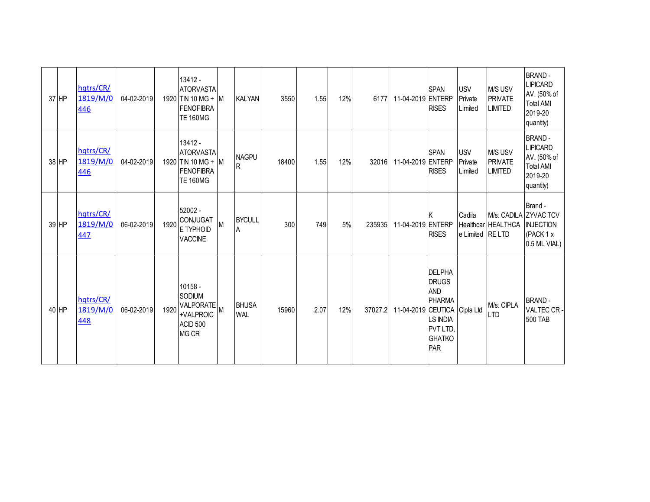| 37 HP | hqtrs/CR/<br>1819/M/0<br>446 | 04-02-2019 |      | 13412 -<br><b>ATORVASTA</b><br>1920 TIN 10 MG + M<br><b>FENOFIBRA</b><br><b>TE 160MG</b> |   | <b>KALYAN</b>              | 3550  | 1.55 | 12% | 6177    | 11-04-2019 ENTERP            | <b>SPAN</b><br><b>RISES</b>                                                                                  | <b>USV</b><br>Private<br>Limited | M/S USV<br><b>PRIVATE</b><br><b>LIMITED</b> | <b>BRAND-</b><br><b>LIPICARD</b><br>AV. (50% of<br><b>Total AMI</b><br>2019-20<br>quantity) |
|-------|------------------------------|------------|------|------------------------------------------------------------------------------------------|---|----------------------------|-------|------|-----|---------|------------------------------|--------------------------------------------------------------------------------------------------------------|----------------------------------|---------------------------------------------|---------------------------------------------------------------------------------------------|
| 38 HP | hqtrs/CR/<br>1819/M/0<br>446 | 04-02-2019 |      | 13412 -<br><b>ATORVASTA</b><br>1920 TIN 10 MG + M<br><b>FENOFIBRA</b><br><b>TE 160MG</b> |   | <b>NAGPU</b><br>R          | 18400 | 1.55 | 12% | 32016   | 11-04-2019 ENTERP            | <b>SPAN</b><br><b>RISES</b>                                                                                  | <b>USV</b><br>Private<br>Limited | M/S USV<br><b>PRIVATE</b><br><b>LIMITED</b> | <b>BRAND-</b><br><b>LIPICARD</b><br>AV. (50% of<br><b>Total AMI</b><br>2019-20<br>quantity) |
| 39 HP | hqtrs/CR/<br>1819/M/0<br>447 | 06-02-2019 | 1920 | 52002 -<br><b>CONJUGAT</b><br>E TYPHOID<br><b>VACCINE</b>                                | M | <b>BYCULL</b><br>A         | 300   | 749  | 5%  | 235935  | 11-04-2019 ENTERP            | <b>RISES</b>                                                                                                 | Cadila<br>e Limited RE LTD       | Healthcar HEALTHCA   INJECTION              | Brand -<br>M/s. CADILA ZYVAC TCV<br>(PACK 1 x<br>0.5 ML VIAL)                               |
| 40 HP | hqtrs/CR/<br>1819/M/0<br>448 | 06-02-2019 | 1920 | 10158 -<br>SODIUM<br>VALPORATE<br>+VALPROIC<br>ACID 500<br><b>MG CR</b>                  |   | <b>BHUSA</b><br><b>WAL</b> | 15960 | 2.07 | 12% | 37027.2 | 11-04-2019 CEUTICA Cipla Ltd | <b>DELPHA</b><br><b>DRUGS</b><br><b>AND</b><br>PHARMA<br><b>LS INDIA</b><br>PVT LTD,<br><b>GHATKO</b><br>PAR |                                  | M/s. CIPLA<br><b>LTD</b>                    | <b>BRAND-</b><br>VALTEC CR-<br><b>500 TAB</b>                                               |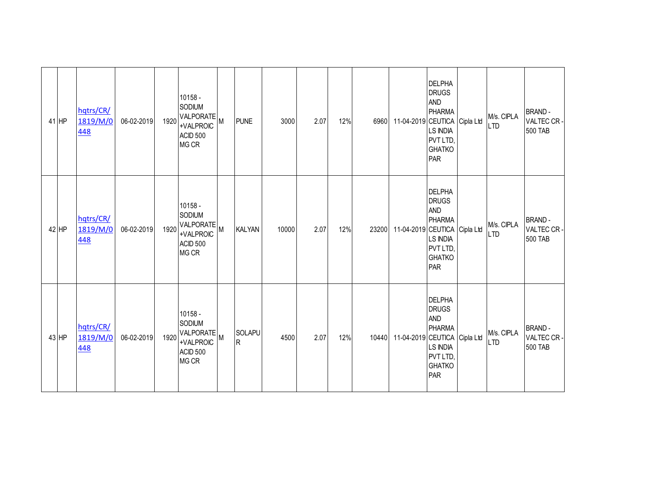| $41$ HP | hqtrs/CR/<br>1819/M/0<br>448 | 06-02-2019 | 1920 | 10158 -<br>SODIUM<br>VALPORATE<br>+VALPROIC<br>ACID 500<br>MG CR   | <b>PUNE</b>        | 3000  | 2.07 | 12% | 6960  | 11-04-2019 CEUTICA Cipla Ltd | <b>DELPHA</b><br><b>DRUGS</b><br><b>AND</b><br><b>PHARMA</b><br><b>LS INDIA</b><br>PVT LTD,<br><b>GHATKO</b><br>PAR | M/s. CIPLA<br><b>LTD</b> | <b>BRAND-</b><br>VALTEC CR-<br>500 TAB        |
|---------|------------------------------|------------|------|--------------------------------------------------------------------|--------------------|-------|------|-----|-------|------------------------------|---------------------------------------------------------------------------------------------------------------------|--------------------------|-----------------------------------------------|
| 42 HP   | hqtrs/CR/<br>1819/M/0<br>448 | 06-02-2019 | 1920 | 10158 -<br>SODIUM<br>VALPORATE M<br>+VALPROIC<br>ACID 500<br>MG CR | <b>KALYAN</b>      | 10000 | 2.07 | 12% | 23200 | 11-04-2019 CEUTICA Cipla Ltd | <b>DELPHA</b><br><b>DRUGS</b><br><b>AND</b><br><b>PHARMA</b><br><b>LS INDIA</b><br>PVT LTD,<br><b>GHATKO</b><br>PAR | M/s. CIPLA<br><b>LTD</b> | <b>BRAND-</b><br>VALTEC CR-<br><b>500 TAB</b> |
| 43 HP   | hqtrs/CR/<br>1819/M/0<br>448 | 06-02-2019 | 1920 | 10158 -<br>SODIUM<br>VALPORATE<br>+VALPROIC<br>ACID 500<br>MG CR   | <b>SOLAPU</b><br>R | 4500  | 2.07 | 12% | 10440 | 11-04-2019 CEUTICA Cipla Ltd | <b>DELPHA</b><br><b>DRUGS</b><br><b>AND</b><br><b>PHARMA</b><br><b>LS INDIA</b><br>PVT LTD,<br><b>GHATKO</b><br>PAR | M/s. CIPLA<br><b>LTD</b> | <b>BRAND-</b><br>VALTEC CR-<br><b>500 TAB</b> |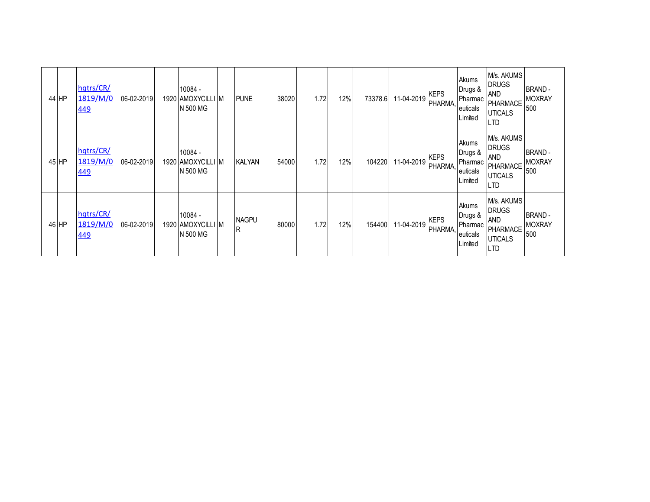| 44 HP | hqtrs/CR/<br>1819/M/0<br><u>449</u> | 06-02-2019 | 10084 -<br>1920   AMOXYCILLI   M<br>N 500 MG | <b>PUNE</b>         | 38020 | 1.72 | 12% | 73378.6 | 11-04-2019 | <b>KEPS</b><br><b>PHARMA</b> | Akums<br>Drugs &<br>Pharmac<br>euticals<br>Limited | M/s. AKUMS<br><b>DRUGS</b><br><b>AND</b><br><b>PHARMACE</b><br><b>UTICALS</b><br><b>LTD</b> | <b>BRAND-</b><br><b>MOXRAY</b><br>500 |
|-------|-------------------------------------|------------|----------------------------------------------|---------------------|-------|------|-----|---------|------------|------------------------------|----------------------------------------------------|---------------------------------------------------------------------------------------------|---------------------------------------|
| 45 HP | hqtrs/CR/<br>1819/M/0<br>449        | 06-02-2019 | 10084 -<br>1920 AMOXYCILLI M<br>N 500 MG     | KALYAN              | 54000 | 1.72 | 12% | 104220  | 11-04-2019 | <b>KEPS</b><br>PHARMA,       | Akums<br>Drugs &<br>Pharmac<br>euticals<br>Limited | M/s. AKUMS<br><b>DRUGS</b><br><b>AND</b><br><b>PHARMACE</b><br><b>UTICALS</b><br><b>LTD</b> | <b>BRAND-</b><br><b>MOXRAY</b><br>500 |
| 46 HP | hqtrs/CR/<br>1819/M/0<br>449        | 06-02-2019 | 10084 -<br>1920   AMOXYCILLI   M<br>N 500 MG | <b>NAGPU</b><br>lR. | 80000 | 1.72 | 12% | 154400  | 11-04-2019 | <b>KEPS</b><br><b>PHARMA</b> | Akums<br>Drugs &<br>Pharmac<br>euticals<br>Limited | M/s. AKUMS<br><b>DRUGS</b><br><b>AND</b><br><b>PHARMACE</b><br><b>UTICALS</b><br><b>LTD</b> | <b>BRAND-</b><br><b>MOXRAY</b><br>500 |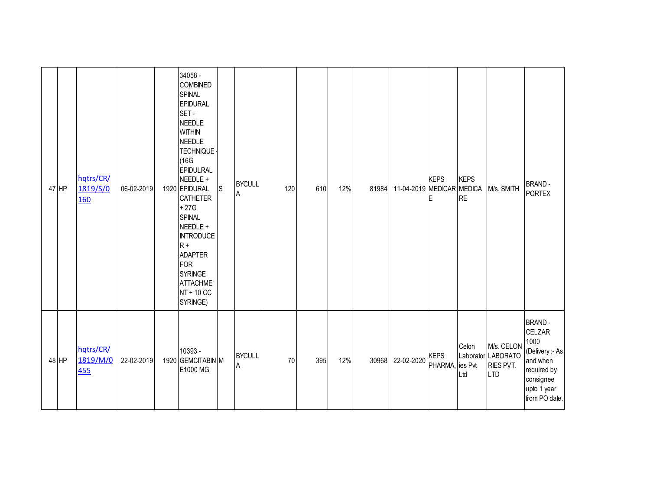| $47$ HP | hqtrs/CR/<br>1819/S/0<br>160 | 06-02-2019 | 34058 -<br><b>COMBINED</b><br><b>SPINAL</b><br><b>EPIDURAL</b><br>SET-<br><b>NEEDLE</b><br><b>WITHIN</b><br><b>NEEDLE</b><br><b>TECHNIQUE</b><br>(16G)<br>EPIDULRAL<br>NEEDLE +<br>1920 EPIDURAL<br><b>CATHETER</b><br>$+27G$<br><b>SPINAL</b><br>NEEDLE +<br><b>INTRODUCE</b><br>$R +$<br><b>ADAPTER</b><br><b>FOR</b><br><b>SYRINGE</b><br><b>ATTACHME</b><br>NT + 10 CC<br>SYRINGE) | S | <b>BYCULL</b><br>Α | 120 | 610 | 12% | 81984 | 11-04-2019 MEDICAR MEDICA | <b>KEPS</b><br>Е               | <b>KEPS</b><br><b>RE</b> | M/s. SMITH                                                  | <b>BRAND-</b><br><b>PORTEX</b>                                                                                                    |
|---------|------------------------------|------------|----------------------------------------------------------------------------------------------------------------------------------------------------------------------------------------------------------------------------------------------------------------------------------------------------------------------------------------------------------------------------------------|---|--------------------|-----|-----|-----|-------|---------------------------|--------------------------------|--------------------------|-------------------------------------------------------------|-----------------------------------------------------------------------------------------------------------------------------------|
| $48$ HP | hqtrs/CR/<br>1819/M/0<br>455 | 22-02-2019 | 10393 -<br>1920 GEMCITABIN M<br>E1000 MG                                                                                                                                                                                                                                                                                                                                               |   | <b>BYCULL</b><br>Α | 70  | 395 | 12% | 30968 | 22-02-2020                | <b>KEPS</b><br>PHARMA, ies Pvt | Celon<br>Ltd             | M/s. CELON<br>Laborator LABORATO<br>RIES PVT.<br><b>LTD</b> | <b>BRAND-</b><br><b>CELZAR</b><br>1000<br>(Delivery :- As<br>and when<br>required by<br>consignee<br>upto 1 year<br>from PO date. |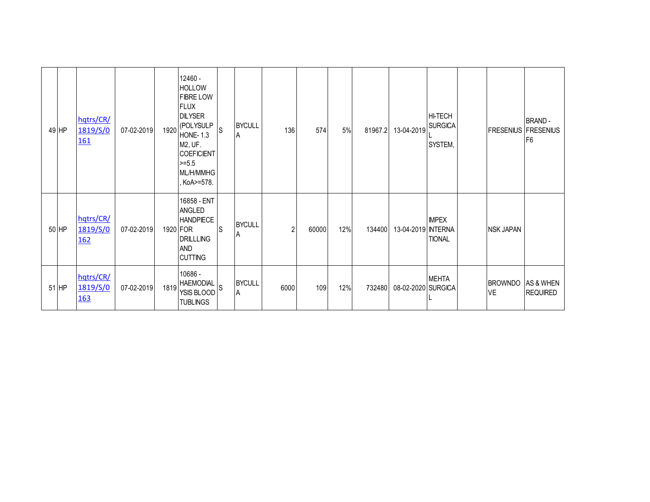| 49 HP | hqtrs/CR/<br>1819/S/0<br><u>161</u> | 07-02-2019 | 1920 | 12460 -<br><b>HOLLOW</b><br><b>FIBRE LOW</b><br><b>FLUX</b><br><b>DILYSER</b><br>(POLYSULP<br><b>HONE-1.3</b><br>M2, UF.<br><b>COEFICIENT</b><br>$>= 5.5$<br>ML/H/MMHG<br>KoA>=578. | <sub>S</sub> | <b>BYCULL</b><br>A | 136            | 574   | 5%  | 81967.2 | 13-04-2019         | <b>HI-TECH</b><br><b>SURGICA</b><br>SYSTEM, | <b>FRESENIUS FRESENIUS</b>  | <b>BRAND-</b><br>F <sub>6</sub> |
|-------|-------------------------------------|------------|------|-------------------------------------------------------------------------------------------------------------------------------------------------------------------------------------|--------------|--------------------|----------------|-------|-----|---------|--------------------|---------------------------------------------|-----------------------------|---------------------------------|
| 50 HP | hqtrs/CR/<br>1819/S/0<br><u>162</u> | 07-02-2019 |      | 16858 - ENT<br><b>ANGLED</b><br><b>HANDPIECE</b><br>1920 FOR<br><b>DRILLLING</b><br><b>AND</b><br><b>CUTTING</b>                                                                    | ls           | <b>BYCULL</b><br>A | $\overline{2}$ | 60000 | 12% | 134400  | 13-04-2019 NTERNA  | <b>IMPEX</b><br><b>TIONAL</b>               | <b>NSK JAPAN</b>            |                                 |
| 51 HP | hqtrs/CR/<br>1819/S/0<br><u>163</u> | 07-02-2019 | 1819 | 10686 -<br><b>HAEMODIAL</b><br>YSIS BLOOD<br><b>TUBLINGS</b>                                                                                                                        | ls           | <b>BYCULL</b><br>A | 6000           | 109   | 12% | 732480  | 08-02-2020 SURGICA | <b>MEHTA</b>                                | <b>BROWNDO</b><br><b>VE</b> | AS & WHEN<br><b>REQUIRED</b>    |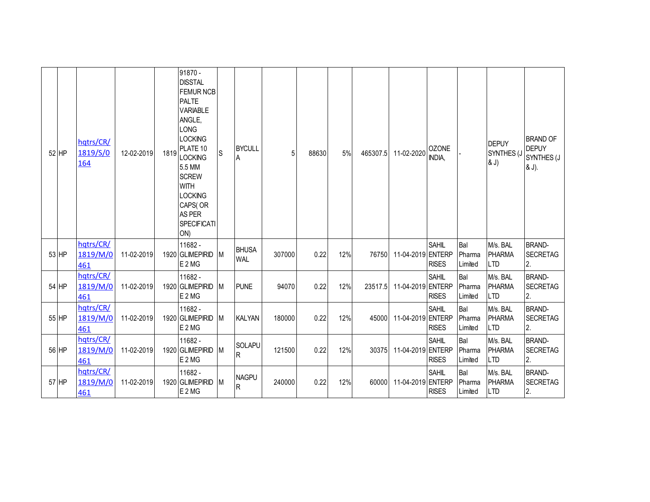| 52 HP | hqtrs/CR/<br>1819/S/0<br><b>164</b> | 12-02-2019 | 1819 | 91870 -<br><b>DISSTAL</b><br><b>FEMUR NCB</b><br><b>PALTE</b><br><b>VARIABLE</b><br>ANGLE,<br><b>LONG</b><br><b>LOCKING</b><br>PLATE 10<br><b>LOCKING</b><br>5.5 MM<br><b>SCREW</b><br><b>WITH</b><br><b>LOCKING</b><br>CAPS(OR<br><b>AS PER</b><br><b>SPECIFICATI</b><br>ON) | S        | <b>BYCULL</b><br>Α         | 5      | 88630 | 5%  | 465307.5 | 11-02-2020        | <b>OZONE</b><br>INDIA.       |                          | <b>DEPUY</b><br>SYNTHES (J<br>& J)      | <b>BRAND OF</b><br><b>DEPUY</b><br>SYNTHES (J<br>& J). |
|-------|-------------------------------------|------------|------|-------------------------------------------------------------------------------------------------------------------------------------------------------------------------------------------------------------------------------------------------------------------------------|----------|----------------------------|--------|-------|-----|----------|-------------------|------------------------------|--------------------------|-----------------------------------------|--------------------------------------------------------|
| 53 HP | hqtrs/CR/<br>1819/M/0<br>461        | 11-02-2019 |      | 11682 -<br>1920 GLIMEPIRID<br>E 2 MG                                                                                                                                                                                                                                          | M        | <b>BHUSA</b><br><b>WAL</b> | 307000 | 0.22  | 12% | 76750    | 11-04-2019 ENTERP | <b>SAHIL</b><br><b>RISES</b> | Bal<br>Pharma<br>Limited | M/s. BAL<br><b>PHARMA</b><br><b>LTD</b> | <b>BRAND-</b><br><b>SECRETAG</b><br>2.                 |
| 54 HP | hqtrs/CR/<br>1819/M/0<br>461        | 11-02-2019 |      | 11682 -<br>1920 GLIMEPIRID<br>E 2 MG                                                                                                                                                                                                                                          | M        | <b>PUNE</b>                | 94070  | 0.22  | 12% | 23517.5  | 11-04-2019 ENTERP | <b>SAHIL</b><br><b>RISES</b> | Bal<br>Pharma<br>Limited | M/s. BAL<br><b>PHARMA</b><br><b>LTD</b> | <b>BRAND-</b><br><b>SECRETAG</b><br>2.                 |
| 55 HP | hqtrs/CR/<br>1819/M/0<br>461        | 11-02-2019 |      | 11682 -<br>1920 GLIMEPIRID<br>E <sub>2</sub> MG                                                                                                                                                                                                                               | IM       | <b>KALYAN</b>              | 180000 | 0.22  | 12% | 45000    | 11-04-2019 ENTERP | <b>SAHIL</b><br><b>RISES</b> | Bal<br>Pharma<br>Limited | M/s. BAL<br><b>PHARMA</b><br><b>LTD</b> | <b>BRAND-</b><br><b>SECRETAG</b><br>2.                 |
| 56 HP | hqtrs/CR/<br>1819/M/0<br>461        | 11-02-2019 |      | 11682 -<br>1920 GLIMEPIRID<br>E 2 MG                                                                                                                                                                                                                                          | M        | SOLAPU<br>R                | 121500 | 0.22  | 12% | 30375    | 11-04-2019 ENTERP | <b>SAHIL</b><br><b>RISES</b> | Bal<br>Pharma<br>Limited | M/s. BAL<br><b>PHARMA</b><br><b>LTD</b> | <b>BRAND-</b><br><b>SECRETAG</b><br>2.                 |
| 57 HP | hqtrs/CR/<br>1819/M/0<br>461        | 11-02-2019 |      | 11682 -<br>1920 GLIMEPIRID<br>E 2 MG                                                                                                                                                                                                                                          | <b>M</b> | <b>NAGPU</b><br>R          | 240000 | 0.22  | 12% | 60000    | 11-04-2019 ENTERP | <b>SAHIL</b><br><b>RISES</b> | Bal<br>Pharma<br>Limited | M/s. BAL<br><b>PHARMA</b><br><b>LTD</b> | <b>BRAND-</b><br><b>SECRETAG</b><br>2.                 |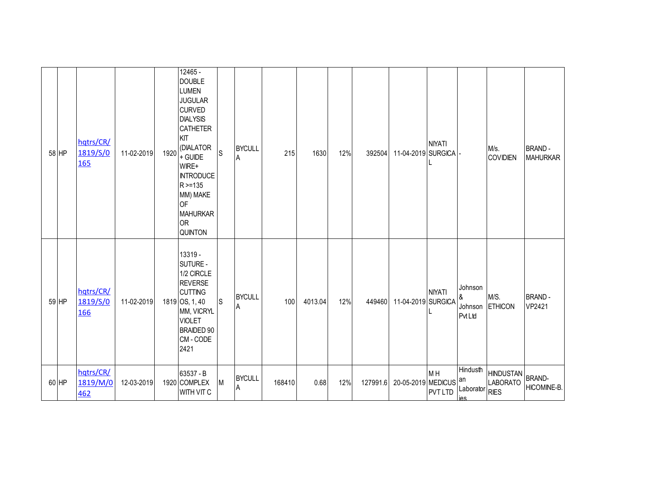| 58 HP | hqtrs/CR/<br>1819/S/0<br><b>165</b> | 11-02-2019 | 1920 | 12465 -<br><b>DOUBLE</b><br><b>LUMEN</b><br><b>JUGULAR</b><br><b>CURVED</b><br><b>DIALYSIS</b><br>CATHETER<br>KIT<br>(DIALATOR<br>+ GUIDE<br>WIRE+<br><b>INTRODUCE</b><br>R > 135<br>MM) MAKE<br><b>OF</b><br><b>MAHURKAR</b><br><b>OR</b><br>QUINTON | S           | <b>BYCULL</b><br>ΙA | 215    | 1630    | 12% | 392504   | 11-04-2019 SURGICA | <b>NIYATI</b>                    |                                         | M/s.<br><b>COVIDIEN</b>             | <b>BRAND-</b><br><b>MAHURKAR</b> |
|-------|-------------------------------------|------------|------|-------------------------------------------------------------------------------------------------------------------------------------------------------------------------------------------------------------------------------------------------------|-------------|---------------------|--------|---------|-----|----------|--------------------|----------------------------------|-----------------------------------------|-------------------------------------|----------------------------------|
| 59 HP | hqtrs/CR/<br>1819/S/0<br>166        | 11-02-2019 |      | 13319 -<br>SUTURE -<br>1/2 CIRCLE<br><b>REVERSE</b><br><b>CUTTING</b><br>1819 OS, 1, 40<br>MM, VICRYL<br><b>VIOLET</b><br><b>BRAIDED 90</b><br>CM-CODE<br>2421                                                                                        | $\mathsf S$ | <b>BYCULL</b><br>۱A | 100    | 4013.04 | 12% | 449460   | 11-04-2019 SURGICA | <b>NIYATI</b>                    | Johnson<br>&<br><b>Pvt Ltd</b>          | M/S.<br>Johnson ETHICON             | <b>BRAND-</b><br>VP2421          |
| 60 HP | hqtrs/CR/<br>1819/M/0<br>462        | 12-03-2019 |      | 63537 - B<br>1920 COMPLEX<br>WITH VIT C                                                                                                                                                                                                               | М           | <b>BYCULL</b><br>ΙA | 168410 | 0.68    | 12% | 127991.6 | 20-05-2019 MEDICUS | M <sub>H</sub><br><b>PVT LTD</b> | Hindusth<br>an<br>Laborator RIES<br>ies | <b>HINDUSTAN</b><br><b>LABORATO</b> | <b>BRAND-</b><br>HICOMINE-B.     |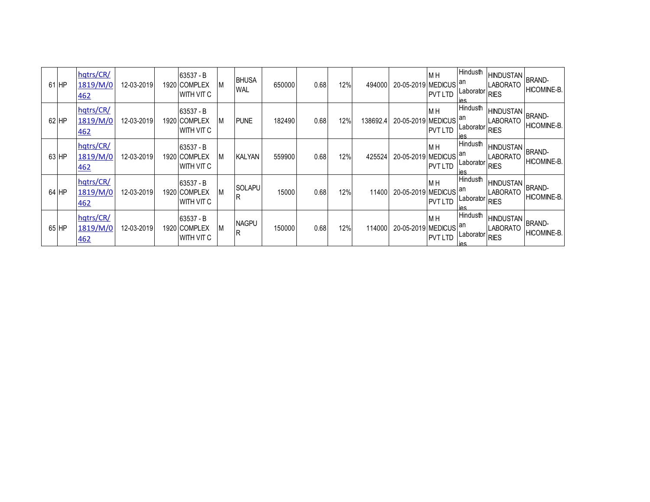| 61 HP |       | hqtrs/CR/<br>1819/M/0<br><u>462</u> | 12-03-2019 | 63537 - B<br>1920 I COMPLEX<br><b>WITH VIT C</b> |   | <b>BHUSA</b><br><b>WAL</b> | 650000 | 0.68 | 12% | 494000   | 20-05-2019 MEDICUS               | M <sub>H</sub><br><b>PVT LTD</b> | Hindusth<br>lan<br>Laborator<br>ies        | <b>HINDUSTAN</b><br><b>LABORATO</b><br>RIES       | <b>BRAND-</b><br>HICOMINE-B.        |
|-------|-------|-------------------------------------|------------|--------------------------------------------------|---|----------------------------|--------|------|-----|----------|----------------------------------|----------------------------------|--------------------------------------------|---------------------------------------------------|-------------------------------------|
| 62 HP |       | hqtrs/CR/<br>1819/M/0<br><u>462</u> | 12-03-2019 | 63537 - B<br>1920 I COMPLEX<br><b>WITH VIT C</b> | M | <b>PUNE</b>                | 182490 | 0.68 | 12% | 138692.4 | 20-05-2019 MEDICUS               | M <sub>H</sub><br><b>PVT LTD</b> | Hindusth<br>lan<br>Laborator<br><b>IAS</b> | <b>HINDUSTAN</b><br>LABORATO<br><b>RIES</b>       | <b>BRAND-</b><br><b>HICOMINE-B</b>  |
| 63 HP |       | hqtrs/CR/<br>1819/M/0<br><u>462</u> | 12-03-2019 | 63537 - B<br>1920 I COMPLEX<br>WITH VIT C        |   | KALYAN                     | 559900 | 0.68 | 12% | 425524   | 20-05-2019 MEDICUS <sup>an</sup> | M <sub>H</sub><br><b>PVT LTD</b> | Hindusth<br>Laborator<br>ies               | <b>HINDUSTAN</b><br><b>ABORATO</b><br><b>RIES</b> | <b>BRAND-</b><br>HICOMINE-B.        |
|       | 64 HP | hqtrs/CR/<br>1819/M/0<br><u>462</u> | 12-03-2019 | 63537 - B<br>1920 I COMPLEX<br>WITH VIT C        | M | <b>SOLAPU</b><br>R         | 15000  | 0.68 | 12% | 11400    | 20-05-2019 MEDICUS               | M <sub>H</sub><br><b>PVT LTD</b> | Hindusth<br>lan<br>Laborator<br>ies        | <b>HINDUSTAN</b><br>LABORATO<br><b>RIES</b>       | BRAND-<br>HICOMINE-B.               |
| 65 HP |       | hqtrs/CR/<br>1819/M/0<br><u>462</u> | 12-03-2019 | 63537 - B<br>1920 COMPLEX<br>WITH VIT C          |   | <b>NAGPU</b><br>R          | 150000 | 0.68 | 12% | 114000   | 20-05-2019 MEDICUS               | M <sub>H</sub><br><b>PVT LTD</b> | Hindusth<br>lan<br>Laborator<br>ies        | <b>HINDUSTAN</b><br><b>ABORATO</b><br><b>RIES</b> | <b>BRAND-</b><br><b>HICOMINE-B.</b> |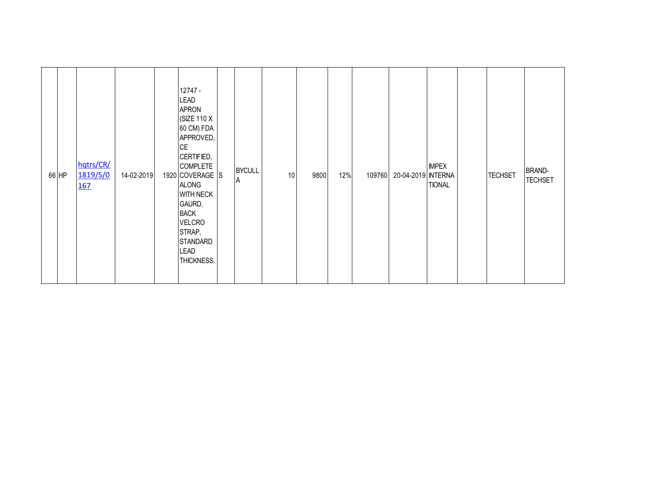| 66 HP | hqtrs/CR/<br>1819/S/0<br><b>167</b> | 14-02-2019 | 12747 -<br><b>LEAD</b><br><b>APRON</b><br>(SIZE 110 X<br>60 CM) FDA<br>APPROVED,<br><b>CE</b><br>CERTIFIED,<br><b>COMPLETE</b><br>1920 COVERAGE S<br><b>ALONG</b><br><b>WITH NECK</b><br>GAURD,<br><b>BACK</b><br><b>VELCRO</b><br>STRAP,<br><b>STANDARD</b><br><b>LEAD</b><br>THICKNESS. | <b>BYCULL</b><br>A | $10$ | 9800 | 12% | 109760 | 20-04-2019 INTERNA | <b>IMPEX</b><br><b>TIONAL</b> | <b>TECHSET</b> | BRAND-<br><b>TECHSET</b> |
|-------|-------------------------------------|------------|-------------------------------------------------------------------------------------------------------------------------------------------------------------------------------------------------------------------------------------------------------------------------------------------|--------------------|------|------|-----|--------|--------------------|-------------------------------|----------------|--------------------------|
|       |                                     |            |                                                                                                                                                                                                                                                                                           |                    |      |      |     |        |                    |                               |                |                          |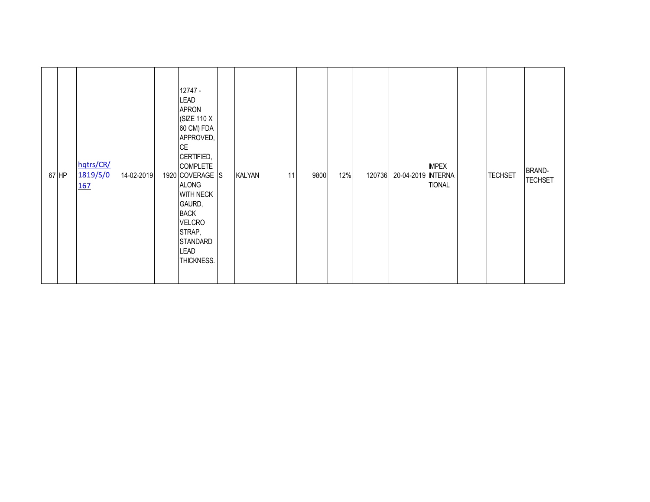| 67 HP | hqtrs/CR/<br>1819/S/0<br><u>167</u> | 14-02-2019 | 12747 -<br><b>LEAD</b><br><b>APRON</b><br>(SIZE 110 X<br>60 CM) FDA<br>APPROVED,<br><b>CE</b><br>CERTIFIED,<br><b>COMPLETE</b><br>1920 COVERAGE S<br><b>ALONG</b><br><b>WITH NECK</b><br>GAURD,<br><b>BACK</b><br><b>VELCRO</b><br>STRAP,<br><b>STANDARD</b><br><b>LEAD</b><br>THICKNESS. | <b>KALYAN</b> | 11 | 9800 | 12% | 120736 | 20-04-2019 INTERNA | <b>IMPEX</b><br><b>TIONAL</b> | <b>TECHSET</b> | <b>BRAND-</b><br><b>TECHSET</b> |
|-------|-------------------------------------|------------|-------------------------------------------------------------------------------------------------------------------------------------------------------------------------------------------------------------------------------------------------------------------------------------------|---------------|----|------|-----|--------|--------------------|-------------------------------|----------------|---------------------------------|
|       |                                     |            |                                                                                                                                                                                                                                                                                           |               |    |      |     |        |                    |                               |                |                                 |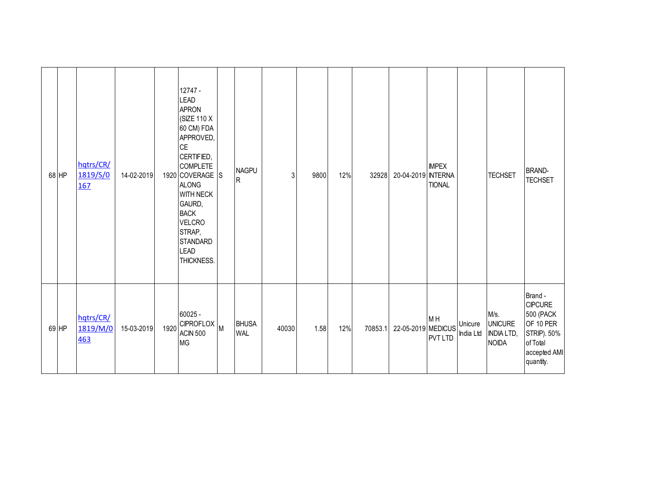| 68 HP | hqtrs/CR/<br>1819/S/0<br>167 | 14-02-2019 |      | 12747 -<br><b>LEAD</b><br><b>APRON</b><br>(SIZE 110 X<br>60 CM) FDA<br>APPROVED,<br><b>CE</b><br>CERTIFIED,<br><b>COMPLETE</b><br>1920 COVERAGE S<br><b>ALONG</b><br><b>WITH NECK</b><br>GAURD,<br><b>BACK</b><br><b>VELCRO</b><br>STRAP,<br><b>STANDARD</b><br><b>LEAD</b><br>THICKNESS. | <b>NAGPU</b><br>R   | 3     | 9800 | 12% | 32928   | 20-04-2019 INTERNA | <b>IMPEX</b><br><b>TIONAL</b>    |                      | <b>TECHSET</b>                                              | <b>BRAND-</b><br><b>TECHSET</b>                                                                             |
|-------|------------------------------|------------|------|-------------------------------------------------------------------------------------------------------------------------------------------------------------------------------------------------------------------------------------------------------------------------------------------|---------------------|-------|------|-----|---------|--------------------|----------------------------------|----------------------|-------------------------------------------------------------|-------------------------------------------------------------------------------------------------------------|
| 69 HP | hqtrs/CR/<br>1819/M/0<br>463 | 15-03-2019 | 1920 | $60025 -$<br>CIPROFLOX M<br><b>ACIN 500</b><br><b>MG</b>                                                                                                                                                                                                                                  | <b>BHUSA</b><br>WAL | 40030 | 1.58 | 12% | 70853.1 | 22-05-2019 MEDICUS | M <sub>H</sub><br><b>PVT LTD</b> | Unicure<br>India Ltd | M/s.<br><b>UNICURE</b><br><b>INDIA LTD,</b><br><b>NOIDA</b> | Brand -<br><b>CIPCURE</b><br>500 (PACK<br>OF 10 PER<br>STRIP). 50%<br>of Total<br>accepted AMI<br>quantity. |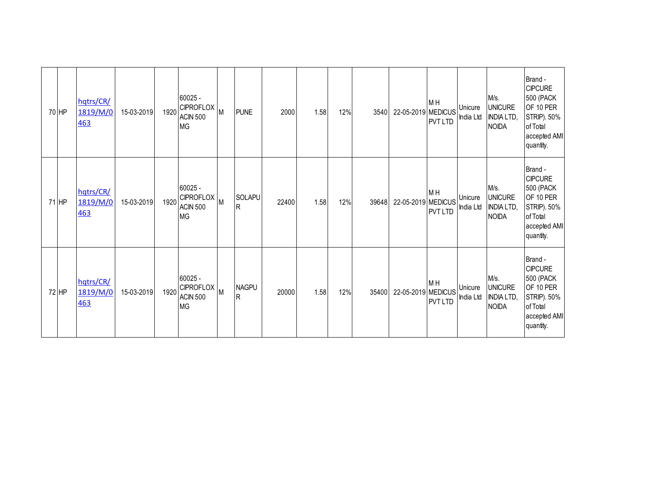| 70 HP   | hqtrs/CR/<br>1819/M/0<br>463 | 15-03-2019 | 1920 | $60025 -$<br><b>CIPROFLOX</b><br><b>ACIN 500</b><br><b>MG</b> | M | <b>PUNE</b>       | 2000  | 1.58 | 12% | 3540  | 22-05-2019 MEDICUS | M <sub>H</sub><br><b>PVT LTD</b> | Unicure<br>India Ltd | M/s.<br><b>UNICURE</b><br><b>INDIA LTD,</b><br><b>NOIDA</b> | Brand -<br><b>CIPCURE</b><br><b>500 (PACK</b><br>OF 10 PER<br>STRIP). 50%<br>of Total<br>accepted AMI<br>quantity. |
|---------|------------------------------|------------|------|---------------------------------------------------------------|---|-------------------|-------|------|-----|-------|--------------------|----------------------------------|----------------------|-------------------------------------------------------------|--------------------------------------------------------------------------------------------------------------------|
| 71 HP   | hqtrs/CR/<br>1819/M/0<br>463 | 15-03-2019 | 1920 | $60025 -$<br><b>CIPROFLOX</b><br><b>ACIN 500</b><br><b>MG</b> | M | SOLAPU<br>R       | 22400 | 1.58 | 12% | 39648 | 22-05-2019 MEDICUS | M <sub>H</sub><br><b>PVT LTD</b> | Unicure<br>India Ltd | M/s.<br><b>UNICURE</b><br><b>INDIA LTD,</b><br><b>NOIDA</b> | Brand -<br><b>CIPCURE</b><br>500 (PACK<br>OF 10 PER<br>STRIP). 50%<br>of Total<br>accepted AMI<br>quantity.        |
| $72$ HP | hqtrs/CR/<br>1819/M/0<br>463 | 15-03-2019 | 1920 | $60025 -$<br><b>CIPROFLOX</b><br><b>ACIN 500</b><br><b>MG</b> | M | <b>NAGPU</b><br>R | 20000 | 1.58 | 12% | 35400 | 22-05-2019 MEDICUS | M <sub>H</sub><br><b>PVT LTD</b> | Unicure<br>India Ltd | M/s.<br><b>UNICURE</b><br><b>INDIA LTD,</b><br><b>NOIDA</b> | Brand -<br><b>CIPCURE</b><br><b>500 (PACK</b><br>OF 10 PER<br>STRIP). 50%<br>of Total<br>accepted AMI<br>quantity. |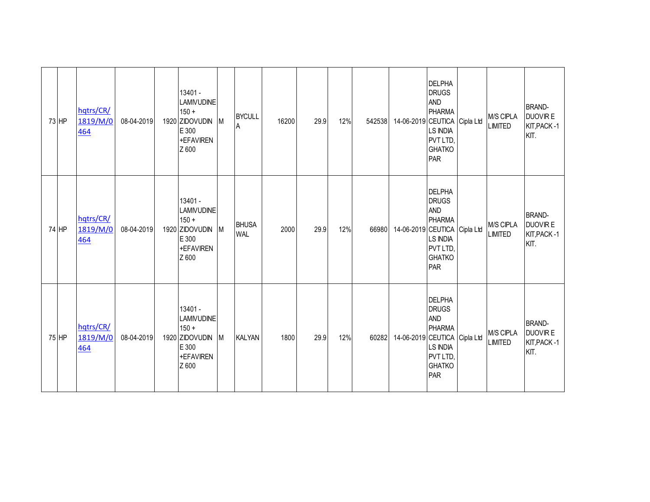| 73 HP | hqtrs/CR/<br>1819/M/0<br>464 | 08-04-2019 | 13401 -<br><b>LAMIVUDINE</b><br>$150 +$<br>1920 ZIDOVUDIN<br>E 300<br>+EFAVIREN<br>Z 600   | <b>IM</b> | <b>BYCULL</b><br>A         | 16200 | 29.9 | 12% | 542538 | 14-06-2019 CEUTICA Cipla Ltd | <b>DELPHA</b><br><b>DRUGS</b><br><b>AND</b><br><b>PHARMA</b><br><b>LS INDIA</b><br>PVT LTD,<br><b>GHATKO</b><br>PAR | M/S CIPLA<br><b>LIMITED</b> | <b>BRAND-</b><br><b>DUOVIR E</b><br>KIT, PACK -1<br>KIT. |
|-------|------------------------------|------------|--------------------------------------------------------------------------------------------|-----------|----------------------------|-------|------|-----|--------|------------------------------|---------------------------------------------------------------------------------------------------------------------|-----------------------------|----------------------------------------------------------|
| 74 HP | hqtrs/CR/<br>1819/M/0<br>464 | 08-04-2019 | 13401 -<br><b>LAMIVUDINE</b><br>$150 +$<br>1920 ZIDOVUDIN M<br>E 300<br>+EFAVIREN<br>Z 600 |           | <b>BHUSA</b><br><b>WAL</b> | 2000  | 29.9 | 12% | 66980  | 14-06-2019 CEUTICA Cipla Ltd | <b>DELPHA</b><br><b>DRUGS</b><br><b>AND</b><br><b>PHARMA</b><br><b>LS INDIA</b><br>PVT LTD,<br><b>GHATKO</b><br>PAR | M/S CIPLA<br><b>LIMITED</b> | <b>BRAND-</b><br><b>DUOVIRE</b><br>KIT, PACK -1<br>KIT.  |
| 75 HP | hqtrs/CR/<br>1819/M/0<br>464 | 08-04-2019 | 13401 -<br><b>LAMIVUDINE</b><br>$150 +$<br>1920 ZIDOVUDIN<br>E 300<br>+EFAVIREN<br>Z 600   | <b>IM</b> | <b>KALYAN</b>              | 1800  | 29.9 | 12% | 60282  | 14-06-2019 CEUTICA Cipla Ltd | <b>DELPHA</b><br><b>DRUGS</b><br><b>AND</b><br><b>PHARMA</b><br>LS INDIA<br>PVT LTD,<br><b>GHATKO</b><br>PAR        | M/S CIPLA<br><b>LIMITED</b> | <b>BRAND-</b><br><b>DUOVIR E</b><br>KIT, PACK -1<br>KIT. |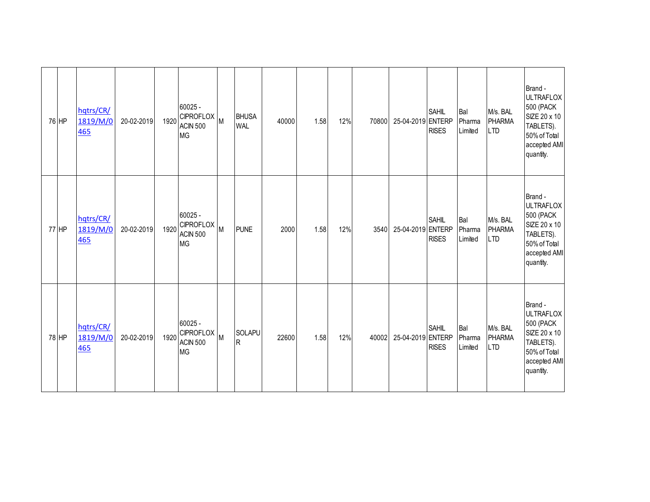| 76 HP | hqtrs/CR/<br>1819/M/0<br>465        | 20-02-2019 | 1920 | 60025 -<br>CIPROFLOX M<br><b>ACIN 500</b><br><b>MG</b>      |   | <b>BHUSA</b><br><b>WAL</b> | 40000 | 1.58 | 12% | 70800 | 25-04-2019 ENTERP | <b>SAHIL</b><br><b>RISES</b> | Bal<br>Pharma<br>Limited | M/s. BAL<br><b>PHARMA</b><br><b>LTD</b> | Brand -<br><b>ULTRAFLOX</b><br>500 (PACK<br>SIZE 20 x 10<br>TABLETS).<br>50% of Total<br>accepted AMI<br>quantity. |
|-------|-------------------------------------|------------|------|-------------------------------------------------------------|---|----------------------------|-------|------|-----|-------|-------------------|------------------------------|--------------------------|-----------------------------------------|--------------------------------------------------------------------------------------------------------------------|
| 77 HP | hqtrs/CR/<br>1819/M/0<br><b>465</b> | 20-02-2019 | 1920 | 60025 -<br><b>CIPROFLOX</b><br><b>ACIN 500</b><br><b>MG</b> | M | <b>PUNE</b>                | 2000  | 1.58 | 12% | 3540  | 25-04-2019 ENTERP | <b>SAHIL</b><br><b>RISES</b> | Bal<br>Pharma<br>Limited | M/s. BAL<br><b>PHARMA</b><br><b>LTD</b> | Brand -<br><b>ULTRAFLOX</b><br>500 (PACK<br>SIZE 20 x 10<br>TABLETS).<br>50% of Total<br>accepted AMI<br>quantity. |
| 78 HP | hqtrs/CR/<br>1819/M/0<br><b>465</b> | 20-02-2019 | 1920 | 60025 -<br><b>CIPROFLOX</b><br><b>ACIN 500</b><br><b>MG</b> | M | SOLAPU<br>$\sf R$          | 22600 | 1.58 | 12% | 40002 | 25-04-2019 ENTERP | <b>SAHIL</b><br><b>RISES</b> | Bal<br>Pharma<br>Limited | M/s. BAL<br><b>PHARMA</b><br><b>LTD</b> | Brand -<br><b>ULTRAFLOX</b><br>500 (PACK<br>SIZE 20 x 10<br>TABLETS).<br>50% of Total<br>accepted AMI<br>quantity. |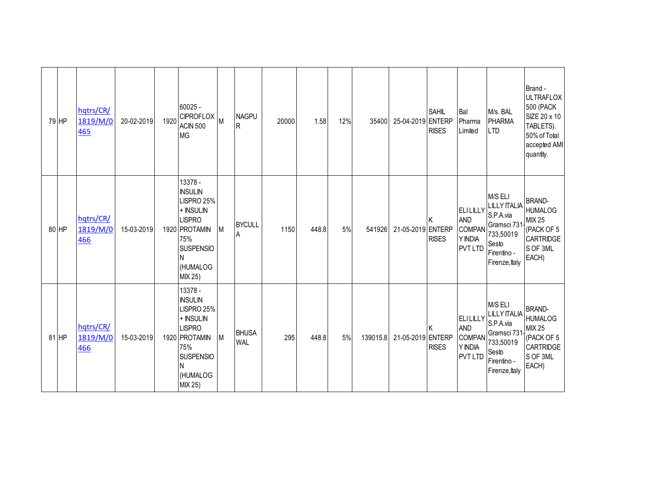| 79 HP | hqtrs/CR/<br>1819/M/0<br>465 | 20-02-2019 | 1920 | $60025 -$<br>CIPROFLOX M<br><b>ACIN 500</b><br><b>MG</b>                                                                                      |   | <b>NAGPU</b><br>R          | 20000 | 1.58  | 12% | 35400    | 25-04-2019 ENTERP | SAHIL<br><b>RISES</b> | Bal<br>Pharma<br>Limited                                             | M/s. BAL<br><b>PHARMA</b><br><b>LTD</b>                                                                           | Brand -<br><b>ULTRAFLOX</b><br>500 (PACK<br>SIZE 20 x 10<br>TABLETS).<br>50% of Total<br>accepted AMI<br>quantity. |
|-------|------------------------------|------------|------|-----------------------------------------------------------------------------------------------------------------------------------------------|---|----------------------------|-------|-------|-----|----------|-------------------|-----------------------|----------------------------------------------------------------------|-------------------------------------------------------------------------------------------------------------------|--------------------------------------------------------------------------------------------------------------------|
| 80 HP | hqtrs/CR/<br>1819/M/0<br>466 | 15-03-2019 |      | 13378 -<br><b>INSULIN</b><br>LISPRO 25%<br>+ INSULIN<br><b>LISPRO</b><br>1920 PROTAMIN<br>75%<br><b>SUSPENSIO</b><br>N<br>(HUMALOG<br>MIX 25) | M | <b>BYCULL</b><br>A         | 1150  | 448.8 | 5%  | 541926   | 21-05-2019 ENTERP | <b>RISES</b>          | ELILILLY<br><b>AND</b><br><b>COMPAN</b><br>Y INDIA<br><b>PVT LTD</b> | M/S ELI<br><b>LILLY ITALIA</b><br>S.P.A.via<br>Gramsci 731<br>733,50019<br>Sesto<br>Firentino -<br>Firenze, Italy | <b>BRAND-</b><br><b>HUMALOG</b><br><b>MIX 25</b><br>(PACK OF 5<br>CARTRIDGE<br>S OF 3ML<br>EACH)                   |
| 81 HP | hqtrs/CR/<br>1819/M/0<br>466 | 15-03-2019 |      | 13378 -<br><b>INSULIN</b><br>LISPRO 25%<br>+ INSULIN<br><b>LISPRO</b><br>1920 PROTAMIN<br>75%<br><b>SUSPENSIO</b><br>N<br>(HUMALOG<br>MIX 25) | M | <b>BHUSA</b><br><b>WAL</b> | 295   | 448.8 | 5%  | 139015.8 | 21-05-2019 ENTERP | <b>RISES</b>          | ELILILLY<br><b>AND</b><br><b>COMPAN</b><br>Y INDIA<br><b>PVT LTD</b> | M/S ELI<br><b>LILLY ITALIA</b><br>S.P.A.via<br>Gramsci 731<br>733,50019<br>Sesto<br>Firentino -<br>Firenze, Italy | <b>BRAND-</b><br><b>HUMALOG</b><br><b>MIX 25</b><br>(PACK OF 5<br>CARTRIDGE<br>S OF 3ML<br>EACH)                   |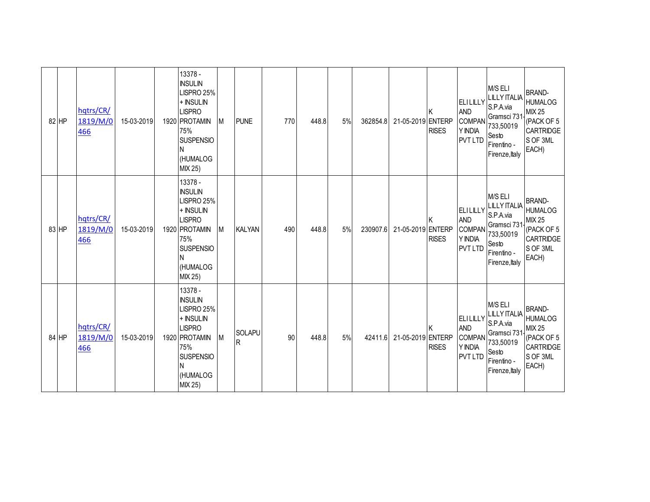| 82 HP | hqtrs/CR/<br>1819/M/0<br>466 | 15-03-2019 | 13378 -<br><b>INSULIN</b><br>LISPRO 25%<br>+ INSULIN<br><b>LISPRO</b><br>1920 PROTAMIN<br>75%<br><b>SUSPENSIO</b><br>N<br>(HUMALOG<br>MIX 25) | M | <b>PUNE</b>                   | 770 | 448.8 | 5% | 362854.8 | 21-05-2019 ENTERP | <b>RISES</b> | <b>ELILILLY</b><br><b>AND</b><br><b>COMPAN</b><br>Y INDIA<br><b>PVT LTD</b> | M/S ELI<br><b>LILLY ITALIA</b><br>S.P.A.via<br>Gramsci 731<br>733,50019<br>Sesto<br>Firentino -<br>Firenze, Italy | <b>BRAND-</b><br><b>HUMALOG</b><br><b>MIX 25</b><br>(PACK OF 5<br><b>CARTRIDGE</b><br>S OF 3ML<br>EACH) |
|-------|------------------------------|------------|-----------------------------------------------------------------------------------------------------------------------------------------------|---|-------------------------------|-----|-------|----|----------|-------------------|--------------|-----------------------------------------------------------------------------|-------------------------------------------------------------------------------------------------------------------|---------------------------------------------------------------------------------------------------------|
| 83 HP | hqtrs/CR/<br>1819/M/0<br>466 | 15-03-2019 | 13378 -<br><b>INSULIN</b><br>LISPRO 25%<br>+ INSULIN<br><b>LISPRO</b><br>1920 PROTAMIN<br>75%<br><b>SUSPENSIO</b><br>N<br>(HUMALOG<br>MIX 25) | M | <b>KALYAN</b>                 | 490 | 448.8 | 5% | 230907.6 | 21-05-2019 ENTERP | <b>RISES</b> | <b>ELILILLY</b><br><b>AND</b><br><b>COMPAN</b><br>Y INDIA<br><b>PVT LTD</b> | M/S ELI<br><b>LILLY ITALIA</b><br>S.P.A.via<br>Gramsci 731<br>733,50019<br>Sesto<br>Firentino -<br>Firenze, Italy | <b>BRAND-</b><br><b>HUMALOG</b><br><b>MIX 25</b><br>(PACK OF 5<br>CARTRIDGE<br>S OF 3ML<br>EACH)        |
| 84 HP | hqtrs/CR/<br>1819/M/0<br>466 | 15-03-2019 | 13378 -<br><b>INSULIN</b><br>LISPRO 25%<br>+ INSULIN<br><b>LISPRO</b><br>1920 PROTAMIN<br>75%<br><b>SUSPENSIO</b><br>N<br>(HUMALOG<br>MIX 25) | M | <b>SOLAPU</b><br>$\mathsf{R}$ | 90  | 448.8 | 5% | 42411.6  | 21-05-2019 ENTERP | <b>RISES</b> | <b>ELILILLY</b><br><b>AND</b><br><b>COMPAN</b><br>Y INDIA<br><b>PVT LTD</b> | M/S ELI<br><b>LILLY ITALIA</b><br>S.P.A.via<br>Gramsci 731<br>733,50019<br>Sesto<br>Firentino -<br>Firenze, Italy | <b>BRAND-</b><br><b>HUMALOG</b><br><b>MIX 25</b><br>(PACK OF 5<br>CARTRIDGE<br>S OF 3ML<br>EACH)        |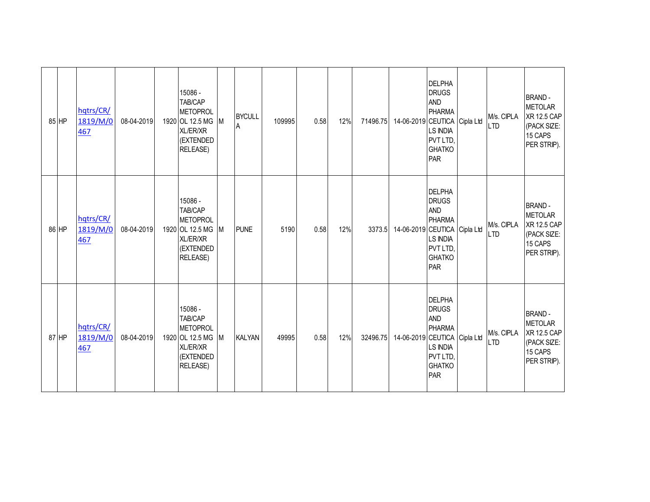| 85 HP | hqtrs/CR/<br>1819/M/0<br>467 | 08-04-2019 | 15086 -<br>TAB/CAP<br><b>METOPROL</b><br>1920 OL 12.5 MG M<br><b>XL/ER/XR</b><br>(EXTENDED<br>RELEASE)      |     | <b>BYCULL</b><br>Α | 109995 | 0.58 | 12% | 71496.75 | 14-06-2019 CEUTICA Cipla Ltd | <b>DELPHA</b><br><b>DRUGS</b><br><b>AND</b><br><b>PHARMA</b><br><b>LS INDIA</b><br>PVT LTD,<br><b>GHATKO</b><br>PAR | M/s. CIPLA<br><b>LTD</b> | <b>BRAND-</b><br><b>METOLAR</b><br><b>XR 12.5 CAP</b><br>(PACK SIZE:<br>15 CAPS<br>PER STRIP). |
|-------|------------------------------|------------|-------------------------------------------------------------------------------------------------------------|-----|--------------------|--------|------|-----|----------|------------------------------|---------------------------------------------------------------------------------------------------------------------|--------------------------|------------------------------------------------------------------------------------------------|
| 86 HP | hqtrs/CR/<br>1819/M/0<br>467 | 08-04-2019 | 15086 -<br>TAB/CAP<br><b>METOPROL</b><br>1920 OL 12.5 MG<br>XL/ER/XR<br>(EXTENDED<br><b>RELEASE)</b>        | M   | <b>PUNE</b>        | 5190   | 0.58 | 12% | 3373.5   | 14-06-2019 CEUTICA Cipla Ltd | <b>DELPHA</b><br><b>DRUGS</b><br><b>AND</b><br><b>PHARMA</b><br>LS INDIA<br>PVT LTD,<br><b>GHATKO</b><br>PAR        | M/s. CIPLA<br><b>LTD</b> | <b>BRAND-</b><br><b>METOLAR</b><br><b>XR 12.5 CAP</b><br>(PACK SIZE:<br>15 CAPS<br>PER STRIP). |
| 87 HP | hqtrs/CR/<br>1819/M/0<br>467 | 08-04-2019 | 15086 -<br>TAB/CAP<br><b>METOPROL</b><br>1920 OL 12.5 MG<br><b>XL/ER/XR</b><br>(EXTENDED<br><b>RELEASE)</b> | IM. | <b>KALYAN</b>      | 49995  | 0.58 | 12% | 32496.75 | 14-06-2019 CEUTICA Cipla Ltd | <b>DELPHA</b><br><b>DRUGS</b><br><b>AND</b><br><b>PHARMA</b><br>LS INDIA<br>PVT LTD,<br><b>GHATKO</b><br>PAR        | M/s. CIPLA<br><b>LTD</b> | <b>BRAND-</b><br><b>METOLAR</b><br><b>XR 12.5 CAP</b><br>(PACK SIZE:<br>15 CAPS<br>PER STRIP). |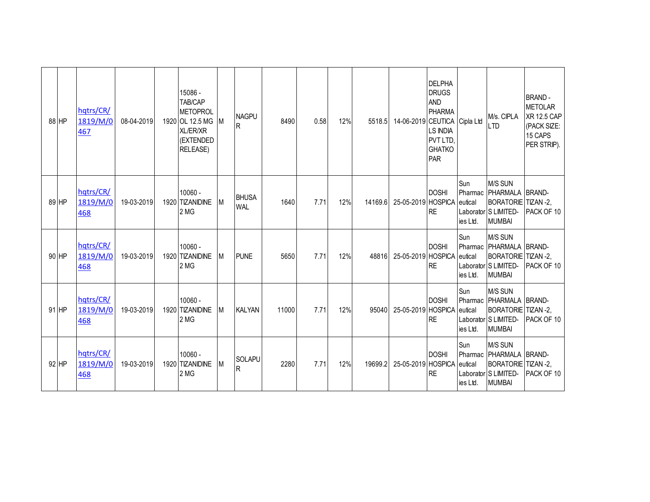| 88 HP | hqtrs/CR/<br>1819/M/0<br>467 | 08-04-2019 | 15086 -<br>TAB/CAP<br><b>METOPROL</b><br>1920 OL 12.5 MG<br>XL/ER/XR<br>(EXTENDED<br><b>RELEASE)</b> | IM. | <b>NAGPU</b><br>R          | 8490  | 0.58 | 12% | 5518.5  | 14-06-2019 CEUTICA Cipla Ltd | <b>DELPHA</b><br><b>DRUGS</b><br><b>AND</b><br><b>PHARMA</b><br><b>LS INDIA</b><br>PVT LTD,<br><b>GHATKO</b><br>PAR |                                       | M/s. CIPLA<br><b>LTD</b>                                                                               | <b>BRAND-</b><br><b>METOLAR</b><br><b>XR 12.5 CAP</b><br>(PACK SIZE:<br>15 CAPS<br>PER STRIP). |
|-------|------------------------------|------------|------------------------------------------------------------------------------------------------------|-----|----------------------------|-------|------|-----|---------|------------------------------|---------------------------------------------------------------------------------------------------------------------|---------------------------------------|--------------------------------------------------------------------------------------------------------|------------------------------------------------------------------------------------------------|
| 89 HP | hqtrs/CR/<br>1819/M/0<br>468 | 19-03-2019 | 10060 -<br>1920 TIZANIDINE<br>2 MG                                                                   | M   | <b>BHUSA</b><br><b>WAL</b> | 1640  | 7.71 | 12% | 14169.6 | 25-05-2019 HOSPICA           | <b>DOSHI</b><br><b>RE</b>                                                                                           | Sun<br>Pharmac<br>eutical<br>ies Ltd. | M/S SUN<br>PHARMALA BRAND-<br>BORATORIE TIZAN -2,<br>Laborator S LIMITED-<br><b>MUMBAI</b>             | PACK OF 10                                                                                     |
| 90 HP | hqtrs/CR/<br>1819/M/0<br>468 | 19-03-2019 | 10060 -<br>1920 TIZANIDINE<br>2 MG                                                                   | M   | <b>PUNE</b>                | 5650  | 7.71 | 12% | 48816   | 25-05-2019 HOSPICA           | <b>DOSHI</b><br><b>RE</b>                                                                                           | Sun<br>eutical<br>ies Ltd.            | M/S SUN<br>Pharmac   PHARMALA   BRAND-<br>BORATORIE TIZAN -2,<br>Laborator S LIMITED-<br><b>MUMBAI</b> | PACK OF 10                                                                                     |
| 91 HP | hqtrs/CR/<br>1819/M/0<br>468 | 19-03-2019 | 10060 -<br>1920 TIZANIDINE<br>2 MG                                                                   | М   | <b>KALYAN</b>              | 11000 | 7.71 | 12% | 95040   | 25-05-2019 HOSPICA           | <b>DOSHI</b><br><b>RE</b>                                                                                           | Sun<br>eutical<br>ies Ltd.            | M/S SUN<br>Pharmac PHARMALA BRAND-<br>BORATORIE TIZAN -2,<br>Laborator S LIMITED-<br><b>MUMBAI</b>     | <b>PACK OF 10</b>                                                                              |
| 92 HP | hqtrs/CR/<br>1819/M/0<br>468 | 19-03-2019 | $10060 -$<br>1920 TIZANIDINE<br>2 MG                                                                 | M   | SOLAPU<br>R                | 2280  | 7.71 | 12% | 19699.2 | 25-05-2019 HOSPICA           | <b>DOSHI</b><br><b>RE</b>                                                                                           | Sun<br>eutical<br>ies Ltd.            | M/S SUN<br>Pharmac PHARMALA BRAND-<br>BORATORIE TIZAN -2,<br>Laborator S LIMITED-<br><b>MUMBAI</b>     | PACK OF 10                                                                                     |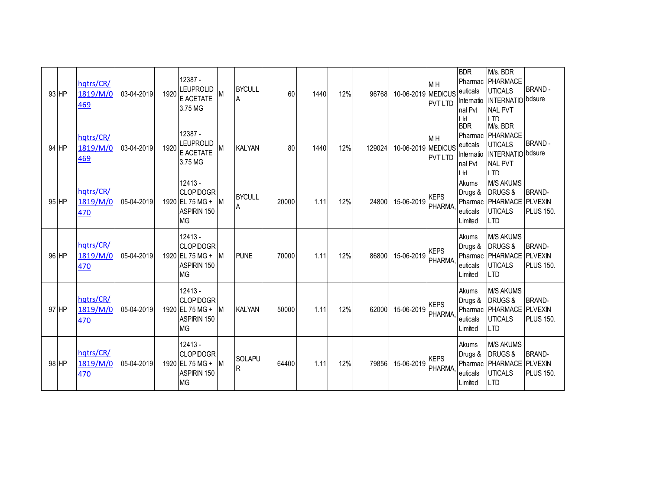| 93 HP   | hqtrs/CR/<br>1819/M/0<br>469 | 03-04-2019 | 1920 | 12387 -<br>LEUPROLID<br>E ACETATE<br>3.75 MG                                 |           | <b>BYCULL</b><br>۱A  | 60    | 1440 | 12% | 96768  | 10-06-2019 MEDICUS | M H<br><b>PVT LTD</b>            | <b>BDR</b><br>euticals<br>nal Pvt<br>I H | M/s. BDR<br>Pharmac PHARMACE<br><b>UTICALS</b><br>Internatio   INTERNATIO bdsure<br><b>NAL PVT</b><br>חד ו | <b>BRAND-</b>                                       |
|---------|------------------------------|------------|------|------------------------------------------------------------------------------|-----------|----------------------|-------|------|-----|--------|--------------------|----------------------------------|------------------------------------------|------------------------------------------------------------------------------------------------------------|-----------------------------------------------------|
| 94 HP   | hqtrs/CR/<br>1819/M/0<br>469 | 03-04-2019 | 1920 | 12387 -<br>LEUPROLID<br>E ACETATE<br>3.75 MG                                 | М         | <b>KALYAN</b>        | 80    | 1440 | 12% | 129024 | 10-06-2019 MEDICUS | M <sub>H</sub><br><b>PVT LTD</b> | <b>BDR</b><br>euticals<br>nal Pvt<br>I H | M/s. BDR<br>Pharmac PHARMACE<br><b>UTICALS</b><br>Internatio   INTERNATIO bdsure<br><b>NAL PVT</b><br>I TD | <b>BRAND-</b>                                       |
| $95$ HP | hqtrs/CR/<br>1819/M/0<br>470 | 05-04-2019 |      | $12413 -$<br><b>CLOPIDOGR</b><br>1920 EL 75 MG +<br>ASPIRIN 150<br><b>MG</b> | М         | <b>BYCULL</b><br>ΙA  | 20000 | 1.11 | 12% | 24800  | 15-06-2019         | <b>KEPS</b><br><b>PHARMA</b>     | Akums<br>Drugs &<br>euticals<br>Limited  | <b>M/S AKUMS</b><br>DRUGS&<br>Pharmac PHARMACE<br><b>UTICALS</b><br><b>LTD</b>                             | <b>BRAND-</b><br><b>PLVEXIN</b><br>PLUS 150.        |
| 96 HP   | hqtrs/CR/<br>1819/M/0<br>470 | 05-04-2019 |      | $12413 -$<br><b>CLOPIDOGR</b><br>1920 EL 75 MG +<br>ASPIRIN 150<br><b>MG</b> | <b>IM</b> | <b>PUNF</b>          | 70000 | 1.11 | 12% | 86800  | 15-06-2019         | <b>KEPS</b><br><b>PHARMA</b>     | Akums<br>Drugs &<br>euticals<br>Limited  | <b>M/S AKUMS</b><br><b>DRUGS&amp;</b><br>Pharmac PHARMACE<br><b>UTICALS</b><br><b>LTD</b>                  | <b>BRAND-</b><br><b>PLVEXIN</b><br><b>PLUS 150.</b> |
| 97 HP   | hqtrs/CR/<br>1819/M/0<br>470 | 05-04-2019 |      | 12413 -<br><b>CLOPIDOGR</b><br>1920 EL 75 MG +<br>ASPIRIN 150<br><b>MG</b>   | M         | <b>KALYAN</b>        | 50000 | 1.11 | 12% | 62000  | 15-06-2019         | <b>KEPS</b><br><b>PHARMA</b>     | Akums<br>Drugs &<br>euticals<br>Limited  | <b>M/S AKUMS</b><br><b>DRUGS&amp;</b><br>Pharmac PHARMACE<br><b>UTICALS</b><br><b>LTD</b>                  | <b>BRAND-</b><br><b>PLVEXIN</b><br><b>PLUS 150.</b> |
| 98 HP   | hqtrs/CR/<br>1819/M/0<br>470 | 05-04-2019 |      | $12413 -$<br><b>CLOPIDOGR</b><br>1920 EL 75 MG +<br>ASPIRIN 150<br><b>MG</b> | <b>IM</b> | <b>SOLAPU</b><br>lR. | 64400 | 1.11 | 12% | 79856  | 15-06-2019         | <b>KFPS</b><br>PHARMA            | Akums<br>Drugs &<br>euticals<br>Limited  | <b>M/S AKUMS</b><br><b>DRUGS&amp;</b><br>Pharmac   PHARMACE   PLVEXIN<br><b>UTICALS</b><br><b>LTD</b>      | <b>BRAND-</b><br><b>PLUS 150.</b>                   |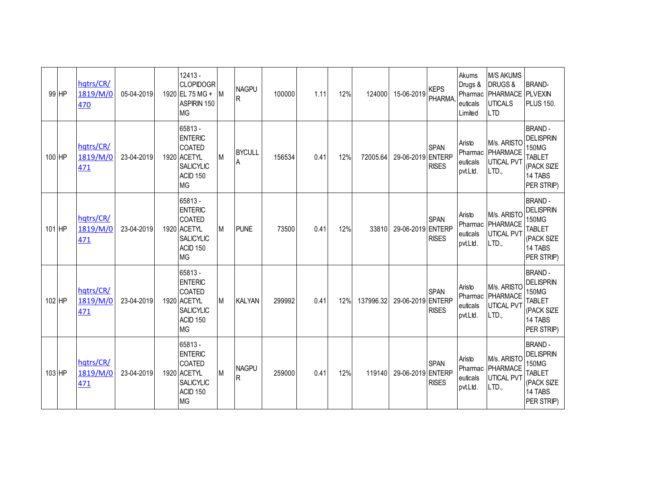| 99 HP  | hqtrs/CR/<br>1819/M/0<br>470 | 05-04-2019 | $12413 -$<br><b>CLOPIDOGR</b><br>1920 EL 75 MG +<br>ASPIRIN 150<br><b>MG</b>                                      | IM. | <b>NAGPU</b><br>$\mathsf R$  | 100000 | 1.11 | 12% | 124000    | 15-06-2019        | <b>KEPS</b><br><b>PHARMA</b> | Akums<br>Drugs &<br>euticals<br>Limited   | <b>M/S AKUMS</b><br><b>DRUGS&amp;</b><br>Pharmac   PHARMACE   PLVEXIN<br><b>UTICALS</b><br><b>LTD</b> | <b>BRAND-</b><br><b>PLUS 150.</b>                                                                         |
|--------|------------------------------|------------|-------------------------------------------------------------------------------------------------------------------|-----|------------------------------|--------|------|-----|-----------|-------------------|------------------------------|-------------------------------------------|-------------------------------------------------------------------------------------------------------|-----------------------------------------------------------------------------------------------------------|
| 100 HP | hqtrs/CR/<br>1819/M/0<br>471 | 23-04-2019 | 65813 -<br><b>ENTERIC</b><br><b>COATED</b><br>1920 ACETYL<br><b>SALICYLIC</b><br>ACID <sub>150</sub><br><b>MG</b> | M   | <b>BYCULL</b><br>ΙA          | 156534 | 0.41 | 12% | 72005.64  | 29-06-2019 ENTERP | <b>SPAN</b><br><b>RISES</b>  | Aristo<br>Pharmac<br>euticals<br>pvt.Ltd. | M/s. ARISTO<br>PHARMACE<br><b>UTICAL PVT</b><br>LTD.,                                                 | <b>BRAND-</b><br><b>DELISPRIN</b><br>150MG<br><b>TABLET</b><br>(PACK SIZE<br>14 TABS<br>PER STRIP)        |
| 101 HP | hqtrs/CR/<br>1819/M/0<br>471 | 23-04-2019 | 65813 -<br><b>ENTERIC</b><br><b>COATED</b><br>1920 ACETYL<br><b>SALICYLIC</b><br>ACID 150<br><b>MG</b>            | Iм. | <b>PUNE</b>                  | 73500  | 0.41 | 12% | 33810     | 29-06-2019 ENTERP | <b>SPAN</b><br><b>RISES</b>  | Aristo<br>Pharmac<br>euticals<br>pvt.Ltd. | M/s. ARISTO<br>PHARMACE<br><b>UTICAL PVT</b><br>LTD.,                                                 | <b>BRAND-</b><br><b>DELISPRIN</b><br><b>150MG</b><br><b>TABLET</b><br>(PACK SIZE<br>14 TABS<br>PER STRIP) |
| 102 HP | hqtrs/CR/<br>1819/M/0<br>471 | 23-04-2019 | 65813 -<br><b>ENTERIC</b><br><b>COATED</b><br>1920 ACETYL<br><b>SALICYLIC</b><br>ACID <sub>150</sub><br><b>MG</b> | M   | <b>KALYAN</b>                | 299992 | 0.41 | 12% | 137996.32 | 29-06-2019 ENTERP | <b>SPAN</b><br><b>RISES</b>  | Aristo<br>Pharmac<br>euticals<br>pvt.Ltd. | M/s. ARISTO<br>PHARMACE<br><b>UTICAL PVT</b><br>LTD.                                                  | <b>BRAND-</b><br><b>DELISPRIN</b><br>150MG<br><b>TABLET</b><br>(PACK SIZE<br>14 TABS<br>PER STRIP)        |
| 103 HP | hqtrs/CR/<br>1819/M/0<br>471 | 23-04-2019 | 65813 -<br><b>ENTERIC</b><br><b>COATED</b><br>1920 ACETYL<br><b>SALICYLIC</b><br>ACID <sub>150</sub><br><b>MG</b> | M   | <b>NAGPU</b><br>$\mathsf{R}$ | 259000 | 0.41 | 12% | 119140    | 29-06-2019 ENTERP | <b>SPAN</b><br><b>RISES</b>  | Aristo<br>Pharmac<br>euticals<br>pvt.Ltd. | M/s. ARISTO<br>PHARMACE<br><b>UTICAL PVT</b><br>LTD.                                                  | <b>BRAND-</b><br><b>DELISPRIN</b><br>150MG<br><b>TABLET</b><br>(PACK SIZE<br>14 TABS<br>PER STRIP)        |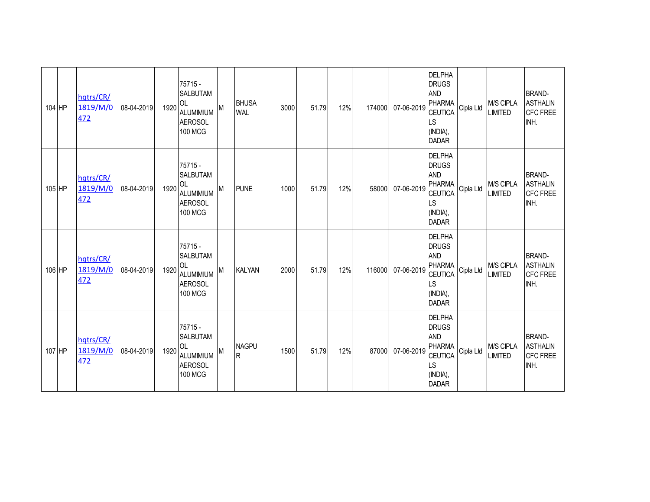| 104 HP | hqtrs/CR/<br>1819/M/0<br>472 | 08-04-2019 | 1920 | 75715 -<br><b>SALBUTAM</b><br><b>OL</b><br><b>ALUMIMIUM</b><br><b>AEROSOL</b><br><b>100 MCG</b> |   | <b>BHUSA</b><br><b>WAL</b> | 3000 | 51.79 | 12% | 174000 | 07-06-2019 | <b>DELPHA</b><br><b>DRUGS</b><br>AND<br>PHARMA<br><b>CEUTICA</b><br>LS<br>(INDIA),<br><b>DADAR</b>               | Cipla Ltd | M/S CIPLA<br><b>LIMITED</b> | <b>BRAND-</b><br><b>ASTHALIN</b><br><b>CFC FREE</b><br>INH. |
|--------|------------------------------|------------|------|-------------------------------------------------------------------------------------------------|---|----------------------------|------|-------|-----|--------|------------|------------------------------------------------------------------------------------------------------------------|-----------|-----------------------------|-------------------------------------------------------------|
| 105 HP | hqtrs/CR/<br>1819/M/0<br>472 | 08-04-2019 | 1920 | 75715 -<br>SALBUTAM<br>OL<br><b>ALUMIMIUM</b><br><b>AEROSOL</b><br><b>100 MCG</b>               | M | <b>PUNE</b>                | 1000 | 51.79 | 12% | 58000  | 07-06-2019 | <b>DELPHA</b><br><b>DRUGS</b><br><b>AND</b><br><b>PHARMA</b><br><b>CEUTICA</b><br>LS<br>(INDIA),<br><b>DADAR</b> | Cipla Ltd | M/S CIPLA<br><b>LIMITED</b> | <b>BRAND-</b><br><b>ASTHALIN</b><br><b>CFC FREE</b><br>INH. |
| 106 HP | hqtrs/CR/<br>1819/M/0<br>472 | 08-04-2019 | 1920 | 75715 -<br><b>SALBUTAM</b><br>OL<br><b>ALUMIMIUM</b><br><b>AEROSOL</b><br><b>100 MCG</b>        | M | <b>KALYAN</b>              | 2000 | 51.79 | 12% | 116000 | 07-06-2019 | <b>DELPHA</b><br><b>DRUGS</b><br><b>AND</b><br>PHARMA<br><b>CEUTICA</b><br><b>LS</b><br>(INDIA),<br><b>DADAR</b> | Cipla Ltd | M/S CIPLA<br><b>LIMITED</b> | <b>BRAND-</b><br><b>ASTHALIN</b><br><b>CFC FREE</b><br>INH. |
| 107 HP | hqtrs/CR/<br>1819/M/0<br>472 | 08-04-2019 | 1920 | 75715 -<br><b>SALBUTAM</b><br>OL<br><b>ALUMIMIUM</b><br><b>AEROSOL</b><br><b>100 MCG</b>        | M | <b>NAGPU</b><br>R.         | 1500 | 51.79 | 12% | 87000  | 07-06-2019 | <b>DELPHA</b><br><b>DRUGS</b><br><b>AND</b><br>PHARMA<br>CEUTICA<br>LS<br>(INDIA),<br><b>DADAR</b>               | Cipla Ltd | M/S CIPLA<br><b>LIMITED</b> | <b>BRAND-</b><br><b>ASTHALIN</b><br><b>CFC FREE</b><br>INH. |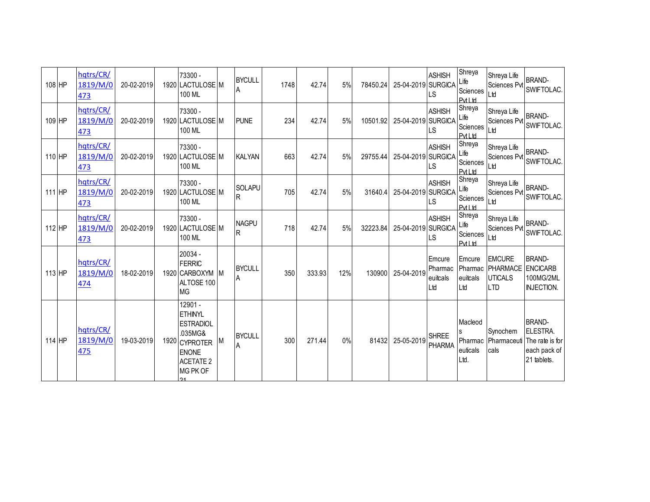| 108 HP | hqtrs/CR/<br>1819/M/0<br>473 | 20-02-2019 | 73300 -<br>1920 LACTULOSE M<br>100 ML                                                                                           | <b>BYCULL</b><br>A           | 1748 | 42.74  | 5%  | 78450.24 | 25-04-2019 SURGICA | <b>ASHISH</b><br><b>LS</b>           | Shreya<br>Life<br>Sciences<br>Pvt I td       | Shreya Life<br>Sciences Pvt<br>Ltd                        | <b>BRAND-</b><br>SWIFTOLAC.                                                 |
|--------|------------------------------|------------|---------------------------------------------------------------------------------------------------------------------------------|------------------------------|------|--------|-----|----------|--------------------|--------------------------------------|----------------------------------------------|-----------------------------------------------------------|-----------------------------------------------------------------------------|
| 109 HP | hqtrs/CR/<br>1819/M/0<br>473 | 20-02-2019 | 73300 -<br>1920 LACTULOSE M<br>100 ML                                                                                           | <b>PUNE</b>                  | 234  | 42.74  | 5%  | 10501.92 | 25-04-2019 SURGICA | <b>ASHISH</b><br>LS                  | Shreya<br>Life<br>Sciences<br>Pvt I td       | Shreya Life<br>Sciences Pvt<br>Ltd                        | <b>BRAND-</b><br>SWIFTOLAC.                                                 |
| 110 HP | hqtrs/CR/<br>1819/M/0<br>473 | 20-02-2019 | 73300 -<br>1920 LACTULOSE M<br>100 ML                                                                                           | <b>KALYAN</b>                | 663  | 42.74  | 5%  | 29755.44 | 25-04-2019 SURGICA | <b>ASHISH</b><br>LS                  | Shreya<br>Life<br>Sciences<br>PvtLtd         | Shreya Life<br>Sciences Pvt<br>Ltd                        | <b>BRAND-</b><br>SWIFTOLAC.                                                 |
| 111 HP | hqtrs/CR/<br>1819/M/0<br>473 | 20-02-2019 | 73300 -<br>1920 LACTULOSE M<br>100 ML                                                                                           | <b>SOLAPU</b><br>$\mathsf R$ | 705  | 42.74  | 5%  | 31640.4  | 25-04-2019 SURGICA | <b>ASHISH</b><br>LS                  | Shreya<br>Life<br>Sciences<br>Pvt I td       | Shreya Life<br>Sciences Pvt<br>Ltd                        | <b>BRAND-</b><br>SWIFTOLAC.                                                 |
| 112 HP | hqtrs/CR/<br>1819/M/0<br>473 | 20-02-2019 | 73300 -<br>1920 LACTULOSE M<br>100 ML                                                                                           | <b>NAGPU</b><br>$\mathsf{R}$ | 718  | 42.74  | 5%  | 32223.84 | 25-04-2019 SURGICA | <b>ASHISH</b><br>LS                  | Shreya<br>Life<br>Sciences<br><b>Pvt Ltd</b> | Shreya Life<br>Sciences Pvt<br>Ltd                        | <b>BRAND-</b><br>SWIFTOLAC.                                                 |
| 113 HP | hqtrs/CR/<br>1819/M/0<br>474 | 18-02-2019 | 20034 -<br><b>FERRIC</b><br>1920 CARBOXYM M<br>ALTOSE 100<br><b>MG</b>                                                          | <b>BYCULL</b><br>Α           | 350  | 333.93 | 12% | 130900   | 25-04-2019         | Emcure<br>Pharmac<br>euitcals<br>Ltd | Emcure<br>Pharmac<br>euitcals<br>Ltd         | <b>EMCURE</b><br>PHARMACE<br><b>UTICALS</b><br><b>LTD</b> | <b>BRAND-</b><br><b>ENCICARB</b><br>100MG/2ML<br><b>INJECTION.</b>          |
| 114 HP | hqtrs/CR/<br>1819/M/0<br>475 | 19-03-2019 | 12901 -<br><b>ETHINYL</b><br><b>ESTRADIOL</b><br>.035MG&<br>1920 CYPROTER<br><b>ENONE</b><br><b>ACETATE 2</b><br>MG PK OF<br>21 | <b>BYCULL</b><br>A           | 300  | 271.44 | 0%  | 81432    | 25-05-2019         | <b>SHREE</b><br><b>PHARMA</b>        | Macleod<br>s<br>Pharmac<br>euticals<br>Ltd.  | Synochem<br>Pharmaceuti<br>cals                           | <b>BRAND-</b><br>ELESTRA.<br>The rate is for<br>each pack of<br>21 tablets. |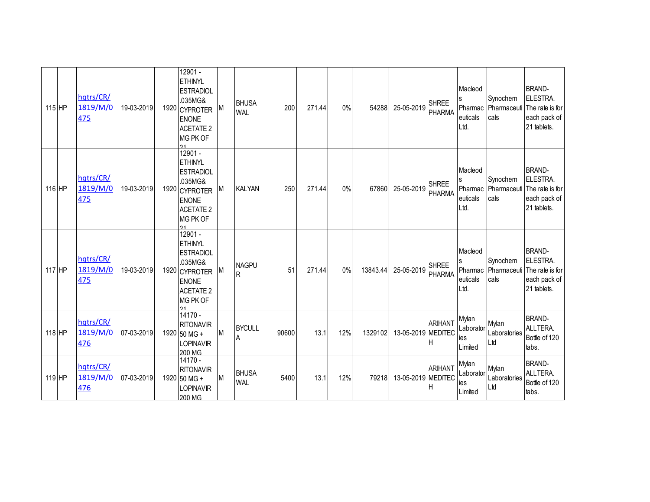| $115$ HP | hqtrs/CR/<br>1819/M/0<br>475 | 19-03-2019 | 12901 -<br><b>ETHINYL</b><br><b>ESTRADIOL</b><br>.035MG&<br>1920 CYPROTER<br><b>ENONE</b><br><b>ACETATE 2</b><br>MG PK OF<br>$\mathbf{A}$ | M | <b>BHUSA</b><br><b>WAL</b> | 200   | 271.44 | 0%  | 54288    | 25-05-2019         | <b>SHREE</b><br><b>PHARMA</b> | Macleod<br>Pharmac<br>euticals<br>Ltd. | Synochem<br>Pharmaceuti<br>cals | <b>BRAND-</b><br>ELESTRA.<br>The rate is for<br>each pack of<br>21 tablets. |
|----------|------------------------------|------------|-------------------------------------------------------------------------------------------------------------------------------------------|---|----------------------------|-------|--------|-----|----------|--------------------|-------------------------------|----------------------------------------|---------------------------------|-----------------------------------------------------------------------------|
| $116$ HP | hqtrs/CR/<br>1819/M/0<br>475 | 19-03-2019 | 12901 -<br><b>ETHINYL</b><br><b>ESTRADIOL</b><br>.035MG&<br>1920 CYPROTER<br><b>ENONE</b><br><b>ACETATE 2</b><br>MG PK OF                 | M | <b>KALYAN</b>              | 250   | 271.44 | 0%  | 67860    | 25-05-2019         | <b>SHREE</b><br><b>PHARMA</b> | Macleod<br>Pharmac<br>euticals<br>Ltd. | Synochem<br>Pharmaceuti<br>cals | <b>BRAND-</b><br>ELESTRA.<br>The rate is for<br>each pack of<br>21 tablets. |
| $117$ HP | hqtrs/CR/<br>1819/M/0<br>475 | 19-03-2019 | 12901 -<br><b>ETHINYL</b><br><b>ESTRADIOL</b><br>.035MG&<br>1920 CYPROTER<br><b>ENONE</b><br><b>ACETATE 2</b><br>MG PK OF                 | M | <b>NAGPU</b><br>R          | 51    | 271.44 | 0%  | 13843.44 | 25-05-2019         | <b>SHREE</b><br><b>PHARMA</b> | Macleod<br>Pharmac<br>euticals<br>Ltd. | Synochem<br>Pharmaceuti<br>cals | <b>BRAND-</b><br>ELESTRA.<br>The rate is for<br>each pack of<br>21 tablets. |
| $118$ HP | hqtrs/CR/<br>1819/M/0<br>476 | 07-03-2019 | 14170 -<br><b>RITONAVIR</b><br>1920 50 MG +<br><b>LOPINAVIR</b><br>200 MG                                                                 | M | <b>BYCULL</b><br>A         | 90600 | 13.1   | 12% | 1329102  | 13-05-2019 MEDITEC | <b>ARIHANT</b><br>Η           | Mylan<br>Laborator<br>ies<br>Limited   | Mylan<br>Laboratories<br>Ltd    | <b>BRAND-</b><br>ALLTERA.<br>Bottle of 120<br>tabs.                         |
| $119$ HP | hqtrs/CR/<br>1819/M/0<br>476 | 07-03-2019 | 14170 -<br><b>RITONAVIR</b><br>1920 50 MG +<br>LOPINAVIR<br>200 MG                                                                        | M | <b>BHUSA</b><br><b>WAL</b> | 5400  | 13.1   | 12% | 79218    | 13-05-2019 MEDITEC | <b>ARIHANT</b><br>ΙH          | Mylan<br>Laborator<br>ies<br>Limited   | Mylan<br>Laboratories<br>Ltd    | <b>BRAND-</b><br>ALLTERA.<br>Bottle of 120<br>tabs.                         |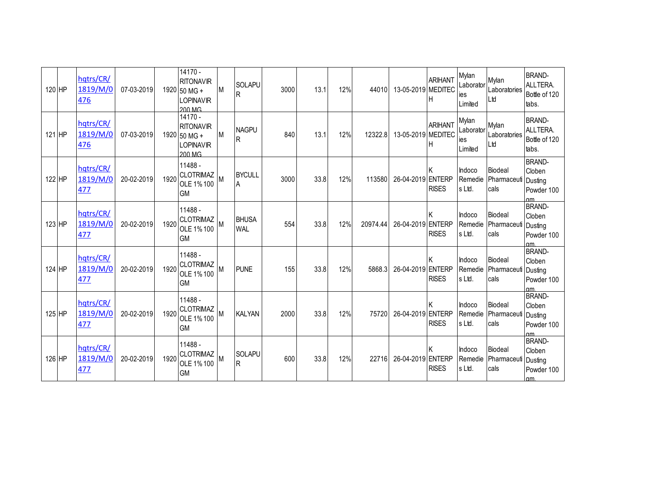| 120 HP   | hqtrs/CR/<br>1819/M/0<br>476 | 07-03-2019 |      | 14170 -<br><b>RITONAVIR</b><br>1920 50 MG +<br><b>LOPINAVIR</b><br>200 MG | IM.      | SOLAPU<br>$\mathsf{R}$       | 3000 | 13.1 | 12% | 44010    | 13-05-2019 MEDITEC | <b>ARIHANT</b><br>н | Mylan<br>Laborator<br>ies<br>Limited | Mylan<br>Laboratories<br>Ltd          | <b>BRAND-</b><br>ALLTERA.<br>Bottle of 120<br>tabs.               |
|----------|------------------------------|------------|------|---------------------------------------------------------------------------|----------|------------------------------|------|------|-----|----------|--------------------|---------------------|--------------------------------------|---------------------------------------|-------------------------------------------------------------------|
| 121 HP   | hqtrs/CR/<br>1819/M/0<br>476 | 07-03-2019 |      | 14170 -<br><b>RITONAVIR</b><br>1920 50 MG +<br><b>LOPINAVIR</b><br>200 MG | M        | <b>NAGPU</b><br>$\mathsf{R}$ | 840  | 13.1 | 12% | 12322.8  | 13-05-2019 MEDITEC | <b>ARIHANT</b>      | Mylan<br>Laborator<br>ies<br>Limited | Mylan<br>Laboratories<br>Ltd          | <b>BRAND-</b><br>ALLTERA.<br>Bottle of 120<br>tabs.               |
| 122 HP   | hqtrs/CR/<br>1819/M/0<br>477 | 20-02-2019 | 1920 | 11488 -<br><b>CLOTRIMAZ</b><br>OLE 1% 100<br><b>GM</b>                    |          | <b>BYCULL</b><br>A           | 3000 | 33.8 | 12% | 113580   | 26-04-2019 ENTERP  | <b>RISES</b>        | Indoco<br>Remedie<br>s Ltd.          | Biodeal<br>Pharmaceuti<br>cals        | <b>BRAND-</b><br>Cloben<br>Dusting<br>Powder 100<br>$\mathsf{nm}$ |
| 123 HP   | hatrs/CR/<br>1819/M/0<br>477 | 20-02-2019 | 1920 | 11488 -<br><b>CLOTRIMAZ</b><br>OLE 1% 100<br><b>GM</b>                    |          | <b>BHUSA</b><br><b>WAL</b>   | 554  | 33.8 | 12% | 20974.44 | 26-04-2019 ENTERP  | K<br><b>RISES</b>   | Indoco<br>Remedie<br>s Ltd.          | Biodeal<br>Pharmaceuti<br>cals        | BRAND-<br>Cloben<br>Dusting<br>Powder 100<br>αm                   |
| 124 HP   | hqtrs/CR/<br>1819/M/0<br>477 | 20-02-2019 | 1920 | 11488 -<br><b>CLOTRIMAZ</b><br>OLE 1% 100<br><b>GM</b>                    |          | <b>PUNE</b>                  | 155  | 33.8 | 12% | 5868.3   | 26-04-2019 ENTERP  | <b>RISES</b>        | Indoco<br>Remedie<br>s Ltd.          | <b>Biodeal</b><br>Pharmaceuti<br>cals | <b>BRAND-</b><br>Cloben<br>Dusting<br>Powder 100<br>пm            |
| $125$ HP | hqtrs/CR/<br>1819/M/0<br>477 | 20-02-2019 | 1920 | 11488 -<br><b>CLOTRIMAZ</b><br>OLE 1% 100<br><b>GM</b>                    |          | <b>KALYAN</b>                | 2000 | 33.8 | 12% | 75720    | 26-04-2019 ENTERP  | <b>RISES</b>        | Indoco<br>Remedie<br>s Ltd.          | Biodeal<br>Pharmaceuti<br>cals        | <b>BRAND-</b><br>Cloben<br>Dusting<br>Powder 100                  |
| 126 HP   | hqtrs/CR/<br>1819/M/0<br>477 | 20-02-2019 | 1920 | 11488 -<br><b>CLOTRIMAZ</b><br>OLE 1% 100<br><b>GM</b>                    | <b>M</b> | <b>SOLAPU</b><br><b>R</b>    | 600  | 33.8 | 12% | 22716    | 26-04-2019 ENTERP  | <b>RISES</b>        | Indoco<br>Remedie<br>s Ltd.          | <b>Biodeal</b><br>Pharmaceuti<br>cals | <b>BRAND-</b><br>Cloben<br>Dusting<br>Powder 100<br>$\mathsf{nm}$ |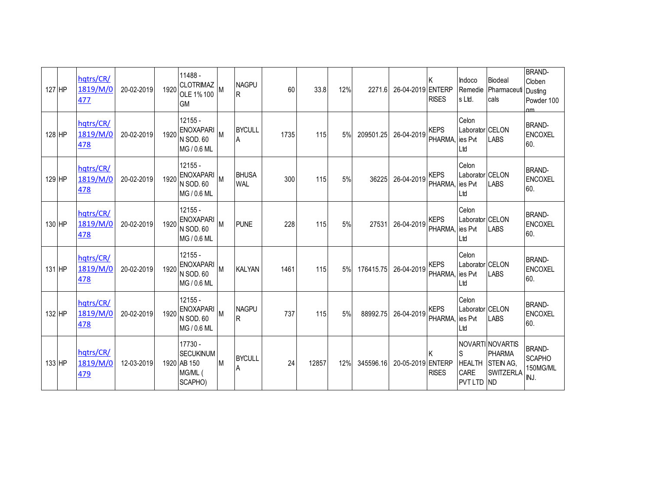| 127 HP | hqtrs/CR/<br>1819/M/0<br>477        | 20-02-2019 | 1920 | 11488 -<br><b>CLOTRIMAZ</b><br>OLE 1% 100<br><b>GM</b>           |   | <b>NAGPU</b><br>IR.        | 60   | 33.8  | 12% | 2271.6    | 26-04-2019 ENTERP | <b>RISES</b>                 | Indoco<br>Remedie<br>s Ltd.                | <b>Biodeal</b><br>Pharmaceuti<br>cals                              | <b>BRAND-</b><br>Cloben<br>Dusting<br>Powder 100<br>αm |
|--------|-------------------------------------|------------|------|------------------------------------------------------------------|---|----------------------------|------|-------|-----|-----------|-------------------|------------------------------|--------------------------------------------|--------------------------------------------------------------------|--------------------------------------------------------|
| 128 HP | hqtrs/CR/<br>1819/M/0<br><u>478</u> | 20-02-2019 | 1920 | $12155 -$<br>ENOXAPARI M<br>N SOD. 60<br>MG / 0.6 ML             |   | <b>BYCULL</b><br>A         | 1735 | 115   | 5%  | 209501.25 | 26-04-2019        | <b>KEPS</b><br>PHARMA,       | Celon<br>Laborator CELON<br>ies Pvt<br>Ltd | <b>LABS</b>                                                        | <b>BRAND-</b><br><b>ENCOXEL</b><br>60.                 |
| 129 HP | hqtrs/CR/<br>1819/M/0<br>478        | 20-02-2019 | 1920 | $12155 -$<br><b>ENOXAPARI</b><br><b>N SOD.60</b><br>MG / 0.6 ML  |   | <b>BHUSA</b><br><b>WAL</b> | 300  | 115   | 5%  | 36225     | 26-04-2019        | <b>KEPS</b><br><b>PHARMA</b> | Celon<br>Laborator CELON<br>ies Pvt<br>Ltd | <b>LABS</b>                                                        | <b>BRAND-</b><br><b>ENCOXEL</b><br>60.                 |
| 130 HP | hqtrs/CR/<br>1819/M/0<br>478        | 20-02-2019 | 1920 | 12155 -<br><b>ENOXAPARI</b><br><b>N SOD.60</b><br>MG / 0.6 ML    |   | <b>PUNE</b>                | 228  | 115   | 5%  | 27531     | 26-04-2019        | <b>KEPS</b><br><b>PHARMA</b> | Celon<br>Laborator CELON<br>ies Pvt<br>Ltd | <b>LABS</b>                                                        | <b>BRAND-</b><br><b>ENCOXEL</b><br>60.                 |
| 131 HP | hqtrs/CR/<br>1819/M/0<br><u>478</u> | 20-02-2019 | 1920 | $12155 -$<br><b>ENOXAPARI</b><br>N SOD. 60<br>MG / 0.6 ML        |   | <b>KALYAN</b>              | 1461 | 115   | 5%  | 176415.75 | 26-04-2019        | <b>KEPS</b><br><b>PHARMA</b> | Celon<br>Laborator CELON<br>ies Pvt<br>Ltd | <b>LABS</b>                                                        | <b>BRAND-</b><br><b>ENCOXEL</b><br>60.                 |
| 132 HP | hqtrs/CR/<br>1819/M/0<br>478        | 20-02-2019 | 1920 | $12155 -$<br><b>ENOXAPARI</b><br>N SOD. 60<br>MG / 0.6 ML        |   | <b>NAGPU</b><br>lR.        | 737  | 115   | 5%  | 88992.75  | 26-04-2019        | <b>KEPS</b><br><b>PHARMA</b> | Celon<br>Laborator CELON<br>ies Pvt<br>Ltd | <b>LABS</b>                                                        | <b>BRAND-</b><br><b>ENCOXEL</b><br>60.                 |
| 133 HP | hqtrs/CR/<br>1819/M/0<br>479        | 12-03-2019 |      | 17730 -<br><b>SECUKINUM</b><br>1920 AB 150<br>MG/ML (<br>SCAPHO) | M | <b>BYCULL</b><br>A         | 24   | 12857 | 12% | 345596.16 | 20-05-2019 ENTERP | <b>RISES</b>                 | S<br><b>HEALTH</b><br>CARE<br>PVT LTD ND   | NOVARTI NOVARTIS<br>PHARMA<br><b>STEIN AG.</b><br><b>SWITZERLA</b> | <b>BRAND-</b><br><b>SCAPHO</b><br>150MG/ML<br>INJ.     |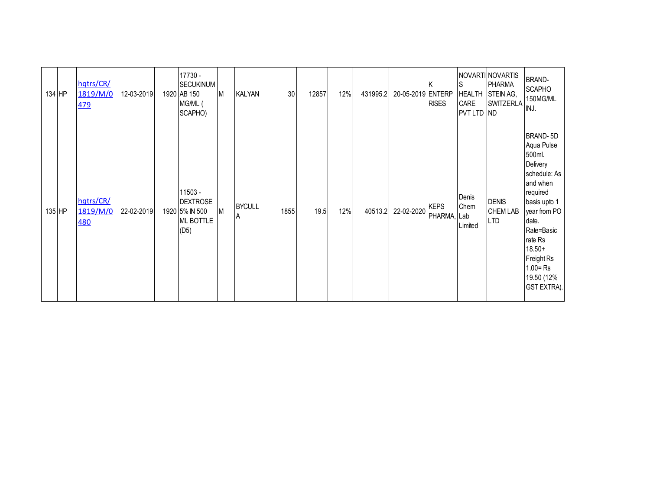| 134 HP | hqtrs/CR/<br>1819/M/0<br>479        | 12-03-2019 | 17730 -<br><b>SECUKINUM</b><br>1920 AB 150<br>MG/ML (<br>SCAPHO)  | M | <b>KALYAN</b>      | 30   | 12857 | 12% | 431995.2 | 20-05-2019 ENTERP | <b>RISES</b>               | lS<br><b>HEALTH</b><br>CARE<br>PVT LTD ND | NOVARTI NOVARTIS<br><b>PHARMA</b><br>STEIN AG,<br>SWITZERLA | <b>BRAND-</b><br><b>SCAPHO</b><br>150MG/ML<br>INJ.                                                                                                                                                                                  |
|--------|-------------------------------------|------------|-------------------------------------------------------------------|---|--------------------|------|-------|-----|----------|-------------------|----------------------------|-------------------------------------------|-------------------------------------------------------------|-------------------------------------------------------------------------------------------------------------------------------------------------------------------------------------------------------------------------------------|
| 135 HP | hqtrs/CR/<br>1819/M/0<br><b>480</b> | 22-02-2019 | 11503 -<br><b>DEXTROSE</b><br>1920 5% IN 500<br>ML BOTTLE<br>(D5) | M | <b>BYCULL</b><br>A | 1855 | 19.5  | 12% | 40513.2  | 22-02-2020        | <b>KEPS</b><br>PHARMA, Lab | Denis<br>Chem<br>Limited                  | <b>DENIS</b><br><b>CHEM LAB</b><br><b>LTD</b>               | BRAND-5D<br>Aqua Pulse<br>500ml.<br>Delivery<br>schedule: As<br>and when<br>required<br>basis upto 1<br>year from PO<br>date.<br>Rate=Basic<br>rate Rs<br>$18.50+$<br>Freight Rs<br>$1.00 = Rs$<br>19.50 (12%<br><b>GST EXTRA).</b> |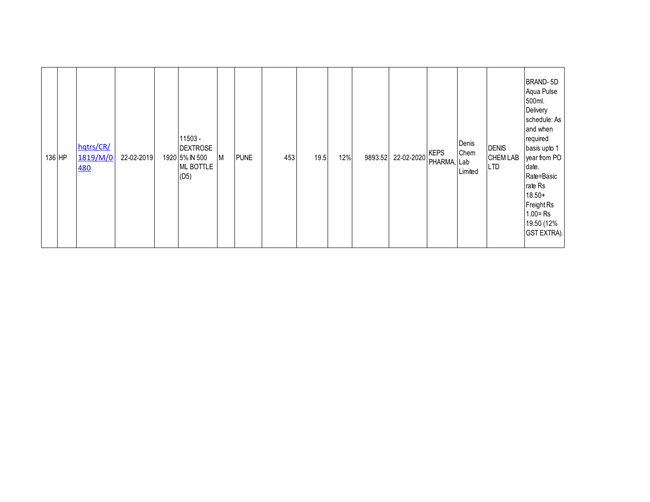| 136 HP | hqtrs/CR/<br>1819/M/0<br>480 | 22-02-2019 |  | 11503 -<br><b>DEXTROSE</b><br>1920 5% IN 500<br>ML BOTTLE<br>(D5) | M | <b>PUNE</b> | 453 | 19.5 | 12% | 9893.52 | 22-02-2020 | <b>KEPS</b><br>PHARMA, Lab | Denis<br>Chem<br>Limited | <b>DENIS</b><br><b>CHEM LAB</b><br><b>LTD</b> | BRAND-5D<br>Aqua Pulse<br>500ml.<br>Delivery<br>schedule: As<br>and when<br>required<br>basis upto 1<br>year from PO<br>date.<br>Rate=Basic<br>rate Rs<br>$18.50+$<br>Freight Rs<br>$1.00 = Rs$<br>19.50 (12%<br>GST EXTRA). |
|--------|------------------------------|------------|--|-------------------------------------------------------------------|---|-------------|-----|------|-----|---------|------------|----------------------------|--------------------------|-----------------------------------------------|------------------------------------------------------------------------------------------------------------------------------------------------------------------------------------------------------------------------------|
|--------|------------------------------|------------|--|-------------------------------------------------------------------|---|-------------|-----|------|-----|---------|------------|----------------------------|--------------------------|-----------------------------------------------|------------------------------------------------------------------------------------------------------------------------------------------------------------------------------------------------------------------------------|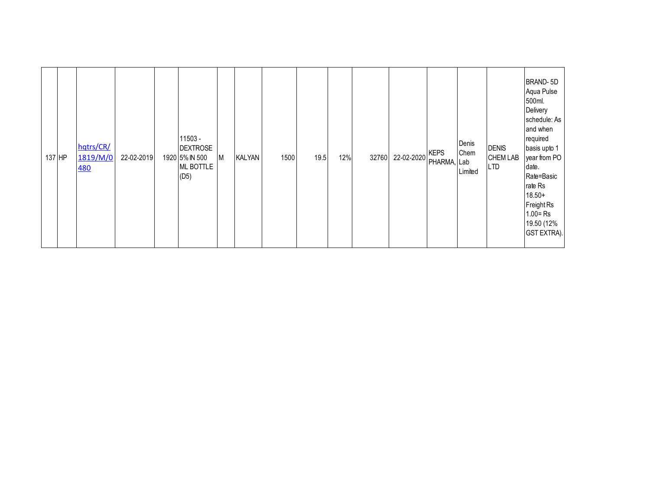| 137 HP |  | hqtrs/CR/<br>1819/M/0<br>480 | 22-02-2019 |  | 11503 -<br><b>DEXTROSE</b><br>1920 5% IN 500<br>ML BOTTLE<br>(D5) | M | <b>KALYAN</b> | 1500 | 19.5 | 12% | 32760 | 22-02-2020 | <b>KEPS</b><br>PHARMA, Lab | Denis<br>Chem<br>Limited | <b>DENIS</b><br><b>CHEM LAB</b><br><b>LTD</b> | BRAND-5D<br>Aqua Pulse<br>500ml.<br>Delivery<br>schedule: As<br>and when<br>required<br>basis upto 1<br>year from PO<br>date.<br>Rate=Basic<br>rate Rs<br>$18.50+$<br>Freight Rs<br>$1.00 = Rs$<br>19.50 (12%<br>GST EXTRA). |
|--------|--|------------------------------|------------|--|-------------------------------------------------------------------|---|---------------|------|------|-----|-------|------------|----------------------------|--------------------------|-----------------------------------------------|------------------------------------------------------------------------------------------------------------------------------------------------------------------------------------------------------------------------------|
|--------|--|------------------------------|------------|--|-------------------------------------------------------------------|---|---------------|------|------|-----|-------|------------|----------------------------|--------------------------|-----------------------------------------------|------------------------------------------------------------------------------------------------------------------------------------------------------------------------------------------------------------------------------|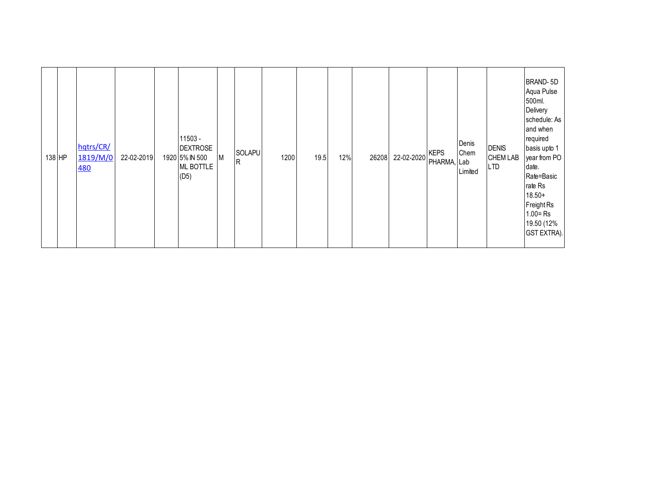| 138 HP | hqtrs/CR/<br>1819/M/0<br><b>480</b> | 22-02-2019 |  | 11503 -<br><b>DEXTROSE</b><br>1920 5% IN 500<br>ML BOTTLE<br>(D5) | M | SOLAPU<br>R | 1200 | 19.5 | 12% | 26208 | 22-02-2020 | <b>KEPS</b><br>PHARMA, Lab | Denis<br>Chem<br>Limited | <b>DENIS</b><br><b>CHEM LAB</b><br><b>LTD</b> | BRAND-5D<br>Aqua Pulse<br>500ml.<br>Delivery<br>schedule: As<br>and when<br>required<br>basis upto 1<br>year from PO<br>date.<br>Rate=Basic<br>rate Rs<br>$18.50+$<br>Freight Rs<br>$1.00 = Rs$<br>19.50 (12%<br>GST EXTRA). |
|--------|-------------------------------------|------------|--|-------------------------------------------------------------------|---|-------------|------|------|-----|-------|------------|----------------------------|--------------------------|-----------------------------------------------|------------------------------------------------------------------------------------------------------------------------------------------------------------------------------------------------------------------------------|
|--------|-------------------------------------|------------|--|-------------------------------------------------------------------|---|-------------|------|------|-----|-------|------------|----------------------------|--------------------------|-----------------------------------------------|------------------------------------------------------------------------------------------------------------------------------------------------------------------------------------------------------------------------------|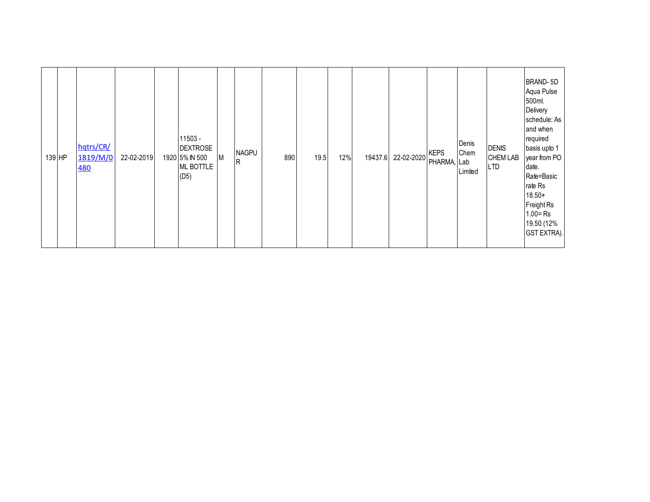|  | 139 HP | hqtrs/CR/<br>1819/M/0<br><b>480</b> | 22-02-2019 |  | 11503 -<br><b>DEXTROSE</b><br>1920 5% IN 500<br>ML BOTTLE<br>(D5) | M | <b>NAGPU</b><br>$\overline{R}$ | 890 | 19.5 | 12% | 19437.6 | 22-02-2020 | <b>KEPS</b><br>PHARMA, Lab | Denis<br>Chem<br>Limited | <b>DENIS</b><br><b>CHEM LAB</b><br><b>LTD</b> | BRAND-5D<br>Aqua Pulse<br>500ml.<br>Delivery<br>schedule: As<br>and when<br>required<br>basis upto 1<br>year from PO<br>date.<br>Rate=Basic<br>rate Rs<br>$18.50+$<br>Freight Rs<br>$1.00 = Rs$<br>19.50 (12%<br>GST EXTRA). |
|--|--------|-------------------------------------|------------|--|-------------------------------------------------------------------|---|--------------------------------|-----|------|-----|---------|------------|----------------------------|--------------------------|-----------------------------------------------|------------------------------------------------------------------------------------------------------------------------------------------------------------------------------------------------------------------------------|
|--|--------|-------------------------------------|------------|--|-------------------------------------------------------------------|---|--------------------------------|-----|------|-----|---------|------------|----------------------------|--------------------------|-----------------------------------------------|------------------------------------------------------------------------------------------------------------------------------------------------------------------------------------------------------------------------------|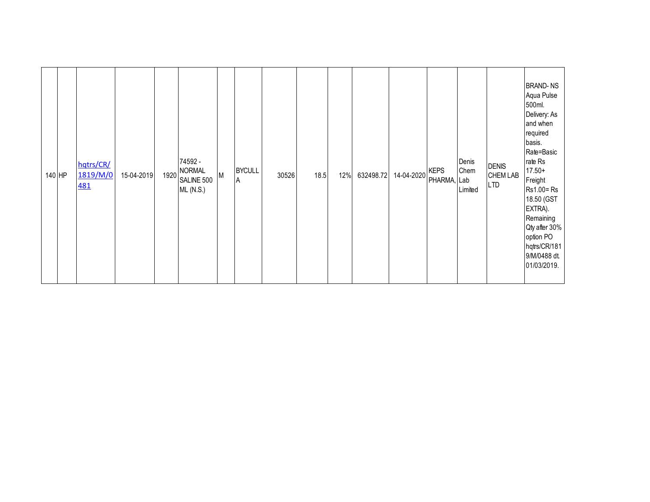| hqtrs/CR/<br>1819/M/0<br>140 HP<br><b>481</b> | 15-04-2019 | 1920 | 74592 -<br><b>NORMAL</b><br>SALINE 500<br><b>ML (N.S.)</b> | M | <b>BYCULL</b><br>$\overline{A}$ | 30526 | 18.5 | 12% | 632498.72 | 14-04-2020 | <b>KEPS</b><br>PHARMA, Lab | Denis<br>Chem<br>Limited | <b>DENIS</b><br><b>CHEM LAB</b><br><b>LTD</b> | <b>BRAND-NS</b><br>Aqua Pulse<br>500ml.<br>Delivery: As<br>and when<br>required<br>basis.<br>Rate=Basic<br>rate Rs<br>$17.50+$<br>Freight<br>Rs1.00=Rs<br>18.50 (GST<br>EXTRA).<br>Remaining<br>Qty after 30%<br>option PO<br>hqtrs/CR/181<br>9/M/0488 dt.<br>01/03/2019. |
|-----------------------------------------------|------------|------|------------------------------------------------------------|---|---------------------------------|-------|------|-----|-----------|------------|----------------------------|--------------------------|-----------------------------------------------|---------------------------------------------------------------------------------------------------------------------------------------------------------------------------------------------------------------------------------------------------------------------------|
|-----------------------------------------------|------------|------|------------------------------------------------------------|---|---------------------------------|-------|------|-----|-----------|------------|----------------------------|--------------------------|-----------------------------------------------|---------------------------------------------------------------------------------------------------------------------------------------------------------------------------------------------------------------------------------------------------------------------------|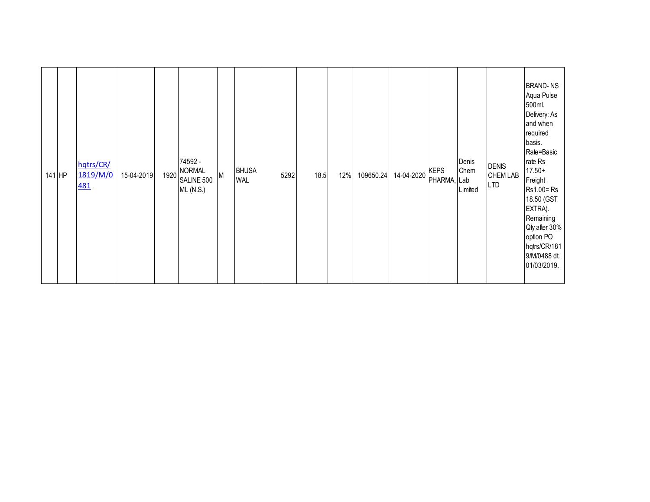| 141 HP | hqtrs/CR/<br>1819/M/0<br><b>481</b> | 1920<br>15-04-2019 | 74592 -<br><b>NORMAL</b><br>M<br>SALINE 500<br><b>ML (N.S.)</b> | <b>BHUSA</b><br><b>WAL</b> | 5292 | 18.5 | 12% | 109650.24 | 14-04-2020 | <b>KEPS</b><br>PHARMA, Lab | Denis<br>Chem<br>Limited | <b>DENIS</b><br><b>CHEM LAB</b><br><b>LTD</b> | <b>BRAND-NS</b><br>Aqua Pulse<br>500ml.<br>Delivery: As<br>and when<br>required<br>basis.<br>Rate=Basic<br>rate Rs<br>$17.50+$<br>Freight<br>Rs1.00=Rs<br>18.50 (GST<br>EXTRA).<br>Remaining<br>Qty after 30%<br>option PO<br>hqtrs/CR/181<br>9/M/0488 dt.<br>01/03/2019. |
|--------|-------------------------------------|--------------------|-----------------------------------------------------------------|----------------------------|------|------|-----|-----------|------------|----------------------------|--------------------------|-----------------------------------------------|---------------------------------------------------------------------------------------------------------------------------------------------------------------------------------------------------------------------------------------------------------------------------|
|--------|-------------------------------------|--------------------|-----------------------------------------------------------------|----------------------------|------|------|-----|-----------|------------|----------------------------|--------------------------|-----------------------------------------------|---------------------------------------------------------------------------------------------------------------------------------------------------------------------------------------------------------------------------------------------------------------------------|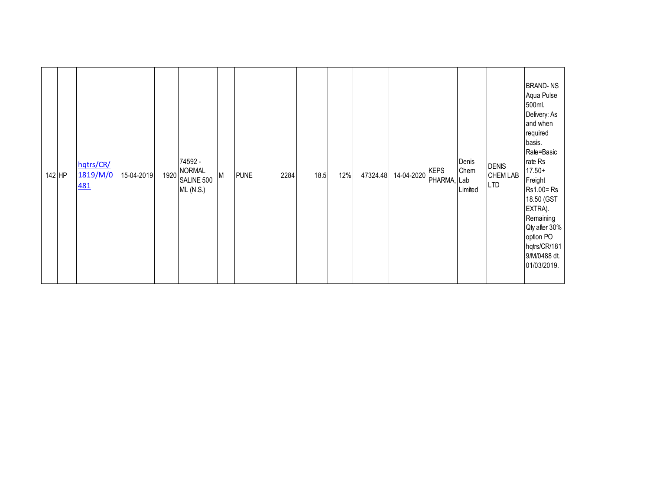| 74592 -<br>Denis<br>hqtrs/CR/<br><b>DENIS</b><br><b>NORMAL</b><br><b>KEPS</b><br>Chem<br>1819/M/0<br>14-04-2020<br>18.5<br>12%<br>47324.48<br><b>CHEM LAB</b><br>142 HP<br>15-04-2019<br>1920<br>M<br><b>PUNE</b><br>2284<br>PHARMA, Lab<br>SALINE 500<br><b>LTD</b><br><b>481</b><br>Limited<br>ML(N.S.) |
|-----------------------------------------------------------------------------------------------------------------------------------------------------------------------------------------------------------------------------------------------------------------------------------------------------------|
|-----------------------------------------------------------------------------------------------------------------------------------------------------------------------------------------------------------------------------------------------------------------------------------------------------------|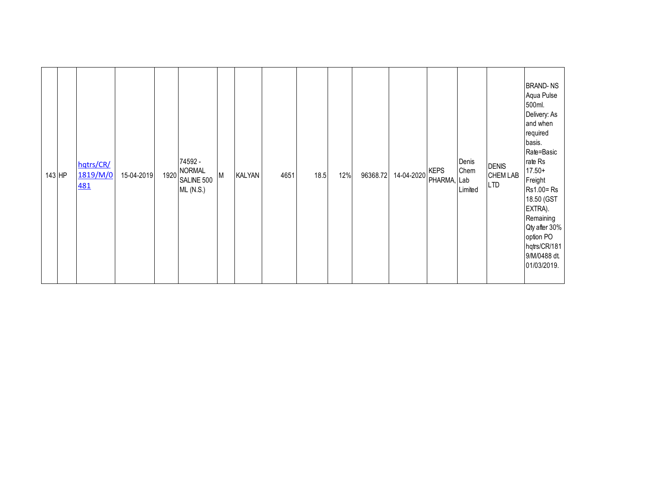| 143 HP | hqtrs/CR/<br>1819/M/0<br><b>481</b> | 15-04-2019 | 1920 | 74592 -<br><b>NORMAL</b><br>SALINE 500<br>ML(N.S.) | M | <b>KALYAN</b> | 4651 | 18.5 | 12% | 96368.72 | 14-04-2020 | <b>KEPS</b><br>PHARMA, Lab | Denis<br>Chem<br>Limited | <b>DENIS</b><br><b>CHEM LAB</b><br><b>LTD</b> | <b>BRAND-NS</b><br>Aqua Pulse<br>500ml.<br>Delivery: As<br>and when<br>required<br>basis.<br>Rate=Basic<br>rate Rs<br>$17.50+$<br>Freight<br>Rs1.00=Rs<br>18.50 (GST<br>EXTRA).<br>Remaining<br>Qty after 30%<br>option PO<br>hqtrs/CR/181<br>9/M/0488 dt.<br>01/03/2019. |
|--------|-------------------------------------|------------|------|----------------------------------------------------|---|---------------|------|------|-----|----------|------------|----------------------------|--------------------------|-----------------------------------------------|---------------------------------------------------------------------------------------------------------------------------------------------------------------------------------------------------------------------------------------------------------------------------|
|--------|-------------------------------------|------------|------|----------------------------------------------------|---|---------------|------|------|-----|----------|------------|----------------------------|--------------------------|-----------------------------------------------|---------------------------------------------------------------------------------------------------------------------------------------------------------------------------------------------------------------------------------------------------------------------------|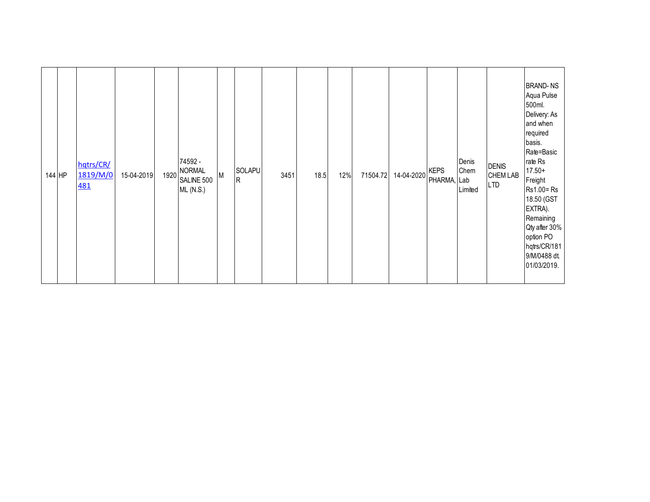| 144 HP | hqtrs/CR/<br>1819/M/0<br><b>481</b> | 1920<br>15-04-2019 | 74592 -<br><b>NORMAL</b><br>SOLAPU<br>M<br>R<br>SALINE 500<br><b>ML (N.S.)</b> | 3451<br>18.5 | 12%<br>71504.72 | 14-04-2020 | <b>KEPS</b><br>PHARMA, Lab | Denis<br>Chem<br>Limited | <b>DENIS</b><br><b>CHEM LAB</b><br><b>LTD</b> | <b>BRAND-NS</b><br>Aqua Pulse<br>500ml.<br>Delivery: As<br>and when<br>required<br>basis.<br>Rate=Basic<br>rate Rs<br>$17.50+$<br>Freight<br>Rs1.00=Rs<br>18.50 (GST<br>EXTRA).<br>Remaining<br>Qty after 30%<br>option PO<br>hqtrs/CR/181<br>9/M/0488 dt.<br>01/03/2019. |
|--------|-------------------------------------|--------------------|--------------------------------------------------------------------------------|--------------|-----------------|------------|----------------------------|--------------------------|-----------------------------------------------|---------------------------------------------------------------------------------------------------------------------------------------------------------------------------------------------------------------------------------------------------------------------------|
|--------|-------------------------------------|--------------------|--------------------------------------------------------------------------------|--------------|-----------------|------------|----------------------------|--------------------------|-----------------------------------------------|---------------------------------------------------------------------------------------------------------------------------------------------------------------------------------------------------------------------------------------------------------------------------|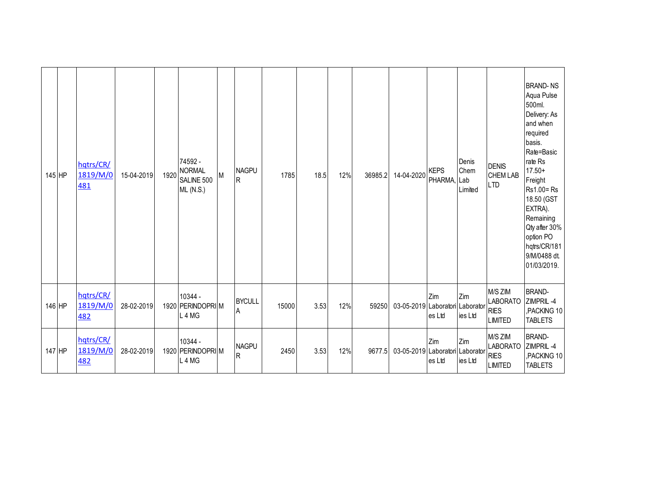| 145 HP | hatrs/CR/<br>1819/M/0<br><u>481</u> | 15-04-2019 | 1920 | 74592 -<br><b>NORMAL</b><br>SALINE 500<br><b>ML (N.S.)</b> | M | <b>NAGPU</b><br>R         | 1785  | 18.5 | 12% | 36985.2 | 14-04-2020                      | <b>KEPS</b><br>PHARMA, Lab            | Denis<br>Chem<br>Limited | <b>DENIS</b><br><b>CHEM LAB</b><br><b>LTD</b>               | <b>BRAND-NS</b><br>Aqua Pulse<br>500ml.<br>Delivery: As<br>and when<br>required<br>basis.<br>Rate=Basic<br>rate Rs<br>$17.50+$<br>Freight<br>Rs1.00=Rs<br>18.50 (GST<br>EXTRA).<br>Remaining<br>Qty after 30%<br>option PO<br>hqtrs/CR/181<br>9/M/0488 dt.<br>01/03/2019. |
|--------|-------------------------------------|------------|------|------------------------------------------------------------|---|---------------------------|-------|------|-----|---------|---------------------------------|---------------------------------------|--------------------------|-------------------------------------------------------------|---------------------------------------------------------------------------------------------------------------------------------------------------------------------------------------------------------------------------------------------------------------------------|
| 146 HP | hatrs/CR/<br>1819/M/0<br>482        | 28-02-2019 |      | 10344 -<br>1920 PERINDOPRIM<br>L <sub>4</sub> MG           |   | <b>BYCULL</b><br>A        | 15000 | 3.53 | 12% | 59250   | 03-05-2019                      | Zim<br>Laboratori Laborator<br>es Ltd | Zim<br>ies Ltd           | M/S ZIM<br><b>LABORATO</b><br><b>RIES</b><br><b>LIMITED</b> | <b>BRAND-</b><br>ZIMPRIL-4<br>,PACKING 10<br><b>TABLETS</b>                                                                                                                                                                                                               |
| 147 HP | hqtrs/CR/<br>1819/M/0<br><b>482</b> | 28-02-2019 |      | 10344 -<br>1920 PERINDOPRI M<br>L4MG                       |   | <b>NAGPU</b><br>${\sf R}$ | 2450  | 3.53 | 12% | 9677.5  | 03-05-2019 Laboratori Laborator | Zim<br>es Ltd                         | Zim<br>ies Ltd           | M/S ZIM<br><b>LABORATO</b><br><b>RIES</b><br><b>LIMITED</b> | <b>BRAND-</b><br>ZIMPRIL-4<br>,PACKING 10<br><b>TABLETS</b>                                                                                                                                                                                                               |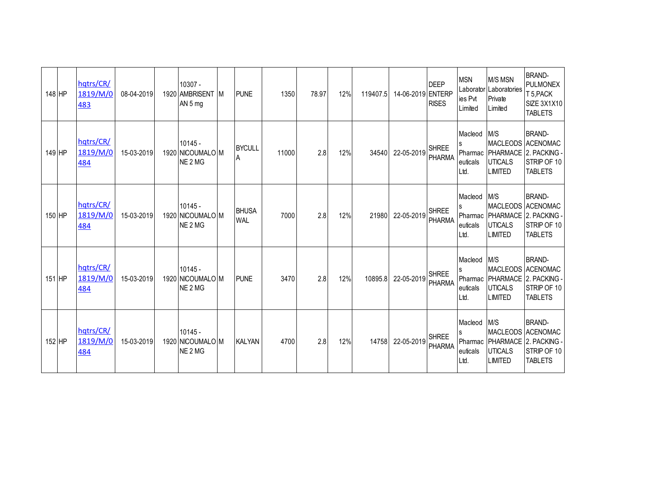| 148 HP | hqtrs/CR/<br>1819/M/0<br>483        | 08-04-2019 | 10307 -<br>1920 AMBRISENT M<br>AN 5 mg                          | <b>PUNE</b>                | 1350  | 78.97 | 12% | 119407.5 | 14-06-2019 ENTERP | <b>DEEP</b><br><b>RISES</b>   | <b>MSN</b><br>ies Pvt<br>Limited            | <b>M/S MSN</b><br>Laborator Laboratories<br>Private<br>Limited | <b>BRAND-</b><br><b>PULMONEX</b><br>T 5, PACK<br><b>SIZE 3X1X10</b><br><b>TABLETS</b>                    |
|--------|-------------------------------------|------------|-----------------------------------------------------------------|----------------------------|-------|-------|-----|----------|-------------------|-------------------------------|---------------------------------------------|----------------------------------------------------------------|----------------------------------------------------------------------------------------------------------|
| 149 HP | hqtrs/CR/<br>1819/M/0<br>484        | 15-03-2019 | $10145 -$<br>1920 NICOUMALO M<br>NE <sub>2</sub> MG             | <b>BYCULL</b><br>A         | 11000 | 2.8   | 12% | 34540    | 22-05-2019        | <b>SHREE</b><br>PHARMA        | Macleod<br>s<br>Pharmac<br>euticals<br>Ltd. | M/S<br><b>UTICALS</b><br><b>LIMITED</b>                        | <b>BRAND-</b><br>MACLEODS ACENOMAC<br>PHARMACE 2. PACKING -<br>STRIP OF 10<br><b>TABLETS</b>             |
| 150 HP | hqtrs/CR/<br>1819/M/0<br>484        | 15-03-2019 | $10145 -$<br>1920 NICOUMALO M<br>NE <sub>2</sub> M <sub>G</sub> | <b>BHUSA</b><br><b>WAL</b> | 7000  | 2.8   | 12% | 21980    | 22-05-2019        | <b>SHREE</b><br>PHARMA        | Macleod<br>Pharmac<br>euticals<br>Ltd.      | M/S<br><b>UTICALS</b><br><b>LIMITED</b>                        | <b>BRAND-</b><br>MACLEODS ACENOMAC<br>PHARMACE 2. PACKING -<br>STRIP OF 10<br><b>TABLETS</b>             |
| 151 HP | hqtrs/CR/<br>1819/M/0<br>484        | 15-03-2019 | $10145 -$<br>1920 NICOUMALO M<br>NE <sub>2</sub> M <sub>G</sub> | <b>PUNE</b>                | 3470  | 2.8   | 12% | 10895.8  | 22-05-2019        | <b>SHREE</b><br><b>PHARMA</b> | Macleod M/S<br>euticals<br>Ltd.             | <b>UTICALS</b><br><b>LIMITED</b>                               | <b>BRAND-</b><br>MACLEODS ACENOMAC<br>Pharmac   PHARMACE   2. PACKING -<br>STRIP OF 10<br><b>TABLETS</b> |
| 152 HP | hqtrs/CR/<br>1819/M/0<br><u>484</u> | 15-03-2019 | $10145 -$<br>1920 NICOUMALO M<br>NE <sub>2</sub> MG             | <b>KALYAN</b>              | 4700  | 2.8   | 12% | 14758    | 22-05-2019        | <b>SHREE</b><br><b>PHARMA</b> | Macleod<br>euticals<br>Ltd.                 | M/S<br><b>UTICALS</b><br><b>LIMITED</b>                        | <b>BRAND-</b><br>MACLEODS ACENOMAC<br>Pharmac PHARMACE 2. PACKING -<br>STRIP OF 10<br><b>TABLETS</b>     |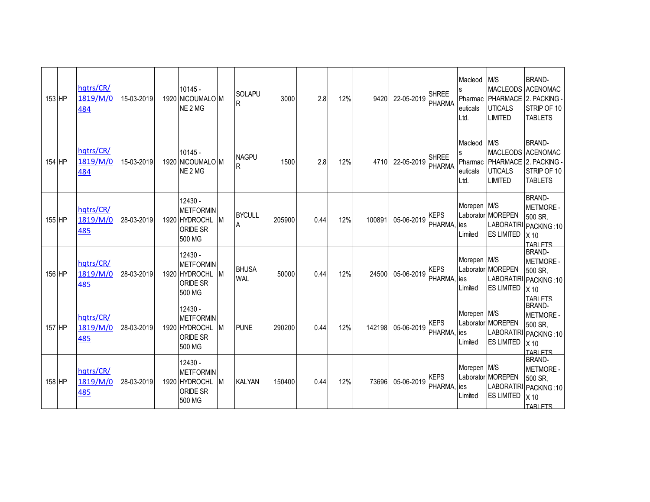| 153 HP | hqtrs/CR/<br>1819/M/0<br>484 | 15-03-2019 | 10145 -<br>1920 NICOUMALO M<br>NE <sub>2</sub> MG                    |           | <b>SOLAPU</b><br>R           | 3000   | 2.8  | 12% | 9420   | 22-05-2019 | <b>SHREE</b><br><b>PHARMA</b> | Macleod<br>Pharmac<br>euticals<br>Ltd.      | M/S<br><b>UTICALS</b><br><b>LIMITED</b>                     | <b>BRAND-</b><br>MACLEODS ACENOMAC<br>PHARMACE 2. PACKING -<br>STRIP OF 10<br><b>TABLETS</b>                 |
|--------|------------------------------|------------|----------------------------------------------------------------------|-----------|------------------------------|--------|------|-----|--------|------------|-------------------------------|---------------------------------------------|-------------------------------------------------------------|--------------------------------------------------------------------------------------------------------------|
| 154 HP | hqtrs/CR/<br>1819/M/0<br>484 | 15-03-2019 | $10145 -$<br>1920 NICOUMALO M<br>NE <sub>2</sub> MG                  |           | <b>NAGPU</b><br>$\mathsf{R}$ | 1500   | 2.8  | 12% | 4710   | 22-05-2019 | <b>SHREE</b><br><b>PHARMA</b> | Macleod<br>s<br>Pharmac<br>euticals<br>Ltd. | M/S<br><b>UTICALS</b><br><b>LIMITED</b>                     | <b>BRAND-</b><br>MACLEODS ACENOMAC<br>PHARMACE 2. PACKING -<br>STRIP OF 10<br><b>TABLETS</b>                 |
| 155 HP | hqtrs/CR/<br>1819/M/0<br>485 | 28-03-2019 | 12430 -<br><b>METFORMIN</b><br>1920 HYDROCHL<br>ORIDE SR<br>500 MG   |           | <b>BYCULL</b><br>A           | 205900 | 0.44 | 12% | 100891 | 05-06-2019 | <b>KEPS</b><br>PHARMA,        | Morepen M/S<br>ies<br>Limited               | Laborator MOREPEN<br><b>ES LIMITED</b>                      | <b>BRAND-</b><br><b>METMORE -</b><br>500 SR,<br>LABORATIRI PACKING: 10<br>X <sub>10</sub><br><b>TARI FTS</b> |
| 156 HP | hqtrs/CR/<br>1819/M/0<br>485 | 28-03-2019 | 12430 -<br><b>METFORMIN</b><br>1920 HYDROCHL<br>ORIDE SR<br>500 MG   | <b>IM</b> | <b>BHUSA</b><br><b>WAL</b>   | 50000  | 0.44 | 12% | 24500  | 05-06-2019 | <b>KEPS</b><br>PHARMA,        | Morepen M/S<br>ies<br>Limited               | Laborator MOREPEN<br><b>LABORATIRI</b><br><b>ES LIMITED</b> | <b>BRAND-</b><br><b>METMORE -</b><br>500 SR.<br>PACKING: 10<br>X <sub>10</sub><br><b>TARLETS</b>             |
| 157 HP | hqtrs/CR/<br>1819/M/0<br>485 | 28-03-2019 | 12430 -<br><b>METFORMIN</b><br>1920 HYDROCHL<br>ORIDE SR<br>500 MG   | IM.       | <b>PUNE</b>                  | 290200 | 0.44 | 12% | 142198 | 05-06-2019 | <b>KEPS</b><br>PHARMA,        | Morepen M/S<br>lies<br>Limited              | Laborator MOREPEN<br><b>LABORATIRI</b><br><b>ES LIMITED</b> | <b>BRAND-</b><br><b>METMORE -</b><br>500 SR,<br>PACKING: 10<br>X <sub>10</sub><br><b>TARLETS</b>             |
| 158 HP | hatrs/CR/<br>1819/M/0<br>485 | 28-03-2019 | $12430 -$<br><b>METFORMIN</b><br>1920 HYDROCHL<br>ORIDE SR<br>500 MG | M         | <b>KALYAN</b>                | 150400 | 0.44 | 12% | 73696  | 05-06-2019 | <b>KEPS</b><br>PHARMA,        | Morepen M/S<br>ies<br>Limited               | Laborator MOREPEN<br><b>ES LIMITED</b>                      | <b>BRAND-</b><br><b>METMORE -</b><br>500 SR,<br>LABORATIRI PACKING: 10<br>X <sub>10</sub><br><b>TARLETS</b>  |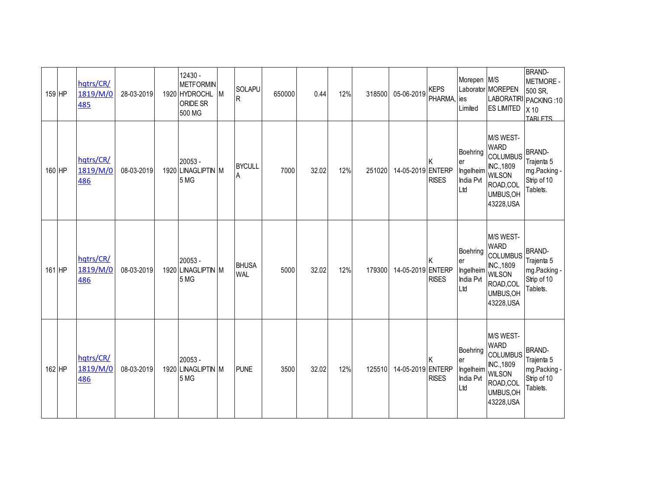| 159 HP   | hqtrs/CR/<br>1819/M/0<br><u>485</u> | 28-03-2019 | 12430 -<br><b>METFORMIN</b><br>1920 HYDROCHL M<br>ORIDE SR<br>500 MG | SOLAPU<br>lR.              | 650000 | 0.44  | 12% | 318500 | 05-06-2019        | <b>KEPS</b><br>PHARMA, ies | Morepen M/S<br>Limited                          | Laborator MOREPEN<br><b>ES LIMITED</b>                                                                             | <b>BRAND-</b><br><b>METMORE -</b><br>500 SR,<br>LABORATIRI PACKING: 10<br>X <sub>10</sub><br><b>TARLETS</b> |
|----------|-------------------------------------|------------|----------------------------------------------------------------------|----------------------------|--------|-------|-----|--------|-------------------|----------------------------|-------------------------------------------------|--------------------------------------------------------------------------------------------------------------------|-------------------------------------------------------------------------------------------------------------|
| 160 HP   | hqtrs/CR/<br>1819/M/0<br>486        | 08-03-2019 | 20053 -<br>1920 LINAGLIPTIN M<br>5 MG                                | <b>BYCULL</b><br>A         | 7000   | 32.02 | 12% | 251020 | 14-05-2019 ENTERP | <b>RISES</b>               | Boehring<br>er<br>Ingelheim<br>India Pvt<br>Ltd | M/S WEST-<br><b>WARD</b><br><b>COLUMBUS</b><br>INC., 1809<br><b>WILSON</b><br>ROAD, COL<br>UMBUS, OH<br>43228, USA | <b>BRAND-</b><br>Trajenta 5<br>mg.Packing -<br>Strip of 10<br>Tablets.                                      |
| $161$ HP | hqtrs/CR/<br>1819/M/0<br>486        | 08-03-2019 | $20053 -$<br>1920 LINAGLIPTIN M<br>5 MG                              | <b>BHUSA</b><br><b>WAL</b> | 5000   | 32.02 | 12% | 179300 | 14-05-2019 ENTERP | <b>RISES</b>               | Boehring<br>er<br>Ingelheim<br>India Pvt<br>Ltd | M/S WEST-<br><b>WARD</b><br><b>COLUMBUS</b><br>INC., 1809<br><b>WILSON</b><br>ROAD, COL<br>UMBUS, OH<br>43228, USA | <b>BRAND-</b><br>Trajenta 5<br>mg.Packing -<br>Strip of 10<br>Tablets.                                      |
| 162 HP   | hqtrs/CR/<br>1819/M/0<br>486        | 08-03-2019 | $20053 -$<br>1920 LINAGLIPTIN M<br>5 MG                              | <b>PUNE</b>                | 3500   | 32.02 | 12% | 125510 | 14-05-2019 ENTERP | <b>RISES</b>               | Boehring<br>er<br>Ingelheim<br>India Pvt<br>Ltd | M/S WEST-<br><b>WARD</b><br><b>COLUMBUS</b><br>INC., 1809<br><b>WILSON</b><br>ROAD,COL<br>UMBUS, OH<br>43228, USA  | <b>BRAND-</b><br>Trajenta 5<br>mg.Packing -<br>Strip of 10<br>Tablets.                                      |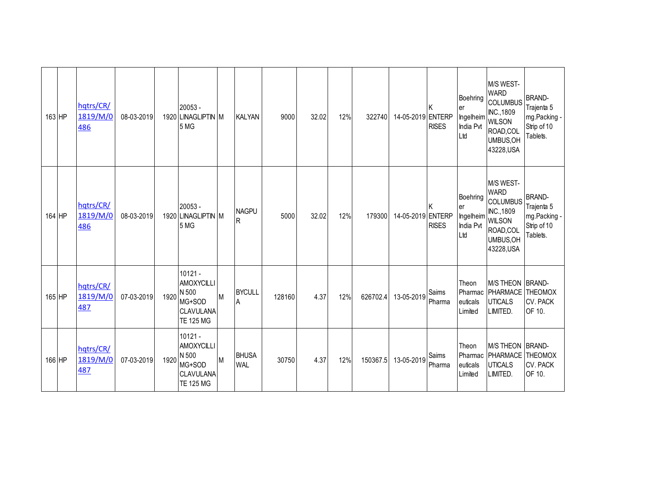| 163 HP | hqtrs/CR/<br>1819/M/0<br>486 | 08-03-2019 |      | 20053 -<br>1920 LINAGLIPTIN M<br>5 MG                                              |   | <b>KALYAN</b>                | 9000   | 32.02 | 12% | 322740   | 14-05-2019 ENTERP | <b>RISES</b>       | Boehring<br>er<br>Ingelheim WILSON<br>India Pvt<br>Ltd | M/S WEST-<br><b>WARD</b><br><b>COLUMBUS</b><br>INC., 1809<br>ROAD,COL<br>UMBUS, OH<br>43228, USA | <b>BRAND-</b><br>Trajenta 5<br>mg.Packing -<br>Strip of 10<br>Tablets. |
|--------|------------------------------|------------|------|------------------------------------------------------------------------------------|---|------------------------------|--------|-------|-----|----------|-------------------|--------------------|--------------------------------------------------------|--------------------------------------------------------------------------------------------------|------------------------------------------------------------------------|
| 164 HP | hqtrs/CR/<br>1819/M/0<br>486 | 08-03-2019 |      | $20053 -$<br>1920 LINAGLIPTIN M<br>5 MG                                            |   | <b>NAGPU</b><br>$\mathsf{R}$ | 5000   | 32.02 | 12% | 179300   | 14-05-2019 ENTERP | ΙK<br><b>RISES</b> | Boehring<br>er<br>Ingelheim WILSON<br>India Pvt<br>Ltd | M/S WEST-<br><b>WARD</b><br><b>COLUMBUS</b><br>INC., 1809<br>ROAD,COL<br>UMBUS, OH<br>43228, USA | <b>BRAND-</b><br>Trajenta 5<br>mg.Packing -<br>Strip of 10<br>Tablets. |
| 165 HP | hqtrs/CR/<br>1819/M/0<br>487 | 07-03-2019 | 1920 | $10121 -$<br>AMOXYCILLI<br>N 500<br>MG+SOD<br><b>CLAVULANA</b><br><b>TE 125 MG</b> | M | <b>BYCULL</b><br>A           | 128160 | 4.37  | 12% | 626702.4 | 13-05-2019        | Saims<br>Pharma    | Theon<br>euticals<br>Limited                           | M/S THEON BRAND-<br>Pharmac PHARMACE<br><b>UTICALS</b><br>LIMITED.                               | <b>THEOMOX</b><br><b>CV. PACK</b><br>OF 10.                            |
| 166 HP | hqtrs/CR/<br>1819/M/0<br>487 | 07-03-2019 | 1920 | $10121 -$<br><b>AMOXYCILLI</b><br>N 500<br>MG+SOD<br>CLAVULANA<br><b>TE 125 MG</b> | M | <b>BHUSA</b><br><b>WAL</b>   | 30750  | 4.37  | 12% | 150367.5 | 13-05-2019        | Saims<br>Pharma    | Theon<br>euticals<br>Limited                           | M/S THEON BRAND-<br>Pharmac   PHARMACE   THEOMOX<br><b>UTICALS</b><br>LIMITED.                   | <b>CV. PACK</b><br>OF 10.                                              |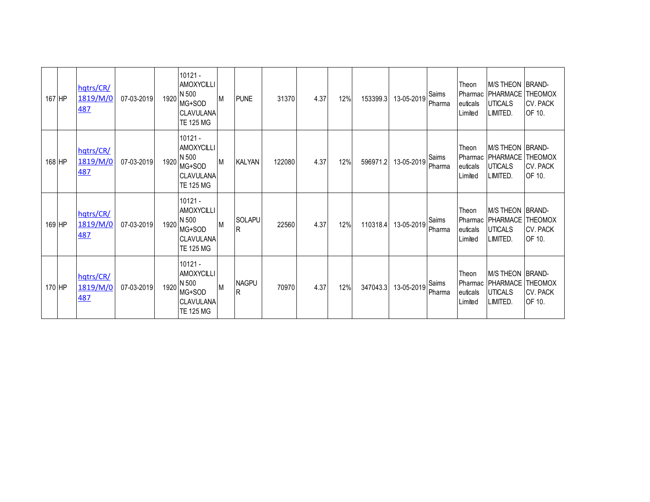| 167 HP | hqtrs/CR/<br>1819/M/0<br><b>487</b> | 07-03-2019 |      | $10121 -$<br>AMOXYCILLI<br>1920 N 500<br>MG+SOD<br><b>CLAVULANA</b><br><b>TE 125 MG</b> | IМ. | <b>PUNE</b>         | 31370  | 4.37 | 12% | 153399.3 | 13-05-2019 | Saims<br>Pharma | Theon<br>euticals<br>Limited | <b>IM/S THEON IBRAND-</b><br>Pharmac   PHARMACE   THEOMOX<br><b>UTICALS</b><br>LIMITED. | <b>CV. PACK</b><br>OF 10. |
|--------|-------------------------------------|------------|------|-----------------------------------------------------------------------------------------|-----|---------------------|--------|------|-----|----------|------------|-----------------|------------------------------|-----------------------------------------------------------------------------------------|---------------------------|
| 168 HP | hqtrs/CR/<br>1819/M/0<br><b>487</b> | 07-03-2019 | 1920 | $10121 -$<br>AMOXYCILLI<br>N 500<br>MG+SOD<br><b>CLAVULANA</b><br><b>TE 125 MG</b>      | M   | <b>KALYAN</b>       | 122080 | 4.37 | 12% | 596971.2 | 13-05-2019 | Saims<br>Pharma | Theon<br>euticals<br>Limited | M/S THEON BRAND-<br>Pharmac   PHARMACE   THEOMOX<br><b>UTICALS</b><br>LIMITED.          | <b>CV. PACK</b><br>OF 10. |
| 169 HP | hqtrs/CR/<br>1819/M/0<br>487        | 07-03-2019 | 1920 | $10121 -$<br>AMOXYCILLI<br>N 500<br>MG+SOD<br><b>CLAVULANA</b><br><b>TE 125 MG</b>      | M   | <b>SOLAPU</b><br>R  | 22560  | 4.37 | 12% | 110318.4 | 13-05-2019 | Saims<br>Pharma | Theon<br>euticals<br>Limited | M/S THEON BRAND-<br>Pharmac   PHARMACE   THEOMOX<br><b>UTICALS</b><br>LIMITED.          | <b>CV. PACK</b><br>OF 10. |
| 170 HP | hqtrs/CR/<br>1819/M/0<br>487        | 07-03-2019 | 1920 | $10121 -$<br>AMOXYCILLI<br>N 500<br>MG+SOD<br><b>CLAVULANA</b><br><b>TE 125 MG</b>      | M   | <b>NAGPU</b><br>lR. | 70970  | 4.37 | 12% | 347043.3 | 13-05-2019 | Saims<br>Pharma | Theon<br>euticals<br>Limited | M/S THEON BRAND-<br>Pharmac   PHARMACE   THEOMOX<br><b>UTICALS</b><br>LIMITED.          | <b>CV. PACK</b><br>OF 10. |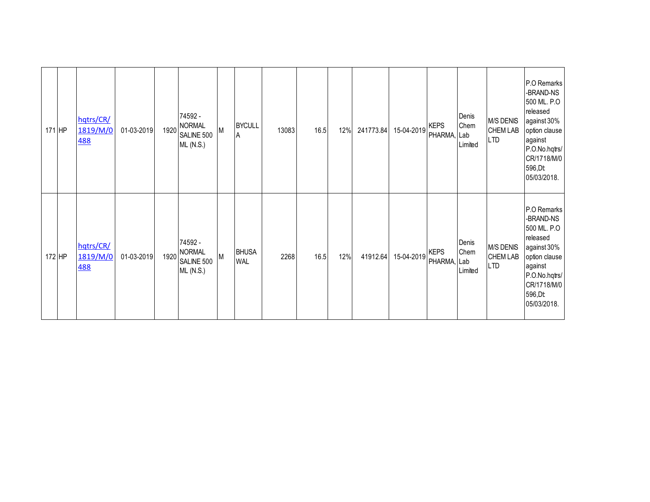| 171 HP | hqtrs/CR/<br>1819/M/0<br><b>488</b> | 01-03-2019 | 1920 | 74592 -<br><b>NORMAL</b><br>SALINE 500<br><b>ML (N.S.)</b> | M | <b>BYCULL</b><br>A         | 13083 | 16.5 | 12% | 241773.84 | 15-04-2019 | <b>KEPS</b><br>PHARMA, Lab | Denis<br>Chem<br>Limited | M/S DENIS<br><b>CHEM LAB</b><br><b>LTD</b>        | P.O Remarks<br>-BRAND-NS<br>500 ML. P.O<br>released<br>against 30%<br>option clause<br>against<br>P.O.No.hqtrs/<br>CR/1718/M/0<br>596, Dt<br>05/03/2018. |
|--------|-------------------------------------|------------|------|------------------------------------------------------------|---|----------------------------|-------|------|-----|-----------|------------|----------------------------|--------------------------|---------------------------------------------------|----------------------------------------------------------------------------------------------------------------------------------------------------------|
| 172 HP | hqtrs/CR/<br>1819/M/0<br><b>488</b> | 01-03-2019 |      | 74592 -<br>1920 NORMAL<br>SALINE 500<br><b>ML (N.S.)</b>   | M | <b>BHUSA</b><br><b>WAL</b> | 2268  | 16.5 | 12% | 41912.64  | 15-04-2019 | <b>KEPS</b><br>PHARMA, Lab | Denis<br>Chem<br>Limited | <b>M/S DENIS</b><br><b>CHEM LAB</b><br><b>LTD</b> | P.O Remarks<br>-BRAND-NS<br>500 ML. P.O<br>released<br>against 30%<br>option clause<br>against<br>P.O.No.hqtrs/<br>CR/1718/M/0<br>596, Dt<br>05/03/2018. |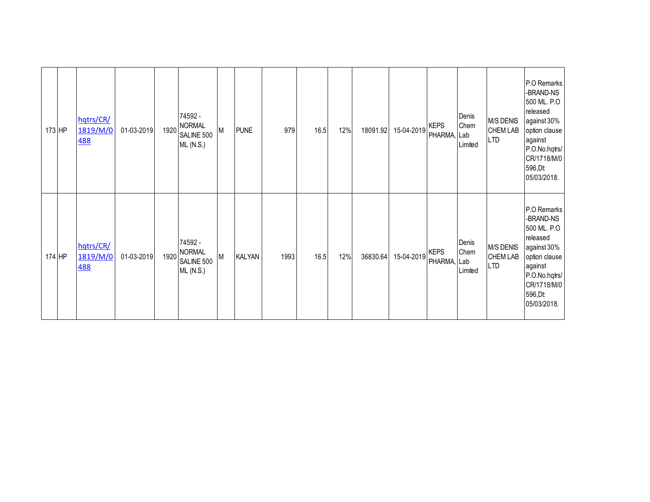| $173$ HP | hqtrs/CR/<br>1819/M/0<br><b>488</b> | 01-03-2019 | 1920 | 74592 -<br><b>NORMAL</b><br>SALINE 500<br><b>ML (N.S.)</b> | М | <b>PUNE</b>   | 979  | 16.5 | 12% | 18091.92 | 15-04-2019 | <b>KEPS</b><br>PHARMA, Lab | Denis<br>Chem<br>Limited | M/S DENIS<br><b>CHEM LAB</b><br><b>LTD</b>        | P.O Remarks<br>-BRAND-NS<br>500 ML. P.O<br>released<br>against 30%<br>option clause<br>against<br>P.O.No.hqtrs/<br>CR/1718/M/0<br>596, Dt<br>05/03/2018. |
|----------|-------------------------------------|------------|------|------------------------------------------------------------|---|---------------|------|------|-----|----------|------------|----------------------------|--------------------------|---------------------------------------------------|----------------------------------------------------------------------------------------------------------------------------------------------------------|
| 174 HP   | hqtrs/CR/<br>1819/M/0<br><b>488</b> | 01-03-2019 |      | 74592 -<br>1920 NORMAL<br>SALINE 500<br><b>ML (N.S.)</b>   | M | <b>KALYAN</b> | 1993 | 16.5 | 12% | 36830.64 | 15-04-2019 | <b>KEPS</b><br>PHARMA, Lab | Denis<br>Chem<br>Limited | <b>M/S DENIS</b><br><b>CHEM LAB</b><br><b>LTD</b> | P.O Remarks<br>-BRAND-NS<br>500 ML. P.O<br>released<br>against 30%<br>option clause<br>against<br>P.O.No.hqtrs/<br>CR/1718/M/0<br>596, Dt<br>05/03/2018. |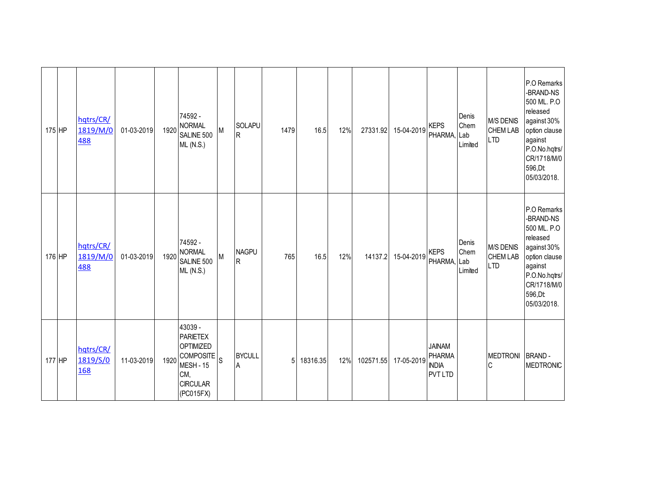| 175 HP | hqtrs/CR/<br>1819/M/0<br>488 | 01-03-2019 | 1920 | 74592 -<br><b>NORMAL</b><br>SALINE 500<br><b>ML (N.S.)</b>                                                                    | M | <b>SOLAPU</b><br>R             | 1479 | 16.5     | 12% | 27331.92  | 15-04-2019 | <b>KEPS</b><br>PHARMA,                                           | Denis<br>Chem<br>Lab<br>Limited | <b>M/S DENIS</b><br><b>CHEM LAB</b><br><b>LTD</b> | P.O Remarks<br>-BRAND-NS<br>500 ML. P.O<br>released<br>against 30%<br>option clause<br>against<br>P.O.No.hqtrs/<br>CR/1718/M/0<br>596, Dt<br>05/03/2018. |
|--------|------------------------------|------------|------|-------------------------------------------------------------------------------------------------------------------------------|---|--------------------------------|------|----------|-----|-----------|------------|------------------------------------------------------------------|---------------------------------|---------------------------------------------------|----------------------------------------------------------------------------------------------------------------------------------------------------------|
| 176 HP | hqtrs/CR/<br>1819/M/0<br>488 | 01-03-2019 | 1920 | 74592 -<br><b>NORMAL</b><br>SALINE 500<br><b>ML (N.S.)</b>                                                                    | M | <b>NAGPU</b><br>$\overline{R}$ | 765  | 16.5     | 12% | 14137.2   | 15-04-2019 | <b>KEPS</b><br>PHARMA, Lab                                       | Denis<br>Chem<br>Limited        | <b>M/S DENIS</b><br><b>CHEM LAB</b><br><b>LTD</b> | P.O Remarks<br>-BRAND-NS<br>500 ML. P.O<br>released<br>against 30%<br>option clause<br>against<br>P.O.No.hqtrs/<br>CR/1718/M/0<br>596, Dt<br>05/03/2018. |
| 177 HP | hqtrs/CR/<br>1819/S/0<br>168 | 11-03-2019 | 1920 | 43039 -<br><b>PARIETEX</b><br><b>OPTIMIZED</b><br>$ COMPOSTE _{S}$<br><b>MESH - 15</b><br>CM,<br><b>CIRCULAR</b><br>(PC015FX) |   | <b>BYCULL</b><br>A             | 5    | 18316.35 | 12% | 102571.55 | 17-05-2019 | <b>JAINAM</b><br><b>PHARMA</b><br><b>INDIA</b><br><b>PVT LTD</b> |                                 | MEDTRONI<br>C                                     | <b>BRAND-</b><br><b>MEDTRONIC</b>                                                                                                                        |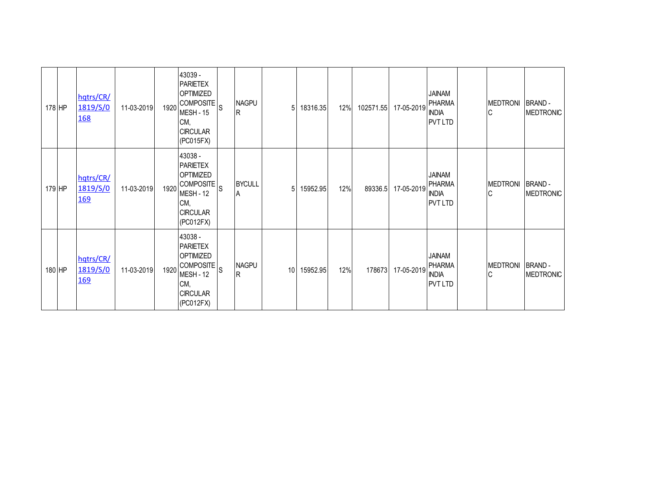| 178 HP | hqtrs/CR/<br>1819/S/0<br><u>168</u> | 11-03-2019 | 1920 | 43039 -<br><b>PARIETEX</b><br><b>OPTIMIZED</b><br> COMPOSITE <sup> </sup> S<br><b>MESH - 15</b><br>CM,<br><b>CIRCULAR</b><br>(PC015FX) | <b>NAGPU</b><br>lR. | 5               | 18316.35 | 12% | 102571.55 | 17-05-2019 | <b>JAINAM</b><br><b>PHARMA</b><br><b>INDIA</b><br><b>PVT LTD</b> | <b>MEDTRONI</b><br>C | BRAND -<br>MEDTRONIC              |
|--------|-------------------------------------|------------|------|----------------------------------------------------------------------------------------------------------------------------------------|---------------------|-----------------|----------|-----|-----------|------------|------------------------------------------------------------------|----------------------|-----------------------------------|
| 179 HP | hqtrs/CR/<br>1819/S/0<br><u>169</u> | 11-03-2019 | 1920 | 43038 -<br><b>PARIETEX</b><br><b>OPTIMIZED</b><br>$ COMPOSTE _{S}$<br><b>MESH - 12</b><br>CM,<br><b>CIRCULAR</b><br>(PC012FX)          | <b>BYCULL</b><br>A  | 51              | 15952.95 | 12% | 89336.5   | 17-05-2019 | <b>JAINAM</b><br><b>PHARMA</b><br><b>INDIA</b><br><b>PVT LTD</b> | <b>MEDTRONI</b><br>C | <b>BRAND-</b><br><b>MEDTRONIC</b> |
| 180 HP | hqtrs/CR/<br>1819/S/0<br><u>169</u> | 11-03-2019 | 1920 | 43038 -<br><b>PARIETEX</b><br><b>OPTIMIZED</b><br>$ COMPOSTE _{S}$<br>MESH - 12<br>CM,<br><b>CIRCULAR</b><br>(PC012FX)                 | <b>NAGPU</b><br>IR. | 10 <sup>1</sup> | 15952.95 | 12% | 178673    | 17-05-2019 | <b>JAINAM</b><br><b>PHARMA</b><br><b>INDIA</b><br><b>PVT LTD</b> | <b>MEDTRONI</b><br>C | BRAND -<br><b>MEDTRONIC</b>       |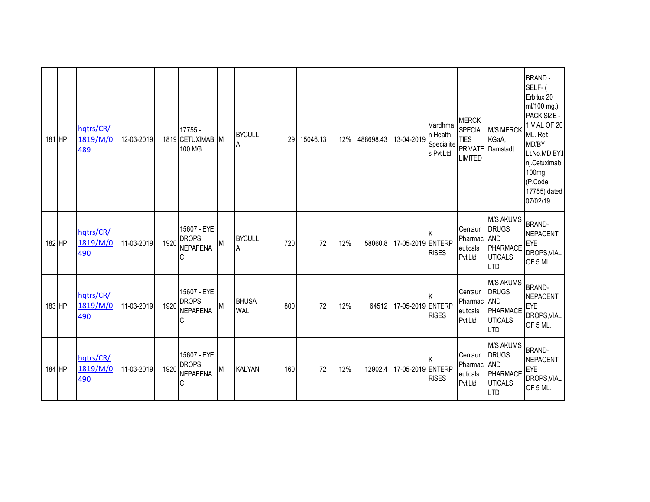| 181 HP | hqtrs/CR/<br>1819/M/0<br>489 | 12-03-2019 |      | 17755 -<br>1819 CETUXIMAB<br>100 MG                 | IM. | <b>BYCULL</b><br>A         | 29  | 15046.13 | 12% | 488698.43 | 13-04-2019        | Vardhma<br>n Health<br>Specialitie<br>s Pvt Ltd | <b>MERCK</b><br>SPECIAL<br><b>TIES</b><br><b>LIMITED</b> | <b>M/S MERCK</b><br>KGaA,<br>PRIVATE Damstadt                                              | <b>BRAND-</b><br>SELF-(<br>Erbitux 20<br>ml/100 mg.).<br>PACK SIZE -<br>1 VIAL OF 20<br>ML. Ref.<br>MD/BY<br>Lt.No.MD.BY.I<br>nj.Cetuximab<br>100 <sub>mg</sub><br>(P.Code<br>17755) dated<br>07/02/19. |
|--------|------------------------------|------------|------|-----------------------------------------------------|-----|----------------------------|-----|----------|-----|-----------|-------------------|-------------------------------------------------|----------------------------------------------------------|--------------------------------------------------------------------------------------------|---------------------------------------------------------------------------------------------------------------------------------------------------------------------------------------------------------|
| 182 HP | hqtrs/CR/<br>1819/M/0<br>490 | 11-03-2019 | 1920 | 15607 - EYE<br><b>DROPS</b><br><b>NEPAFENA</b><br>Ć | M   | <b>BYCULL</b><br>Α         | 720 | 72       | 12% | 58060.8   | 17-05-2019 ENTERP | <b>RISES</b>                                    | Centaur<br>Pharmac<br>euticals<br><b>PvtLtd</b>          | <b>M/S AKUMS</b><br><b>DRUGS</b><br><b>AND</b><br>PHARMACE<br><b>UTICALS</b><br><b>LTD</b> | <b>BRAND-</b><br><b>NEPACENT</b><br><b>EYE</b><br>DROPS, VIAL<br>OF 5 ML.                                                                                                                               |
| 183 HP | hqtrs/CR/<br>1819/M/0<br>490 | 11-03-2019 | 1920 | 15607 - EYE<br><b>DROPS</b><br><b>NEPAFENA</b><br>С | M   | <b>BHUSA</b><br><b>WAL</b> | 800 | 72       | 12% | 64512     | 17-05-2019 ENTERP | <b>RISES</b>                                    | Centaur<br>Pharmac<br>euticals<br><b>PvtLtd</b>          | <b>M/S AKUMS</b><br><b>DRUGS</b><br><b>AND</b><br>PHARMACE<br><b>UTICALS</b><br><b>LTD</b> | <b>BRAND-</b><br><b>NEPACENT</b><br>EYE<br>DROPS, VIAL<br>OF 5 ML.                                                                                                                                      |
| 184 HP | hqtrs/CR/<br>1819/M/0<br>490 | 11-03-2019 | 1920 | 15607 - EYE<br><b>DROPS</b><br><b>NEPAFENA</b><br>С | М   | <b>KALYAN</b>              | 160 | 72       | 12% | 12902.4   | 17-05-2019 ENTERP | <b>RISES</b>                                    | Centaur<br>Pharmac<br>euticals<br><b>Pvt Ltd</b>         | <b>M/S AKUMS</b><br><b>DRUGS</b><br><b>AND</b><br>PHARMACE<br><b>UTICALS</b><br><b>LTD</b> | <b>BRAND-</b><br><b>NEPACENT</b><br>EYE<br>DROPS, VIAL<br>OF 5 ML.                                                                                                                                      |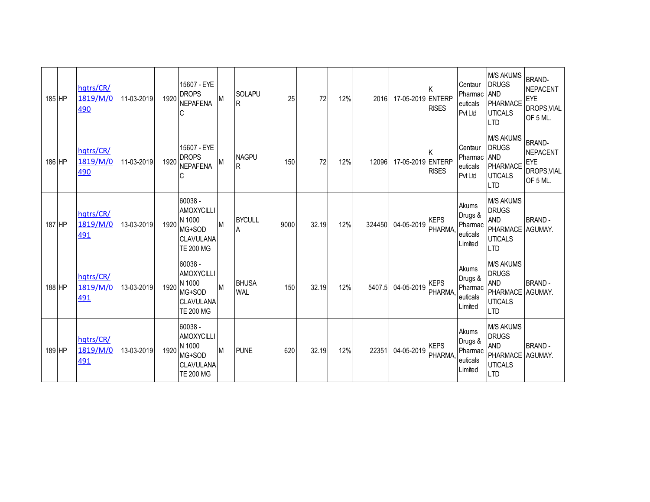| 185 HP | hqtrs/CR/<br>1819/M/0<br>490 | 11-03-2019 | 1920 | 15607 - EYE<br><b>DROPS</b><br><b>NEPAFENA</b><br>С                               | М | SOLAPU<br>lR.              | 25   | 72    | 12% | 2016   | 17-05-2019 ENTERP | <b>RISES</b>                 | Centaur<br>Pharmac<br>euticals<br>PvtLtd           | <b>M/S AKUMS</b><br><b>DRUGS</b><br><b>AND</b><br>PHARMACE<br><b>UTICALS</b><br><b>LTD</b>         | <b>BRAND-</b><br><b>NEPACENT</b><br>EYE<br>DROPS, VIAL<br>OF 5 ML. |
|--------|------------------------------|------------|------|-----------------------------------------------------------------------------------|---|----------------------------|------|-------|-----|--------|-------------------|------------------------------|----------------------------------------------------|----------------------------------------------------------------------------------------------------|--------------------------------------------------------------------|
| 186 HP | hqtrs/CR/<br>1819/M/0<br>490 | 11-03-2019 | 1920 | 15607 - EYE<br><b>DROPS</b><br><b>NEPAFENA</b><br>C                               | М | <b>NAGPU</b><br>lR.        | 150  | 72    | 12% | 12096  | 17-05-2019 ENTERP | <b>RISES</b>                 | Centaur<br>Pharmac<br>euticals<br>PvtLtd           | <b>M/S AKUMS</b><br><b>DRUGS</b><br><b>AND</b><br>PHARMACE<br><b>UTICALS</b><br><b>LTD</b>         | <b>BRAND-</b><br><b>NEPACENT</b><br>EYE<br>DROPS, VIAL<br>OF 5 ML. |
| 187 HP | hqtrs/CR/<br>1819/M/0<br>491 | 13-03-2019 | 1920 | 60038 -<br><b>AMOXYCILLI</b><br>N 1000<br>MG+SOD<br>CLAVULANA<br><b>TE 200 MG</b> | M | <b>BYCULL</b><br>۱A        | 9000 | 32.19 | 12% | 324450 | 04-05-2019        | <b>KEPS</b><br>PHARMA        | Akums<br>Drugs &<br>Pharmac<br>euticals<br>Limited | <b>M/S AKUMS</b><br><b>DRUGS</b><br><b>AND</b><br>PHARMACE AGUMAY.<br><b>UTICALS</b><br><b>LTD</b> | <b>BRAND-</b>                                                      |
| 188 HP | hqtrs/CR/<br>1819/M/0<br>491 | 13-03-2019 | 1920 | 60038 -<br><b>AMOXYCILLI</b><br>N 1000<br>MG+SOD<br>CLAVULANA<br><b>TE 200 MG</b> | M | <b>BHUSA</b><br><b>WAL</b> | 150  | 32.19 | 12% | 5407.5 | 04-05-2019        | <b>KEPS</b><br><b>PHARMA</b> | Akums<br>Drugs &<br>Pharmac<br>euticals<br>Limited | <b>M/S AKUMS</b><br><b>DRUGS</b><br><b>AND</b><br>PHARMACE AGUMAY.<br><b>UTICALS</b><br><b>LTD</b> | <b>BRAND-</b>                                                      |
| 189 HP | hqtrs/CR/<br>1819/M/0<br>491 | 13-03-2019 | 1920 | 60038 -<br><b>AMOXYCILLI</b><br>N 1000<br>MG+SOD<br>CLAVULANA<br><b>TE 200 MG</b> | M | <b>PUNE</b>                | 620  | 32.19 | 12% | 22351  | 04-05-2019        | <b>KEPS</b><br>PHARMA,       | Akums<br>Drugs &<br>Pharmac<br>euticals<br>Limited | <b>M/S AKUMS</b><br><b>DRUGS</b><br><b>AND</b><br>PHARMACE AGUMAY.<br><b>UTICALS</b><br><b>LTD</b> | <b>BRAND-</b>                                                      |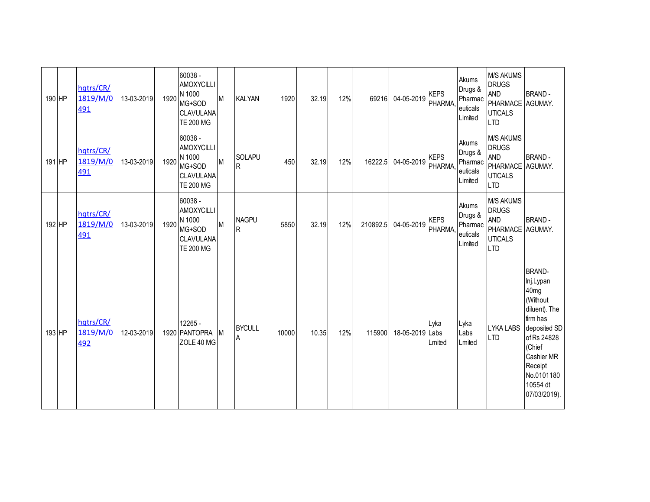| 190 HP | hqtrs/CR/<br>1819/M/0<br>491        | 13-03-2019 | 1920 | 60038 -<br><b>AMOXYCILLI</b><br>N 1000<br>MG+SOD<br>CLAVULANA<br><b>TE 200 MG</b>          | M | <b>KALYAN</b>       | 1920  | 32.19 | 12% | 69216    | 04-05-2019      | <b>KEPS</b><br>PHARMA,       | Akums<br>Drugs &<br>Pharmac<br>euticals<br>Limited | <b>M/S AKUMS</b><br><b>DRUGS</b><br><b>AND</b><br>PHARMACE<br><b>UTICALS</b><br><b>LTD</b>         | <b>BRAND-</b><br>AGUMAY.                                                                                                                                                                            |
|--------|-------------------------------------|------------|------|--------------------------------------------------------------------------------------------|---|---------------------|-------|-------|-----|----------|-----------------|------------------------------|----------------------------------------------------|----------------------------------------------------------------------------------------------------|-----------------------------------------------------------------------------------------------------------------------------------------------------------------------------------------------------|
| 191 HP | hqtrs/CR/<br>1819/M/0<br><u>491</u> | 13-03-2019 | 1920 | 60038 -<br>AMOXYCILLI<br>N 1000<br>MG+SOD<br>CLAVULANA<br><b>TE 200 MG</b>                 | M | SOLAPU<br>R         | 450   | 32.19 | 12% | 16222.5  | 04-05-2019      | <b>KEPS</b><br>PHARMA,       | Akums<br>Drugs &<br>Pharmac<br>euticals<br>Limited | <b>M/S AKUMS</b><br><b>DRUGS</b><br><b>AND</b><br>PHARMACE AGUMAY.<br><b>UTICALS</b><br><b>LTD</b> | <b>BRAND-</b>                                                                                                                                                                                       |
| 192 HP | hqtrs/CR/<br>1819/M/0<br>491        | 13-03-2019 | 1920 | $60038 -$<br><b>AMOXYCILLI</b><br>N 1000<br>MG+SOD<br><b>CLAVULANA</b><br><b>TE 200 MG</b> | M | <b>NAGPU</b><br>R   | 5850  | 32.19 | 12% | 210892.5 | 04-05-2019      | <b>KEPS</b><br><b>PHARMA</b> | Akums<br>Drugs &<br>Pharmac<br>euticals<br>Limited | <b>M/S AKUMS</b><br><b>DRUGS</b><br><b>AND</b><br>PHARMACE AGUMAY.<br><b>UTICALS</b><br><b>LTD</b> | <b>BRAND-</b>                                                                                                                                                                                       |
| 193 HP | hqtrs/CR/<br>1819/M/0<br>492        | 12-03-2019 |      | 12265 -<br>1920 PANTOPRA<br>ZOLE 40 MG                                                     | М | <b>BYCULL</b><br>۱A | 10000 | 10.35 | 12% | 115900   | 18-05-2019 Labs | Lyka<br>Lmited               | Lyka<br>Labs<br>Lmited                             | <b>LYKA LABS</b><br><b>LTD</b>                                                                     | <b>BRAND-</b><br>lnj.Lypan<br>40 <sub>mg</sub><br>(Without<br>diluent). The<br>firm has<br>deposited SD<br>of Rs 24828<br>(Chief<br>Cashier MR<br>Receipt<br>No.0101180<br>10554 dt<br>07/03/2019). |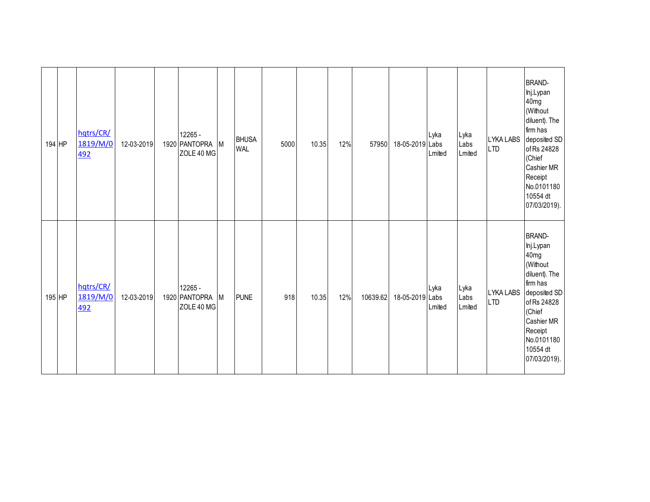| 194 HP | hqtrs/CR/<br>1819/M/0<br>492 | 12-03-2019 | 12265 -<br>1920 PANTOPRA M<br>ZOLE 40 MG |   | <b>BHUSA</b><br>WAL | 5000 | 10.35 | 12% | 57950    | 18-05-2019 Labs | Lyka<br>Lmited | Lyka<br>Labs<br>Lmited | <b>LTD</b> | <b>BRAND-</b><br>Inj.Lypan<br>40 <sub>mg</sub><br>(Without<br>diluent). The<br>firm has<br>LYKA LABS deposited SD<br>of Rs 24828<br>(Chief<br>Cashier MR<br>Receipt<br>No.0101180<br>10554 dt<br>07/03/2019). |
|--------|------------------------------|------------|------------------------------------------|---|---------------------|------|-------|-----|----------|-----------------|----------------|------------------------|------------|---------------------------------------------------------------------------------------------------------------------------------------------------------------------------------------------------------------|
| 195 HP | hqtrs/CR/<br>1819/M/0<br>492 | 12-03-2019 | 12265 -<br>1920 PANTOPRA<br>ZOLE 40 MG   | M | <b>PUNE</b>         | 918  | 10.35 | 12% | 10639.62 | 18-05-2019 Labs | Lyka<br>Lmited | Lyka<br>Labs<br>Lmited | <b>LTD</b> | <b>BRAND-</b><br>Inj.Lypan<br>40mg<br>(Without<br>diluent). The<br>firm has<br>LYKA LABS deposited SD<br>of Rs 24828<br>(Chief<br>Cashier MR<br>Receipt<br>No.0101180<br>10554 dt<br>07/03/2019).             |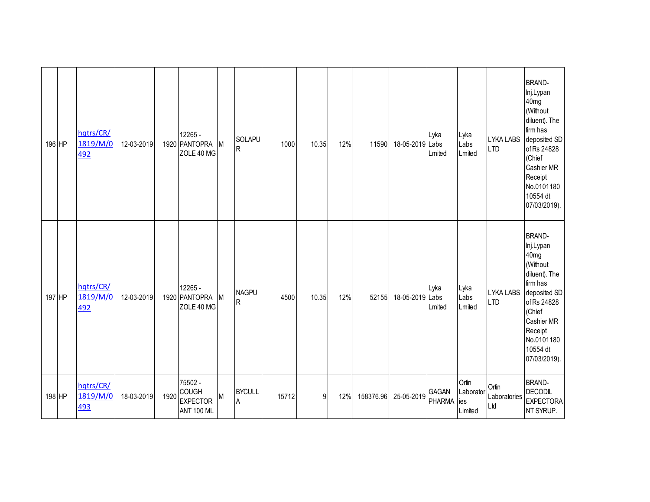| 196 HP | hqtrs/CR/<br>1819/M/0<br>492        | 12-03-2019 |      | 12265 -<br>1920 PANTOPRA<br>ZOLE 40 MG                          | M | SOLAPU<br>$\mathsf R$     | 1000  | 10.35 | 12% | 11590     | 18-05-2019 Labs | Lyka<br>Lmited         | Lyka<br>Labs<br>Lmited               | <b>LYKA LABS</b><br><b>LTD</b> | <b>BRAND-</b><br>lnj.Lypan<br>40 <sub>mg</sub><br>(Without<br>diluent). The<br>firm has<br>deposited SD<br>of Rs 24828<br>(Chief<br>Cashier MR<br>Receipt<br>No.0101180<br>10554 dt<br>07/03/2019). |
|--------|-------------------------------------|------------|------|-----------------------------------------------------------------|---|---------------------------|-------|-------|-----|-----------|-----------------|------------------------|--------------------------------------|--------------------------------|-----------------------------------------------------------------------------------------------------------------------------------------------------------------------------------------------------|
| 197 HP | hqtrs/CR/<br>1819/M/0<br><u>492</u> | 12-03-2019 |      | 12265 -<br>1920 PANTOPRA<br>ZOLE 40 MG                          | M | <b>NAGPU</b><br>${\sf R}$ | 4500  | 10.35 | 12% | 52155     | 18-05-2019 Labs | Lyka<br>Lmited         | Lyka<br>Labs<br>Lmited               | LYKA LABS<br><b>LTD</b>        | <b>BRAND-</b><br>lnj.Lypan<br>40 <sub>mg</sub><br>(Without<br>diluent). The<br>firm has<br>deposited SD<br>of Rs 24828<br>(Chief<br>Cashier MR<br>Receipt<br>No.0101180<br>10554 dt<br>07/03/2019). |
| 198 HP | hqtrs/CR/<br>1819/M/0<br>493        | 18-03-2019 | 1920 | 75502 -<br><b>COUGH</b><br><b>EXPECTOR</b><br><b>ANT 100 ML</b> | M | <b>BYCULL</b><br>A        | 15712 | 9     | 12% | 158376.96 | 25-05-2019      | GAGAN<br><b>PHARMA</b> | Ortin<br>Laborator<br>ies<br>Limited | Ortin<br>Laboratories<br>Ltd   | <b>BRAND-</b><br><b>DECODIL</b><br><b>EXPECTORA</b><br>NT SYRUP.                                                                                                                                    |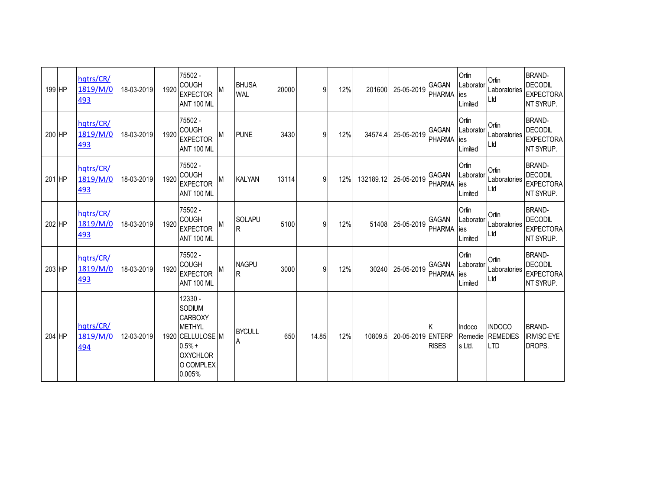| 199 HP | hqtrs/CR/<br>1819/M/0<br>493        | 18-03-2019 | 1920 | 75502 -<br><b>COUGH</b><br><b>EXPECTOR</b><br><b>ANT 100 ML</b>                                                                |   | <b>BHUSA</b><br><b>WAL</b>   | 20000 | 9     | 12% | 201600    | 25-05-2019        | <b>GAGAN</b><br><b>PHARMA</b> | Ortin<br>Laborator<br>ies<br>Limited | Ortin<br>Laboratories<br>Ltd                   | <b>BRAND-</b><br><b>DECODIL</b><br><b>EXPECTORA</b><br>NT SYRUP. |
|--------|-------------------------------------|------------|------|--------------------------------------------------------------------------------------------------------------------------------|---|------------------------------|-------|-------|-----|-----------|-------------------|-------------------------------|--------------------------------------|------------------------------------------------|------------------------------------------------------------------|
| 200 HP | hqtrs/CR/<br>1819/M/0<br>493        | 18-03-2019 | 1920 | 75502 -<br><b>COUGH</b><br><b>EXPECTOR</b><br><b>ANT 100 ML</b>                                                                | М | <b>PUNE</b>                  | 3430  | 9     | 12% | 34574.4   | 25-05-2019        | GAGAN<br>PHARMA               | Ortin<br>Laborator<br>ies<br>Limited | Ortin<br>Laboratories<br>Ltd                   | <b>BRAND-</b><br><b>DECODIL</b><br><b>EXPECTORA</b><br>NT SYRUP. |
| 201 HP | hqtrs/CR/<br>1819/M/0<br>493        | 18-03-2019 | 1920 | 75502 -<br><b>COUGH</b><br><b>EXPECTOR</b><br><b>ANT 100 ML</b>                                                                | М | <b>KALYAN</b>                | 13114 | 9     | 12% | 132189.12 | 25-05-2019        | GAGAN<br><b>PHARMA</b>        | Ortin<br>Laborator<br>ies<br>Limited | Ortin<br>Laboratories<br>Ltd                   | <b>BRAND-</b><br><b>DECODIL</b><br><b>EXPECTORA</b><br>NT SYRUP. |
| 202 HP | hqtrs/CR/<br>1819/M/0<br><u>493</u> | 18-03-2019 | 1920 | 75502 -<br><b>COUGH</b><br><b>EXPECTOR</b><br><b>ANT 100 ML</b>                                                                |   | <b>SOLAPU</b><br>$\mathsf R$ | 5100  | 9     | 12% | 51408     | 25-05-2019        | <b>GAGAN</b><br><b>PHARMA</b> | Ortin<br>Laborator<br>ies<br>Limited | Ortin<br>Laboratories<br>Ltd                   | <b>BRAND-</b><br><b>DECODIL</b><br><b>EXPECTORA</b><br>NT SYRUP. |
| 203 HP | hqtrs/CR/<br>1819/M/0<br>493        | 18-03-2019 | 1920 | 75502 -<br><b>COUGH</b><br><b>EXPECTOR</b><br><b>ANT 100 ML</b>                                                                |   | <b>NAGPU</b><br>R            | 3000  | 9     | 12% | 30240     | 25-05-2019        | GAGAN<br><b>PHARMA</b>        | Ortin<br>Laborator<br>ies<br>Limited | Ortin<br>Laboratories<br>Ltd                   | <b>BRAND-</b><br><b>DECODIL</b><br><b>EXPECTORA</b><br>NT SYRUP. |
| 204 HP | hqtrs/CR/<br>1819/M/0<br>494        | 12-03-2019 |      | 12330 -<br>SODIUM<br><b>CARBOXY</b><br><b>METHYL</b><br>1920 CELLULOSE M<br>$0.5% +$<br><b>OXYCHLOR</b><br>O COMPLEX<br>0.005% |   | <b>BYCULL</b><br>A           | 650   | 14.85 | 12% | 10809.5   | 20-05-2019 ENTERP | <b>RISES</b>                  | Indoco<br>Remedie<br>ls Ltd.         | <b>INDOCO</b><br><b>REMEDIES</b><br><b>LTD</b> | <b>BRAND-</b><br><b>IRIVISC EYE</b><br>DROPS.                    |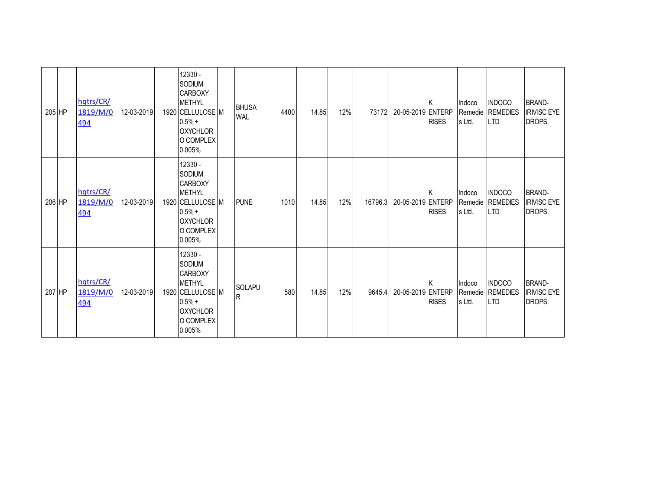| 205 HP |        | hqtrs/CR/<br>1819/M/0<br><u>494</u> | 12-03-2019 | 12330 -<br>SODIUM<br><b>CARBOXY</b><br><b>METHYL</b><br>1920 CELLULOSE M<br>$0.5% +$<br><b>OXYCHLOR</b><br>O COMPLEX<br>0.005% | <b>BHUSA</b><br><b>WAL</b> | 4400 | 14.85 | 12% | 73172   | 20-05-2019 ENTERP | <b>RISES</b> | Indoco<br>s Ltd. | <b>INDOCO</b><br>Remedie REMEDIES<br><b>LTD</b> | <b>BRAND-</b><br><b>IRIVISC EYE</b><br>DROPS. |
|--------|--------|-------------------------------------|------------|--------------------------------------------------------------------------------------------------------------------------------|----------------------------|------|-------|-----|---------|-------------------|--------------|------------------|-------------------------------------------------|-----------------------------------------------|
|        | 206 HP | hqtrs/CR/<br>1819/M/0<br>494        | 12-03-2019 | 12330 -<br>SODIUM<br><b>CARBOXY</b><br><b>METHYL</b><br>1920 CELLULOSE M<br>$0.5% +$<br><b>OXYCHLOR</b><br>O COMPLEX<br>0.005% | <b>PUNE</b>                | 1010 | 14.85 | 12% | 16796.3 | 20-05-2019 ENTERP | <b>RISES</b> | Indoco<br>s Ltd. | <b>INDOCO</b><br>Remedie REMEDIES<br><b>LTD</b> | <b>BRAND-</b><br><b>IRIVISC EYE</b><br>DROPS. |
| 207 HP |        | hqtrs/CR/<br>1819/M/0<br>494        | 12-03-2019 | 12330 -<br>SODIUM<br><b>CARBOXY</b><br><b>METHYL</b><br>1920 CELLULOSE M<br>$0.5% +$<br><b>OXYCHLOR</b><br>O COMPLEX<br>0.005% | <b>SOLAPU</b><br>R         | 580  | 14.85 | 12% | 9645.4  | 20-05-2019 ENTERP | <b>RISES</b> | Indoco<br>s Ltd. | <b>INDOCO</b><br>Remedie REMEDIES<br><b>LTD</b> | <b>BRAND-</b><br><b>IRIVISC EYE</b><br>DROPS. |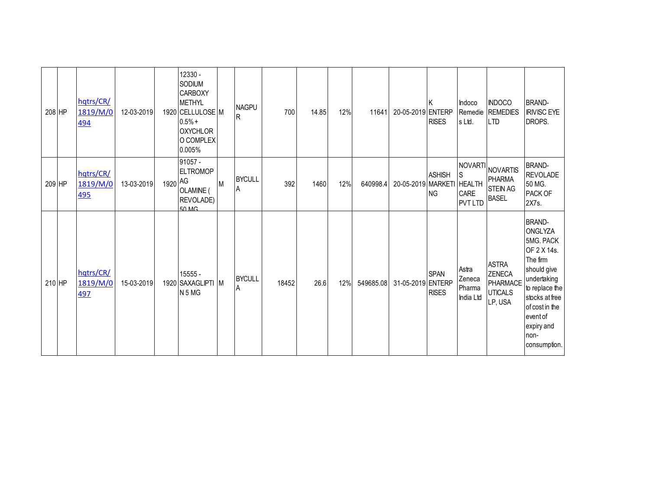| 208 HP |        | hqtrs/CR/<br>1819/M/0<br><u>494</u> | 12-03-2019 |         | 12330 -<br>SODIUM<br><b>CARBOXY</b><br><b>METHYL</b><br>1920 CELLULOSE M<br>$0.5% +$<br><b>OXYCHLOR</b><br>O COMPLEX<br>0.005% |   | <b>NAGPU</b><br><b>R</b> | 700   | 14.85 | 12% | 11641     | 20-05-2019 ENTERP  | <b>RISES</b>                | Indoco<br>Remedie<br>s Ltd.                  | <b>INDOCO</b><br><b>REMEDIES</b><br><b>LTD</b>                       | <b>BRAND-</b><br><b>IRIVISC EYE</b><br>DROPS.                                                                                                                                                                 |
|--------|--------|-------------------------------------|------------|---------|--------------------------------------------------------------------------------------------------------------------------------|---|--------------------------|-------|-------|-----|-----------|--------------------|-----------------------------|----------------------------------------------|----------------------------------------------------------------------|---------------------------------------------------------------------------------------------------------------------------------------------------------------------------------------------------------------|
| 209 HP |        | hqtrs/CR/<br>1819/M/0<br>495        | 13-03-2019 | 1920 AG | 91057 -<br><b>ELTROMOP</b><br>OLAMINE (<br>REVOLADE)<br>50 MG                                                                  | M | <b>BYCULL</b><br>A       | 392   | 1460  | 12% | 640998.4  | 20-05-2019 MARKETI | <b>ASHISH</b><br><b>NG</b>  | S<br><b>HEALTH</b><br>CARE<br><b>PVT LTD</b> | NOVARTI NOVARTIS<br><b>PHARMA</b><br><b>STEIN AG</b><br><b>BASEL</b> | <b>BRAND-</b><br><b>REVOLADE</b><br>50 MG.<br>PACK OF<br>2X7s.                                                                                                                                                |
|        | 210 HP | hqtrs/CR/<br>1819/M/0<br>497        | 15-03-2019 |         | 15555 -<br>1920 SAXAGLIPTI M<br>N <sub>5</sub> M <sub>G</sub>                                                                  |   | <b>BYCULL</b><br>Α       | 18452 | 26.6  | 12% | 549685.08 | 31-05-2019 ENTERP  | <b>SPAN</b><br><b>RISES</b> | Astra<br>Zeneca<br>Pharma<br>India Ltd       | <b>ASTRA</b><br>ZENECA<br>PHARMACE<br><b>UTICALS</b><br>LP, USA      | <b>BRAND-</b><br><b>ONGLYZA</b><br>5MG. PACK<br>OF 2 X 14s.<br>The firm<br>should give<br>undertaking<br>to replace the<br>stocks at free<br>of cost in the<br>event of<br>expiry and<br>non-<br>consumption. |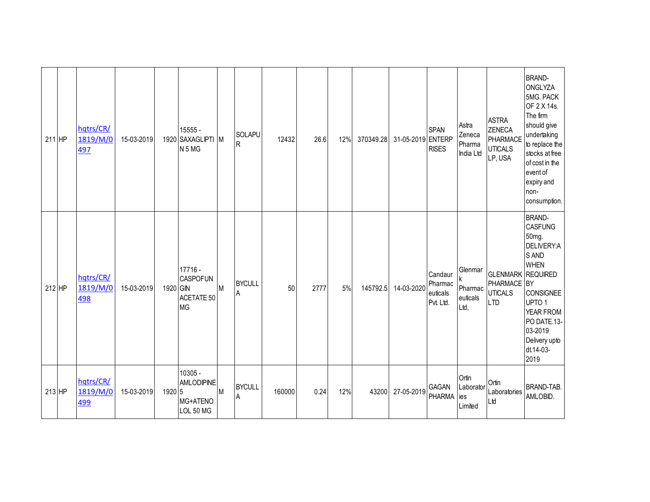| $211$ HP | hqtrs/CR/<br>1819/M/0<br>497 | 15-03-2019 |          | 15555 -<br>1920 SAXAGLIPTI M<br>N <sub>5</sub> M <sub>G</sub> |   | SOLAPU<br>lR.      | 12432  | 26.6 | 12% | 370349.28 | 31-05-2019 ENTERP | <b>SPAN</b><br><b>RISES</b>                 | Astra<br>Zeneca<br>Pharma<br>India Ltd | <b>ASTRA</b><br><b>ZENECA</b><br>PHARMACE<br><b>UTICALS</b><br>LP, USA  | <b>BRAND-</b><br>ONGLYZA<br>5MG. PACK<br>OF 2 X 14s.<br>The firm<br>should give<br>undertaking<br>to replace the<br>stocks at free<br>of cost in the<br>event of<br>expiry and<br>non-<br>consumption. |
|----------|------------------------------|------------|----------|---------------------------------------------------------------|---|--------------------|--------|------|-----|-----------|-------------------|---------------------------------------------|----------------------------------------|-------------------------------------------------------------------------|--------------------------------------------------------------------------------------------------------------------------------------------------------------------------------------------------------|
| $212$ HP | hqtrs/CR/<br>1819/M/0<br>498 | 15-03-2019 | 1920 GIN | 17716 -<br><b>CASPOFUN</b><br>ACETATE 50<br><b>MG</b>         | M | <b>BYCULL</b><br>A | 50     | 2777 | 5%  | 145792.5  | 14-03-2020        | Candaur<br>Pharmac<br>euticals<br>Pvt. Ltd. | Glenmar<br>Pharmac<br>euticals<br>Ltd, | <b>GLENMARK REQUIRED</b><br>PHARMACE BY<br><b>UTICALS</b><br><b>LTD</b> | <b>BRAND-</b><br><b>CASFUNG</b><br>50mg.<br>DELIVERY:A<br>S AND<br><b>WHEN</b><br>CONSIGNEE<br>UPTO <sub>1</sub><br>YEAR FROM<br>PO DATE.13-<br>03-2019<br>Delivery upto<br>dt.14-03-<br>2019          |
| $213$ HP | hqtrs/CR/<br>1819/M/0<br>499 | 15-03-2019 | 1920 5   | 10305 -<br><b>AMLODIPINE</b><br>MG+ATENO<br>LOL 50 MG         | M | <b>BYCULL</b><br>A | 160000 | 0.24 | 12% | 43200     | 27-05-2019        | GAGAN<br>PHARMA lies                        | Ortin<br>Laborator<br>Limited          | Ortin<br>Laboratories<br>Ltd                                            | BRAND-TAB.<br>AMLOBID.                                                                                                                                                                                 |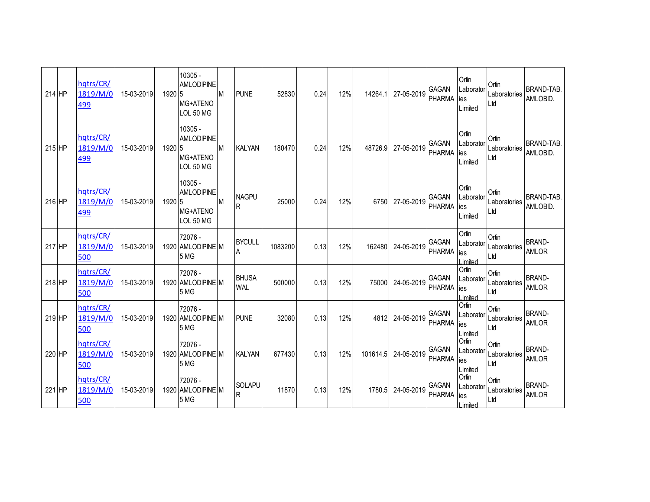| 214 HP | hqtrs/CR/<br>1819/M/0<br>499 | 15-03-2019 | 1920 5 | 10305 -<br><b>AMLODIPINE</b><br>MG+ATENO<br>LOL 50 MG          | <b>M</b>  | <b>PUNE</b>                | 52830   | 0.24 | 12% | 14264.1 27-05-2019        | GAGAN<br><b>PHARMA</b>        | Ortin<br>ies<br>Limited  | Ortin<br>Laborator Laboratories<br>Ltd       | <b>BRAND-TAB.</b><br>AMLOBID. |
|--------|------------------------------|------------|--------|----------------------------------------------------------------|-----------|----------------------------|---------|------|-----|---------------------------|-------------------------------|--------------------------|----------------------------------------------|-------------------------------|
| 215 HP | hqtrs/CR/<br>1819/M/0<br>499 | 15-03-2019 | 1920 5 | $10305 -$<br><b>AMLODIPINE</b><br>MG+ATENO<br>LOL 50 MG        | <b>M</b>  | <b>KALYAN</b>              | 180470  | 0.24 | 12% | 48726.9 27-05-2019        | <b>GAGAN</b><br>PHARMA        | Ortin<br>ies<br>Limited  | Urui<br>Laborator Laboratories<br>Ltd        | <b>BRAND-TAB.</b><br>AMLOBID. |
| 216 HP | hqtrs/CR/<br>1819/M/0<br>499 | 15-03-2019 | 1920 5 | $10305 -$<br><b>AMLODIPINE</b><br>MG+ATENO<br><b>LOL 50 MG</b> | <b>IM</b> | <b>NAGPU</b>               | 25000   | 0.24 | 12% | 6750 27-05-2019           | PHARMA                        | Ortin<br>ies<br>Limited  | Ortin<br>GAGAN Laborator Laboratories<br>Ltd | <b>BRAND-TAB.</b><br>AMLOBID. |
| 217 HP | hqtrs/CR/<br>1819/M/0<br>500 | 15-03-2019 |        | 72076 -<br>1920 AMLODIPINE M<br>5 MG                           |           | <b>BYCULL</b><br>A         | 1083200 | 0.13 | 12% | 162480 24-05-2019         | <b>GAGAN</b><br><b>PHARMA</b> | Ortin<br>ies<br>Limited  | Ortin<br>Laborator Laboratories<br>Ltd       | <b>BRAND-</b><br><b>AMLOR</b> |
| 218 HP | hqtrs/CR/<br>1819/M/0<br>500 | 15-03-2019 |        | 72076 -<br>1920 AMLODIPINE M<br>5 MG                           |           | <b>BHUSA</b><br><b>WAL</b> | 500000  | 0.13 | 12% | 75000 24-05-2019          | GAGAN<br><b>PHARMA</b>        | Ortin<br>ies<br>I imited | Ortin<br>Laborator Laboratories<br>Ltd       | <b>BRAND-</b><br><b>AMLOR</b> |
| 219 HP | hatrs/CR/<br>1819/M/0<br>500 | 15-03-2019 |        | 72076 -<br>1920 AMLODIPINE M<br>5 MG                           |           | <b>PUNE</b>                | 32080   | 0.13 | 12% | 4812 24-05-2019 GAGAN     | <b>PHARMA</b>                 | Ortin<br>ies<br>Limited  | Ortin<br>Laborator Laboratories<br>Ltd       | <b>BRAND-</b><br><b>AMLOR</b> |
| 220 HP | hqtrs/CR/<br>1819/M/0<br>500 | 15-03-2019 |        | 72076 -<br>1920 AMLODIPINE M<br>5 MG                           |           | KALYAN                     | 677430  | 0.13 | 12% | 101614.5 24-05-2019 GAGAN | PHARMA lies                   | Ortin<br>I imited        | Ortin<br>Laborator  Laboratories  <br>Ltd    | <b>BRAND-</b><br><b>AMLOR</b> |
| 221 HP | hqtrs/CR/<br>1819/M/0<br>500 | 15-03-2019 |        | 72076 -<br>1920 AMLODIPINE M<br>5 MG                           |           | SOLAPU<br>R.               | 11870   | 0.13 | 12% | 1780.5 24-05-2019         | <b>GAGAN</b><br>PHARMA        | Ortin<br>lies<br>Limited | Ortin<br>Laborator Laboratories<br>Ltd       | <b>BRAND-</b><br><b>AMLOR</b> |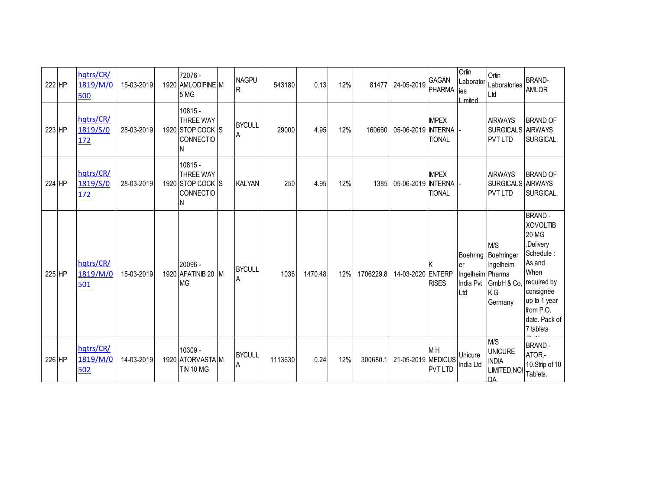| 222 HP | hqtrs/CR/<br>1819/M/0<br>500        | 15-03-2019 | 72076 -<br>1920 AMLODIPINE M<br>5 MG                                | <b>NAGPU</b><br>R  | 543180  | 0.13    | 12% | 81477     | 24-05-2019         | GAGAN<br><b>PHARMA</b>        | Ortin<br>Laborator<br>lies<br>Limited      | Ortin<br>Laboratories<br>Ltd                                                       | <b>BRAND-</b><br><b>AMLOR</b>                                                                                                                                                       |
|--------|-------------------------------------|------------|---------------------------------------------------------------------|--------------------|---------|---------|-----|-----------|--------------------|-------------------------------|--------------------------------------------|------------------------------------------------------------------------------------|-------------------------------------------------------------------------------------------------------------------------------------------------------------------------------------|
| 223 HP | hqtrs/CR/<br>1819/S/0<br>172        | 28-03-2019 | $10815 -$<br><b>THREE WAY</b><br>1920 STOP COCK S<br>CONNECTIO<br>N | <b>BYCULL</b><br>A | 29000   | 4.95    | 12% | 160660    | 05-06-2019 INTERNA | <b>IMPEX</b><br><b>TIONAL</b> |                                            | <b>AIRWAYS</b><br>SURGICALS AIRWAYS<br><b>PVT LTD</b>                              | <b>BRAND OF</b><br>SURGICAL.                                                                                                                                                        |
| 224 HP | hqtrs/CR/<br>1819/S/0<br><u>172</u> | 28-03-2019 | $10815 -$<br><b>THREE WAY</b><br>1920 STOP COCK S<br>CONNECTIO<br>N | <b>KALYAN</b>      | 250     | 4.95    | 12% | 1385      | 05-06-2019 INTERNA | <b>IMPEX</b><br><b>TIONAL</b> |                                            | <b>AIRWAYS</b><br>SURGICALS AIRWAYS<br><b>PVT LTD</b>                              | <b>BRAND OF</b><br>SURGICAL.                                                                                                                                                        |
| 225 HP | hqtrs/CR/<br>1819/M/0<br>501        | 15-03-2019 | 20096 -<br>1920 AFATINIB 20 M<br><b>MG</b>                          | <b>BYCULL</b><br>A | 1036    | 1470.48 | 12% | 1706229.8 | 14-03-2020 ENTERP  | Κ<br><b>RISES</b>             | er<br>Ingelheim Pharma<br>India Pvt<br>Ltd | M/S<br>Boehring Boehringer<br>Ingelheim<br>GmbH & Co,<br>K <sub>G</sub><br>Germany | <b>BRAND-</b><br><b>XOVOLTIB</b><br><b>20 MG</b><br>.Delivery<br>Schedule:<br>As and<br>When<br>required by<br>consignee<br>up to 1 year<br>from P.O.<br>date. Pack of<br>7 tablets |
| 226 HP | hqtrs/CR/<br>1819/M/0<br>502        | 14-03-2019 | 10309 -<br>1920 ATORVASTA M<br><b>TIN 10 MG</b>                     | <b>BYCULL</b><br>A | 1113630 | 0.24    | 12% | 300680.1  | 21-05-2019 MEDICUS | M H<br><b>PVT LTD</b>         | Unicure<br>India Ltd                       | M/S<br><b>UNICURE</b><br><b>INDIA</b><br><b>LIMITED, NOI</b><br><b>DA</b>          | <b>BRAND-</b><br>ATOR.-<br>10.Strip of 10<br>Tablets.                                                                                                                               |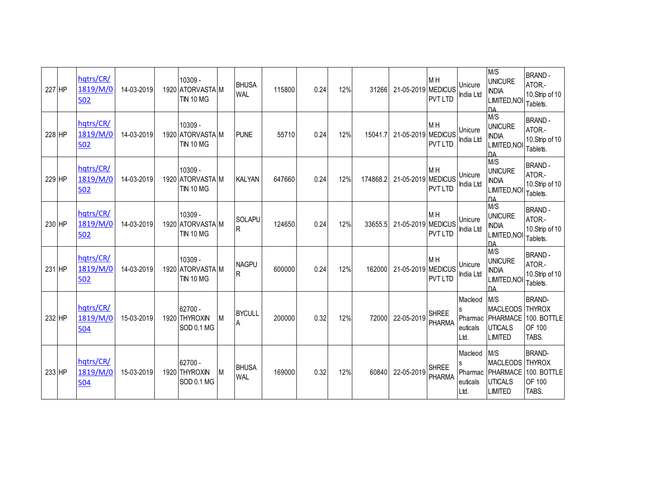| 227 HP | hqtrs/CR/<br>1819/M/0<br>502 | 14-03-2019 | 10309 -<br>1920 ATORVASTA M<br><b>TIN 10 MG</b> |   | <b>BHUSA</b><br><b>WAL</b> | 115800 | 0.24 | 12% | 31266    | 21-05-2019 MEDICUS | M <sub>H</sub><br><b>PVT LTD</b> | Unicure<br>India Ltd                   | M/S<br><b>UNICURE</b><br><b>INDIA</b><br>LIMITED, NOI<br><b>DA</b>        | <b>BRAND-</b><br>ATOR.-<br>10.Strip of 10<br>Tablets.    |
|--------|------------------------------|------------|-------------------------------------------------|---|----------------------------|--------|------|-----|----------|--------------------|----------------------------------|----------------------------------------|---------------------------------------------------------------------------|----------------------------------------------------------|
| 228 HP | hqtrs/CR/<br>1819/M/0<br>502 | 14-03-2019 | 10309 -<br>1920 ATORVASTA M<br><b>TIN 10 MG</b> |   | <b>PUNE</b>                | 55710  | 0.24 | 12% | 15041.7  | 21-05-2019 MEDICUS | M <sub>H</sub><br><b>PVT LTD</b> | Unicure<br>India Ltd                   | M/S<br><b>UNICURE</b><br><b>INDIA</b><br>LIMITED, NOI<br><b>DA</b>        | <b>BRAND-</b><br>ATOR.-<br>10.Strip of 10<br>Tablets.    |
| 229 HP | hqtrs/CR/<br>1819/M/0<br>502 | 14-03-2019 | 10309 -<br>1920 ATORVASTA M<br><b>TIN 10 MG</b> |   | <b>KALYAN</b>              | 647660 | 0.24 | 12% | 174868.2 | 21-05-2019 MEDICUS | M <sub>H</sub><br><b>PVT LTD</b> | Unicure<br>India Ltd                   | M/S<br><b>UNICURE</b><br><b>INDIA</b><br>LIMITED, NOI<br><b>DA</b>        | <b>BRAND-</b><br>ATOR.-<br>10.Strip of 10<br>Tablets.    |
| 230 HP | hqtrs/CR/<br>1819/M/0<br>502 | 14-03-2019 | 10309 -<br>1920 ATORVASTA M<br><b>TIN 10 MG</b> |   | SOLAPU<br>R                | 124650 | 0.24 | 12% | 33655.5  | 21-05-2019 MEDICUS | M <sub>H</sub><br><b>PVT LTD</b> | Unicure<br>India Ltd                   | M/S<br><b>UNICURE</b><br><b>INDIA</b><br><b>LIMITED, NOI</b><br><b>DA</b> | <b>BRAND-</b><br>ATOR.-<br>10.Strip of 10<br>Tablets.    |
| 231 HP | hqtrs/CR/<br>1819/M/0<br>502 | 14-03-2019 | 10309 -<br>1920 ATORVASTA M<br><b>TIN 10 MG</b> |   | <b>NAGPU</b><br>R          | 600000 | 0.24 | 12% | 162000   | 21-05-2019 MEDICUS | M <sub>H</sub><br><b>PVT LTD</b> | Unicure<br>India Ltd                   | M/S<br><b>UNICURE</b><br><b>INDIA</b><br>LIMITED, NOI<br>DΔ               | <b>BRAND-</b><br>ATOR.-<br>10.Strip of 10<br>Tablets.    |
| 232 HP | hatrs/CR/<br>1819/M/0<br>504 | 15-03-2019 | 62700 -<br>1920 THYROXIN<br>SOD 0.1 MG          | M | <b>BYCULL</b><br>A         | 200000 | 0.32 | 12% | 72000    | 22-05-2019         | <b>SHREE</b><br><b>PHARMA</b>    | Macleod<br>Pharmac<br>euticals<br>Ltd. | M/S<br>MACLEODS THYROX<br><b>UTICALS</b><br><b>LIMITED</b>                | <b>BRAND-</b><br>PHARMACE 100. BOTTLE<br>OF 100<br>TABS. |
| 233 HP | hqtrs/CR/<br>1819/M/0<br>504 | 15-03-2019 | 62700 -<br>1920 THYROXIN<br>SOD 0.1 MG          | M | <b>BHUSA</b><br><b>WAL</b> | 169000 | 0.32 | 12% | 60840    | 22-05-2019         | <b>SHREE</b><br><b>PHARMA</b>    | Macleod<br>Pharmac<br>euticals<br>Ltd. | M/S<br>MACLEODS THYROX<br>PHARMACE<br><b>UTICALS</b><br><b>LIMITED</b>    | <b>BRAND-</b><br>100. BOTTLE<br>OF 100<br>TABS.          |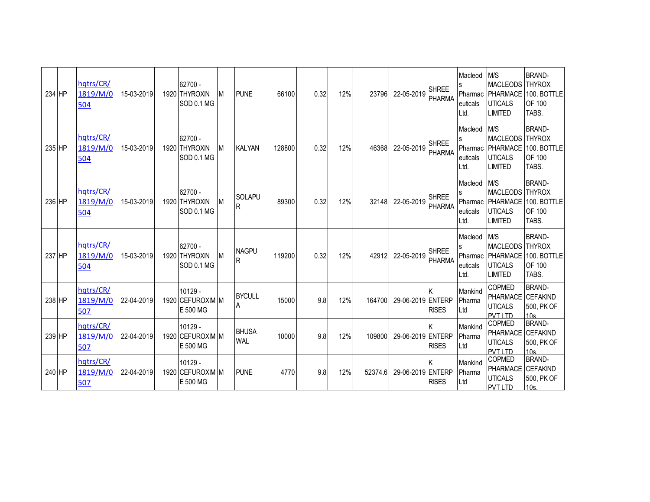| 234 HP | hqtrs/CR/<br>1819/M/0<br>504 | 15-03-2019 | $62700 -$<br>1920 THYROXIN<br>SOD 0.1 MG  | M | <b>PUNE</b>                | 66100  | 0.32 | 12% | 23796   | 22-05-2019        | <b>SHREE</b><br><b>PHARMA</b> | Macleod<br>Pharmac<br>euticals<br>Ltd. | M/S<br><b>MACLEODS THYROX</b><br><b>PHARMACE</b><br><b>UTICALS</b><br><b>LIMITED</b> | <b>BRAND-</b><br>100. BOTTLE<br>OF 100<br>TABS.                      |
|--------|------------------------------|------------|-------------------------------------------|---|----------------------------|--------|------|-----|---------|-------------------|-------------------------------|----------------------------------------|--------------------------------------------------------------------------------------|----------------------------------------------------------------------|
| 235 HP | hqtrs/CR/<br>1819/M/0<br>504 | 15-03-2019 | 62700 -<br>1920 THYROXIN<br>SOD 0.1 MG    | M | <b>KALYAN</b>              | 128800 | 0.32 | 12% | 46368   | 22-05-2019        | <b>SHREE</b><br><b>PHARMA</b> | Macleod<br>euticals<br>Ltd.            | M/S<br><b>MACLEODS THYROX</b><br><b>UTICALS</b><br><b>LIMITED</b>                    | <b>BRAND-</b><br>Pharmac   PHARMACE   100. BOTTLE<br>OF 100<br>TABS. |
| 236 HP | hqtrs/CR/<br>1819/M/0<br>504 | 15-03-2019 | 62700 -<br>1920 THYROXIN<br>SOD 0.1 MG    | M | <b>SOLAPU</b><br>R         | 89300  | 0.32 | 12% | 32148   | 22-05-2019        | <b>SHREE</b><br><b>PHARMA</b> | Macleod<br>Pharmac<br>euticals<br>Ltd. | M/S<br>MACLEODS THYROX<br><b>UTICALS</b><br><b>LIMITED</b>                           | <b>BRAND-</b><br>PHARMACE 100. BOTTLE<br>OF 100<br>TABS.             |
| 237 HP | hqtrs/CR/<br>1819/M/0<br>504 | 15-03-2019 | $62700 -$<br>1920 THYROXIN<br>SOD 0.1 MG  | M | <b>NAGPU</b><br>R          | 119200 | 0.32 | 12% | 42912   | 22-05-2019        | <b>SHREE</b><br><b>PHARMA</b> | Macleod<br>Pharmac<br>euticals<br>Ltd. | M/S<br><b>MACLEODS THYROX</b><br><b>UTICALS</b><br><b>LIMITED</b>                    | <b>BRAND-</b><br>PHARMACE 100. BOTTLE<br>OF 100<br>TABS.             |
| 238 HP | hqtrs/CR/<br>1819/M/0<br>507 | 22-04-2019 | $10129 -$<br>1920 CEFUROXIM M<br>E 500 MG |   | <b>BYCULL</b><br>Α         | 15000  | 9.8  | 12% | 164700  | 29-06-2019 ENTERP | K<br><b>RISES</b>             | Mankind<br>Pharma<br>Ltd               | COPMED<br>PHARMACE CEFAKIND<br><b>UTICALS</b><br><b>PVTI TD</b>                      | <b>BRAND-</b><br>500, PK OF<br>10 <sub>s</sub>                       |
| 239 HP | hqtrs/CR/<br>1819/M/0<br>507 | 22-04-2019 | $10129 -$<br>1920 CEFUROXIM M<br>E 500 MG |   | <b>BHUSA</b><br><b>WAL</b> | 10000  | 9.8  | 12% | 109800  | 29-06-2019 ENTERP | K<br><b>RISES</b>             | Mankind<br>Pharma<br>Ltd               | COPMED<br>PHARMACE CEFAKIND<br><b>UTICALS</b><br><b>PVT LTD</b>                      | <b>BRAND-</b><br>500, PK OF<br>10s                                   |
| 240 HP | hqtrs/CR/<br>1819/M/0<br>507 | 22-04-2019 | $10129 -$<br>1920 CEFUROXIM M<br>E 500 MG |   | <b>PUNE</b>                | 4770   | 9.8  | 12% | 52374.6 | 29-06-2019 ENTERP | K<br><b>RISES</b>             | Mankind<br>Pharma<br>Ltd               | COPMED<br>PHARMACE CEFAKIND<br><b>UTICALS</b><br><b>PVTI TD</b>                      | <b>BRAND-</b><br>500, PK OF<br>10s                                   |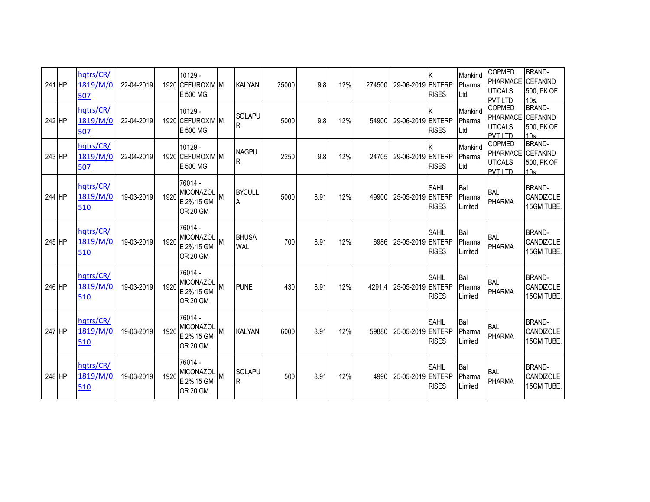| 241 HP | hqtrs/CR/<br>1819/M/0<br>507 | 22-04-2019 |      | 10129 -<br>1920 CEFUROXIM M<br>E 500 MG                      |   | <b>KALYAN</b>                 | 25000 | 9.8  | 12% | 274500 | 29-06-2019 ENTERP | Κ<br><b>RISES</b>            | Mankind<br>Pharma<br>Ltd | COPMED<br><b>PHARMACE</b><br><b>UTICALS</b><br>PVT I TD       | <b>BRAND-</b><br><b>CEFAKIND</b><br>500, PK OF<br>10 <sub>s</sub> |
|--------|------------------------------|------------|------|--------------------------------------------------------------|---|-------------------------------|-------|------|-----|--------|-------------------|------------------------------|--------------------------|---------------------------------------------------------------|-------------------------------------------------------------------|
| 242 HP | hqtrs/CR/<br>1819/M/0<br>507 | 22-04-2019 |      | 10129 -<br>1920 CEFUROXIM M<br>E 500 MG                      |   | <b>SOLAPU</b><br>R            | 5000  | 9.8  | 12% | 54900  | 29-06-2019 ENTERP | Κ<br><b>RISES</b>            | Mankind<br>Pharma<br>Ltd | COPMED<br><b>PHARMACE</b><br><b>UTICALS</b><br><b>PVTI TD</b> | <b>BRAND-</b><br><b>CEFAKIND</b><br>500, PK OF<br>10 <sub>s</sub> |
| 243 HP | hqtrs/CR/<br>1819/M/0<br>507 | 22-04-2019 |      | $10129 -$<br>1920 CEFUROXIM M<br>E 500 MG                    |   | <b>NAGPU</b><br>$\mathsf{R}$  | 2250  | 9.8  | 12% | 24705  | 29-06-2019 ENTERP | <b>RISES</b>                 | Mankind<br>Pharma<br>Ltd | COPMED<br>PHARMACE CEFAKIND<br><b>UTICALS</b><br>PVT I TD     | <b>BRAND-</b><br>500. PK OF<br>10 <sub>s</sub>                    |
| 244 HP | hqtrs/CR/<br>1819/M/0<br>510 | 19-03-2019 | 1920 | 76014 -<br><b>MICONAZOL</b><br>E 2% 15 GM<br><b>OR 20 GM</b> |   | <b>BYCULL</b><br>A            | 5000  | 8.91 | 12% | 49900  | 25-05-2019 ENTERP | <b>SAHIL</b><br><b>RISES</b> | Bal<br>Pharma<br>Limited | <b>BAL</b><br><b>PHARMA</b>                                   | <b>BRAND-</b><br>CANDIZOLE<br>15GM TUBE.                          |
| 245 HP | hqtrs/CR/<br>1819/M/0<br>510 | 19-03-2019 | 1920 | 76014 -<br>MICONAZOL<br>E 2% 15 GM<br><b>OR 20 GM</b>        |   | <b>BHUSA</b><br><b>WAL</b>    | 700   | 8.91 | 12% | 6986   | 25-05-2019 ENTERP | SAHIL<br><b>RISES</b>        | Bal<br>Pharma<br>Limited | <b>BAL</b><br><b>PHARMA</b>                                   | <b>BRAND-</b><br>CANDIZOLE<br>15GM TUBE.                          |
| 246 HP | hqtrs/CR/<br>1819/M/0<br>510 | 19-03-2019 | 1920 | 76014 -<br>MICONAZOL<br>E 2% 15 GM<br><b>OR 20 GM</b>        |   | <b>PUNF</b>                   | 430   | 8.91 | 12% | 4291.4 | 25-05-2019 ENTERP | <b>SAHIL</b><br><b>RISES</b> | Bal<br>Pharma<br>Limited | <b>BAL</b><br><b>PHARMA</b>                                   | <b>BRAND-</b><br>CANDIZOLE<br>15GM TUBE.                          |
| 247 HP | hqtrs/CR/<br>1819/M/0<br>510 | 19-03-2019 | 1920 | 76014 -<br><b>MICONAZOL</b><br>E 2% 15 GM<br><b>OR 20 GM</b> | M | <b>KALYAN</b>                 | 6000  | 8.91 | 12% | 59880  | 25-05-2019 ENTERP | <b>SAHIL</b><br><b>RISES</b> | Bal<br>Pharma<br>Limited | <b>BAL</b><br><b>PHARMA</b>                                   | <b>BRAND-</b><br>CANDIZOLE<br>15GM TUBE.                          |
| 248 HP | hqtrs/CR/<br>1819/M/0<br>510 | 19-03-2019 | 1920 | 76014 -<br>MICONAZOL<br>E 2% 15 GM<br><b>OR 20 GM</b>        | M | <b>SOLAPU</b><br>$\mathsf{R}$ | 500   | 8.91 | 12% | 4990   | 25-05-2019 ENTERP | <b>SAHIL</b><br><b>RISES</b> | Bal<br>Pharma<br>Limited | <b>BAL</b><br><b>PHARMA</b>                                   | <b>BRAND-</b><br>CANDIZOLE<br>15GM TUBE.                          |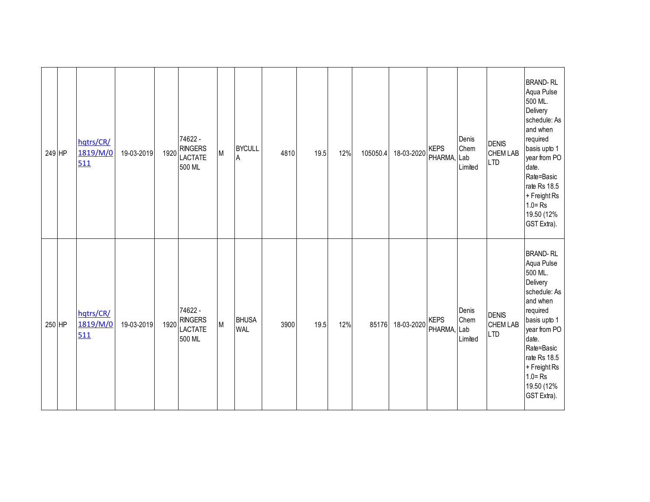| 249 HP | hqtrs/CR/<br>1819/M/0<br>511 | 19-03-2019 | 1920 | 74622 -<br><b>RINGERS</b><br><b>LACTATE</b><br>500 ML | M | <b>BYCULL</b><br>$\mathsf A$ | 4810 | 19.5 | 12% | 105050.4 | 18-03-2020 | <b>KEPS</b><br>PHARMA, Lab | Denis<br>Chem<br>Limited | <b>DENIS</b><br><b>CHEM LAB</b><br><b>LTD</b> | <b>BRAND-RL</b><br>Aqua Pulse<br>500 ML.<br>Delivery<br>schedule: As<br>and when<br>required<br>basis upto 1<br>year from PO<br>date.<br>Rate=Basic<br>rate Rs 18.5<br>+ Freight Rs<br>$1.0 = Rs$<br>19.50 (12%<br>GST Extra). |
|--------|------------------------------|------------|------|-------------------------------------------------------|---|------------------------------|------|------|-----|----------|------------|----------------------------|--------------------------|-----------------------------------------------|--------------------------------------------------------------------------------------------------------------------------------------------------------------------------------------------------------------------------------|
| 250 HP | hqtrs/CR/<br>1819/M/0<br>511 | 19-03-2019 | 1920 | 74622 -<br><b>RINGERS</b><br><b>LACTATE</b><br>500 ML | M | <b>BHUSA</b><br><b>WAL</b>   | 3900 | 19.5 | 12% | 85176    | 18-03-2020 | <b>KEPS</b><br>PHARMA, Lab | Denis<br>Chem<br>Limited | <b>DENIS</b><br><b>CHEM LAB</b><br><b>LTD</b> | <b>BRAND-RL</b><br>Aqua Pulse<br>500 ML.<br>Delivery<br>schedule: As<br>and when<br>required<br>basis upto 1<br>year from PO<br>date.<br>Rate=Basic<br>rate Rs 18.5<br>+ Freight Rs<br>$1.0 = Rs$<br>19.50 (12%<br>GST Extra). |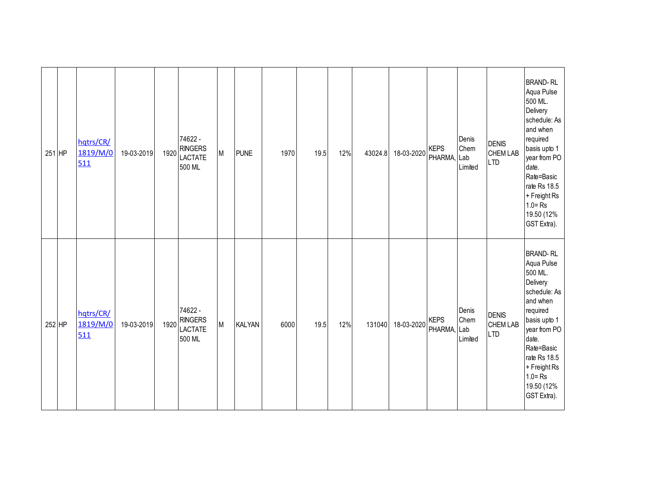| 251 HP | hqtrs/CR/<br>1819/M/0<br>511 | 19-03-2019 | 1920 | 74622 -<br><b>RINGERS</b><br><b>LACTATE</b><br>500 ML | M | <b>PUNE</b>   | 1970 | 19.5 | 12% | 43024.8 | 18-03-2020 | <b>KEPS</b><br>PHARMA, Lab | Denis<br>Chem<br>Limited        | <b>DENIS</b><br><b>CHEM LAB</b><br><b>LTD</b> | <b>BRAND-RL</b><br>Aqua Pulse<br>500 ML.<br>Delivery<br>schedule: As<br>and when<br>required<br>basis upto 1<br>year from PO<br>date.<br>Rate=Basic<br>rate Rs 18.5<br>+ Freight Rs<br>$1.0 = Rs$<br>19.50 (12%<br>GST Extra). |
|--------|------------------------------|------------|------|-------------------------------------------------------|---|---------------|------|------|-----|---------|------------|----------------------------|---------------------------------|-----------------------------------------------|--------------------------------------------------------------------------------------------------------------------------------------------------------------------------------------------------------------------------------|
| 252 HP | hqtrs/CR/<br>1819/M/0<br>511 | 19-03-2019 | 1920 | 74622 -<br><b>RINGERS</b><br><b>LACTATE</b><br>500 ML | M | <b>KALYAN</b> | 6000 | 19.5 | 12% | 131040  | 18-03-2020 | <b>KEPS</b><br>PHARMA,     | Denis<br>Chem<br>Lab<br>Limited | <b>DENIS</b><br><b>CHEM LAB</b><br><b>LTD</b> | <b>BRAND-RL</b><br>Aqua Pulse<br>500 ML.<br>Delivery<br>schedule: As<br>and when<br>required<br>basis upto 1<br>year from PO<br>date.<br>Rate=Basic<br>rate Rs 18.5<br>+ Freight Rs<br>$1.0 = Rs$<br>19.50 (12%<br>GST Extra). |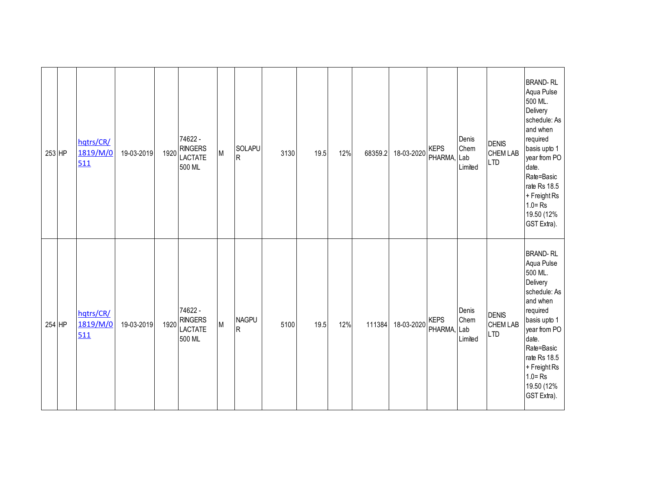| 253 HP | hqtrs/CR/<br>1819/M/0<br>511 | 19-03-2019 | 1920 | 74622 -<br><b>RINGERS</b><br><b>LACTATE</b><br>500 ML | M | SOLAPU<br>${\sf R}$            | 3130 | 19.5 | 12% | 68359.2 | 18-03-2020 | <b>KEPS</b><br>PHARMA, Lab | Denis<br>Chem<br>Limited        | <b>DENIS</b><br><b>CHEM LAB</b><br><b>LTD</b> | <b>BRAND-RL</b><br>Aqua Pulse<br>500 ML.<br>Delivery<br>schedule: As<br>and when<br>required<br>basis upto 1<br>year from PO<br>date.<br>Rate=Basic<br>rate Rs 18.5<br>+ Freight Rs<br>$1.0 = Rs$<br>19.50 (12%<br>GST Extra). |
|--------|------------------------------|------------|------|-------------------------------------------------------|---|--------------------------------|------|------|-----|---------|------------|----------------------------|---------------------------------|-----------------------------------------------|--------------------------------------------------------------------------------------------------------------------------------------------------------------------------------------------------------------------------------|
| 254 HP | hqtrs/CR/<br>1819/M/0<br>511 | 19-03-2019 | 1920 | 74622 -<br><b>RINGERS</b><br><b>LACTATE</b><br>500 ML | M | <b>NAGPU</b><br>$\overline{R}$ | 5100 | 19.5 | 12% | 111384  | 18-03-2020 | <b>KEPS</b><br>PHARMA,     | Denis<br>Chem<br>Lab<br>Limited | <b>DENIS</b><br><b>CHEM LAB</b><br><b>LTD</b> | <b>BRAND-RL</b><br>Aqua Pulse<br>500 ML.<br>Delivery<br>schedule: As<br>and when<br>required<br>basis upto 1<br>year from PO<br>date.<br>Rate=Basic<br>rate Rs 18.5<br>+ Freight Rs<br>$1.0 = Rs$<br>19.50 (12%<br>GST Extra). |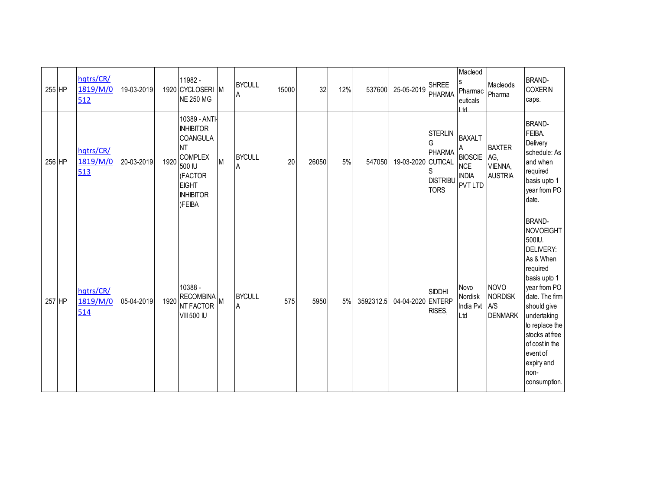| 255 HP | hqtrs/CR/<br>1819/M/0<br>512 | 19-03-2019 |      | 11982 -<br>1920 CYCLOSERI M<br><b>NE 250 MG</b>                                                                                                        |   | <b>BYCULL</b><br>A | 15000 | 32    | 12% | 537600    | 25-05-2019         | <b>SHREE</b><br><b>PHARMA</b>                              | Macleod<br>S<br>Pharmac<br>euticals<br>I M                                           | Macleods<br>Pharma                                | <b>BRAND-</b><br><b>COXERIN</b><br>caps.                                                                                                                                                                                                                                  |
|--------|------------------------------|------------|------|--------------------------------------------------------------------------------------------------------------------------------------------------------|---|--------------------|-------|-------|-----|-----------|--------------------|------------------------------------------------------------|--------------------------------------------------------------------------------------|---------------------------------------------------|---------------------------------------------------------------------------------------------------------------------------------------------------------------------------------------------------------------------------------------------------------------------------|
| 256 HP | hqtrs/CR/<br>1819/M/0<br>513 | 20-03-2019 | 1920 | 10389 - ANTI-<br><b>INHIBITOR</b><br><b>COANGULA</b><br><b>NT</b><br><b>COMPLEX</b><br>500 IU<br>(FACTOR<br><b>EIGHT</b><br><b>INHIBITOR</b><br>)FEIBA | M | <b>BYCULL</b><br>A | 20    | 26050 | 5%  | 547050    | 19-03-2020 CUTICAL | <b>STERLIN</b><br>PHARMA<br><b>DISTRIBU</b><br><b>TORS</b> | <b>BAXALT</b><br>Α<br><b>BIOSCIE</b><br><b>NCE</b><br><b>INDIA</b><br><b>PVT LTD</b> | <b>BAXTER</b><br>AG,<br>VIENNA,<br><b>AUSTRIA</b> | <b>BRAND-</b><br>FEIBA.<br>Delivery<br>schedule: As<br>and when<br>required<br>basis upto 1<br>year from PO<br>date.                                                                                                                                                      |
| 257 HP | hqtrs/CR/<br>1819/M/0<br>514 | 05-04-2019 | 1920 | 10388 -<br>RECOMBINA<br><b>NT FACTOR</b><br><b>VIII 500 IU</b>                                                                                         |   | <b>BYCULL</b><br>A | 575   | 5950  | 5%  | 3592312.5 | 04-04-2020 ENTERP  | <b>SIDDHI</b><br>RISES,                                    | Novo<br>Nordisk<br>India Pvt<br>Ltd                                                  | <b>NOVO</b><br>NORDISK<br>A/S<br><b>DENMARK</b>   | <b>BRAND-</b><br><b>NOVOEIGHT</b><br>500IU.<br>DELIVERY:<br>As & When<br>required<br>basis upto 1<br>year from PO<br>date. The firm<br>should give<br>undertaking<br>to replace the<br>stocks at free<br>of cost in the<br>event of<br>expiry and<br>non-<br>consumption. |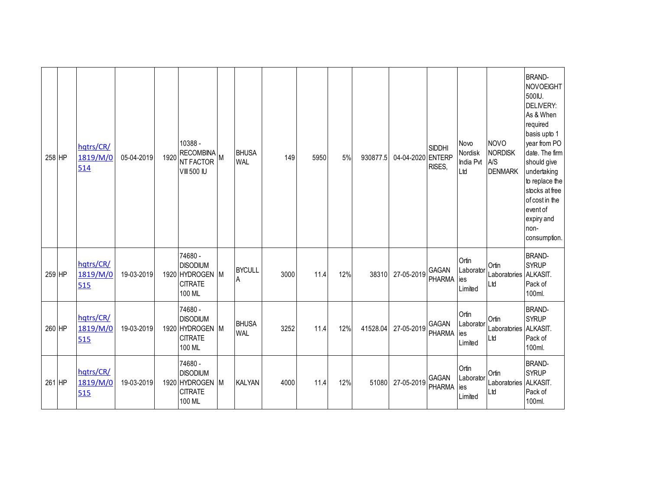| 258 HP | hqtrs/CR/<br>1819/M/0<br>514 | 05-04-2019 | 1920 | 10388 -<br>RECOMBINA<br>M<br><b>NT FACTOR</b><br><b>VIII 500 IU</b>       | <b>BHUSA</b><br><b>WAL</b> | 149  | 5950 | 5%  | 930877.5 | 04-04-2020 ENTERP | <b>SIDDHI</b><br>RISES, | Novo<br>Nordisk<br>India Pvt<br>Ltd  | <b>NOVO</b><br><b>NORDISK</b><br><b>A/S</b><br><b>DENMARK</b> | <b>BRAND-</b><br><b>NOVOEIGHT</b><br>500IU.<br>DELIVERY:<br>As & When<br>required<br>basis upto 1<br>year from PO<br>date. The firm<br>should give<br>undertaking<br>to replace the<br>stocks at free<br>of cost in the<br>event of<br>expiry and<br>non-<br>consumption. |
|--------|------------------------------|------------|------|---------------------------------------------------------------------------|----------------------------|------|------|-----|----------|-------------------|-------------------------|--------------------------------------|---------------------------------------------------------------|---------------------------------------------------------------------------------------------------------------------------------------------------------------------------------------------------------------------------------------------------------------------------|
| 259 HP | hqtrs/CR/<br>1819/M/0<br>515 | 19-03-2019 |      | 74680 -<br><b>DISODIUM</b><br>1920 HYDROGEN M<br><b>CITRATE</b><br>100 ML | <b>BYCULL</b><br>A         | 3000 | 11.4 | 12% | 38310    | 27-05-2019        | GAGAN<br><b>PHARMA</b>  | Ortin<br>Laborator<br>ies<br>Limited | Ortin<br>Laboratories<br>Ltd                                  | <b>BRAND-</b><br><b>SYRUP</b><br>ALKASIT.<br>Pack of<br>100ml.                                                                                                                                                                                                            |
| 260 HP | hqtrs/CR/<br>1819/M/0<br>515 | 19-03-2019 |      | 74680 -<br><b>DISODIUM</b><br>1920 HYDROGEN M<br><b>CITRATE</b><br>100 ML | <b>BHUSA</b><br><b>WAL</b> | 3252 | 11.4 | 12% | 41528.04 | 27-05-2019        | GAGAN<br><b>PHARMA</b>  | Ortin<br>Laborator<br>ies<br>Limited | Ortin<br>Laboratories ALKASIT.<br>Ltd                         | <b>BRAND-</b><br><b>SYRUP</b><br>Pack of<br>100ml.                                                                                                                                                                                                                        |
| 261 HP | hqtrs/CR/<br>1819/M/0<br>515 | 19-03-2019 |      | 74680 -<br><b>DISODIUM</b><br>1920 HYDROGEN M<br><b>CITRATE</b><br>100 ML | <b>KALYAN</b>              | 4000 | 11.4 | 12% | 51080    | 27-05-2019        | GAGAN<br>PHARMA         | Ortin<br>Laborator<br>ies<br>Limited | Ortin<br>Laboratories<br>Ltd                                  | <b>BRAND-</b><br><b>SYRUP</b><br>ALKASIT.<br>Pack of<br>100ml.                                                                                                                                                                                                            |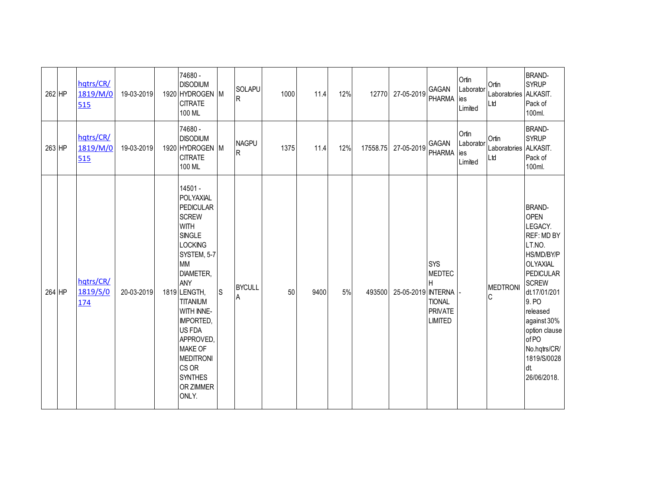| 262 HP | hqtrs/CR/<br>1819/M/0<br>515        | 19-03-2019 | 74680 -<br><b>DISODIUM</b><br>1920 HYDROGEN M<br><b>CITRATE</b><br>100 ML                                                                                                                                                                                                                                                                     |              | SOLAPU<br>$\overline{R}$    | 1000 | 11.4 | 12% | 12770    | 27-05-2019         | <b>GAGAN</b><br><b>PHARMA</b>                                                  | Ortin<br>Laborator<br>ies<br>Limited  | Ortin<br>Laboratories ALKASIT.<br>Ltd | <b>BRAND-</b><br><b>SYRUP</b><br>Pack of<br>100ml.                                                                                                                                                                                                               |
|--------|-------------------------------------|------------|-----------------------------------------------------------------------------------------------------------------------------------------------------------------------------------------------------------------------------------------------------------------------------------------------------------------------------------------------|--------------|-----------------------------|------|------|-----|----------|--------------------|--------------------------------------------------------------------------------|---------------------------------------|---------------------------------------|------------------------------------------------------------------------------------------------------------------------------------------------------------------------------------------------------------------------------------------------------------------|
| 263 HP | hqtrs/CR/<br>1819/M/0<br>515        | 19-03-2019 | 74680 -<br><b>DISODIUM</b><br>1920 HYDROGEN M<br><b>CITRATE</b><br>100 ML                                                                                                                                                                                                                                                                     |              | <b>NAGPU</b><br>$\mathsf R$ | 1375 | 11.4 | 12% | 17558.75 | 27-05-2019         | <b>GAGAN</b><br><b>PHARMA</b>                                                  | Ortin<br>Laborator<br>lies<br>Limited | Ortin<br>Laboratories ALKASIT.<br>Ltd | <b>BRAND-</b><br><b>SYRUP</b><br>Pack of<br>100ml.                                                                                                                                                                                                               |
| 264 HP | hqtrs/CR/<br>1819/S/0<br><u>174</u> | 20-03-2019 | 14501 -<br>POLYAXIAL<br><b>PEDICULAR</b><br><b>SCREW</b><br><b>WITH</b><br><b>SINGLE</b><br><b>LOCKING</b><br>SYSTEM, 5-7<br><b>MM</b><br>DIAMETER,<br>ANY<br>1819 LENGTH,<br><b>TITANIUM</b><br>WITH INNE-<br><b>IMPORTED,</b><br>US FDA<br>APPROVED,<br><b>MAKE OF</b><br><b>MEDITRONI</b><br>CS OR<br><b>SYNTHES</b><br>OR ZIMMER<br>ONLY. | $\mathsf{S}$ | <b>BYCULL</b><br>A          | 50   | 9400 | 5%  | 493500   | 25-05-2019 INTERNA | <b>SYS</b><br><b>MEDTEC</b><br>н<br><b>TIONAL</b><br>PRIVATE<br><b>LIMITED</b> |                                       | <b>MEDTRON</b><br>C                   | <b>BRAND-</b><br><b>OPEN</b><br>LEGACY.<br>REF: MD BY<br>LT.NO.<br>HS/MD/BY/P<br>OLYAXIAL<br><b>PEDICULAR</b><br><b>SCREW</b><br>dt.17/01/201<br>9. PO<br>released<br>against 30%<br>option clause<br>of PO<br>No.hqtrs/CR/<br>1819/S/0028<br>dt.<br>26/06/2018. |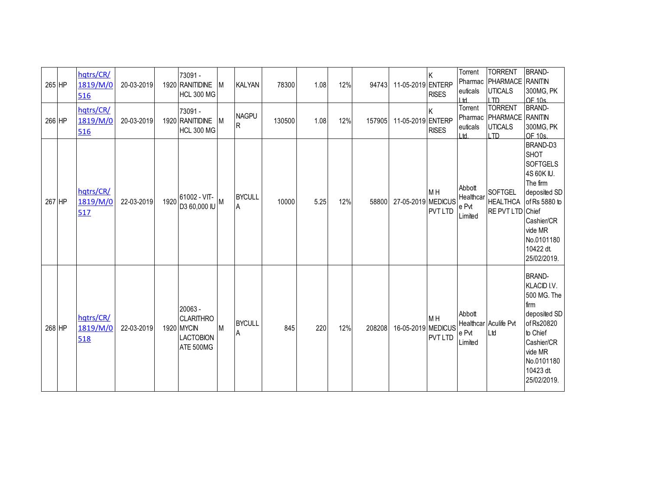| 265 HP<br>266 HP | hqtrs/CR/<br>1819/M/0<br>516<br>hqtrs/CR/<br>1819/M/0<br>516 | 20-03-2019<br>20-03-2019 |      | 73091 -<br>1920 RANITIDINE<br><b>HCL 300 MG</b><br>73091 -<br>1920 RANITIDINE<br><b>HCL 300 MG</b> | <b>M</b><br><b>M</b> | <b>KALYAN</b><br><b>NAGPU</b><br>IR. | 78300<br>130500 | 1.08<br>1.08 | 12%<br>12% | 94743<br>157905 | 11-05-2019 ENTERP<br>11-05-2019 ENTERP | K<br><b>RISES</b><br><b>RISES</b> | Torrent<br>Pharmac<br>euticals<br>I td<br>Torrent<br>Pharmac<br>euticals<br>H | <b>TORRENT</b><br>PHARMACE<br><b>UTICALS</b><br>$\overline{ID}$<br><b>TORRENT</b><br>PHARMACE RANITIN<br><b>UTICALS</b> | <b>BRAND-</b><br><b>RANITIN</b><br>300MG, PK<br>OF 10s.<br><b>BRAND-</b><br>300MG, PK                                                                                                                 |
|------------------|--------------------------------------------------------------|--------------------------|------|----------------------------------------------------------------------------------------------------|----------------------|--------------------------------------|-----------------|--------------|------------|-----------------|----------------------------------------|-----------------------------------|-------------------------------------------------------------------------------|-------------------------------------------------------------------------------------------------------------------------|-------------------------------------------------------------------------------------------------------------------------------------------------------------------------------------------------------|
| 267 HP           | hqtrs/CR/<br>1819/M/0<br>517                                 | 22-03-2019               | 1920 | 61002 - VIT-<br>$\overline{M}$ UI 000,03 ECI                                                       |                      | <b>BYCULL</b><br>A                   | 10000           | 5.25         | 12%        | 58800           | 27-05-2019 MEDICUS                     | M <sub>H</sub><br><b>PVT LTD</b>  | Abbott<br>Healthcar<br>e Pvt<br>Limited                                       | ITD<br><b>SOFTGEL</b><br>RE PVT LTD                                                                                     | OF 10s.<br>BRAND-D3<br><b>SHOT</b><br><b>SOFTGELS</b><br>4S 60K IU.<br>The firm<br>deposited SD<br>HEALTHCA of Rs 5880 to<br>Chief<br>Cashier/CR<br>vide MR<br>No.0101180<br>10422 dt.<br>25/02/2019. |
| 268 HP           | hqtrs/CR/<br>1819/M/0<br>518                                 | 22-03-2019               |      | 20063 -<br><b>CLARITHRO</b><br>1920 MYCIN<br><b>LACTOBION</b><br>ATE 500MG                         | M                    | <b>BYCULL</b><br>A                   | 845             | 220          | 12%        | 208208          | 16-05-2019 MEDICUS                     | M <sub>H</sub><br><b>PVT LTD</b>  | Abbott<br>e Pvt<br>Limited                                                    | Healthcar Aculife Pvt<br>Ltd                                                                                            | <b>BRAND-</b><br>KLACID I.V.<br>500 MG. The<br>firm<br>deposited SD<br>of Rs20820<br>to Chief<br>Cashier/CR<br>vide MR<br>No.0101180<br>10423 dt.<br>25/02/2019.                                      |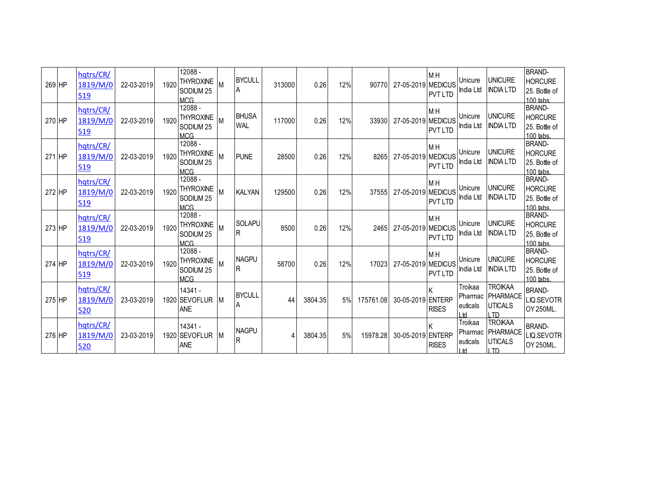| 269 HP | hqtrs/CR/<br>1819/M/0<br>519 | 22-03-2019 | 1920 | 12088 -<br><b>THYROXINE</b><br>SODIUM <sub>25</sub><br><b>MCG</b> |     | <b>BYCULL</b><br>A         | 313000 | 0.26    | 12% | 90770     | 27-05-2019 MEDICUS | M H<br><b>PVT LTD</b>            | Unicure<br>India Ltd        | <b>UNICURE</b><br><b>INDIA LTD</b>                           | <b>BRAND-</b><br><b>HORCURE</b><br>25. Bottle of<br>$100$ tabs. |
|--------|------------------------------|------------|------|-------------------------------------------------------------------|-----|----------------------------|--------|---------|-----|-----------|--------------------|----------------------------------|-----------------------------|--------------------------------------------------------------|-----------------------------------------------------------------|
| 270 HP | hqtrs/CR/<br>1819/M/0<br>519 | 22-03-2019 | 1920 | 12088 -<br><b>THYROXINE</b><br>SODIUM <sub>25</sub><br><b>MCG</b> |     | <b>BHUSA</b><br><b>WAL</b> | 117000 | 0.26    | 12% | 33930     | 27-05-2019 MEDICUS | M <sub>H</sub><br><b>PVT LTD</b> | Unicure<br>India Ltd        | <b>UNICURE</b><br><b>INDIA LTD</b>                           | <b>BRAND-</b><br><b>HORCURE</b><br>25. Bottle of<br>$100$ tabs. |
| 271 HP | hqtrs/CR/<br>1819/M/0<br>519 | 22-03-2019 | 1920 | 12088 -<br><b>THYROXINE</b><br>SODIUM <sub>25</sub><br><b>MCG</b> |     | <b>PUNE</b>                | 28500  | 0.26    | 12% | 8265      | 27-05-2019 MEDICUS | M <sub>H</sub><br><b>PVT LTD</b> | Unicure<br>India Ltd        | <b>UNICURE</b><br><b>INDIA LTD</b>                           | <b>BRAND-</b><br><b>HORCURE</b><br>25. Bottle of<br>100 tabs.   |
| 272 HP | hqtrs/CR/<br>1819/M/0<br>519 | 22-03-2019 | 1920 | 12088 -<br><b>THYROXINE</b><br>SODIUM <sub>25</sub><br><b>MCG</b> |     | <b>KALYAN</b>              | 129500 | 0.26    | 12% | 37555     | 27-05-2019 MEDICUS | M <sub>H</sub><br><b>PVT LTD</b> | Unicure<br>India Ltd        | <b>UNICURE</b><br><b>INDIA LTD</b>                           | <b>BRAND-</b><br><b>HORCURE</b><br>25. Bottle of<br>$100$ tabs  |
| 273 HP | hqtrs/CR/<br>1819/M/0<br>519 | 22-03-2019 | 1920 | 12088 -<br><b>THYROXINE</b><br>SODIUM <sub>25</sub><br><b>MCG</b> |     | <b>SOLAPU</b><br>R         | 8500   | 0.26    | 12% | 2465      | 27-05-2019 MEDICUS | M H<br><b>PVT LTD</b>            | Unicure<br>India Ltd        | <b>UNICURE</b><br><b>INDIA LTD</b>                           | <b>BRAND-</b><br><b>HORCURE</b><br>25. Bottle of<br>100 tabs.   |
| 274 HP | hqtrs/CR/<br>1819/M/0<br>519 | 22-03-2019 | 1920 | 12088 -<br><b>THYROXINE</b><br>SODIUM <sub>25</sub><br><b>MCG</b> |     | <b>NAGPU</b><br>lR.        | 58700  | 0.26    | 12% | 17023     | 27-05-2019 MEDICUS | M <sub>H</sub><br><b>PVT LTD</b> | Unicure<br>India Ltd        | <b>UNICURE</b><br><b>INDIA LTD</b>                           | <b>BRAND-</b><br><b>HORCURE</b><br>25. Bottle of<br>$100$ tabs. |
| 275 HP | hqtrs/CR/<br>1819/M/0<br>520 | 23-03-2019 |      | 14341 -<br>1920 SEVOFLUR<br>ANE                                   | IM. | <b>BYCULL</b><br>A         | 44     | 3804.35 | 5%  | 175761.08 | 30-05-2019 ENTERP  | <b>RISES</b>                     | Troikaa<br>euticals<br>١H   | <b>TROIKAA</b><br>Pharmac PHARMACE<br><b>UTICALS</b><br>חד ו | <b>BRAND-</b><br>LIQ.SEVOTR<br>OY 250ML.                        |
| 276 HP | hqtrs/CR/<br>1819/M/0<br>520 | 23-03-2019 |      | 14341 -<br>1920 SEVOFLUR<br>ANE                                   | IM. | <b>NAGPU</b><br>R          | 4      | 3804.35 | 5%  | 15978.28  | 30-05-2019 ENTERP  | <b>RISES</b>                     | Troikaa<br>euticals<br>I td | <b>TROIKAA</b><br>Pharmac PHARMACE<br><b>UTICALS</b><br>I TD | <b>BRAND-</b><br>LIQ.SEVOTR<br>OY 250ML.                        |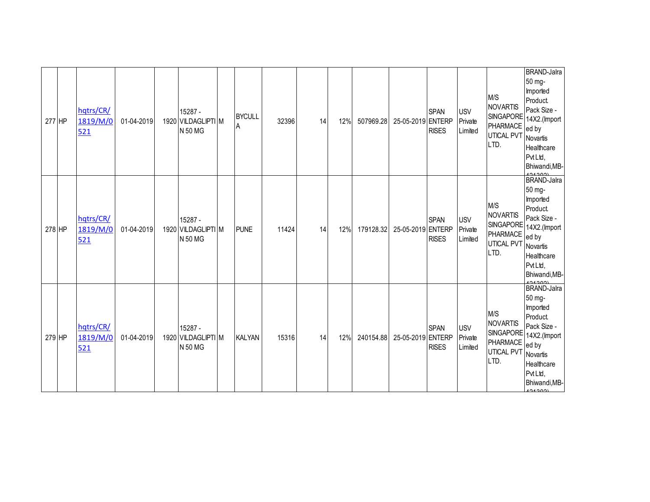| 277 HP | hqtrs/CR/<br>1819/M/0<br>521 | 01-04-2019 | 15287 -<br>1920 VILDAGLIPTI M<br>N 50 MG | <b>BYCULL</b><br>Α | 32396 | 14 | 12% | 507969.28 | 25-05-2019 ENTERP | <b>SPAN</b><br><b>RISES</b> | <b>USV</b><br>Private<br>Limited | M/S<br><b>NOVARTIS</b><br><b>PHARMACE</b><br>UTICAL PVT<br>LTD.              | <b>BRAND-Jalra</b><br>50 mg-<br>Imported<br>Product.<br>Pack Size -<br>SINGAPORE 14X2.(Import<br>ed by<br>Novartis<br>Healthcare<br>Pvt Ltd,<br>Bhiwandi, MB- |
|--------|------------------------------|------------|------------------------------------------|--------------------|-------|----|-----|-----------|-------------------|-----------------------------|----------------------------------|------------------------------------------------------------------------------|---------------------------------------------------------------------------------------------------------------------------------------------------------------|
| 278 HP | hqtrs/CR/<br>1819/M/0<br>521 | 01-04-2019 | 15287 -<br>1920 VILDAGLIPTI M<br>N 50 MG | <b>PUNE</b>        | 11424 | 14 | 12% | 179128.32 | 25-05-2019 ENTERP | <b>SPAN</b><br><b>RISES</b> | <b>USV</b><br>Private<br>Limited | M/S<br><b>NOVARTIS</b><br>SINGAPORE<br>PHARMACE<br><b>UTICAL PVT</b><br>LTD. | <b>BRAND-Jalra</b><br>50 mg-<br>Imported<br>Product.<br>Pack Size -<br>14X2.(Import<br>ed by<br>Novartis<br>Healthcare<br>Pvt Ltd,<br>Bhiwandi, MB-           |
| 279 HP | hqtrs/CR/<br>1819/M/0<br>521 | 01-04-2019 | 15287 -<br>1920 VILDAGLIPTI M<br>N 50 MG | <b>KALYAN</b>      | 15316 | 14 | 12% | 240154.88 | 25-05-2019 ENTERP | <b>SPAN</b><br><b>RISES</b> | <b>USV</b><br>Private<br>Limited | M/S<br><b>NOVARTIS</b><br>PHARMACE<br>UTICAL PVT<br>LTD.                     | <b>BRAND-Jalra</b><br>50 mg-<br>Imported<br>Product.<br>Pack Size -<br>SINGAPORE 14X2.(Import<br>ed by<br>Novartis<br>Healthcare<br>Pvt Ltd,<br>Bhiwandi, MB- |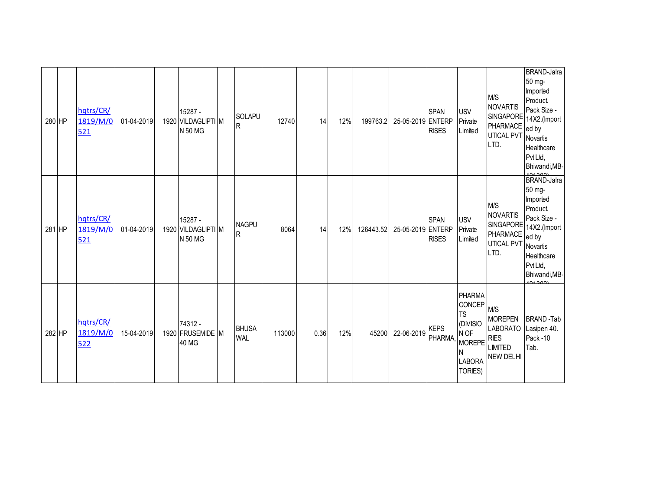| 280 HP | hqtrs/CR/<br>1819/M/0<br>521 | 01-04-2019 | 15287 -<br>1920 VILDAGLIPTIM<br>N 50 MG | SOLAPU<br>$\overline{R}$       | 12740  | 14   | 12% | 199763.2  | 25-05-2019 ENTERP | <b>SPAN</b><br><b>RISES</b> | <b>USV</b><br>Private<br>Limited                                                                      | M/S<br><b>NOVARTIS</b><br>SINGAPORE<br>PHARMACE<br><b>UTICAL PVT</b><br>LTD.                  | <b>BRAND-Jalra</b><br>50 mg-<br>Imported<br>Product.<br>Pack Size -<br>14X2.(Import<br>ed by<br>Novartis<br>Healthcare<br>Pvt Ltd,<br>Bhiwandi, MB- |
|--------|------------------------------|------------|-----------------------------------------|--------------------------------|--------|------|-----|-----------|-------------------|-----------------------------|-------------------------------------------------------------------------------------------------------|-----------------------------------------------------------------------------------------------|-----------------------------------------------------------------------------------------------------------------------------------------------------|
| 281 HP | hqtrs/CR/<br>1819/M/0<br>521 | 01-04-2019 | 15287 -<br>1920 VILDAGLIPTIM<br>N 50 MG | <b>NAGPU</b><br>$\overline{R}$ | 8064   | 14   | 12% | 126443.52 | 25-05-2019 ENTERP | <b>SPAN</b><br><b>RISES</b> | <b>USV</b><br>Private<br>Limited                                                                      | M/S<br>NOVARTIS<br>SINGAPORE<br>PHARMACE<br>UTICAL PVT<br>LTD.                                | <b>BRAND-Jalra</b><br>50 mg-<br>Imported<br>Product.<br>Pack Size -<br>14X2.(Import<br>ed by<br>Novartis<br>Healthcare<br>Pvt Ltd,<br>Bhiwandi, MB- |
| 282 HP | hqtrs/CR/<br>1819/M/0<br>522 | 15-04-2019 | 74312 -<br>1920 FRUSEMIDE M<br>40 MG    | <b>BHUSA</b><br><b>WAL</b>     | 113000 | 0.36 | 12% | 45200     | 22-06-2019        | <b>KEPS</b><br>PHARMA,      | <b>PHARMA</b><br>CONCEP<br><b>TS</b><br>(DIVISIO<br>N OF<br><b>MOREPE</b><br><b>LABORA</b><br>TORIES) | M/S<br><b>MOREPEN</b><br><b>LABORATO</b><br><b>RIES</b><br><b>LIMITED</b><br><b>NEW DELHI</b> | <b>BRAND-Tab</b><br>Lasipen 40.<br>Pack -10<br>Tab.                                                                                                 |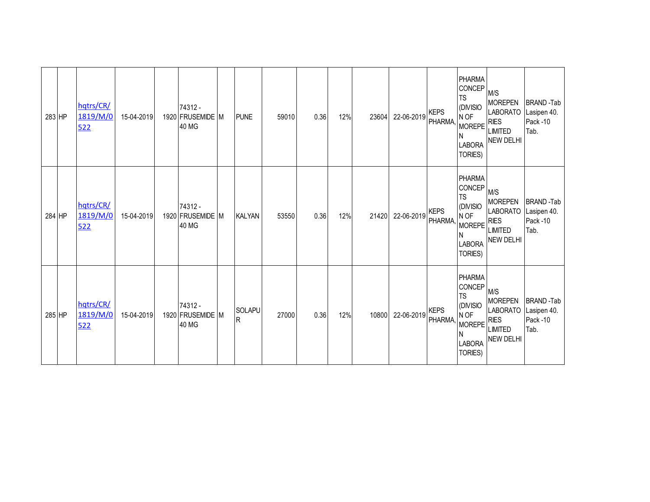| 283 HP | hqtrs/CR/<br>1819/M/0<br>522 | 15-04-2019 | 74312 -<br>1920 FRUSEMIDE M<br>40 MG | <b>PUNE</b>                   | 59010 | 0.36 | 12% | 23604 | 22-06-2019 | <b>KEPS</b><br><b>PHARMA</b> | PHARMA<br><b>CONCEP</b><br><b>TS</b><br>(DIVISIO<br>N OF<br>MOREPE <sup>RIES</sup><br>N<br><b>LABORA</b><br>TORIES) | M/S<br><b>MOREPEN</b><br><b>LABORATO</b><br><b>LIMITED</b><br><b>NEW DELHI</b>                | <b>BRAND-Tab</b><br>Lasipen 40.<br>Pack-10<br>Tab. |
|--------|------------------------------|------------|--------------------------------------|-------------------------------|-------|------|-----|-------|------------|------------------------------|---------------------------------------------------------------------------------------------------------------------|-----------------------------------------------------------------------------------------------|----------------------------------------------------|
| 284 HP | hqtrs/CR/<br>1819/M/0<br>522 | 15-04-2019 | 74312 -<br>1920 FRUSEMIDE M<br>40 MG | <b>KALYAN</b>                 | 53550 | 0.36 | 12% | 21420 | 22-06-2019 | <b>KEPS</b><br><b>PHARMA</b> | PHARMA<br>CONCEP<br><b>TS</b><br>(DIVISIO<br>N OF<br><b>MOREPE</b><br>N<br><b>LABORA</b><br>TORIES)                 | M/S<br><b>MOREPEN</b><br><b>LABORATO</b><br><b>RIES</b><br><b>LIMITED</b><br><b>NEW DELHI</b> | <b>BRAND-Tab</b><br>Lasipen 40.<br>Pack-10<br>Tab. |
| 285 HP | hqtrs/CR/<br>1819/M/0<br>522 | 15-04-2019 | 74312 -<br>1920 FRUSEMIDE M<br>40 MG | <b>SOLAPU</b><br>$\mathsf{R}$ | 27000 | 0.36 | 12% | 10800 | 22-06-2019 | <b>KEPS</b><br>PHARMA,       | PHARMA<br>CONCEP<br><b>TS</b><br>(DIVISIO<br>N OF<br>MOREPE <sup>RIES</sup><br><b>LABORA</b><br>TORIES)             | M/S<br><b>MOREPEN</b><br><b>LABORATO</b><br><b>LIMITED</b><br><b>NEW DELHI</b>                | <b>BRAND-Tab</b><br>Lasipen 40.<br>Pack-10<br>Tab. |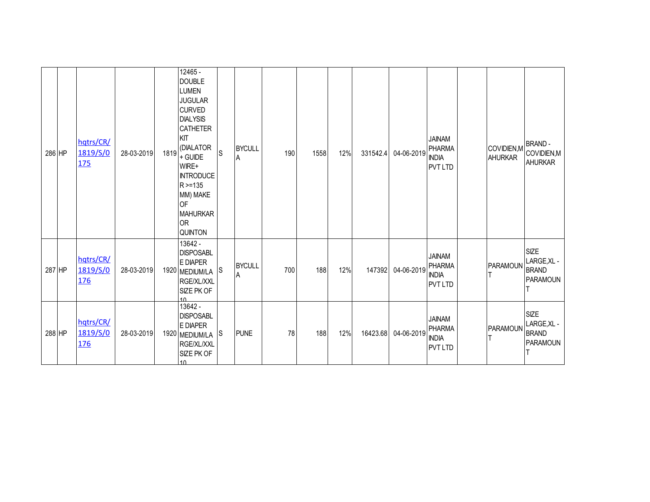| 286 HP | hqtrs/CR/<br>1819/S/0<br><u>175</u> | 28-03-2019 | 1819 | 12465 -<br><b>DOUBLE</b><br><b>LUMEN</b><br><b>JUGULAR</b><br><b>CURVED</b><br><b>DIALYSIS</b><br><b>CATHETER</b><br>KIT<br>(DIALATOR<br>+ GUIDE<br>WIRE+<br><b>INTRODUCE</b><br>R > 135<br>MM) MAKE<br><b>OF</b><br><b>MAHURKAR</b><br><b>OR</b><br><b>QUINTON</b> | <sub>S</sub> | <b>BYCULL</b><br>A | 190 | 1558 | 12% | 331542.4 | 04-06-2019 | <b>JAINAM</b><br><b>PHARMA</b><br><b>INDIA</b><br><b>PVT LTD</b> | COVIDIEN, M<br><b>AHURKAR</b> | <b>BRAND-</b><br>COVIDIEN, M<br><b>AHURKAR</b>         |
|--------|-------------------------------------|------------|------|---------------------------------------------------------------------------------------------------------------------------------------------------------------------------------------------------------------------------------------------------------------------|--------------|--------------------|-----|------|-----|----------|------------|------------------------------------------------------------------|-------------------------------|--------------------------------------------------------|
| 287 HP | hqtrs/CR/<br>1819/S/0<br>176        | 28-03-2019 |      | 13642 -<br><b>DISPOSABL</b><br>E DIAPER<br>1920 MEDIUM/LA<br>RGE/XL/XXL<br>SIZE PK OF<br>1 <sub>0</sub>                                                                                                                                                             | S            | <b>BYCULL</b><br>A | 700 | 188  | 12% | 147392   | 04-06-2019 | <b>JAINAM</b><br><b>PHARMA</b><br><b>INDIA</b><br><b>PVT LTD</b> | PARAMOUN                      | <b>SIZE</b><br>LARGE, XL -<br><b>BRAND</b><br>PARAMOUN |
| 288 HP | hqtrs/CR/<br>1819/S/0<br><u>176</u> | 28-03-2019 |      | 13642 -<br><b>DISPOSABL</b><br>E DIAPER<br>1920 MEDIUM/LA S<br>RGE/XL/XXL<br>SIZE PK OF<br>10                                                                                                                                                                       |              | <b>PUNE</b>        | 78  | 188  | 12% | 16423.68 | 04-06-2019 | <b>JAINAM</b><br><b>PHARMA</b><br><b>INDIA</b><br><b>PVT LTD</b> | <b>PARAMOUN</b>               | <b>SIZE</b><br>LARGE, XL -<br><b>BRAND</b><br>PARAMOUN |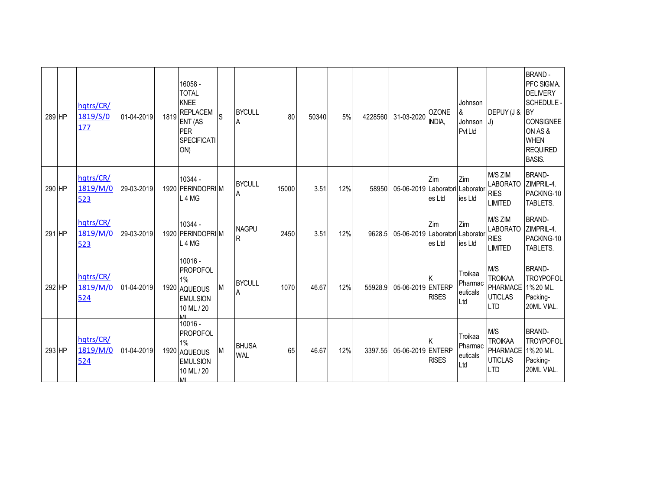| 289 HP | hatrs/CR/<br>1819/S/0<br>177 | 01-04-2019 | 1819 | 16058 -<br><b>TOTAL</b><br><b>KNEE</b><br><b>REPLACEM</b><br><b>ENT (AS</b><br>PER<br><b>SPECIFICATI</b><br>ON) | <sub>S</sub> | <b>BYCULL</b><br>A         | 80    | 50340 | 5%  | 4228560 | 31-03-2020                      | <b>OZONE</b><br>INDIA. | Johnson<br>&<br>Johnson<br><b>PvtLtd</b> | DEPUY (J &<br>$ J\rangle$                                                | <b>BRAND-</b><br>PFC SIGMA.<br><b>DELIVERY</b><br><b>SCHEDULE -</b><br><b>BY</b><br>CONSIGNEE<br>ON AS &<br><b>WHEN</b><br><b>REQUIRED</b><br><b>BASIS.</b> |
|--------|------------------------------|------------|------|-----------------------------------------------------------------------------------------------------------------|--------------|----------------------------|-------|-------|-----|---------|---------------------------------|------------------------|------------------------------------------|--------------------------------------------------------------------------|-------------------------------------------------------------------------------------------------------------------------------------------------------------|
| 290 HP | hqtrs/CR/<br>1819/M/0<br>523 | 29-03-2019 |      | 10344 -<br>1920 PERINDOPRIM<br>L <sub>4</sub> M <sub>G</sub>                                                    |              | <b>BYCULL</b><br>A         | 15000 | 3.51  | 12% | 58950   | 05-06-2019 Laboratori Laborator | Zim<br>es Ltd          | Zim<br>ies Ltd                           | M/S ZIM<br><b>LABORATO</b><br><b>RIES</b><br><b>LIMITED</b>              | <b>BRAND-</b><br>ZIMPRIL-4.<br>PACKING-10<br>TABLETS.                                                                                                       |
| 291 HP | hqtrs/CR/<br>1819/M/0<br>523 | 29-03-2019 |      | 10344 -<br>1920 PERINDOPRI M<br>L <sub>4</sub> M <sub>G</sub>                                                   |              | <b>NAGPU</b><br>R          | 2450  | 3.51  | 12% | 9628.5  | 05-06-2019 Laboratori Laborator | Zim<br>es Ltd          | Zim<br>ies Ltd                           | M/S ZIM<br><b>LABORATO</b><br><b>RIES</b><br><b>LIMITED</b>              | <b>BRAND-</b><br>ZIMPRIL-4.<br>PACKING-10<br>TABLETS.                                                                                                       |
| 292 HP | hqtrs/CR/<br>1819/M/0<br>524 | 01-04-2019 |      | $10016 -$<br><b>PROPOFOL</b><br>1%<br>1920 AQUEOUS<br><b>EMULSION</b><br>10 ML / 20                             | M            | <b>BYCULL</b><br>Α         | 1070  | 46.67 | 12% | 55928.9 | 05-06-2019 ENTERP               | <b>RISES</b>           | Troikaa<br>Pharmac<br>euticals<br>Ltd    | M/S<br><b>TROIKAA</b><br>PHARMACE<br><b>UTICLAS</b><br>$\overline{1}$ TD | <b>BRAND-</b><br><b>TROYPOFOL</b><br>1%20 ML.<br>Packing-<br>20ML VIAL.                                                                                     |
| 293 HP | hqtrs/CR/<br>1819/M/0<br>524 | 01-04-2019 |      | 10016 -<br><b>PROPOFOL</b><br>1%<br>1920 AQUEOUS<br><b>EMULSION</b><br>10 ML / 20<br><b>MI</b>                  | M            | <b>BHUSA</b><br><b>WAL</b> | 65    | 46.67 | 12% | 3397.55 | 05-06-2019 ENTERP               | <b>RISES</b>           | Troikaa<br>Pharmac<br>euticals<br>Ltd    | M/S<br><b>TROIKAA</b><br>PHARMACE<br><b>UTICLAS</b><br><b>LTD</b>        | <b>BRAND-</b><br><b>TROYPOFOL</b><br>1% 20 ML.<br>Packing-<br>20ML VIAL.                                                                                    |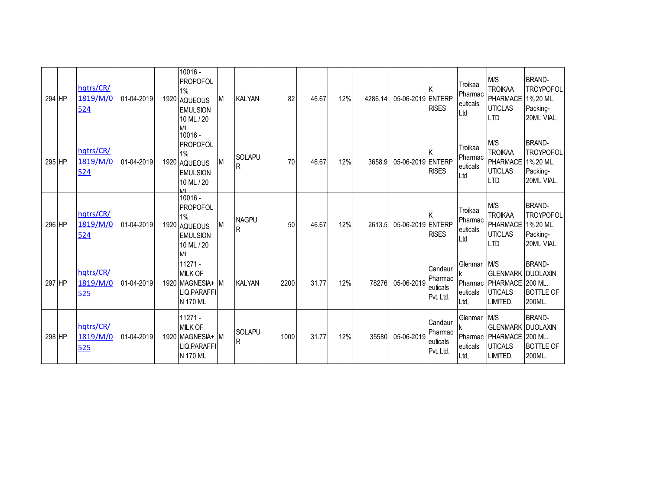| 294 HP | hqtrs/CR/<br>1819/M/0<br>524        | 01-04-2019 | 10016 -<br><b>PROPOFOL</b><br>1%<br>1920 AQUEOUS<br><b>EMULSION</b><br>10 ML / 20<br><b>MI</b> | М | <b>KALYAN</b>                  | 82   | 46.67 | 12% | 4286.14 | 05-06-2019 ENTERP | <b>RISES</b>                                | Troikaa<br>Pharmac<br>euticals<br>Ltd  | M/S<br><b>TROIKAA</b><br><b>PHARMACE</b><br><b>UTICLAS</b><br><b>LTD</b>          | <b>BRAND-</b><br><b>TROYPOFOL</b><br>1%20 ML.<br>Packing-<br>20ML VIAL.  |
|--------|-------------------------------------|------------|------------------------------------------------------------------------------------------------|---|--------------------------------|------|-------|-----|---------|-------------------|---------------------------------------------|----------------------------------------|-----------------------------------------------------------------------------------|--------------------------------------------------------------------------|
| 295 HP | hqtrs/CR/<br>1819/M/0<br>524        | 01-04-2019 | 10016 -<br><b>PROPOFOL</b><br>1%<br>1920 AQUEOUS<br><b>EMULSION</b><br>10 ML / 20              | M | <b>SOLAPU</b><br>R             | 70   | 46.67 | 12% | 3658.9  | 05-06-2019 ENTERP | <b>RISES</b>                                | Troikaa<br>Pharmac<br>euticals<br>Ltd  | M/S<br><b>TROIKAA</b><br>PHARMACE<br><b>UTICLAS</b><br><b>LTD</b>                 | <b>BRAND-</b><br><b>TROYPOFOL</b><br>1%20 ML.<br>Packing-<br>20ML VIAL.  |
| 296 HP | hqtrs/CR/<br>1819/M/0<br><u>524</u> | 01-04-2019 | $10016 -$<br><b>PROPOFOL</b><br>1%<br>1920 AQUEOUS<br><b>EMULSION</b><br>10 ML / 20<br>MI      | М | <b>NAGPU</b><br>$\overline{R}$ | 50   | 46.67 | 12% | 2613.5  | 05-06-2019 ENTERP | <b>RISES</b>                                | Troikaa<br>Pharmac<br>euticals<br>Ltd  | M/S<br><b>TROIKAA</b><br>PHARMACE<br><b>UTICLAS</b><br><b>LTD</b>                 | <b>BRAND-</b><br><b>TROYPOFOL</b><br>1% 20 ML.<br>Packing-<br>20ML VIAL. |
| 297 HP | hqtrs/CR/<br>1819/M/0<br>525        | 01-04-2019 | $11271 -$<br><b>MILK OF</b><br>1920 MAGNESIA+ M<br>LIQ.PARAFFI<br>N 170 ML                     |   | <b>KALYAN</b>                  | 2200 | 31.77 | 12% | 78276   | 05-06-2019        | Candaur<br>Pharmac<br>euticals<br>Pvt. Ltd. | Glenmar<br>Pharmac<br>euticals<br>Ltd, | M/S<br><b>GLENMARK DUOLAXIN</b><br>PHARMACE<br><b>UTICALS</b><br>LIMITED.         | <b>BRAND-</b><br>200 ML.<br><b>BOTTLE OF</b><br>200ML.                   |
| 298 HP | hqtrs/CR/<br>1819/M/0<br>525        | 01-04-2019 | $11271 -$<br><b>MILK OF</b><br>1920 MAGNESIA+ M<br>LIQ.PARAFFI<br>N 170 ML                     |   | <b>SOLAPU</b><br>$\mathsf{R}$  | 1000 | 31.77 | 12% | 35580   | 05-06-2019        | Candaur<br>Pharmac<br>euticals<br>Pvt. Ltd. | Glenmar<br>euticals<br>Ltd,            | M/S<br><b>GLENMARK DUOLAXIN</b><br>Pharmac PHARMACE<br><b>UTICALS</b><br>LIMITED. | <b>BRAND-</b><br>200 ML.<br><b>BOTTLE OF</b><br>200ML.                   |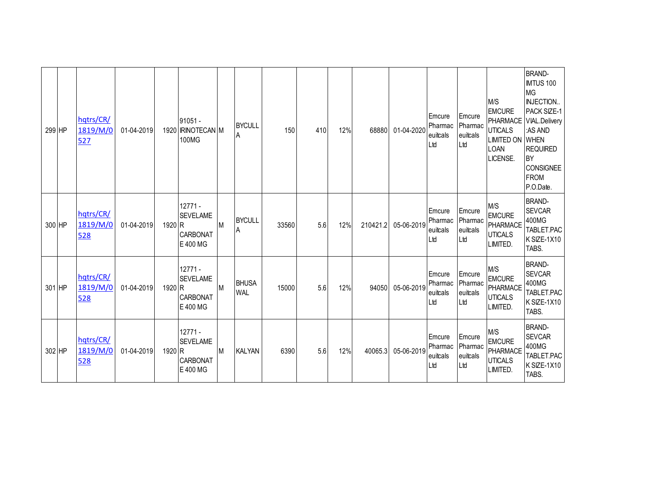| 299 HP | hqtrs/CR/<br>1819/M/0<br>527 | 01-04-2019 |                   | $91051 -$<br>1920 RINOTECAN M<br>100MG                      |           | <b>BYCULL</b><br>A         | 150   | 410 | 12% | 68880    | 01-04-2020 | Emcure<br>Pharmac<br>euitcals<br>Ltd | Emcure<br>Pharmac<br>euitcals<br>Ltd | M/S<br><b>EMCURE</b><br><b>UTICALS</b><br><b>LIMITED ON WHEN</b><br><b>LOAN</b><br>LICENSE. | <b>BRAND-</b><br><b>IMTUS 100</b><br><b>MG</b><br><b>INJECTION</b><br>PACK SIZE-1<br>PHARMACE VIAL.Delivery<br>:AS AND<br><b>REQUIRED</b><br><b>BY</b><br><b>CONSIGNEE</b><br><b>FROM</b><br>P.O.Date. |
|--------|------------------------------|------------|-------------------|-------------------------------------------------------------|-----------|----------------------------|-------|-----|-----|----------|------------|--------------------------------------|--------------------------------------|---------------------------------------------------------------------------------------------|--------------------------------------------------------------------------------------------------------------------------------------------------------------------------------------------------------|
| 300 HP | hqtrs/CR/<br>1819/M/0<br>528 | 01-04-2019 | 1920 <sub>R</sub> | $12771 -$<br><b>SEVELAME</b><br>CARBONAT<br>E 400 MG        | M         | <b>BYCULL</b><br>ΙA        | 33560 | 5.6 | 12% | 210421.2 | 05-06-2019 | Emcure<br>Pharmac<br>euitcals<br>Ltd | Emcure<br>Pharmac<br>euitcals<br>Ltd | M/S<br><b>EMCURE</b><br>PHARMACE<br><b>UTICALS</b><br>LIMITED.                              | <b>BRAND-</b><br><b>SEVCAR</b><br>400MG<br>TABLET.PAC<br>K SIZE-1X10<br>TABS.                                                                                                                          |
| 301 HP | hqtrs/CR/<br>1819/M/0<br>528 | 01-04-2019 | 1920 R            | $12771 -$<br><b>SEVELAME</b><br><b>CARBONAT</b><br>E 400 MG | <b>IM</b> | <b>BHUSA</b><br><b>WAL</b> | 15000 | 5.6 | 12% | 94050    | 05-06-2019 | Emcure<br>Pharmac<br>euitcals<br>Ltd | Emcure<br>Pharmac<br>euitcals<br>Ltd | M/S<br><b>EMCURE</b><br>PHARMACE<br><b>UTICALS</b><br>LIMITED.                              | <b>BRAND-</b><br><b>SEVCAR</b><br>400MG<br>TABLET.PAC<br>K SIZE-1X10<br>TABS.                                                                                                                          |
| 302 HP | hqtrs/CR/<br>1819/M/0<br>528 | 01-04-2019 | 1920 R            | $12771 -$<br><b>SEVELAME</b><br><b>CARBONAT</b><br>E 400 MG | M         | <b>KALYAN</b>              | 6390  | 5.6 | 12% | 40065.3  | 05-06-2019 | Emcure<br>Pharmac<br>euitcals<br>Ltd | Emcure<br>Pharmac<br>euitcals<br>Ltd | M/S<br><b>EMCURE</b><br>PHARMACE<br><b>UTICALS</b><br>LIMITED.                              | <b>BRAND-</b><br><b>SEVCAR</b><br>400MG<br>TABLET.PAC<br>K SIZE-1X10<br>TABS.                                                                                                                          |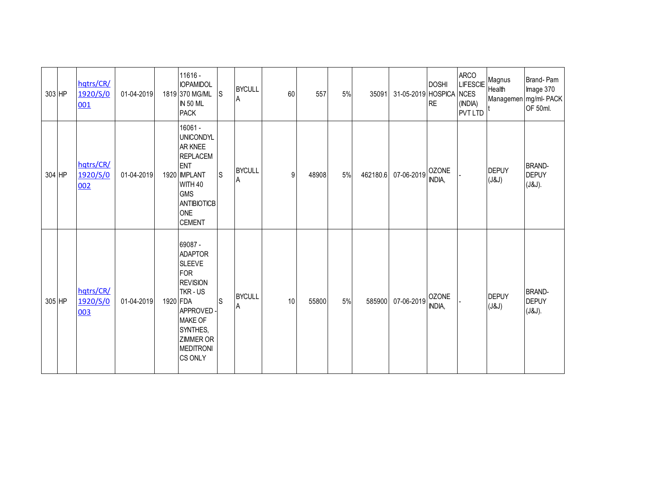| 303 HP | hqtrs/CR/<br>1920/S/0<br>001 | 01-04-2019 |          | 11616 -<br><b>IOPAMIDOL</b><br>1819 370 MG/ML<br><b>IN 50 ML</b><br><b>PACK</b>                                                                                              | ls. | <b>BYCULL</b><br>A | 60 | 557   | 5% | 35091    | 31-05-2019 HOSPICA NCES | <b>DOSHI</b><br><b>RE</b>     | <b>ARCO</b><br>LIFESCIE Magnus<br>(INDIA)<br><b>PVT LTD</b> | Health                | Brand-Pam<br>Image 370<br>Managemen mg/ml-PACK<br>OF 50ml. |
|--------|------------------------------|------------|----------|------------------------------------------------------------------------------------------------------------------------------------------------------------------------------|-----|--------------------|----|-------|----|----------|-------------------------|-------------------------------|-------------------------------------------------------------|-----------------------|------------------------------------------------------------|
| 304 HP | hqtrs/CR/<br>1920/S/0<br>002 | 01-04-2019 |          | 16061 -<br><b>UNICONDYL</b><br>AR KNEE<br><b>REPLACEM</b><br><b>ENT</b><br>1920 MPLANT<br>WITH 40<br><b>GMS</b><br><b>ANTIBIOTICB</b><br><b>ONE</b><br><b>CEMENT</b>         | ls. | <b>BYCULL</b><br>A | 9  | 48908 | 5% | 462180.6 | 07-06-2019              | <b>OZONE</b><br><b>INDIA,</b> |                                                             | <b>DEPUY</b><br>(J&J) | <b>BRAND-</b><br><b>DEPUY</b><br>(J&J).                    |
| 305 HP | hqtrs/CR/<br>1920/S/0<br>003 | 01-04-2019 | 1920 FDA | 69087 -<br><b>ADAPTOR</b><br><b>SLEEVE</b><br>FOR<br><b>REVISION</b><br>TKR-US<br>APPROVED-<br><b>MAKE OF</b><br>SYNTHES,<br><b>ZIMMER OR</b><br><b>MEDITRONI</b><br>CS ONLY | ls. | <b>BYCULL</b><br>A | 10 | 55800 | 5% | 585900   | 07-06-2019              | <b>OZONE</b><br>INDIA,        |                                                             | <b>DEPUY</b><br>(J&J) | <b>BRAND-</b><br><b>DEPUY</b><br>(J&J).                    |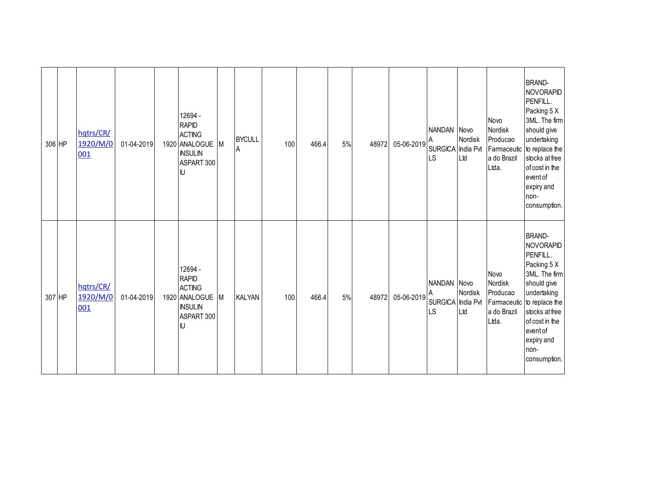| 306 HP | hqtrs/CR/<br>1920/M/0<br>001 | 01-04-2019 | 12694 -<br><b>RAPID</b><br><b>ACTING</b><br>1920 ANALOGUE M<br><b>INSULIN</b><br>ASPART 300<br>IJ |   | <b>BYCULL</b><br>A | 100 | 466.4 | 5% | 48972 | 05-06-2019 | NANDAN Novo<br>SURGICA India Pvt<br><b>LS</b> | Nordisk<br>Ltd | Novo<br>Nordisk<br>Producao<br>a do Brazil<br>Ltda. | <b>BRAND-</b><br><b>NOVORAPID</b><br>PENFILL.<br>Packing 5 X<br>3ML. The firm<br>should give<br>undertaking<br>Farmaceutic to replace the<br>stocks at free<br>of cost in the<br>event of<br>expiry and<br>non-<br>consumption. |
|--------|------------------------------|------------|---------------------------------------------------------------------------------------------------|---|--------------------|-----|-------|----|-------|------------|-----------------------------------------------|----------------|-----------------------------------------------------|---------------------------------------------------------------------------------------------------------------------------------------------------------------------------------------------------------------------------------|
| 307 HP | hqtrs/CR/<br>1920/M/0<br>001 | 01-04-2019 | 12694 -<br><b>RAPID</b><br><b>ACTING</b><br>1920 ANALOGUE<br><b>INSULIN</b><br>ASPART 300<br>IJ   | M | <b>KALYAN</b>      | 100 | 466.4 | 5% | 48972 | 05-06-2019 | NANDAN Novo<br>SURGICA India Pvt<br><b>LS</b> | Nordisk<br>Ltd | Novo<br>Nordisk<br>Producao<br>a do Brazil<br>Ltda. | <b>BRAND-</b><br>NOVORAPID<br>PENFILL.<br>Packing 5 X<br>3ML. The firm<br>should give<br>undertaking<br>Farmaceutic to replace the<br>stocks at free<br>of cost in the<br>event of<br>expiry and<br>non-<br>consumption.        |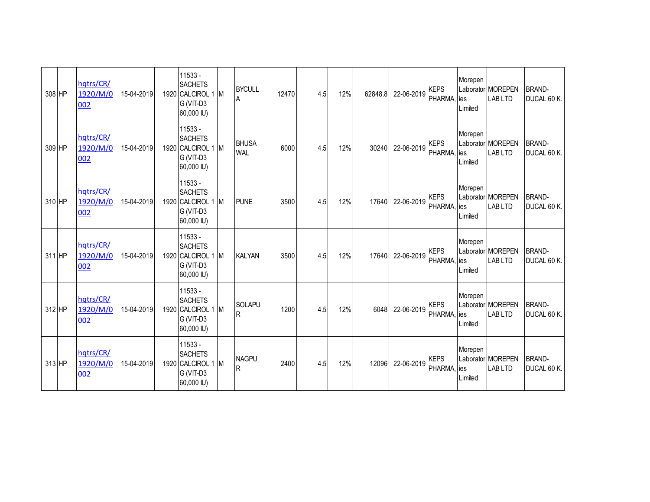| 308 HP | hqtrs/CR/<br>1920/M/0<br>002 | 15-04-2019 | 11533 -<br><b>SACHETS</b><br>1920 CALCIROL 1 M<br>G (VIT-D3<br>60,000 IU) | <b>BYCULL</b><br>A            | 12470 | 4.5 | 12% | 62848.8 | 22-06-2019 | <b>KEPS</b><br>PHARMA.      | Morepen<br>ies<br>Limited | Laborator MOREPEN<br><b>LABLTD</b> | <b>BRAND-</b><br>DUCAL 60 K. |
|--------|------------------------------|------------|---------------------------------------------------------------------------|-------------------------------|-------|-----|-----|---------|------------|-----------------------------|---------------------------|------------------------------------|------------------------------|
| 309 HP | hatrs/CR/<br>1920/M/0<br>002 | 15-04-2019 | 11533 -<br><b>SACHETS</b><br>1920 CALCIROL 1 M<br>G (VIT-D3<br>60,000 IU) | <b>BHUSA</b><br><b>WAL</b>    | 6000  | 4.5 | 12% | 30240   | 22-06-2019 | <b>KEPS</b><br>PHARMA, ies  | Morepen<br>Limited        | Laborator MOREPEN<br>LAB LTD       | <b>BRAND-</b><br>DUCAL 60 K. |
| 310 HP | hqtrs/CR/<br>1920/M/0<br>002 | 15-04-2019 | 11533 -<br><b>SACHETS</b><br>1920 CALCIROL 1 M<br>G (VIT-D3<br>60,000 IU) | <b>PUNE</b>                   | 3500  | 4.5 | 12% | 17640   | 22-06-2019 | <b>KEPS</b><br>PHARMA,      | Morepen<br>ies<br>Limited | Laborator MOREPEN<br><b>LABLTD</b> | <b>BRAND-</b><br>DUCAL 60 K. |
| 311 HP | hqtrs/CR/<br>1920/M/0<br>002 | 15-04-2019 | 11533 -<br><b>SACHETS</b><br>1920 CALCIROL 1 M<br>G (VIT-D3<br>60,000 IU) | <b>KALYAN</b>                 | 3500  | 4.5 | 12% | 17640   | 22-06-2019 | <b>KEPS</b><br>PHARMA, ies  | Morepen<br>Limited        | Laborator MOREPEN<br><b>LABLTD</b> | <b>BRAND-</b><br>DUCAL 60 K. |
| 312 HP | hqtrs/CR/<br>1920/M/0<br>002 | 15-04-2019 | 11533 -<br><b>SACHETS</b><br>1920 CALCIROL 1 M<br>G (VIT-D3<br>60,000 IU) | <b>SOLAPU</b><br>$\mathsf{R}$ | 1200  | 4.5 | 12% | 6048    | 22-06-2019 | <b>KEPS</b><br>PHARMA,      | Morepen<br>ies<br>Limited | Laborator MOREPEN<br><b>LABLTD</b> | <b>BRAND-</b><br>DUCAL 60 K. |
| 313 HP | hqtrs/CR/<br>1920/M/0<br>002 | 15-04-2019 | 11533 -<br><b>SACHETS</b><br>1920 CALCIROL 1 M<br>G (VIT-D3<br>60,000 IU) | <b>NAGPU</b><br>R             | 2400  | 4.5 | 12% | 12096   | 22-06-2019 | <b>KEPS</b><br>PHARMA, lies | Morepen<br>Limited        | Laborator MOREPEN<br>LAB LTD       | <b>BRAND-</b><br>DUCAL 60 K. |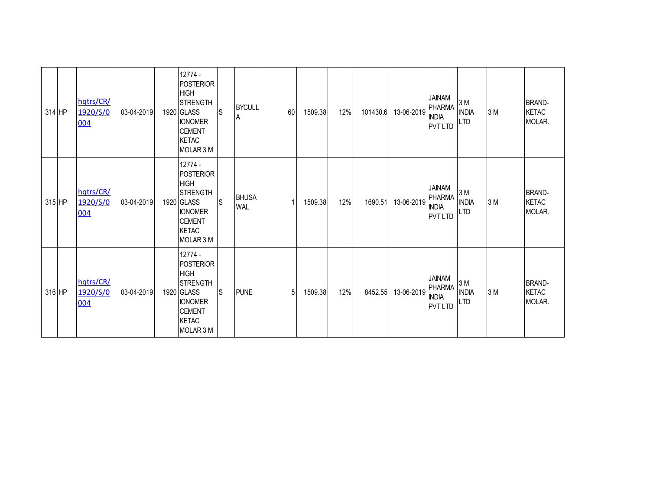| 314 HP | hqtrs/CR/<br>1920/S/0<br>004 | 03-04-2019 | 12774 -<br>POSTERIOR<br><b>HIGH</b><br><b>STRENGTH</b><br>1920 GLASS<br><b>IONOMER</b><br><b>CEMENT</b><br><b>KETAC</b><br>MOLAR 3 M | ls  | <b>BYCULL</b><br>A         | 60 | 1509.38 | 12% | 101430.6 | 13-06-2019 | <b>JAINAM</b><br>PHARMA<br><b>INDIA</b><br><b>PVTLTD</b>         | 3 M<br><b>INDIA</b><br><b>LTD</b> | 3 M | <b>BRAND-</b><br><b>KETAC</b><br>MOLAR. |
|--------|------------------------------|------------|--------------------------------------------------------------------------------------------------------------------------------------|-----|----------------------------|----|---------|-----|----------|------------|------------------------------------------------------------------|-----------------------------------|-----|-----------------------------------------|
| 315 HP | hqtrs/CR/<br>1920/S/0<br>004 | 03-04-2019 | 12774 -<br>POSTERIOR<br><b>HIGH</b><br><b>STRENGTH</b><br>1920 GLASS<br><b>IONOMER</b><br><b>CEMENT</b><br><b>KETAC</b><br>MOLAR 3 M | lS. | <b>BHUSA</b><br><b>WAL</b> |    | 1509.38 | 12% | 1690.51  | 13-06-2019 | <b>JAINAM</b><br><b>PHARMA</b><br><b>INDIA</b><br><b>PVT LTD</b> | 3 M<br><b>INDIA</b><br><b>LTD</b> | 3 M | <b>BRAND-</b><br><b>KETAC</b><br>MOLAR. |
| 316 HP | hqtrs/CR/<br>1920/S/0<br>004 | 03-04-2019 | 12774 -<br>POSTERIOR<br><b>HIGH</b><br><b>STRENGTH</b><br>1920 GLASS<br><b>IONOMER</b><br><b>CEMENT</b><br><b>KETAC</b><br>MOLAR 3 M | IS. | <b>PUNE</b>                | 5  | 1509.38 | 12% | 8452.55  | 13-06-2019 | <b>JAINAM</b><br><b>PHARMA</b><br><b>INDIA</b><br><b>PVT LTD</b> | 3 M<br><b>INDIA</b><br><b>LTD</b> | 3 M | <b>BRAND-</b><br><b>KETAC</b><br>MOLAR. |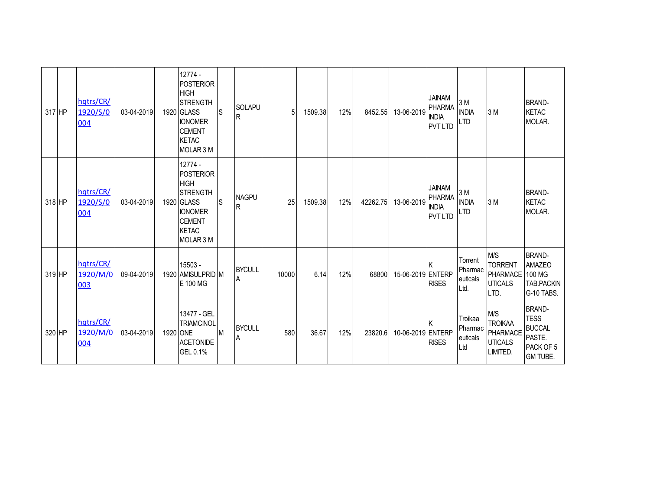| 317 HP | hqtrs/CR/<br>1920/S/0<br>004 | 03-04-2019 | 12774 -<br>POSTERIOR<br><b>HIGH</b><br>STRENGTH<br>1920 GLASS<br><b>IONOMER</b><br><b>CEMENT</b><br><b>KETAC</b><br>MOLAR 3 M | lS. | <b>SOLAPU</b><br>R | 5     | 1509.38 | 12% | 8452.55  | 13-06-2019        | <b>JAINAM</b><br><b>PHARMA</b><br><b>INDIA</b><br><b>PVT LTD</b> | 3 M<br><b>INDIA</b><br><b>LTD</b>      | 3 M                                                                | <b>BRAND-</b><br><b>KETAC</b><br>MOLAR.                                                 |
|--------|------------------------------|------------|-------------------------------------------------------------------------------------------------------------------------------|-----|--------------------|-------|---------|-----|----------|-------------------|------------------------------------------------------------------|----------------------------------------|--------------------------------------------------------------------|-----------------------------------------------------------------------------------------|
| 318 HP | hqtrs/CR/<br>1920/S/0<br>004 | 03-04-2019 | 12774 -<br>POSTERIOR<br><b>HIGH</b><br>STRENGTH<br>1920 GLASS<br><b>IONOMER</b><br><b>CEMENT</b><br><b>KETAC</b><br>MOLAR 3 M | ls  | <b>NAGPU</b><br>R  | 25    | 1509.38 | 12% | 42262.75 | 13-06-2019        | <b>JAINAM</b><br><b>PHARMA</b><br><b>INDIA</b><br><b>PVT LTD</b> | 3 M<br><b>INDIA</b><br><b>LTD</b>      | 3 M                                                                | <b>BRAND-</b><br><b>KETAC</b><br>MOLAR.                                                 |
| 319 HP | hqtrs/CR/<br>1920/M/0<br>003 | 09-04-2019 | 15503 -<br>1920 AMISULPRID M<br>E 100 MG                                                                                      |     | <b>BYCULL</b><br>Α | 10000 | 6.14    | 12% | 68800    | 15-06-2019 ENTERP | <b>RISES</b>                                                     | Torrent<br>Pharmac<br>euticals<br>Ltd. | M/S<br><b>TORRENT</b><br><b>PHARMACE</b><br><b>UTICALS</b><br>LTD. | <b>BRAND-</b><br><b>AMAZEO</b><br>100 MG<br>TAB.PACKIN<br>G-10 TABS.                    |
| 320 HP | hqtrs/CR/<br>1920/M/0<br>004 | 03-04-2019 | 13477 - GEL<br><b>TRIAMCINOL</b><br>1920 ONE<br><b>ACETONIDE</b><br>GEL 0.1%                                                  | M   | <b>BYCULL</b><br>А | 580   | 36.67   | 12% | 23820.6  | 10-06-2019 ENTERP | <b>RISES</b>                                                     | Troikaa<br>Pharmac<br>euticals<br>Ltd  | M/S<br><b>TROIKAA</b><br>PHARMACE<br><b>UTICALS</b><br>LIMITED.    | <b>BRAND-</b><br><b>TESS</b><br><b>BUCCAL</b><br>PASTE.<br>PACK OF 5<br><b>GM TUBE.</b> |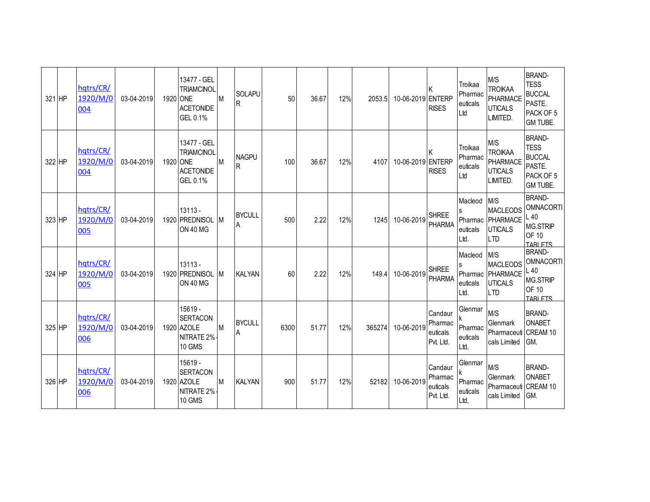| 321 HP | hqtrs/CR/<br>1920/M/0<br>004 | 03-04-2019 | 13477 - GEL<br><b>TRIAMCINOL</b><br>1920 ONE<br><b>ACETONIDE</b><br>GEL 0.1% | M            | SOLAPU<br>lR.       | 50   | 36.67 | 12% | 2053.5 | 10-06-2019 ENTERP | <b>RISES</b>                                | Troikaa<br>Pharmac<br>euticals<br>Ltd  | M/S<br><b>TROIKAA</b><br>PHARMACE<br><b>UTICALS</b><br>LIMITED.            | <b>BRAND-</b><br><b>TESS</b><br><b>BUCCAL</b><br>PASTE.<br>PACK OF 5<br><b>GM TUBE.</b> |
|--------|------------------------------|------------|------------------------------------------------------------------------------|--------------|---------------------|------|-------|-----|--------|-------------------|---------------------------------------------|----------------------------------------|----------------------------------------------------------------------------|-----------------------------------------------------------------------------------------|
| 322 HP | hqtrs/CR/<br>1920/M/0<br>004 | 03-04-2019 | 13477 - GEL<br><b>TRIAMCINOL</b><br>1920 ONE<br><b>ACETONIDE</b><br>GEL 0.1% | M            | <b>NAGPU</b><br>IR  | 100  | 36.67 | 12% | 4107   | 10-06-2019 ENTERP | <b>RISES</b>                                | Troikaa<br>Pharmac<br>euticals<br>Ltd  | M/S<br><b>TROIKAA</b><br>PHARMACE<br><b>UTICALS</b><br>LIMITED.            | <b>BRAND-</b><br><b>TESS</b><br><b>BUCCAL</b><br>PASTE.<br>PACK OF 5<br>GM TUBE.        |
| 323 HP | hqtrs/CR/<br>1920/M/0<br>005 | 03-04-2019 | $13113 -$<br>1920 PREDNISOL<br><b>ON 40 MG</b>                               | $\mathsf{M}$ | <b>BYCULL</b><br>ΙA | 500  | 2.22  | 12% | 1245   | 10-06-2019        | <b>SHREE</b><br>PHARMA                      | Macleod<br>euticals<br>Ltd.            | M/S<br><b>MACLEODS</b><br>Pharmac PHARMACE<br><b>UTICALS</b><br><b>LTD</b> | <b>BRAND-</b><br><b>OMNACORTI</b><br>L40<br>MG.STRIP<br>OF 10<br><b>TARI FTS</b>        |
| 324 HP | hqtrs/CR/<br>1920/M/0<br>005 | 03-04-2019 | $13113 -$<br>1920 PREDNISOL<br><b>ON 40 MG</b>                               | <b>IM</b>    | <b>KALYAN</b>       | 60   | 2.22  | 12% | 149.4  | 10-06-2019        | <b>SHREE</b><br><b>PHARMA</b>               | Macleod<br>euticals<br>Ltd.            | M/S<br><b>MACLEODS</b><br>Pharmac PHARMACE<br><b>UTICALS</b><br><b>LTD</b> | <b>BRAND-</b><br><b>OMNACORTI</b><br>L40<br>MG.STRIP<br>OF 10<br><b>TARLETS</b>         |
| 325 HP | hqtrs/CR/<br>1920/M/0<br>006 | 03-04-2019 | 15619 -<br><b>SERTACON</b><br>1920 AZOLE<br>NITRATE 2%<br>10 GMS             | M            | <b>BYCULL</b>       | 6300 | 51.77 | 12% | 365274 | 10-06-2019        | Candaur<br>Pharmac<br>euticals<br>Pvt. Ltd. | Glenmar<br>Pharmac<br>euticals<br>Ltd, | M/S<br>Glenmark<br>Pharmaceuti CREAM 10<br>cals Limited                    | <b>BRAND-</b><br>ONABET<br>GM.                                                          |
| 326 HP | hqtrs/CR/<br>1920/M/0<br>006 | 03-04-2019 | 15619 -<br><b>SERTACON</b><br>1920 AZOLE<br>NITRATE 2%<br>10 GMS             | M            | <b>KALYAN</b>       | 900  | 51.77 | 12% | 52182  | 10-06-2019        | Candaur<br>Pharmac<br>euticals<br>Pvt. Ltd. | Glenmar<br>Pharmac<br>euticals<br>Ltd, | M/S<br>Glenmark<br>Pharmaceuti CREAM 10<br>cals Limited                    | <b>BRAND-</b><br><b>ONABET</b><br>GM.                                                   |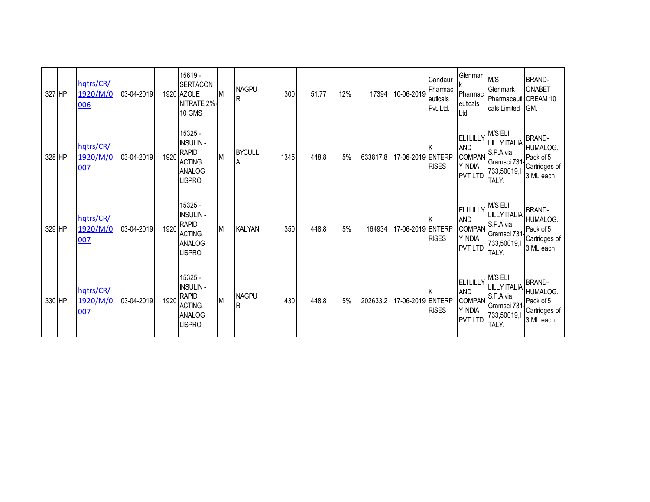| 327 HP | hqtrs/CR/<br>1920/M/0<br>006 | 03-04-2019 |      | 15619 -<br><b>SERTACON</b><br>1920 AZOLE<br>NITRATE 2%<br><b>10 GMS</b>                       | <b>M</b> | <b>NAGPU</b><br>lR.      | 300  | 51.77 | 12% | 17394    | 10-06-2019        | Candaur<br>Pharmac<br>euticals<br>Pvt. Ltd. | Glenmar<br>Pharmac<br>euticals<br>Ltd,                                         | M/S<br>Glenmark<br>Pharmaceuti CREAM 10<br>cals Limited                 | <b>BRAND-</b><br><b>ONABET</b><br>GM.                                        |
|--------|------------------------------|------------|------|-----------------------------------------------------------------------------------------------|----------|--------------------------|------|-------|-----|----------|-------------------|---------------------------------------------|--------------------------------------------------------------------------------|-------------------------------------------------------------------------|------------------------------------------------------------------------------|
| 328 HP | hqtrs/CR/<br>1920/M/0<br>007 | 03-04-2019 | 1920 | 15325 -<br><b>INSULIN-</b><br><b>RAPID</b><br><b>ACTING</b><br><b>ANALOG</b><br><b>LISPRO</b> | M        | <b>BYCULL</b><br>A       | 1345 | 448.8 | 5%  | 633817.8 | 17-06-2019 ENTERP | ΙK<br><b>RISES</b>                          | ELILILLY M/S ELI<br><b>AND</b><br><b>COMPAN</b><br>Y INDIA<br><b>PVT LTD</b>   | <b>LILLY ITALIA</b><br>S.P.A.via<br>Gramsci 731<br>733,50019,I<br>TALY. | BRAND-<br>HUMALOG.<br>Pack of 5<br>Cartridges of<br>3 ML each.               |
| 329 HP | hqtrs/CR/<br>1920/M/0<br>007 | 03-04-2019 | 1920 | 15325 -<br><b>INSULIN-</b><br><b>RAPID</b><br><b>ACTING</b><br><b>ANALOG</b><br><b>LISPRO</b> | M        | <b>KALYAN</b>            | 350  | 448.8 | 5%  | 164934   | 17-06-2019 ENTERP | ΙK<br><b>RISES</b>                          | $ ELILLY $ M/S ELI<br><b>AND</b><br><b>COMPAN</b><br>Y INDIA<br><b>PVT LTD</b> | <b>LILLY ITALIA</b><br>S.P.A.via<br>Gramsci 731<br>733,50019,I<br>TALY. | <b>BRAND-</b><br><b>HUMALOG.</b><br>Pack of 5<br>Cartridges of<br>3 ML each. |
| 330 HP | hqtrs/CR/<br>1920/M/0<br>007 | 03-04-2019 | 1920 | 15325 -<br><b>INSULIN-</b><br><b>RAPID</b><br><b>ACTING</b><br><b>ANALOG</b><br><b>LISPRO</b> | M        | <b>NAGPU</b><br><b>R</b> | 430  | 448.8 | 5%  | 202633.2 | 17-06-2019 ENTERP | ΙK<br><b>RISES</b>                          | $ ELILLY $ M/S ELI<br><b>AND</b><br><b>COMPAN</b><br>Y INDIA<br><b>PVT LTD</b> | <b>LILLY ITALIA</b><br>S.P.A.via<br>Gramsci 731<br>733,50019,I<br>TALY. | <b>BRAND-</b><br>HUMALOG.<br>Pack of 5<br>Cartridges of<br>3 ML each.        |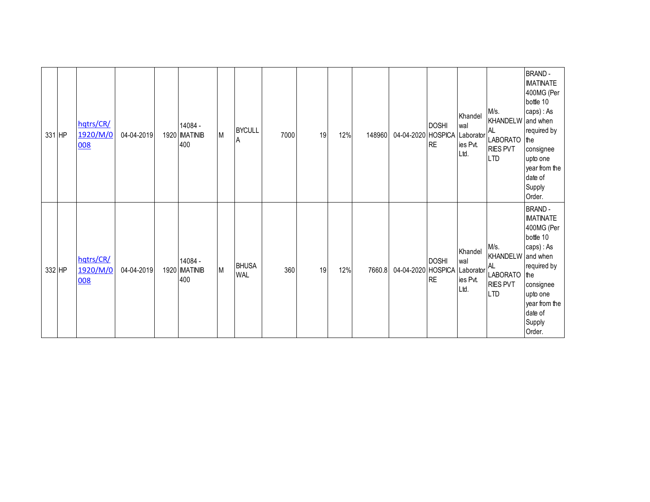| 331 HP | hqtrs/CR/<br>1920/M/0<br>008 | 04-04-2019 | 14084 -<br>1920 MATINIB<br>400 | M | <b>BYCULL</b><br>A         | 7000 | 19 | 12% | 148960 | 04-04-2020 HOSPICA | <b>DOSHI</b><br><b>RE</b>                   | Khandel<br>wal<br>Laborator<br>ies Pvt.<br>Ltd. | M/s.<br><b>KHANDELW</b><br><b>AL</b><br><b>LABORATO</b><br><b>RIES PVT</b><br><b>LTD</b> | <b>BRAND-</b><br><b>IMATINATE</b><br>400MG (Per<br>bottle 10<br>caps): As<br>and when<br>required by<br>the<br>consignee<br>upto one<br>year from the<br>date of<br>Supply<br>Order. |
|--------|------------------------------|------------|--------------------------------|---|----------------------------|------|----|-----|--------|--------------------|---------------------------------------------|-------------------------------------------------|------------------------------------------------------------------------------------------|--------------------------------------------------------------------------------------------------------------------------------------------------------------------------------------|
| 332 HP | hqtrs/CR/<br>1920/M/0<br>008 | 04-04-2019 | 14084 -<br>1920 MATINIB<br>400 | M | <b>BHUSA</b><br><b>WAL</b> | 360  | 19 | 12% | 7660.8 | 04-04-2020         | <b>DOSHI</b><br><b>HOSPICA</b><br><b>RE</b> | Khandel<br>wal<br>Laborator<br>ies Pvt.<br>Ltd. | M/s.<br><b>KHANDELW</b><br><b>AL</b><br><b>LABORATO</b><br><b>RIES PVT</b><br><b>LTD</b> | <b>BRAND-</b><br><b>IMATINATE</b><br>400MG (Per<br>bottle 10<br>caps): As<br>and when<br>required by<br>the<br>consignee<br>upto one<br>year from the<br>date of<br>Supply<br>Order. |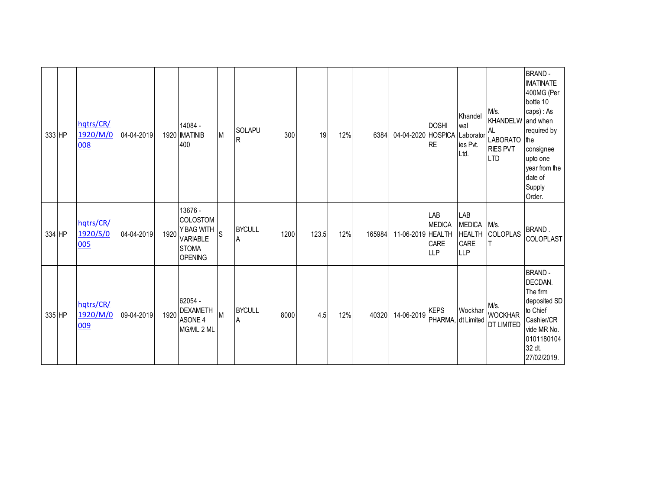| 333 HP | hqtrs/CR/<br>1920/M/0<br>008 | 04-04-2019 |      | 14084 -<br>1920 MATINIB<br>400                                                                | M            | <b>SOLAPU</b><br>R | 300  | 19    | 12% | 6384   | 04-04-2020 HOSPICA | <b>DOSHI</b><br><b>RE</b>                         | Khandel<br>wal<br>Laborator<br>ies Pvt.<br>Ltd.             | M/s.<br>KHANDELW and when<br>AL.<br>LABORATO the<br><b>RIES PVT</b><br><b>LTD</b> | <b>BRAND-</b><br><b>IMATINATE</b><br>400MG (Per<br>bottle 10<br>caps) : As<br>required by<br>consignee<br>upto one<br>year from the<br>date of<br>Supply<br>Order. |
|--------|------------------------------|------------|------|-----------------------------------------------------------------------------------------------|--------------|--------------------|------|-------|-----|--------|--------------------|---------------------------------------------------|-------------------------------------------------------------|-----------------------------------------------------------------------------------|--------------------------------------------------------------------------------------------------------------------------------------------------------------------|
| 334 HP | hqtrs/CR/<br>1920/S/0<br>005 | 04-04-2019 | 1920 | 13676 -<br><b>COLOSTOM</b><br>Y BAG WITH<br><b>VARIABLE</b><br><b>STOMA</b><br><b>OPENING</b> | <sub>S</sub> | <b>BYCULL</b><br>A | 1200 | 123.5 | 12% | 165984 | 11-06-2019 HEALTH  | LAB<br><b>MEDICA</b><br><b>CARE</b><br><b>LLP</b> | LAB<br><b>MEDICA</b><br><b>HEALTH</b><br>CARE<br><b>LLP</b> | M/s.<br>COLOPLAS                                                                  | BRAND.<br>COLOPLAST                                                                                                                                                |
| 335 HP | hqtrs/CR/<br>1920/M/0<br>009 | 09-04-2019 | 1920 | 62054 -<br><b>DEXAMETH</b><br>ASONE 4<br>MG/ML 2 ML                                           | M            | <b>BYCULL</b><br>A | 8000 | 4.5   | 12% | 40320  | 14-06-2019         | <b>KEPS</b><br>PHARMA, dt Limited                 | Wockhar                                                     | M/s.<br><b>WOCKHAR</b><br><b>DT LIMITED</b>                                       | <b>BRAND-</b><br>DECDAN.<br>The firm<br>deposited SD<br>to Chief<br>Cashier/CR<br>vide MR No.<br>0101180104<br>32 dt.<br>27/02/2019.                               |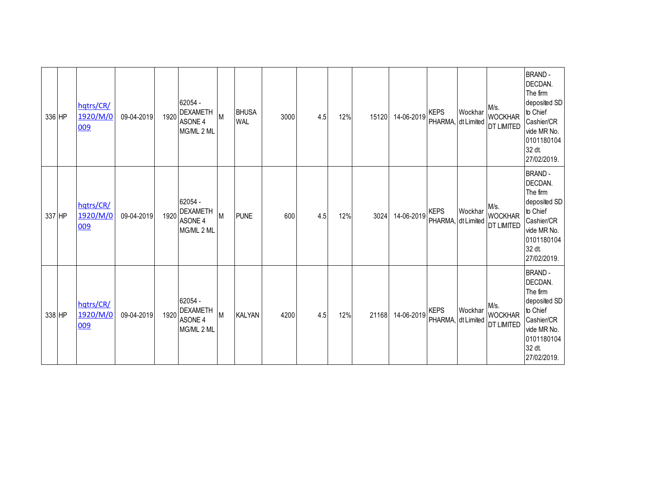|        | 336 HP | hqtrs/CR/<br>1920/M/0<br>009 | 09-04-2019 | 1920 | 62054 -<br><b>DEXAMETH</b><br>ASONE 4<br>MG/ML 2 ML | M | <b>BHUSA</b><br><b>WAL</b> | 3000 | 4.5 | 12% | 15120 | 14-06-2019 | <b>KEPS</b><br>PHARMA, dt Limited | Wockhar | M/s.<br><b>WOCKHAR</b><br>DT LIMITED        | <b>BRAND-</b><br>DECDAN.<br>The firm<br>deposited SD<br>to Chief<br>Cashier/CR<br>vide MR No.<br>0101180104<br>32 dt.<br>27/02/2019. |
|--------|--------|------------------------------|------------|------|-----------------------------------------------------|---|----------------------------|------|-----|-----|-------|------------|-----------------------------------|---------|---------------------------------------------|--------------------------------------------------------------------------------------------------------------------------------------|
| 337 HP |        | hqtrs/CR/<br>1920/M/0<br>009 | 09-04-2019 | 1920 | 62054 -<br><b>DEXAMETH</b><br>ASONE 4<br>MG/ML 2 ML | M | <b>PUNE</b>                | 600  | 4.5 | 12% | 3024  | 14-06-2019 | <b>KEPS</b><br>PHARMA, dt Limited | Wockhar | M/s.<br><b>WOCKHAR</b><br><b>DT LIMITED</b> | <b>BRAND-</b><br>DECDAN.<br>The firm<br>deposited SD<br>to Chief<br>Cashier/CR<br>vide MR No.<br>0101180104<br>32 dt.<br>27/02/2019. |
| 338 HP |        | hqtrs/CR/<br>1920/M/0<br>009 | 09-04-2019 | 1920 | 62054 -<br><b>DEXAMETH</b><br>ASONE 4<br>MG/ML 2 ML | M | <b>KALYAN</b>              | 4200 | 4.5 | 12% | 21168 | 14-06-2019 | <b>KEPS</b><br>PHARMA, dt Limited | Wockhar | M/s.<br><b>WOCKHAR</b><br><b>DT LIMITED</b> | <b>BRAND-</b><br>DECDAN.<br>The firm<br>deposited SD<br>to Chief<br>Cashier/CR<br>vide MR No.<br>0101180104<br>32 dt.<br>27/02/2019. |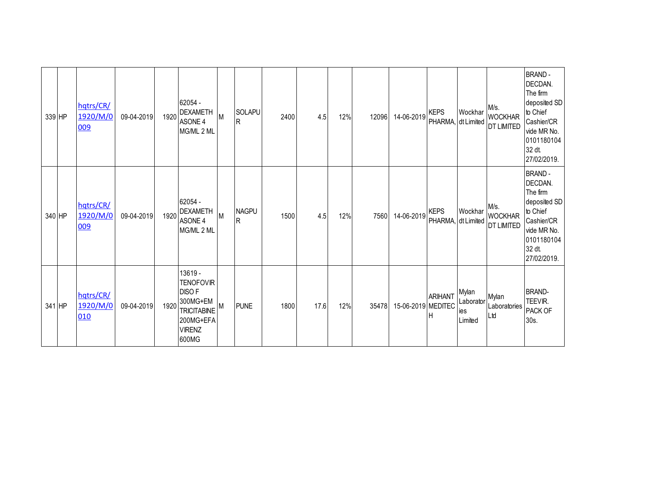| 339 HP | hqtrs/CR/<br>1920/M/0<br>009 | 09-04-2019 | 1920 | 62054 -<br><b>DEXAMETH</b><br>ASONE 4<br>MG/ML 2 ML                                                                  | М | <b>SOLAPU</b><br>lR. | 2400 | 4.5  | 12% | 12096 | 14-06-2019         | <b>KEPS</b><br>PHARMA, dt Limited | Wockhar                              | M/s.<br><b>WOCKHAR</b><br><b>DT LIMITED</b> | <b>BRAND-</b><br>DECDAN.<br>The firm<br>deposited SD<br>to Chief<br>Cashier/CR<br>vide MR No.<br>0101180104<br>32 dt<br>27/02/2019.  |
|--------|------------------------------|------------|------|----------------------------------------------------------------------------------------------------------------------|---|----------------------|------|------|-----|-------|--------------------|-----------------------------------|--------------------------------------|---------------------------------------------|--------------------------------------------------------------------------------------------------------------------------------------|
| 340 HP | hqtrs/CR/<br>1920/M/0<br>009 | 09-04-2019 | 1920 | 62054 -<br><b>DEXAMETH</b><br>ASONE 4<br>MG/ML 2 ML                                                                  | M | <b>NAGPU</b><br>lR.  | 1500 | 4.5  | 12% | 7560  | 14-06-2019         | <b>KEPS</b><br>PHARMA, dt Limited | Wockhar                              | M/s.<br><b>WOCKHAR</b><br><b>DT LIMITED</b> | <b>BRAND-</b><br>DECDAN.<br>The firm<br>deposited SD<br>to Chief<br>Cashier/CR<br>vide MR No.<br>0101180104<br>32 dt.<br>27/02/2019. |
| 341 HP | hqtrs/CR/<br>1920/M/0<br>010 | 09-04-2019 | 1920 | 13619 -<br><b>TENOFOVIR</b><br><b>DISOF</b><br>300MG+EM<br><b>TRICITABINE</b><br>200MG+EFA<br><b>VIRENZ</b><br>600MG | Μ | <b>PUNE</b>          | 1800 | 17.6 | 12% | 35478 | 15-06-2019 MEDITEC | <b>ARIHANT</b>                    | Mylan<br>Laborator<br>ies<br>Limited | Mylan<br>Laboratories<br>Ltd                | <b>BRAND-</b><br>TEEVIR.<br>PACK OF<br>30s.                                                                                          |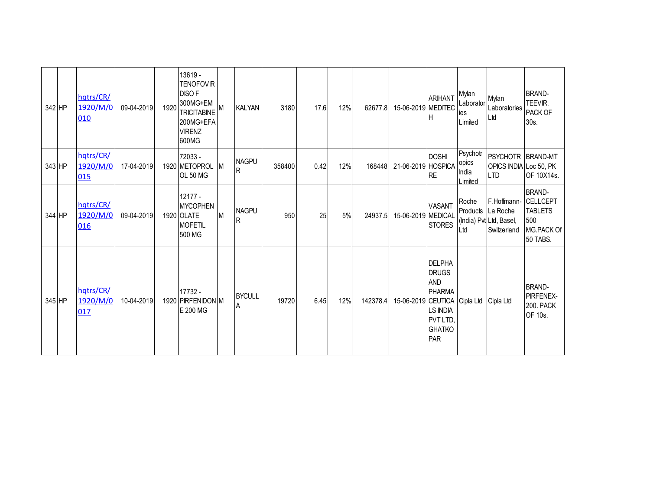| 342 HP | hqtrs/CR/<br>1920/M/0<br>010 | 09-04-2019 | 1920 | 13619 -<br><b>TENOFOVIR</b><br><b>DISOF</b><br>300MG+EM<br><b>TRICITABINE</b><br>200MG+EFA<br><b>VIRENZ</b><br>600MG | M  | <b>KALYAN</b>                   | 3180   | 17.6 | 12% | 62677.8  | 15-06-2019 MEDITEC | <b>ARIHANT</b>                                                                                                      | Mylan<br>Laborator<br><b>Ies</b><br>Limited | Mylan<br>Laboratories<br>Ltd                                      | <b>BRAND-</b><br>TEEVIR.<br>PACK OF<br>30s.                                         |
|--------|------------------------------|------------|------|----------------------------------------------------------------------------------------------------------------------|----|---------------------------------|--------|------|-----|----------|--------------------|---------------------------------------------------------------------------------------------------------------------|---------------------------------------------|-------------------------------------------------------------------|-------------------------------------------------------------------------------------|
| 343 HP | hqtrs/CR/<br>1920/M/0<br>015 | 17-04-2019 |      | 72033 -<br>1920 METOPROL M<br><b>OL 50 MG</b>                                                                        |    | <b>NAGPU</b><br>$\mathsf{R}$    | 358400 | 0.42 | 12% | 168448   | 21-06-2019 HOSPICA | <b>DOSHI</b><br><b>RE</b>                                                                                           | Psychotr<br>opics<br>India<br>I imited      | PSYCHOTR BRAND-MT<br>OPICS INDIA Loc 50, PK<br><b>LTD</b>         | OF 10X14s.                                                                          |
| 344 HP | hqtrs/CR/<br>1920/M/0<br>016 | 09-04-2019 |      | 12177 -<br><b>MYCOPHEN</b><br>1920 OLATE<br><b>MOFETIL</b><br>500 MG                                                 | Iм | <b>NAGPU</b><br>R               | 950    | 25   | 5%  | 24937.5  | 15-06-2019 MEDICAL | <b>VASANT</b><br><b>STORES</b>                                                                                      | Roche<br>Products<br>Ltd                    | F.Hoffmann-<br>La Roche<br>(India) Pvt Ltd, Basel,<br>Switzerland | <b>BRAND-</b><br><b>CELLCEPT</b><br><b>TABLETS</b><br>500<br>MG.PACK Of<br>50 TABS. |
| 345 HP | hqtrs/CR/<br>1920/M/0<br>017 | 10-04-2019 |      | 17732 -<br>1920 PIRFENIDON M<br>E 200 MG                                                                             |    | <b>BYCULL</b><br>$\overline{A}$ | 19720  | 6.45 | 12% | 142378.4 | 15-06-2019 CEUTICA | <b>DELPHA</b><br><b>DRUGS</b><br><b>AND</b><br><b>PHARMA</b><br><b>LS INDIA</b><br>PVT LTD,<br><b>GHATKO</b><br>PAR | Cipla Ltd                                   | Cipla Ltd                                                         | <b>BRAND-</b><br>PIRFENEX-<br><b>200. PACK</b><br>OF 10s.                           |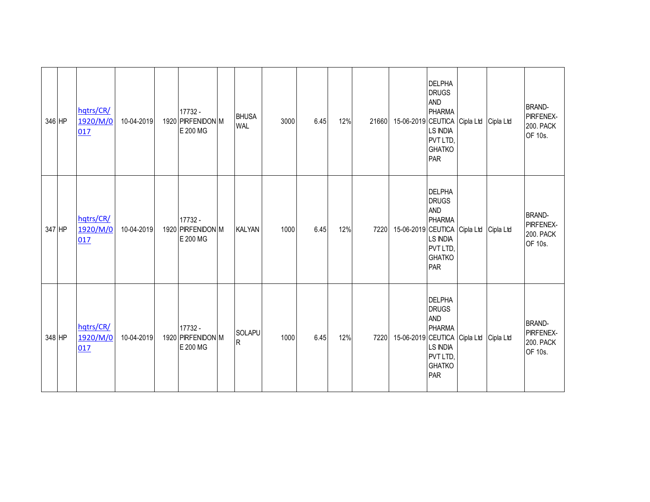| 346 HP | hqtrs/CR/<br>1920/M/0<br>017 | 10-04-2019 | 17732 -<br>1920 PIRFENIDON M<br>E 200 MG | <b>BHUSA</b><br><b>WAL</b> | 3000 | 6.45 | 12% | 21660 | 15-06-2019 CEUTICA Cipla Ltd | DELPHA<br><b>DRUGS</b><br><b>AND</b><br><b>PHARMA</b><br>LS INDIA<br>PVT LTD,<br><b>GHATKO</b><br>PAR<br><b>DELPHA</b><br><b>DRUGS</b> | Cipla Ltd | <b>BRAND-</b><br>PIRFENEX-<br><b>200. PACK</b><br>OF 10s. |
|--------|------------------------------|------------|------------------------------------------|----------------------------|------|------|-----|-------|------------------------------|----------------------------------------------------------------------------------------------------------------------------------------|-----------|-----------------------------------------------------------|
| 347 HP | hqtrs/CR/<br>1920/M/0<br>017 | 10-04-2019 | 17732 -<br>1920 PIRFENIDON M<br>E 200 MG | <b>KALYAN</b>              | 1000 | 6.45 | 12% | 7220  | 15-06-2019 CEUTICA Cipla Ltd | <b>AND</b><br><b>PHARMA</b><br><b>LS INDIA</b><br>PVT LTD,<br><b>GHATKO</b><br>PAR                                                     | Cipla Ltd | <b>BRAND-</b><br>PIRFENEX-<br><b>200. PACK</b><br>OF 10s. |
| 348 HP | hqtrs/CR/<br>1920/M/0<br>017 | 10-04-2019 | 17732 -<br>1920 PIRFENIDON M<br>E 200 MG | <b>SOLAPU</b><br>R         | 1000 | 6.45 | 12% | 7220  | 15-06-2019 CEUTICA Cipla Ltd | <b>DELPHA</b><br><b>DRUGS</b><br><b>AND</b><br><b>PHARMA</b><br><b>LS INDIA</b><br>PVT LTD,<br><b>GHATKO</b><br>PAR                    | Cipla Ltd | <b>BRAND-</b><br>PIRFENEX-<br><b>200. PACK</b><br>OF 10s. |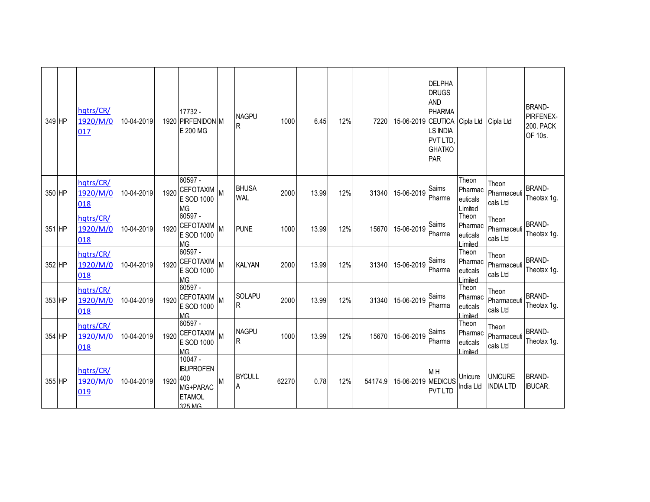| 349 HP | hqtrs/CR/<br>1920/M/0<br>017 | 10-04-2019 |          | 17732 -<br>1920 PIRFENIDON M<br>E 200 MG                            | <b>NAGPU</b><br>R          | 1000  | 6.45  | 12% | 7220    | 15-06-2019 CEUTICA Cipla Ltd | <b>DELPHA</b><br><b>DRUGS</b><br><b>AND</b><br><b>PHARMA</b><br><b>LS INDIA</b><br>PVT LTD,<br><b>GHATKO</b><br>PAR |                                          | Cipla Ltd                          | <b>BRAND-</b><br>PIRFENEX-<br><b>200. PACK</b><br>OF 10s. |
|--------|------------------------------|------------|----------|---------------------------------------------------------------------|----------------------------|-------|-------|-----|---------|------------------------------|---------------------------------------------------------------------------------------------------------------------|------------------------------------------|------------------------------------|-----------------------------------------------------------|
| 350 HP | hqtrs/CR/<br>1920/M/0<br>018 | 10-04-2019 |          | 60597 -<br>1920 CEFOTAXIM<br>E SOD 1000<br><b>MG</b>                | <b>BHUSA</b><br><b>WAL</b> | 2000  | 13.99 | 12% | 31340   | 15-06-2019                   | Saims<br>Pharma                                                                                                     | Theon<br>Pharmac<br>euticals<br>Limited  | Theon<br>Pharmaceuti<br>cals Ltd   | <b>BRAND-</b><br>Theotax 1g.                              |
| 351 HP | hqtrs/CR/<br>1920/M/0<br>018 | 10-04-2019 | 1920     | 60597 -<br><b>CEFOTAXIM</b><br>E SOD 1000<br><b>MG</b>              | <b>PUNE</b>                | 1000  | 13.99 | 12% | 15670   | 15-06-2019                   | Saims<br>Pharma                                                                                                     | Theon<br>Pharmac<br>euticals<br>I imited | Theon<br>Pharmaceuti<br>cals Ltd   | <b>BRAND-</b><br>Theotax 1g.                              |
| 352 HP | hqtrs/CR/<br>1920/M/0<br>018 | 10-04-2019 | 1920     | 60597 -<br><b>CEFOTAXIM</b><br>E SOD 1000<br><b>MG</b>              | <b>KALYAN</b>              | 2000  | 13.99 | 12% | 31340   | 15-06-2019                   | Saims<br>Pharma                                                                                                     | Theon<br>Pharmac<br>euticals<br>Limited  | Theon<br>Pharmaceuti<br>cals Ltd   | <b>BRAND-</b><br>Theotax 1g.                              |
| 353 HP | hqtrs/CR/<br>1920/M/0<br>018 | 10-04-2019 | 1920     | 60597 -<br>CEFOTAXIM M<br>E SOD 1000<br><b>MG</b>                   | <b>SOLAPU</b><br>${\sf R}$ | 2000  | 13.99 | 12% | 31340   | 15-06-2019                   | Saims<br>Pharma                                                                                                     | Theon<br>Pharmac<br>euticals<br>I imited | Theon<br>Pharmaceuti<br>cals Ltd   | <b>BRAND-</b><br>Theotax 1g.                              |
| 354 HP | hqtrs/CR/<br>1920/M/0<br>018 | 10-04-2019 |          | 60597 -<br>1920 CEFOTAXIM<br>E SOD 1000<br><b>MG</b>                | <b>NAGPU</b><br>R          | 1000  | 13.99 | 12% | 15670   | 15-06-2019                   | Saims<br>Pharma                                                                                                     | Theon<br>Pharmac<br>euticals<br>Limited  | Theon<br>Pharmaceuti<br>cals Ltd   | <b>BRAND-</b><br>Theotax 1g.                              |
| 355 HP | hqtrs/CR/<br>1920/M/0<br>019 | 10-04-2019 | 1920 400 | $10047 -$<br><b>BUPROFEN</b><br>MG+PARAC<br><b>ETAMOL</b><br>325 MG | <b>BYCULL</b><br>A         | 62270 | 0.78  | 12% | 54174.9 | 15-06-2019 MEDICUS           | M H<br><b>PVT LTD</b>                                                                                               | Unicure<br>India Ltd                     | <b>UNICURE</b><br><b>INDIA LTD</b> | <b>BRAND-</b><br><b>IBUCAR.</b>                           |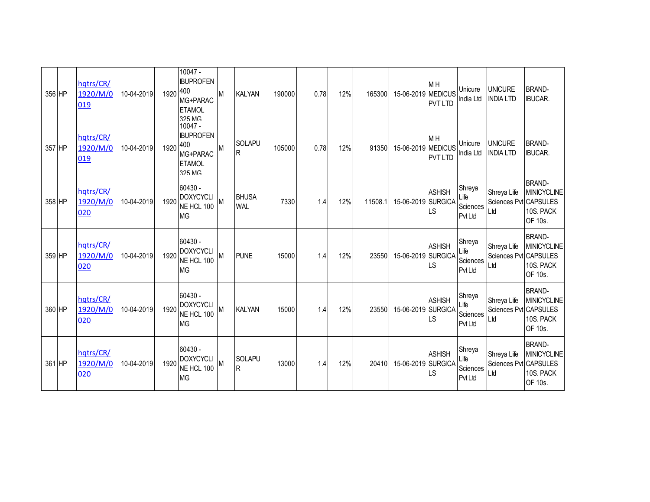| 356 HP | hqtrs/CR/<br>1920/M/0<br>019 | 10-04-2019 | 1920 400 | $10047 -$<br><b>IBUPROFEN</b><br>MG+PARAC<br><b>ETAMOL</b><br>325 MG        | M         | <b>KALYAN</b>              | 190000 | 0.78 | 12% | 165300  | 15-06-2019 MEDICUS | M H<br><b>PVT LTD</b>            | Unicure<br>India Ltd                         | <b>UNICURE</b><br><b>INDIA LTD</b>          | <b>BRAND-</b><br><b>IBUCAR.</b>                             |
|--------|------------------------------|------------|----------|-----------------------------------------------------------------------------|-----------|----------------------------|--------|------|-----|---------|--------------------|----------------------------------|----------------------------------------------|---------------------------------------------|-------------------------------------------------------------|
| 357 HP | hqtrs/CR/<br>1920/M/0<br>019 | 10-04-2019 | 1920     | $10047 -$<br><b>IBUPROFEN</b><br>400<br>MG+PARAC<br><b>ETAMOL</b><br>325 MG | M         | <b>SOLAPU</b><br>lR.       | 105000 | 0.78 | 12% | 91350   | 15-06-2019 MEDICUS | M <sub>H</sub><br><b>PVT LTD</b> | Unicure<br>India Ltd                         | <b>UNICURE</b><br><b>INDIA LTD</b>          | <b>BRAND-</b><br><b>IBUCAR.</b>                             |
| 358 HP | hqtrs/CR/<br>1920/M/0<br>020 | 10-04-2019 | 1920     | 60430 -<br><b>DOXYCYCLI</b><br>NE HCL 100<br><b>MG</b>                      | <b>IM</b> | <b>BHUSA</b><br><b>WAL</b> | 7330   | 1.4  | 12% | 11508.1 | 15-06-2019 SURGICA | <b>ASHISH</b><br>LS              | Shreya<br>Life<br>Sciences<br><b>PvtLtd</b>  | Shreya Life<br>Sciences Pvt CAPSULES<br>Ltd | <b>BRAND-</b><br><b>MINICYCLINE</b><br>10S. PACK<br>OF 10s. |
| 359 HP | hqtrs/CR/<br>1920/M/0<br>020 | 10-04-2019 | 1920     | 60430 -<br><b>DOXYCYCLI</b><br>NE HCL 100<br><b>MG</b>                      | M         | <b>PUNE</b>                | 15000  | 1.4  | 12% | 23550   | 15-06-2019 SURGICA | <b>ASHISH</b><br>LS              | Shreya<br>Life<br>Sciences<br><b>Pvt Ltd</b> | Shreya Life<br>Sciences Pvt CAPSULES<br>Ltd | <b>BRAND-</b><br><b>MINICYCLINE</b><br>10S. PACK<br>OF 10s. |
| 360 HP | hqtrs/CR/<br>1920/M/0<br>020 | 10-04-2019 | 1920     | 60430 -<br><b>DOXYCYCLI</b><br>NE HCL 100<br><b>MG</b>                      |           | <b>KALYAN</b>              | 15000  | 1.4  | 12% | 23550   | 15-06-2019 SURGICA | <b>ASHISH</b><br>LS              | Shreya<br>Life<br>Sciences<br><b>Pvt Ltd</b> | Shreya Life<br>Sciences Pvt CAPSULES<br>Ltd | <b>BRAND-</b><br><b>MINICYCLINE</b><br>10S. PACK<br>OF 10s. |
| 361 HP | hqtrs/CR/<br>1920/M/0<br>020 | 10-04-2019 | 1920     | $60430 -$<br><b>DOXYCYCLI</b><br>NE HCL 100<br><b>MG</b>                    | M         | <b>SOLAPU</b><br>R         | 13000  | 1.4  | 12% | 20410   | 15-06-2019 SURGICA | <b>ASHISH</b><br>LS              | Shreya<br>Life<br>Sciences<br>Pvt Ltd        | Shreya Life<br>Sciences Pvt CAPSULES<br>Ltd | <b>BRAND-</b><br><b>MINICYCLINE</b><br>10S. PACK<br>OF 10s. |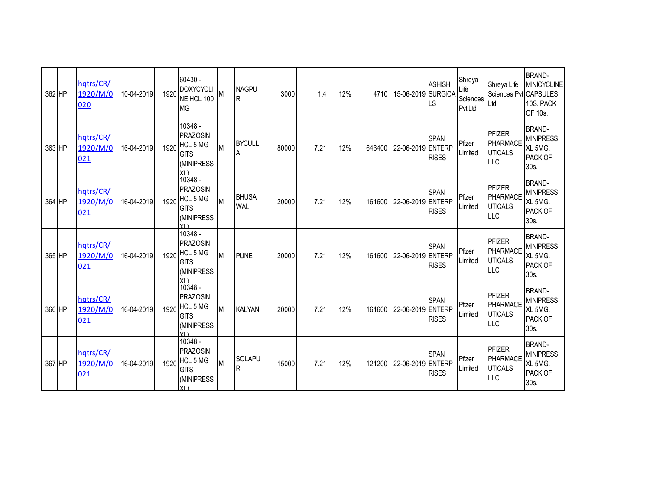| 362 HP | hqtrs/CR/<br>1920/M/0<br>020 | 10-04-2019 | 1920 | 60430 -<br><b>DOXYCYCLI</b><br>NE HCL 100<br><b>MG</b>                                   | M | <b>NAGPU</b><br>R          | 3000  | 1.4  | 12% | 4710   | 15-06-2019 SURGICA | <b>ASHISH</b><br>LS         | Shreya<br>Life<br>Sciences<br><b>PvtLtd</b> | Shreya Life<br>Sciences Pvt CAPSULES<br>Ltd                      | <b>BRAND-</b><br><b>MINICYCLINE</b><br>10S. PACK<br>OF 10s.        |
|--------|------------------------------|------------|------|------------------------------------------------------------------------------------------|---|----------------------------|-------|------|-----|--------|--------------------|-----------------------------|---------------------------------------------|------------------------------------------------------------------|--------------------------------------------------------------------|
| 363 HP | hqtrs/CR/<br>1920/M/0<br>021 | 16-04-2019 | 1920 | 10348 -<br><b>PRAZOSIN</b><br><b>HCL 5 MG</b><br><b>GITS</b><br>(MINIPRESS<br>$Y \cap$   |   | <b>BYCULL</b><br>A         | 80000 | 7.21 | 12% | 646400 | 22-06-2019 ENTERP  | <b>SPAN</b><br><b>RISES</b> | Pfizer<br>Limited                           | <b>PFIZER</b><br>PHARMACE<br><b>UTICALS</b><br><b>LLC</b>        | <b>BRAND-</b><br><b>MINIPRESS</b><br>XL 5MG.<br>PACK OF<br>30s.    |
| 364 HP | hqtrs/CR/<br>1920/M/0<br>021 | 16-04-2019 | 1920 | 10348 -<br><b>PRAZOSIN</b><br><b>HCL 5 MG</b><br><b>GITS</b><br>(MINIPRESS<br>$Y \cup Y$ | M | <b>BHUSA</b><br><b>WAL</b> | 20000 | 7.21 | 12% | 161600 | 22-06-2019 ENTERP  | <b>SPAN</b><br><b>RISES</b> | Pfizer<br>Limited                           | <b>PFIZER</b><br><b>PHARMACE</b><br><b>UTICALS</b><br><b>LLC</b> | <b>BRAND-</b><br><b>MINIPRESS</b><br>XL 5MG.<br>PACK OF<br>30s.    |
| 365 HP | hqtrs/CR/<br>1920/M/0<br>021 | 16-04-2019 | 1920 | 10348 -<br><b>PRAZOSIN</b><br>HCL 5 MG<br><b>GITS</b><br>(MINIPRESS<br>YI \              | M | <b>PUNE</b>                | 20000 | 7.21 | 12% | 161600 | 22-06-2019 ENTERP  | <b>SPAN</b><br><b>RISES</b> | Pfizer<br>Limited                           | <b>PFIZER</b><br><b>PHARMACE</b><br><b>UTICALS</b><br>LLC        | <b>BRAND-</b><br><b>MINIPRESS</b><br>XL 5MG.<br>PACK OF<br>30s.    |
| 366 HP | hqtrs/CR/<br>1920/M/0<br>021 | 16-04-2019 | 1920 | 10348 -<br><b>PRAZOSIN</b><br>HCL 5 MG<br><b>GITS</b><br>(MINIPRESS<br>Y1                | M | <b>KALYAN</b>              | 20000 | 7.21 | 12% | 161600 | 22-06-2019 ENTERP  | <b>SPAN</b><br><b>RISES</b> | Pfizer<br>Limited                           | <b>PFIZER</b><br><b>PHARMACE</b><br><b>UTICALS</b><br>LLC        | <b>BRAND-</b><br><b>MINIPRESS</b><br>XL 5MG.<br>PACK OF<br>$30s$ . |
| 367 HP | hqtrs/CR/<br>1920/M/0<br>021 | 16-04-2019 | 1920 | 10348 -<br><b>PRAZOSIN</b><br><b>HCL 5 MG</b><br><b>GITS</b><br>(MINIPRESS<br>Y1         | M | SOLAPU<br>R                | 15000 | 7.21 | 12% | 121200 | 22-06-2019 ENTERP  | <b>SPAN</b><br><b>RISES</b> | Pfizer<br>Limited                           | <b>PFIZER</b><br><b>PHARMACE</b><br><b>UTICALS</b><br>LLC        | <b>BRAND-</b><br><b>MINIPRESS</b><br>XL 5MG.<br>PACK OF<br>30s.    |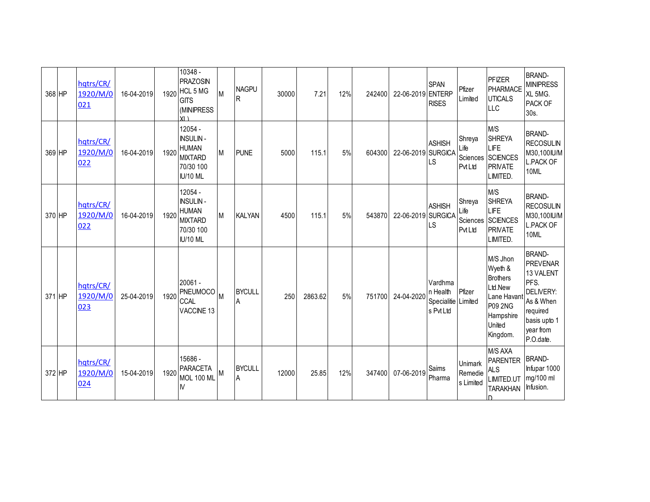| 368 HP | hqtrs/CR/<br>1920/M/0<br>021 | 16-04-2019 |      | 10348 -<br><b>PRAZOSIN</b><br>1920 HCL 5 MG<br><b>GITS</b><br>(MINIPRESS<br>$YI \setminus$   | M | <b>NAGPU</b><br>R  | 30000 | 7.21    | 12% | 242400 | 22-06-2019 ENTERP  | <b>SPAN</b><br><b>RISES</b>                     | Pfizer<br>Limited                           | PFIZER<br><b>PHARMACE</b><br><b>UTICALS</b><br><b>LLC</b>                                                             | <b>BRAND-</b><br><b>MINIPRESS</b><br>XL 5MG.<br>PACK OF<br>30s.                                                                              |
|--------|------------------------------|------------|------|----------------------------------------------------------------------------------------------|---|--------------------|-------|---------|-----|--------|--------------------|-------------------------------------------------|---------------------------------------------|-----------------------------------------------------------------------------------------------------------------------|----------------------------------------------------------------------------------------------------------------------------------------------|
| 369 HP | hqtrs/CR/<br>1920/M/0<br>022 | 16-04-2019 | 1920 | 12054 -<br><b>INSULIN-</b><br><b>HUMAN</b><br><b>MIXTARD</b><br>70/30 100<br><b>IU/10 ML</b> | M | <b>PUNE</b>        | 5000  | 115.1   | 5%  | 604300 | 22-06-2019 SURGICA | <b>ASHISH</b><br>LS                             | Shreya<br>Life<br>Sciences<br>PvtLtd        | M/S<br><b>SHREYA</b><br>LIFE<br>SCIENCES<br><b>PRIVATE</b><br>LIMITED.                                                | <b>BRAND-</b><br><b>RECOSULIN</b><br>M30,100IU/M<br><b>L.PACK OF</b><br>10ML                                                                 |
| 370 HP | hqtrs/CR/<br>1920/M/0<br>022 | 16-04-2019 | 1920 | 12054 -<br><b>INSULIN-</b><br><b>HUMAN</b><br><b>MIXTARD</b><br>70/30 100<br><b>IU/10 ML</b> | M | <b>KALYAN</b>      | 4500  | 115.1   | 5%  | 543870 | 22-06-2019 SURGICA | <b>ASHISH</b><br>LS                             | Shreya<br>Life<br>Sciences<br><b>PvtLtd</b> | M/S<br><b>SHREYA</b><br>LIFE<br><b>SCIENCES</b><br><b>PRIVATE</b><br>LIMITED.                                         | <b>BRAND-</b><br><b>RECOSULIN</b><br>M30,100IU/M<br><b>L.PACK OF</b><br>10ML                                                                 |
| 371 HP | hqtrs/CR/<br>1920/M/0<br>023 | 25-04-2019 | 1920 | 20061 -<br>PNEUMOCO <sup>M</sup><br><b>CCAL</b><br>VACCINE 13                                |   | <b>BYCULL</b><br>A | 250   | 2863.62 | 5%  | 751700 | 24-04-2020         | Vardhma<br>n Health<br>Specialitie<br>s Pvt Ltd | Pfizer<br>Limited                           | M/S Jhon<br>Wyeth &<br><b>Brothers</b><br>Ltd.New<br>Lane Havant<br><b>P09 2NG</b><br>Hampshire<br>United<br>Kingdom. | <b>BRAND-</b><br><b>PREVENAR</b><br>13 VALENT<br>PFS.<br><b>DELIVERY:</b><br>As & When<br>required<br>basis upto 1<br>year from<br>P.O.date. |
| 372 HP | hqtrs/CR/<br>1920/M/0<br>024 | 15-04-2019 | 1920 | 15686 -<br><b>PARACETA</b><br>MOL 100 ML<br>$\mathsf{N}$                                     | M | <b>BYCULL</b><br>A | 12000 | 25.85   | 12% | 347400 | 07-06-2019         | Saims<br>Pharma                                 | Unimark<br>Remedie<br>s Limited             | M/S AXA<br><b>PARENTER</b><br><b>ALS</b><br>LIMITED.UT<br><b>TARAKHAN</b>                                             | <b>BRAND-</b><br>Infupar 1000<br>mg/100 ml<br>Infusion.                                                                                      |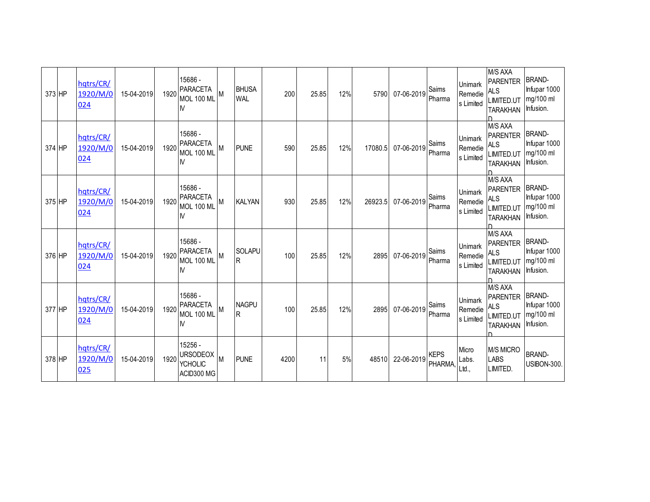| 373 HP | hqtrs/CR/<br>1920/M/0<br>024 | 15-04-2019 | 1920 | 15686 -<br><b>PARACETA</b><br><b>MOL 100 MI</b><br>M       | M        | <b>BHUSA</b><br><b>WAL</b> | 200  | 25.85 | 12% | 5790    | 07-06-2019 | Saims<br>Pharma        | <b>Unimark</b><br>Remedie<br>s Limited | M/S AXA<br>PARENTER<br><b>ALS</b><br>LIMITED.UT<br><b>TARAKHAN</b>                    | <b>BRAND-</b><br>Infupar 1000<br>mg/100 ml<br>Infusion. |
|--------|------------------------------|------------|------|------------------------------------------------------------|----------|----------------------------|------|-------|-----|---------|------------|------------------------|----------------------------------------|---------------------------------------------------------------------------------------|---------------------------------------------------------|
| 374 HP | hqtrs/CR/<br>1920/M/0<br>024 | 15-04-2019 | 1920 | 15686 -<br><b>PARACETA</b><br>MOL 100 ML<br>$\mathsf{N}$   | M        | <b>PUNE</b>                | 590  | 25.85 | 12% | 17080.5 | 07-06-2019 | Saims<br>Pharma        | Unimark<br>Remedie<br>s Limited        | M/S AXA<br><b>PARENTER</b><br><b>ALS</b><br>LIMITED.UT<br><b>TARAKHAN</b>             | <b>BRAND-</b><br>Infupar 1000<br>mg/100 ml<br>Infusion. |
| 375 HP | hqtrs/CR/<br>1920/M/0<br>024 | 15-04-2019 | 1920 | 15686 -<br><b>PARACETA</b><br><b>MOL 100 ML</b><br>M       | M        | <b>KALYAN</b>              | 930  | 25.85 | 12% | 26923.5 | 07-06-2019 | Saims<br>Pharma        | <b>Unimark</b><br>Remedie<br>s Limited | M/S AXA<br><b>PARENTER</b><br><b>ALS</b><br>LIMITED.UT<br><b>TARAKHAN</b>             | <b>BRAND-</b><br>Infupar 1000<br>mg/100 ml<br>Infusion. |
| 376 HP | hqtrs/CR/<br>1920/M/0<br>024 | 15-04-2019 | 1920 | 15686 -<br><b>PARACETA</b><br><b>MOL 100 ML</b><br>M       | M        | <b>SOLAPU</b><br>R         | 100  | 25.85 | 12% | 2895    | 07-06-2019 | Saims<br>Pharma        | Unimark<br>Remedie<br>s Limited        | M/S AXA<br><b>PARENTER</b><br>AL <sub>S</sub><br><b>LIMITED.UT</b><br><b>TARAKHAN</b> | <b>BRAND-</b><br>Infupar 1000<br>mg/100 ml<br>Infusion. |
| 377 HP | hqtrs/CR/<br>1920/M/0<br>024 | 15-04-2019 | 1920 | 15686 -<br><b>PARACETA</b><br>MOL 100 ML<br>$\mathsf{N}$   | M        | <b>NAGPU</b><br>IR.        | 100  | 25.85 | 12% | 2895    | 07-06-2019 | Saims<br>Pharma        | Unimark<br>Remedie<br>s Limited        | M/S AXA<br><b>PARENTER</b><br><b>ALS</b><br>LIMITED.UT<br><b>TARAKHAN</b>             | <b>BRAND-</b><br>Infupar 1000<br>mg/100 ml<br>Infusion. |
| 378 HP | hqtrs/CR/<br>1920/M/0<br>025 | 15-04-2019 | 1920 | 15256 -<br><b>URSODEOX</b><br><b>YCHOLIC</b><br>ACID300 MG | <b>M</b> | <b>PUNE</b>                | 4200 | 11    | 5%  | 48510   | 22-06-2019 | <b>KEPS</b><br>PHARMA, | Micro<br>Labs.<br>Ltd.,                | <b>M/S MICRO</b><br><b>LABS</b><br>LIMITED.                                           | <b>BRAND-</b><br><b>USIBON-300.</b>                     |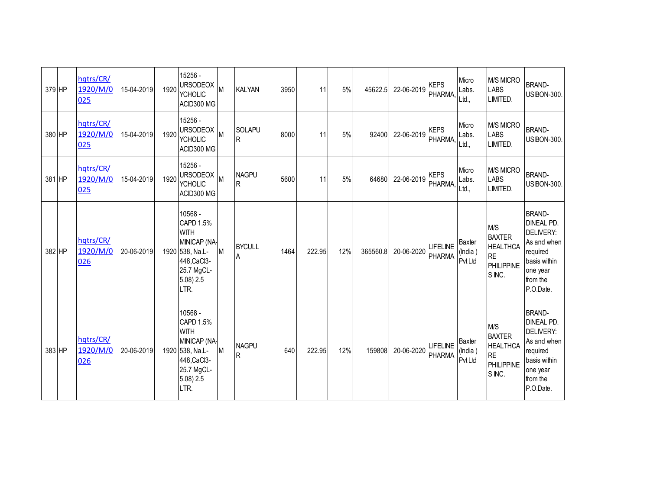| 379 HP | hqtrs/CR/<br>1920/M/0<br>025 | 15-04-2019 | 1920 | 15256 -<br><b>URSODEOX</b><br><b>YCHOLIC</b><br>ACID300 MG                                                                           | M        | <b>KALYAN</b>            | 3950 | 11     | 5%  | 45622.5  | 22-06-2019 | <b>KEPS</b><br>PHARMA,           | Micro<br>Labs.<br>Ltd.                     | <b>M/S MICRO</b><br><b>LABS</b><br>LIMITED.                                         | <b>BRAND-</b><br><b>USIBON-300.</b>                                                                                             |
|--------|------------------------------|------------|------|--------------------------------------------------------------------------------------------------------------------------------------|----------|--------------------------|------|--------|-----|----------|------------|----------------------------------|--------------------------------------------|-------------------------------------------------------------------------------------|---------------------------------------------------------------------------------------------------------------------------------|
| 380 HP | hqtrs/CR/<br>1920/M/0<br>025 | 15-04-2019 | 1920 | 15256 -<br><b>URSODEOX</b><br><b>YCHOLIC</b><br>ACID300 MG                                                                           | M        | SOLAPU<br>$\overline{R}$ | 8000 | 11     | 5%  | 92400    | 22-06-2019 | <b>KEPS</b><br>PHARMA,           | Micro<br>Labs.<br>Ltd.,                    | <b>M/S MICRO</b><br><b>LABS</b><br>LIMITED.                                         | <b>BRAND-</b><br><b>USIBON-300.</b>                                                                                             |
| 381 HP | hqtrs/CR/<br>1920/M/0<br>025 | 15-04-2019 | 1920 | 15256 -<br><b>URSODEOX</b><br><b>YCHOLIC</b><br>ACID300 MG                                                                           | M        | <b>NAGPU</b><br><b>R</b> | 5600 | 11     | 5%  | 64680    | 22-06-2019 | <b>KEPS</b><br>PHARMA,           | Micro<br>Labs.<br>Ltd.,                    | <b>M/S MICRO</b><br><b>LABS</b><br>LIMITED.                                         | <b>BRAND-</b><br><b>USIBON-300.</b>                                                                                             |
| 382 HP | hqtrs/CR/<br>1920/M/0<br>026 | 20-06-2019 |      | 10568 -<br>CAPD 1.5%<br><b>WITH</b><br>MINICAP (NA-<br>1920 538, Na.L-<br>448, CaCl3-<br>25.7 MgCL-<br>$5.08$ ) $2.5$<br>LTR.        | <b>M</b> | <b>BYCULL</b><br>A       | 1464 | 222.95 | 12% | 365560.8 | 20-06-2020 | <b>LIFELINE</b><br>PHARMA        | <b>Baxter</b><br>(India)<br><b>Pvt Ltd</b> | M/S<br><b>BAXTER</b><br><b>HEALTHCA</b><br><b>RE</b><br><b>PHILIPPINE</b><br>S INC. | <b>BRAND-</b><br><b>DINEAL PD.</b><br>DELIVERY:<br>As and when<br>required<br>basis within<br>one year<br>from the<br>P.O.Date. |
| 383 HP | hqtrs/CR/<br>1920/M/0<br>026 | 20-06-2019 |      | 10568 -<br><b>CAPD 1.5%</b><br><b>WITH</b><br>MINICAP (NA-<br>1920 538, Na.L-<br>448, CaCl3-<br>25.7 MgCL-<br>$5.08$ ) $2.5$<br>LTR. | M        | <b>NAGPU</b><br>lR       | 640  | 222.95 | 12% | 159808   | 20-06-2020 | <b>LIFELINE</b><br><b>PHARMA</b> | <b>Baxter</b><br>(India)<br>PvtLtd         | M/S<br><b>BAXTER</b><br><b>HEALTHCA</b><br><b>RE</b><br><b>PHILIPPINE</b><br>S INC. | <b>BRAND-</b><br><b>DINEAL PD.</b><br>DELIVERY:<br>As and when<br>required<br>basis within<br>one year<br>from the<br>P.O.Date. |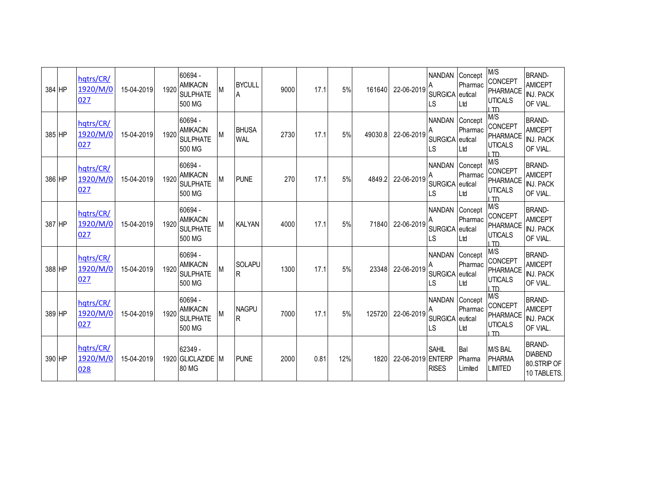| 384 HP | hqtrs/CR/<br>1920/M/0<br>027 | 15-04-2019 | 1920 | 60694 -<br><b>AMIKACIN</b><br><b>SULPHATE</b><br>500 MG |   | <b>BYCULL</b><br>A              | 9000 | 17.1 | 5%  | 161640  | 22-06-2019        | <b>NANDAN</b><br><b>SURGICA</b><br>LS         | Concept<br>Pharmac<br>eutical<br>Ltd | M/S<br><b>CONCEPT</b><br>PHARMACE<br><b>UTICALS</b><br>I TD | <b>BRAND-</b><br><b>AMICEPT</b><br><b>INJ. PACK</b><br>OF VIAL. |
|--------|------------------------------|------------|------|---------------------------------------------------------|---|---------------------------------|------|------|-----|---------|-------------------|-----------------------------------------------|--------------------------------------|-------------------------------------------------------------|-----------------------------------------------------------------|
| 385 HP | hqtrs/CR/<br>1920/M/0<br>027 | 15-04-2019 | 1920 | 60694 -<br><b>AMIKACIN</b><br><b>SULPHATE</b><br>500 MG | M | <b>BHUSA</b><br><b>WAL</b>      | 2730 | 17.1 | 5%  | 49030.8 | 22-06-2019        | <b>NANDAN</b><br>SURGICA eutical<br><b>LS</b> | Concept<br>Pharmac<br>Ltd            | M/S<br><b>CONCEPT</b><br>PHARMACE<br><b>UTICALS</b><br>חד ו | <b>BRAND-</b><br><b>AMICEPT</b><br><b>INJ. PACK</b><br>OF VIAL. |
| 386 HP | hqtrs/CR/<br>1920/M/0<br>027 | 15-04-2019 | 1920 | 60694 -<br><b>AMIKACIN</b><br><b>SULPHATE</b><br>500 MG | M | <b>PUNE</b>                     | 270  | 17.1 | 5%  | 4849.2  | 22-06-2019        | <b>NANDAN</b><br>SURGICA eutical<br>-S        | Concept<br>Pharmac<br>Ltd            | M/S<br>CONCEPT<br><b>PHARMACE</b><br><b>UTICALS</b><br>I TD | <b>BRAND-</b><br><b>AMICEPT</b><br><b>INJ. PACK</b><br>OF VIAL. |
| 387 HP | hqtrs/CR/<br>1920/M/0<br>027 | 15-04-2019 | 1920 | 60694 -<br><b>AMIKACIN</b><br><b>SULPHATE</b><br>500 MG | M | <b>KALYAN</b>                   | 4000 | 17.1 | 5%  | 71840   | 22-06-2019        | <b>NANDAN</b><br>SURGICA eutical<br>LS        | Concept<br>Pharmac<br>Ltd            | M/S<br><b>CONCEPT</b><br>PHARMACE<br><b>UTICALS</b><br>חד ו | <b>BRAND-</b><br><b>AMICEPT</b><br><b>INJ. PACK</b><br>OF VIAL. |
| 388 HP | hqtrs/CR/<br>1920/M/0<br>027 | 15-04-2019 | 1920 | 60694 -<br><b>AMIKACIN</b><br><b>SULPHATE</b><br>500 MG | M | <b>SOLAPU</b><br>$\overline{R}$ | 1300 | 17.1 | 5%  | 23348   | 22-06-2019        | NANDAN Concept<br>SURGICA eutical<br>LS       | Pharmac<br>Ltd                       | M/S<br><b>CONCEPT</b><br>PHARMACE<br><b>UTICALS</b><br>חד ו | <b>BRAND-</b><br><b>AMICEPT</b><br><b>INJ. PACK</b><br>OF VIAL. |
| 389 HP | hqtrs/CR/<br>1920/M/0<br>027 | 15-04-2019 | 1920 | 60694 -<br><b>AMIKACIN</b><br><b>SULPHATE</b><br>500 MG | M | <b>NAGPU</b><br>IR.             | 7000 | 17.1 | 5%  | 125720  | 22-06-2019        | <b>NANDAN</b><br><b>SURGICA</b><br>LS         | Concept<br>Pharmac<br>eutical<br>Ltd | M/S<br>CONCEPT<br>PHARMACE<br><b>UTICALS</b><br>חד ו        | <b>BRAND-</b><br><b>AMICEPT</b><br><b>INJ. PACK</b><br>OF VIAL. |
| 390 HP | hqtrs/CR/<br>1920/M/0<br>028 | 15-04-2019 |      | 62349 -<br>1920 GLICLAZIDE M<br>80 MG                   |   | <b>PUNE</b>                     | 2000 | 0.81 | 12% | 1820    | 22-06-2019 ENTERP | <b>SAHIL</b><br><b>RISES</b>                  | Bal<br>Pharma<br>Limited             | <b>M/S BAL</b><br><b>PHARMA</b><br>LIMITED                  | <b>BRAND-</b><br><b>DIABEND</b><br>80.STRIP OF<br>10 TABLETS.   |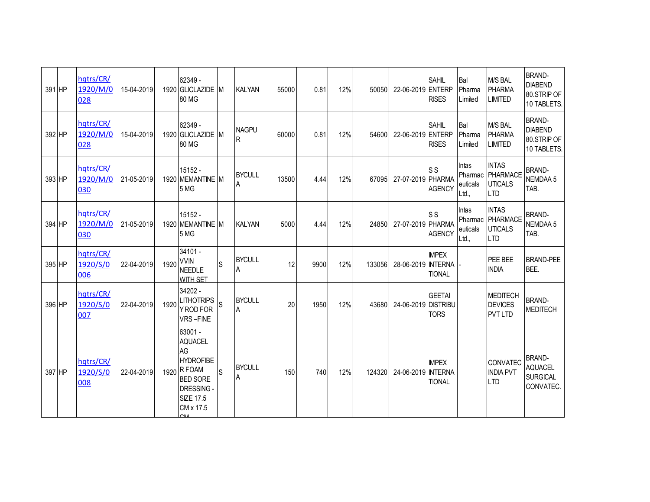| 391 HP | hqtrs/CR/<br>1920/M/0<br>028 | 15-04-2019 |      | 62349 -<br>1920 GLICLAZIDE M<br>80 MG                                                                                                |          | <b>KALYAN</b>      | 55000 | 0.81 | 12% | 50050  | 22-06-2019 ENTERP   | <b>SAHIL</b><br><b>RISES</b>    | Bal<br>Pharma<br>Limited                     | M/S BAL<br><b>PHARMA</b><br><b>LIMITED</b>                      | <b>BRAND-</b><br><b>DIABEND</b><br>80.STRIP OF<br>10 TABLETS.   |
|--------|------------------------------|------------|------|--------------------------------------------------------------------------------------------------------------------------------------|----------|--------------------|-------|------|-----|--------|---------------------|---------------------------------|----------------------------------------------|-----------------------------------------------------------------|-----------------------------------------------------------------|
| 392 HP | hqtrs/CR/<br>1920/M/0<br>028 | 15-04-2019 |      | 62349 -<br>1920 GLICLAZIDE M<br>80 MG                                                                                                |          | <b>NAGPU</b><br>R  | 60000 | 0.81 | 12% | 54600  | 22-06-2019 ENTERP   | <b>SAHIL</b><br><b>RISES</b>    | Bal<br>Pharma<br>Limited                     | M/S BAL<br><b>PHARMA</b><br><b>LIMITED</b>                      | <b>BRAND-</b><br><b>DIABEND</b><br>80.STRIP OF<br>10 TABLETS.   |
| 393 HP | hqtrs/CR/<br>1920/M/0<br>030 | 21-05-2019 |      | 15152 -<br>1920 MEMANTINE M<br>5 MG                                                                                                  |          | <b>BYCULL</b><br>A | 13500 | 4.44 | 12% | 67095  | 27-07-2019 PHARMA   | S <sub>S</sub><br><b>AGENCY</b> | <b>Intas</b><br>Pharmac<br>euticals<br>Ltd., | <b>INTAS</b><br><b>PHARMACE</b><br><b>UTICALS</b><br><b>LTD</b> | <b>BRAND-</b><br>NEMDAA 5<br>TAB.                               |
| 394 HP | hqtrs/CR/<br>1920/M/0<br>030 | 21-05-2019 |      | $15152 -$<br>1920 MEMANTINE M<br>5 MG                                                                                                |          | <b>KALYAN</b>      | 5000  | 4.44 | 12% | 24850  | 27-07-2019 PHARMA   | S <sub>S</sub><br><b>AGENCY</b> | <b>Intas</b><br>Pharmac<br>euticals<br>Ltd., | <b>INTAS</b><br>PHARMACE<br><b>UTICALS</b><br><b>LTD</b>        | <b>BRAND-</b><br><b>NEMDAA 5</b><br>TAB.                        |
| 395 HP | hqtrs/CR/<br>1920/S/0<br>006 | 22-04-2019 | 1920 | 34101 -<br><b>VVIN</b><br><b>NEEDLE</b><br><b>WITH SFT</b>                                                                           | S        | <b>BYCULL</b><br>A | 12    | 9900 | 12% | 133056 | 28-06-2019 INTERNA  | <b>IMPEX</b><br><b>TIONAL</b>   |                                              | PEE BEE<br><b>INDIA</b>                                         | <b>BRAND-PEE</b><br>BEE.                                        |
| 396 HP | hqtrs/CR/<br>1920/S/0<br>007 | 22-04-2019 | 1920 | 34202 -<br><b>LITHOTRIPS</b><br>Y ROD FOR<br>VRS-FINE                                                                                | <b>S</b> | <b>BYCULL</b><br>A | 20    | 1950 | 12% | 43680  | 24-06-2019 DISTRIBU | <b>GEETAI</b><br><b>TORS</b>    |                                              | <b>MEDITECH</b><br><b>DEVICES</b><br><b>PVT LTD</b>             | <b>BRAND-</b><br><b>MEDITECH</b>                                |
| 397 HP | hqtrs/CR/<br>1920/S/0<br>008 | 22-04-2019 |      | 63001 -<br><b>AQUACEL</b><br>AG<br><b>HYDROFIBE</b><br>1920 R FOAM<br><b>BED SORE</b><br>DRESSING -<br><b>SIZE 17.5</b><br>CM x 17.5 | S        | <b>BYCULL</b><br>A | 150   | 740  | 12% | 124320 | 24-06-2019 INTERNA  | <b>IMPEX</b><br><b>TIONAL</b>   |                                              | <b>CONVATEC</b><br><b>INDIA PVT</b><br><b>LTD</b>               | <b>BRAND-</b><br><b>AQUACEL</b><br><b>SURGICAL</b><br>CONVATEC. |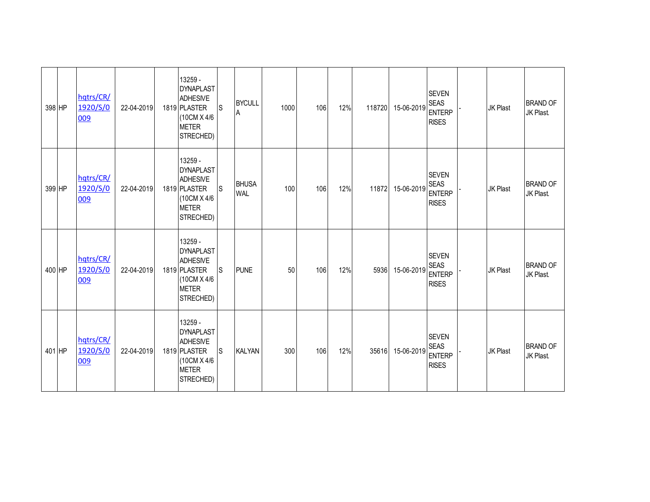| 398 HP | hqtrs/CR/<br>1920/S/0<br>009 | 22-04-2019 | 13259 -<br><b>DYNAPLAST</b><br><b>ADHESIVE</b><br>1819 PLASTER<br>(10CM X 4/6<br><b>METER</b><br>STRECHED) | <sub>S</sub> | <b>BYCULL</b><br>A         | 1000 | 106 | 12% | 118720 | 15-06-2019 | <b>SEVEN</b><br><b>SEAS</b><br><b>ENTERP</b><br><b>RISES</b> | <b>JK Plast</b> | <b>BRAND OF</b><br>JK Plast. |
|--------|------------------------------|------------|------------------------------------------------------------------------------------------------------------|--------------|----------------------------|------|-----|-----|--------|------------|--------------------------------------------------------------|-----------------|------------------------------|
| 399 HP | hqtrs/CR/<br>1920/S/0<br>009 | 22-04-2019 | 13259 -<br><b>DYNAPLAST</b><br><b>ADHESIVE</b><br>1819 PLASTER<br>(10CM X 4/6<br><b>METER</b><br>STRECHED) | S            | <b>BHUSA</b><br><b>WAL</b> | 100  | 106 | 12% | 11872  | 15-06-2019 | <b>SEVEN</b><br><b>SEAS</b><br><b>ENTERP</b><br><b>RISES</b> | <b>JK Plast</b> | <b>BRAND OF</b><br>JK Plast. |
| 400 HP | hqtrs/CR/<br>1920/S/0<br>009 | 22-04-2019 | 13259 -<br><b>DYNAPLAST</b><br><b>ADHESIVE</b><br>1819 PLASTER<br>(10CM X 4/6<br><b>METER</b><br>STRECHED) | S            | <b>PUNE</b>                | 50   | 106 | 12% | 5936   | 15-06-2019 | <b>SEVEN</b><br><b>SEAS</b><br><b>ENTERP</b><br><b>RISES</b> | <b>JK Plast</b> | <b>BRAND OF</b><br>JK Plast. |
| 401 HP | hqtrs/CR/<br>1920/S/0<br>009 | 22-04-2019 | 13259 -<br><b>DYNAPLAST</b><br><b>ADHESIVE</b><br>1819 PLASTER<br>(10CM X 4/6<br><b>METER</b><br>STRECHED) | $\mathsf S$  | <b>KALYAN</b>              | 300  | 106 | 12% | 35616  | 15-06-2019 | <b>SEVEN</b><br><b>SEAS</b><br><b>ENTERP</b><br><b>RISES</b> | <b>JK Plast</b> | <b>BRAND OF</b><br>JK Plast. |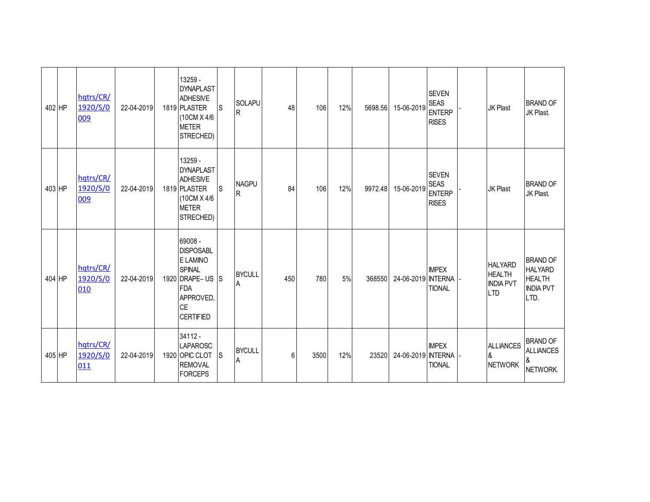| 402 HP | hqtrs/CR/<br>1920/S/0<br>009 | 22-04-2019 | 13259 -<br><b>DYNAPLAST</b><br><b>ADHESIVE</b><br>1819 PLASTER<br>(10CM X 4/6<br><b>METER</b><br>STRECHED)                     | ls           | <b>SOLAPU</b><br>$\mathsf{R}$ | 48  | 106  | 12% | 5698.56 | 15-06-2019         | <b>SEVEN</b><br><b>SEAS</b><br><b>ENTERP</b><br><b>RISES</b> | <b>JK Plast</b>                                                   | <b>BRAND OF</b><br>JK Plast.                                                   |
|--------|------------------------------|------------|--------------------------------------------------------------------------------------------------------------------------------|--------------|-------------------------------|-----|------|-----|---------|--------------------|--------------------------------------------------------------|-------------------------------------------------------------------|--------------------------------------------------------------------------------|
| 403 HP | hqtrs/CR/<br>1920/S/0<br>009 | 22-04-2019 | 13259 -<br><b>DYNAPLAST</b><br><b>ADHESIVE</b><br>1819 PLASTER<br>(10CM X 4/6<br><b>METER</b><br>STRECHED)                     | <sub>S</sub> | <b>NAGPU</b><br>$\mathsf{R}$  | 84  | 106  | 12% | 9972.48 | 15-06-2019         | <b>SEVEN</b><br><b>SEAS</b><br><b>ENTERP</b><br><b>RISES</b> | <b>JK Plast</b>                                                   | <b>BRAND OF</b><br>JK Plast.                                                   |
| 404 HP | hqtrs/CR/<br>1920/S/0<br>010 | 22-04-2019 | 69008 -<br><b>DISPOSABL</b><br>E LAMINO<br><b>SPINAL</b><br>1920 DRAPE-US<br><b>FDA</b><br>APPROVED,<br>CE<br><b>CERTIFIED</b> | <sub>S</sub> | <b>BYCULL</b><br>A            | 450 | 780  | 5%  | 368550  | 24-06-2019 INTERNA | <b>IMPEX</b><br><b>TIONAL</b>                                | <b>HALYARD</b><br><b>HEALTH</b><br><b>INDIA PVT</b><br><b>LTD</b> | <b>BRAND OF</b><br><b>HALYARD</b><br><b>HEALTH</b><br><b>INDIA PVT</b><br>LTD. |
| 405 HP | hqtrs/CR/<br>1920/S/0<br>011 | 22-04-2019 | 34112 -<br><b>LAPAROSC</b><br>1920 OPIC CLOT<br><b>REMOVAL</b><br><b>FORCEPS</b>                                               | <b>S</b>     | <b>BYCULL</b><br>A            | 6   | 3500 | 12% | 23520   | 24-06-2019 INTERNA | <b>IMPEX</b><br><b>TIONAL</b>                                | <b>ALLIANCES</b><br>&<br><b>NETWORK</b>                           | <b>BRAND OF</b><br><b>ALLIANCES</b><br>&<br>NETWORK.                           |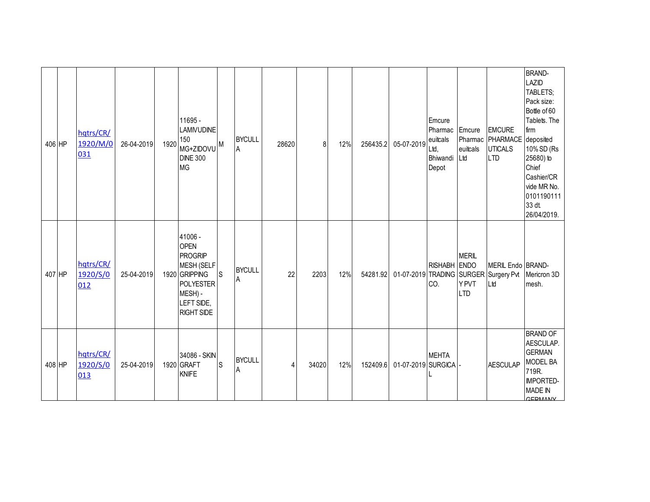| 406 HP | hqtrs/CR/<br>1920/M/0<br>031 | 26-04-2019 | 1920 | 11695 -<br>LAMIVUDINE<br>150<br>MG+ZIDOVU <sup>M</sup><br><b>DINE 300</b><br><b>MG</b>                                                           |              | <b>BYCULL</b><br>A | 28620 | 8     | 12% | 256435.2 | 05-07-2019         | Emcure<br>Pharmac<br>euitcals<br>Ltd,<br>Bhiwandi<br>Depot | Emcure<br>euitcals<br>Ltd           | <b>EMCURE</b><br>Pharmac PHARMACE<br><b>UTICALS</b><br><b>LTD</b> | <b>BRAND-</b><br><b>LAZID</b><br>TABLETS;<br>Pack size:<br>Bottle of 60<br>Tablets. The<br>firm<br>deposited<br>10% SD (Rs<br>25680) to<br>Chief<br>Cashier/CR<br>vide MR No.<br>0101190111<br>33 dt.<br>26/04/2019. |
|--------|------------------------------|------------|------|--------------------------------------------------------------------------------------------------------------------------------------------------|--------------|--------------------|-------|-------|-----|----------|--------------------|------------------------------------------------------------|-------------------------------------|-------------------------------------------------------------------|----------------------------------------------------------------------------------------------------------------------------------------------------------------------------------------------------------------------|
| 407 HP | hqtrs/CR/<br>1920/S/0<br>012 | 25-04-2019 |      | 41006 -<br><b>OPEN</b><br><b>PROGRIP</b><br><b>MESH (SELF</b><br>1920 GRIPPING<br><b>POLYESTER</b><br>MESH) -<br>LEFT SIDE,<br><b>RIGHT SIDE</b> | <sub>S</sub> | <b>BYCULL</b><br>A | 22    | 2203  | 12% | 54281.92 |                    | RISHABH ENDO<br>CO.                                        | <b>MERIL</b><br>Y PVT<br><b>LTD</b> | MERIL Endo BRAND-<br>01-07-2019 TRADING SURGER Surgery Pvt<br>Ltd | Mericron 3D<br>mesh.                                                                                                                                                                                                 |
| 408 HP | hqtrs/CR/<br>1920/S/0<br>013 | 25-04-2019 |      | 34086 - SKIN<br>1920 GRAFT<br><b>KNIFE</b>                                                                                                       | S            | <b>BYCULL</b><br>A | 4     | 34020 | 12% | 152409.6 | 01-07-2019 SURGICA | <b>MEHTA</b>                                               |                                     | <b>AESCULAP</b>                                                   | <b>BRAND OF</b><br>AESCULAP.<br><b>GERMAN</b><br><b>MODEL BA</b><br>719R.<br><b>IMPORTED-</b><br><b>MADE IN</b><br><b>GERMANY</b>                                                                                    |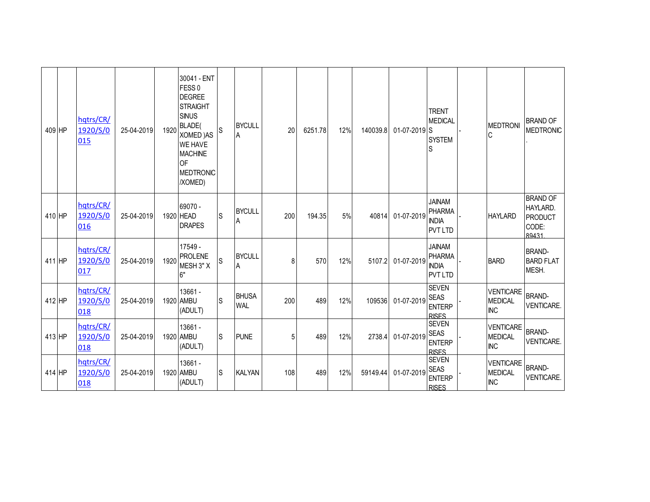| 409 HP | hqtrs/CR/<br>1920/S/0<br>015 | 25-04-2019 | 1920 | 30041 - ENT<br>FESS <sub>0</sub><br><b>DEGREE</b><br><b>STRAIGHT</b><br><b>SINUS</b><br><b>BLADE</b><br><b>XOMED)AS</b><br><b>WE HAVE</b><br><b>MACHINE</b><br><b>OF</b><br><b>MEDTRONIC</b><br>/XOMED) | S | <b>BYCULL</b><br>$\mathsf A$ | 20  | 6251.78 | 12% | 140039.8 | $01-07-2019$ S | <b>TRENT</b><br><b>MEDICAL</b><br><b>SYSTEM</b><br>S             | <b>MEDTRON</b><br>C                              | <b>BRAND OF</b><br><b>MEDTRONIC</b>                             |
|--------|------------------------------|------------|------|---------------------------------------------------------------------------------------------------------------------------------------------------------------------------------------------------------|---|------------------------------|-----|---------|-----|----------|----------------|------------------------------------------------------------------|--------------------------------------------------|-----------------------------------------------------------------|
| 410 HP | hqtrs/CR/<br>1920/S/0<br>016 | 25-04-2019 |      | 69070 -<br>1920 HEAD<br><b>DRAPES</b>                                                                                                                                                                   | S | <b>BYCULL</b><br>A           | 200 | 194.35  | 5%  | 40814    | 01-07-2019     | <b>JAINAM</b><br><b>PHARMA</b><br><b>INDIA</b><br><b>PVT LTD</b> | <b>HAYLARD</b>                                   | <b>BRAND OF</b><br>HAYLARD.<br><b>PRODUCT</b><br>CODE:<br>89431 |
| 411 HP | hqtrs/CR/<br>1920/S/0<br>017 | 25-04-2019 | 1920 | 17549 -<br><b>PROLENE</b><br>MESH 3" X<br>6"                                                                                                                                                            | S | <b>BYCULL</b><br>Α           | 8   | 570     | 12% | 5107.2   | 01-07-2019     | <b>JAINAM</b><br><b>PHARMA</b><br><b>INDIA</b><br><b>PVT LTD</b> | <b>BARD</b>                                      | <b>BRAND-</b><br><b>BARD FLAT</b><br>MESH.                      |
| 412 HP | hqtrs/CR/<br>1920/S/0<br>018 | 25-04-2019 |      | 13661 -<br>1920 AMBU<br>(ADULT)                                                                                                                                                                         | S | <b>BHUSA</b><br><b>WAL</b>   | 200 | 489     | 12% | 109536   | 01-07-2019     | <b>SEVEN</b><br><b>SEAS</b><br><b>ENTERP</b><br><b>RISES</b>     | <b>VENTICARE</b><br><b>MEDICAL</b><br><b>INC</b> | <b>BRAND-</b><br>VENTICARE.                                     |
| 413 HP | hqtrs/CR/<br>1920/S/0<br>018 | 25-04-2019 |      | 13661 -<br>1920 AMBU<br>(ADULT)                                                                                                                                                                         | S | <b>PUNE</b>                  | 5   | 489     | 12% | 2738.4   | 01-07-2019     | <b>SEVEN</b><br><b>SEAS</b><br><b>ENTERP</b><br><b>RISFS</b>     | <b>VENTICARE</b><br><b>MEDICAL</b><br><b>INC</b> | <b>BRAND-</b><br>VENTICARE.                                     |
| 414 HP | hqtrs/CR/<br>1920/S/0<br>018 | 25-04-2019 |      | 13661 -<br>1920 AMBU<br>(ADULT)                                                                                                                                                                         | S | <b>KALYAN</b>                | 108 | 489     | 12% | 59149.44 | 01-07-2019     | <b>SEVEN</b><br><b>SEAS</b><br><b>ENTERP</b><br><b>RISFS</b>     | <b>VENTICARE</b><br><b>MEDICAL</b><br><b>INC</b> | <b>BRAND-</b><br><b>VENTICARE.</b>                              |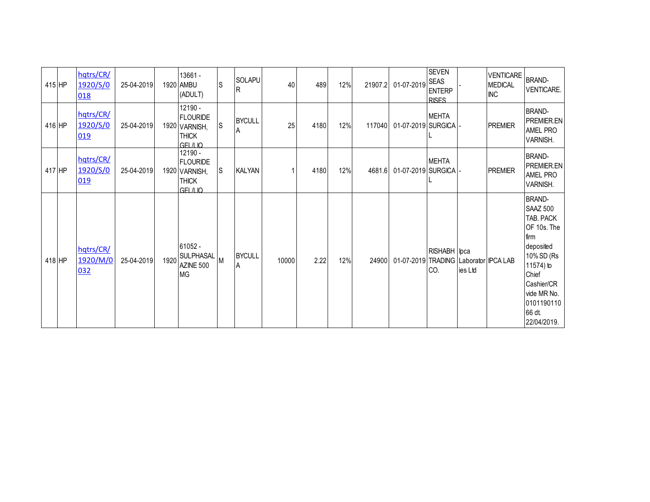| 415 HP | hqtrs/CR/<br>1920/S/0<br>018 | 25-04-2019 |      | 13661 -<br>1920 AMBU<br>(ADULT)                                          | ls  | SOLAPU<br>lR.        | 40    | 489  | 12% | 21907.2 | 01-07-2019 SEAS                       | <b>SEVEN</b><br><b>ENTERP</b><br><b>RISES</b> |         | <b>VENTICARE</b><br><b>MEDICAL</b><br><b>INC</b> | <b>BRAND-</b><br>VENTICARE.                                                                                                                                                               |
|--------|------------------------------|------------|------|--------------------------------------------------------------------------|-----|----------------------|-------|------|-----|---------|---------------------------------------|-----------------------------------------------|---------|--------------------------------------------------|-------------------------------------------------------------------------------------------------------------------------------------------------------------------------------------------|
| 416 HP | hqtrs/CR/<br>1920/S/0<br>019 | 25-04-2019 |      | 12190 -<br><b>FLOURIDE</b><br>1920 VARNISH,<br><b>THICK</b><br>GFI /I IO | ls  | <b>BYCULL</b><br>IA. | 25    | 4180 | 12% | 117040  | 01-07-2019 SURGICA -                  | <b>MEHTA</b>                                  |         | <b>PREMIER</b>                                   | <b>BRAND-</b><br>PREMIER.EN<br>AMEL PRO<br>VARNISH.                                                                                                                                       |
| 417 HP | hqtrs/CR/<br>1920/S/0<br>019 | 25-04-2019 |      | 12190 -<br><b>FLOURIDE</b><br>1920 VARNISH,<br><b>THICK</b><br>GFI /I IO | lS. | <b>KALYAN</b>        |       | 4180 | 12% | 4681.6  | 01-07-2019 SURGICA                    | <b>MEHTA</b>                                  |         | <b>PREMIER</b>                                   | BRAND-<br>PREMIER.EN<br><b>AMEL PRO</b><br>VARNISH.                                                                                                                                       |
| 418 HP | hqtrs/CR/<br>1920/M/0<br>032 | 25-04-2019 | 1920 | 61052 -<br><b>SULPHASAL</b><br>AZINE 500<br><b>MG</b>                    |     | <b>BYCULL</b><br>A   | 10000 | 2.22 | 12% | 24900   | 01-07-2019 TRADING Laborator IPCA LAB | RISHABH   Ipca<br>CO.                         | ies Ltd |                                                  | <b>BRAND-</b><br><b>SAAZ 500</b><br>TAB. PACK<br>OF 10s. The<br>firm<br>deposited<br>10% SD (Rs<br>11574) to<br>Chief<br>Cashier/CR<br>vide MR No.<br>0101190110<br>66 dt.<br>22/04/2019. |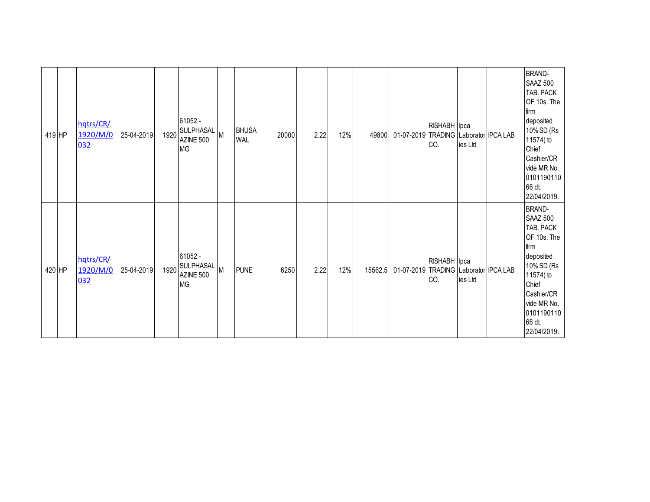| 419 HP | hqtrs/CR/<br>1920/M/0<br>032 | 25-04-2019 | 1920 | 61052 -<br>SULPHASAL M<br>AZINE 500<br><b>MG</b> |   | <b>BHUSA</b><br><b>WAL</b> | 20000 | 2.22 | 12% | 49800   | 01-07-2019 TRADING Laborator IPCA LAB | RISHABH   Ipca<br>CO. | ies Ltd | <b>BRAND-</b><br><b>SAAZ 500</b><br>TAB. PACK<br>OF 10s. The<br>firm<br>deposited<br>10% SD (Rs<br>11574) to<br>Chief<br>Cashier/CR<br>vide MR No.<br>0101190110<br>66 dt.<br>22/04/2019. |
|--------|------------------------------|------------|------|--------------------------------------------------|---|----------------------------|-------|------|-----|---------|---------------------------------------|-----------------------|---------|-------------------------------------------------------------------------------------------------------------------------------------------------------------------------------------------|
| 420 HP | hqtrs/CR/<br>1920/M/0<br>032 | 25-04-2019 | 1920 | 61052 -<br>SULPHASAL<br>AZINE 500<br><b>MG</b>   | M | <b>PUNE</b>                | 6250  | 2.22 | 12% | 15562.5 | 01-07-2019 TRADING Laborator IPCA LAB | RISHABH   Ipca<br>CO. | ies Ltd | <b>BRAND-</b><br>SAAZ 500<br>TAB. PACK<br>OF 10s. The<br>firm<br>deposited<br>10% SD (Rs<br>11574) to<br>Chief<br>Cashier/CR<br>vide MR No.<br>0101190110<br>66 dt.<br>22/04/2019.        |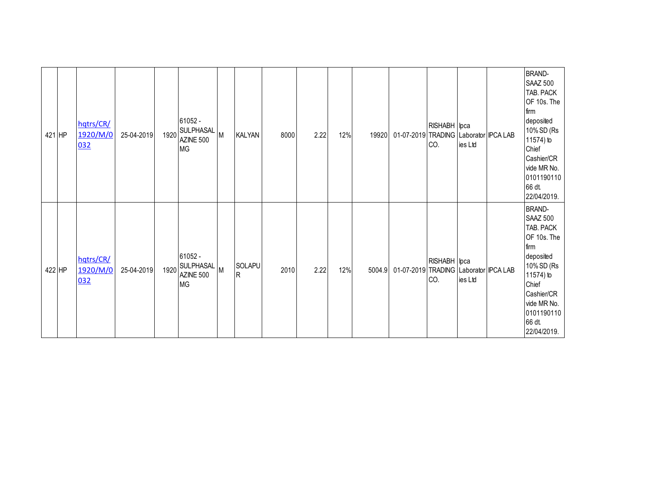| 421 HP | hqtrs/CR/<br>1920/M/0<br>032 | 25-04-2019 | 1920 | 61052 -<br><b>SULPHASAL</b><br>AZINE 500<br><b>MG</b> | M        | <b>KALYAN</b> | 8000 | 2.22 | 12% | 19920  | 01-07-2019 TRADING Laborator IPCA LAB | RISHABH   Ipca<br>CO. | ies Ltd | <b>BRAND-</b><br><b>SAAZ 500</b><br>TAB. PACK<br>OF 10s. The<br>firm<br>deposited<br>10% SD (Rs<br>11574) to<br>Chief<br>Cashier/CR<br>vide MR No.<br>0101190110<br>66 dt.<br>22/04/2019. |
|--------|------------------------------|------------|------|-------------------------------------------------------|----------|---------------|------|------|-----|--------|---------------------------------------|-----------------------|---------|-------------------------------------------------------------------------------------------------------------------------------------------------------------------------------------------|
| 422 HP | hqtrs/CR/<br>1920/M/0<br>032 | 25-04-2019 | 1920 | 61052 -<br>SULPHASAL<br>AZINE 500<br><b>MG</b>        | <b>M</b> | SOLAPU<br>R   | 2010 | 2.22 | 12% | 5004.9 | 01-07-2019 TRADING Laborator IPCA LAB | RISHABH   Ipca<br>CO. | ies Ltd | <b>BRAND-</b><br><b>SAAZ 500</b><br>TAB. PACK<br>OF 10s. The<br>firm<br>deposited<br>10% SD (Rs<br>11574) to<br>Chief<br>Cashier/CR<br>vide MR No.<br>0101190110<br>66 dt.<br>22/04/2019. |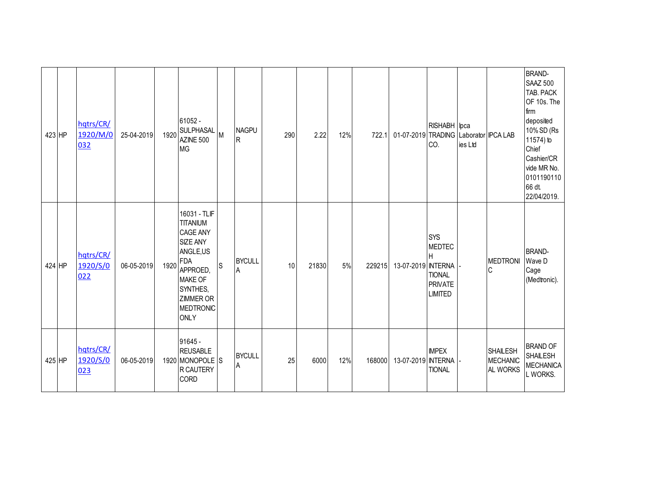| 423 HP | hqtrs/CR/<br>1920/M/0<br>032 | 25-04-2019 | 1920 | 61052 -<br>SULPHASAL<br>AZINE 500<br><b>MG</b>                                                                                                                                            | M  | <b>NAGPU</b><br>R  | 290 | 2.22  | 12% | 722.1  | 01-07-2019 TRADING Laborator IPCA LAB | RISHABH lpca<br>CO.                                                                   | ies Ltd |                                                | <b>BRAND-</b><br><b>SAAZ 500</b><br>TAB. PACK<br>OF 10s. The<br>firm<br>deposited<br>10% SD (Rs<br>11574) to<br>Chief<br>Cashier/CR<br>vide MR No.<br>0101190110<br>66 dt.<br>22/04/2019. |
|--------|------------------------------|------------|------|-------------------------------------------------------------------------------------------------------------------------------------------------------------------------------------------|----|--------------------|-----|-------|-----|--------|---------------------------------------|---------------------------------------------------------------------------------------|---------|------------------------------------------------|-------------------------------------------------------------------------------------------------------------------------------------------------------------------------------------------|
| 424 HP | hqtrs/CR/<br>1920/S/0<br>022 | 06-05-2019 | 1920 | 16031 - TLIF<br><b>TITANIUM</b><br><b>CAGE ANY</b><br><b>SIZE ANY</b><br>ANGLE,US<br><b>FDA</b><br>APPROED,<br><b>MAKE OF</b><br>SYNTHES,<br><b>ZIMMER OR</b><br>MEDTRONIC<br><b>ONLY</b> | ls | <b>BYCULL</b><br>A | 10  | 21830 | 5%  | 229215 | 13-07-2019 INTERNA                    | <b>SYS</b><br><b>MEDTEC</b><br>Н<br><b>TIONAL</b><br><b>PRIVATE</b><br><b>LIMITED</b> |         | <b>MEDTRONI</b><br>C                           | <b>BRAND-</b><br>Wave D<br>Cage<br>(Medtronic).                                                                                                                                           |
| 425 HP | hqtrs/CR/<br>1920/S/0<br>023 | 06-05-2019 |      | 91645 -<br><b>REUSABLE</b><br>1920 MONOPOLE S<br>R CAUTERY<br><b>CORD</b>                                                                                                                 |    | <b>BYCULL</b><br>Α | 25  | 6000  | 12% | 168000 | 13-07-2019 INTERNA                    | <b>IMPEX</b><br><b>TIONAL</b>                                                         |         | <b>SHAILESH</b><br><b>MECHANIC</b><br>AL WORKS | <b>BRAND OF</b><br><b>SHAILESH</b><br><b>MECHANICA</b><br>L WORKS.                                                                                                                        |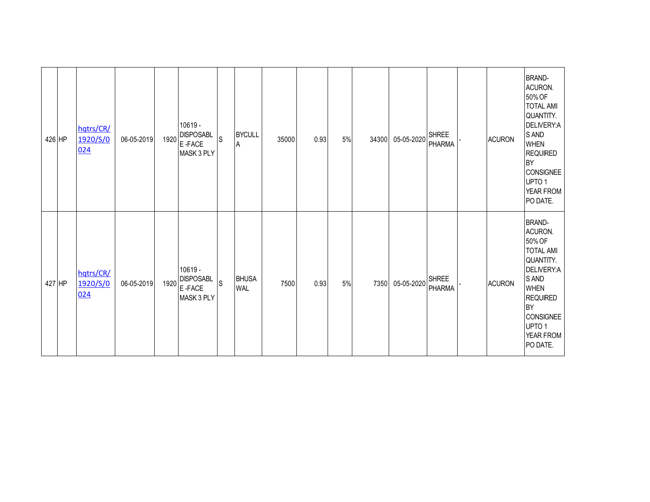| 426 HP | hqtrs/CR/<br>1920/S/0<br>024 | 06-05-2019 | 1920 | 10619 -<br><b>DISPOSABL</b><br>E-FACE<br>MASK 3 PLY | $\mathsf S$ | <b>BYCULL</b><br>A         | 35000 | 0.93 | 5% | 34300 | 05-05-2020 SHREE | <b>PHARMA</b>                 | <b>ACURON</b> | <b>BRAND-</b><br>ACURON.<br>50% OF<br><b>TOTAL AMI</b><br>QUANTITY.<br>DELIVERY:A<br>S AND<br><b>WHEN</b><br><b>REQUIRED</b><br><b>BY</b><br><b>CONSIGNEE</b><br>UPTO 1<br>YEAR FROM<br>PO DATE.            |
|--------|------------------------------|------------|------|-----------------------------------------------------|-------------|----------------------------|-------|------|----|-------|------------------|-------------------------------|---------------|-------------------------------------------------------------------------------------------------------------------------------------------------------------------------------------------------------------|
| 427 HP | hqtrs/CR/<br>1920/S/0<br>024 | 06-05-2019 | 1920 | 10619 -<br><b>DISPOSABL</b><br>E-FACE<br>MASK 3 PLY | S           | <b>BHUSA</b><br><b>WAL</b> | 7500  | 0.93 | 5% | 7350  | 05-05-2020       | <b>SHREE</b><br><b>PHARMA</b> | <b>ACURON</b> | <b>BRAND-</b><br>ACURON.<br>50% OF<br><b>TOTAL AMI</b><br>QUANTITY.<br>DELIVERY:A<br>S AND<br><b>WHEN</b><br><b>REQUIRED</b><br><b>BY</b><br><b>CONSIGNEE</b><br>UPTO <sub>1</sub><br>YEAR FROM<br>PO DATE. |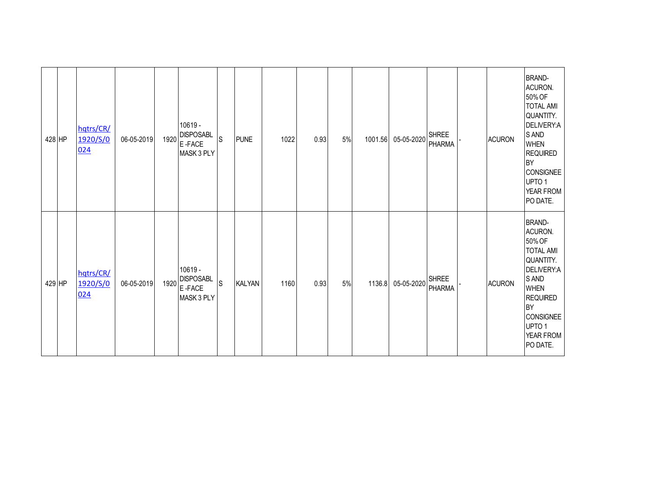| 428 HP | hqtrs/CR/<br>1920/S/0<br>024 | 06-05-2019 | 1920 | 10619 -<br><b>DISPOSABL</b><br>E-FACE<br>MASK 3 PLY   | $\mathsf S$ | <b>PUNE</b>   | 1022 | 0.93 | 5% | 1001.56 | 05-05-2020 | <b>SHREE</b><br><b>PHARMA</b> | <b>ACURON</b> | <b>BRAND-</b><br>ACURON.<br>50% OF<br><b>TOTAL AMI</b><br>QUANTITY.<br>DELIVERY:A<br>S AND<br><b>WHEN</b><br><b>REQUIRED</b><br><b>BY</b><br><b>CONSIGNEE</b><br>UPTO 1<br>YEAR FROM<br>PO DATE.            |
|--------|------------------------------|------------|------|-------------------------------------------------------|-------------|---------------|------|------|----|---------|------------|-------------------------------|---------------|-------------------------------------------------------------------------------------------------------------------------------------------------------------------------------------------------------------|
| 429 HP | hqtrs/CR/<br>1920/S/0<br>024 | 06-05-2019 | 1920 | $10619 -$<br><b>DISPOSABL</b><br>E-FACE<br>MASK 3 PLY | S           | <b>KALYAN</b> | 1160 | 0.93 | 5% | 1136.8  | 05-05-2020 | <b>SHREE</b><br><b>PHARMA</b> | <b>ACURON</b> | <b>BRAND-</b><br>ACURON.<br>50% OF<br><b>TOTAL AMI</b><br>QUANTITY.<br>DELIVERY:A<br>S AND<br><b>WHEN</b><br><b>REQUIRED</b><br>BY<br><b>CONSIGNEE</b><br>UPTO <sub>1</sub><br><b>YEAR FROM</b><br>PO DATE. |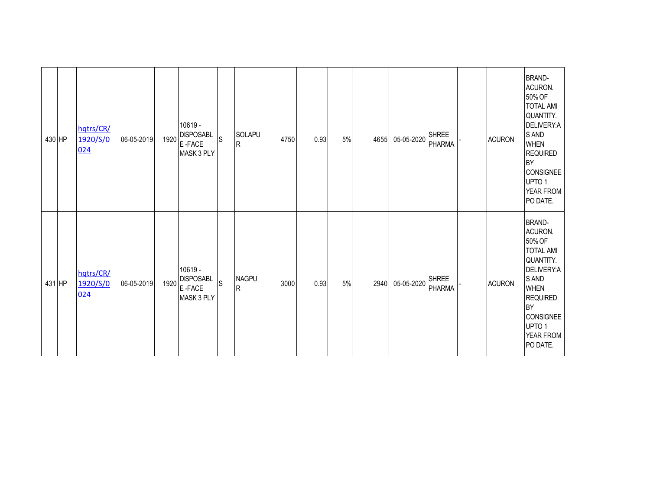| 430 HP | hqtrs/CR/<br>1920/S/0<br>024 | 06-05-2019 | 1920 | 10619 -<br><b>DISPOSABL</b><br>E-FACE<br>MASK 3 PLY   | $\mathsf S$ | <b>SOLAPU</b><br>R.          | 4750 | 0.93 | 5% | 4655 | 05-05-2020 | <b>SHREE</b><br><b>PHARMA</b> | <b>ACURON</b> | <b>BRAND-</b><br>ACURON.<br>50% OF<br><b>TOTAL AMI</b><br>QUANTITY.<br>DELIVERY:A<br>S AND<br><b>WHEN</b><br><b>REQUIRED</b><br><b>BY</b><br><b>CONSIGNEE</b><br>UPTO 1<br>YEAR FROM<br>PO DATE.            |
|--------|------------------------------|------------|------|-------------------------------------------------------|-------------|------------------------------|------|------|----|------|------------|-------------------------------|---------------|-------------------------------------------------------------------------------------------------------------------------------------------------------------------------------------------------------------|
| 431 HP | hqtrs/CR/<br>1920/S/0<br>024 | 06-05-2019 | 1920 | $10619 -$<br><b>DISPOSABL</b><br>E-FACE<br>MASK 3 PLY | S           | <b>NAGPU</b><br>$\mathsf{R}$ | 3000 | 0.93 | 5% | 2940 | 05-05-2020 | <b>SHREE</b><br><b>PHARMA</b> | <b>ACURON</b> | <b>BRAND-</b><br>ACURON.<br>50% OF<br><b>TOTAL AMI</b><br>QUANTITY.<br>DELIVERY:A<br>S AND<br><b>WHEN</b><br><b>REQUIRED</b><br>BY<br><b>CONSIGNEE</b><br>UPTO <sub>1</sub><br><b>YEAR FROM</b><br>PO DATE. |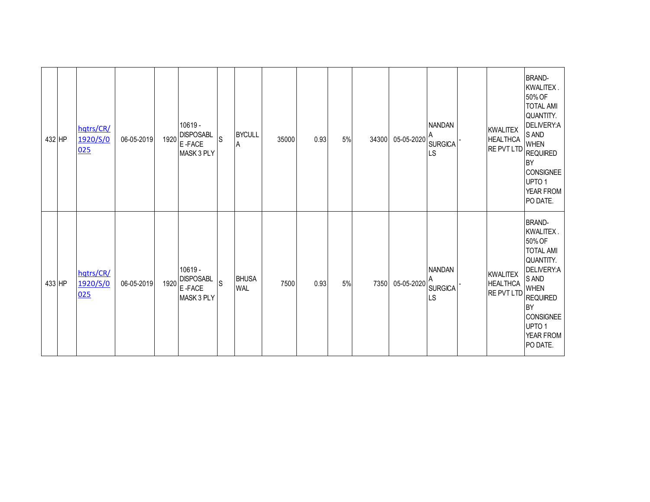| 432 HP | hqtrs/CR/<br>1920/S/0<br>025 | 06-05-2019 | 1920 | 10619 -<br><b>DISPOSABL</b><br>E-FACE<br>MASK 3 PLY   | $\mathsf S$ | <b>BYCULL</b><br>Α         | 35000 | 0.93 | 5% | 34300 | 05-05-2020 | <b>NANDAN</b><br><b>SURGICA</b><br>LS | <b>KWALITEX</b><br><b>HEALTHCA</b><br>RE PVT LTD | <b>BRAND-</b><br>KWALITEX.<br>50% OF<br><b>TOTAL AMI</b><br>QUANTITY.<br>DELIVERY:A<br>S AND<br><b>WHEN</b><br><b>REQUIRED</b><br><b>BY</b><br><b>CONSIGNEE</b><br>UPTO <sub>1</sub><br>YEAR FROM<br>PO DATE. |
|--------|------------------------------|------------|------|-------------------------------------------------------|-------------|----------------------------|-------|------|----|-------|------------|---------------------------------------|--------------------------------------------------|---------------------------------------------------------------------------------------------------------------------------------------------------------------------------------------------------------------|
| 433 HP | hqtrs/CR/<br>1920/S/0<br>025 | 06-05-2019 | 1920 | $10619 -$<br><b>DISPOSABL</b><br>E-FACE<br>MASK 3 PLY | S           | <b>BHUSA</b><br><b>WAL</b> | 7500  | 0.93 | 5% | 7350  | 05-05-2020 | <b>NANDAN</b><br><b>SURGICA</b><br>LS | <b>KWALITEX</b><br><b>HEALTHCA</b><br>RE PVT LTD | <b>BRAND-</b><br>KWALITEX.<br>50% OF<br><b>TOTAL AMI</b><br>QUANTITY.<br>DELIVERY:A<br>S AND<br><b>WHEN</b><br><b>REQUIRED</b><br><b>BY</b><br><b>CONSIGNEE</b><br>UPTO 1<br>YEAR FROM<br>PO DATE.            |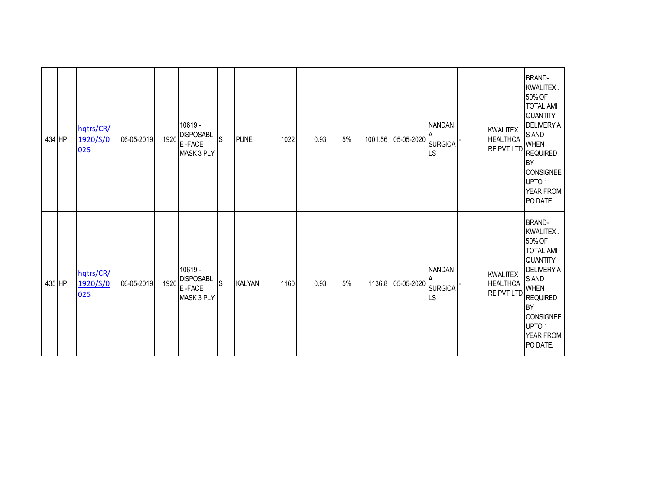| 434 HP | hqtrs/CR/<br>1920/S/0<br>025 | 06-05-2019 | 1920 | 10619 -<br><b>DISPOSABL</b><br>E-FACE<br>MASK 3 PLY   | $\mathsf S$ | <b>PUNE</b>   | 1022 | 0.93 | 5% | 1001.56 | 05-05-2020 | <b>NANDAN</b><br><b>SURGICA</b><br><b>LS</b> | <b>KWALITEX</b><br><b>HEALTHCA</b><br>RE PVT LTD | <b>BRAND-</b><br>KWALITEX.<br>50% OF<br><b>TOTAL AMI</b><br>QUANTITY.<br>DELIVERY:A<br>S AND<br><b>WHEN</b><br><b>REQUIRED</b><br><b>BY</b><br>CONSIGNEE<br>UPTO <sub>1</sub><br>YEAR FROM<br>PO DATE.               |
|--------|------------------------------|------------|------|-------------------------------------------------------|-------------|---------------|------|------|----|---------|------------|----------------------------------------------|--------------------------------------------------|----------------------------------------------------------------------------------------------------------------------------------------------------------------------------------------------------------------------|
| 435 HP | hqtrs/CR/<br>1920/S/0<br>025 | 06-05-2019 | 1920 | $10619 -$<br><b>DISPOSABL</b><br>E-FACE<br>MASK 3 PLY | S           | <b>KALYAN</b> | 1160 | 0.93 | 5% | 1136.8  | 05-05-2020 | <b>NANDAN</b><br><b>SURGICA</b><br><b>LS</b> | <b>KWALITEX</b><br><b>HEALTHCA</b><br>RE PVT LTD | <b>BRAND-</b><br>KWALITEX.<br>50% OF<br><b>TOTAL AMI</b><br>QUANTITY.<br>DELIVERY:A<br>S AND<br><b>WHEN</b><br><b>REQUIRED</b><br><b>BY</b><br><b>CONSIGNEE</b><br>UPTO <sub>1</sub><br><b>YEAR FROM</b><br>PO DATE. |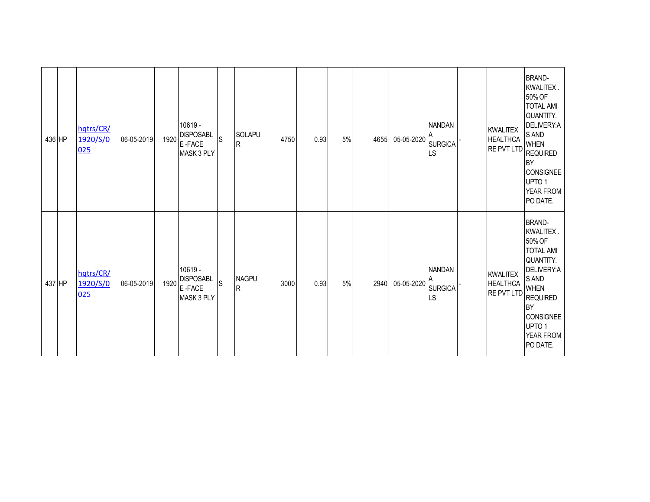| 436 HP | hqtrs/CR/<br>1920/S/0<br>025 | 06-05-2019 | 1920 | 10619 -<br><b>DISPOSABL</b><br>E-FACE<br>MASK 3 PLY | <sub>S</sub> | SOLAPU<br>R                 | 4750 | 0.93 | 5%   | 4655 | 05-05-2020 | <b>NANDAN</b><br><b>SURGICA</b><br>LS | <b>KWALITEX</b><br><b>HEALTHCA</b><br><b>RE PVT LTD</b> | <b>BRAND-</b><br>KWALITEX.<br>50% OF<br><b>TOTAL AMI</b><br>QUANTITY.<br>DELIVERY:A<br>S AND<br><b>WHEN</b><br><b>REQUIRED</b><br><b>BY</b><br><b>CONSIGNEE</b><br>UPTO <sub>1</sub><br>YEAR FROM<br>PO DATE. |
|--------|------------------------------|------------|------|-----------------------------------------------------|--------------|-----------------------------|------|------|------|------|------------|---------------------------------------|---------------------------------------------------------|---------------------------------------------------------------------------------------------------------------------------------------------------------------------------------------------------------------|
| 437 HP | hqtrs/CR/<br>1920/S/0<br>025 | 06-05-2019 | 1920 | 10619 -<br><b>DISPOSABL</b><br>E-FACE<br>MASK 3 PLY | <sub>S</sub> | <b>NAGPU</b><br>$\mathsf R$ | 3000 | 0.93 | $5%$ | 2940 | 05-05-2020 | <b>NANDAN</b><br><b>SURGICA</b><br>LS | <b>KWALITEX</b><br><b>HEALTHCA</b><br>RE PVT LTD        | <b>BRAND-</b><br>KWALITEX.<br>50% OF<br><b>TOTAL AMI</b><br>QUANTITY.<br>DELIVERY:A<br>S AND<br><b>WHEN</b><br><b>REQUIRED</b><br><b>BY</b><br><b>CONSIGNEE</b><br>UPTO 1<br>YEAR FROM<br>PO DATE.            |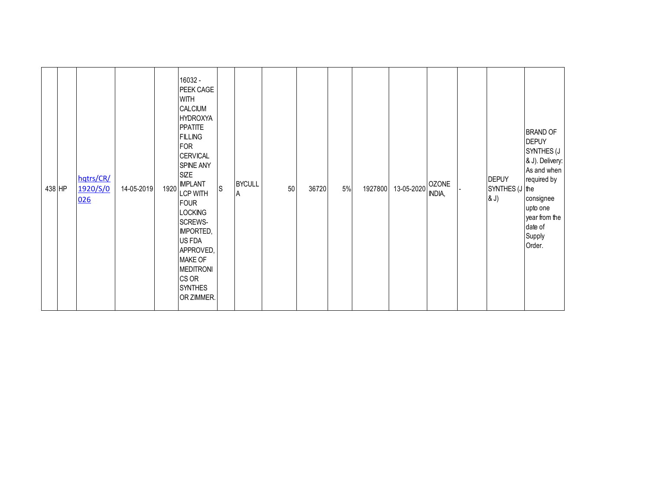| 438 HP | hqtrs/CR/<br>1920/S/0<br>026 | 14-05-2019 | 1920 | 16032 -<br>PEEK CAGE<br><b>WITH</b><br><b>CALCIUM</b><br><b>HYDROXYA</b><br><b>PPATITE</b><br><b>FILLING</b><br><b>FOR</b><br><b>CERVICAL</b><br>SPINE ANY<br><b>SIZE</b><br><b>IMPLANT</b><br><b>LCP WITH</b><br><b>FOUR</b><br><b>LOCKING</b><br>SCREWS-<br><b>IMPORTED,</b><br>US FDA<br>APPROVED,<br><b>MAKE OF</b><br><b>MEDITRONI</b><br>CS OR<br><b>SYNTHES</b> | $\mathsf S$ | <b>BYCULL</b><br>A | 50 | 36720 | 5% | 1927800 | 13-05-2020 | <b>OZONE</b><br>INDIA, | <b>DEPUY</b><br>SYNTHES (J the<br>(8J) | <b>BRAND OF</b><br><b>DEPUY</b><br>SYNTHES (J<br>& J). Delivery:<br>As and when<br>required by<br>consignee<br>upto one<br>year from the<br>date of<br>Supply<br>Order. |
|--------|------------------------------|------------|------|------------------------------------------------------------------------------------------------------------------------------------------------------------------------------------------------------------------------------------------------------------------------------------------------------------------------------------------------------------------------|-------------|--------------------|----|-------|----|---------|------------|------------------------|----------------------------------------|-------------------------------------------------------------------------------------------------------------------------------------------------------------------------|
|        |                              |            |      | OR ZIMMER.                                                                                                                                                                                                                                                                                                                                                             |             |                    |    |       |    |         |            |                        |                                        |                                                                                                                                                                         |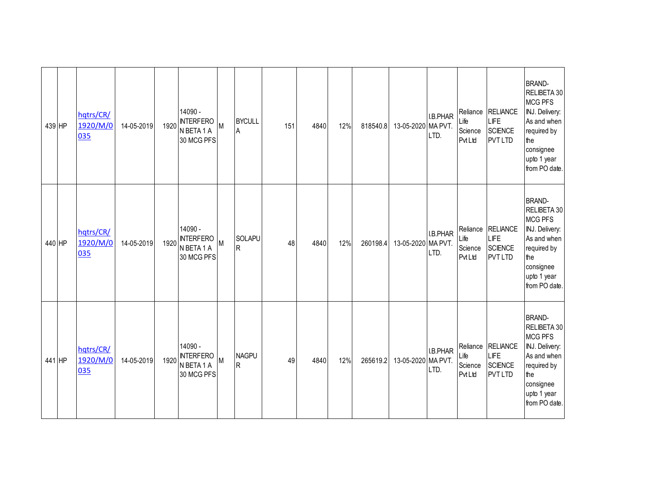| 439 HP | hqtrs/CR/<br>1920/M/0<br>035 | 14-05-2019 | 1920 | 14090 -<br><b>INTERFERO</b><br>N BETA 1 A<br>30 MCG PFS | M | <b>BYCULL</b><br>$\sf A$       | 151 | 4840 | 12% | 818540.8 | 13-05-2020 MA PVT. | I.B.PHAR<br>LTD. | Life<br>Science<br><b>Pvt Ltd</b> | Reliance RELIANCE<br>LIFE<br><b>SCIENCE</b><br><b>PVT LTD</b> | <b>BRAND-</b><br>RELIBETA 30<br><b>MCG PFS</b><br>INJ. Delivery:<br>As and when<br>required by<br>the<br>consignee<br>upto 1 year<br>from PO date. |
|--------|------------------------------|------------|------|---------------------------------------------------------|---|--------------------------------|-----|------|-----|----------|--------------------|------------------|-----------------------------------|---------------------------------------------------------------|----------------------------------------------------------------------------------------------------------------------------------------------------|
| 440 HP | hqtrs/CR/<br>1920/M/0<br>035 | 14-05-2019 |      | 14090 -<br>1920 INTERFERO<br>N BETA 1 A<br>30 MCG PFS   | M | SOLAPU<br>R.                   | 48  | 4840 | 12% | 260198.4 | 13-05-2020 MA PVT. | I.B.PHAR<br>LTD. | Life<br>Science<br><b>Pvt Ltd</b> | Reliance RELIANCE<br>LIFE<br><b>SCIENCE</b><br><b>PVT LTD</b> | <b>BRAND-</b><br>RELIBETA 30<br><b>MCG PFS</b><br>INJ. Delivery:<br>As and when<br>required by<br>the<br>consignee<br>upto 1 year<br>from PO date. |
| 441 HP | hqtrs/CR/<br>1920/M/0<br>035 | 14-05-2019 |      | 14090 -<br>1920 NTERFERO<br>N BETA 1 A<br>30 MCG PFS    | M | <b>NAGPU</b><br>$\overline{R}$ | 49  | 4840 | 12% | 265619.2 | 13-05-2020 MA PVT. | I.B.PHAR<br>LTD. | Life<br>Science<br><b>Pvt Ltd</b> | Reliance RELIANCE<br>LIFE<br><b>SCIENCE</b><br><b>PVT LTD</b> | <b>BRAND-</b><br>RELIBETA 30<br><b>MCG PFS</b><br>INJ. Delivery:<br>As and when<br>required by<br>the<br>consignee<br>upto 1 year<br>from PO date. |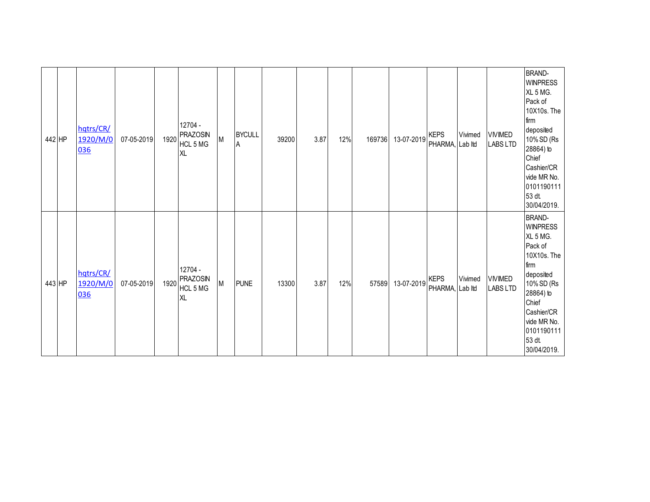| 442 HP | hqtrs/CR/<br>1920/M/0<br>036 | 07-05-2019 | 1920 | 12704 -<br><b>PRAZOSIN</b><br>HCL 5 MG<br><b>XL</b> | M | <b>BYCULL</b><br>A | 39200 | 3.87 | 12% | 169736 | 13-07-2019 | <b>KEPS</b><br>PHARMA, | Vivimed<br>Lab Itd | <b>VIVIMED</b><br><b>LABS LTD</b> | <b>BRAND-</b><br><b>WINPRESS</b><br>XL 5 MG.<br>Pack of<br>10X10s. The<br>firm<br>deposited<br>10% SD (Rs<br>28864) to<br>Chief<br>Cashier/CR<br>vide MR No.<br>0101190111<br>53 dt.<br>30/04/2019. |
|--------|------------------------------|------------|------|-----------------------------------------------------|---|--------------------|-------|------|-----|--------|------------|------------------------|--------------------|-----------------------------------|-----------------------------------------------------------------------------------------------------------------------------------------------------------------------------------------------------|
| 443 HP | hqtrs/CR/<br>1920/M/0<br>036 | 07-05-2019 | 1920 | 12704 -<br><b>PRAZOSIN</b><br>HCL 5 MG<br><b>XL</b> | M | <b>PUNE</b>        | 13300 | 3.87 | 12% | 57589  | 13-07-2019 | <b>KEPS</b><br>PHARMA, | Vivimed<br>Lab Itd | <b>VIVIMED</b><br><b>LABS LTD</b> | <b>BRAND-</b><br><b>WINPRESS</b><br>XL 5 MG.<br>Pack of<br>10X10s. The<br>firm<br>deposited<br>10% SD (Rs<br>28864) to<br>Chief<br>Cashier/CR<br>vide MR No.<br>0101190111<br>53 dt.<br>30/04/2019. |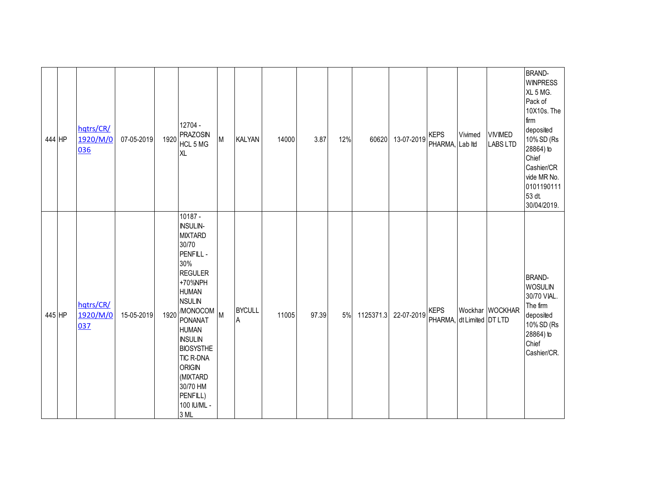| 444 HP | hqtrs/CR/<br>1920/M/0<br>036 | 07-05-2019 | 1920 | 12704 -<br><b>PRAZOSIN</b><br>HCL 5 MG<br><b>XL</b>                                                                                                                                                                                                                                                                           | M | <b>KALYAN</b>                | 14000 | 3.87  | 12% | 60620     | 13-07-2019 | <b>KEPS</b><br>PHARMA, Lab Itd           | Vivimed | <b>VIVIMED</b><br><b>LABS LTD</b> | <b>BRAND-</b><br><b>WINPRESS</b><br>XL 5 MG.<br>Pack of<br>10X10s. The<br>firm<br>deposited<br>10% SD (Rs<br>28864) to<br>Chief<br>Cashier/CR<br>vide MR No.<br>0101190111<br>53 dt.<br>30/04/2019. |
|--------|------------------------------|------------|------|-------------------------------------------------------------------------------------------------------------------------------------------------------------------------------------------------------------------------------------------------------------------------------------------------------------------------------|---|------------------------------|-------|-------|-----|-----------|------------|------------------------------------------|---------|-----------------------------------|-----------------------------------------------------------------------------------------------------------------------------------------------------------------------------------------------------|
| 445 HP | hqtrs/CR/<br>1920/M/0<br>037 | 15-05-2019 | 1920 | $10187 -$<br><b>INSULIN-</b><br><b>MIXTARD</b><br>30/70<br>PENFILL -<br>30%<br><b>REGULER</b><br>+70%NPH<br><b>HUMAN</b><br><b>NSULIN</b><br>/MONOCOM<br><b>PONANAT</b><br><b>HUMAN</b><br><b>INSULIN</b><br><b>BIOSYSTHE</b><br><b>TIC R-DNA</b><br><b>ORIGIN</b><br>(MIXTARD<br>30/70 HM<br>PENFILL)<br>100 IU/ML -<br>3 ML | M | <b>BYCULL</b><br>$\mathsf A$ | 11005 | 97.39 | 5%  | 1125371.3 | 22-07-2019 | <b>KEPS</b><br>PHARMA, dt Limited DT LTD |         | Wockhar WOCKHAR                   | <b>BRAND-</b><br><b>WOSULIN</b><br>30/70 VIAL.<br>The firm<br>deposited<br>10% SD (Rs<br>28864) to<br>Chief<br>Cashier/CR.                                                                          |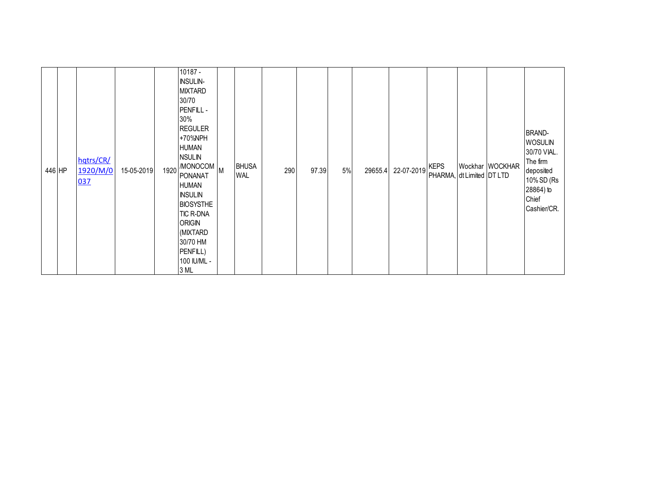| 446 HP |  | hqtrs/CR/<br>1920/M/0<br>037 | 15-05-2019 |  | 10187 -<br><b>INSULIN-</b><br><b>MIXTARD</b><br>30/70<br>PENFILL -<br>30%<br><b>REGULER</b><br>+70%NPH<br><b>HUMAN</b><br><b>NSULIN</b><br>1920 MONOCOM M<br><b>PONANAT</b><br><b>HUMAN</b><br><b>INSULIN</b><br><b>BIOSYSTHE</b><br><b>TIC R-DNA</b><br><b>ORIGIN</b><br>(MIXTARD<br>30/70 HM<br>PENFILL)<br>100 IU/ML -<br>3 ML |  | <b>BHUSA</b><br><b>WAL</b> | 290 | 97.39 | 5% | 29655.4 | 22-07-2019 | <b>KEPS</b><br>PHARMA, dt Limited DT LTD |  | Wockhar WOCKHAR | <b>BRAND-</b><br><b>WOSULIN</b><br>30/70 VIAL.<br>The firm<br>deposited<br>10% SD (Rs<br>28864) to<br>Chief<br>Cashier/CR. |
|--------|--|------------------------------|------------|--|-----------------------------------------------------------------------------------------------------------------------------------------------------------------------------------------------------------------------------------------------------------------------------------------------------------------------------------|--|----------------------------|-----|-------|----|---------|------------|------------------------------------------|--|-----------------|----------------------------------------------------------------------------------------------------------------------------|
|--------|--|------------------------------|------------|--|-----------------------------------------------------------------------------------------------------------------------------------------------------------------------------------------------------------------------------------------------------------------------------------------------------------------------------------|--|----------------------------|-----|-------|----|---------|------------|------------------------------------------|--|-----------------|----------------------------------------------------------------------------------------------------------------------------|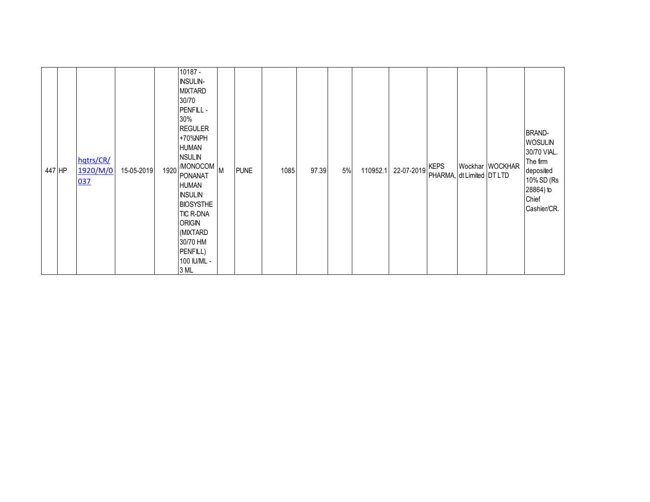| 447 HP |  | hqtrs/CR/<br>1920/M/0<br>037 | 15-05-2019 |  | 10187 -<br><b>INSULIN-</b><br><b>MIXTARD</b><br>30/70<br>PENFILL -<br>30%<br><b>REGULER</b><br>+70%NPH<br><b>HUMAN</b><br><b>NSULIN</b><br>$1920$ MONOCOM M<br><b>PONANAT</b><br><b>HUMAN</b><br><b>INSULIN</b><br><b>BIOSYSTHE</b><br><b>TIC R-DNA</b><br><b>ORIGIN</b><br>(MIXTARD)<br>30/70 HM<br>PENFILL)<br>100 IU/ML -<br>3 ML |  | <b>PUNE</b> | 1085 | 97.39 | 5% | 110952.1 | 22-07-2019 | <b>KEPS</b><br>PHARMA, dt Limited DT LTD |  | Wockhar WOCKHAR | <b>BRAND-</b><br><b>WOSULIN</b><br>30/70 VIAL.<br>The firm<br>deposited<br>10% SD (Rs<br>28864) to<br>Chief<br>Cashier/CR. |
|--------|--|------------------------------|------------|--|--------------------------------------------------------------------------------------------------------------------------------------------------------------------------------------------------------------------------------------------------------------------------------------------------------------------------------------|--|-------------|------|-------|----|----------|------------|------------------------------------------|--|-----------------|----------------------------------------------------------------------------------------------------------------------------|
|--------|--|------------------------------|------------|--|--------------------------------------------------------------------------------------------------------------------------------------------------------------------------------------------------------------------------------------------------------------------------------------------------------------------------------------|--|-------------|------|-------|----|----------|------------|------------------------------------------|--|-----------------|----------------------------------------------------------------------------------------------------------------------------|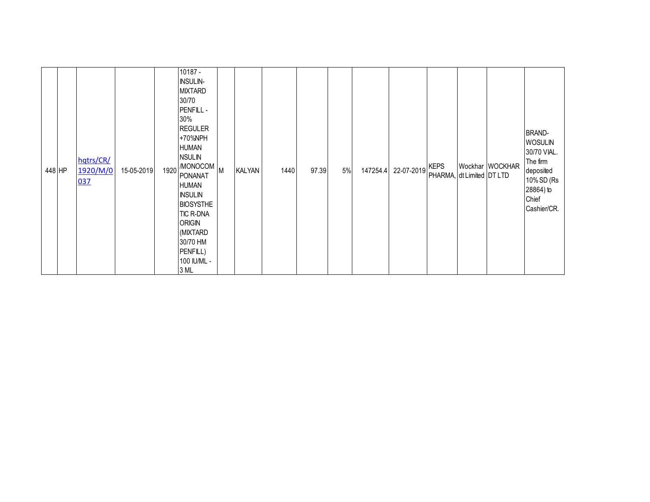| 448 HP | hqtrs/CR/<br>1920/M/0<br><u>037</u> | 15-05-2019 |  | 10187 -<br><b>INSULIN-</b><br><b>MIXTARD</b><br>30/70<br>PENFILL -<br>30%<br><b>REGULER</b><br>+70%NPH<br><b>HUMAN</b><br><b>NSULIN</b><br>1920 MONOCOM M<br>PONANAT<br><b>HUMAN</b><br><b>INSULIN</b><br><b>BIOSYSTHE</b><br>TIC R-DNA<br><b>ORIGIN</b><br>(MIXTARD)<br>30/70 HM<br>PENFILL)<br>100 IU/ML -<br>3 ML |  | <b>KALYAN</b> | 1440 | 97.39 | $5%$ | 147254.4 | 22-07-2019 | <b>KEPS</b><br>PHARMA, dt Limited DT LTD |  | Wockhar WOCKHAR | <b>BRAND-</b><br><b>WOSULIN</b><br>30/70 VIAL.<br>The firm<br>deposited<br>10% SD (Rs<br>28864) to<br>Chief<br>Cashier/CR. |
|--------|-------------------------------------|------------|--|----------------------------------------------------------------------------------------------------------------------------------------------------------------------------------------------------------------------------------------------------------------------------------------------------------------------|--|---------------|------|-------|------|----------|------------|------------------------------------------|--|-----------------|----------------------------------------------------------------------------------------------------------------------------|
|--------|-------------------------------------|------------|--|----------------------------------------------------------------------------------------------------------------------------------------------------------------------------------------------------------------------------------------------------------------------------------------------------------------------|--|---------------|------|-------|------|----------|------------|------------------------------------------|--|-----------------|----------------------------------------------------------------------------------------------------------------------------|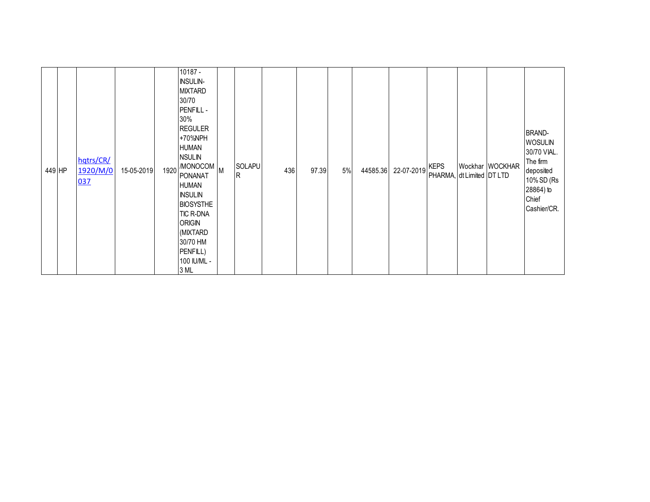| 449 HP |  | hqtrs/CR/<br>1920/M/0<br>037 | 15-05-2019 |  | 10187 -<br><b>INSULIN-</b><br><b>MIXTARD</b><br>30/70<br>PENFILL -<br>30%<br><b>REGULER</b><br>+70%NPH<br><b>HUMAN</b><br><b>NSULIN</b><br>1920 MONOCOM M<br><b>PONANAT</b><br>HUMAN<br><b>INSULIN</b><br><b>BIOSYSTHE</b><br><b>TIC R-DNA</b><br><b>ORIGIN</b><br>(MIXTARD<br>30/70 HM<br>PENFILL)<br>100 IU/ML -<br>3 ML |  | <b>SOLAPU</b><br>R | 436 | 97.39 | 5% | 44585.36 | 22-07-2019 | <b>KEPS</b><br>PHARMA, dt Limited DT LTD |  | Wockhar WOCKHAR | <b>BRAND-</b><br><b>WOSULIN</b><br>30/70 VIAL.<br>The firm<br>deposited<br>10% SD (Rs<br>28864) to<br>Chief<br>Cashier/CR. |
|--------|--|------------------------------|------------|--|----------------------------------------------------------------------------------------------------------------------------------------------------------------------------------------------------------------------------------------------------------------------------------------------------------------------------|--|--------------------|-----|-------|----|----------|------------|------------------------------------------|--|-----------------|----------------------------------------------------------------------------------------------------------------------------|
|--------|--|------------------------------|------------|--|----------------------------------------------------------------------------------------------------------------------------------------------------------------------------------------------------------------------------------------------------------------------------------------------------------------------------|--|--------------------|-----|-------|----|----------|------------|------------------------------------------|--|-----------------|----------------------------------------------------------------------------------------------------------------------------|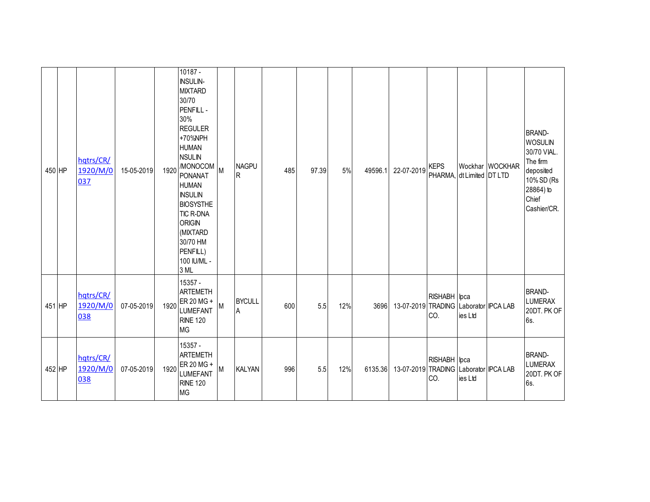| 450 HP | hqtrs/CR/<br>1920/M/0<br>037 | 15-05-2019 | 1920 | 10187 -<br><b>INSULIN-</b><br><b>MIXTARD</b><br>30/70<br><b>PENFILL-</b><br>30%<br><b>REGULER</b><br>+70%NPH<br><b>HUMAN</b><br><b>NSULIN</b><br>MONOCOM M<br><b>PONANAT</b><br><b>HUMAN</b><br><b>INSULIN</b><br><b>BIOSYSTHE</b><br><b>TIC R-DNA</b><br><b>ORIGIN</b><br>(MIXTARD<br>30/70 HM<br>PENFILL)<br>100 IU/ML -<br>3 ML |   | <b>NAGPU</b><br>$\mathsf R$ | 485 | 97.39 | 5%  | 49596.1 | 22-07-2019                            | KEPS<br>PHARMA, dt Limited DT LTD |         | Wockhar WOCKHAR | <b>BRAND-</b><br><b>WOSULIN</b><br>30/70 VIAL.<br>The firm<br>deposited<br>10% SD (Rs<br>28864) to<br>Chief<br>Cashier/CR. |
|--------|------------------------------|------------|------|------------------------------------------------------------------------------------------------------------------------------------------------------------------------------------------------------------------------------------------------------------------------------------------------------------------------------------|---|-----------------------------|-----|-------|-----|---------|---------------------------------------|-----------------------------------|---------|-----------------|----------------------------------------------------------------------------------------------------------------------------|
| 451 HP | hqtrs/CR/<br>1920/M/0<br>038 | 07-05-2019 | 1920 | 15357 -<br><b>ARTEMETH</b><br>ER 20 MG +<br><b>LUMEFANT</b><br><b>RINE 120</b><br><b>MG</b>                                                                                                                                                                                                                                        | M | <b>BYCULL</b><br>A          | 600 | 5.5   | 12% | 3696    | 13-07-2019 TRADING Laborator IPCA LAB | RISHABH lpca<br>CO.               | ies Ltd |                 | <b>BRAND-</b><br><b>LUMERAX</b><br>20DT. PK OF<br>6s.                                                                      |
| 452 HP | hqtrs/CR/<br>1920/M/0<br>038 | 07-05-2019 | 1920 | 15357 -<br><b>ARTEMETH</b><br>ER 20 MG +<br><b>LUMEFANT</b><br><b>RINE 120</b><br><b>MG</b>                                                                                                                                                                                                                                        | M | <b>KALYAN</b>               | 996 | 5.5   | 12% | 6135.36 | 13-07-2019 TRADING Laborator IPCA LAB | RISHABH lpca<br>CO.               | ies Ltd |                 | <b>BRAND-</b><br><b>LUMERAX</b><br>20DT. PK OF<br>6s.                                                                      |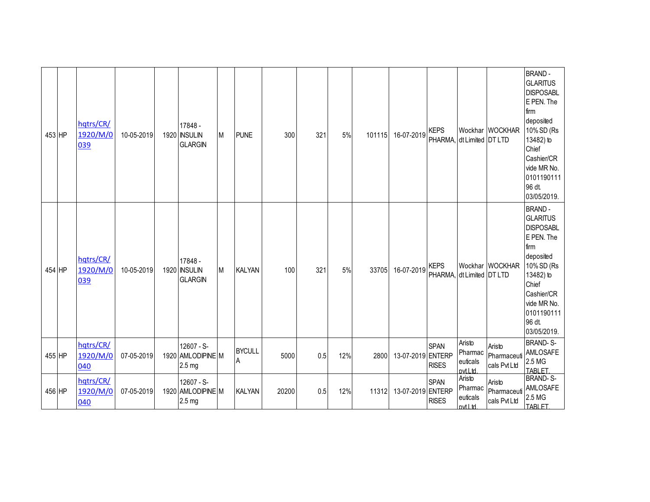| 453 HP | hatrs/CR/<br>1920/M/0<br>039 | 10-05-2019 | 17848 -<br>1920 INSULIN<br><b>GLARGIN</b> | M | <b>PUNE</b>        | 300   | 321 | 5%  | 101115 | 16-07-2019        | <b>KEPS</b>                              | PHARMA, dt Limited DT LTD                  | Wockhar WOCKHAR                       | <b>BRAND-</b><br><b>GLARITUS</b><br><b>DISPOSABL</b><br>E PEN. The<br>firm<br>deposited<br>10% SD (Rs<br>13482) to<br>Chief<br>Cashier/CR<br>vide MR No.<br>0101190111<br>96 dt.<br>03/05/2019. |
|--------|------------------------------|------------|-------------------------------------------|---|--------------------|-------|-----|-----|--------|-------------------|------------------------------------------|--------------------------------------------|---------------------------------------|-------------------------------------------------------------------------------------------------------------------------------------------------------------------------------------------------|
| 454 HP | hqtrs/CR/<br>1920/M/0<br>039 | 10-05-2019 | 17848 -<br>1920 INSULIN<br><b>GLARGIN</b> | M | <b>KALYAN</b>      | 100   | 321 | 5%  | 33705  | 16-07-2019        | <b>KEPS</b><br>PHARMA, dt Limited DT LTD |                                            | Wockhar WOCKHAR                       | <b>BRAND-</b><br><b>GLARITUS</b><br><b>DISPOSABL</b><br>E PEN. The<br>firm<br>deposited<br>10% SD (Rs<br>13482) to<br>Chief<br>Cashier/CR<br>vide MR No.<br>0101190111<br>96 dt.<br>03/05/2019. |
| 455 HP | hqtrs/CR/<br>1920/M/0<br>040 | 07-05-2019 | 12607 - S-<br>1920 AMLODIPINE M<br>2.5 mg |   | <b>BYCULL</b><br>Α | 5000  | 0.5 | 12% | 2800   | 13-07-2019 ENTERP | <b>SPAN</b><br><b>RISES</b>              | Aristo<br>Pharmac<br>euticals<br>byt.l td. | Aristo<br>Pharmaceuti<br>cals Pvt Ltd | <b>BRAND-S-</b><br>AMLOSAFE<br>2.5 MG<br><b>TABLET</b>                                                                                                                                          |
| 456 HP | hqtrs/CR/<br>1920/M/0<br>040 | 07-05-2019 | 12607 - S-<br>1920 AMLODIPINE M<br>2.5 mg |   | <b>KALYAN</b>      | 20200 | 0.5 | 12% | 11312  | 13-07-2019 ENTERP | <b>SPAN</b><br><b>RISES</b>              | Aristo<br>Pharmac<br>euticals<br>pvt.Ltd   | Aristo<br>Pharmaceuti<br>cals Pvt Ltd | <b>BRAND-S-</b><br>AMLOSAFE<br>2.5 MG<br><b>TABLET</b>                                                                                                                                          |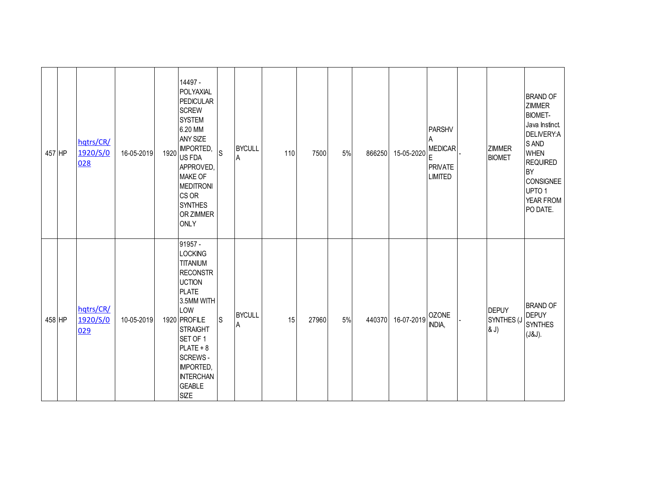| 457 HP | hqtrs/CR/<br>1920/S/0<br>028 | 16-05-2019 | 1920 | 14497 -<br>POLYAXIAL<br><b>PEDICULAR</b><br><b>SCREW</b><br><b>SYSTEM</b><br>6.20 MM<br>ANY SIZE<br><b>IMPORTED,</b><br>US FDA<br>APPROVED,<br><b>MAKE OF</b><br><b>MEDITRONI</b><br>CS OR<br><b>SYNTHES</b><br>OR ZIMMER<br><b>ONLY</b>                                      | S | <b>BYCULL</b><br>$\overline{A}$ | 110 | 7500  | 5% | 866250 | 15-05-2020 | PARSHV<br>Α<br><b>MEDICAR</b><br>E<br><b>PRIVATE</b><br><b>LIMITED</b> | ZIMMER<br><b>BIOMET</b>            | <b>BRAND OF</b><br><b>ZIMMER</b><br><b>BIOMET-</b><br>Java Instinct.<br>DELIVERY:A<br>S AND<br><b>WHEN</b><br><b>REQUIRED</b><br><b>BY</b><br><b>CONSIGNEE</b><br>UPTO <sub>1</sub><br>YEAR FROM<br>PO DATE. |
|--------|------------------------------|------------|------|-------------------------------------------------------------------------------------------------------------------------------------------------------------------------------------------------------------------------------------------------------------------------------|---|---------------------------------|-----|-------|----|--------|------------|------------------------------------------------------------------------|------------------------------------|--------------------------------------------------------------------------------------------------------------------------------------------------------------------------------------------------------------|
| 458 HP | hqtrs/CR/<br>1920/S/0<br>029 | 10-05-2019 |      | 91957 -<br><b>LOCKING</b><br><b>TITANIUM</b><br><b>RECONSTR</b><br><b>UCTION</b><br><b>PLATE</b><br>3.5MM WITH<br>LOW<br>1920 PROFILE<br><b>STRAIGHT</b><br>SET OF 1<br>$PLATE + 8$<br><b>SCREWS-</b><br><b>IMPORTED,</b><br><b>INTERCHAN</b><br><b>GEABLE</b><br><b>SIZE</b> | S | <b>BYCULL</b><br>A              | 15  | 27960 | 5% | 440370 | 16-07-2019 | <b>OZONE</b><br>INDIA,                                                 | <b>DEPUY</b><br>SYNTHES (J<br>(8J) | <b>BRAND OF</b><br><b>DEPUY</b><br><b>SYNTHES</b><br>(J&J).                                                                                                                                                  |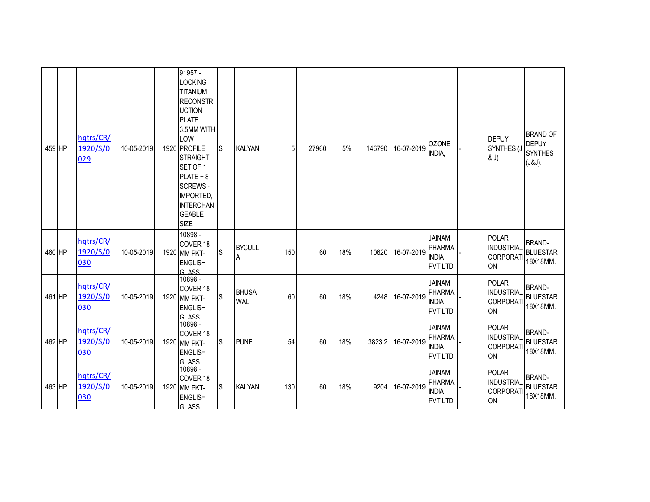| 459 HP | hqtrs/CR/<br>1920/S/0<br>029 | 10-05-2019 | 91957 -<br><b>LOCKING</b><br><b>TITANIUM</b><br><b>RECONSTR</b><br><b>UCTION</b><br><b>PLATE</b><br>3.5MM WITH<br>LOW<br>1920 PROFILE<br><b>STRAIGHT</b><br>SET OF 1<br>$PLATE + 8$<br><b>SCREWS-</b><br><b>IMPORTED,</b><br><b>INTERCHAN</b><br><b>GEABLE</b><br><b>SIZE</b> | S           | KALYAN                     | 5   | 27960 | 5%  | 146790 | 16-07-2019 | <b>OZONE</b><br>INDIA,                                           | <b>DEPUY</b><br>SYNTHES (J<br>& J)                                 | <b>BRAND OF</b><br><b>DEPUY</b><br><b>SYNTHES</b><br>(J&J). |
|--------|------------------------------|------------|-------------------------------------------------------------------------------------------------------------------------------------------------------------------------------------------------------------------------------------------------------------------------------|-------------|----------------------------|-----|-------|-----|--------|------------|------------------------------------------------------------------|--------------------------------------------------------------------|-------------------------------------------------------------|
| 460 HP | hqtrs/CR/<br>1920/S/0<br>030 | 10-05-2019 | 10898 -<br>COVER 18<br>1920 MM PKT-<br><b>ENGLISH</b><br><b>GLASS</b>                                                                                                                                                                                                         | S           | <b>BYCULL</b><br>Α         | 150 | 60    | 18% | 10620  | 16-07-2019 | <b>JAINAM</b><br><b>PHARMA</b><br><b>INDIA</b><br><b>PVTLTD</b>  | <b>POLAR</b><br><b>INDUSTRIAL</b><br><b>CORPORATI</b><br>ON        | <b>BRAND-</b><br><b>BLUESTAR</b><br>18X18MM.                |
| 461 HP | hqtrs/CR/<br>1920/S/0<br>030 | 10-05-2019 | 10898 -<br>COVER <sub>18</sub><br>1920 MM PKT-<br><b>ENGLISH</b><br><b>GLASS</b>                                                                                                                                                                                              | $\mathsf S$ | <b>BHUSA</b><br><b>WAL</b> | 60  | 60    | 18% | 4248   | 16-07-2019 | <b>JAINAM</b><br><b>PHARMA</b><br><b>INDIA</b><br><b>PVT LTD</b> | <b>POLAR</b><br><b>INDUSTRIAL</b><br><b>CORPORATI</b><br>ON        | <b>BRAND-</b><br><b>BLUESTAR</b><br>18X18MM                 |
| 462 HP | hqtrs/CR/<br>1920/S/0<br>030 | 10-05-2019 | 10898 -<br>COVER <sub>18</sub><br>1920 MM PKT-<br><b>ENGLISH</b><br><b>GLASS</b>                                                                                                                                                                                              | S           | <b>PUNE</b>                | 54  | 60    | 18% | 3823.2 | 16-07-2019 | <b>JAINAM</b><br><b>PHARMA</b><br><b>INDIA</b><br><b>PVT LTD</b> | <b>POLAR</b><br><b>INDUSTRIAL</b><br><b>CORPORATI</b><br>ON        | <b>BRAND-</b><br><b>BLUESTAR</b><br>18X18MM                 |
| 463 HP | hqtrs/CR/<br>1920/S/0<br>030 | 10-05-2019 | 10898 -<br>COVER 18<br>1920 MM PKT-<br><b>ENGLISH</b><br><b>GLASS</b>                                                                                                                                                                                                         | S           | <b>KALYAN</b>              | 130 | 60    | 18% | 9204   | 16-07-2019 | <b>JAINAM</b><br><b>PHARMA</b><br><b>INDIA</b><br><b>PVT LTD</b> | <b>POLAR</b><br><b>INDUSTRIAL</b><br><b>CORPORATI</b><br><b>ON</b> | <b>BRAND-</b><br><b>BLUESTAR</b><br>18X18MM.                |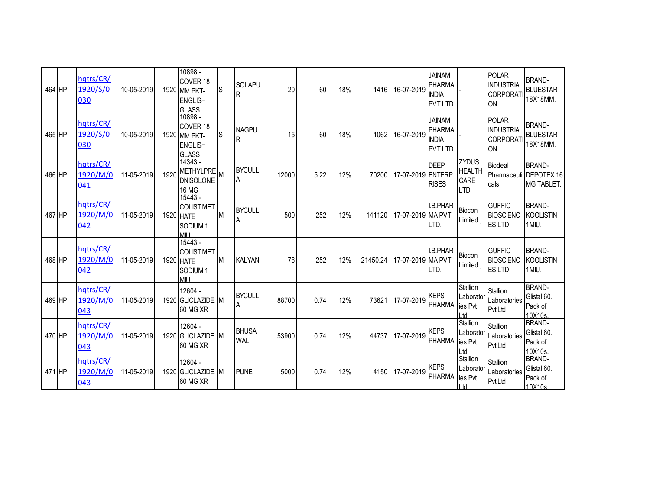| 464 HP | hqtrs/CR/<br>1920/S/0<br>030 | 10-05-2019 |      | 10898 -<br>COVER 18<br>1920 MM PKT-<br><b>ENGLISH</b><br><b>GLASS</b>    | <b>S</b>  | <b>SOLAPU</b><br>R         | 20    | 60   | 18% | 1416     | 16-07-2019         | <b>JAINAM</b><br><b>PHARMA</b><br><b>INDIA</b><br><b>PVT LTD</b> |                                                      | <b>POLAR</b><br><b>INDUSTRIAL</b><br><b>CORPORATI</b><br>ON | <b>BRAND-</b><br><b>BLUESTAR</b><br>18X18MM           |
|--------|------------------------------|------------|------|--------------------------------------------------------------------------|-----------|----------------------------|-------|------|-----|----------|--------------------|------------------------------------------------------------------|------------------------------------------------------|-------------------------------------------------------------|-------------------------------------------------------|
| 465 HP | hqtrs/CR/<br>1920/S/0<br>030 | 10-05-2019 |      | 10898 -<br>COVER 18<br>1920 MM PKT-<br><b>ENGLISH</b><br><b>GLASS</b>    | <b>S</b>  | <b>NAGPU</b><br>R          | 15    | 60   | 18% | 1062     | 16-07-2019         | <b>JAINAM</b><br><b>PHARMA</b><br><b>INDIA</b><br><b>PVT LTD</b> |                                                      | <b>POLAR</b><br><b>INDUSTRIAL</b><br><b>CORPORATI</b><br>ON | <b>BRAND-</b><br><b>BLUESTAR</b><br>18X18MM.          |
| 466 HP | hqtrs/CR/<br>1920/M/0<br>041 | 11-05-2019 | 1920 | 14343 -<br>METHYLPRE M<br><b>DNISOLONE</b><br>16 MG                      |           | <b>BYCULL</b><br>A         | 12000 | 5.22 | 12% | 70200    | 17-07-2019 ENTERP  | <b>DEEP</b><br><b>RISES</b>                                      | <b>ZYDUS</b><br><b>HEALTH</b><br><b>CARE</b><br>חד ו | <b>Biodeal</b><br>cals                                      | <b>BRAND-</b><br>Pharmaceuti DEPOTEX 16<br>MG TABLET. |
| 467 HP | hqtrs/CR/<br>1920/M/0<br>042 | 11-05-2019 |      | 15443 -<br><b>COLISTIMET</b><br>1920 HATE<br>SODIUM <sub>1</sub><br>MILI | <b>IM</b> | <b>BYCULL</b><br>A         | 500   | 252  | 12% | 141120   | 17-07-2019 MA PVT. | <b>I.B.PHAR</b><br>I TD.                                         | Biocon<br>Limited.,                                  | <b>GUFFIC</b><br><b>BIOSCIENC</b><br><b>ESLTD</b>           | <b>BRAND-</b><br><b>KOOLISTIN</b><br>1MIU.            |
| 468 HP | hqtrs/CR/<br>1920/M/0<br>042 | 11-05-2019 |      | 15443 -<br><b>COLISTIMET</b><br>1920 HATE<br>SODIUM <sub>1</sub><br>MILI | M         | <b>KALYAN</b>              | 76    | 252  | 12% | 21450.24 | 17-07-2019 MA PVT. | <b>I.B.PHAR</b><br>LTD.                                          | Biocon<br>Limited                                    | <b>GUFFIC</b><br><b>BIOSCIENC</b><br><b>ESLTD</b>           | <b>BRAND-</b><br><b>KOOLISTIN</b><br>1MIU.            |
| 469 HP | hqtrs/CR/<br>1920/M/0<br>043 | 11-05-2019 |      | 12604 -<br>1920 GLICLAZIDE M<br>60 MG XR                                 |           | <b>BYCULL</b><br>A         | 88700 | 0.74 | 12% | 73621    | 17-07-2019         | <b>KEPS</b><br>PHARMA,                                           | Stallion<br>Laborator<br>lies Pvt<br>$\mathsf{H}$    | Stallion<br>Laboratories<br><b>Pvt Ltd</b>                  | <b>BRAND-</b><br>Glistal 60.<br>Pack of<br>10X10s     |
| 470 HP | hqtrs/CR/<br>1920/M/0<br>043 | 11-05-2019 |      | 12604 -<br>1920 GLICLAZIDE M<br>60 MG XR                                 |           | <b>BHUSA</b><br><b>WAL</b> | 53900 | 0.74 | 12% | 44737    | 17-07-2019         | <b>KEPS</b><br>PHARMA,                                           | Stallion<br>Laborator<br>ies Pvt<br> H               | Stallion<br>Laboratories<br>Pvt Ltd                         | <b>BRAND-</b><br>Glistal 60.<br>Pack of<br>10X10s     |
| 471 HP | hqtrs/CR/<br>1920/M/0<br>043 | 11-05-2019 |      | 12604 -<br>1920 GLICLAZIDE M<br>60 MG XR                                 |           | <b>PUNE</b>                | 5000  | 0.74 | 12% | 4150     | 17-07-2019         | <b>KEPS</b><br>PHARMA, lies Pvt                                  | Stallion<br>Laborator<br>H                           | Stallion<br>Laboratories<br><b>PvtLtd</b>                   | <b>BRAND-</b><br>Glistal 60.<br>Pack of<br>10X10s     |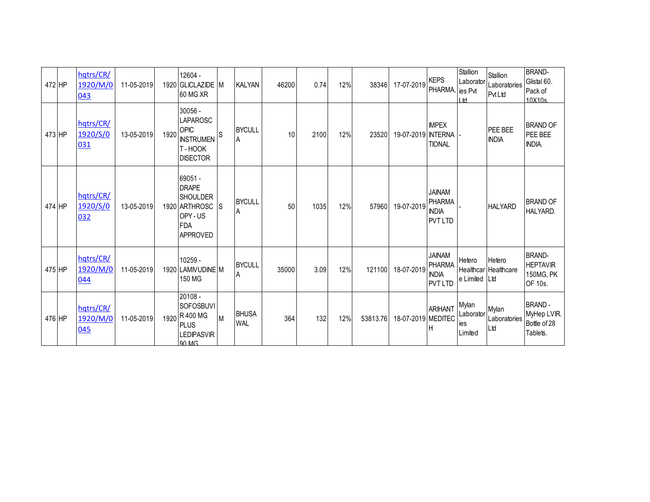| 472 HP | hqtrs/CR/<br>1920/M/0<br>043 | 11-05-2019 |      | 12604 -<br>1920 GLICLAZIDE M<br><b>60 MG XR</b>                                                        |          | <b>KALYAN</b>                   | 46200 | 0.74 | 12% | 38346    | 17-07-2019         | <b>KEPS</b><br>PHARMA,                                           | Stallion<br>Laborator<br>ies Pvt<br>l td | Stallion<br>Laboratories<br><b>PvtLtd</b> | <b>BRAND-</b><br>Glistal 60.<br>Pack of<br>10X10s        |
|--------|------------------------------|------------|------|--------------------------------------------------------------------------------------------------------|----------|---------------------------------|-------|------|-----|----------|--------------------|------------------------------------------------------------------|------------------------------------------|-------------------------------------------|----------------------------------------------------------|
| 473 HP | hqtrs/CR/<br>1920/S/0<br>031 | 13-05-2019 | 1920 | 30056 -<br>LAPAROSC<br>OPIC<br><b>INSTRUMEN</b><br>T-HOOK<br><b>DISECTOR</b>                           | S        | <b>BYCULL</b><br>$\overline{A}$ | 10    | 2100 | 12% | 23520    | 19-07-2019         | <b>IMPEX</b><br><b>INTERNA</b><br><b>TIONAL</b>                  |                                          | PEE BEE<br><b>INDIA</b>                   | <b>BRAND OF</b><br>PEE BEE<br>INDIA.                     |
| 474 HP | hqtrs/CR/<br>1920/S/0<br>032 | 13-05-2019 |      | 69051 -<br><b>DRAPE</b><br><b>SHOULDER</b><br>1920 ARTHROSC<br>OPY-US<br><b>FDA</b><br><b>APPROVED</b> | <b>S</b> | <b>BYCULL</b><br>A              | 50    | 1035 | 12% | 57960    | 19-07-2019         | <b>JAINAM</b><br>PHARMA<br><b>INDIA</b><br><b>PVT LTD</b>        |                                          | <b>HALYARD</b>                            | <b>BRAND OF</b><br><b>HALYARD.</b>                       |
| 475 HP | hqtrs/CR/<br>1920/M/0<br>044 | 11-05-2019 |      | 10259 -<br>1920 LAMIVUDINE M<br>150 MG                                                                 |          | <b>BYCULL</b><br>A              | 35000 | 3.09 | 12% | 121100   | 18-07-2019         | <b>JAINAM</b><br><b>PHARMA</b><br><b>INDIA</b><br><b>PVT LTD</b> | Hetero<br>e Limited Ltd                  | Hetero<br><b>Healthcar Healthcare</b>     | <b>BRAND-</b><br><b>HEPTAVIR</b><br>150MG, PK<br>OF 10s. |
| 476 HP | hqtrs/CR/<br>1920/M/0<br>045 | 11-05-2019 |      | 20108 -<br>SOFOSBUVI<br>1920 R 400 MG<br><b>PLUS</b><br><b>LEDIPASVIR</b><br>QO MG                     | M        | <b>BHUSA</b><br><b>WAL</b>      | 364   | 132  | 12% | 53813.76 | 18-07-2019 MEDITEC | <b>ARIHANT</b>                                                   | Mylan<br>Laborator<br>ies<br>Limited     | Mylan<br>Laboratories<br>Ltd              | <b>BRAND-</b><br>MyHep LVIR.<br>Bottle of 28<br>Tablets. |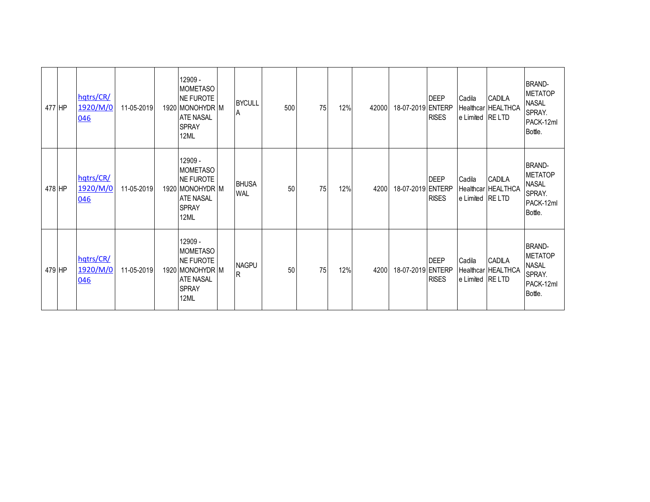| 477 HP | hqtrs/CR/<br>1920/M/0<br>046 | 11-05-2019 | 12909 -<br><b>MOMETASO</b><br><b>NE FUROTE</b><br>1920 MONOHYDR M<br><b>ATE NASAL</b><br><b>SPRAY</b><br>12ML | <b>BYCULL</b><br>ΙA        | 500 | 75 | 12% | 42000 | 18-07-2019 ENTERP | <b>DEEP</b><br><b>RISES</b> | Cadila<br>e Limited RE LTD | CADILA<br>Healthcar HEALTHCA | <b>BRAND-</b><br><b>IMETATOP</b><br><b>NASAL</b><br>SPRAY.<br>PACK-12ml<br>Bottle. |
|--------|------------------------------|------------|---------------------------------------------------------------------------------------------------------------|----------------------------|-----|----|-----|-------|-------------------|-----------------------------|----------------------------|------------------------------|------------------------------------------------------------------------------------|
| 478 HP | hqtrs/CR/<br>1920/M/0<br>046 | 11-05-2019 | 12909 -<br><b>MOMETASO</b><br>NE FUROTE<br>1920 MONOHYDR M<br><b>ATE NASAL</b><br><b>SPRAY</b><br>12ML        | <b>BHUSA</b><br><b>WAL</b> | 50  | 75 | 12% | 4200  | 18-07-2019 ENTERP | <b>DEEP</b><br><b>RISES</b> | Cadila<br>e Limited RE LTD | CADILA<br>Healthcar HEALTHCA | <b>BRAND-</b><br><b>METATOP</b><br><b>NASAL</b><br>SPRAY.<br>PACK-12ml<br>Bottle.  |
| 479 HP | hqtrs/CR/<br>1920/M/0<br>046 | 11-05-2019 | 12909 -<br><b>MOMETASO</b><br>NE FUROTE<br>1920 MONOHYDR M<br><b>ATE NASAL</b><br><b>SPRAY</b><br>12ML        | <b>NAGPU</b><br>lR.        | 50  | 75 | 12% | 4200  | 18-07-2019 ENTERP | <b>DEEP</b><br><b>RISES</b> | Cadila<br>e Limited RE LTD | CADILA<br>Healthcar HEALTHCA | <b>BRAND-</b><br><b>METATOP</b><br><b>NASAL</b><br>SPRAY.<br>PACK-12ml<br>Bottle.  |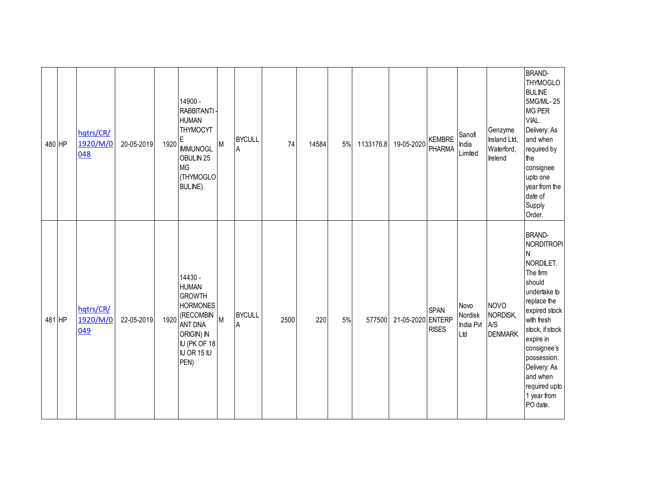| 480 HP | hqtrs/CR/<br>1920/M/0<br>048 | 20-05-2019 | 1920 | 14900 -<br>RABBITANTI-<br><b>HUMAN</b><br>THYMOCYT<br>E<br><b>IMMUNOGL</b><br>OBULIN <sub>25</sub><br><b>MG</b><br>(THYMOGLO<br><b>BULINE</b> ) | M | <b>BYCULL</b><br>A | 74   | 14584 | 5% | 1133176.8 | 19-05-2020        | <b>KEMBRE</b><br>PHARMA     | Sanofi<br>India<br>Limited          | Genzyme<br>Ireland Ltd,<br>Waterford,<br>Irelend | <b>BRAND-</b><br><b>THYMOGLO</b><br><b>BULINE</b><br>5MG/ML-25<br><b>MG PER</b><br>VIAL.<br>Delivery: As<br>and when<br>required by<br>the<br>consignee<br>upto one<br>year from the<br>date of<br>Supply<br>Order.                                                            |
|--------|------------------------------|------------|------|-------------------------------------------------------------------------------------------------------------------------------------------------|---|--------------------|------|-------|----|-----------|-------------------|-----------------------------|-------------------------------------|--------------------------------------------------|--------------------------------------------------------------------------------------------------------------------------------------------------------------------------------------------------------------------------------------------------------------------------------|
| 481 HP | hqtrs/CR/<br>1920/M/0<br>049 | 22-05-2019 | 1920 | 14430 -<br><b>HUMAN</b><br><b>GROWTH</b><br><b>HORMONES</b><br>(RECOMBIN<br><b>ANT DNA</b><br>ORIGIN) IN<br>IU (PK OF 18<br>IU OR 15 IU<br>PEN) | M | <b>BYCULL</b><br>Α | 2500 | 220   | 5% | 577500    | 21-05-2020 ENTERP | <b>SPAN</b><br><b>RISES</b> | Novo<br>Nordisk<br>India Pvt<br>Ltd | <b>NOVO</b><br>NORDISK,<br>A/S<br><b>DENMARK</b> | <b>BRAND-</b><br><b>NORDITROPI</b><br>N<br>NORDILET.<br>The firm<br>should<br>undertake to<br>replace the<br>expired stock<br>with fresh<br>stock, if stock<br>expire in<br>consignee's<br>possession.<br>Delivery: As<br>and when<br>required upto<br>1 year from<br>PO date. |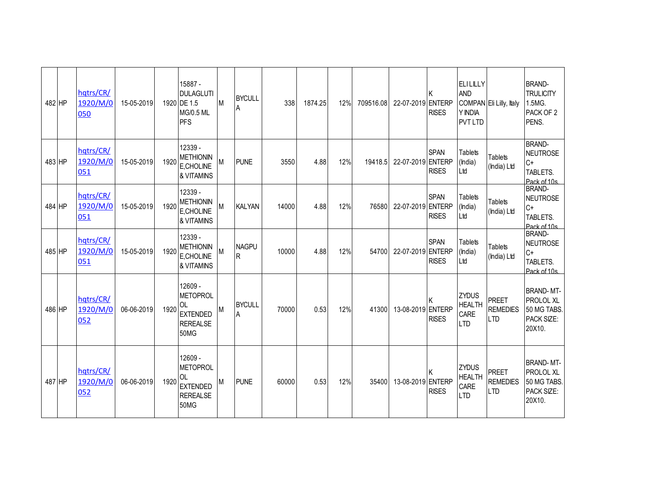| 482 HP | hqtrs/CR/<br>1920/M/0<br>050 | 15-05-2019 |      | 15887 -<br><b>DULAGLUTI</b><br>1920 DE 1.5<br><b>MG/0.5 ML</b><br><b>PFS</b>                 | M | <b>BYCULL</b><br>A | 338   | 1874.25 | 12% | 709516.08 | 22-07-2019 ENTERP | <b>RISES</b>                | <b>ELILILLY</b><br><b>AND</b><br>Y INDIA<br><b>PVT LTD</b> | COMPAN Eli Lilly, Italy                       | <b>BRAND-</b><br><b>TRULICITY</b><br>1.5MG.<br>PACK OF 2<br>PENS.    |
|--------|------------------------------|------------|------|----------------------------------------------------------------------------------------------|---|--------------------|-------|---------|-----|-----------|-------------------|-----------------------------|------------------------------------------------------------|-----------------------------------------------|----------------------------------------------------------------------|
| 483 HP | hqtrs/CR/<br>1920/M/0<br>051 | 15-05-2019 | 1920 | 12339 -<br><b>METHIONIN</b><br>E.CHOLINE<br>& VITAMINS                                       | M | <b>PUNE</b>        | 3550  | 4.88    | 12% | 19418.5   | 22-07-2019 ENTERP | <b>SPAN</b><br><b>RISES</b> | <b>Tablets</b><br>(India)<br>Ltd                           | <b>Tablets</b><br>(India) Ltd                 | <b>BRAND-</b><br>NEUTROSE<br>$C+$<br>TABLETS.<br>Pack of 10s         |
| 484 HP | hqtrs/CR/<br>1920/M/0<br>051 | 15-05-2019 | 1920 | 12339 -<br><b>METHIONIN</b><br>E,CHOLINE<br>& VITAMINS                                       | M | <b>KALYAN</b>      | 14000 | 4.88    | 12% | 76580     | 22-07-2019 ENTERP | <b>SPAN</b><br><b>RISES</b> | <b>Tablets</b><br>(India)<br>L <sub>td</sub>               | <b>Tablets</b><br>(India) Ltd                 | <b>BRAND-</b><br><b>NEUTROSE</b><br>$C+$<br>TABLETS.<br>Pack of 10s  |
| 485 HP | hqtrs/CR/<br>1920/M/0<br>051 | 15-05-2019 | 1920 | 12339 -<br><b>METHIONIN</b><br>E,CHOLINE<br>& VITAMINS                                       | M | <b>NAGPU</b><br>R  | 10000 | 4.88    | 12% | 54700     | 22-07-2019 ENTERP | <b>SPAN</b><br><b>RISES</b> | <b>Tablets</b><br>(India)<br>Ltd                           | <b>Tablets</b><br>(India) Ltd                 | <b>BRAND-</b><br><b>NEUTROSE</b><br>$C+$<br>TABLETS.<br>Pack of 10s  |
| 486 HP | hqtrs/CR/<br>1920/M/0<br>052 | 06-06-2019 | 1920 | 12609 -<br><b>METOPROL</b><br><b>OL</b><br><b>EXTENDED</b><br><b>REREALSE</b><br><b>50MG</b> | M | <b>BYCULL</b><br>A | 70000 | 0.53    | 12% | 41300     | 13-08-2019 ENTERP | <b>RISES</b>                | <b>ZYDUS</b><br><b>HEALTH</b><br>CARE<br><b>LTD</b>        | <b>PREET</b><br><b>REMEDIES</b><br><b>LTD</b> | <b>BRAND-MT-</b><br>PROLOL XL<br>50 MG TABS.<br>PACK SIZE:<br>20X10. |
| 487 HP | hqtrs/CR/<br>1920/M/0<br>052 | 06-06-2019 | 1920 | 12609 -<br><b>METOPROL</b><br><b>OL</b><br><b>EXTENDED</b><br><b>REREALSE</b><br><b>50MG</b> | M | <b>PUNE</b>        | 60000 | 0.53    | 12% | 35400     | 13-08-2019 ENTERP | <b>RISES</b>                | <b>ZYDUS</b><br><b>HEALTH</b><br>CARE<br><b>LTD</b>        | <b>PREET</b><br><b>REMEDIES</b><br><b>LTD</b> | <b>BRAND-MT-</b><br>PROLOL XL<br>50 MG TABS.<br>PACK SIZE:<br>20X10. |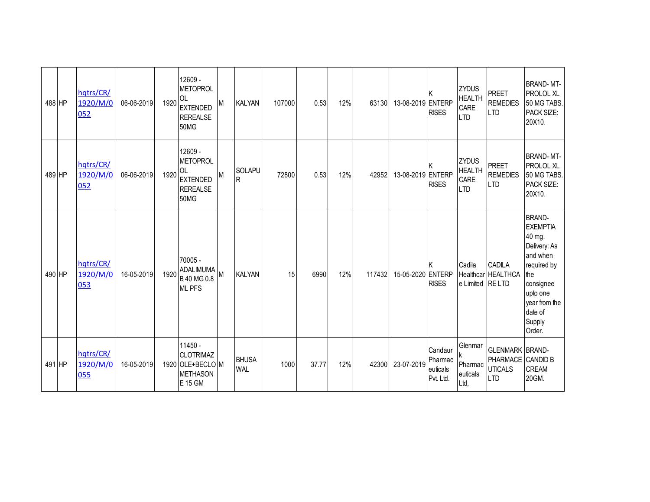| 488 HP | hqtrs/CR/<br>1920/M/0<br>052 | 06-06-2019 | 1920 | 12609 -<br><b>METOPROL</b><br><b>OL</b><br><b>EXTENDED</b><br><b>REREALSE</b><br><b>50MG</b> | M | <b>KALYAN</b>              | 107000 | 0.53  | 12% | 63130  | 13-08-2019 ENTERP | <b>RISES</b>                                | <b>ZYDUS</b><br><b>HEALTH</b><br>CARE<br><b>LTD</b> | <b>PREET</b><br><b>REMEDIES</b><br><b>LTD</b>                      | <b>BRAND-MT-</b><br>PROLOL XL<br>50 MG TABS.<br>PACK SIZE:<br>20X10.                                                                                                  |
|--------|------------------------------|------------|------|----------------------------------------------------------------------------------------------|---|----------------------------|--------|-------|-----|--------|-------------------|---------------------------------------------|-----------------------------------------------------|--------------------------------------------------------------------|-----------------------------------------------------------------------------------------------------------------------------------------------------------------------|
| 489 HP | hqtrs/CR/<br>1920/M/0<br>052 | 06-06-2019 | 1920 | 12609 -<br><b>METOPROL</b><br><b>OL</b><br><b>EXTENDED</b><br><b>REREALSE</b><br><b>50MG</b> | M | <b>SOLAPU</b><br><b>R</b>  | 72800  | 0.53  | 12% | 42952  | 13-08-2019 ENTERP | K<br><b>RISES</b>                           | <b>ZYDUS</b><br><b>HEALTH</b><br>CARE<br><b>LTD</b> | <b>PREET</b><br><b>REMEDIES</b><br><b>LTD</b>                      | <b>BRAND-MT-</b><br>PROLOL XL<br>50 MG TABS.<br>PACK SIZE:<br>20X10.                                                                                                  |
| 490 HP | hqtrs/CR/<br>1920/M/0<br>053 | 16-05-2019 | 1920 | 70005 -<br>ADALIMUMA<br>B 40 MG 0.8<br><b>ML PFS</b>                                         |   | <b>KALYAN</b>              | 15     | 6990  | 12% | 117432 | 15-05-2020 ENTERP | <b>RISES</b>                                | Cadila<br>e Limited RE LTD                          | <b>CADILA</b><br>Healthcar HEALTHCA                                | <b>BRAND-</b><br><b>EXEMPTIA</b><br>40 mg.<br>Delivery: As<br>and when<br>required by<br>the<br>consignee<br>upto one<br>year from the<br>date of<br>Supply<br>Order. |
| 491 HP | hqtrs/CR/<br>1920/M/0<br>055 | 16-05-2019 |      | $11450 -$<br><b>CLOTRIMAZ</b><br>1920 OLE+BECLOM<br><b>METHASON</b><br>E 15 GM               |   | <b>BHUSA</b><br><b>WAL</b> | 1000   | 37.77 | 12% | 42300  | 23-07-2019        | Candaur<br>Pharmac<br>euticals<br>Pvt. Ltd. | Glenmar<br>Pharmac<br>euticals<br>Ltd,              | <b>GLENMARK BRAND-</b><br>PHARMACE<br><b>UTICALS</b><br><b>LTD</b> | <b>CANDID B</b><br><b>CREAM</b><br>20GM.                                                                                                                              |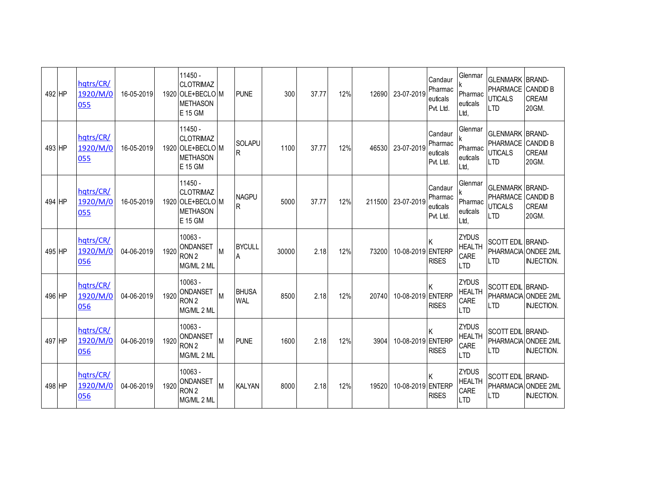| 492 HP | hqtrs/CR/<br>1920/M/0<br>055 | 16-05-2019 |      | $11450 -$<br><b>CLOTRIMAZ</b><br>1920 OLE+BECLO M<br><b>METHASON</b><br>E 15 GM |   | <b>PUNE</b>                | 300   | 37.77 | 12% | 12690  | 23-07-2019        | Candaur<br>Pharmac<br>euticals<br>Pvt. Ltd. | Glenmar<br>Pharmac<br>euticals<br>Ltd,              | <b>GLENMARK BRAND-</b><br>PHARMACE<br><b>UTICALS</b><br><b>LTD</b>          | <b>CANDID B</b><br><b>CREAM</b><br>20GM. |
|--------|------------------------------|------------|------|---------------------------------------------------------------------------------|---|----------------------------|-------|-------|-----|--------|-------------------|---------------------------------------------|-----------------------------------------------------|-----------------------------------------------------------------------------|------------------------------------------|
| 493 HP | hqtrs/CR/<br>1920/M/0<br>055 | 16-05-2019 |      | $11450 -$<br><b>CLOTRIMAZ</b><br>1920 OLE+BECLO M<br><b>METHASON</b><br>E 15 GM |   | <b>SOLAPU</b><br>R         | 1100  | 37.77 | 12% | 46530  | 23-07-2019        | Candaur<br>Pharmac<br>euticals<br>Pvt. Ltd. | Glenmar<br>Pharmac<br>euticals<br>Ltd.              | <b>GLENMARK BRAND-</b><br>PHARMACE<br><b>UTICALS</b><br><b>LTD</b>          | <b>CANDID B</b><br><b>CREAM</b><br>20GM. |
| 494 HP | hatrs/CR/<br>1920/M/0<br>055 | 16-05-2019 |      | $11450 -$<br><b>CLOTRIMAZ</b><br>1920 OLE+BECLO M<br><b>METHASON</b><br>E 15 GM |   | <b>NAGPU</b><br>R          | 5000  | 37.77 | 12% | 211500 | 23-07-2019        | Candaur<br>Pharmac<br>euticals<br>Pvt. Ltd. | Glenmar<br>Pharmac<br>euticals<br>Ltd,              | <b>GLENMARK BRAND-</b><br>PHARMACE CANDID B<br><b>UTICALS</b><br><b>LTD</b> | <b>CREAM</b><br>20GM.                    |
| 495 HP | hqtrs/CR/<br>1920/M/0<br>056 | 04-06-2019 | 1920 | 10063 -<br>ONDANSET<br>RON <sub>2</sub><br>MG/ML 2 ML                           |   | <b>BYCULL</b><br>A         | 30000 | 2.18  | 12% | 73200  | 10-08-2019 ENTERP | <b>RISES</b>                                | <b>ZYDUS</b><br><b>HEALTH</b><br>CARE<br><b>LTD</b> | SCOTT EDIL BRAND-<br>PHARMACIA ONDEE 2ML<br>$\overline{1}$ TD               | <b>INJECTION.</b>                        |
| 496 HP | hqtrs/CR/<br>1920/M/0<br>056 | 04-06-2019 | 1920 | $10063 -$<br>ONDANSET<br>RON <sub>2</sub><br>MG/ML 2 ML                         | M | <b>BHUSA</b><br><b>WAL</b> | 8500  | 2.18  | 12% | 20740  | 10-08-2019 ENTERP | <b>RISES</b>                                | <b>ZYDUS</b><br><b>HEALTH</b><br>CARE<br><b>LTD</b> | SCOTT EDIL BRAND-<br>I TD                                                   | PHARMACIA ONDEE 2ML<br><b>INJECTION.</b> |
| 497 HP | hqtrs/CR/<br>1920/M/0<br>056 | 04-06-2019 | 1920 | 10063 -<br>ONDANSET<br>RON <sub>2</sub><br>MG/ML 2 ML                           | M | <b>PUNE</b>                | 1600  | 2.18  | 12% | 3904   | 10-08-2019 ENTERP | <b>RISES</b>                                | <b>ZYDUS</b><br><b>HEALTH</b><br>CARE<br><b>LTD</b> | SCOTT EDIL BRAND-<br><b>PHARMACIA</b><br><b>LTD</b>                         | <b>ONDEE 2ML</b><br><b>INJECTION.</b>    |
| 498 HP | hqtrs/CR/<br>1920/M/0<br>056 | 04-06-2019 | 1920 | $10063 -$<br>ONDANSET<br>RON <sub>2</sub><br>MG/ML 2 ML                         | M | <b>KALYAN</b>              | 8000  | 2.18  | 12% | 19520  | 10-08-2019 ENTERP | <b>RISES</b>                                | <b>ZYDUS</b><br><b>HEALTH</b><br>CARE<br><b>LTD</b> | SCOTT EDIL BRAND-<br>$\overline{1}$ TD                                      | PHARMACIA ONDEE 2ML<br><b>INJECTION.</b> |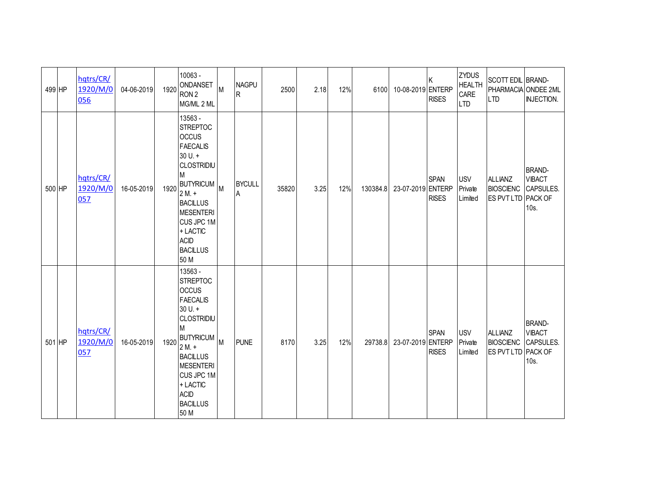| 499 HP | hqtrs/CR/<br>1920/M/0<br>056 | 04-06-2019 | 1920 | $10063 -$<br>ONDANSET<br>RON <sub>2</sub><br>MG/ML 2 ML                                                                                                                                                                                   | M | <b>NAGPU</b><br>R   | 2500  | 2.18 | 12% | 6100     | 10-08-2019 ENTERP | ΙK<br><b>RISES</b>          | <b>ZYDUS</b><br><b>HEALTH</b><br>CARE<br><b>LTD</b> | <b>SCOTT EDIL BRAND-</b><br><b>LTD</b>                   | PHARMACIA ONDEE 2ML<br><b>INJECTION.</b>            |
|--------|------------------------------|------------|------|-------------------------------------------------------------------------------------------------------------------------------------------------------------------------------------------------------------------------------------------|---|---------------------|-------|------|-----|----------|-------------------|-----------------------------|-----------------------------------------------------|----------------------------------------------------------|-----------------------------------------------------|
| 500 HP | hqtrs/CR/<br>1920/M/0<br>057 | 16-05-2019 | 1920 | 13563 -<br><b>STREPTOC</b><br><b>OCCUS</b><br><b>FAECALIS</b><br>$30 U. +$<br><b>CLOSTRIDIU</b><br>М<br><b>BUTYRICUM</b><br>$2M.+$<br><b>BACILLUS</b><br>MESENTERI<br>CUS JPC 1M<br>+ LACTIC<br><b>ACID</b><br><b>BACILLUS</b><br>50 M    |   | <b>BYCULL</b><br>١A | 35820 | 3.25 | 12% | 130384.8 | 23-07-2019 ENTERP | <b>SPAN</b><br><b>RISES</b> | <b>USV</b><br>Private<br>Limited                    | <b>ALLIANZ</b><br><b>BIOSCIENC</b><br>ES PVT LTD PACK OF | <b>BRAND-</b><br><b>VIBACT</b><br>CAPSULES.<br>10s. |
| 501 HP | hqtrs/CR/<br>1920/M/0<br>057 | 16-05-2019 | 1920 | 13563 -<br><b>STREPTOC</b><br><b>OCCUS</b><br><b>FAECALIS</b><br>$30 U. +$<br><b>CLOSTRIDIU</b><br>M<br>BUTYRICUM M<br>$2M. +$<br><b>BACILLUS</b><br><b>MESENTERI</b><br>CUS JPC 1M<br>+ LACTIC<br><b>ACID</b><br><b>BACILLUS</b><br>50 M |   | <b>PUNE</b>         | 8170  | 3.25 | 12% | 29738.8  | 23-07-2019 ENTERP | <b>SPAN</b><br><b>RISES</b> | <b>USV</b><br>Private<br>Limited                    | <b>ALLIANZ</b><br><b>BIOSCIENC</b><br>ES PVT LTD PACK OF | <b>BRAND-</b><br><b>VIBACT</b><br>CAPSULES.<br>10s. |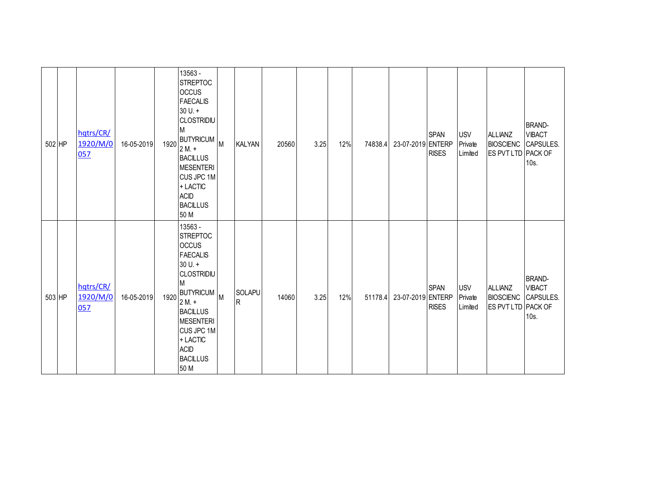| 502 HP | hqtrs/CR/<br>1920/M/0<br>057 | 16-05-2019 | 1920 | 13563 -<br><b>STREPTOC</b><br><b>OCCUS</b><br><b>FAECALIS</b><br>$30 U. +$<br><b>CLOSTRIDIU</b><br>M<br>BUTYRICUM M<br>$2M +$<br><b>BACILLUS</b><br><b>MESENTERI</b><br>CUS JPC 1M<br>+ LACTIC<br><b>ACID</b><br><b>BACILLUS</b><br>50 M  | <b>KALYAN</b>          | 20560 | 3.25 | 12% | 74838.4 | 23-07-2019 ENTERP | <b>SPAN</b><br><b>RISES</b> | <b>USV</b><br>Private<br>Limited | ALLIANZ<br><b>BIOSCIENC CAPSULES.</b><br>ES PVT LTD PACK OF | <b>BRAND-</b><br><b>VIBACT</b><br>10s. |
|--------|------------------------------|------------|------|-------------------------------------------------------------------------------------------------------------------------------------------------------------------------------------------------------------------------------------------|------------------------|-------|------|-----|---------|-------------------|-----------------------------|----------------------------------|-------------------------------------------------------------|----------------------------------------|
| 503 HP | hqtrs/CR/<br>1920/M/0<br>057 | 16-05-2019 | 1920 | 13563 -<br><b>STREPTOC</b><br><b>OCCUS</b><br><b>FAECALIS</b><br>$30 U. +$<br><b>CLOSTRIDIU</b><br>M<br>BUTYRICUM M<br>$2M. +$<br><b>BACILLUS</b><br><b>MESENTERI</b><br>CUS JPC 1M<br>+ LACTIC<br><b>ACID</b><br><b>BACILLUS</b><br>50 M | SOLAPU<br>$\mathsf{R}$ | 14060 | 3.25 | 12% | 51178.4 | 23-07-2019 ENTERP | <b>SPAN</b><br><b>RISES</b> | <b>USV</b><br>Private<br>Limited | ALLIANZ<br><b>BIOSCIENC</b> CAPSULES.<br>ES PVT LTD PACK OF | <b>BRAND-</b><br><b>VIBACT</b><br>10s. |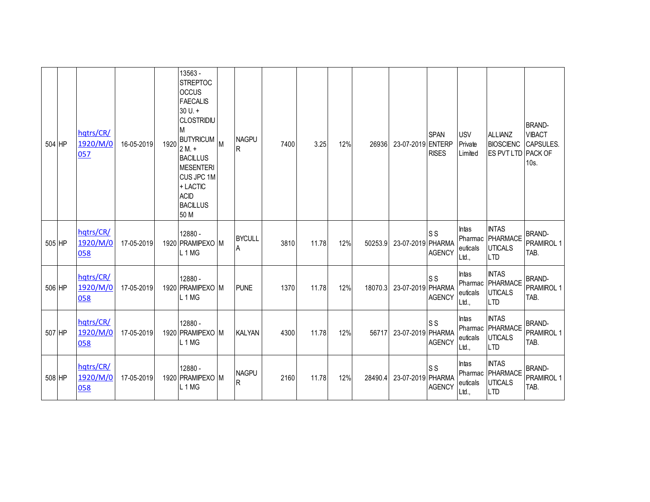| 504 HP | hqtrs/CR/<br>1920/M/0<br>057 | 16-05-2019 | 1920 | 13563 -<br><b>STREPTOC</b><br><b>OCCUS</b><br><b>FAECALIS</b><br>$30 U. +$<br><b>CLOSTRIDIU</b><br>М<br>BUTYRICUM M<br>$2M. +$<br><b>BACILLUS</b><br><b>MESENTERI</b><br>CUS JPC 1M<br>+ LACTIC<br><b>ACID</b><br><b>BACILLUS</b><br>50 M | <b>NAGPU</b><br>R            | 7400 | 3.25  | 12% | 26936   | 23-07-2019 ENTERP | <b>SPAN</b><br><b>RISES</b> | <b>USV</b><br>Private<br>Limited      | <b>ALLIANZ</b><br><b>BIOSCIENC</b><br>ES PVT LTD                 | <b>BRAND-</b><br><b>VIBACT</b><br><b>CAPSULES.</b><br>PACK OF<br>$10s$ . |
|--------|------------------------------|------------|------|-------------------------------------------------------------------------------------------------------------------------------------------------------------------------------------------------------------------------------------------|------------------------------|------|-------|-----|---------|-------------------|-----------------------------|---------------------------------------|------------------------------------------------------------------|--------------------------------------------------------------------------|
| 505 HP | hqtrs/CR/<br>1920/M/0<br>058 | 17-05-2019 |      | 12880 -<br>1920 PRAMIPEXO M<br>L1MG                                                                                                                                                                                                       | <b>BYCULL</b><br>A           | 3810 | 11.78 | 12% | 50253.9 | 23-07-2019 PHARMA | <b>SS</b><br><b>AGENCY</b>  | Intas<br>euticals<br>Ltd.,            | <b>INTAS</b><br>Pharmac PHARMACE<br><b>UTICALS</b><br><b>LTD</b> | <b>BRAND-</b><br>PRAMIROL 1<br>TAB.                                      |
| 506 HP | hqtrs/CR/<br>1920/M/0<br>058 | 17-05-2019 |      | 12880 -<br>1920 PRAMIPEXO M<br>L <sub>1</sub> M <sub>G</sub>                                                                                                                                                                              | <b>PUNE</b>                  | 1370 | 11.78 | 12% | 18070.3 | 23-07-2019 PHARMA | <b>SS</b><br><b>AGENCY</b>  | Intas<br>Pharmac<br>euticals<br>Ltd., | <b>INTAS</b><br>PHARMACE<br><b>UTICALS</b><br><b>LTD</b>         | <b>BRAND-</b><br>PRAMIROL 1<br>TAB.                                      |
| 507 HP | hqtrs/CR/<br>1920/M/0<br>058 | 17-05-2019 |      | 12880 -<br>1920 PRAMIPEXO M<br>L <sub>1</sub> MG                                                                                                                                                                                          | <b>KALYAN</b>                | 4300 | 11.78 | 12% | 56717   | 23-07-2019 PHARMA | <b>SS</b><br><b>AGENCY</b>  | Intas<br>Pharmac<br>euticals<br>Ltd., | <b>INTAS</b><br>PHARMACE<br><b>UTICALS</b><br><b>LTD</b>         | <b>BRAND-</b><br>PRAMIROL 1<br>TAB.                                      |
| 508 HP | hqtrs/CR/<br>1920/M/0<br>058 | 17-05-2019 |      | 12880 -<br>1920 PRAMIPEXO M<br>L <sub>1</sub> MG                                                                                                                                                                                          | <b>NAGPU</b><br>$\mathsf{R}$ | 2160 | 11.78 | 12% | 28490.4 | 23-07-2019 PHARMA | <b>SS</b><br><b>AGENCY</b>  | Intas<br>Pharmac<br>euticals<br>Ltd., | <b>INTAS</b><br>PHARMACE<br><b>UTICALS</b><br><b>LTD</b>         | <b>BRAND-</b><br>PRAMIROL 1<br>TAB.                                      |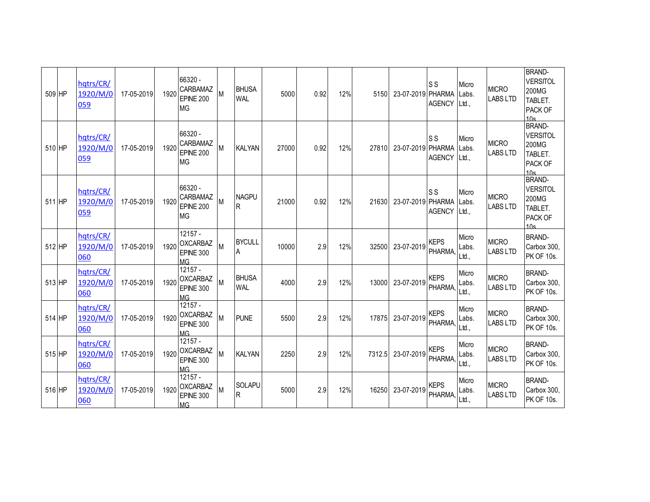| 509 HP | hqtrs/CR/<br>1920/M/0<br>059 | 17-05-2019 | 1920 | 66320 -<br><b>CARBAMAZ</b><br>EPINE 200<br><b>MG</b>          | M | <b>BHUSA</b><br><b>WAL</b> | 5000  | 0.92 | 12% | 5150   | 23-07-2019 PHARMA | <b>SS</b><br><b>AGENCY</b> | Micro<br>Labs.<br>Ltd., | <b>MICRO</b><br><b>LABS LTD</b> | <b>BRAND-</b><br><b>VERSITOL</b><br>200MG<br>TABLET.<br>PACK OF<br>10 <sub>e</sub> |
|--------|------------------------------|------------|------|---------------------------------------------------------------|---|----------------------------|-------|------|-----|--------|-------------------|----------------------------|-------------------------|---------------------------------|------------------------------------------------------------------------------------|
| 510 HP | hqtrs/CR/<br>1920/M/0<br>059 | 17-05-2019 | 1920 | 66320 -<br><b>CARBAMAZ</b><br><b>EPINE 200</b><br><b>MG</b>   | M | <b>KALYAN</b>              | 27000 | 0.92 | 12% | 27810  | 23-07-2019 PHARMA | S S<br><b>AGENCY</b>       | Micro<br>Labs.<br>Ltd., | <b>MICRO</b><br><b>LABS LTD</b> | <b>BRAND-</b><br><b>VERSITOL</b><br>200MG<br>TABLET.<br>PACK OF<br>10 <sub>s</sub> |
| 511 HP | hqtrs/CR/<br>1920/M/0<br>059 | 17-05-2019 | 1920 | 66320 -<br><b>CARBAMAZ</b><br><b>EPINE 200</b><br><b>MG</b>   | M | <b>NAGPU</b><br>IR.        | 21000 | 0.92 | 12% | 21630  | 23-07-2019 PHARMA | <b>SS</b><br><b>AGENCY</b> | Micro<br>Labs.<br>Ltd., | <b>MICRO</b><br><b>LABS LTD</b> | <b>BRAND-</b><br><b>VERSITOL</b><br>200MG<br>TABLET.<br>PACK OF<br>10 <sub>e</sub> |
| 512 HP | hqtrs/CR/<br>1920/M/0<br>060 | 17-05-2019 | 1920 | $12157 -$<br><b>OXCARBAZ</b><br>EPINE 300<br><b>MG</b>        | M | <b>BYCULL</b><br>A         | 10000 | 2.9  | 12% | 32500  | 23-07-2019        | <b>KEPS</b><br>PHARMA,     | Micro<br>Labs.<br>Ltd., | <b>MICRO</b><br><b>LABS LTD</b> | <b>BRAND-</b><br>Carbox 300,<br><b>PK OF 10s.</b>                                  |
| 513 HP | hqtrs/CR/<br>1920/M/0<br>060 | 17-05-2019 | 1920 | 12157 -<br><b>OXCARBAZ</b><br>EPINE 300<br>MG <sub>1</sub>    | M | <b>BHUSA</b><br><b>WAL</b> | 4000  | 2.9  | 12% | 13000  | 23-07-2019        | <b>KEPS</b><br>PHARMA,     | Micro<br>Labs.<br>Ltd.  | <b>MICRO</b><br><b>LABS LTD</b> | <b>BRAND-</b><br>Carbox 300,<br><b>PK OF 10s.</b>                                  |
| 514 HP | hatrs/CR/<br>1920/M/0<br>060 | 17-05-2019 | 1920 | $12157 -$<br><b>OXCARBAZ</b><br>EPINE 300<br>MG               | M | <b>PUNE</b>                | 5500  | 2.9  | 12% | 17875  | 23-07-2019        | <b>KEPS</b><br>PHARMA,     | Micro<br>Labs.<br>Ltd., | <b>MICRO</b><br><b>LABS LTD</b> | <b>BRAND-</b><br>Carbox 300,<br>PK OF 10s.                                         |
| 515 HP | hqtrs/CR/<br>1920/M/0<br>060 | 17-05-2019 | 1920 | $12157 -$<br><b>OXCARBAZ</b><br><b>EPINE 300</b><br><b>MG</b> | M | <b>KALYAN</b>              | 2250  | 2.9  | 12% | 7312.5 | 23-07-2019        | <b>KEPS</b><br>PHARMA,     | Micro<br>Labs.<br>Ltd., | <b>MICRO</b><br><b>LABS LTD</b> | <b>BRAND-</b><br>Carbox 300,<br><b>PK OF 10s.</b>                                  |
| 516 HP | hatrs/CR/<br>1920/M/0<br>060 | 17-05-2019 | 1920 | $12157 -$<br><b>OXCARBAZ</b><br>EPINE 300<br><b>MG</b>        | M | SOLAPU<br>R                | 5000  | 2.9  | 12% | 16250  | 23-07-2019        | <b>KEPS</b><br>PHARMA,     | Micro<br>Labs.<br>Ltd., | <b>MICRO</b><br><b>LABS LTD</b> | <b>BRAND-</b><br>Carbox 300,<br>PK OF 10s.                                         |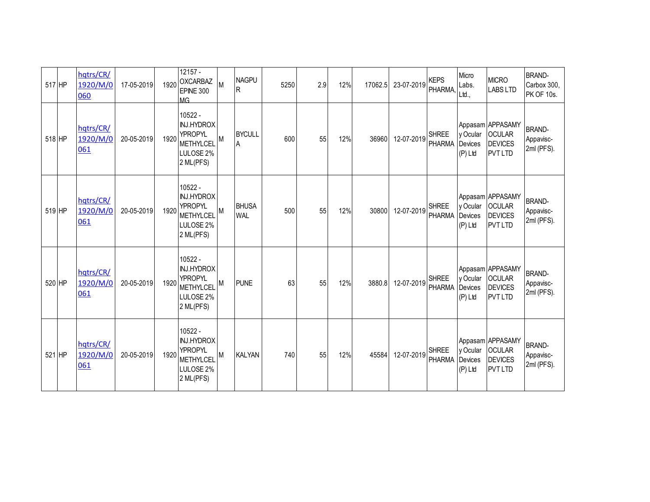| 517 HP | hqtrs/CR/<br>1920/M/0<br>060 | 17-05-2019 | 1920 | $12157 -$<br><b>OXCARBAZ</b><br>EPINE 300<br><b>MG</b>                                                    | M | <b>NAGPU</b><br>R          | 5250 | 2.9 | 12% | 17062.5 | 23-07-2019 | <b>KEPS</b><br>PHARMA,        | Micro<br>Labs.<br>Ltd.,          | <b>MICRO</b><br><b>LABS LTD</b>                                       | <b>BRAND-</b><br>Carbox 300,<br><b>PK OF 10s.</b> |
|--------|------------------------------|------------|------|-----------------------------------------------------------------------------------------------------------|---|----------------------------|------|-----|-----|---------|------------|-------------------------------|----------------------------------|-----------------------------------------------------------------------|---------------------------------------------------|
| 518 HP | hqtrs/CR/<br>1920/M/0<br>061 | 20-05-2019 | 1920 | 10522 -<br><b>INJ.HYDROX</b><br><b>YPROPYL</b><br><b>METHYLCEL</b><br>LULOSE <sub>2%</sub><br>2 ML(PFS)   | M | <b>BYCULL</b><br>A         | 600  | 55  | 12% | 36960   | 12-07-2019 | <b>SHREE</b><br>PHARMA        | y Ocular<br>Devices<br>(P) Ltd   | Appasam APPASAMY<br><b>OCULAR</b><br><b>DEVICES</b><br><b>PVT LTD</b> | <b>BRAND-</b><br>Appavisc-<br>2ml (PFS).          |
| 519 HP | hqtrs/CR/<br>1920/M/0<br>061 | 20-05-2019 | 1920 | 10522 -<br><b>INJ.HYDROX</b><br><b>YPROPYL</b><br><b>METHYLCEL</b><br>LULOSE <sub>2%</sub><br>2 ML(PFS)   | M | <b>BHUSA</b><br><b>WAL</b> | 500  | 55  | 12% | 30800   | 12-07-2019 | <b>SHREE</b><br><b>PHARMA</b> | y Ocular<br>Devices<br>(P) Ltd   | Appasam APPASAMY<br><b>OCULAR</b><br><b>DEVICES</b><br><b>PVT LTD</b> | <b>BRAND-</b><br>Appavisc-<br>2ml (PFS).          |
| 520 HP | hqtrs/CR/<br>1920/M/0<br>061 | 20-05-2019 | 1920 | $10522 -$<br><b>INJ.HYDROX</b><br><b>YPROPYL</b><br><b>METHYLCEL</b><br>LULOSE <sub>2%</sub><br>2 ML(PFS) | M | <b>PUNE</b>                | 63   | 55  | 12% | 3880.8  | 12-07-2019 | <b>SHREE</b><br><b>PHARMA</b> | y Ocular<br>Devices<br>$(P)$ Ltd | Appasam APPASAMY<br><b>OCULAR</b><br><b>DEVICES</b><br><b>PVT LTD</b> | <b>BRAND-</b><br>Appavisc-<br>2ml (PFS).          |
| 521 HP | hqtrs/CR/<br>1920/M/0<br>061 | 20-05-2019 | 1920 | 10522 -<br><b>INJ.HYDROX</b><br><b>YPROPYL</b><br><b>METHYLCEL</b><br>LULOSE <sub>2%</sub><br>2 ML(PFS)   | M | <b>KALYAN</b>              | 740  | 55  | 12% | 45584   | 12-07-2019 | <b>SHREE</b><br>PHARMA        | y Ocular<br>Devices<br>(P) Ltd   | Appasam APPASAMY<br><b>OCULAR</b><br><b>DEVICES</b><br><b>PVT LTD</b> | <b>BRAND-</b><br>Appavisc-<br>2ml (PFS).          |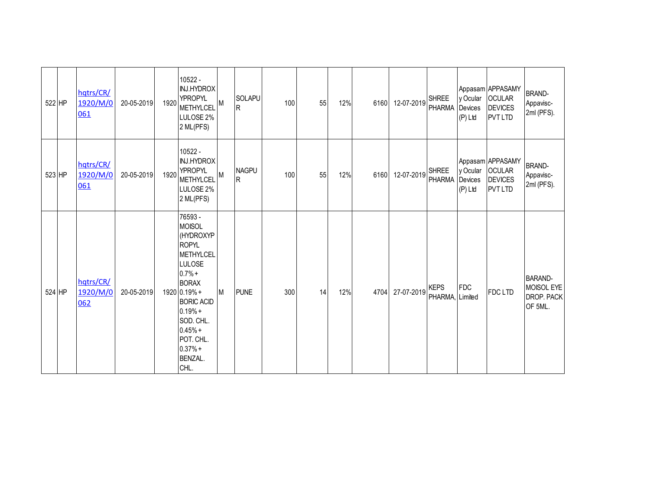| 522 HP | hqtrs/CR/<br>1920/M/0<br>061 | 20-05-2019 | 1920 | 10522 -<br><b>INJ.HYDROX</b><br><b>YPROPYL</b><br>METHYLCEL<br>LULOSE 2%<br>2 ML(PFS)                                                                                                                                             | M | <b>SOLAPU</b><br>R. | 100 | 55 | 12% | 6160 | 12-07-2019 | <b>SHREE</b><br><b>PHARMA</b>  | y Ocular<br>Devices<br>(P) Ltd   | Appasam APPASAMY<br><b>OCULAR</b><br><b>DEVICES</b><br>PVT LTD        | <b>BRAND-</b><br>Appavisc-<br>2ml (PFS).              |
|--------|------------------------------|------------|------|-----------------------------------------------------------------------------------------------------------------------------------------------------------------------------------------------------------------------------------|---|---------------------|-----|----|-----|------|------------|--------------------------------|----------------------------------|-----------------------------------------------------------------------|-------------------------------------------------------|
| 523 HP | hqtrs/CR/<br>1920/M/0<br>061 | 20-05-2019 | 1920 | 10522 -<br><b>INJ.HYDROX</b><br><b>YPROPYL</b><br>METHYLCEL<br>LULOSE 2%<br>2 ML(PFS)                                                                                                                                             | M | <b>NAGPU</b><br>R   | 100 | 55 | 12% | 6160 | 12-07-2019 | <b>SHREE</b><br><b>PHARMA</b>  | y Ocular<br>Devices<br>$(P)$ Ltd | Appasam APPASAMY<br><b>OCULAR</b><br><b>DEVICES</b><br><b>PVT LTD</b> | <b>BRAND-</b><br>Appavisc-<br>2ml (PFS).              |
| 524 HP | hqtrs/CR/<br>1920/M/0<br>062 | 20-05-2019 |      | 76593 -<br><b>MOISOL</b><br>(HYDROXYP<br><b>ROPYL</b><br>METHYLCEL<br>LULOSE<br>$0.7% +$<br><b>BORAX</b><br>1920 0.19% +<br><b>BORIC ACID</b><br>$0.19% +$<br>SOD. CHL.<br>$0.45% +$<br>POT. CHL.<br>$0.37% +$<br>BENZAL.<br>CHL. | M | <b>PUNE</b>         | 300 | 14 | 12% | 4704 | 27-07-2019 | <b>KEPS</b><br>PHARMA, Limited | <b>FDC</b>                       | FDC LTD                                                               | <b>BARAND-</b><br>MOISOL EYE<br>DROP. PACK<br>OF 5ML. |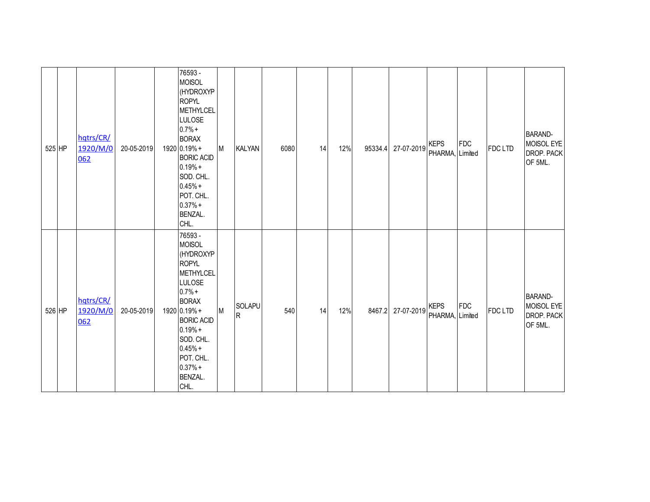| 525 HP | hqtrs/CR/<br>1920/M/0<br>062 | 20-05-2019 | 76593 -<br><b>MOISOL</b><br>(HYDROXYP<br><b>ROPYL</b><br><b>METHYLCEL</b><br><b>LULOSE</b><br>$0.7% +$<br><b>BORAX</b><br>1920 0.19% +<br><b>BORIC ACID</b><br>$0.19% +$<br>SOD. CHL.<br>$0.45% +$<br>POT. CHL.<br>$0.37% +$<br>BENZAL.<br>CHL. | M | <b>KALYAN</b>            | 6080 | 14 | 12% | 95334.4 | 27-07-2019 | <b>KEPS</b><br>PHARMA, Limited | FDC | <b>FDCLTD</b> | <b>BARAND-</b><br>MOISOL EYE<br>DROP. PACK<br>OF 5ML. |
|--------|------------------------------|------------|-------------------------------------------------------------------------------------------------------------------------------------------------------------------------------------------------------------------------------------------------|---|--------------------------|------|----|-----|---------|------------|--------------------------------|-----|---------------|-------------------------------------------------------|
| 526 HP | hqtrs/CR/<br>1920/M/0<br>062 | 20-05-2019 | 76593 -<br><b>MOISOL</b><br>(HYDROXYP<br><b>ROPYL</b><br>METHYLCEL<br><b>LULOSE</b><br>$0.7% +$<br><b>BORAX</b><br>1920 0.19% +<br><b>BORIC ACID</b><br>$0.19% +$<br>SOD. CHL.<br>$0.45% +$<br>POT. CHL.<br>$0.37% +$<br>BENZAL.<br>CHL.        | M | SOLAPU<br>$\overline{R}$ | 540  | 14 | 12% | 8467.2  | 27-07-2019 | <b>KEPS</b><br>PHARMA, Limited | FDC | <b>FDCLTD</b> | <b>BARAND-</b><br>MOISOL EYE<br>DROP. PACK<br>OF 5ML. |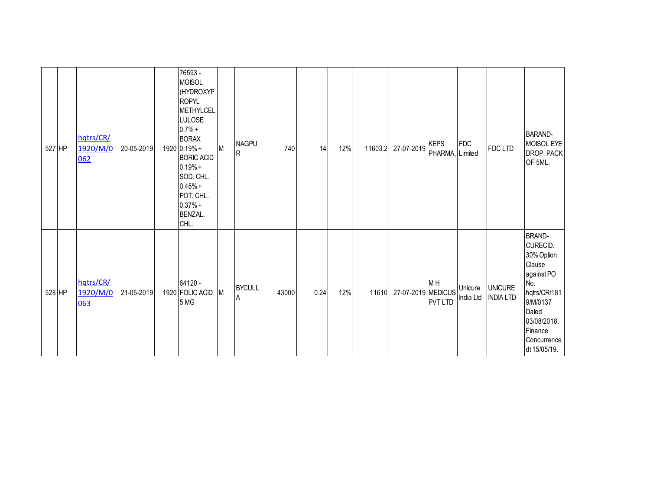| 527 HP | hqtrs/CR/<br>1920/M/0<br>062 | 20-05-2019 | 76593 -<br><b>MOISOL</b><br>(HYDROXYP<br><b>ROPYL</b><br><b>METHYLCEL</b><br><b>LULOSE</b><br>$0.7% +$<br><b>BORAX</b><br>1920 0.19% +<br><b>BORIC ACID</b><br>$0.19% +$<br>SOD. CHL.<br>$0.45% +$<br>POT. CHL.<br>$0.37% +$<br>BENZAL.<br>CHL. | M | <b>NAGPU</b><br>R  | 740   | 14   | 12% |       | 11603.2 27-07-2019 | <b>KEPS</b><br>PHARMA, Limited   | <b>FDC</b>           | FDC LTD                            | <b>BARAND-</b><br>MOISOL EYE<br>DROP. PACK<br>OF 5ML.                                                                                                                |
|--------|------------------------------|------------|-------------------------------------------------------------------------------------------------------------------------------------------------------------------------------------------------------------------------------------------------|---|--------------------|-------|------|-----|-------|--------------------|----------------------------------|----------------------|------------------------------------|----------------------------------------------------------------------------------------------------------------------------------------------------------------------|
| 528 HP | hqtrs/CR/<br>1920/M/0<br>063 | 21-05-2019 | 64120 -<br>1920 FOLIC ACID<br>5 MG                                                                                                                                                                                                              | M | <b>BYCULL</b><br>Α | 43000 | 0.24 | 12% | 11610 | 27-07-2019 MEDICUS | M <sub>H</sub><br><b>PVT LTD</b> | Unicure<br>India Ltd | <b>UNICURE</b><br><b>INDIA LTD</b> | <b>BRAND-</b><br>CURECID.<br>30% Option<br>Clause<br>against PO<br>No.<br>hqtrs/CR/181<br>9/M/0137<br>Dated<br>03/08/2018.<br>Finance<br>Concurrence<br>dt 15/05/19. |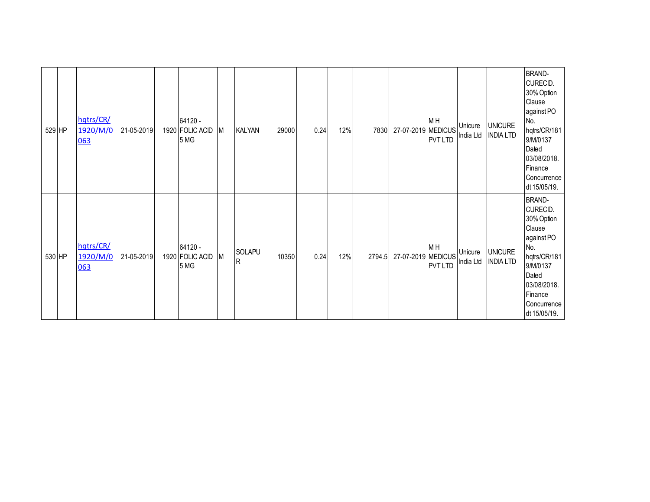| 529 HP | hqtrs/CR/<br>1920/M/0<br>063 | 21-05-2019 | 64120 -<br>1920 FOLIC ACID<br>5 MG | М | <b>KALYAN</b> | 29000 | 0.24 | 12% | 7830   | 27-07-2019 MEDICUS | M <sub>H</sub><br><b>PVT LTD</b> | Unicure<br>India Ltd | <b>UNICURE</b><br><b>INDIA LTD</b> | <b>BRAND-</b><br>CURECID.<br>30% Option<br>Clause<br>against PO<br>No.<br>hqtrs/CR/181<br>9/M/0137<br>Dated<br>03/08/2018.<br>Finance<br>Concurrence<br>dt 15/05/19. |
|--------|------------------------------|------------|------------------------------------|---|---------------|-------|------|-----|--------|--------------------|----------------------------------|----------------------|------------------------------------|----------------------------------------------------------------------------------------------------------------------------------------------------------------------|
| 530 HP | hqtrs/CR/<br>1920/M/0<br>063 | 21-05-2019 | 64120 -<br>1920 FOLIC ACID<br>5 MG | М | SOLAPU<br>R   | 10350 | 0.24 | 12% | 2794.5 | 27-07-2019 MEDICUS | M <sub>H</sub><br><b>PVT LTD</b> | Unicure<br>India Ltd | <b>UNICURE</b><br><b>INDIA LTD</b> | <b>BRAND-</b><br>CURECID.<br>30% Option<br>Clause<br>against PO<br>No.<br>hqtrs/CR/181<br>9/M/0137<br>Dated<br>03/08/2018.<br>Finance<br>Concurrence<br>dt 15/05/19. |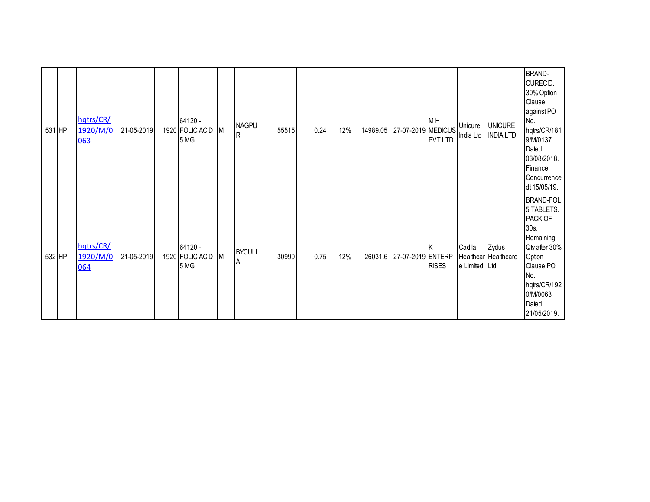| 531 HP | hqtrs/CR/<br>1920/M/0<br>063 | 21-05-2019 | 64120 -<br>1920 FOLIC ACID<br>5 MG | M | <b>NAGPU</b><br>R  | 55515 | 0.24 | 12% | 14989.05 | 27-07-2019 MEDICUS | M <sub>H</sub><br><b>PVT LTD</b> | Unicure<br>India Ltd    | <b>UNICURE</b><br><b>INDIA LTD</b> | <b>BRAND-</b><br>CURECID.<br>30% Option<br>Clause<br>against PO<br>No.<br>hqtrs/CR/181<br>9/M/0137<br>Dated<br>03/08/2018.<br>Finance<br>Concurrence<br>dt 15/05/19. |
|--------|------------------------------|------------|------------------------------------|---|--------------------|-------|------|-----|----------|--------------------|----------------------------------|-------------------------|------------------------------------|----------------------------------------------------------------------------------------------------------------------------------------------------------------------|
| 532 HP | hqtrs/CR/<br>1920/M/0<br>064 | 21-05-2019 | 64120 -<br>1920 FOLIC ACID<br>5 MG | М | <b>BYCULL</b><br>A | 30990 | 0.75 | 12% | 26031.6  | 27-07-2019 ENTERP  | <b>RISES</b>                     | Cadila<br>e Limited Ltd | Zydus<br>Healthcar Healthcare      | <b>BRAND-FOL</b><br>5 TABLETS.<br>PACK OF<br>30s.<br>Remaining<br>Qty after 30%<br>Option<br>Clause PO<br>No.<br>hqtrs/CR/192<br>0/M/0063<br>Dated<br>21/05/2019.    |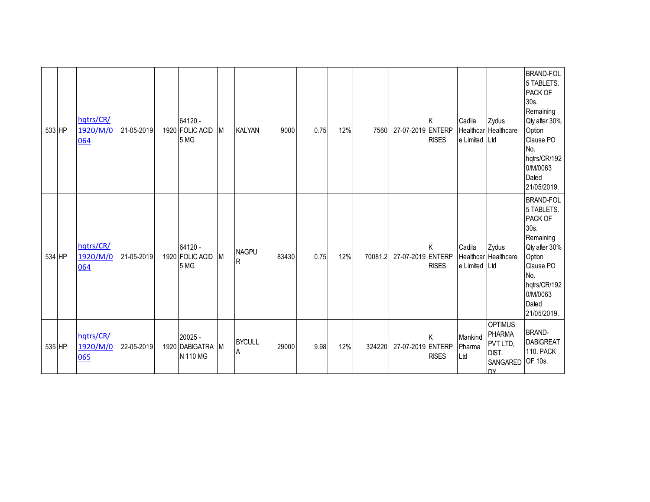|        | 533 HP | hqtrs/CR/<br>1920/M/0<br>064 | 21-05-2019 | 64120 -<br>1920 FOLIC ACID<br>5 MG      | M         | <b>KALYAN</b>       | 9000  | 0.75 | 12% | 7560    | 27-07-2019 ENTERP | <b>RISES</b> | Cadila<br>e Limited   Ltd | Zydus<br>Healthcar Healthcare                                                 | <b>BRAND-FOL</b><br>5 TABLETS.<br>PACK OF<br>30s.<br>Remaining<br>Qty after 30%<br>Option<br>Clause PO<br>No.<br>hqtrs/CR/192<br>0/M/0063<br>Dated<br>21/05/2019. |
|--------|--------|------------------------------|------------|-----------------------------------------|-----------|---------------------|-------|------|-----|---------|-------------------|--------------|---------------------------|-------------------------------------------------------------------------------|-------------------------------------------------------------------------------------------------------------------------------------------------------------------|
| 534 HP |        | hqtrs/CR/<br>1920/M/0<br>064 | 21-05-2019 | 64120 -<br>1920 FOLIC ACID<br>5 MG      | <b>IM</b> | <b>NAGPU</b><br>IR. | 83430 | 0.75 | 12% | 70081.2 | 27-07-2019 ENTERP | <b>RISES</b> | Cadila<br>e Limited Ltd   | Zydus<br>Healthcar Healthcare                                                 | <b>BRAND-FOL</b><br>5 TABLETS.<br>PACK OF<br>30s.<br>Remaining<br>Qty after 30%<br>Option<br>Clause PO<br>No.<br>hqtrs/CR/192<br>0/M/0063<br>Dated<br>21/05/2019. |
|        | 535 HP | hqtrs/CR/<br>1920/M/0<br>065 | 22-05-2019 | 20025 -<br>1920 DABIGATRA M<br>N 110 MG |           | <b>BYCULL</b><br>Α  | 29000 | 9.98 | 12% | 324220  | 27-07-2019 ENTERP | <b>RISES</b> | Mankind<br>Pharma<br>Ltd  | <b>OPTIMUS</b><br><b>PHARMA</b><br>PVT LTD,<br>DIST.<br>SANGARED<br><b>DV</b> | <b>BRAND-</b><br><b>DABIGREAT</b><br><b>110. PACK</b><br>OF 10s.                                                                                                  |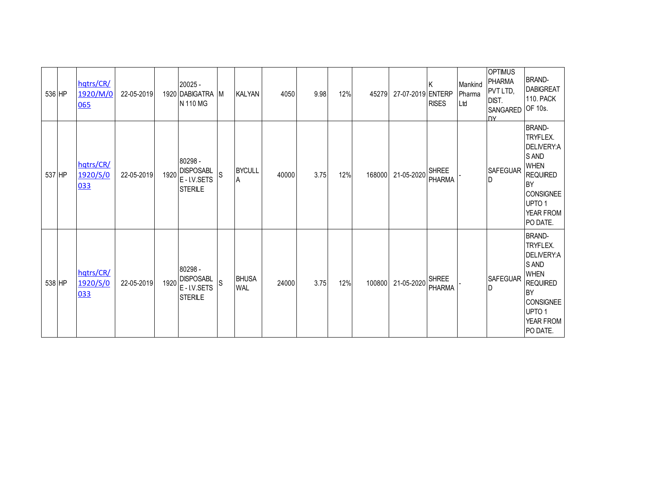| 536 HP | hqtrs/CR/<br>1920/M/0<br>065 | 22-05-2019 |      | 20025 -<br>1920 DABIGATRA M<br>N 110 MG              |     | <b>KALYAN</b>              | 4050  | 9.98 | 12% | 45279  | 27-07-2019 ENTERP | <b>RISES</b>                  | Mankind<br>Pharma<br>Ltd | <b>OPTIMUS</b><br><b>PHARMA</b><br>PVT LTD,<br>DIST.<br>SANGARED<br><b>DY</b> | <b>BRAND-</b><br><b>DABIGREAT</b><br><b>110. PACK</b><br>OF 10s.                                                                                                  |
|--------|------------------------------|------------|------|------------------------------------------------------|-----|----------------------------|-------|------|-----|--------|-------------------|-------------------------------|--------------------------|-------------------------------------------------------------------------------|-------------------------------------------------------------------------------------------------------------------------------------------------------------------|
| 537 HP | hqtrs/CR/<br>1920/S/0<br>033 | 22-05-2019 | 1920 | 80298 -<br><b>DISPOSABL</b><br>E-I.V.SETS<br>STERILE | ls. | <b>BYCULL</b><br>A         | 40000 | 3.75 | 12% | 168000 | 21-05-2020        | <b>SHREE</b><br>PHARMA        |                          | SAFEGUAR<br>D                                                                 | <b>BRAND-</b><br>TRYFLEX.<br>DELIVERY:A<br>S AND<br><b>WHEN</b><br><b>REQUIRED</b><br><b>BY</b><br><b>CONSIGNEE</b><br>UPTO <sub>1</sub><br>YEAR FROM<br>PO DATE. |
| 538 HP | hqtrs/CR/<br>1920/S/0<br>033 | 22-05-2019 | 1920 | 80298 -<br><b>DISPOSABL</b><br>E-I.V.SETS<br>STERILE | S   | <b>BHUSA</b><br><b>WAL</b> | 24000 | 3.75 | 12% | 100800 | 21-05-2020        | <b>SHREE</b><br><b>PHARMA</b> |                          | <b>SAFEGUAR</b><br>D                                                          | <b>BRAND-</b><br>TRYFLEX.<br>DELIVERY:A<br><b>SAND</b><br><b>WHEN</b><br><b>REQUIRED</b><br><b>BY</b><br><b>CONSIGNEE</b><br>UPTO 1<br>YEAR FROM<br>PO DATE.      |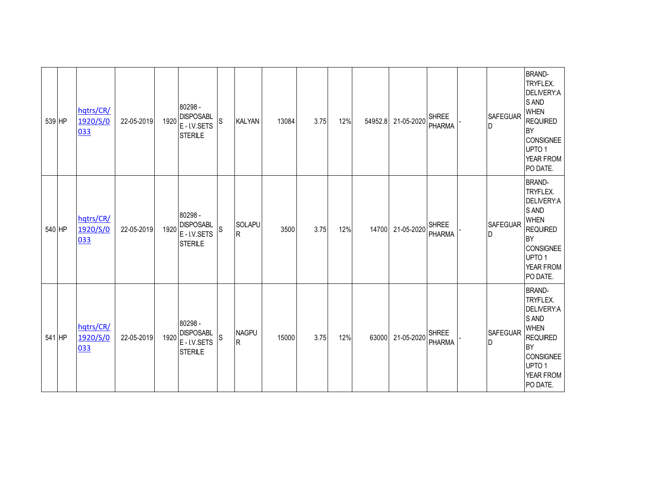| 539 HP | hqtrs/CR/<br>1920/S/0<br>033 | 22-05-2019 | 1920 | 80298 -<br><b>DISPOSABL</b><br>E-I.V.SETS<br><b>STERILE</b> | S | <b>KALYAN</b>     | 13084 | 3.75 | 12% | 54952.8 | 21-05-2020 | <b>SHREE</b><br><b>PHARMA</b> | <b>SAFEGUAR</b><br>D | <b>BRAND-</b><br>TRYFLEX.<br>DELIVERY:A<br>S AND<br><b>WHEN</b><br><b>REQUIRED</b><br><b>BY</b><br><b>CONSIGNEE</b><br>UPTO <sub>1</sub><br>YEAR FROM<br>PO DATE. |
|--------|------------------------------|------------|------|-------------------------------------------------------------|---|-------------------|-------|------|-----|---------|------------|-------------------------------|----------------------|-------------------------------------------------------------------------------------------------------------------------------------------------------------------|
| 540 HP | hqtrs/CR/<br>1920/S/0<br>033 | 22-05-2019 | 1920 | 80298 -<br><b>DISPOSABL</b><br>E-I.V.SETS<br>STERILE        | S | SOLAPU<br>R.      | 3500  | 3.75 | 12% | 14700   | 21-05-2020 | <b>SHREE</b><br><b>PHARMA</b> | <b>SAFEGUAR</b><br>D | <b>BRAND-</b><br>TRYFLEX.<br>DELIVERY:A<br>S AND<br><b>WHEN</b><br><b>REQUIRED</b><br><b>BY</b><br><b>CONSIGNEE</b><br>UPTO <sub>1</sub><br>YEAR FROM<br>PO DATE. |
| 541 HP | hqtrs/CR/<br>1920/S/0<br>033 | 22-05-2019 | 1920 | 80298 -<br><b>DISPOSABL</b><br>E-I.V.SETS<br><b>STERILE</b> | S | <b>NAGPU</b><br>R | 15000 | 3.75 | 12% | 63000   | 21-05-2020 | <b>SHREE</b><br><b>PHARMA</b> | <b>SAFEGUAR</b><br>D | <b>BRAND-</b><br>TRYFLEX.<br>DELIVERY:A<br>S AND<br><b>WHEN</b><br><b>REQUIRED</b><br><b>BY</b><br><b>CONSIGNEE</b><br>UPTO <sub>1</sub><br>YEAR FROM<br>PO DATE. |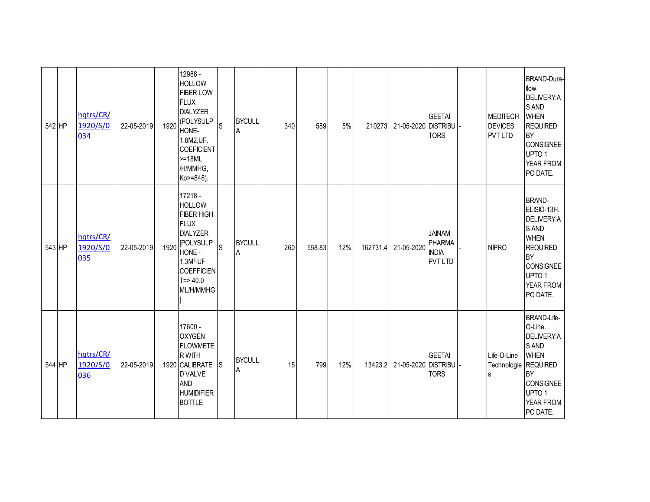| 542 HP | hqtrs/CR/<br>1920/S/0<br>034 | 22-05-2019 | 1920 | 12988 -<br><b>HOLLOW</b><br><b>FIBER LOW</b><br><b>FLUX</b><br><b>DIALYZER</b><br>(POLYSULP<br>HONE-<br>1.8M2, UF.<br><b>COEFICIENT</b><br>$>=18ML$<br>/H/MMHG,<br>Ko>=848).    | $\mathsf{S}% _{T}=\mathsf{S}_{T}\!\left( a,b\right) ,\ \mathsf{S}_{T}=\mathsf{S}_{T}\!\left( a,b\right) ,\ \mathsf{S}_{T}=\mathsf{S}_{T}\!\left( a,b\right) ,\ \mathsf{S}_{T}=\mathsf{S}_{T}\!\left( a,b\right) ,\ \mathsf{S}_{T}=\mathsf{S}_{T}\!\left( a,b\right) ,\ \mathsf{S}_{T}=\mathsf{S}_{T}\!\left( a,b\right) ,\ \mathsf{S}_{T}=\mathsf{S}_{T}\!\left( a,b\right) ,\ \mathsf{S}_{T}=\mathsf{S}_{T}\!\left( a,b\right) ,\ \mathsf{S}_{T}=\math$ | <b>BYCULL</b><br>A | 340 | 589    | 5%  | 210273   | 21-05-2020 DISTRIBU | <b>GEETAI</b><br><b>TORS</b>                                     | MEDITECH<br><b>DEVICES</b><br><b>PVT LTD</b>     | BRAND-Dura-<br>flow.<br>DELIVERY:A<br><b>SAND</b><br><b>WHEN</b><br><b>REQUIRED</b><br><b>BY</b><br><b>CONSIGNEE</b><br>UPTO <sub>1</sub><br>YEAR FROM<br>PO DATE.   |
|--------|------------------------------|------------|------|---------------------------------------------------------------------------------------------------------------------------------------------------------------------------------|----------------------------------------------------------------------------------------------------------------------------------------------------------------------------------------------------------------------------------------------------------------------------------------------------------------------------------------------------------------------------------------------------------------------------------------------------------|--------------------|-----|--------|-----|----------|---------------------|------------------------------------------------------------------|--------------------------------------------------|----------------------------------------------------------------------------------------------------------------------------------------------------------------------|
| 543 HP | hqtrs/CR/<br>1920/S/0<br>035 | 22-05-2019 | 1920 | $17218 -$<br><b>HOLLOW</b><br><b>FIBER HIGH</b><br><b>FLUX</b><br><b>DIALYZER</b><br><b>IPOLYSULP</b><br>HONE -<br>$1.3M2-UF$<br><b>COEFFICIEN</b><br>$T = > 40.0$<br>ML/H/MMHG | S                                                                                                                                                                                                                                                                                                                                                                                                                                                        | <b>BYCULL</b><br>A | 260 | 558.83 | 12% | 162731.4 | 21-05-2020          | <b>JAINAM</b><br><b>PHARMA</b><br><b>INDIA</b><br><b>PVT LTD</b> | <b>NIPRO</b>                                     | <b>BRAND-</b><br>ELISIO-13H.<br>DELIVERY:A<br>S AND<br><b>WHEN</b><br><b>REQUIRED</b><br><b>BY</b><br><b>CONSIGNEE</b><br>UPTO <sub>1</sub><br>YEAR FROM<br>PO DATE. |
| 544 HP | hqtrs/CR/<br>1920/S/0<br>036 | 22-05-2019 |      | 17600 -<br><b>OXYGEN</b><br><b>FLOWMETE</b><br><b>RWITH</b><br>1920 CALIBRATE<br><b>DVALVE</b><br><b>AND</b><br><b>HUMIDIFIER</b><br><b>BOTTLE</b>                              | <sub>S</sub>                                                                                                                                                                                                                                                                                                                                                                                                                                             | <b>BYCULL</b><br>A | 15  | 799    | 12% | 13423.2  | 21-05-2020 DISTRIBU | <b>GEETAI</b><br><b>TORS</b>                                     | Life-O-Line<br>Technologie REQUIRED<br>${\bf S}$ | BRAND-Life-<br>O-Line.<br>DELIVERY:A<br>S AND<br><b>WHEN</b><br><b>BY</b><br><b>CONSIGNEE</b><br>UPTO <sub>1</sub><br>YEAR FROM<br>PO DATE.                          |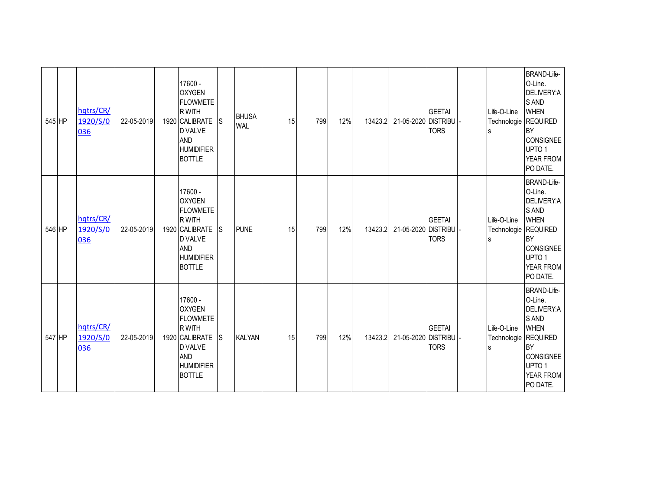| 545 HP | hqtrs/CR/<br>1920/S/0<br>036 | 22-05-2019 | 17600 -<br><b>OXYGEN</b><br><b>FLOWMETE</b><br>R WITH<br>1920 CALIBRATE<br>D VALVE<br><b>AND</b><br><b>HUMIDIFIER</b><br><b>BOTTLE</b>       | <sub>S</sub> | <b>BHUSA</b><br><b>WAL</b> | 15 | 799 | 12% | 13423.2 | 21-05-2020 DISTRIBU | <b>GEETAI</b><br><b>TORS</b> | Life-O-Line<br>Technologie REQUIRED<br>s | <b>BRAND-Life-</b><br>O-Line.<br>DELIVERY:A<br>S AND<br><b>WHEN</b><br><b>BY</b><br><b>CONSIGNEE</b><br>UPTO <sub>1</sub><br><b>YEAR FROM</b><br>PO DATE. |
|--------|------------------------------|------------|----------------------------------------------------------------------------------------------------------------------------------------------|--------------|----------------------------|----|-----|-----|---------|---------------------|------------------------------|------------------------------------------|-----------------------------------------------------------------------------------------------------------------------------------------------------------|
| 546 HP | hqtrs/CR/<br>1920/S/0<br>036 | 22-05-2019 | 17600 -<br><b>OXYGEN</b><br><b>FLOWMETE</b><br><b>RWITH</b><br>1920 CALIBRATE<br>D VALVE<br><b>AND</b><br><b>HUMIDIFIER</b><br><b>BOTTLE</b> | <b>S</b>     | <b>PUNE</b>                | 15 | 799 | 12% | 13423.2 | 21-05-2020 DISTRIBU | <b>GEETAI</b><br><b>TORS</b> | Life-O-Line<br>Technologie REQUIRED<br>s | BRAND-Life-<br>O-Line.<br>DELIVERY:A<br>S AND<br><b>WHEN</b><br><b>BY</b><br><b>CONSIGNEE</b><br>UPTO <sub>1</sub><br>YEAR FROM<br>PO DATE.               |
| 547 HP | hqtrs/CR/<br>1920/S/0<br>036 | 22-05-2019 | 17600 -<br><b>OXYGEN</b><br><b>FLOWMETE</b><br>R WITH<br>1920 CALIBRATE<br>D VALVE<br><b>AND</b><br><b>HUMIDIFIER</b><br><b>BOTTLE</b>       | ls           | <b>KALYAN</b>              | 15 | 799 | 12% | 13423.2 | 21-05-2020 DISTRIBU | <b>GEETAI</b><br><b>TORS</b> | Life-O-Line<br>Technologie REQUIRED<br>s | <b>BRAND-Life-</b><br>O-Line.<br>DELIVERY:A<br>S AND<br><b>WHEN</b><br><b>BY</b><br><b>CONSIGNEE</b><br>UPTO <sub>1</sub><br>YEAR FROM<br>PO DATE.        |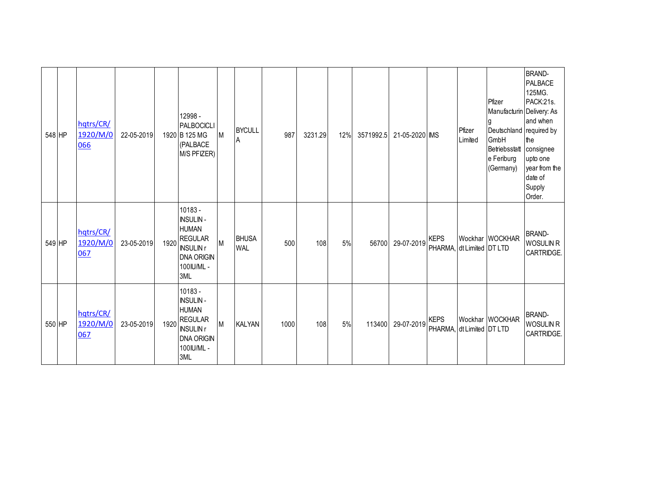| 548 HP | hatrs/CR/<br>1920/M/0<br>066 | 22-05-2019 | 12998 -<br>PALBOCICLI<br>1920 B 125 MG<br>(PALBACE<br>M/S PFIZER)                                                        | <b>IM</b> | <b>BYCULL</b><br>A         | 987  | 3231.29 | 12% | 3571992.5 | 21-05-2020 MS |                                          | Pfizer<br>Limited | Pfizer<br>Manufacturin Delivery: As<br>Deutschland required by<br>GmbH<br>Betriebsstatt consignee<br>e Feriburg<br>(Germany) | <b>BRAND-</b><br>PALBACE<br>125MG.<br>PACK:21s.<br>and when<br>the<br>upto one<br>year from the<br>date of<br>Supply<br>Order. |
|--------|------------------------------|------------|--------------------------------------------------------------------------------------------------------------------------|-----------|----------------------------|------|---------|-----|-----------|---------------|------------------------------------------|-------------------|------------------------------------------------------------------------------------------------------------------------------|--------------------------------------------------------------------------------------------------------------------------------|
| 549 HP | hqtrs/CR/<br>1920/M/0<br>067 | 23-05-2019 | 10183 -<br><b>INSULIN-</b><br><b>HUMAN</b><br>1920 REGULAR<br><b>INSULIN r</b><br><b>DNA ORIGIN</b><br>100IU/ML -<br>3ML | M         | <b>BHUSA</b><br><b>WAL</b> | 500  | 108     | 5%  | 56700     | 29-07-2019    | <b>KEPS</b><br>PHARMA, dt Limited DT LTD |                   | Wockhar WOCKHAR                                                                                                              | <b>BRAND-</b><br>WOSULIN R<br>CARTRIDGE.                                                                                       |
| 550 HP | hatrs/CR/<br>1920/M/0<br>067 | 23-05-2019 | 10183 -<br><b>INSULIN-</b><br><b>HUMAN</b><br>1920 REGULAR<br><b>INSULIN r</b><br><b>DNA ORIGIN</b><br>100IU/ML -<br>3ML | M         | <b>KALYAN</b>              | 1000 | 108     | 5%  | 113400    | 29-07-2019    | <b>KEPS</b><br>PHARMA, dt Limited DT LTD |                   | Wockhar WOCKHAR                                                                                                              | <b>BRAND-</b><br>WOSULIN R<br>CARTRIDGE.                                                                                       |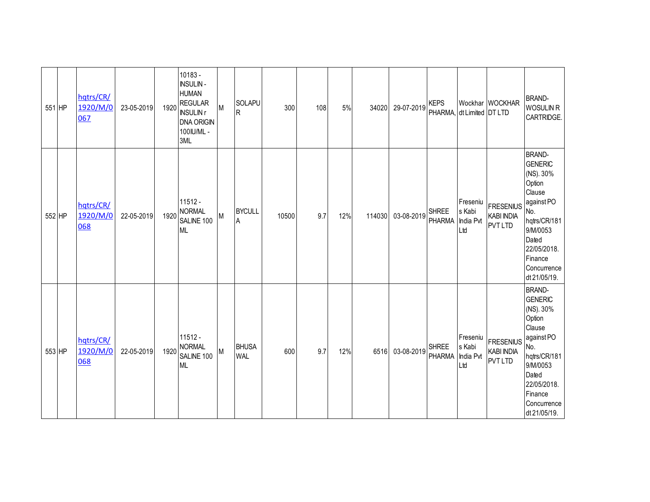| 551 HP | hqtrs/CR/<br>1920/M/0<br>067 | 23-05-2019 | 1920 | 10183 -<br><b>INSULIN-</b><br><b>HUMAN</b><br><b>REGULAR</b><br><b>INSULIN r</b><br><b>DNA ORIGIN</b><br>100IU/ML -<br>3ML | M | SOLAPU<br>${\sf R}$        | 300   | 108 | 5%  | 34020  | 29-07-2019 | <b>KEPS</b><br>PHARMA, dt Limited DT LTD |                                        | Wockhar WOCKHAR                                         | <b>BRAND-</b><br><b>WOSULIN R</b><br>CARTRIDGE.                                                                                                                                     |
|--------|------------------------------|------------|------|----------------------------------------------------------------------------------------------------------------------------|---|----------------------------|-------|-----|-----|--------|------------|------------------------------------------|----------------------------------------|---------------------------------------------------------|-------------------------------------------------------------------------------------------------------------------------------------------------------------------------------------|
| 552 HP | hqtrs/CR/<br>1920/M/0<br>068 | 22-05-2019 | 1920 | $11512 -$<br><b>NORMAL</b><br>SALINE 100<br><b>ML</b>                                                                      | M | <b>BYCULL</b><br>A         | 10500 | 9.7 | 12% | 114030 | 03-08-2019 | <b>SHREE</b><br><b>PHARMA</b>            | Freseniu<br>s Kabi<br>India Pvt<br>Ltd | <b>FRESENIUS</b><br><b>KABI INDIA</b><br><b>PVT LTD</b> | <b>BRAND-</b><br><b>GENERIC</b><br>(NS). 30%<br>Option<br>Clause<br>against PO<br>No.<br>hqtrs/CR/181<br>9/M/0053<br>Dated<br>22/05/2018.<br>Finance<br>Concurrence<br>dt 21/05/19. |
| 553 HP | hqtrs/CR/<br>1920/M/0<br>068 | 22-05-2019 | 1920 | $11512 -$<br><b>NORMAL</b><br>SALINE 100<br><b>ML</b>                                                                      | M | <b>BHUSA</b><br><b>WAL</b> | 600   | 9.7 | 12% | 6516   | 03-08-2019 | <b>SHREE</b><br><b>PHARMA</b>            | Freseniu<br>s Kabi<br>India Pvt<br>Ltd | <b>FRESENIUS</b><br><b>KABI INDIA</b><br><b>PVT LTD</b> | <b>BRAND-</b><br><b>GENERIC</b><br>(NS). 30%<br>Option<br>Clause<br>against PO<br>No.<br>hqtrs/CR/181<br>9/M/0053<br>Dated<br>22/05/2018.<br>Finance<br>Concurrence<br>dt 21/05/19. |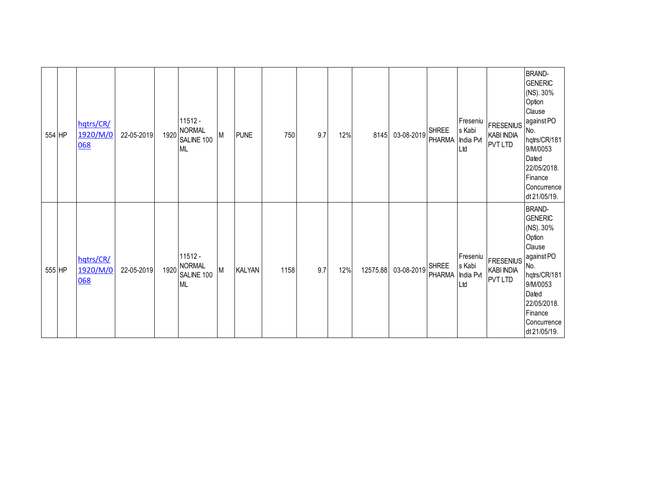| 554 HP | hqtrs/CR/<br>1920/M/0<br>068 | 22-05-2019 | $11512 -$<br>1920 NORMAL<br>SALINE 100<br><b>ML</b> | M         | <b>PUNE</b>   | 750  | 9.7 | 12% | 8145     | 03-08-2019 | <b>SHREE</b><br>PHARMA | Freseniu<br>s Kabi<br>India Pvt<br>Ltd | <b>FRESENIUS</b><br><b>KABI INDIA</b><br><b>PVT LTD</b> | <b>BRAND-</b><br><b>GENERIC</b><br>(NS). 30%<br>Option<br>Clause<br>against PO<br>No.<br>hqtrs/CR/181<br>9/M/0053<br>Dated<br>22/05/2018.<br>Finance<br>Concurrence<br>dt 21/05/19. |
|--------|------------------------------|------------|-----------------------------------------------------|-----------|---------------|------|-----|-----|----------|------------|------------------------|----------------------------------------|---------------------------------------------------------|-------------------------------------------------------------------------------------------------------------------------------------------------------------------------------------|
| 555 HP | hqtrs/CR/<br>1920/M/0<br>068 | 22-05-2019 | $11512 -$<br>1920 NORMAL<br>SALINE 100<br><b>ML</b> | ${\sf M}$ | <b>KALYAN</b> | 1158 | 9.7 | 12% | 12575.88 | 03-08-2019 | SHREE<br>PHARMA        | Freseniu<br>s Kabi<br>India Pvt<br>Ltd | <b>FRESENIUS</b><br><b>KABI INDIA</b><br><b>PVT LTD</b> | <b>BRAND-</b><br><b>GENERIC</b><br>(NS). 30%<br>Option<br>Clause<br>against PO<br>No.<br>hqtrs/CR/181<br>9/M/0053<br>Dated<br>22/05/2018.<br>Finance<br>Concurrence<br>dt 21/05/19. |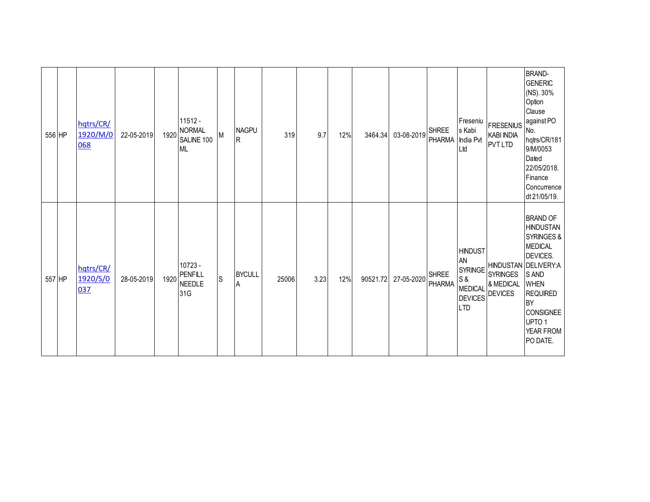| 556 HP | hqtrs/CR/<br>1920/M/0<br>068 | 22-05-2019 | 1920 | $11512 -$<br><b>NORMAL</b><br>SALINE 100<br><b>ML</b> | М           | <b>NAGPU</b><br>lR. | 319   | 9.7  | 12% | 3464.34  | 03-08-2019 | <b>SHREE</b><br>PHARMA | Freseniu<br>s Kabi<br>India Pvt<br>Ltd                                                          | <b>FRESENIUS</b><br><b>KABI INDIA</b><br><b>PVT LTD</b> | <b>BRAND-</b><br><b>GENERIC</b><br>(NS). 30%<br>Option<br>Clause<br>against PO<br>No.<br>hqtrs/CR/181<br>9/M/0053<br>Dated<br>22/05/2018.<br>Finance<br>Concurrence<br>dt 21/05/19.                                                      |
|--------|------------------------------|------------|------|-------------------------------------------------------|-------------|---------------------|-------|------|-----|----------|------------|------------------------|-------------------------------------------------------------------------------------------------|---------------------------------------------------------|------------------------------------------------------------------------------------------------------------------------------------------------------------------------------------------------------------------------------------------|
| 557 HP | hqtrs/CR/<br>1920/S/0<br>037 | 28-05-2019 | 1920 | $10723 -$<br><b>PENFILL</b><br><b>NEEDLE</b><br>31G   | $\mathsf S$ | <b>BYCULL</b><br>۱A | 25006 | 3.23 | 12% | 90521.72 | 27-05-2020 | <b>SHREE</b><br>PHARMA | <b>HINDUST</b><br>AN<br><b>SYRINGE</b><br>S &<br><b>MEDICAL</b><br><b>DEVICES</b><br><b>LTD</b> | <b>SYRINGES</b><br>& MEDICAL<br><b>DEVICES</b>          | <b>BRAND OF</b><br><b>HINDUSTAN</b><br>SYRINGES &<br><b>MEDICAL</b><br><b>DEVICES.</b><br>HINDUSTAN DELIVERY:A<br>S AND<br><b>WHEN</b><br><b>REQUIRED</b><br><b>BY</b><br><b>CONSIGNEE</b><br>UPTO <sub>1</sub><br>YEAR FROM<br>PO DATE. |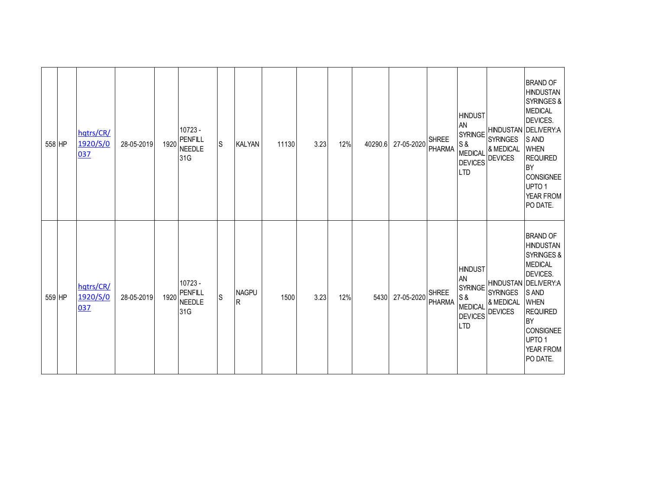| 558 HP | hqtrs/CR/<br>1920/S/0<br>037 | 28-05-2019 | 1920 | 10723 -<br><b>PENFILL</b><br>NEEDLE<br>31G | S                                          | <b>KALYAN</b>       | 11130 | 3.23 | 12% | 40290.6 | 27-05-2020 | <b>SHREE</b><br>PHARMA        | <b>HINDUST</b><br>AN<br><b>SYRINGE</b><br>S &<br><b>MEDICAL</b><br><b>DEVICES</b><br><b>LTD</b> | <b>SYRINGES</b><br>& MEDICAL<br><b>DEVICES</b> | <b>BRAND OF</b><br><b>HINDUSTAN</b><br>SYRINGES &<br><b>MEDICAL</b><br>DEVICES.<br>HINDUSTAN DELIVERY:A<br>S AND<br><b>WHEN</b><br><b>REQUIRED</b><br><b>BY</b><br>CONSIGNEE<br>UPTO <sub>1</sub><br>YEAR FROM<br>PO DATE.        |
|--------|------------------------------|------------|------|--------------------------------------------|--------------------------------------------|---------------------|-------|------|-----|---------|------------|-------------------------------|-------------------------------------------------------------------------------------------------|------------------------------------------------|-----------------------------------------------------------------------------------------------------------------------------------------------------------------------------------------------------------------------------------|
| 559 HP | hqtrs/CR/<br>1920/S/0<br>037 | 28-05-2019 | 1920 | 10723 -<br>PENFILL<br>NEEDLE<br>31G        | $\mathsf{S}% _{\mathcal{A}}^{\alpha\beta}$ | <b>NAGPU</b><br>lR. | 1500  | 3.23 | 12% | 5430    | 27-05-2020 | <b>SHREE</b><br><b>PHARMA</b> | <b>HINDUST</b><br>AN<br><b>SYRINGE</b><br>S &<br><b>MEDICAL</b><br><b>DEVICES</b><br><b>LTD</b> | <b>SYRINGES</b><br>& MEDICAL<br><b>DEVICES</b> | <b>BRAND OF</b><br><b>HINDUSTAN</b><br>SYRINGES &<br><b>MEDICAL</b><br><b>DEVICES.</b><br>HINDUSTAN DELIVERY:A<br>S AND<br><b>WHEN</b><br><b>REQUIRED</b><br><b>BY</b><br>CONSIGNEE<br>UPTO <sub>1</sub><br>YEAR FROM<br>PO DATE. |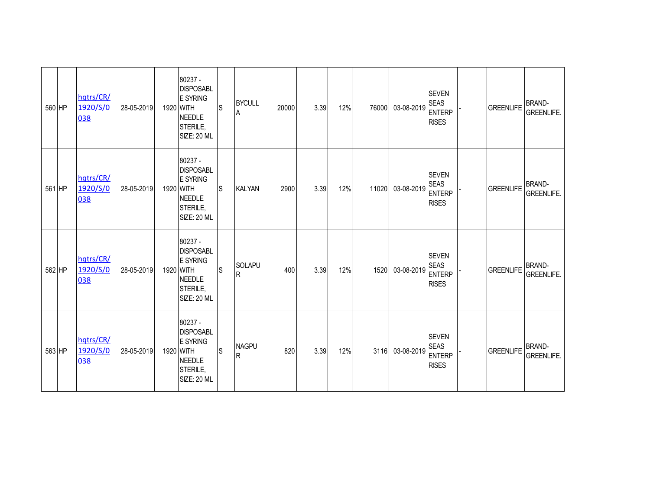| 560 HP | hqtrs/CR/<br>1920/S/0<br>038 | 28-05-2019 | 80237 -<br><b>DISPOSABL</b><br><b>E SYRING</b><br>1920 WITH<br><b>NEEDLE</b><br>STERILE,<br><b>SIZE: 20 ML</b> | ls | <b>BYCULL</b><br>A   | 20000 | 3.39 | 12% | 76000 | 03-08-2019 | <b>SEVEN</b><br><b>SEAS</b><br><b>ENTERP</b><br><b>RISES</b> | GREENLIFE        | <b>BRAND-</b><br><b>GREENLIFE.</b> |
|--------|------------------------------|------------|----------------------------------------------------------------------------------------------------------------|----|----------------------|-------|------|-----|-------|------------|--------------------------------------------------------------|------------------|------------------------------------|
| 561 HP | hqtrs/CR/<br>1920/S/0<br>038 | 28-05-2019 | 80237 -<br><b>DISPOSABL</b><br>E SYRING<br>1920 WITH<br><b>NEEDLE</b><br>STERILE,<br><b>SIZE: 20 ML</b>        | S  | <b>KALYAN</b>        | 2900  | 3.39 | 12% | 11020 | 03-08-2019 | <b>SEVEN</b><br><b>SEAS</b><br><b>ENTERP</b><br><b>RISES</b> | <b>GREENLIFE</b> | <b>BRAND-</b><br><b>GREENLIFE.</b> |
| 562 HP | hqtrs/CR/<br>1920/S/0<br>038 | 28-05-2019 | 80237 -<br><b>DISPOSABL</b><br><b>E SYRING</b><br>1920 WITH<br><b>NEEDLE</b><br>STERILE,<br><b>SIZE: 20 ML</b> | ls | <b>SOLAPU</b><br>IR. | 400   | 3.39 | 12% | 1520  | 03-08-2019 | <b>SEVEN</b><br><b>SEAS</b><br><b>ENTERP</b><br><b>RISES</b> | <b>GREENLIFE</b> | <b>BRAND-</b><br><b>GREENLIFE.</b> |
| 563 HP | hqtrs/CR/<br>1920/S/0<br>038 | 28-05-2019 | 80237 -<br><b>DISPOSABL</b><br><b>E SYRING</b><br>1920 WITH<br><b>NEEDLE</b><br>STERILE,<br><b>SIZE: 20 ML</b> | S  | <b>NAGPU</b><br>R    | 820   | 3.39 | 12% | 3116  | 03-08-2019 | <b>SEVEN</b><br><b>SEAS</b><br><b>ENTERP</b><br><b>RISES</b> | GREENLIFE        | <b>BRAND-</b><br><b>GREENLIFE.</b> |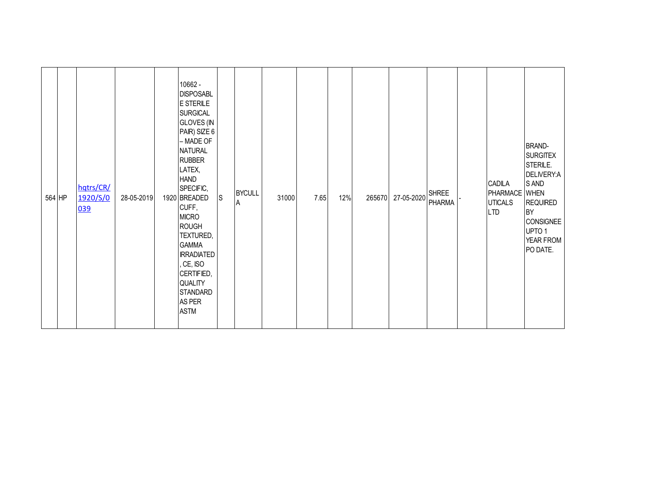| 564 HP | hqtrs/CR/<br>1920/S/0<br>039 | 28-05-2019 | 10662 -<br><b>DISPOSABL</b><br>E STERILE<br><b>SURGICAL</b><br><b>GLOVES (IN</b><br>PAIR) SIZE 6<br>– MADE OF<br><b>NATURAL</b><br><b>RUBBER</b><br>LATEX,<br><b>HAND</b><br>SPECIFIC,<br>1920 BREADED<br>CUFF,<br><b>MICRO</b><br><b>ROUGH</b><br>TEXTURED,<br><b>GAMMA</b><br><b>IRRADIATED</b><br>CE, ISO<br>CERTIFIED,<br>QUALITY<br>STANDARD<br>AS PER | $\mathsf{S}$ | <b>BYCULL</b><br>A | 31000 | 7.65 | 12% | 265670 | 27-05-2020 | <b>SHREE</b><br><b>PHARMA</b> | CADILA<br>PHARMACE WHEN<br><b>UTICALS</b><br><b>LTD</b> | <b>BRAND-</b><br><b>SURGITEX</b><br>STERILE.<br>DELIVERY:A<br>S AND<br><b>REQUIRED</b><br><b>BY</b><br><b>CONSIGNEE</b><br>UPTO <sub>1</sub><br>YEAR FROM<br>PO DATE. |
|--------|------------------------------|------------|-------------------------------------------------------------------------------------------------------------------------------------------------------------------------------------------------------------------------------------------------------------------------------------------------------------------------------------------------------------|--------------|--------------------|-------|------|-----|--------|------------|-------------------------------|---------------------------------------------------------|-----------------------------------------------------------------------------------------------------------------------------------------------------------------------|
|        |                              |            | <b>ASTM</b>                                                                                                                                                                                                                                                                                                                                                 |              |                    |       |      |     |        |            |                               |                                                         |                                                                                                                                                                       |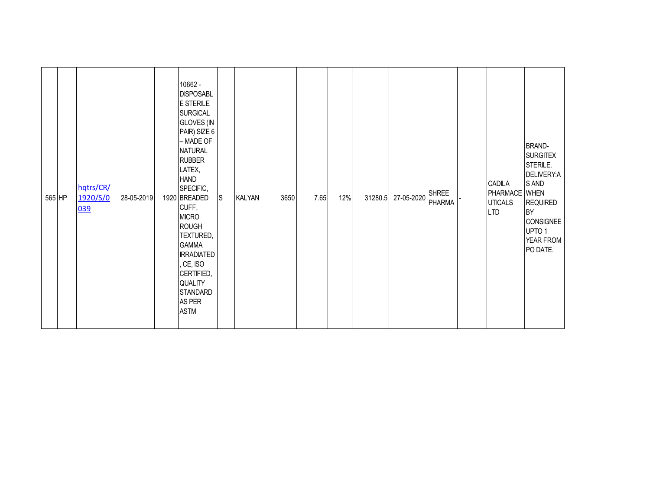| 565 HP | hqtrs/CR/<br>1920/S/0<br>039 | 28-05-2019 | 10662 -<br><b>DISPOSABL</b><br>E STERILE<br><b>SURGICAL</b><br><b>GLOVES (IN</b><br>PAIR) SIZE 6<br>$-$ MADE OF<br><b>NATURAL</b><br><b>RUBBER</b><br>LATEX,<br><b>HAND</b><br>SPECIFIC,<br>1920 BREADED<br>CUFF,<br><b>MICRO</b><br><b>ROUGH</b><br>TEXTURED,<br><b>GAMMA</b><br><b>IRRADIATED</b><br>CE, ISO<br>CERTIFIED,<br>QUALITY<br><b>STANDARD</b> | <b>S</b> | <b>KALYAN</b> | 3650 | 7.65 | 12% | 31280.5 | 27-05-2020 | <b>SHREE</b><br><b>PHARMA</b> | <b>CADILA</b><br>PHARMACE WHEN<br><b>UTICALS</b><br><b>LTD</b> | <b>BRAND-</b><br><b>SURGITEX</b><br>STERILE.<br>DELIVERY:A<br>S AND<br><b>REQUIRED</b><br>BY<br><b>CONSIGNEE</b><br>UPTO 1<br>YEAR FROM<br>PO DATE. |
|--------|------------------------------|------------|------------------------------------------------------------------------------------------------------------------------------------------------------------------------------------------------------------------------------------------------------------------------------------------------------------------------------------------------------------|----------|---------------|------|------|-----|---------|------------|-------------------------------|----------------------------------------------------------------|-----------------------------------------------------------------------------------------------------------------------------------------------------|
|        |                              |            | AS PER<br><b>ASTM</b>                                                                                                                                                                                                                                                                                                                                      |          |               |      |      |     |         |            |                               |                                                                |                                                                                                                                                     |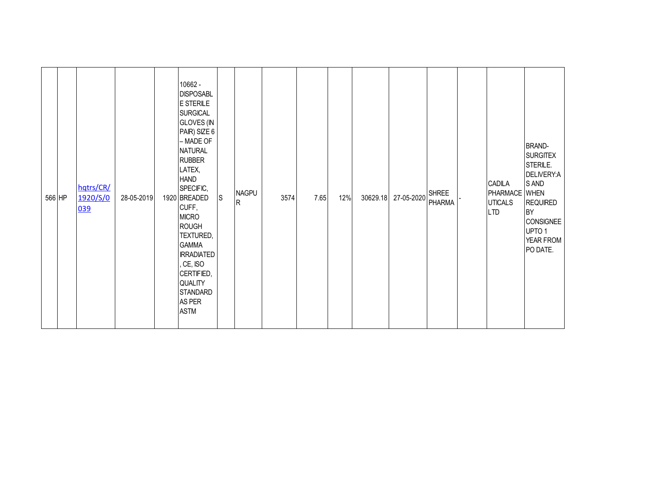| 566 HP | hqtrs/CR/<br>1920/S/0<br>039 | 28-05-2019 | 10662 -<br><b>DISPOSABL</b><br>E STERILE<br><b>SURGICAL</b><br><b>GLOVES (IN</b><br>PAIR) SIZE 6<br>$-$ MADE OF<br><b>NATURAL</b><br><b>RUBBER</b><br>LATEX,<br><b>HAND</b><br>SPECIFIC,<br>1920 BREADED<br>CUFF,<br><b>MICRO</b><br><b>ROUGH</b><br>TEXTURED,<br><b>GAMMA</b><br><b>IRRADIATED</b><br>CE, ISO<br>CERTIFIED,<br>QUALITY<br><b>STANDARD</b> | $\mathsf{S}$ | <b>NAGPU</b><br>$\mathsf{R}$ | 3574 | 7.65 | 12% | 30629.18 | 27-05-2020 | <b>SHREE</b><br><b>PHARMA</b> | <b>CADILA</b><br>PHARMACE WHEN<br><b>UTICALS</b><br><b>LTD</b> | <b>BRAND-</b><br><b>SURGITEX</b><br>STERILE.<br>DELIVERY:A<br>S AND<br><b>REQUIRED</b><br>BY<br><b>CONSIGNEE</b><br>UPTO 1<br>YEAR FROM<br>PO DATE. |
|--------|------------------------------|------------|------------------------------------------------------------------------------------------------------------------------------------------------------------------------------------------------------------------------------------------------------------------------------------------------------------------------------------------------------------|--------------|------------------------------|------|------|-----|----------|------------|-------------------------------|----------------------------------------------------------------|-----------------------------------------------------------------------------------------------------------------------------------------------------|
|        |                              |            | AS PER<br><b>ASTM</b>                                                                                                                                                                                                                                                                                                                                      |              |                              |      |      |     |          |            |                               |                                                                |                                                                                                                                                     |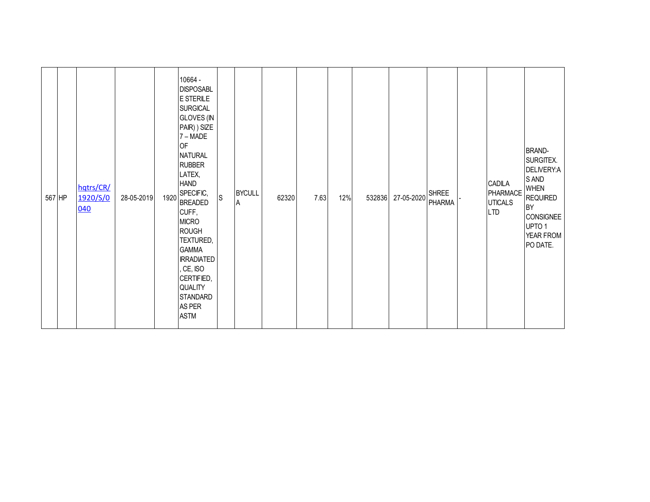| 567 HP | hqtrs/CR/<br>1920/S/0<br>040 | 28-05-2019 | 1920 | 10664 -<br><b>DISPOSABL</b><br>E STERILE<br><b>SURGICAL</b><br><b>GLOVES (IN</b><br>PAIR) ) SIZE<br>$7 - \text{MADE}$<br><b>OF</b><br><b>NATURAL</b><br><b>RUBBER</b><br>LATEX,<br><b>HAND</b><br>SPECIFIC,<br><b>BREADED</b><br>CUFF,<br><b>MICRO</b><br><b>ROUGH</b><br>TEXTURED,<br><b>GAMMA</b><br><b>IRRADIATED</b><br>, CE, ISO<br>CERTIFIED,<br>QUALITY<br><b>STANDARD</b> | S | <b>BYCULL</b><br>A | 62320 | 7.63 | 12% | 532836 27-05-2020 | <b>PHARMA</b> | CADILA<br>PHARMACE<br><b>UTICALS</b><br><b>LTD</b> | <b>BRAND-</b><br>SURGITEX.<br>DELIVERY:A<br>S AND<br><b>WHEN</b><br><b>REQUIRED</b><br><b>BY</b><br><b>CONSIGNEE</b><br>UPTO 1<br>YEAR FROM<br>PO DATE. |
|--------|------------------------------|------------|------|-----------------------------------------------------------------------------------------------------------------------------------------------------------------------------------------------------------------------------------------------------------------------------------------------------------------------------------------------------------------------------------|---|--------------------|-------|------|-----|-------------------|---------------|----------------------------------------------------|---------------------------------------------------------------------------------------------------------------------------------------------------------|
|        |                              |            |      | AS PER<br><b>ASTM</b>                                                                                                                                                                                                                                                                                                                                                             |   |                    |       |      |     |                   |               |                                                    |                                                                                                                                                         |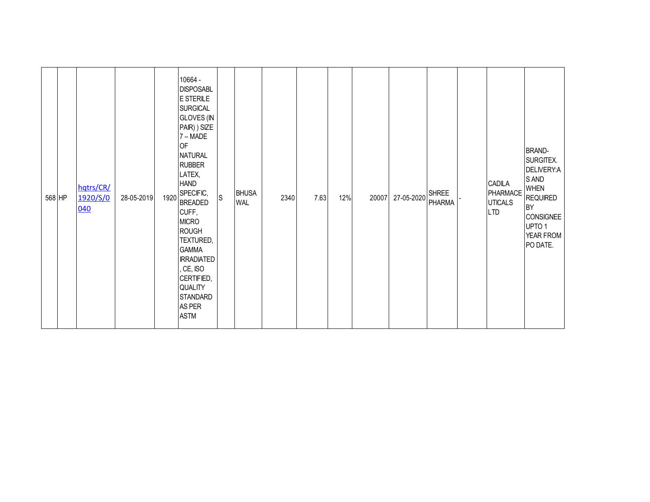| 568 HP | hqtrs/CR/<br>1920/S/0<br>040 | 28-05-2019 | 1920 | 10664 -<br><b>DISPOSABL</b><br>E STERILE<br><b>SURGICAL</b><br><b>GLOVES (IN</b><br>PAIR) ) SIZE<br>7 – MADE<br><b>OF</b><br><b>NATURAL</b><br><b>RUBBER</b><br>LATEX,<br><b>HAND</b><br>SPECIFIC,<br><b>BREADED</b><br>CUFF,<br><b>MICRO</b><br><b>ROUGH</b><br>TEXTURED,<br><b>GAMMA</b><br><b>IRRADIATED</b><br>, CE, ISO<br>CERTIFIED,<br>QUALITY<br>STANDARD<br>AS PER | S | <b>BHUSA</b><br><b>WAL</b> | 2340 | 7.63 | 12% | 20007 | 27-05-2020 | <b>SHREE</b><br><b>PHARMA</b> | CADILA<br>PHARMACE<br><b>UTICALS</b><br><b>LTD</b> | <b>BRAND-</b><br>SURGITEX.<br>DELIVERY:A<br>S AND<br><b>WHEN</b><br><b>REQUIRED</b><br><b>BY</b><br><b>CONSIGNEE</b><br>UPTO 1<br>YEAR FROM<br>PO DATE. |
|--------|------------------------------|------------|------|-----------------------------------------------------------------------------------------------------------------------------------------------------------------------------------------------------------------------------------------------------------------------------------------------------------------------------------------------------------------------------|---|----------------------------|------|------|-----|-------|------------|-------------------------------|----------------------------------------------------|---------------------------------------------------------------------------------------------------------------------------------------------------------|
|        |                              |            |      | <b>ASTM</b>                                                                                                                                                                                                                                                                                                                                                                 |   |                            |      |      |     |       |            |                               |                                                    |                                                                                                                                                         |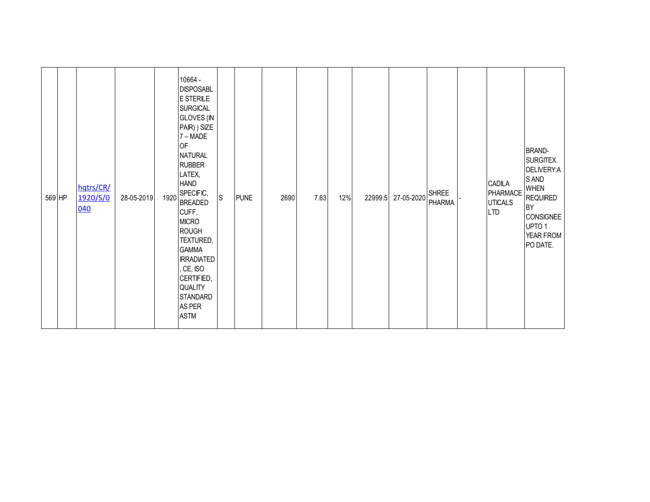| 569 HP | hqtrs/CR/<br>1920/S/0<br>040 | 28-05-2019 | 1920 | 10664 -<br><b>DISPOSABL</b><br>E STERILE<br><b>SURGICAL</b><br><b>GLOVES (IN</b><br>PAIR) ) SIZE<br>7 – MADE<br><b>OF</b><br><b>NATURAL</b><br><b>RUBBER</b><br>LATEX,<br><b>HAND</b><br>SPECIFIC,<br><b>BREADED</b><br>CUFF,<br><b>MICRO</b><br><b>ROUGH</b><br>TEXTURED,<br><b>GAMMA</b><br><b>IRRADIATED</b><br>, CE, ISO<br>CERTIFIED,<br>QUALITY<br>STANDARD<br>AS PER | S | <b>PUNE</b> | 2690 | 7.63 | 12% | 22999.5 | 27-05-2020 | <b>SHREE</b><br><b>PHARMA</b> | CADILA<br>PHARMACE<br><b>UTICALS</b><br><b>LTD</b> | <b>BRAND-</b><br>SURGITEX.<br>DELIVERY:A<br>S AND<br><b>WHEN</b><br><b>REQUIRED</b><br><b>BY</b><br><b>CONSIGNEE</b><br>UPTO 1<br>YEAR FROM<br>PO DATE. |
|--------|------------------------------|------------|------|-----------------------------------------------------------------------------------------------------------------------------------------------------------------------------------------------------------------------------------------------------------------------------------------------------------------------------------------------------------------------------|---|-------------|------|------|-----|---------|------------|-------------------------------|----------------------------------------------------|---------------------------------------------------------------------------------------------------------------------------------------------------------|
|        |                              |            |      | <b>ASTM</b>                                                                                                                                                                                                                                                                                                                                                                 |   |             |      |      |     |         |            |                               |                                                    |                                                                                                                                                         |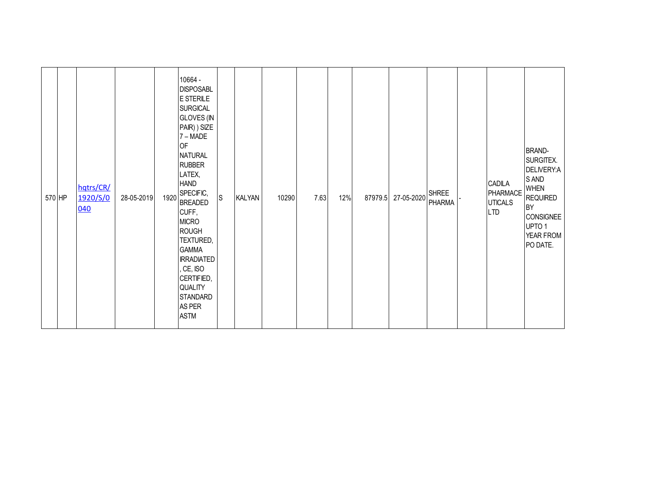| 570 HP | hqtrs/CR/<br>1920/S/0<br>040 | 28-05-2019 | 1920 | 10664 -<br><b>DISPOSABL</b><br>E STERILE<br><b>SURGICAL</b><br><b>GLOVES</b> (IN<br>PAIR) ) SIZE<br>7 – MADE<br>OF<br><b>NATURAL</b><br><b>RUBBER</b><br>LATEX,<br><b>HAND</b><br>SPECIFIC,<br><b>BREADED</b><br>CUFF,<br><b>MICRO</b><br><b>ROUGH</b><br>TEXTURED,<br><b>GAMMA</b><br><b>IRRADIATED</b><br>, CE, ISO<br>CERTIFIED,<br>QUALITY<br><b>STANDARD</b><br>AS PER | ${\mathsf S}$ | <b>KALYAN</b> | 10290 | 7.63 | 12% | 87979.5 | 27-05-2020 | <b>SHREE</b><br><b>PHARMA</b> | CADILA<br>PHARMACE<br><b>UTICALS</b><br><b>LTD</b> | <b>BRAND-</b><br>SURGITEX.<br>DELIVERY:A<br>S AND<br><b>WHEN</b><br><b>REQUIRED</b><br>BY<br><b>CONSIGNEE</b><br>UPTO 1<br>YEAR FROM<br>PO DATE. |
|--------|------------------------------|------------|------|-----------------------------------------------------------------------------------------------------------------------------------------------------------------------------------------------------------------------------------------------------------------------------------------------------------------------------------------------------------------------------|---------------|---------------|-------|------|-----|---------|------------|-------------------------------|----------------------------------------------------|--------------------------------------------------------------------------------------------------------------------------------------------------|
|        |                              |            |      | <b>ASTM</b>                                                                                                                                                                                                                                                                                                                                                                 |               |               |       |      |     |         |            |                               |                                                    |                                                                                                                                                  |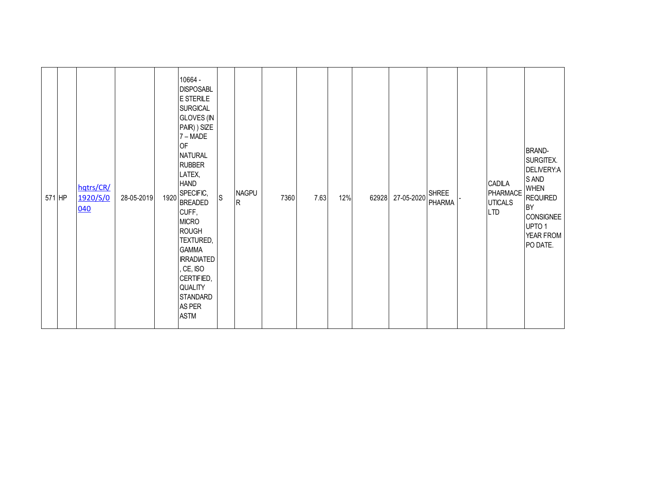| 571 HP | hqtrs/CR/<br>1920/S/0<br>040 | 28-05-2019 | 1920 | 10664 -<br><b>DISPOSABL</b><br>E STERILE<br><b>SURGICAL</b><br><b>GLOVES (IN</b><br>PAIR) ) SIZE<br>7 – MADE<br>OF<br><b>NATURAL</b><br><b>RUBBER</b><br>LATEX,<br><b>HAND</b><br>SPECIFIC,<br><b>BREADED</b><br>CUFF,<br><b>MICRO</b><br><b>ROUGH</b><br>TEXTURED,<br><b>GAMMA</b><br><b>IRRADIATED</b><br>, CE, ISO<br>CERTIFIED,<br>QUALITY<br><b>STANDARD</b> | S | <b>NAGPU</b><br>$\mathsf{R}$ | 7360 | 7.63 | 12% | 62928 | 27-05-2020 | <b>SHREE</b><br>PHARMA | CADILA<br>PHARMACE<br><b>UTICALS</b><br><b>LTD</b> | <b>BRAND-</b><br>SURGITEX.<br>DELIVERY:A<br>S AND<br><b>WHEN</b><br><b>REQUIRED</b><br>BY<br><b>CONSIGNEE</b><br>UPTO 1<br>YEAR FROM<br>PO DATE. |
|--------|------------------------------|------------|------|-------------------------------------------------------------------------------------------------------------------------------------------------------------------------------------------------------------------------------------------------------------------------------------------------------------------------------------------------------------------|---|------------------------------|------|------|-----|-------|------------|------------------------|----------------------------------------------------|--------------------------------------------------------------------------------------------------------------------------------------------------|
|        |                              |            |      | AS PER<br><b>ASTM</b>                                                                                                                                                                                                                                                                                                                                             |   |                              |      |      |     |       |            |                        |                                                    |                                                                                                                                                  |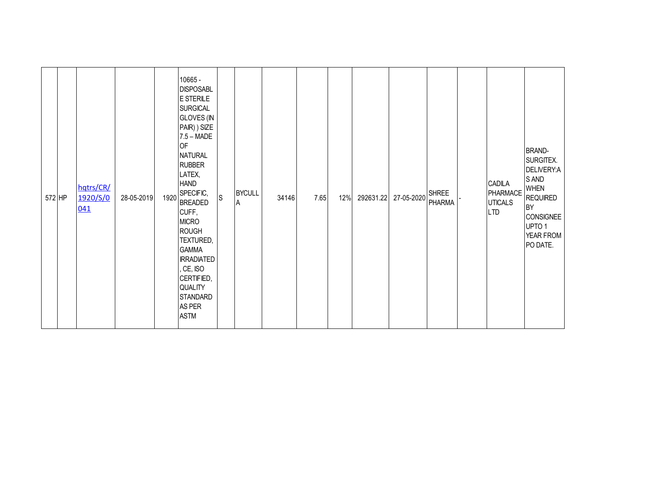| 572 HP | hqtrs/CR/<br>1920/S/0<br>041 | 28-05-2019 | 1920 | 10665 -<br><b>DISPOSABL</b><br>E STERILE<br><b>SURGICAL</b><br><b>GLOVES</b> (IN<br>PAIR) ) SIZE<br>$7.5 - \text{MADE}$<br>OF<br><b>NATURAL</b><br><b>RUBBER</b><br>LATEX,<br><b>HAND</b><br>SPECIFIC,<br><b>BREADED</b><br>CUFF,<br><b>MICRO</b><br><b>ROUGH</b><br>TEXTURED,<br><b>GAMMA</b><br><b>IRRADIATED</b><br>, CE, ISO<br>CERTIFIED,<br>QUALITY<br><b>STANDARD</b><br>AS PER | ls. | <b>BYCULL</b><br>A | 34146 | 7.65 | 12% | 292631.22 | 27-05-2020 | <b>SHREE</b><br><b>PHARMA</b> | CADILA<br>PHARMACE<br><b>UTICALS</b><br><b>LTD</b> | <b>BRAND-</b><br>SURGITEX.<br>DELIVERY:A<br>S AND<br><b>WHEN</b><br><b>REQUIRED</b><br>BY<br><b>CONSIGNEE</b><br>UPTO 1<br>YEAR FROM<br>PO DATE. |
|--------|------------------------------|------------|------|----------------------------------------------------------------------------------------------------------------------------------------------------------------------------------------------------------------------------------------------------------------------------------------------------------------------------------------------------------------------------------------|-----|--------------------|-------|------|-----|-----------|------------|-------------------------------|----------------------------------------------------|--------------------------------------------------------------------------------------------------------------------------------------------------|
|        |                              |            |      | <b>ASTM</b>                                                                                                                                                                                                                                                                                                                                                                            |     |                    |       |      |     |           |            |                               |                                                    |                                                                                                                                                  |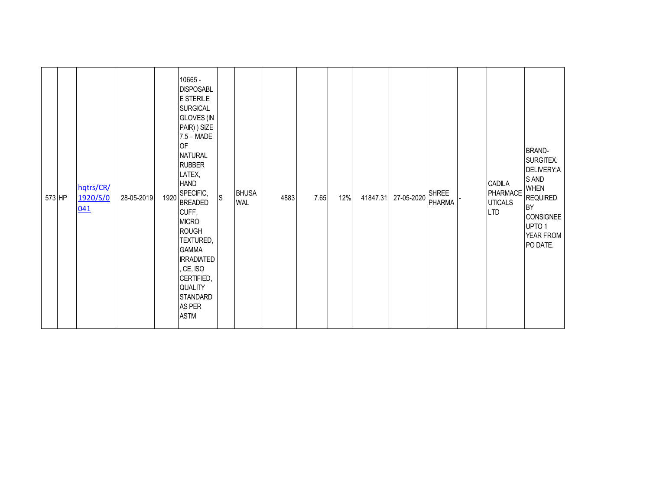| 573 HP | hqtrs/CR/<br>1920/S/0<br>041 | 28-05-2019 | 1920 | 10665 -<br><b>DISPOSABL</b><br>E STERILE<br><b>SURGICAL</b><br><b>GLOVES (IN</b><br>PAIR) ) SIZE<br>$7.5 - \text{MADE}$<br><b>OF</b><br><b>NATURAL</b><br><b>RUBBER</b><br>LATEX,<br><b>HAND</b><br>SPECIFIC,<br><b>BREADED</b><br>CUFF,<br><b>MICRO</b><br><b>ROUGH</b><br>TEXTURED,<br><b>GAMMA</b><br><b>IRRADIATED</b><br>, CE, ISO<br>CERTIFIED,<br>QUALITY<br>STANDARD<br>AS PER | S | <b>BHUSA</b><br><b>WAL</b> | 4883 | 7.65 | 12% | 41847.31 | 27-05-2020 | <b>SHREE</b><br><b>PHARMA</b> | CADILA<br>PHARMACE<br><b>UTICALS</b><br><b>LTD</b> | <b>BRAND-</b><br>SURGITEX.<br>DELIVERY:A<br>S AND<br><b>WHEN</b><br><b>REQUIRED</b><br><b>BY</b><br><b>CONSIGNEE</b><br>UPTO 1<br>YEAR FROM<br>PO DATE. |
|--------|------------------------------|------------|------|----------------------------------------------------------------------------------------------------------------------------------------------------------------------------------------------------------------------------------------------------------------------------------------------------------------------------------------------------------------------------------------|---|----------------------------|------|------|-----|----------|------------|-------------------------------|----------------------------------------------------|---------------------------------------------------------------------------------------------------------------------------------------------------------|
|        |                              |            |      | <b>ASTM</b>                                                                                                                                                                                                                                                                                                                                                                            |   |                            |      |      |     |          |            |                               |                                                    |                                                                                                                                                         |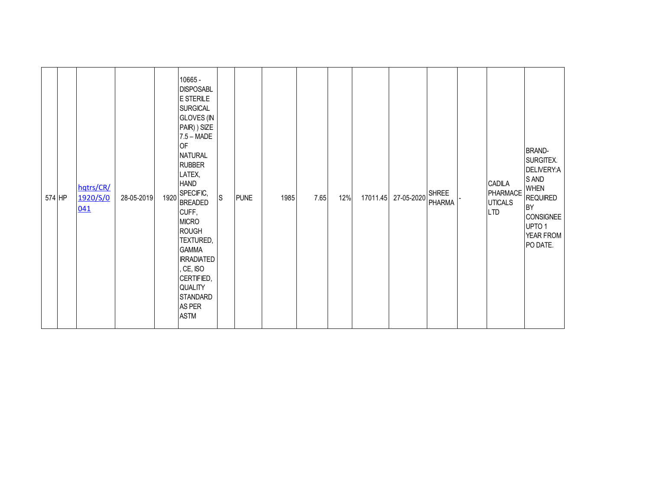| 574 HP | hqtrs/CR/<br>1920/S/0<br>041 | 28-05-2019 | 1920 | 10665 -<br><b>DISPOSABL</b><br>E STERILE<br><b>SURGICAL</b><br><b>GLOVES (IN</b><br>PAIR) ) SIZE<br>$7.5 - \text{MADE}$<br>OF<br><b>NATURAL</b><br><b>RUBBER</b><br>LATEX,<br><b>HAND</b><br>SPECIFIC,<br><b>BREADED</b><br>CUFF,<br><b>MICRO</b><br><b>ROUGH</b><br>TEXTURED,<br><b>GAMMA</b><br><b>IRRADIATED</b><br>, CE, ISO<br>CERTIFIED,<br>QUALITY<br><b>STANDARD</b> | $\mathsf{S}$ | <b>PUNE</b> | 1985 | 7.65 | 12% | 17011.45 | 27-05-2020 | <b>SHREE</b><br>PHARMA | CADILA<br>PHARMACE<br><b>UTICALS</b><br><b>LTD</b> | <b>BRAND-</b><br>SURGITEX.<br>DELIVERY:A<br>S AND<br><b>WHEN</b><br><b>REQUIRED</b><br>BY<br><b>CONSIGNEE</b><br>UPTO 1<br>YEAR FROM<br>PO DATE. |
|--------|------------------------------|------------|------|------------------------------------------------------------------------------------------------------------------------------------------------------------------------------------------------------------------------------------------------------------------------------------------------------------------------------------------------------------------------------|--------------|-------------|------|------|-----|----------|------------|------------------------|----------------------------------------------------|--------------------------------------------------------------------------------------------------------------------------------------------------|
|        |                              |            |      | AS PER<br><b>ASTM</b>                                                                                                                                                                                                                                                                                                                                                        |              |             |      |      |     |          |            |                        |                                                    |                                                                                                                                                  |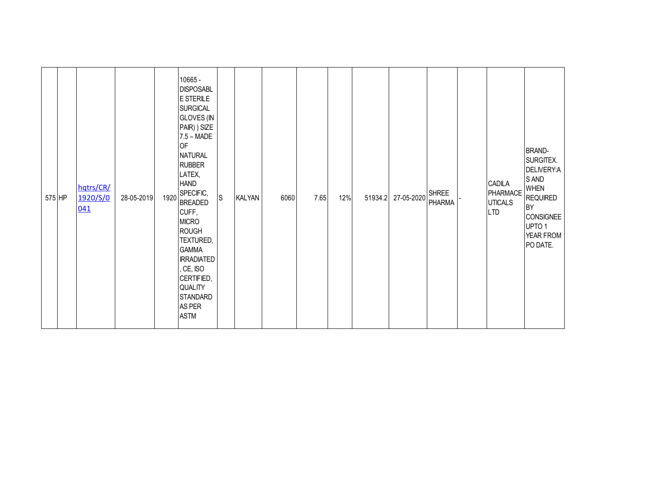| 575 HP | hqtrs/CR/<br>1920/S/0<br>041 | 28-05-2019 | 1920 | 10665 -<br><b>DISPOSABL</b><br>E STERILE<br><b>SURGICAL</b><br><b>GLOVES</b> (IN<br>PAIR) ) SIZE<br>$7.5 - \text{MADE}$<br>OF<br><b>NATURAL</b><br><b>RUBBER</b><br>LATEX,<br><b>HAND</b><br>SPECIFIC,<br><b>BREADED</b><br>CUFF,<br><b>MICRO</b><br><b>ROUGH</b><br>TEXTURED,<br><b>GAMMA</b><br><b>IRRADIATED</b><br>, CE, ISO<br>CERTIFIED,<br>QUALITY<br><b>STANDARD</b><br>AS PER | ${\mathsf S}$ | <b>KALYAN</b> | 6060 | 7.65 | 12% | 51934.2 | 27-05-2020 | <b>SHREE</b><br><b>PHARMA</b> | CADILA<br>PHARMACE<br><b>UTICALS</b><br><b>LTD</b> | <b>BRAND-</b><br>SURGITEX.<br>DELIVERY:A<br>S AND<br><b>WHEN</b><br><b>REQUIRED</b><br>BY<br><b>CONSIGNEE</b><br>UPTO 1<br>YEAR FROM<br>PO DATE. |
|--------|------------------------------|------------|------|----------------------------------------------------------------------------------------------------------------------------------------------------------------------------------------------------------------------------------------------------------------------------------------------------------------------------------------------------------------------------------------|---------------|---------------|------|------|-----|---------|------------|-------------------------------|----------------------------------------------------|--------------------------------------------------------------------------------------------------------------------------------------------------|
|        |                              |            |      | <b>ASTM</b>                                                                                                                                                                                                                                                                                                                                                                            |               |               |      |      |     |         |            |                               |                                                    |                                                                                                                                                  |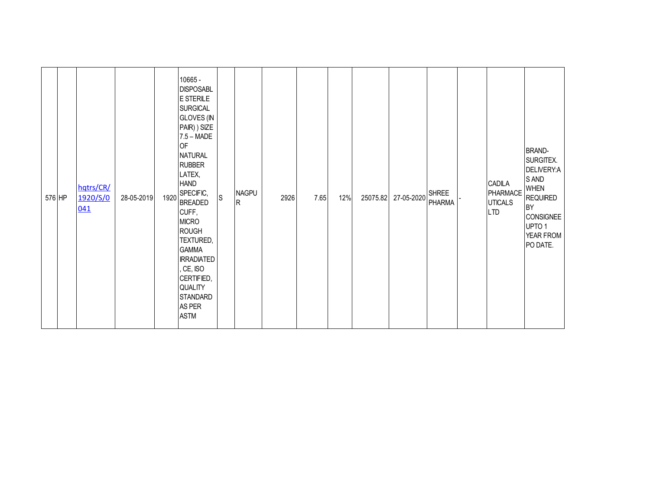| 576 HP | hqtrs/CR/<br>1920/S/0<br>041 | 28-05-2019 | 1920 | 10665 -<br><b>DISPOSABL</b><br>E STERILE<br><b>SURGICAL</b><br><b>GLOVES</b> (IN<br>PAIR) ) SIZE<br>$7.5 - \text{MADE}$<br>OF<br><b>NATURAL</b><br><b>RUBBER</b><br>LATEX,<br><b>HAND</b><br>SPECIFIC,<br><b>BREADED</b><br>CUFF,<br><b>MICRO</b><br><b>ROUGH</b><br>TEXTURED,<br><b>GAMMA</b><br><b>IRRADIATED</b><br>, CE, ISO<br>CERTIFIED,<br>QUALITY<br><b>STANDARD</b><br>AS PER | ls. | <b>NAGPU</b><br>$\mathsf{R}$ | 2926 | 7.65 | 12% | 25075.82 | 27-05-2020 | <b>SHREE</b><br><b>PHARMA</b> | CADILA<br>PHARMACE<br><b>UTICALS</b><br><b>LTD</b> | <b>BRAND-</b><br>SURGITEX.<br>DELIVERY:A<br>S AND<br><b>WHEN</b><br><b>REQUIRED</b><br>BY<br><b>CONSIGNEE</b><br>UPTO 1<br>YEAR FROM<br>PO DATE. |
|--------|------------------------------|------------|------|----------------------------------------------------------------------------------------------------------------------------------------------------------------------------------------------------------------------------------------------------------------------------------------------------------------------------------------------------------------------------------------|-----|------------------------------|------|------|-----|----------|------------|-------------------------------|----------------------------------------------------|--------------------------------------------------------------------------------------------------------------------------------------------------|
|        |                              |            |      | <b>ASTM</b>                                                                                                                                                                                                                                                                                                                                                                            |     |                              |      |      |     |          |            |                               |                                                    |                                                                                                                                                  |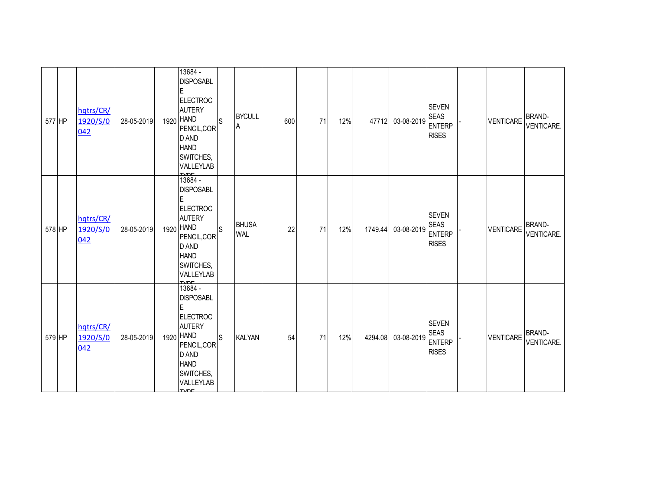| 577 HP | hqtrs/CR/<br>1920/S/0<br>042 | 28-05-2019 | 13684 -<br><b>DISPOSABL</b><br>E<br><b>ELECTROC</b><br><b>AUTERY</b><br>1920 HAND<br>PENCIL, COR<br>D AND<br><b>HAND</b><br>SWITCHES,<br>VALLEYLAB                            | ls           | <b>BYCULL</b><br>A         | 600 | 71 | 12% | 47712   | 03-08-2019 | <b>SEVEN</b><br><b>SEAS</b><br><b>ENTERP</b><br><b>RISES</b> | VENTICARE        | <b>BRAND-</b><br>VENTICARE. |
|--------|------------------------------|------------|-------------------------------------------------------------------------------------------------------------------------------------------------------------------------------|--------------|----------------------------|-----|----|-----|---------|------------|--------------------------------------------------------------|------------------|-----------------------------|
| 578 HP | hqtrs/CR/<br>1920/S/0<br>042 | 28-05-2019 | $\frac{1000}{13684}$<br><b>DISPOSABL</b><br>Е<br><b>ELECTROC</b><br><b>AUTERY</b><br>1920 HAND<br>PENCIL, COR<br>D AND<br><b>HAND</b><br>SWITCHES,<br>VALLEYLAB<br><b>NOC</b> | <sub>S</sub> | <b>BHUSA</b><br><b>WAL</b> | 22  | 71 | 12% | 1749.44 | 03-08-2019 | <b>SEVEN</b><br><b>SEAS</b><br><b>ENTERP</b><br><b>RISES</b> | <b>VENTICARE</b> | <b>BRAND-</b><br>VENTICARE. |
| 579 HP | hqtrs/CR/<br>1920/S/0<br>042 | 28-05-2019 | 13684 -<br><b>DISPOSABL</b><br>E<br><b>ELECTROC</b><br><b>AUTERY</b><br>1920 HAND<br>PENCIL, COR<br>D AND<br><b>HAND</b><br>SWITCHES,<br>VALLEYLAB                            | ls           | KALYAN                     | 54  | 71 | 12% | 4294.08 | 03-08-2019 | <b>SEVEN</b><br><b>SEAS</b><br><b>ENTERP</b><br><b>RISES</b> | VENTICARE        | <b>BRAND-</b><br>VENTICARE. |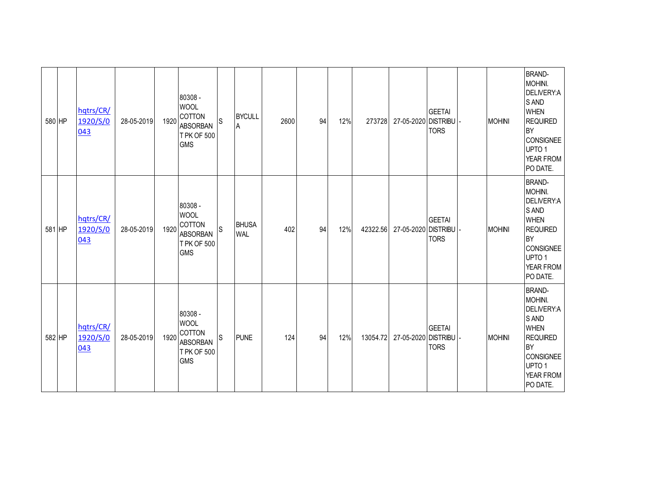| 580 HP | hqtrs/CR/<br>1920/S/0<br>043 | 28-05-2019 | 1920 | 80308 -<br><b>WOOL</b><br>COTTON<br><b>ABSORBAN</b><br>T PK OF 500<br><b>GMS</b> | S            | <b>BYCULL</b><br>A         | 2600 | 94 | 12% | 273728   | 27-05-2020 DISTRIBU - | <b>GEETAI</b><br><b>TORS</b> | <b>MOHINI</b> | <b>BRAND-</b><br>MOHINI.<br>DELIVERY:A<br>S AND<br><b>WHEN</b><br><b>REQUIRED</b><br><b>BY</b><br><b>CONSIGNEE</b><br>UPTO <sub>1</sub><br>YEAR FROM<br>PO DATE. |
|--------|------------------------------|------------|------|----------------------------------------------------------------------------------|--------------|----------------------------|------|----|-----|----------|-----------------------|------------------------------|---------------|------------------------------------------------------------------------------------------------------------------------------------------------------------------|
| 581 HP | hqtrs/CR/<br>1920/S/0<br>043 | 28-05-2019 | 1920 | 80308 -<br><b>WOOL</b><br>COTTON<br><b>ABSORBAN</b><br>T PK OF 500<br><b>GMS</b> | $\mathsf{S}$ | <b>BHUSA</b><br><b>WAL</b> | 402  | 94 | 12% | 42322.56 | 27-05-2020 DISTRIBU   | <b>GEETAI</b><br><b>TORS</b> | <b>MOHINI</b> | <b>BRAND-</b><br>MOHINI.<br>DELIVERY:A<br>S AND<br><b>WHEN</b><br><b>REQUIRED</b><br><b>BY</b><br><b>CONSIGNEE</b><br>UPTO <sub>1</sub><br>YEAR FROM<br>PO DATE. |
| 582 HP | hqtrs/CR/<br>1920/S/0<br>043 | 28-05-2019 | 1920 | 80308 -<br><b>WOOL</b><br>COTTON<br><b>ABSORBAN</b><br>T PK OF 500<br><b>GMS</b> | S            | <b>PUNE</b>                | 124  | 94 | 12% | 13054.72 | 27-05-2020 DISTRIBU   | <b>GEETAI</b><br><b>TORS</b> | <b>MOHINI</b> | <b>BRAND-</b><br>MOHINI.<br>DELIVERY:A<br>S AND<br><b>WHEN</b><br><b>REQUIRED</b><br><b>BY</b><br><b>CONSIGNEE</b><br>UPTO 1<br>YEAR FROM<br>PO DATE.            |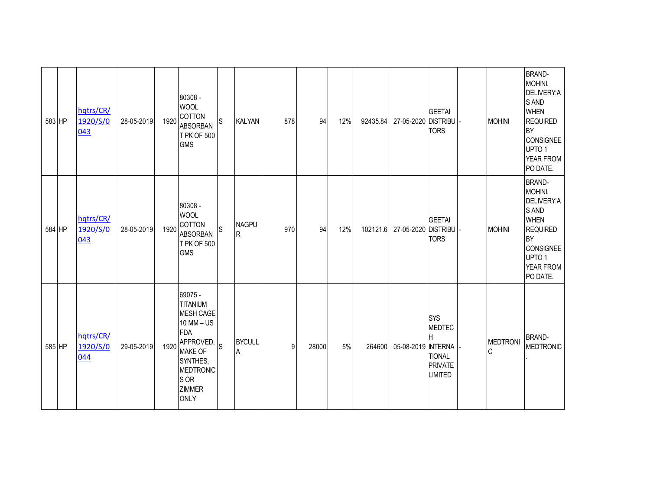| 583 HP | hqtrs/CR/<br>1920/S/0<br>043 | 28-05-2019 | 1920 | 80308 -<br><b>WOOL</b><br><b>COTTON</b><br><b>ABSORBAN</b><br><b>TPK OF 500</b><br><b>GMS</b>                                                                                           | lS           | <b>KALYAN</b>      | 878 | 94    | 12% | 92435.84 | 27-05-2020 DISTRIBU          | <b>GEETAI</b><br><b>TORS</b>                                                          | <b>MOHINI</b>  | <b>BRAND-</b><br>MOHINI.<br>DELIVERY:A<br>S AND<br><b>WHEN</b><br><b>REQUIRED</b><br><b>BY</b><br><b>CONSIGNEE</b><br>UPTO <sub>1</sub><br>YEAR FROM<br>PO DATE. |
|--------|------------------------------|------------|------|-----------------------------------------------------------------------------------------------------------------------------------------------------------------------------------------|--------------|--------------------|-----|-------|-----|----------|------------------------------|---------------------------------------------------------------------------------------|----------------|------------------------------------------------------------------------------------------------------------------------------------------------------------------|
| 584 HP | hqtrs/CR/<br>1920/S/0<br>043 | 28-05-2019 | 1920 | 80308 -<br><b>WOOL</b><br>COTTON<br><b>ABSORBAN</b><br>T PK OF 500<br><b>GMS</b>                                                                                                        | $\mathsf{S}$ | <b>NAGPU</b><br>R  | 970 | 94    | 12% |          | 102121.6 27-05-2020 DISTRIBU | <b>GEETAI</b><br><b>TORS</b>                                                          | <b>MOHINI</b>  | <b>BRAND-</b><br>MOHINI.<br>DELIVERY:A<br>S AND<br><b>WHEN</b><br><b>REQUIRED</b><br><b>BY</b><br><b>CONSIGNEE</b><br>UPTO <sub>1</sub><br>YEAR FROM<br>PO DATE. |
| 585 HP | hqtrs/CR/<br>1920/S/0<br>044 | 29-05-2019 | 1920 | 69075 -<br><b>TITANIUM</b><br><b>MESH CAGE</b><br>$10$ MM $-$ US<br><b>FDA</b><br>APPROVED, S<br><b>MAKE OF</b><br>SYNTHES,<br><b>MEDTRONIC</b><br>S OR<br><b>ZIMMER</b><br><b>ONLY</b> |              | <b>BYCULL</b><br>A | 9   | 28000 | 5%  | 264600   | 05-08-2019 INTERNA           | <b>SYS</b><br><b>MEDTEC</b><br>H<br><b>TIONAL</b><br><b>PRIVATE</b><br><b>LIMITED</b> | MEDTRONI<br>IС | <b>BRAND-</b><br><b>MEDTRONIC</b>                                                                                                                                |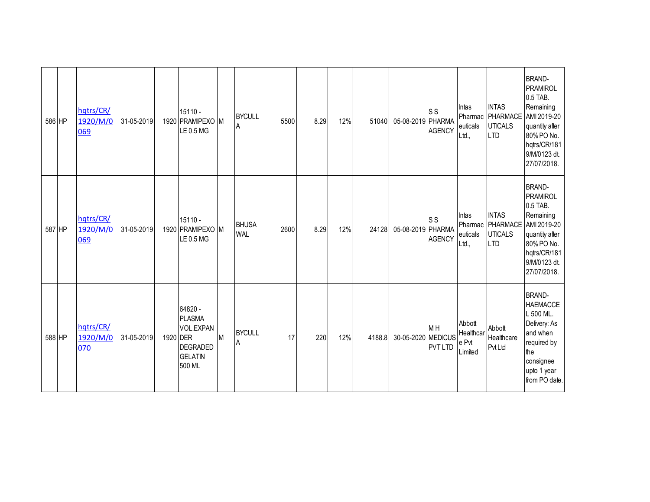| 586 HP | hqtrs/CR/<br>1920/M/0<br>069 | 31-05-2019 |          | 15110 -<br>1920 PRAMIPEXO M<br>LE 0.5 MG                                      |   | <b>BYCULL</b><br>ΙA        | 5500 | 8.29 | 12% | 51040  | 05-08-2019 PHARMA | <b>SS</b><br><b>AGENCY</b>                         | Intas<br>Pharmac<br>euticals<br>Ltd.,   | <b>INTAS</b><br>PHARMACE<br><b>UTICALS</b><br><b>LTD</b> | <b>BRAND-</b><br><b>PRAMIROL</b><br>0.5 TAB.<br>Remaining<br>AMI 2019-20<br>quantity after<br>80% PO No.<br>hqtrs/CR/181<br>9/M/0123 dt.<br>27/07/2018. |
|--------|------------------------------|------------|----------|-------------------------------------------------------------------------------|---|----------------------------|------|------|-----|--------|-------------------|----------------------------------------------------|-----------------------------------------|----------------------------------------------------------|---------------------------------------------------------------------------------------------------------------------------------------------------------|
| 587 HP | hqtrs/CR/<br>1920/M/0<br>069 | 31-05-2019 |          | 15110 -<br>1920 PRAMIPEXO M<br>LE 0.5 MG                                      |   | <b>BHUSA</b><br><b>WAL</b> | 2600 | 8.29 | 12% | 24128  | 05-08-2019 PHARMA | <b>SS</b><br><b>AGENCY</b>                         | Intas<br>Pharmac<br>euticals<br>Ltd.,   | <b>INTAS</b><br>PHARMACE<br><b>UTICALS</b><br><b>LTD</b> | <b>BRAND-</b><br>PRAMIROL<br>0.5 TAB.<br>Remaining<br>AMI 2019-20<br>quantity after<br>80% PO No.<br>hqtrs/CR/181<br>9/M/0123 dt.<br>27/07/2018.        |
| 588 HP | hqtrs/CR/<br>1920/M/0<br>070 | 31-05-2019 | 1920 DER | 64820 -<br><b>PLASMA</b><br>VOL.EXPAN<br>DEGRADED<br><b>GELATIN</b><br>500 ML | M | <b>BYCULL</b><br>A         | 17   | 220  | 12% | 4188.8 | 30-05-2020        | M <sub>H</sub><br><b>MEDICUS</b><br><b>PVT LTD</b> | Abbott<br>Healthcar<br>e Pvt<br>Limited | Abbott<br>Healthcare<br><b>Pvt Ltd</b>                   | <b>BRAND-</b><br><b>HAEMACCE</b><br>L 500 ML.<br>Delivery: As<br>and when<br>required by<br>the<br>consignee<br>upto 1 year<br>from PO date.            |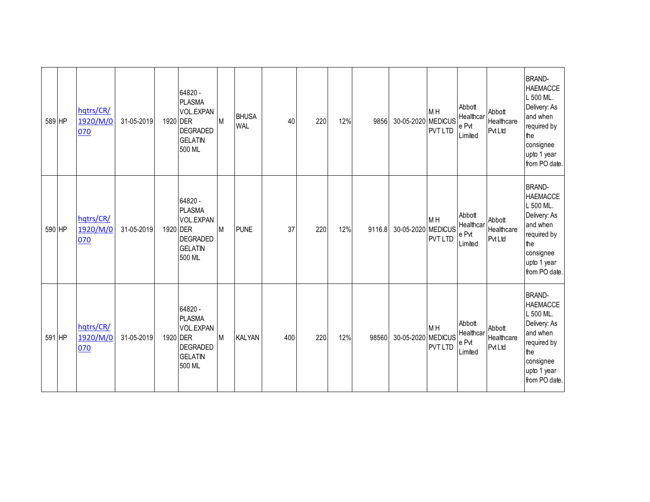| 589 HP | hqtrs/CR/<br>1920/M/0<br>070 | 31-05-2019 | 1920 DER | 64820 -<br><b>PLASMA</b><br>VOL.EXPAN<br>DEGRADED<br><b>GELATIN</b><br>500 ML | M         | <b>BHUSA</b><br><b>WAL</b> | 40  | 220 | 12% | 9856   | 30-05-2020 MEDICUS | M <sub>H</sub><br><b>PVT LTD</b> | Abbott<br>Healthcar<br>e Pvt<br>Limited | Abbott<br>Healthcare<br><b>Pvt Ltd</b> | <b>BRAND-</b><br><b>HAEMACCE</b><br>L 500 ML.<br>Delivery: As<br>and when<br>required by<br>the<br>consignee<br>upto 1 year<br>from PO date. |
|--------|------------------------------|------------|----------|-------------------------------------------------------------------------------|-----------|----------------------------|-----|-----|-----|--------|--------------------|----------------------------------|-----------------------------------------|----------------------------------------|----------------------------------------------------------------------------------------------------------------------------------------------|
| 590 HP | hqtrs/CR/<br>1920/M/0<br>070 | 31-05-2019 | 1920 DER | 64820 -<br><b>PLASMA</b><br>VOL.EXPAN<br>DEGRADED<br><b>GELATIN</b><br>500 ML | <b>IM</b> | <b>PUNE</b>                | 37  | 220 | 12% | 9116.8 | 30-05-2020 MEDICUS | M <sub>H</sub><br><b>PVT LTD</b> | Abbott<br>Healthcar<br>e Pvt<br>Limited | Abbott<br>Healthcare<br><b>Pvt Ltd</b> | <b>BRAND-</b><br><b>HAEMACCE</b><br>L 500 ML.<br>Delivery: As<br>and when<br>required by<br>the<br>consignee<br>upto 1 year<br>from PO date. |
| 591 HP | hqtrs/CR/<br>1920/M/0<br>070 | 31-05-2019 | 1920 DER | 64820 -<br><b>PLASMA</b><br>VOL.EXPAN<br>DEGRADED<br><b>GELATIN</b><br>500 ML | M         | <b>KALYAN</b>              | 400 | 220 | 12% | 98560  | 30-05-2020 MEDICUS | M H<br><b>PVT LTD</b>            | Abbott<br>Healthcar<br>e Pvt<br>Limited | Abbott<br>Healthcare<br><b>Pvt Ltd</b> | <b>BRAND-</b><br><b>HAEMACCE</b><br>L 500 ML.<br>Delivery: As<br>and when<br>required by<br>the<br>consignee<br>upto 1 year<br>from PO date. |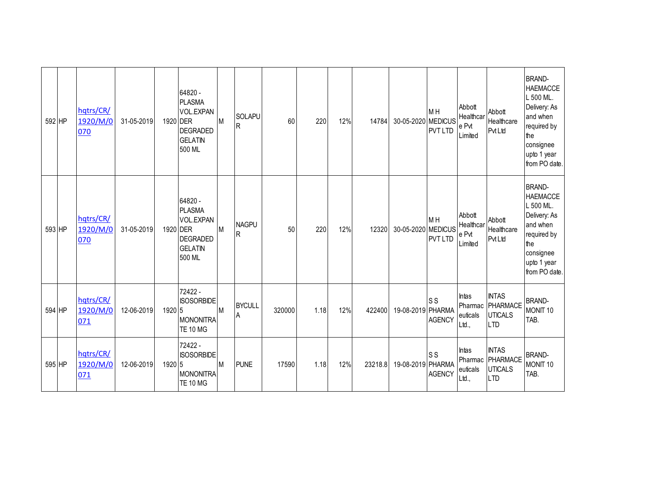| 592 HP | hqtrs/CR/<br>1920/M/0<br>070 | 31-05-2019 | 1920 DER | 64820 -<br><b>PLASMA</b><br>VOL.EXPAN<br><b>DEGRADED</b><br><b>GELATIN</b><br>500 ML | M | <b>SOLAPU</b><br>$\overline{R}$ | 60     | 220  | 12% | 14784   | 30-05-2020 MEDICUS | M <sub>H</sub><br><b>PVT LTD</b> | Abbott<br>Healthcar<br>e Pvt<br>Limited | Abbott<br>Healthcare<br><b>Pvt Ltd</b>                   | <b>BRAND-</b><br><b>HAEMACCE</b><br>L 500 ML.<br>Delivery: As<br>and when<br>required by<br>the<br>consignee<br>upto 1 year<br>from PO date. |
|--------|------------------------------|------------|----------|--------------------------------------------------------------------------------------|---|---------------------------------|--------|------|-----|---------|--------------------|----------------------------------|-----------------------------------------|----------------------------------------------------------|----------------------------------------------------------------------------------------------------------------------------------------------|
| 593 HP | hqtrs/CR/<br>1920/M/0<br>070 | 31-05-2019 | 1920 DER | 64820 -<br><b>PLASMA</b><br>VOL.EXPAN<br><b>DEGRADED</b><br><b>GELATIN</b><br>500 ML | M | <b>NAGPU</b><br>IR.             | 50     | 220  | 12% | 12320   | 30-05-2020 MEDICUS | M <sub>H</sub><br><b>PVT LTD</b> | Abbott<br>Healthcar<br>e Pvt<br>Limited | Abbott<br>Healthcare<br>PvtLtd                           | <b>BRAND-</b><br><b>HAEMACCE</b><br>L 500 ML.<br>Delivery: As<br>and when<br>required by<br>the<br>consignee<br>upto 1 year<br>from PO date. |
| 594 HP | hqtrs/CR/<br>1920/M/0<br>071 | 12-06-2019 | 1920 5   | 72422 -<br><b>ISOSORBIDE</b><br><b>MONONITRA</b><br><b>TE 10 MG</b>                  | M | <b>BYCULL</b><br>A              | 320000 | 1.18 | 12% | 422400  | 19-08-2019 PHARMA  | <b>SS</b><br><b>AGENCY</b>       | Intas<br>Pharmac<br>euticals<br>Ltd.,   | <b>INTAS</b><br>PHARMACE<br><b>UTICALS</b><br><b>LTD</b> | <b>BRAND-</b><br>MONIT <sub>10</sub><br>TAB.                                                                                                 |
| 595 HP | hqtrs/CR/<br>1920/M/0<br>071 | 12-06-2019 | 1920 5   | 72422 -<br><b>ISOSORBIDE</b><br><b>MONONITRA</b><br><b>TE 10 MG</b>                  | M | <b>PUNE</b>                     | 17590  | 1.18 | 12% | 23218.8 | 19-08-2019 PHARMA  | ls s<br><b>AGENCY</b>            | Intas<br>Pharmac<br>euticals<br>Ltd.,   | <b>INTAS</b><br>PHARMACE<br><b>UTICALS</b><br><b>LTD</b> | <b>BRAND-</b><br>MONIT <sub>10</sub><br>TAB.                                                                                                 |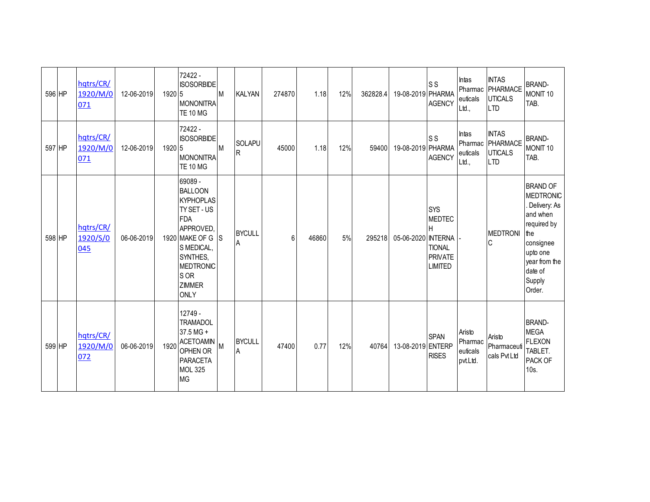| 596 HP | hqtrs/CR/<br>1920/M/0<br>071 | 12-06-2019 | 1920 5 | 72422 -<br><b>ISOSORBIDE</b><br>MONONITRA<br><b>TE 10 MG</b>                                                                                                                                    | IM. | <b>KALYAN</b>            | 274870 | 1.18  | 12% | 362828.4 | 19-08-2019 PHARMA  | <b>SS</b><br><b>AGENCY</b>                                                | Intas<br>Pharmac<br>euticals<br>Ltd.,     | <b>INTAS</b><br>PHARMACE<br><b>UTICALS</b><br><b>LTD</b>         | <b>BRAND-</b><br>MONIT <sub>10</sub><br>TAB.                                                                                                                   |
|--------|------------------------------|------------|--------|-------------------------------------------------------------------------------------------------------------------------------------------------------------------------------------------------|-----|--------------------------|--------|-------|-----|----------|--------------------|---------------------------------------------------------------------------|-------------------------------------------|------------------------------------------------------------------|----------------------------------------------------------------------------------------------------------------------------------------------------------------|
| 597 HP | hqtrs/CR/<br>1920/M/0<br>071 | 12-06-2019 | 1920 5 | 72422 -<br><b>ISOSORBIDE</b><br><b>MONONITRA</b><br><b>TE 10 MG</b>                                                                                                                             | M   | SOLAPU<br>$\overline{R}$ | 45000  | 1.18  | 12% | 59400    | 19-08-2019 PHARMA  | <b>SS</b><br><b>AGENCY</b>                                                | Intas<br>euticals<br>Ltd.,                | <b>INTAS</b><br>Pharmac PHARMACE<br><b>UTICALS</b><br><b>LTD</b> | <b>BRAND-</b><br>MONIT <sub>10</sub><br>TAB.                                                                                                                   |
| 598 HP | hqtrs/CR/<br>1920/S/0<br>045 | 06-06-2019 |        | 69089 -<br><b>BALLOON</b><br><b>KYPHOPLAS</b><br>TY SET - US<br><b>FDA</b><br>APPROVED.<br>1920 MAKE OF G<br>S MEDICAL,<br>SYNTHES,<br><b>MEDTRONIC</b><br>S OR<br><b>ZIMMER</b><br><b>ONLY</b> | IS. | <b>BYCULL</b><br>Α       | 6      | 46860 | 5%  | 295218   | 05-06-2020 INTERNA | SYS<br><b>MEDTEC</b><br><b>TIONAL</b><br><b>PRIVATE</b><br><b>LIMITED</b> |                                           | <b>MEDTRONI</b><br>$\mathsf{C}$                                  | <b>BRAND OF</b><br><b>MEDTRONIC</b><br>Delivery: As<br>and when<br>required by<br>the<br>consignee<br>upto one<br>year from the<br>date of<br>Supply<br>Order. |
| 599 HP | hqtrs/CR/<br>1920/M/0<br>072 | 06-06-2019 | 1920   | 12749 -<br><b>TRAMADOL</b><br>37.5 MG +<br><b>ACETOAMIN</b><br>OPHEN OR<br>PARACETA<br><b>MOL 325</b><br><b>MG</b>                                                                              | M   | <b>BYCULL</b><br>Α       | 47400  | 0.77  | 12% | 40764    | 13-08-2019 ENTERP  | <b>SPAN</b><br><b>RISES</b>                                               | Aristo<br>Pharmac<br>euticals<br>pvt.Ltd. | Aristo<br>Pharmaceuti<br>cals Pvt Ltd                            | <b>BRAND-</b><br><b>MEGA</b><br><b>FLEXON</b><br>TABLET.<br>PACK OF<br>$10s$ .                                                                                 |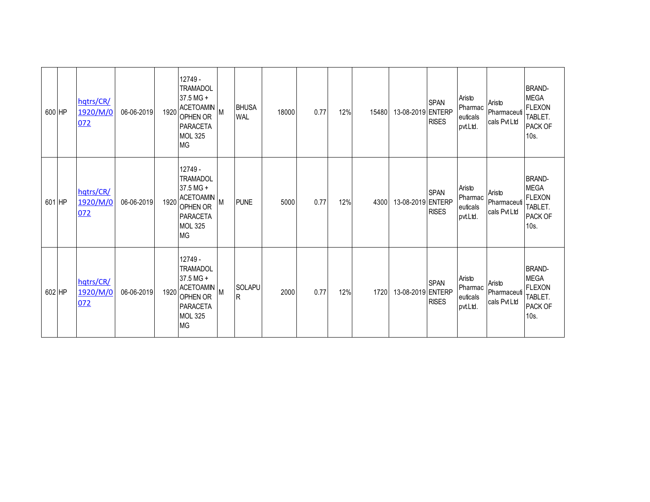| 600 HP | hqtrs/CR/<br>1920/M/0<br>072 | 06-06-2019 | 1920 | 12749 -<br><b>TRAMADOL</b><br>37.5 MG +<br><b>ACETOAMIN</b><br>OPHEN OR<br><b>PARACETA</b><br><b>MOL 325</b><br><b>MG</b> | M        | <b>BHUSA</b><br><b>WAL</b> | 18000 | 0.77 | 12% | 15480 | 13-08-2019 ENTERP | <b>SPAN</b><br><b>RISES</b> | Aristo<br>Pharmac<br>euticals<br>pvt.Ltd. | Aristo<br>Pharmaceuti<br>cals Pvt Ltd | <b>BRAND-</b><br><b>MEGA</b><br><b>FLEXON</b><br>TABLET.<br>PACK OF<br>10s. |
|--------|------------------------------|------------|------|---------------------------------------------------------------------------------------------------------------------------|----------|----------------------------|-------|------|-----|-------|-------------------|-----------------------------|-------------------------------------------|---------------------------------------|-----------------------------------------------------------------------------|
| 601 HP | hqtrs/CR/<br>1920/M/0<br>072 | 06-06-2019 |      | 12749 -<br><b>TRAMADOL</b><br>37.5 MG +<br>1920 ACETOAMIN<br>OPHEN OR<br><b>PARACETA</b><br><b>MOL 325</b><br><b>MG</b>   | M        | <b>PUNE</b>                | 5000  | 0.77 | 12% | 4300  | 13-08-2019 ENTERP | <b>SPAN</b><br><b>RISES</b> | Aristo<br>Pharmac<br>euticals<br>pvt.Ltd. | Aristo<br>Pharmaceuti<br>cals Pvt Ltd | <b>BRAND-</b><br><b>MEGA</b><br><b>FLEXON</b><br>TABLET.<br>PACK OF<br>10s. |
| 602 HP | hqtrs/CR/<br>1920/M/0<br>072 | 06-06-2019 | 1920 | 12749 -<br><b>TRAMADOL</b><br>37.5 MG +<br><b>ACETOAMIN</b><br>OPHEN OR<br><b>PARACETA</b><br><b>MOL 325</b><br><b>MG</b> | <b>M</b> | <b>SOLAPU</b><br>IR.       | 2000  | 0.77 | 12% | 1720  | 13-08-2019 ENTERP | <b>SPAN</b><br><b>RISES</b> | Aristo<br>Pharmac<br>euticals<br>pvt.Ltd. | Aristo<br>Pharmaceuti<br>cals Pvt Ltd | <b>BRAND-</b><br><b>MEGA</b><br><b>FLEXON</b><br>TABLET.<br>PACK OF<br>10s. |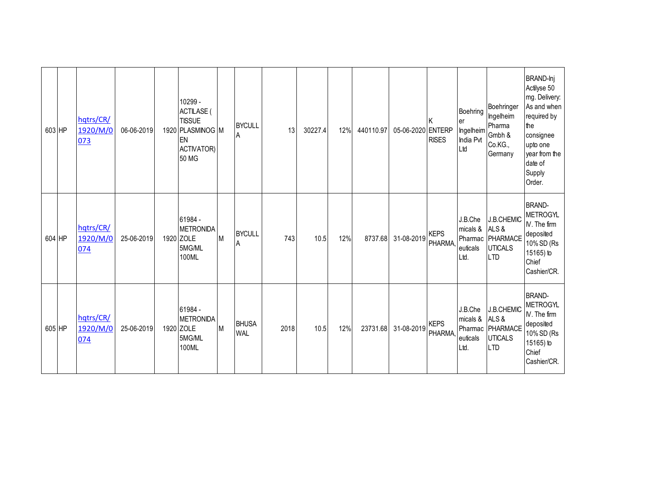| 603 HP |        | hqtrs/CR/<br>1920/M/0<br>073 | 06-06-2019 | 10299 -<br><b>ACTILASE</b><br><b>TISSUE</b><br>1920 PLASMINOG M<br>EN<br><b>ACTIVATOR)</b><br>50 MG |   | <b>BYCULL</b><br>A         | 13   | 30227.4 | 12% | 440110.97 | 05-06-2020 ENTERP | <b>RISES</b>           | Boehring<br>er<br>Ingelheim<br>India Pvt<br>Ltd | Boehringer<br>Ingelheim<br>Pharma<br>Gmbh &<br>Co.KG.,<br>Germany             | BRAND-Inj<br>Actilyse 50<br>mg. Delivery:<br>As and when<br>required by<br>the<br>consignee<br>upto one<br>year from the<br>date of<br>Supply<br>Order. |
|--------|--------|------------------------------|------------|-----------------------------------------------------------------------------------------------------|---|----------------------------|------|---------|-----|-----------|-------------------|------------------------|-------------------------------------------------|-------------------------------------------------------------------------------|---------------------------------------------------------------------------------------------------------------------------------------------------------|
|        | 604 HP | hqtrs/CR/<br>1920/M/0<br>074 | 25-06-2019 | 61984 -<br><b>METRONIDA</b><br>1920 ZOLE<br>5MG/ML<br>100ML                                         | M | <b>BYCULL</b><br>A         | 743  | 10.5    | 12% | 8737.68   | 31-08-2019        | <b>KEPS</b><br>PHARMA, | J.B.Che<br>micals &<br>euticals<br>Ltd.         | <b>J.B.CHEMIC</b><br>ALS&<br>Pharmac PHARMACE<br><b>UTICALS</b><br><b>LTD</b> | <b>BRAND-</b><br><b>METROGYL</b><br>IV. The firm<br>deposited<br>10% SD (Rs<br>15165) to<br>Chief<br>Cashier/CR.                                        |
|        | 605 HP | hqtrs/CR/<br>1920/M/0<br>074 | 25-06-2019 | 61984 -<br><b>METRONIDA</b><br>1920 ZOLE<br>5MG/ML<br>100ML                                         | M | <b>BHUSA</b><br><b>WAL</b> | 2018 | 10.5    | 12% | 23731.68  | 31-08-2019        | <b>KEPS</b><br>PHARMA, | J.B.Che<br>micals & ALS &<br>euticals<br>Ltd.   | <b>J.B.CHEMIC</b><br>Pharmac PHARMACE<br><b>UTICALS</b><br><b>LTD</b>         | <b>BRAND-</b><br><b>METROGYL</b><br>IV. The firm<br>deposited<br>10% SD (Rs<br>15165) to<br>Chief<br>Cashier/CR.                                        |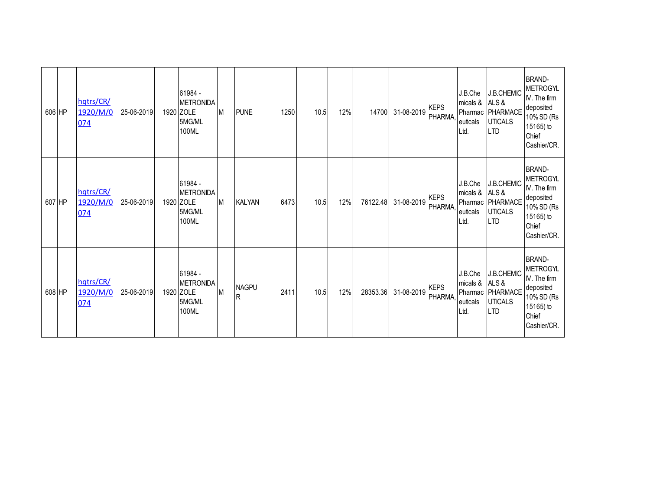| 606 HP | hqtrs/CR/<br>1920/M/0<br>074 | 25-06-2019 | 61984 -<br><b>METRONIDA</b><br>1920 ZOLE<br>5MG/ML<br>100ML | M | <b>PUNE</b>       | 1250 | 10.5 | 12% | 14700    | 31-08-2019 | <b>KEPS</b><br><b>PHARMA</b> | J.B.Che<br>micals &<br>euticals<br>Ltd.       | J.B.CHEMIC<br>ALS&<br>Pharmac PHARMACE<br><b>UTICALS</b><br><b>LTD</b> | <b>BRAND-</b><br><b>METROGYL</b><br>$N.$ The firm<br>deposited<br>10% SD (Rs<br>15165) to<br>Chief<br>Cashier/CR. |
|--------|------------------------------|------------|-------------------------------------------------------------|---|-------------------|------|------|-----|----------|------------|------------------------------|-----------------------------------------------|------------------------------------------------------------------------|-------------------------------------------------------------------------------------------------------------------|
| 607 HP | hqtrs/CR/<br>1920/M/0<br>074 | 25-06-2019 | 61984 -<br><b>METRONIDA</b><br>1920 ZOLE<br>5MG/ML<br>100ML | M | <b>KALYAN</b>     | 6473 | 10.5 | 12% | 76122.48 | 31-08-2019 | <b>KEPS</b><br><b>PHARMA</b> | J.B.Che<br>micals & ALS &<br>euticals<br>Ltd. | J.B.CHEMIC<br>Pharmac PHARMACE<br><b>UTICALS</b><br><b>LTD</b>         | <b>BRAND-</b><br><b>METROGYL</b><br>$N.$ The firm<br>deposited<br>10% SD (Rs<br>15165) to<br>Chief<br>Cashier/CR. |
| 608 HP | hqtrs/CR/<br>1920/M/0<br>074 | 25-06-2019 | 61984 -<br><b>METRONIDA</b><br>1920 ZOLE<br>5MG/ML<br>100ML | M | <b>NAGPU</b><br>R | 2411 | 10.5 | 12% | 28353.36 | 31-08-2019 | <b>KEPS</b><br><b>PHARMA</b> | J.B.Che<br>micals &<br>euticals<br>Ltd.       | J.B.CHEMIC<br>ALS&<br>Pharmac PHARMACE<br><b>UTICALS</b><br><b>LTD</b> | <b>BRAND-</b><br><b>METROGYL</b><br>IV. The firm<br>deposited<br>10% SD (Rs<br>15165) to<br>Chief<br>Cashier/CR.  |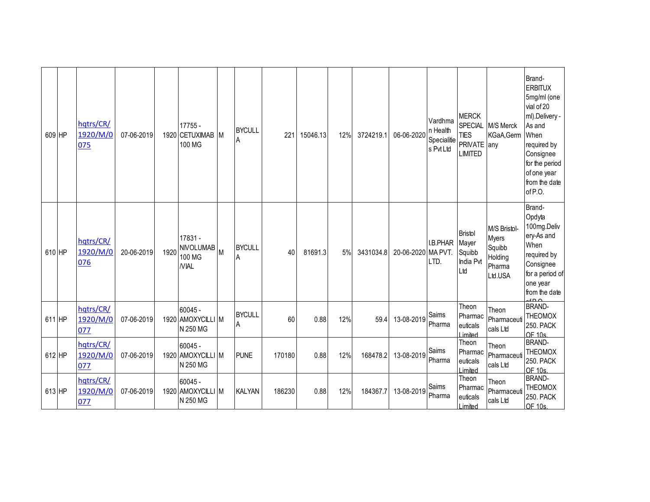| 609 HP | hatrs/CR/<br>1920/M/0<br>075 | 07-06-2019 |      | 17755 -<br>1920 CETUXIMAB M<br>100 MG                |   | <b>BYCULL</b><br>Α | 221    | 15046.13 | 12% | 3724219.1 | 06-06-2020         | Vardhma<br>n Health<br>Specialitie<br>s Pvt Ltd | <b>MERCK</b><br><b>TIES</b><br>PRIVATE any<br><b>LIMITED</b> | SPECIAL M/S Merck<br>KGaA,Germ                                  | Brand-<br><b>ERBITUX</b><br>5mg/ml (one<br>vial of 20<br>ml).Delivery -<br>As and<br>When<br>required by<br>Consignee<br>for the period<br>of one year<br>from the date<br>of P.O. |
|--------|------------------------------|------------|------|------------------------------------------------------|---|--------------------|--------|----------|-----|-----------|--------------------|-------------------------------------------------|--------------------------------------------------------------|-----------------------------------------------------------------|------------------------------------------------------------------------------------------------------------------------------------------------------------------------------------|
| 610 HP | hqtrs/CR/<br>1920/M/0<br>076 | 20-06-2019 | 1920 | 17831 -<br><b>NIVOLUMAB</b><br>100 MG<br><b>NIAL</b> | M | <b>BYCULL</b><br>A | 40     | 81691.3  | 5%  | 3431034.8 | 20-06-2020 MA PVT. | I.B.PHAR<br>LTD.                                | <b>Bristol</b><br>Mayer<br>Squibb<br>India Pvt<br>Ltd        | M/S Bristol-<br>Myers<br>Squibb<br>Holding<br>Pharma<br>Ltd.USA | Brand-<br>Opdyta<br>100mg.Deliv<br>ery-As and<br>When<br>required by<br>Consignee<br>for a period of<br>one year<br>from the date                                                  |
| 611 HP | hqtrs/CR/<br>1920/M/0<br>077 | 07-06-2019 |      | $60045 -$<br>1920 AMOXYCILLI M<br>N 250 MG           |   | <b>BYCULL</b><br>A | 60     | 0.88     | 12% | 59.4      | 13-08-2019         | Saims<br>Pharma                                 | Theon<br>Pharmac<br>euticals<br>Limited                      | Theon<br>Pharmaceuti<br>cals Ltd                                | <b>BRAND-</b><br><b>THEOMOX</b><br><b>250. PACK</b><br>OF 10s                                                                                                                      |
| 612 HP | hqtrs/CR/<br>1920/M/0<br>077 | 07-06-2019 |      | $60045 -$<br>1920 AMOXYCILLI M<br>N 250 MG           |   | <b>PUNE</b>        | 170180 | 0.88     | 12% | 168478.2  | 13-08-2019         | Saims<br>Pharma                                 | Theon<br>Pharmac<br>euticals<br>Limited                      | Theon<br>Pharmaceuti<br>cals Ltd                                | <b>BRAND-</b><br><b>THEOMOX</b><br><b>250. PACK</b><br>OF 10s                                                                                                                      |
| 613 HP | hqtrs/CR/<br>1920/M/0<br>077 | 07-06-2019 |      | $60045 -$<br>1920 AMOXYCILLI M<br>N 250 MG           |   | <b>KALYAN</b>      | 186230 | 0.88     | 12% | 184367.7  | 13-08-2019         | Saims<br>Pharma                                 | Theon<br>Pharmac<br>euticals<br>Limited                      | Theon<br>Pharmaceuti<br>cals Ltd                                | <b>BRAND-</b><br><b>THEOMOX</b><br><b>250. PACK</b><br>OF 10s.                                                                                                                     |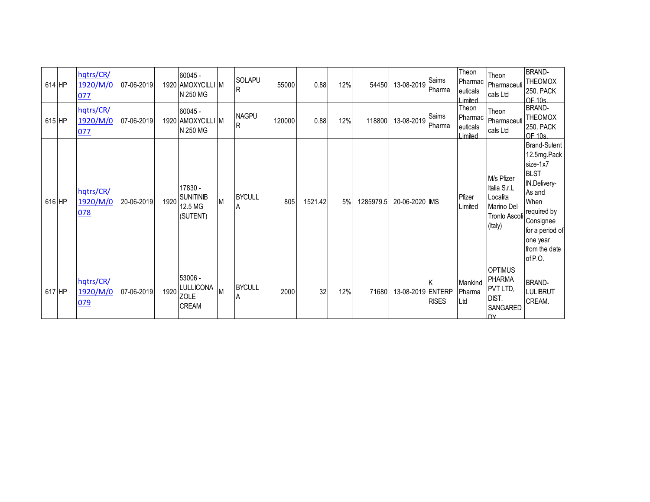| $614$ HP | hqtrs/CR/<br>1920/M/0<br>077 | 07-06-2019 |      | $60045 -$<br>1920 AMOXYCILLI M<br>N 250 MG                 |          | SOLAPU<br>IR.      | 55000  | 0.88    | 12% | 54450     | 13-08-2019        | Saims<br>Pharma    | Theon<br>Pharmac<br>euticals<br>Limited  | Theon<br>Pharmaceuti<br>cals Ltd                                                 | <b>BRAND-</b><br><b>THEOMOX</b><br><b>250. PACK</b><br>OF 10s.                                                                                                                         |
|----------|------------------------------|------------|------|------------------------------------------------------------|----------|--------------------|--------|---------|-----|-----------|-------------------|--------------------|------------------------------------------|----------------------------------------------------------------------------------|----------------------------------------------------------------------------------------------------------------------------------------------------------------------------------------|
| $615$ HP | hqtrs/CR/<br>1920/M/0<br>077 | 07-06-2019 |      | 60045 -<br>1920 AMOXYCILLI M<br>N 250 MG                   |          | <b>NAGPU</b><br>R  | 120000 | 0.88    | 12% | 118800    | 13-08-2019        | Saims<br>Pharma    | Theon<br>Pharmac<br>euticals<br>I imited | Theon<br>Pharmaceuti<br>cals Ltd                                                 | <b>BRAND-</b><br><b>THEOMOX</b><br><b>250. PACK</b><br>$OF$ 10s                                                                                                                        |
| 616 HP   | hqtrs/CR/<br>1920/M/0<br>078 | 20-06-2019 | 1920 | 17830 -<br><b>SUNITINIB</b><br>12.5 MG<br>(SUTENT)         | M        | <b>BYCULL</b><br>A | 805    | 1521.42 | 5%  | 1285979.5 | 20-06-2020 IMS    |                    | Pfizer<br>Limited                        | M/s Pfizer<br>Italia S.r.L<br>Localita<br>Marino Del<br>Tronto Ascoli<br>(Italy) | <b>Brand-Sutent</b><br>12.5mg.Pack<br>size-1x7<br><b>BLST</b><br>IN.Delivery-<br>As and<br>When<br>required by<br>Consignee<br>for a period of<br>one year<br>from the date<br>of P.O. |
| 617 HP   | hqtrs/CR/<br>1920/M/0<br>079 | 07-06-2019 | 1920 | 53006 -<br><b>LULLICONA</b><br><b>ZOLE</b><br><b>CREAM</b> | <b>M</b> | <b>BYCULL</b><br>A | 2000   | 32      | 12% | 71680     | 13-08-2019 ENTERP | ΙK<br><b>RISES</b> | Mankind<br>Pharma<br>Ltd                 | <b>OPTIMUS</b><br><b>PHARMA</b><br>PVT LTD,<br>DIST.<br>SANGARED<br><b>I</b> N   | <b>BRAND-</b><br><b>LULIBRUT</b><br>CREAM.                                                                                                                                             |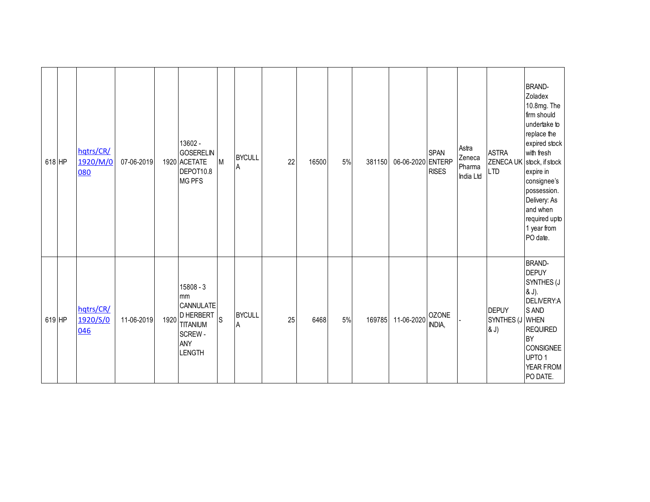| 618 HP | hqtrs/CR/<br>1920/M/0<br>080 | 07-06-2019 |      | 13602 -<br><b>GOSERELIN</b><br>1920 ACETATE<br>DEPOT10.8<br><b>MG PFS</b>                               | M            | <b>BYCULL</b><br>A | 22 | 16500 | 5% | 381150 | 06-06-2020 ENTERP | <b>SPAN</b><br><b>RISES</b> | Astra<br>Zeneca<br>Pharma<br>India Ltd | <b>ASTRA</b><br><b>LTD</b>              | <b>BRAND-</b><br>Zoladex<br>10.8mg. The<br>firm should<br>undertake to<br>replace the<br>expired stock<br>with fresh<br>ZENECA UK stock, if stock<br>expire in<br>consignee's<br>possession.<br>Delivery: As<br>and when<br>required upto<br>1 year from<br>PO date. |
|--------|------------------------------|------------|------|---------------------------------------------------------------------------------------------------------|--------------|--------------------|----|-------|----|--------|-------------------|-----------------------------|----------------------------------------|-----------------------------------------|----------------------------------------------------------------------------------------------------------------------------------------------------------------------------------------------------------------------------------------------------------------------|
| 619 HP | hqtrs/CR/<br>1920/S/0<br>046 | 11-06-2019 | 1920 | $15808 - 3$<br>mm<br>CANNULATE<br><b>D HERBERT</b><br><b>TITANIUM</b><br>SCREW-<br>ANY<br><b>LENGTH</b> | <sub>S</sub> | <b>BYCULL</b><br>A | 25 | 6468  | 5% | 169785 | 11-06-2020        | <b>OZONE</b><br>INDIA,      |                                        | <b>DEPUY</b><br>SYNTHES (J WHEN<br>& J) | <b>BRAND-</b><br><b>DEPUY</b><br>SYNTHES (J<br>& J).<br>DELIVERY:A<br>S AND<br><b>REQUIRED</b><br>BY<br><b>CONSIGNEE</b><br>UPTO <sub>1</sub><br>YEAR FROM<br>PO DATE.                                                                                               |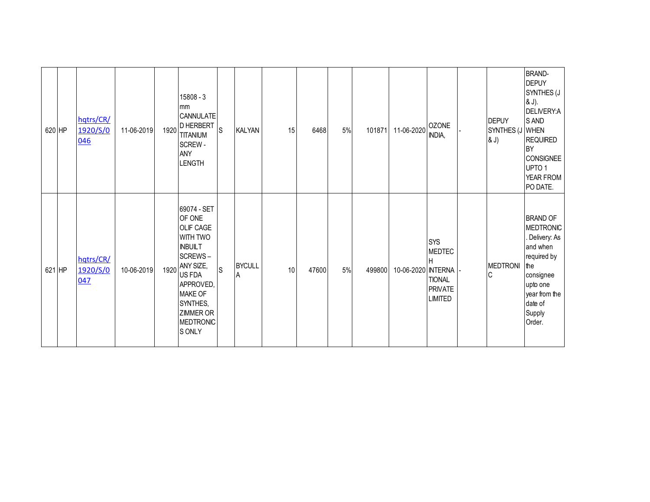| 620 HP | hqtrs/CR/<br>1920/S/0<br>046 | 11-06-2019 | 1920 | $15808 - 3$<br>mm<br>CANNULATE<br><b>D HERBERT</b><br><b>TITANIUM</b><br>SCREW-<br><b>ANY</b><br><b>LENGTH</b>                                                                                         | <sub>S</sub> | <b>KALYAN</b>      | 15 | 6468  | 5% | 101871 | 11-06-2020        | <b>OZONE</b><br>INDIA,                                                                | <b>DEPUY</b><br>SYNTHES (J WHEN<br>& J) | <b>BRAND-</b><br><b>DEPUY</b><br>SYNTHES (J<br>& J).<br>DELIVERY:A<br>S AND<br><b>REQUIRED</b><br><b>BY</b><br><b>CONSIGNEE</b><br>UPTO <sub>1</sub><br>YEAR FROM<br>PO DATE. |
|--------|------------------------------|------------|------|--------------------------------------------------------------------------------------------------------------------------------------------------------------------------------------------------------|--------------|--------------------|----|-------|----|--------|-------------------|---------------------------------------------------------------------------------------|-----------------------------------------|-------------------------------------------------------------------------------------------------------------------------------------------------------------------------------|
| 621 HP | hqtrs/CR/<br>1920/S/0<br>047 | 10-06-2019 | 1920 | 69074 - SET<br>OF ONE<br><b>OLIF CAGE</b><br>WITH TWO<br><b>INBUILT</b><br>SCREWS-<br>ANY SIZE,<br>US FDA<br>APPROVED,<br><b>MAKE OF</b><br>SYNTHES,<br><b>ZIMMER OR</b><br><b>MEDTRONIC</b><br>S ONLY | <sub>S</sub> | <b>BYCULL</b><br>A | 10 | 47600 | 5% | 499800 | 10-06-2020 NTERNA | <b>SYS</b><br><b>MEDTEC</b><br>Н<br><b>TIONAL</b><br><b>PRIVATE</b><br><b>LIMITED</b> | <b>MEDTRONI</b><br>$\mathsf C$          | <b>BRAND OF</b><br><b>MEDTRONIC</b><br>. Delivery: As<br>and when<br>required by<br>l the<br>consignee<br>upto one<br>year from the<br>date of<br>Supply<br>Order.            |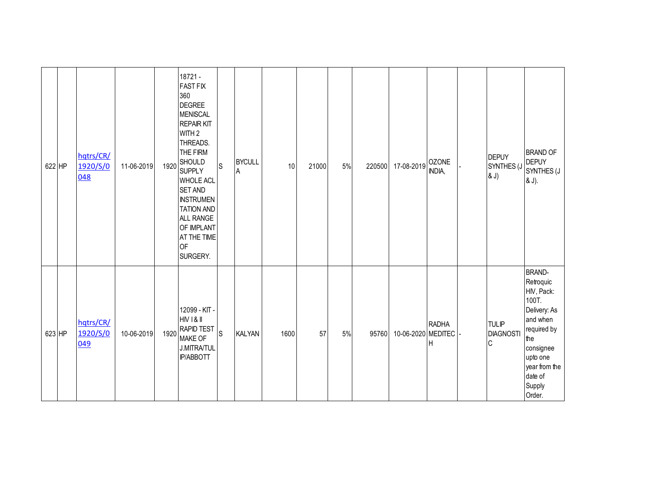| 622 HP | hqtrs/CR/<br>1920/S/0<br>048 | 11-06-2019 | 1920 | 18721 -<br><b>FAST FIX</b><br>360<br><b>DEGREE</b><br><b>MENISCAL</b><br><b>REPAIR KIT</b><br>WITH <sub>2</sub><br>THREADS.<br>THE FIRM<br><b>SHOULD</b><br><b>SUPPLY</b><br><b>WHOLE ACL</b><br><b>SET AND</b><br><b>INSTRUMEN</b><br><b>TATION AND</b><br>ALL RANGE<br>OF IMPLANT<br>AT THE TIME<br><b>OF</b><br>SURGERY. | S           | <b>BYCULL</b><br>$\sf A$ | 10   | 21000 | $5%$ | 220500 | 17-08-2019            | <b>OZONE</b><br>INDIA, | <b>DEPUY</b><br>SYNTHES (J<br>& J)              | <b>BRAND OF</b><br><b>DEPUY</b><br>SYNTHES (J<br>& J).                                                                                                                       |
|--------|------------------------------|------------|------|-----------------------------------------------------------------------------------------------------------------------------------------------------------------------------------------------------------------------------------------------------------------------------------------------------------------------------|-------------|--------------------------|------|-------|------|--------|-----------------------|------------------------|-------------------------------------------------|------------------------------------------------------------------------------------------------------------------------------------------------------------------------------|
| 623 HP | hqtrs/CR/<br>1920/S/0<br>049 | 10-06-2019 | 1920 | 12099 - KIT -<br>HIV I & II<br><b>RAPID TEST</b><br><b>MAKE OF</b><br><b>J.MITRA/TUL</b><br><b>IP/ABBOTT</b>                                                                                                                                                                                                                | $\mathsf S$ | <b>KALYAN</b>            | 1600 | 57    | 5%   | 95760  | 10-06-2020 MEDITEC  - | <b>RADHA</b><br>lн     | <b>TULIP</b><br><b>DIAGNOSTI</b><br>$\mathsf C$ | <b>BRAND-</b><br>Retroquic<br>HIV, Pack:<br>100T.<br>Delivery: As<br>and when<br>required by<br>the<br>consignee<br>upto one<br>year from the<br>date of<br>Supply<br>Order. |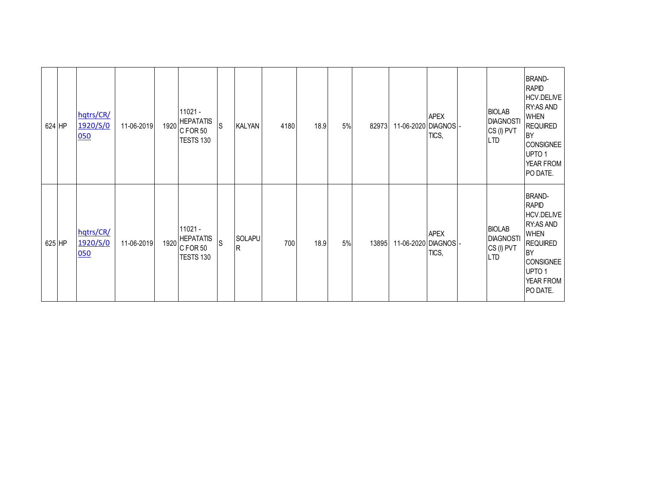| 624 HP | hqtrs/CR/<br>1920/S/0<br>050 | 11-06-2019 | 1920 | $11021 -$<br><b>HEPATATIS</b><br>CFOR 50<br>TESTS 130 | ls | <b>KALYAN</b>             | 4180 | 18.9 | 5% | 82973 | 11-06-2020 DIAGNOS - | <b>APEX</b><br>TICS, | <b>BIOLAB</b><br><b>DIAGNOSTI</b><br>CS (I) PVT<br><b>LTD</b> | <b>BRAND-</b><br><b>RAPID</b><br>HCV.DELIVE<br><b>RY:AS AND</b><br><b>WHEN</b><br><b>REQUIRED</b><br><b>BY</b><br><b>CONSIGNEE</b><br>UPTO <sub>1</sub><br>YEAR FROM<br>PO DATE. |
|--------|------------------------------|------------|------|-------------------------------------------------------|----|---------------------------|------|------|----|-------|----------------------|----------------------|---------------------------------------------------------------|----------------------------------------------------------------------------------------------------------------------------------------------------------------------------------|
| 625 HP | hqtrs/CR/<br>1920/S/0<br>050 | 11-06-2019 | 1920 | $11021 -$<br><b>HEPATATIS</b><br>CFOR 50<br>TESTS 130 | IS | <b>SOLAPU</b><br><b>R</b> | 700  | 18.9 | 5% | 13895 | 11-06-2020 DIAGNOS - | <b>APEX</b><br>TICS, | <b>BIOLAB</b><br><b>DIAGNOSTI</b><br>CS (I) PVT<br><b>LTD</b> | <b>BRAND-</b><br><b>RAPID</b><br>HCV.DELIVE<br><b>RY:AS AND</b><br><b>WHEN</b><br><b>REQUIRED</b><br><b>BY</b><br><b>CONSIGNEE</b><br>UPTO <sub>1</sub><br>YEAR FROM<br>PO DATE. |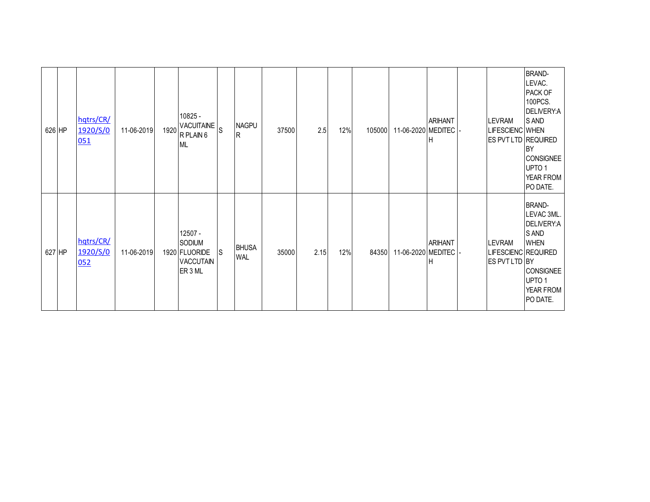| 626 HP | hqtrs/CR/<br>1920/S/0<br>051 | 11-06-2019 | 10825 -<br>VACUITAINE S<br>$1920$ R PLAIN 6<br><b>ML</b>          |              | <b>NAGPU</b><br>IR.        | 37500 | 2.5  | 12% | 105000 | 11-06-2020 MEDITEC | <b>ARIHANT</b>      | LEVRAM<br>LIFESCIENC WHEN<br>ES PVT LTD REQUIRED      | <b>BRAND-</b><br>LEVAC.<br>PACK OF<br>100PCS.<br>DELIVERY:A<br>S AND<br><b>BY</b><br><b>CONSIGNEE</b><br>UPTO 1<br>YEAR FROM<br>PO DATE. |
|--------|------------------------------|------------|-------------------------------------------------------------------|--------------|----------------------------|-------|------|-----|--------|--------------------|---------------------|-------------------------------------------------------|------------------------------------------------------------------------------------------------------------------------------------------|
| 627 HP | hqtrs/CR/<br>1920/S/0<br>052 | 11-06-2019 | 12507 -<br>SODIUM<br>1920 FLUORIDE<br><b>VACCUTAIN</b><br>ER 3 ML | <sub>S</sub> | <b>BHUSA</b><br><b>WAL</b> | 35000 | 2.15 | 12% | 84350  | 11-06-2020 MEDITEC | <b>ARIHANT</b><br>н | <b>LEVRAM</b><br>LIFESCIENC REQUIRED<br>ES PVT LTD BY | <b>BRAND-</b><br>LEVAC 3ML.<br>DELIVERY:A<br>S AND<br><b>WHEN</b><br><b>CONSIGNEE</b><br>UPTO 1<br>YEAR FROM<br>PO DATE.                 |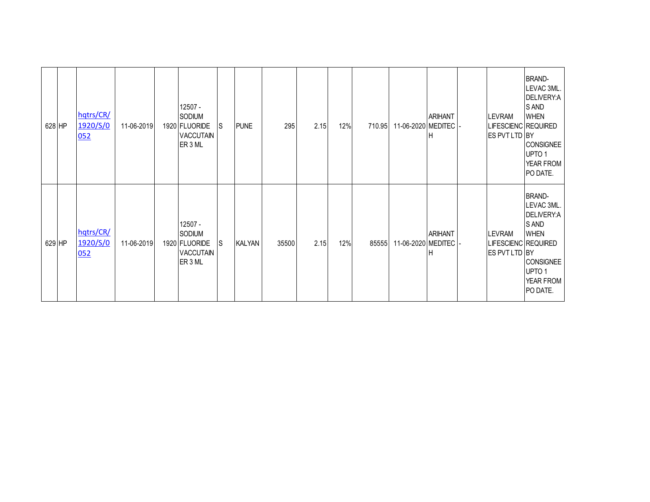| 628 HP | hqtrs/CR/<br>1920/S/0<br>052 | 11-06-2019 | $12507 -$<br>SODIUM<br>1920 FLUORIDE<br><b>VACCUTAIN</b><br>ER 3 ML | S   | <b>PUNE</b>   | 295   | 2.15 | 12% | 710.95 | 11-06-2020 MEDITEC | <b>ARIHANT</b>      | <b>LEVRAM</b><br>LIFESCIENC REQUIRED<br>ES PVT LTD BY | <b>BRAND-</b><br>LEVAC 3ML.<br>DELIVERY:A<br>S AND<br><b>WHEN</b><br><b>CONSIGNEE</b><br>UPTO <sub>1</sub><br>YEAR FROM<br>PO DATE. |
|--------|------------------------------|------------|---------------------------------------------------------------------|-----|---------------|-------|------|-----|--------|--------------------|---------------------|-------------------------------------------------------|-------------------------------------------------------------------------------------------------------------------------------------|
| 629 HP | hqtrs/CR/<br>1920/S/0<br>052 | 11-06-2019 | 12507 -<br>SODIUM<br>1920 FLUORIDE<br><b>VACCUTAIN</b><br>ER 3 ML   | lS. | <b>KALYAN</b> | 35500 | 2.15 | 12% | 85555  | 11-06-2020 MEDITEC | <b>ARIHANT</b><br>г | <b>LEVRAM</b><br>LIFESCIENC REQUIRED<br>ES PVT LTD BY | <b>BRAND-</b><br>LEVAC 3ML.<br>DELIVERY:A<br>S AND<br><b>WHEN</b><br><b>CONSIGNEE</b><br>UPTO <sub>1</sub><br>YEAR FROM<br>PO DATE. |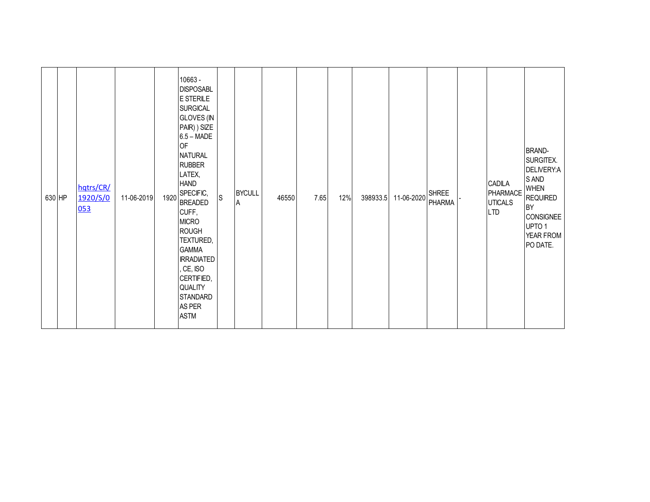| 630 HP | hqtrs/CR/<br>1920/S/0<br>053 | 11-06-2019 | 1920 | 10663 -<br><b>DISPOSABL</b><br>E STERILE<br><b>SURGICAL</b><br><b>GLOVES (IN</b><br>PAIR) ) SIZE<br>$6.5 - \text{MADE}$<br><b>OF</b><br><b>NATURAL</b><br><b>RUBBER</b><br>LATEX,<br><b>HAND</b><br>SPECIFIC,<br><b>BREADED</b><br>CUFF,<br><b>MICRO</b><br><b>ROUGH</b><br>TEXTURED,<br><b>GAMMA</b><br><b>IRRADIATED</b><br>, CE, ISO<br>CERTIFIED,<br>QUALITY | S | <b>BYCULL</b><br>A | 46550 | 7.65 | 12% | 398933.5 11-06-2020 SHREE | <b>PHARMA</b> | CADILA<br>PHARMACE<br><b>UTICALS</b><br><b>LTD</b> | <b>BRAND-</b><br>SURGITEX.<br>DELIVERY:A<br>S AND<br><b>WHEN</b><br><b>REQUIRED</b><br><b>BY</b><br><b>CONSIGNEE</b><br>UPTO 1<br>YEAR FROM<br>PO DATE. |
|--------|------------------------------|------------|------|------------------------------------------------------------------------------------------------------------------------------------------------------------------------------------------------------------------------------------------------------------------------------------------------------------------------------------------------------------------|---|--------------------|-------|------|-----|---------------------------|---------------|----------------------------------------------------|---------------------------------------------------------------------------------------------------------------------------------------------------------|
|        |                              |            |      | <b>STANDARD</b><br>AS PER<br><b>ASTM</b>                                                                                                                                                                                                                                                                                                                         |   |                    |       |      |     |                           |               |                                                    |                                                                                                                                                         |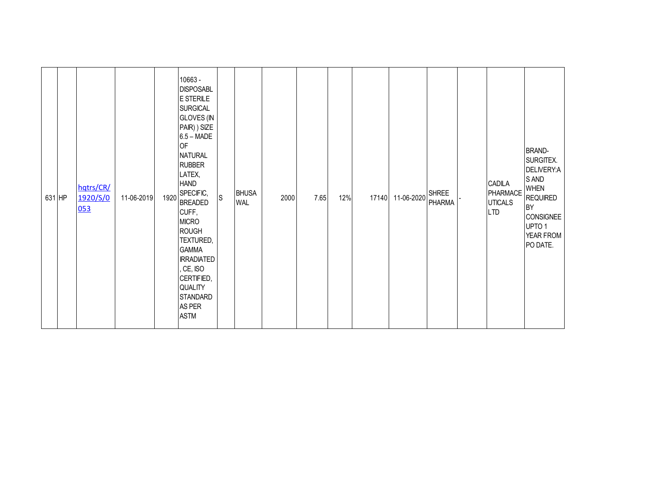| 631 HP | hqtrs/CR/<br>1920/S/0<br>053 | 11-06-2019 | 1920 | 10663 -<br><b>DISPOSABL</b><br>E STERILE<br><b>SURGICAL</b><br><b>GLOVES</b> (IN<br>PAIR) ) SIZE<br>$6.5 - \text{MADE}$<br>OF<br><b>NATURAL</b><br><b>RUBBER</b><br>LATEX,<br><b>HAND</b><br>SPECIFIC,<br><b>BREADED</b><br>CUFF,<br><b>MICRO</b><br><b>ROUGH</b><br>TEXTURED,<br><b>GAMMA</b><br><b>IRRADIATED</b><br>, CE, ISO<br>CERTIFIED,<br>QUALITY<br><b>STANDARD</b><br>AS PER | $\mathsf{S}$ | <b>BHUSA</b><br><b>WAL</b> | 2000 | 7.65 | 12% | 17140 | 11-06-2020 | <b>SHREE</b><br>PHARMA | CADILA<br>PHARMACE<br><b>UTICALS</b><br><b>LTD</b> | <b>BRAND-</b><br>SURGITEX.<br>DELIVERY:A<br>S AND<br><b>WHEN</b><br><b>REQUIRED</b><br>BY<br><b>CONSIGNEE</b><br>UPTO 1<br>YEAR FROM<br>PO DATE. |
|--------|------------------------------|------------|------|----------------------------------------------------------------------------------------------------------------------------------------------------------------------------------------------------------------------------------------------------------------------------------------------------------------------------------------------------------------------------------------|--------------|----------------------------|------|------|-----|-------|------------|------------------------|----------------------------------------------------|--------------------------------------------------------------------------------------------------------------------------------------------------|
|        |                              |            |      | <b>ASTM</b>                                                                                                                                                                                                                                                                                                                                                                            |              |                            |      |      |     |       |            |                        |                                                    |                                                                                                                                                  |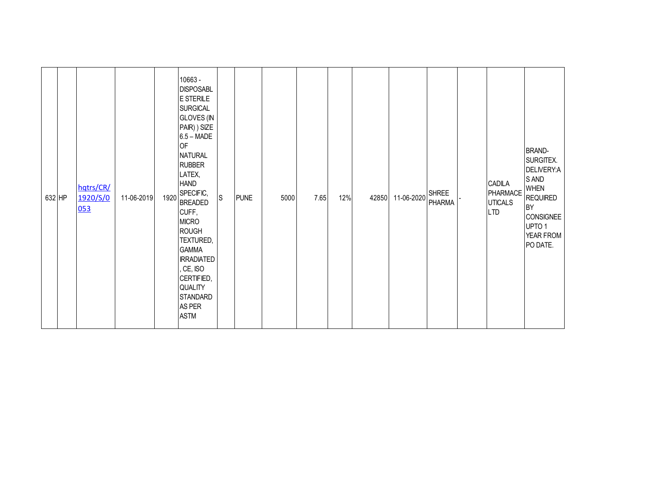| 632 HP | hqtrs/CR/<br>1920/S/0<br>053 | 11-06-2019 | 1920 | 10663 -<br><b>DISPOSABL</b><br>E STERILE<br><b>SURGICAL</b><br><b>GLOVES (IN</b><br>PAIR) ) SIZE<br>$6.5 - \text{MADE}$<br><b>OF</b><br><b>NATURAL</b><br><b>RUBBER</b><br>LATEX,<br><b>HAND</b><br>SPECIFIC,<br><b>BREADED</b><br>CUFF,<br><b>MICRO</b><br><b>ROUGH</b><br>TEXTURED,<br><b>GAMMA</b><br><b>IRRADIATED</b><br>, CE, ISO<br>CERTIFIED,<br>QUALITY<br>STANDARD<br>AS PER | S | <b>PUNE</b> | 5000 | 7.65 | 12% | 42850 | 11-06-2020 | <b>SHREE</b><br><b>PHARMA</b> | CADILA<br>PHARMACE<br><b>UTICALS</b><br><b>LTD</b> | <b>BRAND-</b><br>SURGITEX.<br>DELIVERY:A<br>S AND<br><b>WHEN</b><br><b>REQUIRED</b><br><b>BY</b><br><b>CONSIGNEE</b><br>UPTO 1<br>YEAR FROM<br>PO DATE. |
|--------|------------------------------|------------|------|----------------------------------------------------------------------------------------------------------------------------------------------------------------------------------------------------------------------------------------------------------------------------------------------------------------------------------------------------------------------------------------|---|-------------|------|------|-----|-------|------------|-------------------------------|----------------------------------------------------|---------------------------------------------------------------------------------------------------------------------------------------------------------|
|        |                              |            |      | <b>ASTM</b>                                                                                                                                                                                                                                                                                                                                                                            |   |             |      |      |     |       |            |                               |                                                    |                                                                                                                                                         |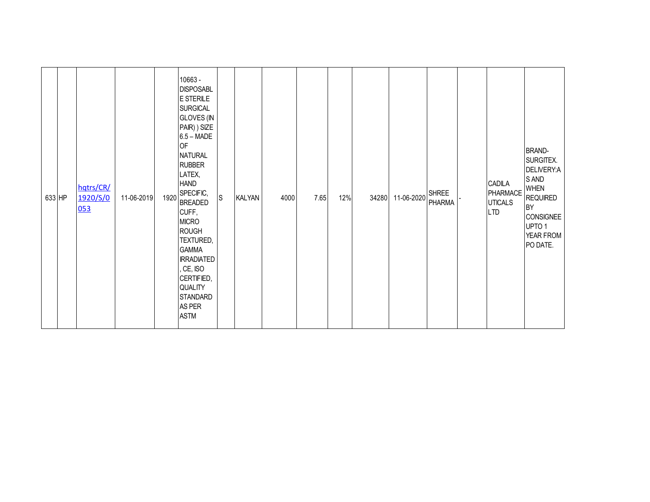| 633 HP | hqtrs/CR/<br>1920/S/0<br>053 | 11-06-2019 | 1920 | 10663 -<br><b>DISPOSABL</b><br>E STERILE<br><b>SURGICAL</b><br><b>GLOVES (IN</b><br>PAIR) ) SIZE<br>$6.5 - \text{MADE}$<br><b>OF</b><br><b>NATURAL</b><br><b>RUBBER</b><br>LATEX,<br><b>HAND</b><br>SPECIFIC,<br><b>BREADED</b><br>CUFF,<br><b>MICRO</b><br><b>ROUGH</b><br>TEXTURED,<br><b>GAMMA</b><br><b>IRRADIATED</b><br>, CE, ISO<br>CERTIFIED,<br>QUALITY<br>STANDARD<br>AS PER | S | <b>KALYAN</b> | 4000 | 7.65 | 12% | 34280 | 11-06-2020 | <b>SHREE</b><br><b>PHARMA</b> | CADILA<br>PHARMACE<br><b>UTICALS</b><br><b>LTD</b> | <b>BRAND-</b><br>SURGITEX.<br>DELIVERY:A<br>S AND<br><b>WHEN</b><br><b>REQUIRED</b><br><b>BY</b><br><b>CONSIGNEE</b><br>UPTO 1<br>YEAR FROM<br>PO DATE. |
|--------|------------------------------|------------|------|----------------------------------------------------------------------------------------------------------------------------------------------------------------------------------------------------------------------------------------------------------------------------------------------------------------------------------------------------------------------------------------|---|---------------|------|------|-----|-------|------------|-------------------------------|----------------------------------------------------|---------------------------------------------------------------------------------------------------------------------------------------------------------|
|        |                              |            |      | <b>ASTM</b>                                                                                                                                                                                                                                                                                                                                                                            |   |               |      |      |     |       |            |                               |                                                    |                                                                                                                                                         |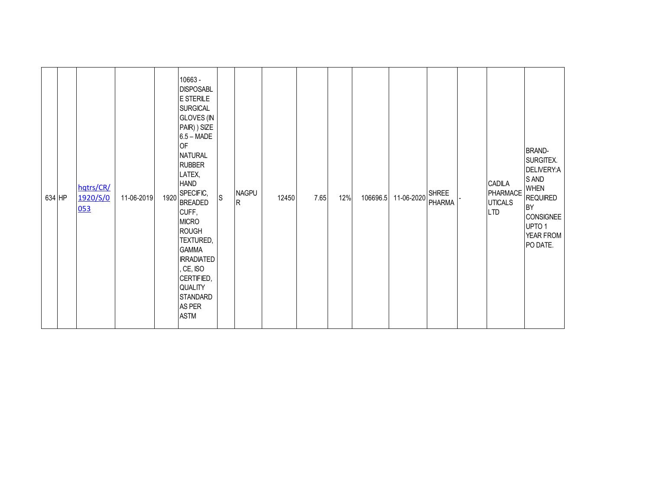| 634 HP | hqtrs/CR/<br>1920/S/0<br>053 | 11-06-2019 | 1920 | 10663 -<br><b>DISPOSABL</b><br>E STERILE<br><b>SURGICAL</b><br><b>GLOVES (IN</b><br>PAIR) ) SIZE<br>$6.5 - \text{MADE}$<br><b>OF</b><br><b>NATURAL</b><br><b>RUBBER</b><br>LATEX,<br><b>HAND</b><br>SPECIFIC,<br><b>BREADED</b><br>CUFF,<br><b>MICRO</b><br><b>ROUGH</b><br>TEXTURED,<br><b>GAMMA</b><br><b>IRRADIATED</b><br>, CE, ISO<br>CERTIFIED,<br>QUALITY | S | <b>NAGPU</b><br>R | 12450 | 7.65 | 12% | 106696.5 | 11-06-2020 | <b>SHREE</b><br><b>PHARMA</b> | CADILA<br>PHARMACE<br><b>UTICALS</b><br><b>LTD</b> | <b>BRAND-</b><br>SURGITEX.<br>DELIVERY:A<br>S AND<br><b>WHEN</b><br><b>REQUIRED</b><br><b>BY</b><br><b>CONSIGNEE</b><br>UPTO 1<br>YEAR FROM<br>PO DATE. |
|--------|------------------------------|------------|------|------------------------------------------------------------------------------------------------------------------------------------------------------------------------------------------------------------------------------------------------------------------------------------------------------------------------------------------------------------------|---|-------------------|-------|------|-----|----------|------------|-------------------------------|----------------------------------------------------|---------------------------------------------------------------------------------------------------------------------------------------------------------|
|        |                              |            |      | <b>STANDARD</b><br>AS PER<br><b>ASTM</b>                                                                                                                                                                                                                                                                                                                         |   |                   |       |      |     |          |            |                               |                                                    |                                                                                                                                                         |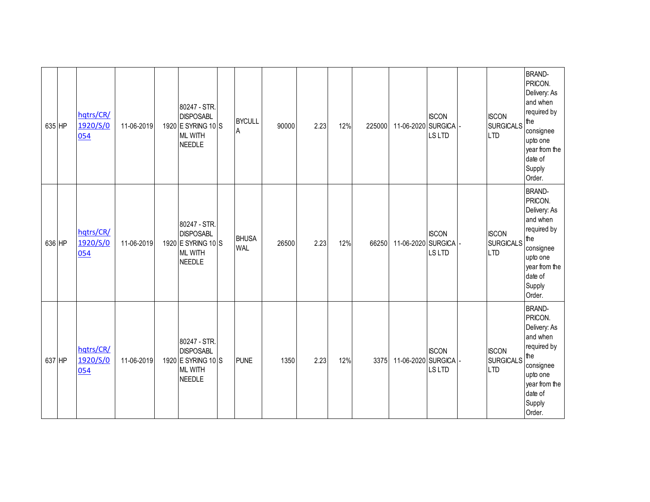| 635 HP | hqtrs/CR/<br>1920/S/0<br>054 | 11-06-2019 | 80247 - STR.<br><b>DISPOSABL</b><br>1920 E SYRING 10 S<br><b>ML WITH</b><br><b>NEEDLE</b> | <b>BYCULL</b><br>ΙA        | 90000 | 2.23 | 12% | 225000 | 11-06-2020 SURGICA | <b>ISCON</b><br><b>LSLTD</b> | <b>ISCON</b><br><b>SURGICALS</b><br><b>LTD</b> | <b>BRAND-</b><br>PRICON.<br>Delivery: As<br>and when<br>required by<br>the<br>consignee<br>upto one<br>year from the<br>date of<br>Supply<br>Order. |
|--------|------------------------------|------------|-------------------------------------------------------------------------------------------|----------------------------|-------|------|-----|--------|--------------------|------------------------------|------------------------------------------------|-----------------------------------------------------------------------------------------------------------------------------------------------------|
| 636 HP | hqtrs/CR/<br>1920/S/0<br>054 | 11-06-2019 | 80247 - STR.<br><b>DISPOSABL</b><br>1920 E SYRING 10 S<br><b>ML WITH</b><br><b>NEEDLE</b> | <b>BHUSA</b><br><b>WAL</b> | 26500 | 2.23 | 12% | 66250  | 11-06-2020 SURGICA | <b>ISCON</b><br>LS LTD       | <b>ISCON</b><br><b>SURGICALS</b><br><b>LTD</b> | <b>BRAND-</b><br>PRICON.<br>Delivery: As<br>and when<br>required by<br>the<br>consignee<br>upto one<br>year from the<br>date of<br>Supply<br>Order. |
| 637 HP | hqtrs/CR/<br>1920/S/0<br>054 | 11-06-2019 | 80247 - STR.<br><b>DISPOSABL</b><br>1920 E SYRING 10 S<br><b>ML WITH</b><br><b>NEEDLE</b> | <b>PUNE</b>                | 1350  | 2.23 | 12% | 3375   | 11-06-2020 SURGICA | <b>ISCON</b><br><b>LSLTD</b> | <b>ISCON</b><br><b>SURGICALS</b><br><b>LTD</b> | <b>BRAND-</b><br>PRICON.<br>Delivery: As<br>and when<br>required by<br>the<br>consignee<br>upto one<br>year from the<br>date of<br>Supply<br>Order. |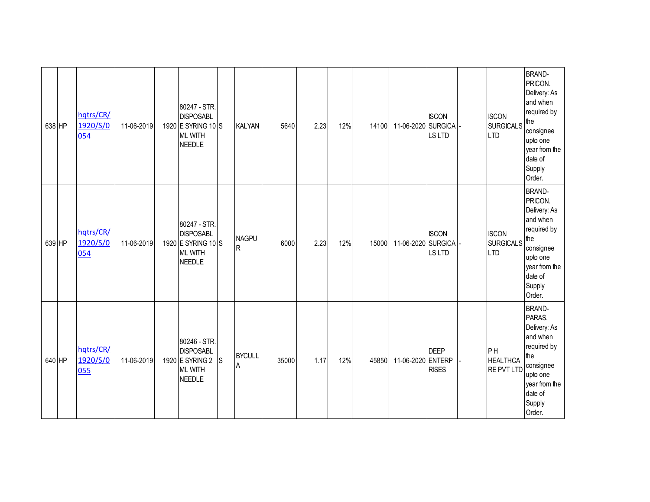| 638 HP | hqtrs/CR/<br>1920/S/0<br>054 | 11-06-2019 | 80247 - STR.<br><b>DISPOSABL</b><br>1920 E SYRING 10 S<br><b>ML WITH</b><br><b>NEEDLE</b> |   | <b>KALYAN</b>       | 5640  | 2.23 | 12% | 14100 | 11-06-2020 SURGICA | <b>ISCON</b><br><b>LSLTD</b> | <b>ISCON</b><br><b>SURGICALS</b><br><b>LTD</b> | <b>BRAND-</b><br>PRICON.<br>Delivery: As<br>and when<br>required by<br>the<br>consignee<br>upto one<br>year from the<br>date of<br>Supply<br>Order. |
|--------|------------------------------|------------|-------------------------------------------------------------------------------------------|---|---------------------|-------|------|-----|-------|--------------------|------------------------------|------------------------------------------------|-----------------------------------------------------------------------------------------------------------------------------------------------------|
| 639 HP | hqtrs/CR/<br>1920/S/0<br>054 | 11-06-2019 | 80247 - STR.<br><b>DISPOSABL</b><br>1920 E SYRING 10 S<br><b>ML WITH</b><br><b>NEEDLE</b> |   | <b>NAGPU</b><br>lR. | 6000  | 2.23 | 12% | 15000 | 11-06-2020 SURGICA | <b>ISCON</b><br><b>LSLTD</b> | <b>ISCON</b><br><b>SURGICALS</b><br><b>LTD</b> | <b>BRAND-</b><br>PRICON.<br>Delivery: As<br>and when<br>required by<br>the<br>consignee<br>upto one<br>year from the<br>date of<br>Supply<br>Order. |
| 640 HP | hqtrs/CR/<br>1920/S/0<br>055 | 11-06-2019 | 80246 - STR.<br><b>DISPOSABL</b><br>1920 E SYRING 2<br><b>ML WITH</b><br><b>NEEDLE</b>    | S | <b>BYCULL</b><br>ΙA | 35000 | 1.17 | 12% | 45850 | 11-06-2020 ENTERP  | <b>DEEP</b><br><b>RISES</b>  | PH<br><b>HEALTHCA</b><br><b>RE PVT LTD</b>     | <b>BRAND-</b><br>PARAS.<br>Delivery: As<br>and when<br>required by<br>the<br>consignee<br>upto one<br>year from the<br>date of<br>Supply<br>Order.  |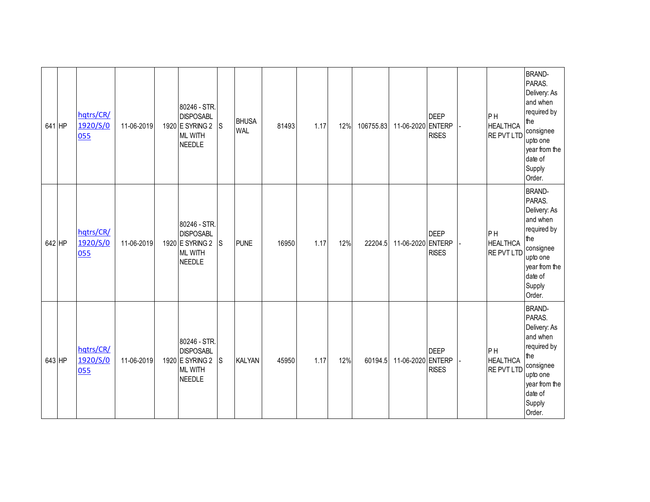| 641 HP | hqtrs/CR/<br>1920/S/0<br>055 | 11-06-2019 | 80246 - STR.<br><b>DISPOSABL</b><br>1920 E SYRING 2<br><b>ML WITH</b><br><b>NEEDLE</b> | ls. | <b>BHUSA</b><br><b>WAL</b> | 81493 | 1.17 | 12% | 106755.83 | 11-06-2020 ENTERP | <b>DEEP</b><br><b>RISES</b> | PH<br><b>HEALTHCA</b><br><b>RE PVT LTD</b> | <b>BRAND-</b><br>PARAS.<br>Delivery: As<br>and when<br>required by<br>the<br>consignee<br>upto one<br>year from the<br>date of<br>Supply<br>Order. |
|--------|------------------------------|------------|----------------------------------------------------------------------------------------|-----|----------------------------|-------|------|-----|-----------|-------------------|-----------------------------|--------------------------------------------|----------------------------------------------------------------------------------------------------------------------------------------------------|
| 642 HP | hqtrs/CR/<br>1920/S/0<br>055 | 11-06-2019 | 80246 - STR.<br><b>DISPOSABL</b><br>1920 E SYRING 2<br><b>ML WITH</b><br><b>NEEDLE</b> | S   | <b>PUNE</b>                | 16950 | 1.17 | 12% | 22204.5   | 11-06-2020 ENTERP | <b>DEEP</b><br><b>RISES</b> | PH<br><b>HEALTHCA</b><br>RE PVT LTD        | <b>BRAND-</b><br>PARAS.<br>Delivery: As<br>and when<br>required by<br>the<br>consignee<br>upto one<br>year from the<br>date of<br>Supply<br>Order. |
| 643 HP | hqtrs/CR/<br>1920/S/0<br>055 | 11-06-2019 | 80246 - STR.<br><b>DISPOSABL</b><br>1920 E SYRING 2<br><b>ML WITH</b><br><b>NEEDLE</b> | S   | <b>KALYAN</b>              | 45950 | 1.17 | 12% | 60194.5   | 11-06-2020 ENTERP | <b>DEEP</b><br><b>RISES</b> | PH<br><b>HEALTHCA</b><br><b>RE PVT LTD</b> | <b>BRAND-</b><br>PARAS.<br>Delivery: As<br>and when<br>required by<br>the<br>consignee<br>upto one<br>year from the<br>date of<br>Supply<br>Order. |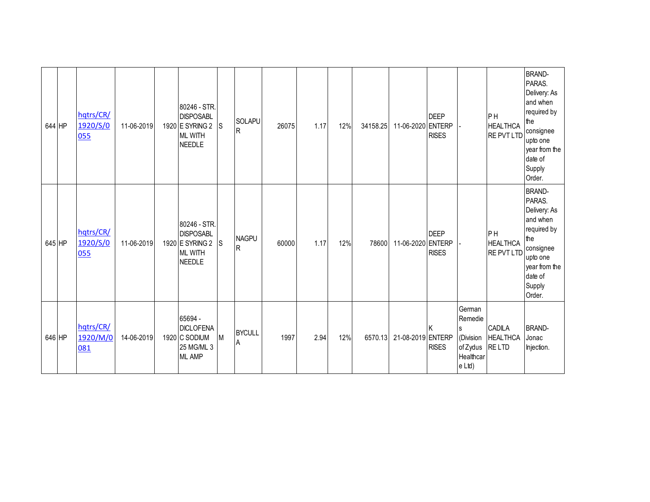| 644 HP | hqtrs/CR/<br>1920/S/0<br>055 | 11-06-2019 | 80246 - STR.<br><b>DISPOSABL</b><br>1920 E SYRING 2<br><b>ML WITH</b><br><b>NEEDLE</b> | <sub>S</sub> | SOLAPU<br>R                    | 26075 | 1.17 | 12% | 34158.25 | 11-06-2020 ENTERP | <b>DEEP</b><br><b>RISES</b> |                                                                                   | PH<br><b>HEALTHCA</b><br><b>RE PVT LTD</b>       | <b>BRAND-</b><br>PARAS.<br>Delivery: As<br>and when<br>required by<br>the<br>consignee<br>upto one<br>year from the<br>date of<br>Supply<br>Order. |
|--------|------------------------------|------------|----------------------------------------------------------------------------------------|--------------|--------------------------------|-------|------|-----|----------|-------------------|-----------------------------|-----------------------------------------------------------------------------------|--------------------------------------------------|----------------------------------------------------------------------------------------------------------------------------------------------------|
| 645 HP | hqtrs/CR/<br>1920/S/0<br>055 | 11-06-2019 | 80246 - STR.<br><b>DISPOSABL</b><br>1920 E SYRING 2<br><b>ML WITH</b><br><b>NEEDLE</b> | $\mathsf{S}$ | <b>NAGPU</b><br>$\overline{R}$ | 60000 | 1.17 | 12% | 78600    | 11-06-2020 ENTERP | <b>DEEP</b><br><b>RISES</b> |                                                                                   | PH<br><b>HEALTHCA</b><br><b>RE PVT LTD</b>       | <b>BRAND-</b><br>PARAS.<br>Delivery: As<br>and when<br>required by<br>the<br>consignee<br>upto one<br>year from the<br>date of<br>Supply<br>Order. |
| 646 HP | hqtrs/CR/<br>1920/M/0<br>081 | 14-06-2019 | 65694 -<br><b>DICLOFENA</b><br>1920 C SODIUM<br>25 MG/ML 3<br><b>ML AMP</b>            | M            | <b>BYCULL</b><br>A             | 1997  | 2.94 | 12% | 6570.13  | 21-08-2019 ENTERP | <b>RISES</b>                | German<br>Remedie<br><sub>S</sub><br>(Division<br>of Zydus<br>Healthcar<br>e Ltd) | <b>CADILA</b><br><b>HEALTHCA</b><br><b>RELTD</b> | <b>BRAND-</b><br>Jonac<br>Injection.                                                                                                               |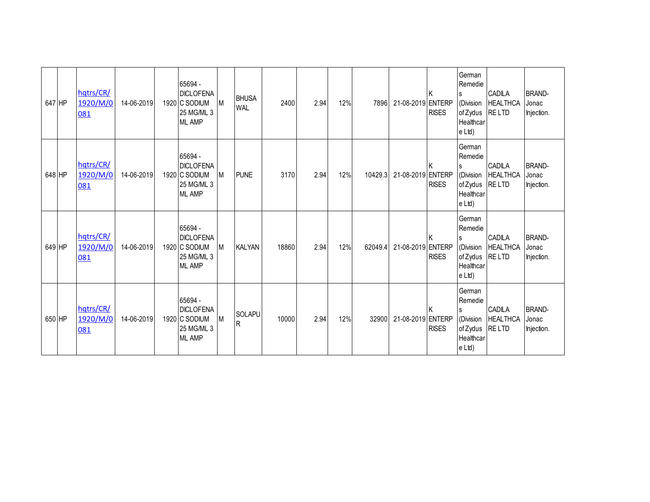| 647 HP |        | hqtrs/CR/<br>1920/M/0<br>081 | 14-06-2019 | 65694 -<br><b>DICLOFENA</b><br>1920 C SODIUM<br>25 MG/ML 3<br><b>ML AMP</b> | Iм | <b>BHUSA</b><br><b>WAL</b> | 2400  | 2.94 | 12% | 7896    | 21-08-2019 ENTERP | <b>RISES</b> | German<br>Remedie<br>l S<br>(Division<br>of Zydus<br>Healthcar<br>e Ltd) | CADILA<br><b>HEALTHCA</b><br><b>RELTD</b>        | <b>BRAND-</b><br>Jonac<br>Injection. |
|--------|--------|------------------------------|------------|-----------------------------------------------------------------------------|----|----------------------------|-------|------|-----|---------|-------------------|--------------|--------------------------------------------------------------------------|--------------------------------------------------|--------------------------------------|
|        | 648 HP | hqtrs/CR/<br>1920/M/0<br>081 | 14-06-2019 | 65694 -<br><b>DICLOFENA</b><br>1920 C SODIUM<br>25 MG/ML 3<br><b>ML AMP</b> | Iм | <b>PUNE</b>                | 3170  | 2.94 | 12% | 10429.3 | 21-08-2019 ENTERP | <b>RISES</b> | German<br>Remedie<br>ls<br>(Division<br>of Zydus<br>Healthcar<br>e Ltd)  | <b>CADILA</b><br><b>HEALTHCA</b><br><b>RELTD</b> | <b>BRAND-</b><br>Jonac<br>Injection. |
|        | 649 HP | hqtrs/CR/<br>1920/M/0<br>081 | 14-06-2019 | 65694 -<br><b>DICLOFENA</b><br>1920 C SODIUM<br>25 MG/ML 3<br><b>ML AMP</b> | M  | <b>KALYAN</b>              | 18860 | 2.94 | 12% | 62049.4 | 21-08-2019 ENTERP | <b>RISES</b> | German<br>Remedie<br>S<br>(Division<br>of Zydus<br>Healthcar<br>e Ltd)   | CADILA<br><b>HEALTHCA</b><br>RE LTD              | <b>BRAND-</b><br>Jonac<br>Injection. |
| 650 HP |        | hqtrs/CR/<br>1920/M/0<br>081 | 14-06-2019 | 65694 -<br><b>DICLOFENA</b><br>1920 C SODIUM<br>25 MG/ML 3<br><b>ML AMP</b> | M  | SOLAPU<br>R                | 10000 | 2.94 | 12% | 32900   | 21-08-2019 ENTERP | <b>RISES</b> | German<br>Remedie<br>l S<br>(Division<br>of Zydus<br>Healthcar<br>e Ltd) | CADILA<br><b>HEALTHCA</b><br><b>RELTD</b>        | <b>BRAND-</b><br>Jonac<br>Injection. |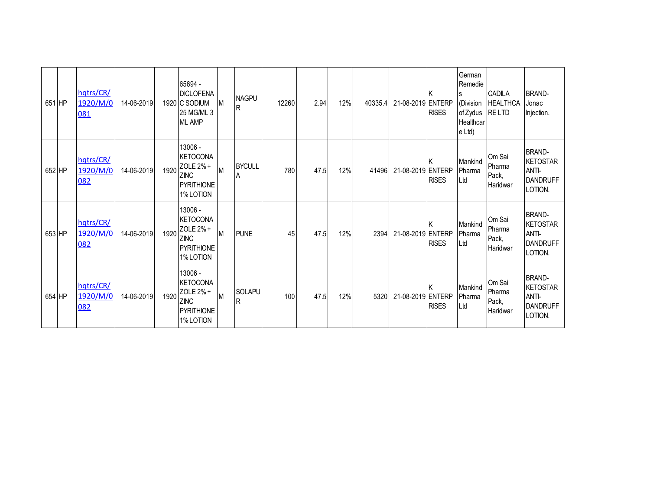| 651 HP | hqtrs/CR/<br>1920/M/0<br>081 | 14-06-2019 |      | 65694 -<br><b>DICLOFENA</b><br>1920 C SODIUM<br>25 MG/ML 3<br><b>ML AMP</b>              | M        | <b>NAGPU</b><br>lR. | 12260 | 2.94 | 12% | 40335.4 | 21-08-2019 ENTERP | <b>RISES</b> | German<br>Remedie<br>(Division<br>of Zydus<br>Healthcar<br>e Ltd) | CADILA<br><b>HEALTHCA</b><br><b>RELTD</b> | <b>BRAND-</b><br>Jonac<br>Injection.                                    |
|--------|------------------------------|------------|------|------------------------------------------------------------------------------------------|----------|---------------------|-------|------|-----|---------|-------------------|--------------|-------------------------------------------------------------------|-------------------------------------------|-------------------------------------------------------------------------|
| 652 HP | hqtrs/CR/<br>1920/M/0<br>082 | 14-06-2019 | 1920 | 13006 -<br><b>KETOCONA</b><br>ZOLE 2%+<br><b>ZINC</b><br><b>PYRITHIONE</b><br>1% LOTION  | <b>M</b> | <b>BYCULL</b><br>A  | 780   | 47.5 | 12% | 41496   | 21-08-2019 ENTERP | <b>RISES</b> | Mankind<br>Pharma<br>Ltd                                          | Om Sai<br>Pharma<br>Pack,<br>Haridwar     | <b>BRAND-</b><br><b>KETOSTAR</b><br>ANTI-<br><b>DANDRUFF</b><br>LOTION. |
| 653 HP | hqtrs/CR/<br>1920/M/0<br>082 | 14-06-2019 | 1920 | 13006 -<br><b>KETOCONA</b><br>ZOLE 2% +<br><b>ZINC</b><br><b>PYRITHIONE</b><br>1% LOTION | M        | <b>PUNE</b>         | 45    | 47.5 | 12% | 2394    | 21-08-2019 ENTERP | <b>RISES</b> | Mankind<br>Pharma<br>Ltd                                          | Om Sai<br>Pharma<br>Pack,<br>Haridwar     | <b>BRAND-</b><br><b>KETOSTAR</b><br>ANTI-<br><b>DANDRUFF</b><br>LOTION. |
| 654 HP | hqtrs/CR/<br>1920/M/0<br>082 | 14-06-2019 | 1920 | 13006 -<br><b>KETOCONA</b><br>ZOLE 2% +<br><b>ZINC</b><br><b>PYRITHIONE</b><br>1% LOTION | <b>M</b> | SOLAPU<br><b>R</b>  | 100   | 47.5 | 12% | 5320    | 21-08-2019 ENTERP | <b>RISES</b> | Mankind<br>Pharma<br>Ltd                                          | Om Sai<br>Pharma<br>Pack,<br>Haridwar     | <b>BRAND-</b><br><b>KETOSTAR</b><br>ANTI-<br><b>DANDRUFF</b><br>LOTION. |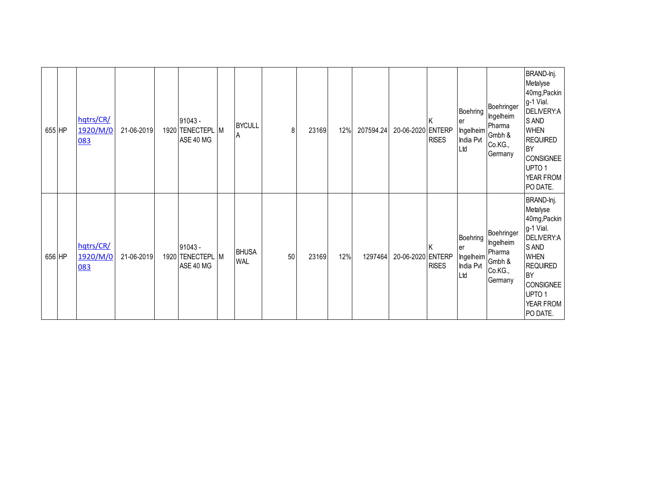| 655 HP | hqtrs/CR/<br>1920/M/0<br>083 | 21-06-2019 | $91043 -$<br>1920 TENECTEPL M<br>ASE 40 MG | <b>BYCULL</b><br>ΙA        | 8  | 23169 | 12% | 207594.24 | 20-06-2020 ENTERP | <b>RISES</b> | Boehring<br>ler<br>India Pvt<br>Ltd | Boehringer<br>Ingelheim<br>Pharma<br>Ingelheim<br>Gmbh &<br>Co.KG.,<br>Germany | BRAND-lnj.<br>Metalyse<br>40mg, Packin<br>g-1 Vial.<br>DELIVERY:A<br>S AND<br><b>WHEN</b><br><b>REQUIRED</b><br>BY<br>CONSIGNEE<br>UPTO <sub>1</sub><br>YEAR FROM<br>PO DATE.        |
|--------|------------------------------|------------|--------------------------------------------|----------------------------|----|-------|-----|-----------|-------------------|--------------|-------------------------------------|--------------------------------------------------------------------------------|--------------------------------------------------------------------------------------------------------------------------------------------------------------------------------------|
| 656 HP | hqtrs/CR/<br>1920/M/0<br>083 | 21-06-2019 | $91043 -$<br>1920 TENECTEPL M<br>ASE 40 MG | <b>BHUSA</b><br><b>WAL</b> | 50 | 23169 | 12% | 1297464   | 20-06-2020 ENTERP | <b>RISES</b> | Boehring<br>ler<br>India Pvt<br>Ltd | Boehringer<br>Ingelheim<br>Pharma<br>Ingelheim Gmbh &<br>Co.KG.,<br>Germany    | BRAND-lnj.<br>Metalyse<br>40mg, Packin<br>g-1 Vial.<br>DELIVERY:A<br>S AND<br><b>WHEN</b><br><b>REQUIRED</b><br>BY<br><b>CONSIGNEE</b><br>UPTO <sub>1</sub><br>YEAR FROM<br>PO DATE. |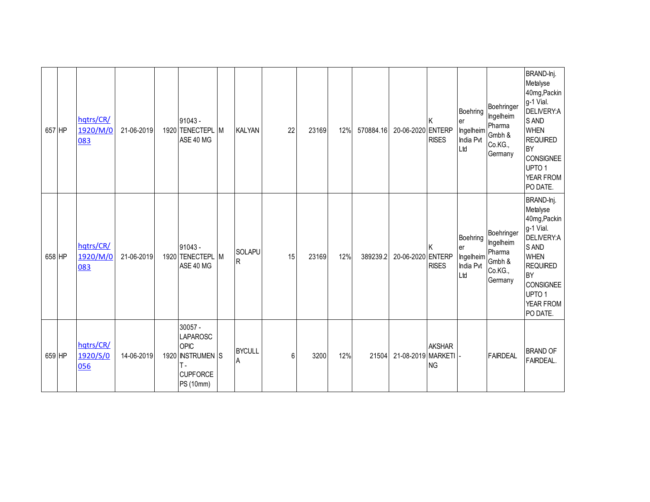| 657 HP | hqtrs/CR/<br>1920/M/0<br>083 | 21-06-2019 | 91043 -<br>1920 TENECTEPL M<br>ASE 40 MG                                                       | <b>KALYAN</b>                   | 22 | 23169 | 12% | 570884.16 | 20-06-2020 ENTERP    | <b>RISES</b>               | Boehring<br>ler<br>Ingelheim<br>India Pvt<br>Ltd | Boehringer<br>Ingelheim<br>Pharma<br>Gmbh &<br>Co.KG.,<br>Germany | BRAND-Inj.<br>Metalyse<br>40mg, Packin<br>g-1 Vial.<br>DELIVERY:A<br>S AND<br><b>WHEN</b><br><b>REQUIRED</b><br><b>BY</b><br>CONSIGNEE<br>UPTO <sub>1</sub><br>YEAR FROM<br>PO DATE. |
|--------|------------------------------|------------|------------------------------------------------------------------------------------------------|---------------------------------|----|-------|-----|-----------|----------------------|----------------------------|--------------------------------------------------|-------------------------------------------------------------------|--------------------------------------------------------------------------------------------------------------------------------------------------------------------------------------|
| 658 HP | hqtrs/CR/<br>1920/M/0<br>083 | 21-06-2019 | 91043 -<br>1920 TENECTEPL M<br>ASE 40 MG                                                       | <b>SOLAPU</b><br>$\overline{R}$ | 15 | 23169 | 12% | 389239.2  | 20-06-2020 ENTERP    | <b>RISES</b>               | Boehring<br>er<br>Ingelheim<br>India Pvt<br>Ltd  | Boehringer<br>Ingelheim<br>Pharma<br>Gmbh &<br>Co.KG.,<br>Germany | BRAND-lnj.<br>Metalyse<br>40mg, Packin<br>g-1 Vial.<br>DELIVERY:A<br>S AND<br><b>WHEN</b><br><b>REQUIRED</b><br><b>BY</b><br>CONSIGNEE<br>UPTO <sub>1</sub><br>YEAR FROM<br>PO DATE. |
| 659 HP | hqtrs/CR/<br>1920/S/0<br>056 | 14-06-2019 | $30057 -$<br>LAPAROSC<br><b>OPIC</b><br>1920 INSTRUMEN S<br>Τ.<br><b>CUPFORCE</b><br>PS (10mm) | <b>BYCULL</b><br>A              | 6  | 3200  | 12% | 21504     | 21-08-2019 MARKETI - | <b>AKSHAR</b><br><b>NG</b> |                                                  | FAIRDEAL                                                          | <b>BRAND OF</b><br><b>FAIRDEAL.</b>                                                                                                                                                  |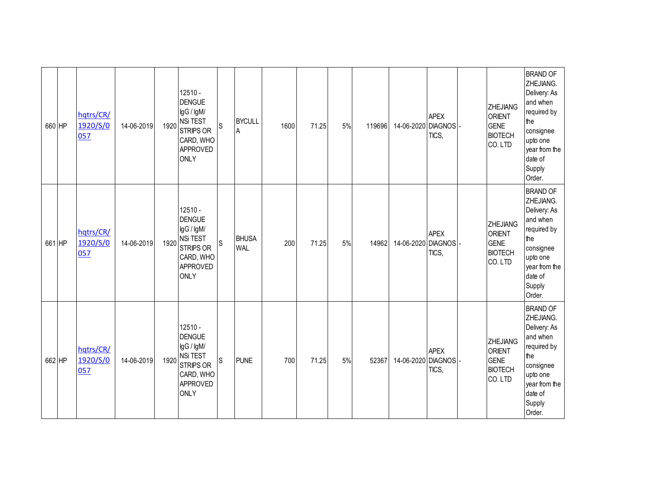| 660 HP | hqtrs/CR/<br>1920/S/0<br>057 | 14-06-2019 | 1920 | 12510 -<br><b>DENGUE</b><br>IgG / IgM/<br><b>NSi TEST</b><br><b>STRIPS OR</b><br>CARD, WHO<br><b>APPROVED</b><br><b>ONLY</b> | S            | <b>BYCULL</b><br>$\overline{A}$ | 1600 | 71.25 | 5% | 119696 | 14-06-2020 | <b>APEX</b><br><b>DIAGNOS</b><br>TICS, | <b>ZHEJIANG</b><br><b>ORIENT</b><br><b>GENE</b><br><b>BIOTECH</b><br>CO.LTD  | <b>BRAND OF</b><br>ZHEJIANG.<br>Delivery: As<br>and when<br>required by<br>the<br>consignee<br>upto one<br>year from the<br>date of<br>Supply<br>Order. |
|--------|------------------------------|------------|------|------------------------------------------------------------------------------------------------------------------------------|--------------|---------------------------------|------|-------|----|--------|------------|----------------------------------------|------------------------------------------------------------------------------|---------------------------------------------------------------------------------------------------------------------------------------------------------|
| 661 HP | hqtrs/CR/<br>1920/S/0<br>057 | 14-06-2019 |      | 12510 -<br><b>DENGUE</b><br>IgG / IgM/<br>$1920$ NSi TEST<br><b>STRIPS OR</b><br>CARD, WHO<br><b>APPROVED</b><br><b>ONLY</b> | $\mathsf{s}$ | <b>BHUSA</b><br><b>WAL</b>      | 200  | 71.25 | 5% | 14962  | 14-06-2020 | <b>APEX</b><br><b>DIAGNOS</b><br>TICS, | <b>ZHEJIANG</b><br><b>ORIENT</b><br><b>GENE</b><br><b>BIOTECH</b><br>CO. LTD | <b>BRAND OF</b><br>ZHEJIANG.<br>Delivery: As<br>and when<br>required by<br>the<br>consignee<br>upto one<br>year from the<br>date of<br>Supply<br>Order. |
| 662 HP | hatrs/CR/<br>1920/S/0<br>057 | 14-06-2019 |      | 12510 -<br><b>DENGUE</b><br>IgG / IgM/<br>1920 NSi TEST<br><b>STRIPS OR</b><br>CARD, WHO<br>APPROVED<br><b>ONLY</b>          | S            | <b>PUNE</b>                     | 700  | 71.25 | 5% | 52367  | 14-06-2020 | <b>APEX</b><br><b>DIAGNOS</b><br>TICS, | <b>ZHEJIANG</b><br><b>ORIENT</b><br><b>GENE</b><br><b>BIOTECH</b><br>CO.LTD  | <b>BRAND OF</b><br>ZHEJIANG.<br>Delivery: As<br>and when<br>required by<br>the<br>consignee<br>upto one<br>year from the<br>date of<br>Supply<br>Order. |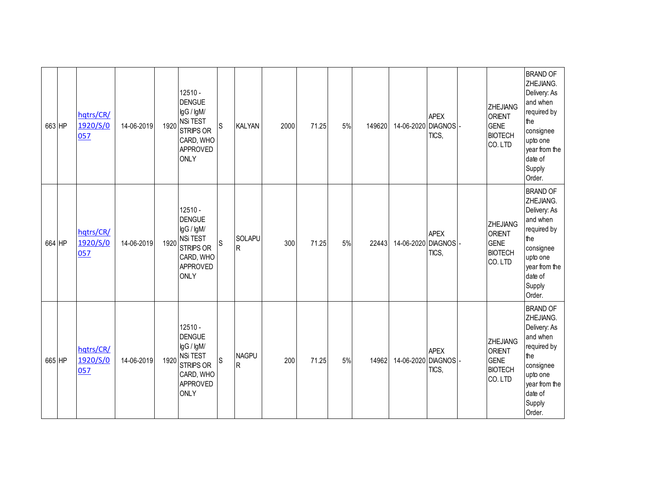| 663 HP | hqtrs/CR/<br>1920/S/0<br>057 | 14-06-2019 | 1920 | 12510 -<br><b>DENGUE</b><br>IgG / IgM/<br><b>NSi TEST</b><br><b>STRIPS OR</b><br>CARD, WHO<br><b>APPROVED</b><br><b>ONLY</b> | $\mathsf S$ | <b>KALYAN</b>            | 2000 | 71.25 | 5% | 149620 | 14-06-2020 | <b>APEX</b><br><b>DIAGNOS</b><br>TICS, | <b>ZHEJIANG</b><br><b>ORIENT</b><br><b>GENE</b><br><b>BIOTECH</b><br>CO.LTD | <b>BRAND OF</b><br>ZHEJIANG.<br>Delivery: As<br>and when<br>required by<br>the<br>consignee<br>upto one<br>year from the<br>date of<br>Supply<br>Order. |
|--------|------------------------------|------------|------|------------------------------------------------------------------------------------------------------------------------------|-------------|--------------------------|------|-------|----|--------|------------|----------------------------------------|-----------------------------------------------------------------------------|---------------------------------------------------------------------------------------------------------------------------------------------------------|
| 664 HP | hqtrs/CR/<br>1920/S/0<br>057 | 14-06-2019 |      | 12510 -<br><b>DENGUE</b><br>IgG / IgM/<br>$1920$ NSi TEST<br><b>STRIPS OR</b><br>CARD, WHO<br>APPROVED<br><b>ONLY</b>        | $\mathsf S$ | SOLAPU<br>IR.            | 300  | 71.25 | 5% | 22443  | 14-06-2020 | <b>APEX</b><br><b>DIAGNOS</b><br>TICS, | <b>ZHEJIANG</b><br><b>ORIENT</b><br><b>GENE</b><br><b>BIOTECH</b><br>CO.LTD | <b>BRAND OF</b><br>ZHEJIANG.<br>Delivery: As<br>and when<br>required by<br>the<br>consignee<br>upto one<br>year from the<br>date of<br>Supply<br>Order. |
| 665 HP | hqtrs/CR/<br>1920/S/0<br>057 | 14-06-2019 |      | 12510 -<br><b>DENGUE</b><br>IgG / IgM/<br>1920 NSi TEST<br><b>STRIPS OR</b><br>CARD, WHO<br>APPROVED<br><b>ONLY</b>          | S           | <b>NAGPU</b><br><b>R</b> | 200  | 71.25 | 5% | 14962  | 14-06-2020 | <b>APEX</b><br><b>DIAGNOS</b><br>TICS, | ZHEJIANG<br><b>ORIENT</b><br><b>GENE</b><br><b>BIOTECH</b><br>CO.LTD        | <b>BRAND OF</b><br>ZHEJIANG.<br>Delivery: As<br>and when<br>required by<br>the<br>consignee<br>upto one<br>year from the<br>date of<br>Supply<br>Order. |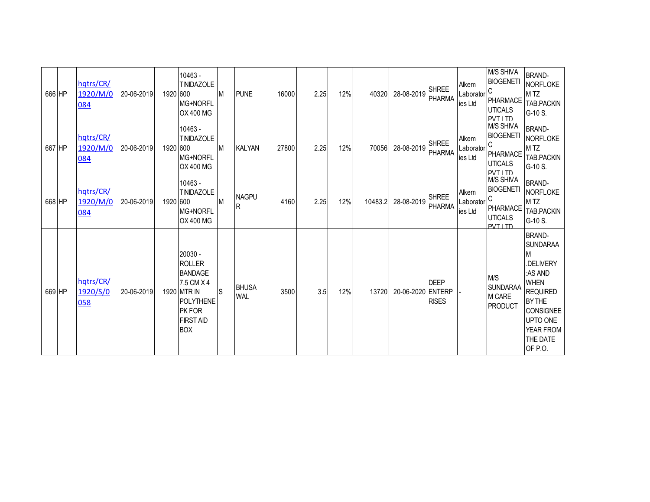| 666 HP | hqtrs/CR/<br>1920/M/0<br>084 | 20-06-2019 | 1920 600 | 10463 -<br><b>TINIDAZOLE</b><br>MG+NORFL<br>OX 400 MG                                                                                   | <b>IM</b> | <b>PUNE</b>                  | 16000 | 2.25 | 12% | 40320   | 28-08-2019        | <b>SHREE</b><br><b>PHARMA</b> | Alkem<br>Laborator<br>ies Ltd | M/S SHIVA<br><b>BIOGENETI</b><br>C<br>PHARMACE<br><b>UTICALS</b><br><b>PVTI TD</b>        | <b>BRAND-</b><br>NORFLOKE<br>M TZ<br>TAB.PACKIN<br>G-10 S.                                                                                                                           |
|--------|------------------------------|------------|----------|-----------------------------------------------------------------------------------------------------------------------------------------|-----------|------------------------------|-------|------|-----|---------|-------------------|-------------------------------|-------------------------------|-------------------------------------------------------------------------------------------|--------------------------------------------------------------------------------------------------------------------------------------------------------------------------------------|
| 667 HP | hqtrs/CR/<br>1920/M/0<br>084 | 20-06-2019 | 1920 600 | 10463 -<br><b>TINIDAZOLE</b><br>MG+NORFL<br>OX 400 MG                                                                                   | M         | <b>KALYAN</b>                | 27800 | 2.25 | 12% | 70056   | 28-08-2019        | <b>SHREE</b><br>PHARMA        | Alkem<br>Laborator<br>ies Ltd | M/S SHIVA<br><b>BIOGENETI</b><br>C<br><b>PHARMACE</b><br><b>UTICALS</b><br><b>PVTI TD</b> | <b>BRAND-</b><br>NORFLOKE<br>M <sub>TZ</sub><br>TAB.PACKIN<br>G-10 S.                                                                                                                |
| 668 HP | hqtrs/CR/<br>1920/M/0<br>084 | 20-06-2019 | 1920 600 | 10463 -<br><b>TINIDAZOLE</b><br>MG+NORFL<br>OX 400 MG                                                                                   | M         | <b>NAGPU</b><br>$\mathsf{R}$ | 4160  | 2.25 | 12% | 10483.2 | 28-08-2019        | <b>SHREE</b><br><b>PHARMA</b> | Alkem<br>Laborator<br>ies Ltd | M/S SHIVA<br><b>BIOGENETI</b><br><b>PHARMACE</b><br><b>UTICALS</b><br>PVT I TD            | <b>BRAND-</b><br>NORFLOKE<br>M <sub>TZ</sub><br>TAB.PACKIN<br>G-10 S.                                                                                                                |
| 669 HP | hqtrs/CR/<br>1920/S/0<br>058 | 20-06-2019 |          | 20030 -<br><b>ROLLER</b><br><b>BANDAGE</b><br>7.5 CM X 4<br>1920 MTR IN<br><b>POLYTHENE</b><br>PK FOR<br><b>FIRST AID</b><br><b>BOX</b> | lS        | <b>BHUSA</b><br><b>WAL</b>   | 3500  | 3.5  | 12% | 13720   | 20-06-2020 ENTERP | <b>DEEP</b><br><b>RISES</b>   |                               | M/S<br><b>SUNDARAA</b><br>M CARE<br><b>PRODUCT</b>                                        | <b>BRAND-</b><br><b>SUNDARAA</b><br>M<br>.DELIVERY<br>:AS AND<br><b>WHEN</b><br><b>REQUIRED</b><br>BY THE<br><b>CONSIGNEE</b><br><b>UPTO ONE</b><br>YEAR FROM<br>THE DATE<br>OF P.O. |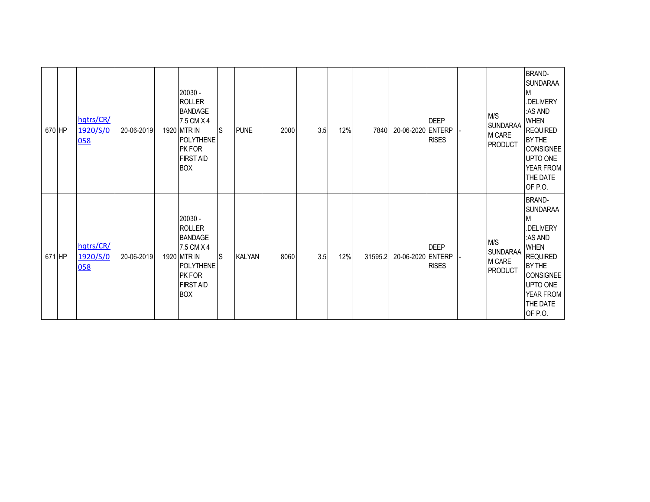|        | 670 HP | hqtrs/CR/<br>1920/S/0<br>058 | 20-06-2019 | 20030 -<br><b>ROLLER</b><br><b>BANDAGE</b><br>7.5 CM X 4<br>1920 MTR IN<br><b>POLYTHENE</b><br>PK FOR<br><b>FIRST AID</b><br><b>BOX</b>       | ls. | <b>PUNE</b>   | 2000 | 3.5 | 12% | 7840    | 20-06-2020 ENTERP | <b>DEEP</b><br><b>RISES</b> | M/S<br><b>SUNDARAA</b><br>M CARE<br><b>PRODUCT</b> | <b>BRAND-</b><br><b>SUNDARAA</b><br>M<br>.DELIVERY<br>:AS AND<br><b>WHEN</b><br><b>REQUIRED</b><br><b>BY THE</b><br><b>CONSIGNEE</b><br>UPTO ONE<br>YEAR FROM<br>THE DATE<br>OF P.O. |
|--------|--------|------------------------------|------------|-----------------------------------------------------------------------------------------------------------------------------------------------|-----|---------------|------|-----|-----|---------|-------------------|-----------------------------|----------------------------------------------------|--------------------------------------------------------------------------------------------------------------------------------------------------------------------------------------|
| 671 HP |        | hqtrs/CR/<br>1920/S/0<br>058 | 20-06-2019 | 20030 -<br><b>ROLLER</b><br><b>BANDAGE</b><br>7.5 CM X 4<br>1920 MTR IN<br><b>POLYTHENE</b><br><b>PKFOR</b><br><b>FIRST AID</b><br><b>BOX</b> | Is. | <b>KALYAN</b> | 8060 | 3.5 | 12% | 31595.2 | 20-06-2020 ENTERP | <b>DEEP</b><br><b>RISES</b> | M/S<br><b>SUNDARAA</b><br>M CARE<br><b>PRODUCT</b> | <b>BRAND-</b><br><b>SUNDARAA</b><br>M<br>.DELIVERY<br>:AS AND<br><b>WHEN</b><br><b>REQUIRED</b><br><b>BY THE</b><br><b>CONSIGNEE</b><br>UPTO ONE<br>YEAR FROM<br>THE DATE<br>OF P.O. |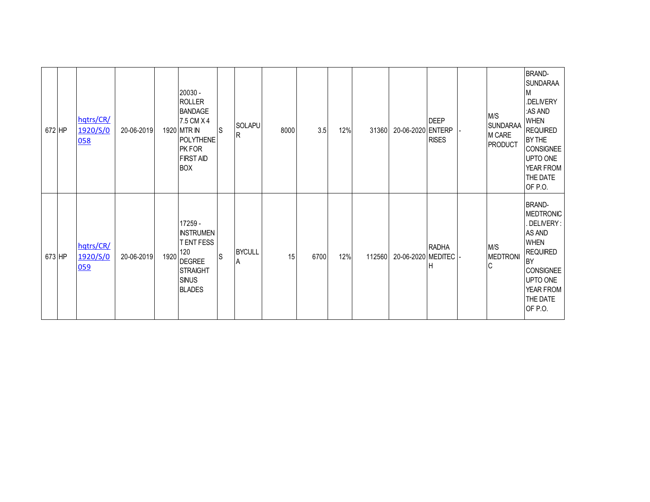| 672 HP | hqtrs/CR/<br>1920/S/0<br>058 | 20-06-2019 |      | 20030 -<br><b>ROLLER</b><br><b>BANDAGE</b><br>7.5 CM X 4<br>1920 MTR IN<br><b>POLYTHENE</b><br>PK FOR<br><b>FIRST AID</b><br><b>BOX</b> | lS. | <b>SOLAPU</b><br>R | 8000 | 3.5  | 12% | 31360  | 20-06-2020 ENTERP  | <b>DEEP</b><br><b>RISES</b> | M/S<br><b>SUNDARAA</b><br>M CARE<br><b>PRODUCT</b> | <b>BRAND-</b><br><b>SUNDARAA</b><br>M<br>.DELIVERY<br>:AS AND<br><b>WHEN</b><br><b>REQUIRED</b><br>BY THE<br><b>CONSIGNEE</b><br>UPTO ONE<br>YEAR FROM<br>THE DATE<br>OF P.O. |
|--------|------------------------------|------------|------|-----------------------------------------------------------------------------------------------------------------------------------------|-----|--------------------|------|------|-----|--------|--------------------|-----------------------------|----------------------------------------------------|-------------------------------------------------------------------------------------------------------------------------------------------------------------------------------|
| 673 HP | hqtrs/CR/<br>1920/S/0<br>059 | 20-06-2019 | 1920 | 17259 -<br><b>INSTRUMEN</b><br>T ENT FESS<br>120<br><b>DEGREE</b><br><b>STRAIGHT</b><br><b>SINUS</b><br><b>BLADES</b>                   | ls  | <b>BYCULL</b><br>A | 15   | 6700 | 12% | 112560 | 20-06-2020 MEDITEC | <b>RADHA</b><br>Н           | M/S<br><b>MEDTRONI</b><br>IС                       | <b>BRAND-</b><br><b>MEDTRONIC</b><br>DELIVERY:<br>AS AND<br><b>WHEN</b><br><b>REQUIRED</b><br><b>BY</b><br>CONSIGNEE<br>UPTO ONE<br>YEAR FROM<br>THE DATE<br>OF P.O.          |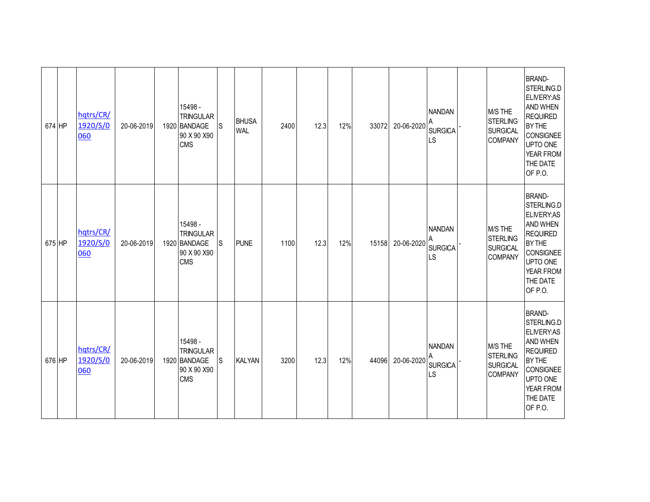| 674 HP | hqtrs/CR/<br>1920/S/0<br>060 | 20-06-2019 | 15498 -<br><b>TRINGULAR</b><br>1920 BANDAGE<br>90 X 90 X 90<br><b>CMS</b> | S  | <b>BHUSA</b><br><b>WAL</b> | 2400 | 12.3 | 12% | 33072 | 20-06-2020 | <b>NANDAN</b><br><b>SURGICA</b><br><b>LS</b> | M/S THE<br><b>STERLING</b><br><b>SURGICAL</b><br>COMPANY        | <b>BRAND-</b><br>STERLING.D<br>ELIVERY:AS<br>AND WHEN<br><b>REQUIRED</b><br><b>BY THE</b><br><b>CONSIGNEE</b><br>UPTO ONE<br>YEAR FROM<br>THE DATE<br>OF P.O. |
|--------|------------------------------|------------|---------------------------------------------------------------------------|----|----------------------------|------|------|-----|-------|------------|----------------------------------------------|-----------------------------------------------------------------|---------------------------------------------------------------------------------------------------------------------------------------------------------------|
| 675 HP | hqtrs/CR/<br>1920/S/0<br>060 | 20-06-2019 | 15498 -<br><b>TRINGULAR</b><br>1920 BANDAGE<br>90 X 90 X 90<br>CMS        | ls | <b>PUNE</b>                | 1100 | 12.3 | 12% | 15158 | 20-06-2020 | <b>NANDAN</b><br><b>SURGICA</b><br><b>LS</b> | M/S THE<br>STERLING<br><b>SURGICAL</b><br><b>COMPANY</b>        | <b>BRAND-</b><br>STERLING.D<br>ELIVERY:AS<br>AND WHEN<br><b>REQUIRED</b><br>BY THE<br><b>CONSIGNEE</b><br>UPTO ONE<br>YEAR FROM<br>THE DATE<br>OF P.O.        |
| 676 HP | hqtrs/CR/<br>1920/S/0<br>060 | 20-06-2019 | 15498 -<br><b>TRINGULAR</b><br>1920 BANDAGE<br>90 X 90 X 90<br>CMS        | ls | <b>KALYAN</b>              | 3200 | 12.3 | 12% | 44096 | 20-06-2020 | <b>NANDAN</b><br><b>SURGICA</b><br><b>LS</b> | M/S THE<br><b>STERLING</b><br><b>SURGICAL</b><br><b>COMPANY</b> | <b>BRAND-</b><br>STERLING.D<br><b>ELIVERY:AS</b><br>AND WHEN<br><b>REQUIRED</b><br>BY THE<br><b>CONSIGNEE</b><br>UPTO ONE<br>YEAR FROM<br>THE DATE<br>OF P.O. |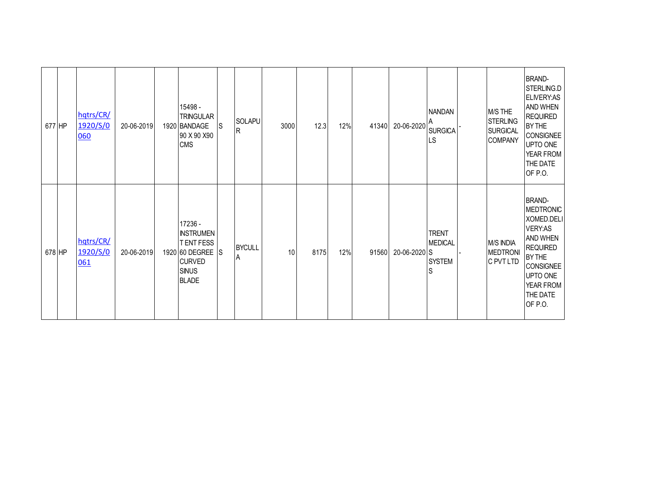| 677 HP |        | hqtrs/CR/<br>1920/S/0<br>060 | 20-06-2019 | 15498 -<br><b>TRINGULAR</b><br>1920 BANDAGE<br>90 X 90 X 90<br><b>CMS</b>                                           | <b>S</b> | SOLAPU<br>R        | 3000 | 12.3 | 12% | 41340 | 20-06-2020   | <b>NANDAN</b><br><b>SURGICA</b><br>LS                | M/S THE<br><b>STERLING</b><br><b>SURGICAL</b><br><b>COMPANY</b> | <b>BRAND-</b><br>STERLING.D<br><b>ELIVERY:AS</b><br>AND WHEN<br><b>REQUIRED</b><br>BY THE<br>CONSIGNEE<br>UPTO ONE<br><b>YEAR FROM</b><br>THE DATE<br>OF P.O.                         |
|--------|--------|------------------------------|------------|---------------------------------------------------------------------------------------------------------------------|----------|--------------------|------|------|-----|-------|--------------|------------------------------------------------------|-----------------------------------------------------------------|---------------------------------------------------------------------------------------------------------------------------------------------------------------------------------------|
|        | 678 HP | hqtrs/CR/<br>1920/S/0<br>061 | 20-06-2019 | 17236 -<br><b>INSTRUMEN</b><br><b>TENTFESS</b><br>1920 60 DEGREE S<br><b>CURVED</b><br><b>SINUS</b><br><b>BLADE</b> |          | <b>BYCULL</b><br>A | 10   | 8175 | 12% | 91560 | 20-06-2020 S | <b>TRENT</b><br><b>MEDICAL</b><br><b>SYSTEM</b><br>S | <b>M/S INDIA</b><br><b>MEDTRONI</b><br>C PVT LTD                | <b>BRAND-</b><br><b>MEDTRONIC</b><br>XOMED.DELI<br>VERY:AS<br><b>AND WHEN</b><br><b>REQUIRED</b><br><b>BY THE</b><br><b>CONSIGNEE</b><br>UPTO ONE<br>YEAR FROM<br>THE DATE<br>OF P.O. |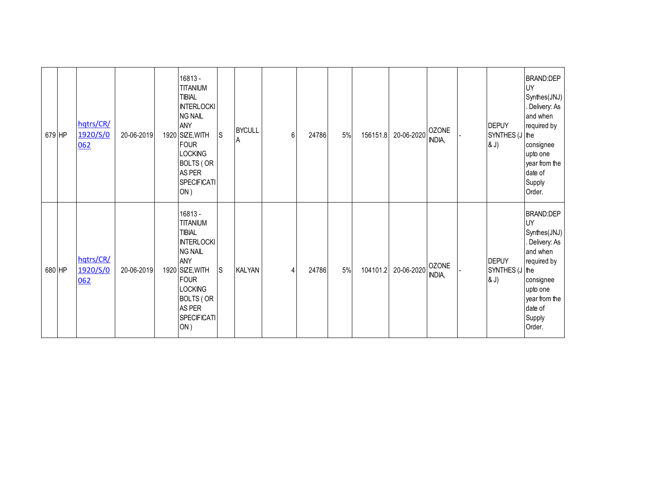| 679 HP | hqtrs/CR/<br>1920/S/0<br>062 | 20-06-2019 | 16813 -<br><b>TITANIUM</b><br><b>TIBIAL</b><br><b>INTERLOCKI</b><br><b>NG NAIL</b><br>ANY<br>1920 SIZE, WITH<br><b>FOUR</b><br><b>LOCKING</b><br><b>BOLTS (OR</b><br>AS PER<br><b>SPECIFICATI</b><br>ON) | ls. | <b>BYCULL</b><br>Α | 6 | 24786 | 5% | 156151.8 | 20-06-2020 | <b>OZONE</b><br>INDIA, | <b>DEPUY</b><br>SYNTHES (J the<br>& J) | <b>BRAND:DEP</b><br>UY<br>Synthes(JNJ)<br>Delivery: As<br>and when<br>required by<br>consignee<br>upto one<br>year from the<br>date of<br>Supply<br>Order.          |
|--------|------------------------------|------------|----------------------------------------------------------------------------------------------------------------------------------------------------------------------------------------------------------|-----|--------------------|---|-------|----|----------|------------|------------------------|----------------------------------------|---------------------------------------------------------------------------------------------------------------------------------------------------------------------|
| 680 HP | hqtrs/CR/<br>1920/S/0<br>062 | 20-06-2019 | 16813 -<br><b>TITANIUM</b><br><b>TIBIAL</b><br><b>INTERLOCKI</b><br><b>NG NAIL</b><br>ANY<br>1920 SIZE, WITH<br>FOUR<br><b>LOCKING</b><br><b>BOLTS (OR</b><br>AS PER<br><b>SPECIFICATI</b><br>ON)        | ls. | <b>KALYAN</b>      | 4 | 24786 | 5% | 104101.2 | 20-06-2020 | <b>OZONE</b><br>INDIA, | <b>DEPUY</b><br>SYNTHES (J the<br>& J) | <b>BRAND:DEP</b><br><b>UY</b><br>Synthes(JNJ)<br>. Delivery: As<br>and when<br>required by<br>consignee<br>upto one<br>year from the<br>date of<br>Supply<br>Order. |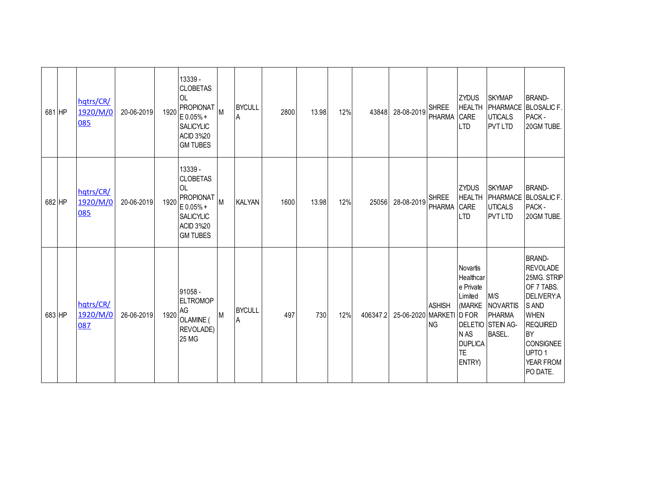| 681 HP | hqtrs/CR/<br>1920/M/0<br>085 | 20-06-2019 | 1920 | 13339 -<br><b>CLOBETAS</b><br><b>OL</b><br><b>PROPIONAT</b><br>E0.05%+<br><b>SALICYLIC</b><br><b>ACID 3%20</b><br><b>GM TUBES</b>     | M | <b>BYCULL</b><br>A | 2800 | 13.98 | 12% | 43848    | 28-08-2019               | <b>SHREE</b><br>PHARMA      | <b>ZYDUS</b><br><b>HEALTH</b><br><b>CARE</b><br><b>LTD</b>                                                      | <b>SKYMAP</b><br><b>UTICALS</b><br><b>PVT LTD</b>                             | <b>BRAND-</b><br>PHARMACE BLOSALIC F.<br>PACK -<br>20GM TUBE.                                                                                                                                         |
|--------|------------------------------|------------|------|---------------------------------------------------------------------------------------------------------------------------------------|---|--------------------|------|-------|-----|----------|--------------------------|-----------------------------|-----------------------------------------------------------------------------------------------------------------|-------------------------------------------------------------------------------|-------------------------------------------------------------------------------------------------------------------------------------------------------------------------------------------------------|
| 682 HP | hqtrs/CR/<br>1920/M/0<br>085 | 20-06-2019 | 1920 | 13339 -<br><b>CLOBETAS</b><br><b>OL</b><br><b>PROPIONAT</b><br>$E 0.05% +$<br><b>SALICYLIC</b><br><b>ACID 3%20</b><br><b>GM TUBES</b> | M | <b>KALYAN</b>      | 1600 | 13.98 | 12% | 25056    | 28-08-2019               | <b>SHREE</b><br>PHARMA CARE | <b>ZYDUS</b><br><b>HEALTH</b><br><b>LTD</b>                                                                     | <b>SKYMAP</b><br><b>UTICALS</b><br><b>PVT LTD</b>                             | <b>BRAND-</b><br>PHARMACE BLOSALIC F.<br>PACK -<br>20GM TUBE.                                                                                                                                         |
| 683 HP | hqtrs/CR/<br>1920/M/0<br>087 | 26-06-2019 | 1920 | 91058 -<br><b>ELTROMOP</b><br>AG<br>OLAMINE (<br>REVOLADE)<br><b>25 MG</b>                                                            | M | <b>BYCULL</b><br>A | 497  | 730   | 12% | 406347.2 | 25-06-2020 MARKETI D FOR | <b>ASHISH</b><br><b>NG</b>  | <b>Novartis</b><br>Healthcar<br>e Private<br>Limited<br>(MARKE<br>N AS<br><b>DUPLICA</b><br><b>TE</b><br>ENTRY) | M/S<br><b>NOVARTIS</b><br>PHARMA<br><b>DELETIO STEIN AG-</b><br><b>BASEL.</b> | <b>BRAND-</b><br><b>REVOLADE</b><br>25MG. STRIP<br>OF 7 TABS.<br>DELIVERY:A<br>S AND<br><b>WHEN</b><br><b>REQUIRED</b><br><b>BY</b><br><b>CONSIGNEE</b><br>UPTO <sub>1</sub><br>YEAR FROM<br>PO DATE. |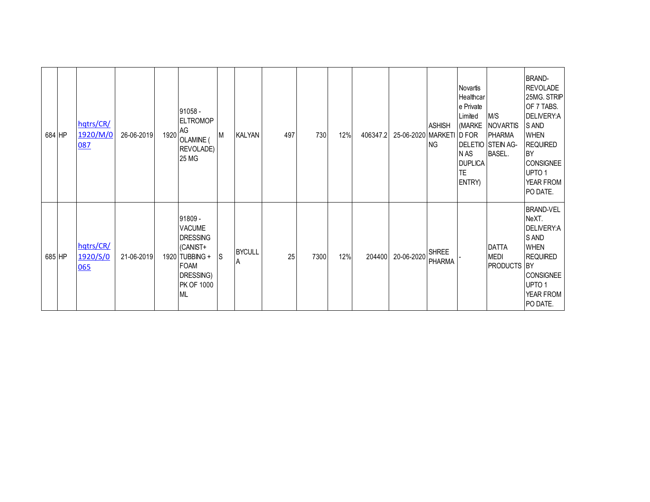| 684 HP | hqtrs/CR/<br>1920/M/0<br>087 | 26-06-2019 | 1920 | 91058 -<br><b>ELTROMOP</b><br>AG<br>OLAMINE (<br>REVOLADE)<br>25 MG                                                                     | M   | <b>KALYAN</b>      | 497 | 730  | 12% | 406347.2 | 25-06-2020 MARKETI D FOR | <b>ASHISH</b><br><b>NG</b> | Novartis<br>Healthcar<br>e Private<br>Limited<br>(MARKE<br>N AS<br><b>DUPLICA</b><br>TE.<br>ENTRY) | M/S<br><b>NOVARTIS</b><br><b>PHARMA</b><br><b>DELETIO STEIN AG-</b><br><b>BASEL.</b> | <b>BRAND-</b><br><b>REVOLADE</b><br>25MG. STRIP<br>OF 7 TABS.<br>DELIVERY:A<br><b>SAND</b><br><b>WHEN</b><br><b>REQUIRED</b><br><b>BY</b><br><b>CONSIGNEE</b><br>UPTO <sub>1</sub><br>YEAR FROM<br>PO DATE. |
|--------|------------------------------|------------|------|-----------------------------------------------------------------------------------------------------------------------------------------|-----|--------------------|-----|------|-----|----------|--------------------------|----------------------------|----------------------------------------------------------------------------------------------------|--------------------------------------------------------------------------------------|-------------------------------------------------------------------------------------------------------------------------------------------------------------------------------------------------------------|
| 685 HP | hqtrs/CR/<br>1920/S/0<br>065 | 21-06-2019 |      | 91809 -<br><b>VACUME</b><br><b>DRESSING</b><br>(CANIST+<br>1920 TUBBING +<br><b>FOAM</b><br>DRESSING)<br><b>PK OF 1000</b><br><b>ML</b> | lS. | <b>BYCULL</b><br>A | 25  | 7300 | 12% | 204400   | 20-06-2020               | <b>SHREE</b><br>PHARMA     |                                                                                                    | <b>DATTA</b><br><b>MEDI</b><br>PRODUCTS BY                                           | <b>BRAND-VEL</b><br>NeXT.<br>DELIVERY:A<br>S AND<br><b>WHEN</b><br><b>REQUIRED</b><br>CONSIGNEE<br>UPTO <sub>1</sub><br>YEAR FROM<br>PO DATE.                                                               |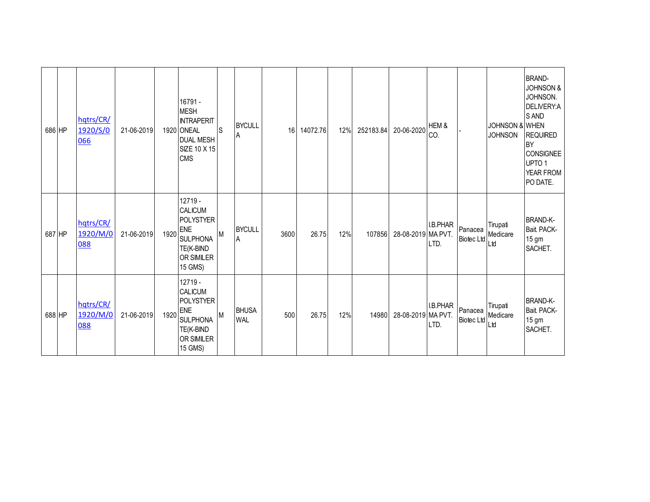| 686 HP | hqtrs/CR/<br>1920/S/0<br>066 | 21-06-2019 |      | 16791 -<br><b>MESH</b><br><b>INTRAPERIT</b><br>1920 ONEAL<br><b>DUAL MESH</b><br>SIZE 10 X 15<br><b>CMS</b>            | ls | <b>BYCULL</b><br>A         | 16   | 14072.76 | 12% | 252183.84 | 20-06-2020         | HEM &<br>CO.     |                              | <b>JOHNSON &amp; WHEN</b><br><b>JOHNSON</b> | <b>BRAND-</b><br><b>JOHNSON &amp;</b><br>JOHNSON.<br>DELIVERY:A<br>S AND<br><b>REQUIRED</b><br><b>BY</b><br><b>CONSIGNEE</b><br>UPTO 1<br>YEAR FROM<br>PO DATE. |
|--------|------------------------------|------------|------|------------------------------------------------------------------------------------------------------------------------|----|----------------------------|------|----------|-----|-----------|--------------------|------------------|------------------------------|---------------------------------------------|-----------------------------------------------------------------------------------------------------------------------------------------------------------------|
| 687 HP | hqtrs/CR/<br>1920/M/0<br>088 | 21-06-2019 | 1920 | $12719 -$<br><b>CALICUM</b><br>POLYSTYER<br><b>ENE</b><br><b>SULPHONA</b><br>TE(K-BIND<br><b>OR SIMILER</b><br>15 GMS) | M  | <b>BYCULL</b><br>A         | 3600 | 26.75    | 12% | 107856    | 28-08-2019 MA PVT. | I.B.PHAR<br>LTD. | Panacea<br><b>Biotec Ltd</b> | Tirupati<br>Medicare<br>Ltd                 | <b>BRAND-K-</b><br>Bait PACK-<br>15 <sub>gm</sub><br>SACHET.                                                                                                    |
| 688 HP | hqtrs/CR/<br>1920/M/0<br>088 | 21-06-2019 | 1920 | 12719 -<br>CALICUM<br><b>POLYSTYER</b><br><b>ENE</b><br><b>SULPHONA</b><br>TE(K-BIND<br><b>OR SIMILER</b><br>15 GMS)   | M  | <b>BHUSA</b><br><b>WAL</b> | 500  | 26.75    | 12% | 14980     | 28-08-2019 MA PVT. | I.B.PHAR<br>LTD. | Panacea<br>Biotec Ltd        | Tirupati<br>Medicare<br>Ltd                 | <b>BRAND-K-</b><br>Bait PACK-<br>15 <sub>gm</sub><br>SACHET.                                                                                                    |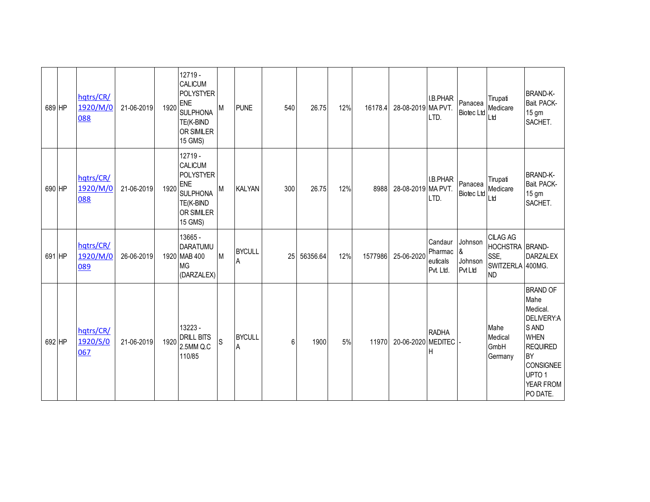| 689 HP | hqtrs/CR/<br>1920/M/0<br>088 | 21-06-2019 | 1920 | $12719 -$<br>CALICUM<br><b>POLYSTYER</b><br>ENE<br><b>SULPHONA</b><br>TE(K-BIND<br><b>OR SIMILER</b><br>15 GMS)             | M  | <b>PUNE</b>        | 540 | 26.75    | 12% | 16178.4 | 28-08-2019 MA PVT. | I.B.PHAR<br>LTD.                            | Panacea                                   | Tirupati<br>Panacea<br>Biotec Ltd<br>Ltd<br>Ltd                             | <b>BRAND-K-</b><br>Bait PACK-<br>15 gm<br>SACHET.                                                                                                                                  |
|--------|------------------------------|------------|------|-----------------------------------------------------------------------------------------------------------------------------|----|--------------------|-----|----------|-----|---------|--------------------|---------------------------------------------|-------------------------------------------|-----------------------------------------------------------------------------|------------------------------------------------------------------------------------------------------------------------------------------------------------------------------------|
| 690 HP | hqtrs/CR/<br>1920/M/0<br>088 | 21-06-2019 | 1920 | 12719 -<br><b>CALICUM</b><br><b>POLYSTYER</b><br><b>ENE</b><br><b>SULPHONA</b><br>TE(K-BIND<br><b>OR SIMILER</b><br>15 GMS) | M  | <b>KALYAN</b>      | 300 | 26.75    | 12% | 8988    | 28-08-2019 MA PVT. | I.B.PHAR<br>LTD.                            | Biotec Ltd Ltd                            | Tirupati<br>Panacea Medicare                                                | <b>BRAND-K-</b><br>Bait PACK-<br>15 gm<br>SACHET.                                                                                                                                  |
| 691 HP | hqtrs/CR/<br>1920/M/0<br>089 | 26-06-2019 |      | 13665 -<br>DARATUMU<br>1920 MAB 400<br><b>MG</b><br>(DARZALEX)                                                              | Iм | <b>BYCULL</b><br>A | 25  | 56356.64 | 12% | 1577986 | 25-06-2020         | Candaur<br>Pharmac<br>euticals<br>Pvt. Ltd. | Johnson<br>&<br>Johnson<br><b>Pvt Ltd</b> | <b>CILAG AG</b><br>HOCHSTRA BRAND-<br>SSE,<br>SWITZERLA 400MG.<br><b>ND</b> | <b>DARZALEX</b>                                                                                                                                                                    |
| 692 HP | hqtrs/CR/<br>1920/S/0<br>067 | 21-06-2019 | 1920 | 13223 -<br><b>DRILL BITS</b><br>2.5MM Q.C<br>110/85                                                                         | S  | <b>BYCULL</b><br>A | 6   | 1900     | 5%  | 11970   | 20-06-2020         | <b>RADHA</b><br><b>MEDITEC</b><br>н         |                                           | Mahe<br>Medical<br>GmbH<br>Germany                                          | <b>BRAND OF</b><br>Mahe<br>Medical.<br><b>DELIVERY:A</b><br>S AND<br><b>WHEN</b><br><b>REQUIRED</b><br><b>BY</b><br><b>CONSIGNEE</b><br>UPTO <sub>1</sub><br>YEAR FROM<br>PO DATE. |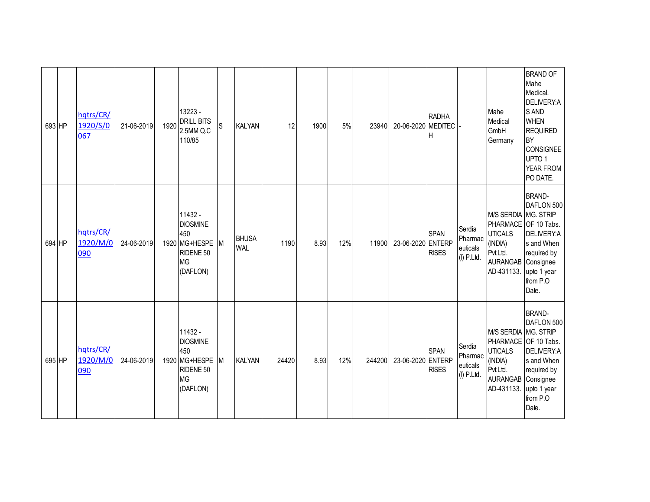| 693 HP | hqtrs/CR/<br>1920/S/0<br>067 | 21-06-2019 | 1920 | 13223 -<br><b>DRILL BITS</b><br>2.5MM Q.C<br>110/85                                        | S | <b>KALYAN</b>              | 12    | 1900 | 5%  | 23940  | 20-06-2020 MEDITEC | <b>RADHA</b><br>Н           |                                               | Mahe<br>Medical<br>GmbH<br>Germany                                                                            | <b>BRAND OF</b><br>Mahe<br>Medical.<br>DELIVERY:A<br>S AND<br><b>WHEN</b><br><b>REQUIRED</b><br><b>BY</b><br><b>CONSIGNEE</b><br>UPTO <sub>1</sub><br>YEAR FROM<br>PO DATE. |
|--------|------------------------------|------------|------|--------------------------------------------------------------------------------------------|---|----------------------------|-------|------|-----|--------|--------------------|-----------------------------|-----------------------------------------------|---------------------------------------------------------------------------------------------------------------|-----------------------------------------------------------------------------------------------------------------------------------------------------------------------------|
| 694 HP | hqtrs/CR/<br>1920/M/0<br>090 | 24-06-2019 |      | 11432 -<br><b>DIOSMINE</b><br>450<br>1920 MG+HESPE M<br>RIDENE 50<br><b>MG</b><br>(DAFLON) |   | <b>BHUSA</b><br><b>WAL</b> | 1190  | 8.93 | 12% | 11900  | 23-06-2020 ENTERP  | <b>SPAN</b><br><b>RISES</b> | Serdia<br>Pharmac<br>euticals<br>$(I)$ P.Ltd. | M/S SERDIA MG. STRIP<br><b>UTICALS</b><br>(INDIA)<br>Pvt.Ltd.<br>AURANGAB Consignee<br>AD-431133. upto 1 year | <b>BRAND-</b><br>DAFLON 500<br>PHARMACE OF 10 Tabs.<br>DELIVERY:A<br>s and When<br>required by<br>from P.O<br>Date.                                                         |
| 695 HP | hqtrs/CR/<br>1920/M/0<br>090 | 24-06-2019 |      | 11432 -<br><b>DIOSMINE</b><br>450<br>1920 MG+HESPE<br>RIDENE 50<br><b>MG</b><br>(DAFLON)   | M | <b>KALYAN</b>              | 24420 | 8.93 | 12% | 244200 | 23-06-2020 ENTERP  | <b>SPAN</b><br><b>RISES</b> | Serdia<br>Pharmac<br>euticals<br>$(I)$ P.Ltd. | M/S SERDIA MG. STRIP<br><b>UTICALS</b><br>(INDIA)<br>Pvt.Ltd.<br>AURANGAB Consignee<br>AD-431133. upto 1 year | <b>BRAND-</b><br>DAFLON 500<br>PHARMACE OF 10 Tabs.<br>DELIVERY:A<br>s and When<br>required by<br>from P.O<br>Date.                                                         |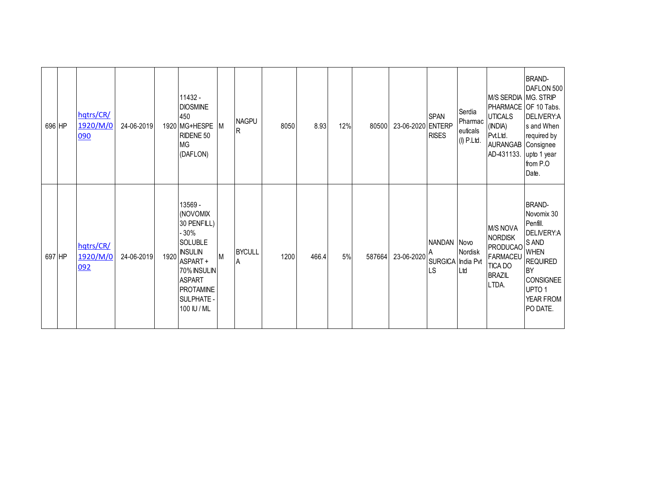| 696 HP | hqtrs/CR/<br>1920/M/0<br>090 | 24-06-2019 |      | 11432 -<br><b>DIOSMINE</b><br>450<br>1920 MG+HESPE M<br>RIDENE 50<br><b>MG</b><br>(DAFLON)                                                                                        |   | <b>NAGPU</b><br>R  | 8050 | 8.93  | 12% | 80500  | 23-06-2020 ENTERP | <b>SPAN</b><br><b>RISES</b>            | Serdia<br>Pharmac<br>euticals<br>$(I)$ P.Ltd. | M/S SERDIA MG. STRIP<br><b>UTICALS</b><br>(INDIA)<br>Pvt.Ltd.<br>AURANGAB Consignee<br>AD-431133. upto 1 year | <b>BRAND-</b><br>DAFLON 500<br>PHARMACE OF 10 Tabs.<br>DELIVERY:A<br>s and When<br>required by<br>from P.O<br>Date.                                                      |
|--------|------------------------------|------------|------|-----------------------------------------------------------------------------------------------------------------------------------------------------------------------------------|---|--------------------|------|-------|-----|--------|-------------------|----------------------------------------|-----------------------------------------------|---------------------------------------------------------------------------------------------------------------|--------------------------------------------------------------------------------------------------------------------------------------------------------------------------|
| 697 HP | hqtrs/CR/<br>1920/M/0<br>092 | 24-06-2019 | 1920 | 13569 -<br>(NOVOMIX<br>30 PENFILL)<br>- 30%<br><b>SOLUBLE</b><br><b>INSULIN</b><br>ASPART+<br>70% INSULIN<br><b>ASPART</b><br><b>PROTAMINE</b><br><b>SULPHATE-</b><br>100 IU / ML | M | <b>BYCULL</b><br>A | 1200 | 466.4 | 5%  | 587664 | 23-06-2020        | NANDAN Novo<br>SURGICA India Pvt<br>LS | Nordisk<br>Ltd                                | <b>M/S NOVA</b><br><b>NORDISK</b><br><b>PRODUCAO</b><br><b>FARMACEU</b><br>TICA DO<br><b>BRAZIL</b><br>LTDA.  | <b>BRAND-</b><br>Novomix 30<br>Penfill.<br>DELIVERY:A<br>S AND<br><b>WHEN</b><br><b>REQUIRED</b><br><b>BY</b><br>CONSIGNEE<br>UPTO <sub>1</sub><br>YEAR FROM<br>PO DATE. |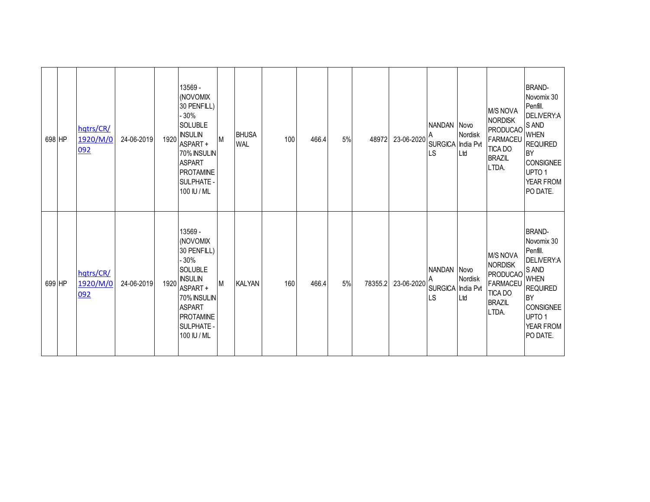| 698 HP | hqtrs/CR/<br>1920/M/0<br>092 | 24-06-2019 | 1920 | 13569 -<br>(NOVOMIX<br>30 PENFILL)<br>- 30%<br><b>SOLUBLE</b><br><b>INSULIN</b><br>ASPART+<br>70% INSULIN<br><b>ASPART</b><br><b>PROTAMINE</b><br><b>SULPHATE</b><br>100 IU / ML  | M | <b>BHUSA</b><br><b>WAL</b> | 100 | 466.4 | 5% | 48972   | 23-06-2020 | NANDAN Novo<br>SURGICA India Pvt<br><b>LS</b> | Nordisk<br>Ltd | <b>M/S NOVA</b><br><b>NORDISK</b><br>IPRODUCAO SAND<br><b>FARMACEU</b><br>TICA DO<br><b>BRAZIL</b><br>LTDA.        | <b>BRAND-</b><br>Novomix 30<br>Penfill.<br>DELIVERY:A<br><b>REQUIRED</b><br><b>BY</b><br><b>CONSIGNEE</b><br>UPTO <sub>1</sub><br>YEAR FROM<br>PO DATE. |
|--------|------------------------------|------------|------|-----------------------------------------------------------------------------------------------------------------------------------------------------------------------------------|---|----------------------------|-----|-------|----|---------|------------|-----------------------------------------------|----------------|--------------------------------------------------------------------------------------------------------------------|---------------------------------------------------------------------------------------------------------------------------------------------------------|
| 699 HP | hqtrs/CR/<br>1920/M/0<br>092 | 24-06-2019 | 1920 | 13569 -<br>(NOVOMIX<br>30 PENFILL)<br>$-30%$<br><b>SOLUBLE</b><br><b>INSULIN</b><br>ASPART+<br>70% INSULIN<br><b>ASPART</b><br><b>PROTAMINE</b><br><b>SULPHATE</b><br>100 IU / ML | M | <b>KALYAN</b>              | 160 | 466.4 | 5% | 78355.2 | 23-06-2020 | NANDAN Novo<br>SURGICA India Pvt<br><b>LS</b> | Nordisk<br>Ltd | <b>M/S NOVA</b><br><b>NORDISK</b><br><b>PRODUCAO</b> S AND<br><b>FARMACEU</b><br>TICA DO<br><b>BRAZIL</b><br>LTDA. | <b>BRAND-</b><br>Novomix 30<br>Penfill.<br>DELIVERY:A<br><b>REQUIRED</b><br><b>BY</b><br><b>CONSIGNEE</b><br>UPTO <sub>1</sub><br>YEAR FROM<br>PO DATE. |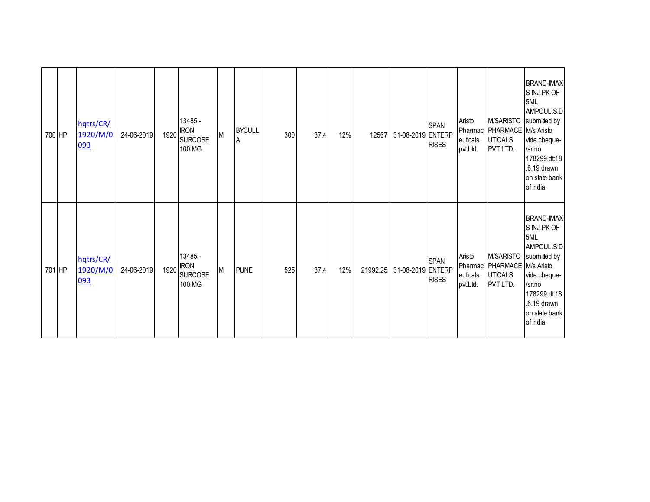| 700 HP | hqtrs/CR/<br>1920/M/0<br>093 | 24-06-2019 | 13485 -<br>1920 RON<br><b>SURCOSE</b><br>100 MG | M | <b>BYCULL</b><br>A | 300 | 37.4 | 12% | 12567    | 31-08-2019 ENTERP | <b>SPAN</b><br><b>RISES</b> | Aristo<br>euticals<br>pvt.Ltd. | Pharmac   PHARMACE   M/s Aristo<br><b>UTICALS</b><br>PVT LTD.              | <b>BRAND-IMAX</b><br>S INJ.PK OF<br>5ML<br>AMPOUL.S.D<br>M/SARISTO submitted by<br>vide cheque-<br>/sr.no<br>178299,dt18<br>.6.19 drawn<br>on state bank<br>of India |
|--------|------------------------------|------------|-------------------------------------------------|---|--------------------|-----|------|-----|----------|-------------------|-----------------------------|--------------------------------|----------------------------------------------------------------------------|----------------------------------------------------------------------------------------------------------------------------------------------------------------------|
| 701 HP | hqtrs/CR/<br>1920/M/0<br>093 | 24-06-2019 | 13485 -<br>1920 RON<br><b>SURCOSE</b><br>100 MG | M | <b>PUNE</b>        | 525 | 37.4 | 12% | 21992.25 | 31-08-2019 ENTERP | <b>SPAN</b><br><b>RISES</b> | Aristo<br>euticals<br>pvt.Ltd. | M/SARISTO<br>Pharmac   PHARMACE   M/s Aristo<br><b>UTICALS</b><br>PVT LTD. | <b>BRAND-IMAX</b><br>S INJ.PK OF<br>5ML<br>AMPOUL.S.D<br>submitted by<br>vide cheque-<br>/sr.no<br>178299,dt18<br>.6.19 drawn<br>on state bank<br>of India           |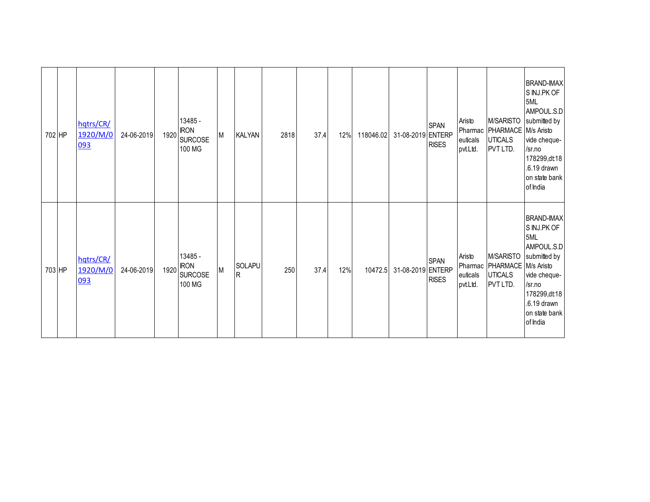| 702 HP | hqtrs/CR/<br>1920/M/0<br>093 | 24-06-2019 | 13485 -<br>1920 RON<br><b>SURCOSE</b><br>100 MG | M | <b>KALYAN</b>            | 2818 | 37.4 | 12% | 118046.02 | 31-08-2019 ENTERP | <b>SPAN</b><br><b>RISES</b> | Aristo<br>euticals<br>pvt.Ltd. | Pharmac   PHARMACE   M/s Aristo<br><b>UTICALS</b><br>PVT LTD.              | <b>BRAND-IMAX</b><br>S INJ.PK OF<br>5ML<br>AMPOUL.S.D<br>M/SARISTO submitted by<br>vide cheque-<br>/sr.no<br>178299,dt18<br>.6.19 drawn<br>on state bank<br>of India |
|--------|------------------------------|------------|-------------------------------------------------|---|--------------------------|------|------|-----|-----------|-------------------|-----------------------------|--------------------------------|----------------------------------------------------------------------------|----------------------------------------------------------------------------------------------------------------------------------------------------------------------|
| 703 HP | hqtrs/CR/<br>1920/M/0<br>093 | 24-06-2019 | 13485 -<br>1920 RON<br><b>SURCOSE</b><br>100 MG | M | SOLAPU<br>$\overline{R}$ | 250  | 37.4 | 12% | 10472.5   | 31-08-2019 ENTERP | <b>SPAN</b><br><b>RISES</b> | Aristo<br>euticals<br>pvt.Ltd. | M/SARISTO<br>Pharmac   PHARMACE   M/s Aristo<br><b>UTICALS</b><br>PVT LTD. | <b>BRAND-IMAX</b><br>S INJ.PK OF<br>5ML<br>AMPOUL.S.D<br>submitted by<br>vide cheque-<br>/sr.no<br>178299,dt18<br>.6.19 drawn<br>on state bank<br>of India           |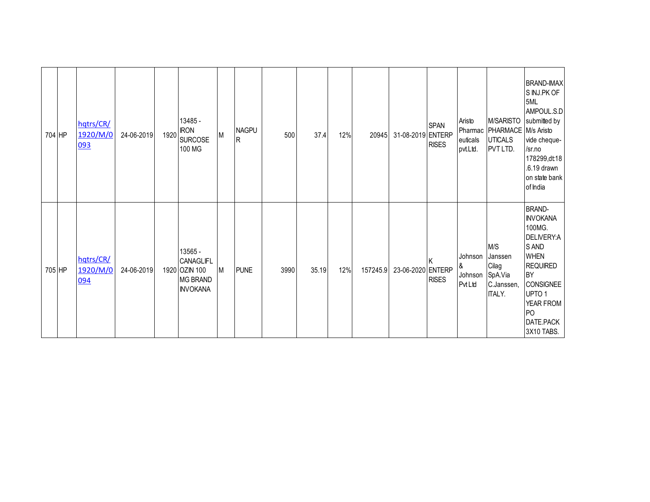| 704 HP | hqtrs/CR/<br>1920/M/0<br>093 | 24-06-2019 | 13485 -<br>1920 RON<br><b>SURCOSE</b><br>100 MG                             | M | <b>NAGPU</b><br>lR. | 500  | 37.4  | 12% | 20945    | 31-08-2019 ENTERP | <b>SPAN</b><br><b>RISES</b> | Aristo<br>euticals<br>pvt.Ltd.    | Pharmac   PHARMACE   M/s Aristo<br><b>UTICALS</b><br>PVT LTD.     | <b>BRAND-IMAX</b><br>S INJ.PK OF<br>5ML<br>AMPOUL.S.D<br>M/SARISTO submitted by<br>vide cheque-<br>/sr.no<br>178299,dt18<br>.6.19 drawn<br>on state bank<br>of India                                                |
|--------|------------------------------|------------|-----------------------------------------------------------------------------|---|---------------------|------|-------|-----|----------|-------------------|-----------------------------|-----------------------------------|-------------------------------------------------------------------|---------------------------------------------------------------------------------------------------------------------------------------------------------------------------------------------------------------------|
| 705 HP | hqtrs/CR/<br>1920/M/0<br>094 | 24-06-2019 | 13565 -<br>CANAGLIFL<br>1920 OZIN 100<br><b>MG BRAND</b><br><b>INVOKANA</b> | M | <b>PUNE</b>         | 3990 | 35.19 | 12% | 157245.9 | 23-06-2020 ENTERP | <b>RISES</b>                | Johnson<br>&<br>Johnson<br>PvtLtd | M/S<br>Janssen<br>Cilag<br>SpA.Via<br>C.Janssen,<br><b>ITALY.</b> | <b>BRAND-</b><br><b>INVOKANA</b><br>100MG.<br>DELIVERY:A<br>S AND<br><b>WHEN</b><br><b>REQUIRED</b><br><b>BY</b><br><b>CONSIGNEE</b><br>UPTO <sub>1</sub><br>YEAR FROM<br>P <sub>O</sub><br>DATE.PACK<br>3X10 TABS. |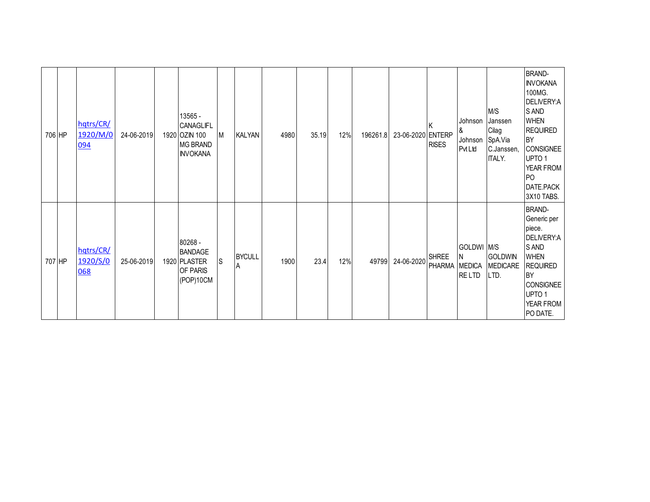| 706 HP | hqtrs/CR/<br>1920/M/0<br>094 | 24-06-2019 | 13565 -<br><b>CANAGLIFL</b><br>1920 OZIN 100<br><b>MG BRAND</b><br><b>INVOKANA</b> | M   | <b>KALYAN</b>       | 4980 | 35.19 | 12% | 196261.8 | 23-06-2020 ENTERP | <b>RISES</b>                  | Johnson<br>ا8<br>Johnson<br><b>Pvt Ltd</b> | M/S<br>Janssen<br>Cilag<br>SpA.Via<br>C.Janssen,<br><b>ITALY.</b> | <b>BRAND-</b><br><b>INVOKANA</b><br>100MG.<br>DELIVERY:A<br>S AND<br><b>WHEN</b><br><b>REQUIRED</b><br><b>BY</b><br><b>CONSIGNEE</b><br>UPTO <sub>1</sub><br>YEAR FROM<br>P <sub>O</sub><br>DATE.PACK<br>3X10 TABS. |
|--------|------------------------------|------------|------------------------------------------------------------------------------------|-----|---------------------|------|-------|-----|----------|-------------------|-------------------------------|--------------------------------------------|-------------------------------------------------------------------|---------------------------------------------------------------------------------------------------------------------------------------------------------------------------------------------------------------------|
| 707 HP | hqtrs/CR/<br>1920/S/0<br>068 | 25-06-2019 | 80268 -<br><b>BANDAGE</b><br>1920 PLASTER<br>OF PARIS<br>(POP)10CM                 | Is. | <b>BYCULL</b><br>ΙA | 1900 | 23.4  | 12% | 49799    | 24-06-2020        | <b>SHREE</b><br>PHARMA MEDICA | GOLDWI M/S<br>ΙN<br><b>RELTD</b>           | GOLDWIN<br><b>MEDICARE</b><br>LTD.                                | <b>BRAND-</b><br>Generic per<br>piece.<br>DELIVERY:A<br>S AND<br><b>WHEN</b><br><b>REQUIRED</b><br><b>BY</b><br><b>CONSIGNEE</b><br>UPTO <sub>1</sub><br>YEAR FROM<br>PO DATE.                                      |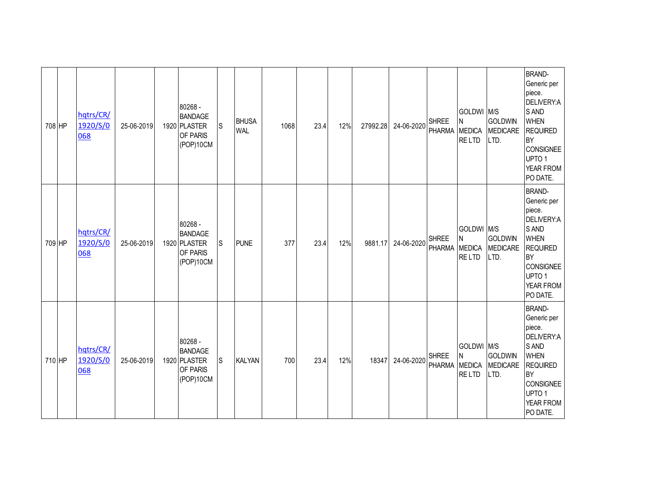| 708 HP | hqtrs/CR/<br>1920/S/0<br>068 | 25-06-2019 | 80268 -<br><b>BANDAGE</b><br>1920 PLASTER<br>OF PARIS<br>(POP)10CM | ls. | <b>BHUSA</b><br><b>WAL</b> | 1068 | 23.4 | 12% | 27992.28 | 24-06-2020 | <b>SHREE</b><br>PHARMA        | GOLDWI M/S<br>N<br>MEDICA<br><b>RELTD</b>        | <b>GOLDWIN</b><br>MEDICARE<br>LTD.        | <b>BRAND-</b><br>Generic per<br>piece.<br>DELIVERY:A<br>S AND<br><b>WHEN</b><br><b>REQUIRED</b><br><b>BY</b><br><b>CONSIGNEE</b><br>UPTO 1<br>YEAR FROM<br>PO DATE.                   |
|--------|------------------------------|------------|--------------------------------------------------------------------|-----|----------------------------|------|------|-----|----------|------------|-------------------------------|--------------------------------------------------|-------------------------------------------|---------------------------------------------------------------------------------------------------------------------------------------------------------------------------------------|
| 709 HP | hqtrs/CR/<br>1920/S/0<br>068 | 25-06-2019 | 80268 -<br><b>BANDAGE</b><br>1920 PLASTER<br>OF PARIS<br>(POP)10CM | lS. | <b>PUNE</b>                | 377  | 23.4 | 12% | 9881.17  | 24-06-2020 | <b>SHREE</b><br>PHARMA        | GOLDWI M/S<br>N<br><b>MEDICA</b><br><b>RELTD</b> | <b>GOLDWIN</b><br><b>MEDICARE</b><br>LTD. | <b>BRAND-</b><br>Generic per<br>piece.<br>DELIVERY:A<br>S AND<br><b>WHEN</b><br><b>REQUIRED</b><br><b>BY</b><br><b>CONSIGNEE</b><br>UPTO <sub>1</sub><br>YEAR FROM<br>PO DATE.        |
| 710 HP | hqtrs/CR/<br>1920/S/0<br>068 | 25-06-2019 | 80268 -<br><b>BANDAGE</b><br>1920 PLASTER<br>OF PARIS<br>(POP)10CM | lS. | <b>KALYAN</b>              | 700  | 23.4 | 12% | 18347    | 24-06-2020 | <b>SHREE</b><br><b>PHARMA</b> | GOLDWI M/S<br>N<br>MEDICA<br><b>RELTD</b>        | <b>GOLDWIN</b><br>MEDICARE<br>LTD.        | <b>BRAND-</b><br>Generic per<br>piece.<br><b>DELIVERY:A</b><br>S AND<br><b>WHEN</b><br><b>REQUIRED</b><br><b>BY</b><br><b>CONSIGNEE</b><br>UPTO <sub>1</sub><br>YEAR FROM<br>PO DATE. |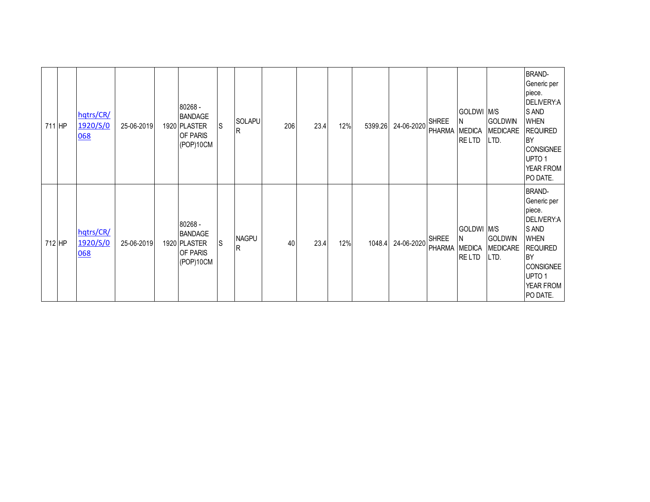| 711 HP | hqtrs/CR/<br>1920/S/0<br>068 | 25-06-2019 | 80268 -<br><b>BANDAGE</b><br>1920 PLASTER<br>OF PARIS<br>(POP)10CM        | lS. | SOLAPU<br>lR.       | 206 | 23.4 | 12% | 5399.26 | 24-06-2020 | <b>SHREE</b><br>PHARMA MEDICA | GOLDWI M/S<br>IN.<br><b>RELTD</b> | <b>GOLDWIN</b><br><b>MEDICARE</b><br>LTD. | <b>BRAND-</b><br>Generic per<br>piece.<br>DELIVERY:A<br>S AND<br><b>WHEN</b><br><b>REQUIRED</b><br><b>BY</b><br><b>CONSIGNEE</b><br>UPTO <sub>1</sub><br>YEAR FROM<br>PO DATE. |
|--------|------------------------------|------------|---------------------------------------------------------------------------|-----|---------------------|-----|------|-----|---------|------------|-------------------------------|-----------------------------------|-------------------------------------------|--------------------------------------------------------------------------------------------------------------------------------------------------------------------------------|
| 712 HP | hqtrs/CR/<br>1920/S/0<br>068 | 25-06-2019 | 80268 -<br><b>BANDAGE</b><br>1920 PLASTER<br><b>OF PARIS</b><br>(POP)10CM | lS. | <b>NAGPU</b><br>lR. | 40  | 23.4 | 12% | 1048.4  | 24-06-2020 | <b>SHREE</b><br>PHARMA MEDICA | GOLDWI M/S<br>ΙN<br>RE LTD        | <b>GOLDWIN</b><br><b>MEDICARE</b><br>LTD. | <b>BRAND-</b><br>Generic per<br>piece.<br>DELIVERY:A<br>S AND<br><b>WHEN</b><br><b>REQUIRED</b><br><b>BY</b><br><b>CONSIGNEE</b><br>UPTO 1<br>YEAR FROM<br>PO DATE.            |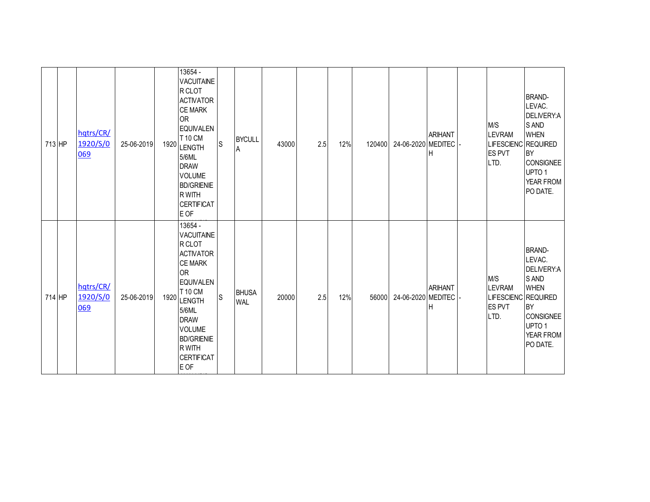| 713 HP | hqtrs/CR/<br>1920/S/0<br>069 | 25-06-2019 | 1920 | 13654 -<br><b>VACUITAINE</b><br>R CLOT<br><b>ACTIVATOR</b><br><b>CE MARK</b><br><b>OR</b><br><b>EQUIVALEN</b><br>T 10 CM<br><b>LENGTH</b><br>5/6ML<br><b>DRAW</b><br><b>VOLUME</b><br><b>BD/GRIENIE</b><br>R WITH<br><b>CERTIFICAT</b><br>E OF | <sub>S</sub> | <b>BYCULL</b><br>A         | 43000 | 2.5 | 12% | 120400 | 24-06-2020 MEDITEC | <b>ARIHANT</b><br>H | M/S<br><b>LEVRAM</b><br>LIFESCIENC REQUIRED<br><b>ES PVT</b><br>LTD. | <b>BRAND-</b><br>LEVAC.<br>DELIVERY:A<br>S AND<br><b>WHEN</b><br><b>BY</b><br><b>CONSIGNEE</b><br>UPTO <sub>1</sub><br>YEAR FROM<br>PO DATE. |
|--------|------------------------------|------------|------|------------------------------------------------------------------------------------------------------------------------------------------------------------------------------------------------------------------------------------------------|--------------|----------------------------|-------|-----|-----|--------|--------------------|---------------------|----------------------------------------------------------------------|----------------------------------------------------------------------------------------------------------------------------------------------|
| 714 HP | hqtrs/CR/<br>1920/S/0<br>069 | 25-06-2019 | 1920 | 13654 -<br><b>VACUITAINE</b><br>R CLOT<br><b>ACTIVATOR</b><br><b>CE MARK</b><br><b>OR</b><br><b>EQUIVALEN</b><br>T 10 CM<br><b>LENGTH</b><br>5/6ML<br><b>DRAW</b><br><b>VOLUME</b><br><b>BD/GRIENIE</b><br>R WITH<br><b>CERTIFICAT</b><br>E OF | S            | <b>BHUSA</b><br><b>WAL</b> | 20000 | 2.5 | 12% | 56000  | 24-06-2020 MEDITEC | <b>ARIHANT</b><br>н | M/S<br><b>LEVRAM</b><br>LIFESCIENC REQUIRED<br><b>ES PVT</b><br>LTD. | <b>BRAND-</b><br>LEVAC.<br>DELIVERY:A<br>S AND<br><b>WHEN</b><br><b>BY</b><br>CONSIGNEE<br>UPTO <sub>1</sub><br>YEAR FROM<br>PO DATE.        |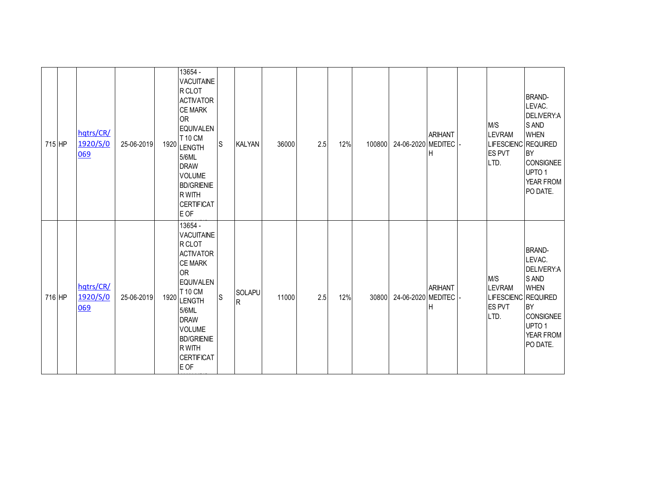| 715 HP | hqtrs/CR/<br>1920/S/0<br>069 | 25-06-2019 | 1920 | 13654 -<br><b>VACUITAINE</b><br>R CLOT<br><b>ACTIVATOR</b><br><b>CE MARK</b><br><b>OR</b><br><b>EQUIVALEN</b><br>T 10 CM<br><b>LENGTH</b><br>5/6ML<br><b>DRAW</b><br><b>VOLUME</b><br><b>BD/GRIENIE</b><br>R WITH<br><b>CERTIFICAT</b><br>E OF | lS | <b>KALYAN</b>       | 36000 | 2.5 | 12% | 100800 | 24-06-2020 MEDITEC | <b>ARIHANT</b><br>H | M/S<br><b>LEVRAM</b><br>LIFESCIENC REQUIRED<br><b>ES PVT</b><br>LTD. | <b>BRAND-</b><br>LEVAC.<br>DELIVERY:A<br>S AND<br><b>WHEN</b><br><b>BY</b><br><b>CONSIGNEE</b><br>UPTO <sub>1</sub><br>YEAR FROM<br>PO DATE. |
|--------|------------------------------|------------|------|------------------------------------------------------------------------------------------------------------------------------------------------------------------------------------------------------------------------------------------------|----|---------------------|-------|-----|-----|--------|--------------------|---------------------|----------------------------------------------------------------------|----------------------------------------------------------------------------------------------------------------------------------------------|
| 716 HP | hqtrs/CR/<br>1920/S/0<br>069 | 25-06-2019 | 1920 | 13654 -<br><b>VACUITAINE</b><br>R CLOT<br><b>ACTIVATOR</b><br><b>CE MARK</b><br><b>OR</b><br><b>EQUIVALEN</b><br>T 10 CM<br><b>LENGTH</b><br>5/6ML<br><b>DRAW</b><br><b>VOLUME</b><br><b>BD/GRIENIE</b><br>R WITH<br><b>CERTIFICAT</b><br>E OF | S  | SOLAPU<br>${\sf R}$ | 11000 | 2.5 | 12% | 30800  | 24-06-2020 MEDITEC | <b>ARIHANT</b><br>н | M/S<br><b>LEVRAM</b><br>LIFESCIENC REQUIRED<br><b>ES PVT</b><br>LTD. | <b>BRAND-</b><br>LEVAC.<br>DELIVERY:A<br>S AND<br><b>WHEN</b><br><b>BY</b><br>CONSIGNEE<br>UPTO <sub>1</sub><br>YEAR FROM<br>PO DATE.        |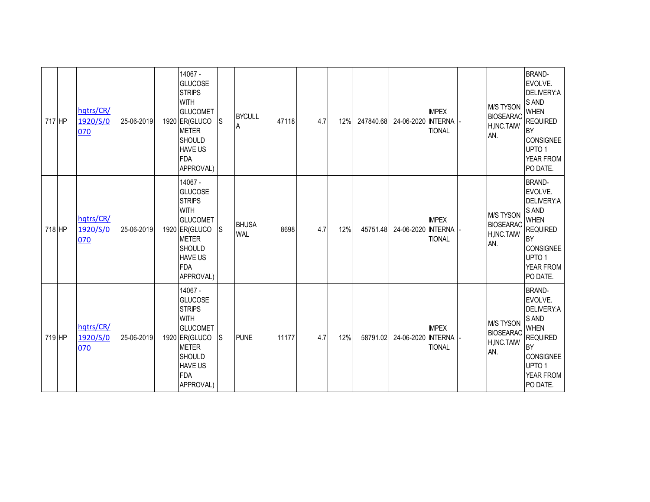| 717 HP | hqtrs/CR/<br>1920/S/0<br>070 | 25-06-2019 | 14067 -<br><b>GLUCOSE</b><br><b>STRIPS</b><br><b>WITH</b><br><b>GLUCOMET</b><br>1920 ER(GLUCO<br><b>METER</b><br><b>SHOULD</b><br><b>HAVE US</b><br><b>FDA</b><br>APPROVAL) | ls | <b>BYCULL</b><br>Α         | 47118 | 4.7 | 12% | 247840.68 | 24-06-2020 NTERNA  | <b>IMPEX</b><br><b>TIONAL</b> | <b>M/S TYSON</b><br><b>BIOSEARAC</b><br>H, INC. TAIW<br>AN. | <b>BRAND-</b><br>EVOLVE.<br>DELIVERY:A<br>S AND<br><b>WHEN</b><br><b>REQUIRED</b><br><b>BY</b><br><b>CONSIGNEE</b><br>UPTO <sub>1</sub><br>YEAR FROM<br>PO DATE. |
|--------|------------------------------|------------|-----------------------------------------------------------------------------------------------------------------------------------------------------------------------------|----|----------------------------|-------|-----|-----|-----------|--------------------|-------------------------------|-------------------------------------------------------------|------------------------------------------------------------------------------------------------------------------------------------------------------------------|
| 718 HP | hqtrs/CR/<br>1920/S/0<br>070 | 25-06-2019 | 14067 -<br><b>GLUCOSE</b><br><b>STRIPS</b><br><b>WITH</b><br><b>GLUCOMET</b><br>1920 ER(GLUCO<br><b>METER</b><br><b>SHOULD</b><br><b>HAVE US</b><br><b>FDA</b><br>APPROVAL) | ls | <b>BHUSA</b><br><b>WAL</b> | 8698  | 4.7 | 12% | 45751.48  | 24-06-2020 INTERNA | <b>IMPEX</b><br><b>TIONAL</b> | <b>M/S TYSON</b><br><b>BIOSEARAC</b><br>H, INC. TAIW<br>AN. | <b>BRAND-</b><br>EVOLVE.<br>DELIVERY:A<br>S AND<br><b>WHEN</b><br><b>REQUIRED</b><br><b>BY</b><br><b>CONSIGNEE</b><br>UPTO 1<br>YEAR FROM<br>PO DATE.            |
| 719 HP | hqtrs/CR/<br>1920/S/0<br>070 | 25-06-2019 | 14067 -<br><b>GLUCOSE</b><br><b>STRIPS</b><br><b>WITH</b><br><b>GLUCOMET</b><br>1920 ER(GLUCO<br><b>METER</b><br><b>SHOULD</b><br><b>HAVE US</b><br><b>FDA</b><br>APPROVAL) | ls | <b>PUNE</b>                | 11177 | 4.7 | 12% | 58791.02  | 24-06-2020 NTERNA  | <b>IMPEX</b><br><b>TIONAL</b> | <b>M/S TYSON</b><br><b>BIOSEARAC</b><br>H, INC. TAIW<br>AN. | <b>BRAND-</b><br>EVOLVE.<br>DELIVERY:A<br>S AND<br><b>WHEN</b><br><b>REQUIRED</b><br><b>BY</b><br><b>CONSIGNEE</b><br>UPTO 1<br>YEAR FROM<br>PO DATE.            |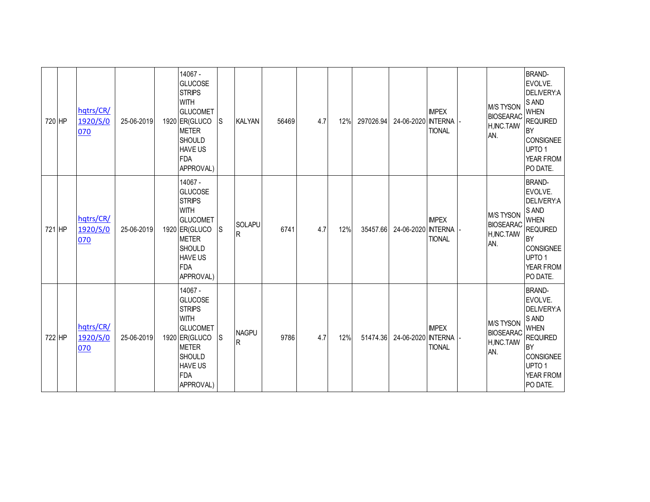| 720 HP |        | hqtrs/CR/<br>1920/S/0<br>070 | 25-06-2019 | 14067 -<br><b>GLUCOSE</b><br><b>STRIPS</b><br><b>WITH</b><br><b>GLUCOMET</b><br>1920 ER(GLUCO<br><b>METER</b><br><b>SHOULD</b><br><b>HAVE US</b><br><b>FDA</b><br>APPROVAL) | lS. | <b>KALYAN</b>        | 56469 | 4.7 | 12% | 297026.94 | 24-06-2020 NTERNA | <b>IMPEX</b><br><b>TIONAL</b> | <b>M/S TYSON</b><br><b>BIOSEARAC</b><br>H, INC. TAIW<br>AN. | <b>BRAND-</b><br>EVOLVE.<br>DELIVERY:A<br>S AND<br><b>WHEN</b><br><b>REQUIRED</b><br>BY<br><b>CONSIGNEE</b><br>UPTO <sub>1</sub><br>YEAR FROM<br>PO DATE.        |
|--------|--------|------------------------------|------------|-----------------------------------------------------------------------------------------------------------------------------------------------------------------------------|-----|----------------------|-------|-----|-----|-----------|-------------------|-------------------------------|-------------------------------------------------------------|------------------------------------------------------------------------------------------------------------------------------------------------------------------|
| 721 HP |        | hqtrs/CR/<br>1920/S/0<br>070 | 25-06-2019 | 14067 -<br><b>GLUCOSE</b><br><b>STRIPS</b><br><b>WITH</b><br><b>GLUCOMET</b><br>1920 ER(GLUCO<br><b>METER</b><br><b>SHOULD</b><br><b>HAVE US</b><br><b>FDA</b><br>APPROVAL) | ls  | <b>SOLAPU</b><br>IR. | 6741  | 4.7 | 12% | 35457.66  | 24-06-2020 NTERNA | <b>IMPEX</b><br><b>TIONAL</b> | <b>M/S TYSON</b><br><b>BIOSEARAC</b><br>H, INC. TAIW<br>AN. | <b>BRAND-</b><br>EVOLVE.<br>DELIVERY:A<br>S AND<br><b>WHEN</b><br><b>REQUIRED</b><br><b>BY</b><br><b>CONSIGNEE</b><br>UPTO <sub>1</sub><br>YEAR FROM<br>PO DATE. |
|        | 722 HP | hqtrs/CR/<br>1920/S/0<br>070 | 25-06-2019 | 14067 -<br><b>GLUCOSE</b><br><b>STRIPS</b><br><b>WITH</b><br><b>GLUCOMET</b><br>1920 ER(GLUCO<br><b>METER</b><br><b>SHOULD</b><br><b>HAVE US</b><br><b>FDA</b><br>APPROVAL) | ls  | <b>NAGPU</b><br>R    | 9786  | 4.7 | 12% | 51474.36  | 24-06-2020 NTERNA | <b>IMPEX</b><br><b>TIONAL</b> | M/S TYSON<br><b>BIOSEARAC</b><br>H, INC. TAIW<br>AN.        | <b>BRAND-</b><br>EVOLVE.<br>DELIVERY:A<br>S AND<br><b>WHEN</b><br><b>REQUIRED</b><br>BY<br><b>CONSIGNEE</b><br>UPTO 1<br>YEAR FROM<br>PO DATE.                   |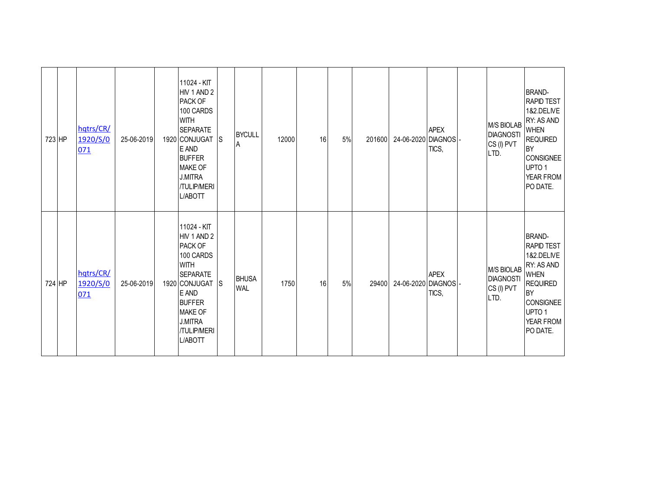| 723 HP | hqtrs/CR/<br>1920/S/0<br>071 | 25-06-2019 | 11024 - KIT<br>HIV 1 AND 2<br>PACK OF<br>100 CARDS<br><b>WITH</b><br><b>SEPARATE</b><br>1920 CONJUGAT S<br>E AND<br><b>BUFFER</b><br><b>MAKE OF</b><br><b>J.MITRA</b><br>/TULIP/MERI<br>L/ABOTT        | <b>BYCULL</b><br>Α         | 12000 | 16 | $5%$ | 201600 | 24-06-2020 DIAGNOS - | <b>APEX</b><br>TICS, | <b>M/S BIOLAB</b><br><b>DIAGNOSTI</b><br>CS (I) PVT<br>LTD. | <b>BRAND-</b><br><b>RAPID TEST</b><br>1&2.DELIVE<br>RY: AS AND<br><b>WHEN</b><br><b>REQUIRED</b><br><b>BY</b><br><b>CONSIGNEE</b><br>UPTO <sub>1</sub><br>YEAR FROM<br>PO DATE. |
|--------|------------------------------|------------|--------------------------------------------------------------------------------------------------------------------------------------------------------------------------------------------------------|----------------------------|-------|----|------|--------|----------------------|----------------------|-------------------------------------------------------------|---------------------------------------------------------------------------------------------------------------------------------------------------------------------------------|
| 724 HP | hqtrs/CR/<br>1920/S/0<br>071 | 25-06-2019 | 11024 - KIT<br>HIV 1 AND 2<br>PACK OF<br>100 CARDS<br><b>WITH</b><br><b>SEPARATE</b><br>1920 CONJUGAT S<br>E AND<br><b>BUFFER</b><br><b>MAKE OF</b><br><b>J.MITRA</b><br><b>/TULIP/MERI</b><br>L/ABOTT | <b>BHUSA</b><br><b>WAL</b> | 1750  | 16 | 5%   | 29400  | 24-06-2020 DIAGNOS - | <b>APEX</b><br>TICS, | <b>M/S BIOLAB</b><br><b>DIAGNOSTI</b><br>CS (I) PVT<br>LTD. | <b>BRAND-</b><br><b>RAPID TEST</b><br>1&2.DELIVE<br>RY: AS AND<br><b>WHEN</b><br><b>REQUIRED</b><br><b>BY</b><br><b>CONSIGNEE</b><br>UPTO <sub>1</sub><br>YEAR FROM<br>PO DATE. |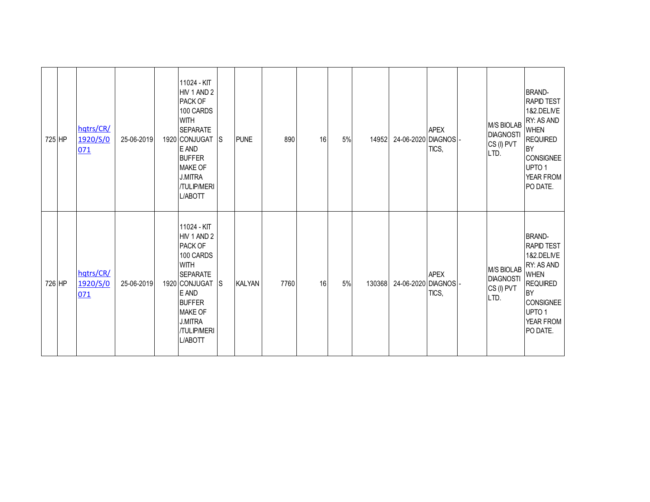| 725 HP | hqtrs/CR/<br>1920/S/0<br>071 | 25-06-2019 | 11024 - KIT<br>HIV 1 AND 2<br>PACK OF<br>100 CARDS<br><b>WITH</b><br><b>SEPARATE</b><br>1920 CONJUGAT S<br>E AND<br><b>BUFFER</b><br><b>MAKE OF</b><br><b>J.MITRA</b><br>/TULIP/MERI<br>L/ABOTT      |              | <b>PUNE</b>   | 890  | 16 | 5% | 14952  | 24-06-2020 DIAGNOS - | <b>APEX</b><br>TICS, | <b>M/S BIOLAB</b><br><b>DIAGNOSTI</b><br>CS (I) PVT<br>LTD. | <b>BRAND-</b><br><b>RAPID TEST</b><br>1&2.DELIVE<br>RY: AS AND<br><b>WHEN</b><br><b>REQUIRED</b><br><b>BY</b><br><b>CONSIGNEE</b><br>UPTO <sub>1</sub><br>YEAR FROM<br>PO DATE. |
|--------|------------------------------|------------|------------------------------------------------------------------------------------------------------------------------------------------------------------------------------------------------------|--------------|---------------|------|----|----|--------|----------------------|----------------------|-------------------------------------------------------------|---------------------------------------------------------------------------------------------------------------------------------------------------------------------------------|
| 726 HP | hqtrs/CR/<br>1920/S/0<br>071 | 25-06-2019 | 11024 - KIT<br>HIV 1 AND 2<br>PACK OF<br>100 CARDS<br><b>WITH</b><br><b>SEPARATE</b><br>1920 CONJUGAT<br>E AND<br><b>BUFFER</b><br><b>MAKE OF</b><br><b>J.MITRA</b><br><b>/TULIP/MERI</b><br>L/ABOTT | <sub>S</sub> | <b>KALYAN</b> | 7760 | 16 | 5% | 130368 | 24-06-2020 DIAGNOS - | <b>APEX</b><br>TICS, | <b>M/S BIOLAB</b><br><b>DIAGNOSTI</b><br>CS (I) PVT<br>LTD. | <b>BRAND-</b><br><b>RAPID TEST</b><br>1&2.DELIVE<br>RY: AS AND<br><b>WHEN</b><br><b>REQUIRED</b><br><b>BY</b><br><b>CONSIGNEE</b><br>UPTO <sub>1</sub><br>YEAR FROM<br>PO DATE. |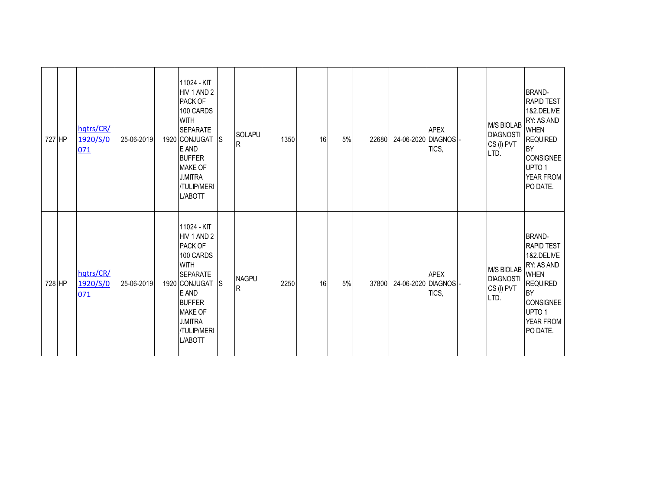| 727 HP | hqtrs/CR/<br>1920/S/0<br>071 | 25-06-2019 | 11024 - KIT<br>HIV 1 AND 2<br>PACK OF<br>100 CARDS<br><b>WITH</b><br><b>SEPARATE</b><br>1920 CONJUGAT S<br>E AND<br><b>BUFFER</b><br><b>MAKE OF</b><br><b>J.MITRA</b><br>/TULIP/MERI<br>L/ABOTT | <b>SOLAPU</b><br>R           | 1350 | 16 | 5% | 22680 | 24-06-2020 DIAGNOS - | <b>APEX</b><br>TICS, | <b>M/S BIOLAB</b><br><b>DIAGNOSTI</b><br>CS (I) PVT<br>LTD. | <b>BRAND-</b><br><b>RAPID TEST</b><br>1&2.DELIVE<br>RY: AS AND<br><b>WHEN</b><br><b>REQUIRED</b><br><b>BY</b><br><b>CONSIGNEE</b><br>UPTO <sub>1</sub><br>YEAR FROM<br>PO DATE. |
|--------|------------------------------|------------|-------------------------------------------------------------------------------------------------------------------------------------------------------------------------------------------------|------------------------------|------|----|----|-------|----------------------|----------------------|-------------------------------------------------------------|---------------------------------------------------------------------------------------------------------------------------------------------------------------------------------|
| 728 HP | hqtrs/CR/<br>1920/S/0<br>071 | 25-06-2019 | 11024 - KIT<br>HIV 1 AND 2<br>PACK OF<br>100 CARDS<br><b>WITH</b><br><b>SEPARATE</b><br>1920 CONJUGAT S<br>E AND<br><b>BUFFER</b><br><b>MAKE OF</b><br><b>J.MITRA</b><br>/TULIP/MERI<br>L/ABOTT | <b>NAGPU</b><br>$\mathsf{R}$ | 2250 | 16 | 5% | 37800 | 24-06-2020 DIAGNOS - | <b>APEX</b><br>TICS, | <b>M/S BIOLAB</b><br><b>DIAGNOSTI</b><br>CS (I) PVT<br>LTD. | <b>BRAND-</b><br><b>RAPID TEST</b><br>1&2.DELIVE<br>RY: AS AND<br><b>WHEN</b><br><b>REQUIRED</b><br><b>BY</b><br><b>CONSIGNEE</b><br>UPTO <sub>1</sub><br>YEAR FROM<br>PO DATE. |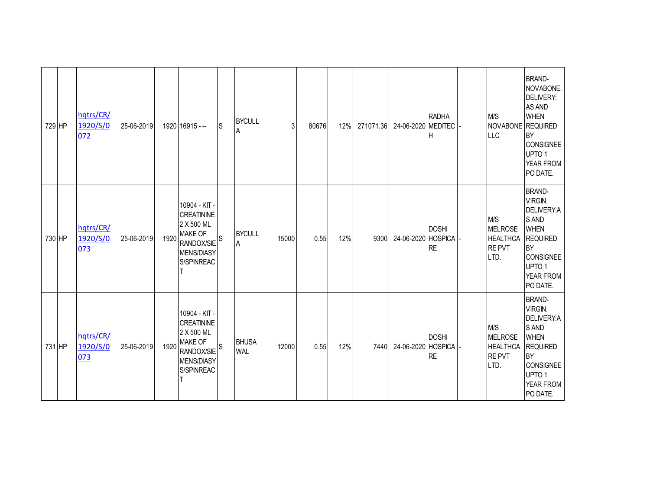| 729 HP | hqtrs/CR/<br>1920/S/0<br>072 | 25-06-2019 |      | 1920 16915 --                                                                                                                    | <sub>S</sub> | <b>BYCULL</b><br>A         | 3     | 80676 | 12% | 271071.36 | 24-06-2020 MEDITEC | <b>RADHA</b><br>Н         | M/S<br>NOVABONE REQUIRED<br><b>LLC</b>                           | <b>BRAND-</b><br>NOVABONE.<br>DELIVERY:<br>AS AND<br><b>WHEN</b><br><b>BY</b><br><b>CONSIGNEE</b><br>UPTO <sub>1</sub><br>YEAR FROM<br>PO DATE.                  |
|--------|------------------------------|------------|------|----------------------------------------------------------------------------------------------------------------------------------|--------------|----------------------------|-------|-------|-----|-----------|--------------------|---------------------------|------------------------------------------------------------------|------------------------------------------------------------------------------------------------------------------------------------------------------------------|
| 730 HP | hqtrs/CR/<br>1920/S/0<br>073 | 25-06-2019 | 1920 | 10904 - KIT -<br><b>CREATININE</b><br>2 X 500 ML<br><b>MAKE OF</b><br>RANDOX/SIE <sup>S</sup><br><b>MENS/DIASY</b><br>S/SPINREAC |              | <b>BYCULL</b><br>A         | 15000 | 0.55  | 12% | 9300      | 24-06-2020 HOSPICA | <b>DOSHI</b><br><b>RE</b> | M/S<br><b>MELROSE</b><br><b>HEALTHCA</b><br><b>REPVT</b><br>LTD. | <b>BRAND-</b><br>VIRGIN.<br>DELIVERY:A<br>S AND<br><b>WHEN</b><br><b>REQUIRED</b><br><b>BY</b><br><b>CONSIGNEE</b><br>UPTO <sub>1</sub><br>YEAR FROM<br>PO DATE. |
| 731 HP | hqtrs/CR/<br>1920/S/0<br>073 | 25-06-2019 | 1920 | 10904 - KIT -<br><b>CREATININE</b><br>2 X 500 ML<br><b>MAKE OF</b><br>$ $ RANDOX/SIE $ $ S<br><b>MENS/DIASY</b><br>S/SPINREAC    |              | <b>BHUSA</b><br><b>WAL</b> | 12000 | 0.55  | 12% | 7440      | 24-06-2020 HOSPICA | <b>DOSHI</b><br><b>RE</b> | M/S<br><b>MELROSE</b><br><b>HEALTHCA</b><br><b>REPVT</b><br>LTD. | <b>BRAND-</b><br>VIRGIN.<br>DELIVERY:A<br>S AND<br><b>WHEN</b><br><b>REQUIRED</b><br><b>BY</b><br><b>CONSIGNEE</b><br>UPTO <sub>1</sub><br>YEAR FROM<br>PO DATE. |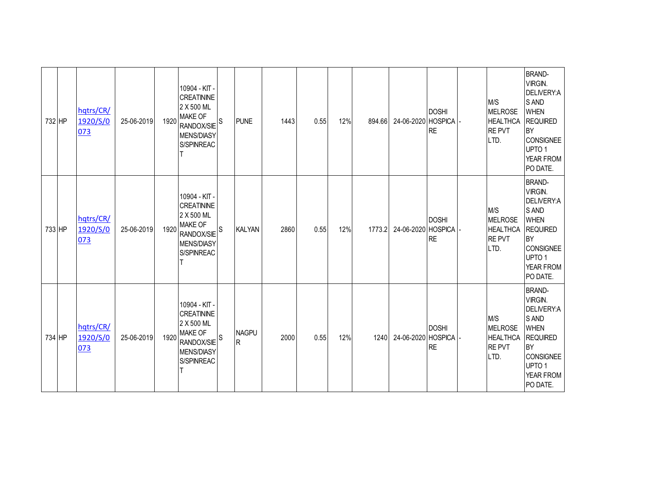| 732 HP | hqtrs/CR/<br>1920/S/0<br>073 | 25-06-2019 | 1920 | 10904 - KIT -<br><b>CREATININE</b><br>2 X 500 ML<br><b>MAKE OF</b><br>RANDOX/SIE <sup>S</sup><br><b>MENS/DIASY</b><br>S/SPINREAC | <b>PUNE</b>       | 1443 | 0.55 | 12% | 894.66 | 24-06-2020 HOSPICA | <b>DOSHI</b><br><b>RE</b> | M/S<br><b>MELROSE</b><br><b>HEALTHCA</b><br><b>REPVT</b><br>LTD. | <b>BRAND-</b><br>VIRGIN.<br>DELIVERY:A<br>S AND<br><b>WHEN</b><br><b>REQUIRED</b><br><b>BY</b><br><b>CONSIGNEE</b><br>UPTO <sub>1</sub><br>YEAR FROM<br>PO DATE. |
|--------|------------------------------|------------|------|----------------------------------------------------------------------------------------------------------------------------------|-------------------|------|------|-----|--------|--------------------|---------------------------|------------------------------------------------------------------|------------------------------------------------------------------------------------------------------------------------------------------------------------------|
| 733 HP | hqtrs/CR/<br>1920/S/0<br>073 | 25-06-2019 | 1920 | 10904 - KIT -<br><b>CREATININE</b><br>2 X 500 ML<br><b>MAKE OF</b><br>RANDOX/SIE <sup>S</sup><br><b>MENS/DIASY</b><br>S/SPINREAC | <b>KALYAN</b>     | 2860 | 0.55 | 12% | 1773.2 | 24-06-2020 HOSPICA | <b>DOSHI</b><br><b>RE</b> | M/S<br><b>MELROSE</b><br><b>HEALTHCA</b><br><b>REPVT</b><br>LTD. | <b>BRAND-</b><br>VIRGIN.<br>DELIVERY:A<br>S AND<br><b>WHEN</b><br><b>REQUIRED</b><br><b>BY</b><br><b>CONSIGNEE</b><br>UPTO <sub>1</sub><br>YEAR FROM<br>PO DATE. |
| 734 HP | hqtrs/CR/<br>1920/S/0<br>073 | 25-06-2019 | 1920 | 10904 - KIT -<br><b>CREATININE</b><br>2 X 500 ML<br><b>MAKE OF</b><br>RANDOX/SIE <sup>S</sup><br><b>MENS/DIASY</b><br>S/SPINREAC | <b>NAGPU</b><br>R | 2000 | 0.55 | 12% | 1240   | 24-06-2020 HOSPICA | <b>DOSHI</b><br><b>RE</b> | M/S<br><b>MELROSE</b><br><b>HEALTHCA</b><br><b>REPVT</b><br>LTD. | <b>BRAND-</b><br>VIRGIN.<br>DELIVERY:A<br>S AND<br><b>WHEN</b><br><b>REQUIRED</b><br><b>BY</b><br><b>CONSIGNEE</b><br>UPTO <sub>1</sub><br>YEAR FROM<br>PO DATE. |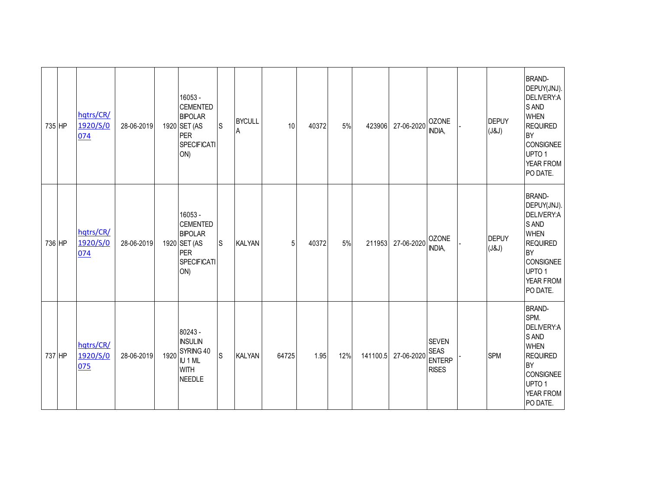| 735 HP | hqtrs/CR/<br>1920/S/0<br>074 | 28-06-2019 |      | 16053 -<br><b>CEMENTED</b><br><b>BIPOLAR</b><br>1920 SET (AS<br><b>PER</b><br><b>SPECIFICATI</b><br>ON) | S            | <b>BYCULL</b><br>Α | 10    | 40372 | 5%  | 423906   | 27-06-2020 | <b>OZONE</b><br>INDIA,                                       | <b>DEPUY</b><br>(J&J) | <b>BRAND-</b><br>DEPUY(JNJ).<br>DELIVERY:A<br>S AND<br><b>WHEN</b><br><b>REQUIRED</b><br><b>BY</b><br><b>CONSIGNEE</b><br>UPTO <sub>1</sub><br>YEAR FROM<br>PO DATE. |
|--------|------------------------------|------------|------|---------------------------------------------------------------------------------------------------------|--------------|--------------------|-------|-------|-----|----------|------------|--------------------------------------------------------------|-----------------------|----------------------------------------------------------------------------------------------------------------------------------------------------------------------|
| 736 HP | hqtrs/CR/<br>1920/S/0<br>074 | 28-06-2019 |      | 16053 -<br><b>CEMENTED</b><br><b>BIPOLAR</b><br>1920 SET (AS<br><b>PER</b><br><b>SPECIFICATI</b><br>ON) | $\mathsf{S}$ | <b>KALYAN</b>      | 5     | 40372 | 5%  | 211953   | 27-06-2020 | <b>OZONE</b><br>INDIA,                                       | <b>DEPUY</b><br>(J&J) | <b>BRAND-</b><br>DEPUY(JNJ).<br>DELIVERY:A<br>S AND<br><b>WHEN</b><br><b>REQUIRED</b><br><b>BY</b><br><b>CONSIGNEE</b><br>UPTO <sub>1</sub><br>YEAR FROM<br>PO DATE. |
| 737 HP | hqtrs/CR/<br>1920/S/0<br>075 | 28-06-2019 | 1920 | 80243 -<br><b>INSULIN</b><br>SYRING 40<br>IU 1 ML<br><b>WITH</b><br><b>NEEDLE</b>                       | S            | <b>KALYAN</b>      | 64725 | 1.95  | 12% | 141100.5 | 27-06-2020 | <b>SEVEN</b><br><b>SEAS</b><br><b>ENTERP</b><br><b>RISES</b> | <b>SPM</b>            | <b>BRAND-</b><br>SPM.<br>DELIVERY:A<br>S AND<br><b>WHEN</b><br>REQUIRED<br><b>BY</b><br><b>CONSIGNEE</b><br>UPTO <sub>1</sub><br>YEAR FROM<br>PO DATE.               |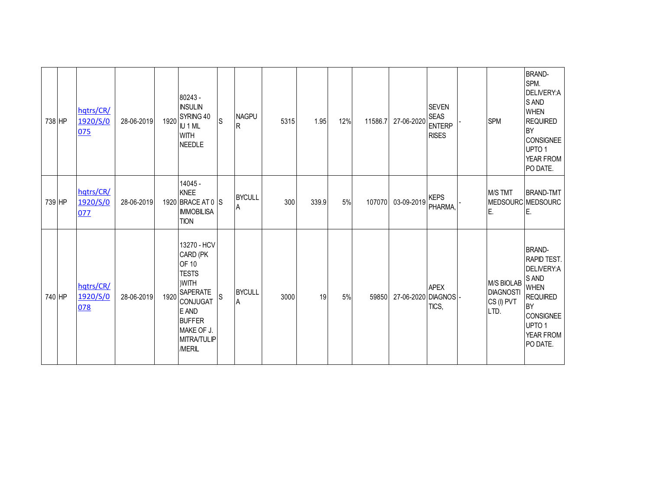| 738 HP | hqtrs/CR/<br>1920/S/0<br>075 | 28-06-2019 | 1920 | $80243 -$<br><b>INSULIN</b><br>SYRING 40<br>IU 1 ML<br><b>WITH</b><br><b>NEEDLE</b>                                                                                     | <b>S</b> | <b>NAGPU</b><br>R  | 5315 | 1.95  | 12% | 11586.7 | 27-06-2020         | <b>SEVEN</b><br><b>SEAS</b><br><b>ENTERP</b><br><b>RISES</b> | <b>SPM</b>                                           | <b>BRAND-</b><br>SPM.<br>DELIVERY:A<br>S AND<br><b>WHEN</b><br><b>REQUIRED</b><br><b>BY</b><br><b>CONSIGNEE</b><br>UPTO <sub>1</sub><br>YEAR FROM<br>PO DATE.        |
|--------|------------------------------|------------|------|-------------------------------------------------------------------------------------------------------------------------------------------------------------------------|----------|--------------------|------|-------|-----|---------|--------------------|--------------------------------------------------------------|------------------------------------------------------|----------------------------------------------------------------------------------------------------------------------------------------------------------------------|
| 739 HP | hqtrs/CR/<br>1920/S/0<br>077 | 28-06-2019 |      | 14045 -<br><b>KNEE</b><br>1920 BRACE AT 0 S<br><b>IMMOBILISA</b><br><b>TION</b>                                                                                         |          | <b>BYCULL</b><br>A | 300  | 339.9 | 5%  | 107070  | 03-09-2019         | <b>KEPS</b><br>PHARMA,                                       | M/S TMT<br>E.                                        | <b>BRAND-TMT</b><br>MEDSOURC MEDSOURC<br>E.                                                                                                                          |
| 740 HP | hqtrs/CR/<br>1920/S/0<br>078 | 28-06-2019 | 1920 | 13270 - HCV<br>CARD (PK<br>OF 10<br><b>TESTS</b><br>)WITH<br><b>SAPERATE</b><br><b>CONJUGAT</b><br>E AND<br><b>BUFFER</b><br>MAKE OF J.<br><b>MITRA/TULIP</b><br>/MERIL | S        | <b>BYCULL</b><br>A | 3000 | 19    | 5%  | 59850   | 27-06-2020 DIAGNOS | <b>APEX</b><br>TICS,                                         | M/S BIOLAB<br><b>DIAGNOSTI</b><br>CS (I) PVT<br>LTD. | <b>BRAND-</b><br>RAPID TEST.<br>DELIVERY:A<br>S AND<br><b>WHEN</b><br><b>REQUIRED</b><br><b>BY</b><br><b>CONSIGNEE</b><br>UPTO <sub>1</sub><br>YEAR FROM<br>PO DATE. |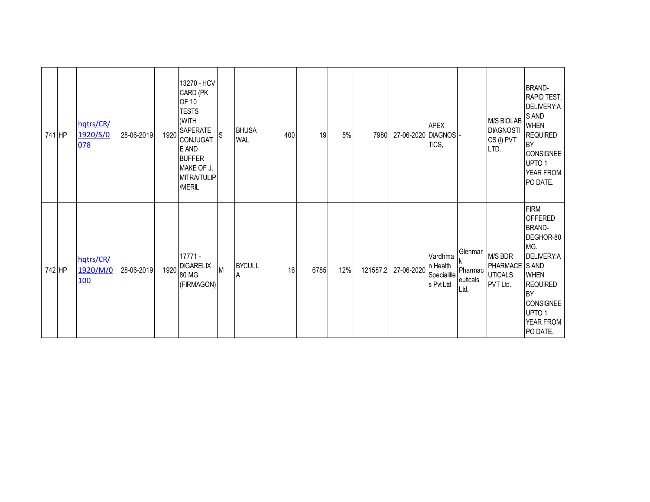| 741 HP | hqtrs/CR/<br>1920/S/0<br>078        | 28-06-2019 | 1920 | 13270 - HCV<br>CARD (PK<br>OF 10<br><b>TESTS</b><br>)WITH<br><b>SAPERATE</b><br>CONJUGAT<br>E AND<br><b>BUFFER</b><br>MAKE OF J.<br><b>MITRA/TULIP</b><br>/MERIL | ls. | <b>BHUSA</b><br><b>WAL</b>      | 400 | 19   | 5%  | 7980     | 27-06-2020 DIAGNOS | <b>APEX</b><br>TICS,                            |                                        | M/S BIOLAB<br><b>DIAGNOSTI</b><br>CS (I) PVT<br>LTD.    | <b>BRAND-</b><br>RAPID TEST.<br>DELIVERY:A<br>S AND<br><b>WHEN</b><br><b>REQUIRED</b><br><b>BY</b><br><b>CONSIGNEE</b><br>UPTO <sub>1</sub><br>YEAR FROM<br>PO DATE.                       |
|--------|-------------------------------------|------------|------|------------------------------------------------------------------------------------------------------------------------------------------------------------------|-----|---------------------------------|-----|------|-----|----------|--------------------|-------------------------------------------------|----------------------------------------|---------------------------------------------------------|--------------------------------------------------------------------------------------------------------------------------------------------------------------------------------------------|
| 742 HP | hqtrs/CR/<br>1920/M/0<br><b>100</b> | 28-06-2019 | 1920 | $17771 -$<br><b>DIGARELIX</b><br>80 MG<br>(FIRMAGON)                                                                                                             | M   | <b>BYCULL</b><br>$\overline{A}$ | 16  | 6785 | 12% | 121587.2 | 27-06-2020         | Vardhma<br>n Health<br>Specialitie<br>s Pvt Ltd | Glenmar<br>Pharmac<br>euticals<br>Ltd, | M/S BDR<br>PHARMACE S AND<br><b>UTICALS</b><br>PVT Ltd. | <b>FIRM</b><br><b>OFFERED</b><br><b>BRAND-</b><br>DEGHOR-80<br>MG.<br>DELIVERY:A<br><b>WHEN</b><br><b>REQUIRED</b><br>BY<br><b>CONSIGNEE</b><br>UPTO <sub>1</sub><br>YEAR FROM<br>PO DATE. |